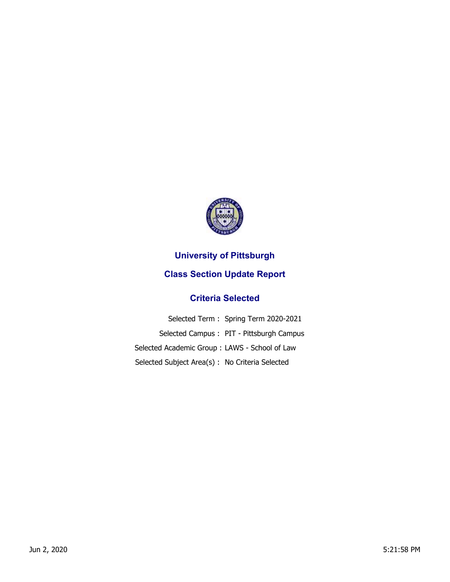

## **University of Pittsburgh**

## **Class Section Update Report**

## **Criteria Selected**

|                                                 | Selected Term: Spring Term 2020-2021     |
|-------------------------------------------------|------------------------------------------|
|                                                 | Selected Campus: PIT - Pittsburgh Campus |
| Selected Academic Group: LAWS - School of Law   |                                          |
| Selected Subject Area(s) : No Criteria Selected |                                          |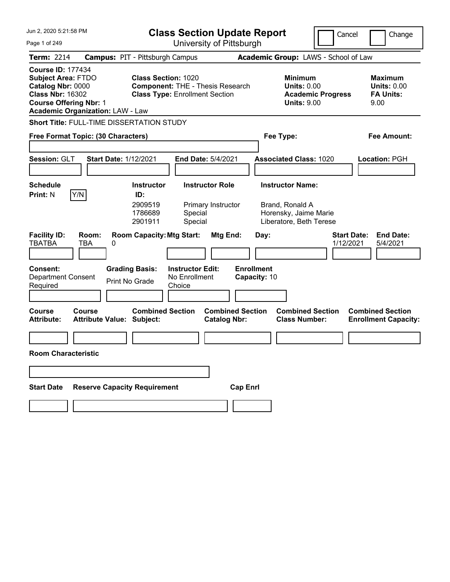| Jun 2, 2020 5:21:58 PM                                                                                                                                                            | <b>Class Section Update Report</b>                                                                             | Cancel                                                                          | Change                                                           |
|-----------------------------------------------------------------------------------------------------------------------------------------------------------------------------------|----------------------------------------------------------------------------------------------------------------|---------------------------------------------------------------------------------|------------------------------------------------------------------|
| Page 1 of 249                                                                                                                                                                     | University of Pittsburgh                                                                                       |                                                                                 |                                                                  |
| <b>Term: 2214</b>                                                                                                                                                                 | <b>Campus: PIT - Pittsburgh Campus</b>                                                                         | Academic Group: LAWS - School of Law                                            |                                                                  |
| <b>Course ID: 177434</b><br><b>Subject Area: FTDO</b><br>Catalog Nbr: 0000<br><b>Class Nbr: 16302</b><br><b>Course Offering Nbr: 1</b><br><b>Academic Organization: LAW - Law</b> | <b>Class Section: 1020</b><br><b>Component: THE - Thesis Research</b><br><b>Class Type: Enrollment Section</b> | Minimum<br><b>Units: 0.00</b><br><b>Academic Progress</b><br><b>Units: 9.00</b> | <b>Maximum</b><br><b>Units: 0.00</b><br><b>FA Units:</b><br>9.00 |
| Short Title: FULL-TIME DISSERTATION STUDY                                                                                                                                         |                                                                                                                |                                                                                 |                                                                  |
| Free Format Topic: (30 Characters)                                                                                                                                                |                                                                                                                | Fee Type:                                                                       | Fee Amount:                                                      |
| Session: GLT<br><b>Start Date: 1/12/2021</b>                                                                                                                                      | <b>End Date: 5/4/2021</b>                                                                                      | <b>Associated Class: 1020</b>                                                   | Location: PGH                                                    |
| <b>Schedule</b>                                                                                                                                                                   | <b>Instructor Role</b><br><b>Instructor</b>                                                                    | <b>Instructor Name:</b>                                                         |                                                                  |
| Y/N<br><b>Print: N</b>                                                                                                                                                            | ID:<br>2909519<br>Primary Instructor<br>1786689<br>Special<br>2901911<br>Special                               | Brand, Ronald A<br>Horensky, Jaime Marie<br>Liberatore, Beth Terese             |                                                                  |
| <b>Facility ID:</b><br>Room:<br><b>TBATBA</b><br>TBA<br>0                                                                                                                         | <b>Room Capacity: Mtg Start:</b><br>Mtg End:                                                                   | <b>Start Date:</b><br>Day:<br>1/12/2021                                         | <b>End Date:</b><br>5/4/2021                                     |
| Consent:<br><b>Department Consent</b><br>Required                                                                                                                                 | <b>Grading Basis:</b><br><b>Instructor Edit:</b><br>No Enrollment<br>Print No Grade<br>Choice                  | <b>Enrollment</b><br>Capacity: 10                                               |                                                                  |
| Course<br>Course<br><b>Attribute Value: Subject:</b><br><b>Attribute:</b>                                                                                                         | <b>Combined Section</b><br><b>Combined Section</b><br><b>Catalog Nbr:</b>                                      | <b>Combined Section</b><br><b>Class Number:</b>                                 | <b>Combined Section</b><br><b>Enrollment Capacity:</b>           |
|                                                                                                                                                                                   |                                                                                                                |                                                                                 |                                                                  |
| Room Characteristic                                                                                                                                                               |                                                                                                                |                                                                                 |                                                                  |
| <b>Reserve Capacity Requirement</b><br><b>Start Date</b>                                                                                                                          | <b>Cap Enrl</b>                                                                                                |                                                                                 |                                                                  |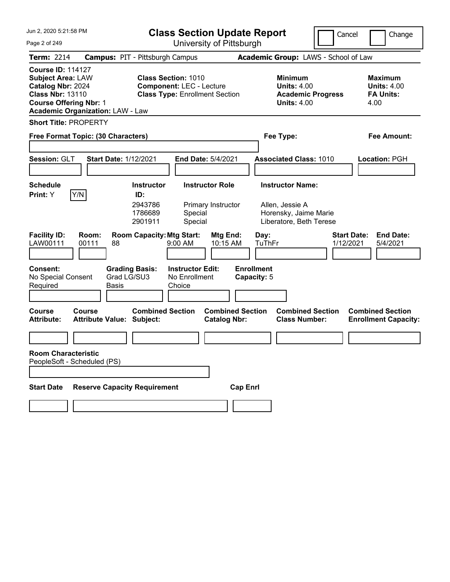| Jun 2, 2020 5:21:58 PM                                                                                                                                                           | <b>Class Section Update Report</b>                                                                     | Cancel                                                                                 | Change                                                           |
|----------------------------------------------------------------------------------------------------------------------------------------------------------------------------------|--------------------------------------------------------------------------------------------------------|----------------------------------------------------------------------------------------|------------------------------------------------------------------|
| Page 2 of 249                                                                                                                                                                    | University of Pittsburgh                                                                               |                                                                                        |                                                                  |
| <b>Term: 2214</b>                                                                                                                                                                | <b>Campus: PIT - Pittsburgh Campus</b>                                                                 | Academic Group: LAWS - School of Law                                                   |                                                                  |
| <b>Course ID: 114127</b><br><b>Subject Area: LAW</b><br>Catalog Nbr: 2024<br><b>Class Nbr: 13110</b><br><b>Course Offering Nbr: 1</b><br><b>Academic Organization: LAW - Law</b> | <b>Class Section: 1010</b><br><b>Component: LEC - Lecture</b><br><b>Class Type: Enrollment Section</b> | <b>Minimum</b><br><b>Units: 4.00</b><br><b>Academic Progress</b><br><b>Units: 4.00</b> | <b>Maximum</b><br><b>Units: 4.00</b><br><b>FA Units:</b><br>4.00 |
| <b>Short Title: PROPERTY</b>                                                                                                                                                     |                                                                                                        |                                                                                        |                                                                  |
| Free Format Topic: (30 Characters)                                                                                                                                               |                                                                                                        | Fee Type:                                                                              | Fee Amount:                                                      |
| Session: GLT<br><b>Start Date: 1/12/2021</b>                                                                                                                                     | End Date: 5/4/2021                                                                                     | <b>Associated Class: 1010</b>                                                          | Location: PGH                                                    |
| <b>Schedule</b>                                                                                                                                                                  | <b>Instructor Role</b><br><b>Instructor</b>                                                            | <b>Instructor Name:</b>                                                                |                                                                  |
| Print: Y<br>Y/N                                                                                                                                                                  | ID:<br>2943786<br>Primary Instructor<br>1786689<br>Special<br>Special<br>2901911                       | Allen, Jessie A<br>Horensky, Jaime Marie<br>Liberatore, Beth Terese                    |                                                                  |
| <b>Facility ID:</b><br>Room:<br>LAW00111<br>00111<br>88                                                                                                                          | <b>Room Capacity: Mtg Start:</b><br>Mtg End:<br>$9:00$ AM<br>10:15 AM                                  | Day:<br>TuThFr<br>1/12/2021                                                            | <b>Start Date:</b><br><b>End Date:</b><br>5/4/2021               |
| Consent:<br><b>Grading Basis:</b><br>Grad LG/SU3<br>No Special Consent<br>Required<br>Basis                                                                                      | <b>Instructor Edit:</b><br>No Enrollment<br>Choice                                                     | <b>Enrollment</b><br>Capacity: 5                                                       |                                                                  |
| Course<br>Course<br><b>Attribute:</b><br><b>Attribute Value: Subject:</b>                                                                                                        | <b>Combined Section</b><br><b>Combined Section</b><br><b>Catalog Nbr:</b>                              | <b>Combined Section</b><br><b>Class Number:</b>                                        | <b>Combined Section</b><br><b>Enrollment Capacity:</b>           |
|                                                                                                                                                                                  |                                                                                                        |                                                                                        |                                                                  |
| <b>Room Characteristic</b><br>PeopleSoft - Scheduled (PS)                                                                                                                        |                                                                                                        |                                                                                        |                                                                  |
| <b>Reserve Capacity Requirement</b><br><b>Start Date</b>                                                                                                                         | <b>Cap Enrl</b>                                                                                        |                                                                                        |                                                                  |
|                                                                                                                                                                                  |                                                                                                        |                                                                                        |                                                                  |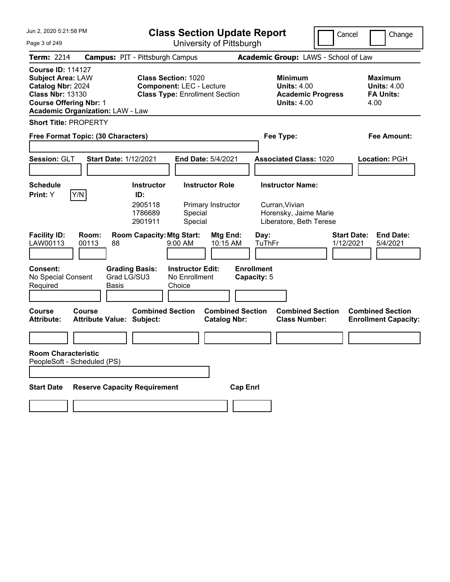| Jun 2, 2020 5:21:58 PM                                                                                                                                                           | <b>Class Section Update Report</b>                                                                     | Cancel                                                                                 | Change                                                           |
|----------------------------------------------------------------------------------------------------------------------------------------------------------------------------------|--------------------------------------------------------------------------------------------------------|----------------------------------------------------------------------------------------|------------------------------------------------------------------|
| Page 3 of 249                                                                                                                                                                    | University of Pittsburgh                                                                               |                                                                                        |                                                                  |
| Term: 2214                                                                                                                                                                       | <b>Campus: PIT - Pittsburgh Campus</b>                                                                 | Academic Group: LAWS - School of Law                                                   |                                                                  |
| <b>Course ID: 114127</b><br><b>Subject Area: LAW</b><br>Catalog Nbr: 2024<br><b>Class Nbr: 13130</b><br><b>Course Offering Nbr: 1</b><br><b>Academic Organization: LAW - Law</b> | <b>Class Section: 1020</b><br><b>Component: LEC - Lecture</b><br><b>Class Type: Enrollment Section</b> | <b>Minimum</b><br><b>Units: 4.00</b><br><b>Academic Progress</b><br><b>Units: 4.00</b> | <b>Maximum</b><br><b>Units: 4.00</b><br><b>FA Units:</b><br>4.00 |
| <b>Short Title: PROPERTY</b>                                                                                                                                                     |                                                                                                        |                                                                                        |                                                                  |
| Free Format Topic: (30 Characters)                                                                                                                                               |                                                                                                        | Fee Type:                                                                              | Fee Amount:                                                      |
| Session: GLT<br><b>Start Date: 1/12/2021</b>                                                                                                                                     | End Date: 5/4/2021                                                                                     | <b>Associated Class: 1020</b>                                                          | Location: PGH                                                    |
| <b>Schedule</b>                                                                                                                                                                  | <b>Instructor Role</b><br><b>Instructor</b>                                                            | <b>Instructor Name:</b>                                                                |                                                                  |
| Y/N<br>Print: Y                                                                                                                                                                  | ID:<br>2905118<br>Primary Instructor<br>Special<br>1786689<br>2901911<br>Special                       | Curran, Vivian<br>Horensky, Jaime Marie<br>Liberatore, Beth Terese                     |                                                                  |
| <b>Facility ID:</b><br>Room:<br>LAW00113<br>00113<br>88                                                                                                                          | <b>Room Capacity: Mtg Start:</b><br>Mtg End:<br>10:15 AM<br>$9:00$ AM                                  | <b>Start Date:</b><br>Day:<br>TuThFr<br>1/12/2021                                      | <b>End Date:</b><br>5/4/2021                                     |
| Consent:<br><b>Grading Basis:</b><br>Grad LG/SU3<br>No Special Consent<br>Required<br>Basis                                                                                      | <b>Instructor Edit:</b><br>No Enrollment<br>Choice                                                     | <b>Enrollment</b><br>Capacity: 5                                                       |                                                                  |
| <b>Course</b><br>Course<br><b>Attribute:</b><br><b>Attribute Value: Subject:</b>                                                                                                 | <b>Combined Section</b><br><b>Combined Section</b><br><b>Catalog Nbr:</b>                              | <b>Combined Section</b><br><b>Class Number:</b>                                        | <b>Combined Section</b><br><b>Enrollment Capacity:</b>           |
|                                                                                                                                                                                  |                                                                                                        |                                                                                        |                                                                  |
| <b>Room Characteristic</b><br>PeopleSoft - Scheduled (PS)                                                                                                                        |                                                                                                        |                                                                                        |                                                                  |
| <b>Reserve Capacity Requirement</b><br><b>Start Date</b>                                                                                                                         | <b>Cap Enrl</b>                                                                                        |                                                                                        |                                                                  |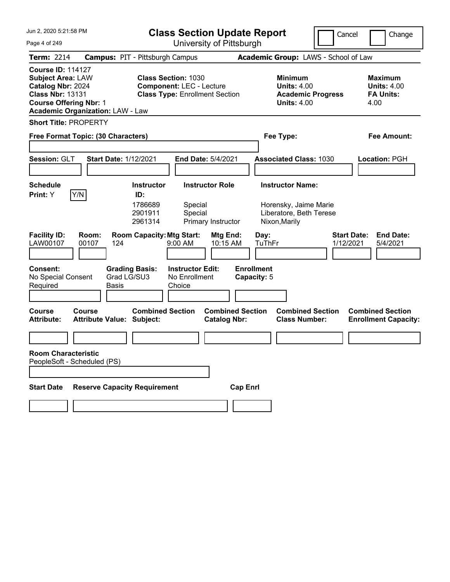| Jun 2, 2020 5:21:58 PM                                                                                                                                                           | <b>Class Section Update Report</b>                                                                     | Cancel                                                                                 | Change                                                           |
|----------------------------------------------------------------------------------------------------------------------------------------------------------------------------------|--------------------------------------------------------------------------------------------------------|----------------------------------------------------------------------------------------|------------------------------------------------------------------|
| Page 4 of 249                                                                                                                                                                    | University of Pittsburgh                                                                               |                                                                                        |                                                                  |
| <b>Term: 2214</b>                                                                                                                                                                | <b>Campus: PIT - Pittsburgh Campus</b>                                                                 | Academic Group: LAWS - School of Law                                                   |                                                                  |
| <b>Course ID: 114127</b><br><b>Subject Area: LAW</b><br>Catalog Nbr: 2024<br><b>Class Nbr: 13131</b><br><b>Course Offering Nbr: 1</b><br><b>Academic Organization: LAW - Law</b> | <b>Class Section: 1030</b><br><b>Component: LEC - Lecture</b><br><b>Class Type: Enrollment Section</b> | <b>Minimum</b><br><b>Units: 4.00</b><br><b>Academic Progress</b><br><b>Units: 4.00</b> | <b>Maximum</b><br><b>Units: 4.00</b><br><b>FA Units:</b><br>4.00 |
| <b>Short Title: PROPERTY</b>                                                                                                                                                     |                                                                                                        |                                                                                        |                                                                  |
| Free Format Topic: (30 Characters)                                                                                                                                               |                                                                                                        | Fee Type:                                                                              | Fee Amount:                                                      |
| Session: GLT<br><b>Start Date: 1/12/2021</b>                                                                                                                                     | <b>End Date: 5/4/2021</b>                                                                              | <b>Associated Class: 1030</b>                                                          | <b>Location: PGH</b>                                             |
| Schedule                                                                                                                                                                         | <b>Instructor Role</b><br><b>Instructor</b>                                                            | <b>Instructor Name:</b>                                                                |                                                                  |
| Print: Y<br>Y/N                                                                                                                                                                  | ID:<br>1786689<br>Special<br>2901911<br>Special<br>Primary Instructor<br>2961314                       | Horensky, Jaime Marie<br>Liberatore, Beth Terese<br>Nixon, Marily                      |                                                                  |
| <b>Facility ID:</b><br>Room:<br>LAW00107<br>00107<br>124                                                                                                                         | <b>Room Capacity: Mtg Start:</b><br>Mtg End:<br>10:15 AM<br>$9:00 \, \text{AM}$                        | Day:<br>TuThFr<br>1/12/2021                                                            | <b>Start Date:</b><br><b>End Date:</b><br>5/4/2021               |
| Consent:<br>Grad LG/SU3<br>No Special Consent<br>Required<br><b>Basis</b>                                                                                                        | <b>Instructor Edit:</b><br><b>Grading Basis:</b><br>No Enrollment<br>Choice                            | <b>Enrollment</b><br>Capacity: 5                                                       |                                                                  |
| Course<br>Course<br><b>Attribute:</b><br><b>Attribute Value: Subject:</b>                                                                                                        | <b>Combined Section</b><br><b>Combined Section</b><br><b>Catalog Nbr:</b>                              | <b>Combined Section</b><br><b>Class Number:</b>                                        | <b>Combined Section</b><br><b>Enrollment Capacity:</b>           |
|                                                                                                                                                                                  |                                                                                                        |                                                                                        |                                                                  |
| <b>Room Characteristic</b><br>PeopleSoft - Scheduled (PS)                                                                                                                        |                                                                                                        |                                                                                        |                                                                  |
| <b>Reserve Capacity Requirement</b><br><b>Start Date</b>                                                                                                                         | <b>Cap Enrl</b>                                                                                        |                                                                                        |                                                                  |
|                                                                                                                                                                                  |                                                                                                        |                                                                                        |                                                                  |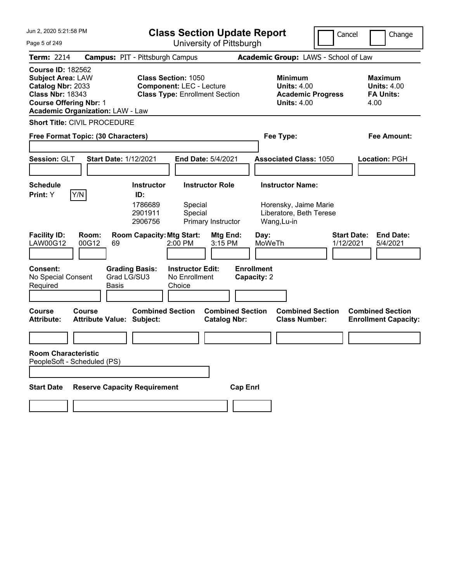| Jun 2, 2020 5:21:58 PM                                                                                                                                                           | <b>Class Section Update Report</b>                                                                                                                       | Cancel                                                                                                               | Change                                                           |
|----------------------------------------------------------------------------------------------------------------------------------------------------------------------------------|----------------------------------------------------------------------------------------------------------------------------------------------------------|----------------------------------------------------------------------------------------------------------------------|------------------------------------------------------------------|
| Page 5 of 249                                                                                                                                                                    | University of Pittsburgh                                                                                                                                 |                                                                                                                      |                                                                  |
| <b>Term: 2214</b>                                                                                                                                                                | <b>Campus: PIT - Pittsburgh Campus</b>                                                                                                                   | Academic Group: LAWS - School of Law                                                                                 |                                                                  |
| <b>Course ID: 182562</b><br><b>Subject Area: LAW</b><br>Catalog Nbr: 2033<br><b>Class Nbr: 18343</b><br><b>Course Offering Nbr: 1</b><br><b>Academic Organization: LAW - Law</b> | <b>Class Section: 1050</b><br><b>Component: LEC - Lecture</b><br><b>Class Type: Enrollment Section</b>                                                   | <b>Minimum</b><br><b>Units: 4.00</b><br><b>Academic Progress</b><br><b>Units: 4.00</b>                               | <b>Maximum</b><br><b>Units: 4.00</b><br><b>FA Units:</b><br>4.00 |
| <b>Short Title: CIVIL PROCEDURE</b>                                                                                                                                              |                                                                                                                                                          |                                                                                                                      |                                                                  |
| Free Format Topic: (30 Characters)                                                                                                                                               |                                                                                                                                                          | Fee Type:                                                                                                            | Fee Amount:                                                      |
| Session: GLT<br><b>Start Date: 1/12/2021</b>                                                                                                                                     | End Date: 5/4/2021                                                                                                                                       | <b>Associated Class: 1050</b>                                                                                        | Location: PGH                                                    |
| <b>Schedule</b>                                                                                                                                                                  | <b>Instructor Role</b><br><b>Instructor</b>                                                                                                              | <b>Instructor Name:</b>                                                                                              |                                                                  |
| Print: Y<br>Y/N<br><b>Facility ID:</b><br>Room:<br>LAW00G12<br>00G12<br>69                                                                                                       | ID:<br>1786689<br>Special<br>2901911<br>Special<br>2906756<br>Primary Instructor<br><b>Room Capacity: Mtg Start:</b><br>Mtg End:<br>3:15 PM<br>$2:00$ PM | Horensky, Jaime Marie<br>Liberatore, Beth Terese<br>Wang, Lu-in<br><b>Start Date:</b><br>Day:<br>MoWeTh<br>1/12/2021 | <b>End Date:</b><br>5/4/2021                                     |
| Consent:<br><b>Grading Basis:</b><br>Grad LG/SU3<br>No Special Consent<br>Required<br><b>Basis</b>                                                                               | <b>Instructor Edit:</b><br>No Enrollment<br>Choice                                                                                                       | <b>Enrollment</b><br>Capacity: 2                                                                                     |                                                                  |
| Course<br><b>Course</b><br><b>Attribute:</b><br><b>Attribute Value: Subject:</b>                                                                                                 | <b>Combined Section</b><br><b>Combined Section</b><br><b>Catalog Nbr:</b>                                                                                | <b>Combined Section</b><br><b>Class Number:</b>                                                                      | <b>Combined Section</b><br><b>Enrollment Capacity:</b>           |
|                                                                                                                                                                                  |                                                                                                                                                          |                                                                                                                      |                                                                  |
| <b>Room Characteristic</b><br>PeopleSoft - Scheduled (PS)<br><b>Reserve Capacity Requirement</b><br><b>Start Date</b>                                                            | <b>Cap Enrl</b>                                                                                                                                          |                                                                                                                      |                                                                  |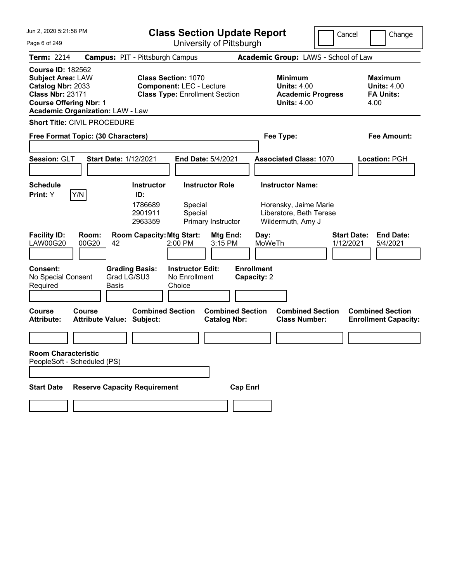| Jun 2, 2020 5:21:58 PM                                                                                                                                                           | <b>Class Section Update Report</b>                                                                                               |                                                                                        | Cancel<br>Change                                                 |
|----------------------------------------------------------------------------------------------------------------------------------------------------------------------------------|----------------------------------------------------------------------------------------------------------------------------------|----------------------------------------------------------------------------------------|------------------------------------------------------------------|
| Page 6 of 249                                                                                                                                                                    | University of Pittsburgh                                                                                                         |                                                                                        |                                                                  |
| <b>Term: 2214</b>                                                                                                                                                                | <b>Campus: PIT - Pittsburgh Campus</b>                                                                                           | Academic Group: LAWS - School of Law                                                   |                                                                  |
| <b>Course ID: 182562</b><br><b>Subject Area: LAW</b><br>Catalog Nbr: 2033<br><b>Class Nbr: 23171</b><br><b>Course Offering Nbr: 1</b><br><b>Academic Organization: LAW - Law</b> | <b>Class Section: 1070</b><br><b>Component: LEC - Lecture</b><br><b>Class Type: Enrollment Section</b>                           | <b>Minimum</b><br><b>Units: 4.00</b><br><b>Academic Progress</b><br><b>Units: 4.00</b> | <b>Maximum</b><br><b>Units: 4.00</b><br><b>FA Units:</b><br>4.00 |
| <b>Short Title: CIVIL PROCEDURE</b>                                                                                                                                              |                                                                                                                                  |                                                                                        |                                                                  |
| Free Format Topic: (30 Characters)                                                                                                                                               |                                                                                                                                  | Fee Type:                                                                              | Fee Amount:                                                      |
| Session: GLT                                                                                                                                                                     | <b>Start Date: 1/12/2021</b><br>End Date: 5/4/2021                                                                               | <b>Associated Class: 1070</b>                                                          | Location: PGH                                                    |
| <b>Schedule</b>                                                                                                                                                                  | <b>Instructor Role</b><br><b>Instructor</b>                                                                                      | <b>Instructor Name:</b>                                                                |                                                                  |
| Print: Y<br>Y/N<br><b>Facility ID:</b><br>Room:                                                                                                                                  | ID:<br>1786689<br>Special<br>2901911<br>Special<br>Primary Instructor<br>2963359<br><b>Room Capacity: Mtg Start:</b><br>Mtg End: | Horensky, Jaime Marie<br>Liberatore, Beth Terese<br>Wildermuth, Amy J<br>Day:          | <b>Start Date:</b><br><b>End Date:</b>                           |
| <b>LAW00G20</b><br>00G20                                                                                                                                                         | 3:15 PM<br>$2:00$ PM<br>42                                                                                                       | MoWeTh                                                                                 | 1/12/2021<br>5/4/2021                                            |
| Consent:<br>No Special Consent<br>Required                                                                                                                                       | <b>Grading Basis:</b><br><b>Instructor Edit:</b><br>Grad LG/SU3<br>No Enrollment<br><b>Basis</b><br>Choice                       | <b>Enrollment</b><br>Capacity: 2                                                       |                                                                  |
| Course<br><b>Course</b><br><b>Attribute:</b>                                                                                                                                     | <b>Combined Section</b><br><b>Attribute Value: Subject:</b><br><b>Catalog Nbr:</b>                                               | <b>Combined Section</b><br><b>Combined Section</b><br><b>Class Number:</b>             | <b>Combined Section</b><br><b>Enrollment Capacity:</b>           |
|                                                                                                                                                                                  |                                                                                                                                  |                                                                                        |                                                                  |
| <b>Room Characteristic</b><br>PeopleSoft - Scheduled (PS)                                                                                                                        |                                                                                                                                  |                                                                                        |                                                                  |
| <b>Start Date</b>                                                                                                                                                                | <b>Reserve Capacity Requirement</b>                                                                                              | <b>Cap Enrl</b>                                                                        |                                                                  |
|                                                                                                                                                                                  |                                                                                                                                  |                                                                                        |                                                                  |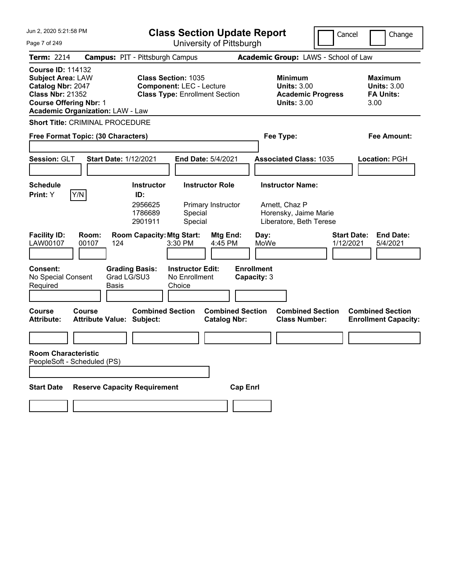| Jun 2, 2020 5:21:58 PM                                                                                                                                                           | <b>Class Section Update Report</b>                                                                     | Cancel                                                                                 | Change                                                           |
|----------------------------------------------------------------------------------------------------------------------------------------------------------------------------------|--------------------------------------------------------------------------------------------------------|----------------------------------------------------------------------------------------|------------------------------------------------------------------|
| Page 7 of 249                                                                                                                                                                    | University of Pittsburgh                                                                               |                                                                                        |                                                                  |
| Term: 2214                                                                                                                                                                       | <b>Campus: PIT - Pittsburgh Campus</b>                                                                 | Academic Group: LAWS - School of Law                                                   |                                                                  |
| <b>Course ID: 114132</b><br><b>Subject Area: LAW</b><br>Catalog Nbr: 2047<br><b>Class Nbr: 21352</b><br><b>Course Offering Nbr: 1</b><br><b>Academic Organization: LAW - Law</b> | <b>Class Section: 1035</b><br><b>Component: LEC - Lecture</b><br><b>Class Type: Enrollment Section</b> | <b>Minimum</b><br><b>Units: 3.00</b><br><b>Academic Progress</b><br><b>Units: 3.00</b> | <b>Maximum</b><br><b>Units: 3.00</b><br><b>FA Units:</b><br>3.00 |
| <b>Short Title: CRIMINAL PROCEDURE</b>                                                                                                                                           |                                                                                                        |                                                                                        |                                                                  |
| Free Format Topic: (30 Characters)                                                                                                                                               |                                                                                                        | Fee Type:                                                                              | Fee Amount:                                                      |
|                                                                                                                                                                                  |                                                                                                        |                                                                                        |                                                                  |
| Session: GLT<br><b>Start Date: 1/12/2021</b>                                                                                                                                     | End Date: 5/4/2021                                                                                     | <b>Associated Class: 1035</b>                                                          | Location: PGH                                                    |
| <b>Schedule</b>                                                                                                                                                                  | <b>Instructor Role</b><br><b>Instructor</b>                                                            | <b>Instructor Name:</b>                                                                |                                                                  |
| Y/N<br>Print: Y                                                                                                                                                                  | ID:<br>2956625<br>Primary Instructor<br>Special<br>1786689<br>2901911<br>Special                       | Arnett, Chaz P<br>Horensky, Jaime Marie<br>Liberatore, Beth Terese                     |                                                                  |
| <b>Facility ID:</b><br>Room:<br>LAW00107<br>00107<br>124                                                                                                                         | <b>Room Capacity: Mtg Start:</b><br>Mtg End:<br>3:30 PM<br>4:45 PM                                     | <b>Start Date:</b><br>Day:<br>MoWe<br>1/12/2021                                        | <b>End Date:</b><br>5/4/2021                                     |
| Consent:<br><b>Grading Basis:</b><br>Grad LG/SU3<br>No Special Consent<br>Required<br><b>Basis</b>                                                                               | <b>Instructor Edit:</b><br>No Enrollment<br>Choice                                                     | <b>Enrollment</b><br>Capacity: 3                                                       |                                                                  |
| <b>Course</b><br>Course<br><b>Attribute:</b><br><b>Attribute Value: Subject:</b>                                                                                                 | <b>Combined Section</b><br><b>Combined Section</b><br><b>Catalog Nbr:</b>                              | <b>Combined Section</b><br><b>Class Number:</b>                                        | <b>Combined Section</b><br><b>Enrollment Capacity:</b>           |
|                                                                                                                                                                                  |                                                                                                        |                                                                                        |                                                                  |
| <b>Room Characteristic</b><br>PeopleSoft - Scheduled (PS)                                                                                                                        |                                                                                                        |                                                                                        |                                                                  |
| <b>Reserve Capacity Requirement</b><br><b>Start Date</b>                                                                                                                         | <b>Cap Enrl</b>                                                                                        |                                                                                        |                                                                  |
|                                                                                                                                                                                  |                                                                                                        |                                                                                        |                                                                  |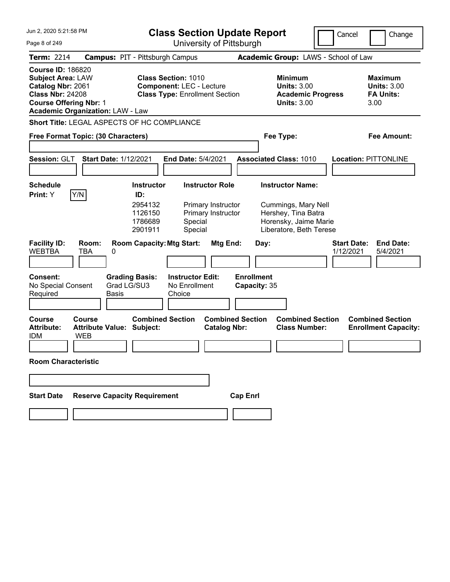| Jun 2, 2020 5:21:58 PM                                                                                                                |                                                          |                                                                      |                                                                                                        |                                                                    | <b>Class Section Update Report</b> |                                                                                                                           | Cancel                          | Change                                                           |
|---------------------------------------------------------------------------------------------------------------------------------------|----------------------------------------------------------|----------------------------------------------------------------------|--------------------------------------------------------------------------------------------------------|--------------------------------------------------------------------|------------------------------------|---------------------------------------------------------------------------------------------------------------------------|---------------------------------|------------------------------------------------------------------|
| Page 8 of 249                                                                                                                         |                                                          |                                                                      |                                                                                                        |                                                                    | University of Pittsburgh           |                                                                                                                           |                                 |                                                                  |
| <b>Term: 2214</b>                                                                                                                     | <b>Campus: PIT - Pittsburgh Campus</b>                   |                                                                      |                                                                                                        |                                                                    |                                    | Academic Group: LAWS - School of Law                                                                                      |                                 |                                                                  |
| <b>Course ID: 186820</b><br><b>Subject Area: LAW</b><br>Catalog Nbr: 2061<br><b>Class Nbr: 24208</b><br><b>Course Offering Nbr: 1</b> | <b>Academic Organization: LAW - Law</b>                  |                                                                      | <b>Class Section: 1010</b><br><b>Component: LEC - Lecture</b><br><b>Class Type: Enrollment Section</b> |                                                                    |                                    | <b>Minimum</b><br><b>Units: 3.00</b><br><b>Academic Progress</b><br><b>Units: 3.00</b>                                    |                                 | <b>Maximum</b><br><b>Units: 3.00</b><br><b>FA Units:</b><br>3.00 |
|                                                                                                                                       | Short Title: LEGAL ASPECTS OF HC COMPLIANCE              |                                                                      |                                                                                                        |                                                                    |                                    |                                                                                                                           |                                 |                                                                  |
|                                                                                                                                       | Free Format Topic: (30 Characters)                       |                                                                      |                                                                                                        |                                                                    |                                    | Fee Type:                                                                                                                 |                                 | Fee Amount:                                                      |
| Session: GLT                                                                                                                          | <b>Start Date: 1/12/2021</b>                             |                                                                      | End Date: 5/4/2021                                                                                     |                                                                    |                                    | <b>Associated Class: 1010</b>                                                                                             |                                 | <b>Location: PITTONLINE</b>                                      |
| <b>Schedule</b><br>Print: Y                                                                                                           | Y/N                                                      | <b>Instructor</b><br>ID:<br>2954132<br>1126150<br>1786689<br>2901911 | Special<br>Special                                                                                     | <b>Instructor Role</b><br>Primary Instructor<br>Primary Instructor |                                    | <b>Instructor Name:</b><br>Cummings, Mary Nell<br>Hershey, Tina Batra<br>Horensky, Jaime Marie<br>Liberatore, Beth Terese |                                 |                                                                  |
| <b>Facility ID:</b><br><b>WEBTBA</b>                                                                                                  | Room:<br>TBA<br>0                                        | <b>Room Capacity: Mtg Start:</b>                                     |                                                                                                        | Mtg End:                                                           | Day:                               |                                                                                                                           | <b>Start Date:</b><br>1/12/2021 | <b>End Date:</b><br>5/4/2021                                     |
| Consent:<br>No Special Consent<br>Required                                                                                            | <b>Basis</b>                                             | <b>Grading Basis:</b><br>Grad LG/SU3                                 | <b>Instructor Edit:</b><br>No Enrollment<br>Choice                                                     |                                                                    | <b>Enrollment</b><br>Capacity: 35  |                                                                                                                           |                                 |                                                                  |
| <b>Course</b><br><b>Attribute:</b><br><b>IDM</b>                                                                                      | Course<br><b>Attribute Value: Subject:</b><br><b>WEB</b> | <b>Combined Section</b>                                              |                                                                                                        | <b>Catalog Nbr:</b>                                                | <b>Combined Section</b>            | <b>Combined Section</b><br><b>Class Number:</b>                                                                           |                                 | <b>Combined Section</b><br><b>Enrollment Capacity:</b>           |
| <b>Room Characteristic</b>                                                                                                            |                                                          |                                                                      |                                                                                                        |                                                                    |                                    |                                                                                                                           |                                 |                                                                  |
|                                                                                                                                       |                                                          |                                                                      |                                                                                                        |                                                                    |                                    |                                                                                                                           |                                 |                                                                  |
| <b>Start Date</b>                                                                                                                     | <b>Reserve Capacity Requirement</b>                      |                                                                      |                                                                                                        |                                                                    | <b>Cap Enrl</b>                    |                                                                                                                           |                                 |                                                                  |
|                                                                                                                                       |                                                          |                                                                      |                                                                                                        |                                                                    |                                    |                                                                                                                           |                                 |                                                                  |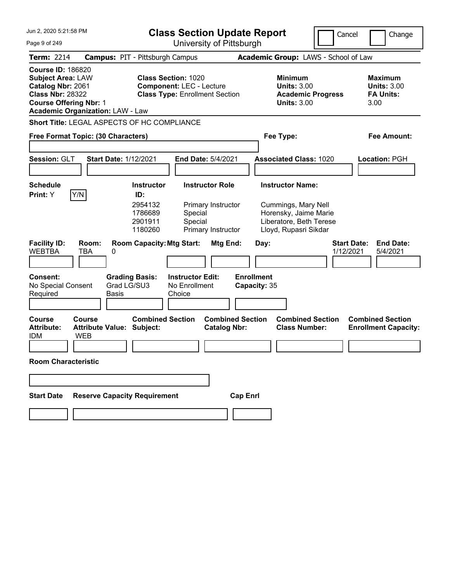| Jun 2, 2020 5:21:58 PM                                                                                                                                                           |                                                                      | <b>Class Section Update Report</b>                                                                     |                                   |                                                                                                                             | Cancel<br>Change                                                 |
|----------------------------------------------------------------------------------------------------------------------------------------------------------------------------------|----------------------------------------------------------------------|--------------------------------------------------------------------------------------------------------|-----------------------------------|-----------------------------------------------------------------------------------------------------------------------------|------------------------------------------------------------------|
| Page 9 of 249                                                                                                                                                                    |                                                                      | University of Pittsburgh                                                                               |                                   |                                                                                                                             |                                                                  |
| <b>Term: 2214</b>                                                                                                                                                                | <b>Campus: PIT - Pittsburgh Campus</b>                               |                                                                                                        |                                   | Academic Group: LAWS - School of Law                                                                                        |                                                                  |
| <b>Course ID: 186820</b><br><b>Subject Area: LAW</b><br>Catalog Nbr: 2061<br><b>Class Nbr: 28322</b><br><b>Course Offering Nbr: 1</b><br><b>Academic Organization: LAW - Law</b> |                                                                      | <b>Class Section: 1020</b><br><b>Component: LEC - Lecture</b><br><b>Class Type: Enrollment Section</b> |                                   | <b>Minimum</b><br><b>Units: 3.00</b><br><b>Academic Progress</b><br><b>Units: 3.00</b>                                      | <b>Maximum</b><br><b>Units: 3.00</b><br><b>FA Units:</b><br>3.00 |
|                                                                                                                                                                                  | Short Title: LEGAL ASPECTS OF HC COMPLIANCE                          |                                                                                                        |                                   |                                                                                                                             |                                                                  |
| Free Format Topic: (30 Characters)                                                                                                                                               |                                                                      |                                                                                                        |                                   | Fee Type:                                                                                                                   | <b>Fee Amount:</b>                                               |
| Session: GLT                                                                                                                                                                     | <b>Start Date: 1/12/2021</b>                                         | End Date: 5/4/2021                                                                                     |                                   | <b>Associated Class: 1020</b>                                                                                               | Location: PGH                                                    |
| <b>Schedule</b><br>Y/N<br>Print: Y                                                                                                                                               | <b>Instructor</b><br>ID:<br>2954132<br>1786689<br>2901911<br>1180260 | <b>Instructor Role</b><br>Primary Instructor<br>Special<br>Special<br>Primary Instructor               |                                   | <b>Instructor Name:</b><br>Cummings, Mary Nell<br>Horensky, Jaime Marie<br>Liberatore, Beth Terese<br>Lloyd, Rupasri Sikdar |                                                                  |
| <b>Facility ID:</b><br>Room:<br><b>WEBTBA</b><br><b>TBA</b>                                                                                                                      | 0                                                                    | <b>Room Capacity: Mtg Start:</b><br>Mtg End:                                                           | Day:                              |                                                                                                                             | <b>End Date:</b><br><b>Start Date:</b><br>1/12/2021<br>5/4/2021  |
| Consent:<br>No Special Consent<br>Required                                                                                                                                       | <b>Grading Basis:</b><br>Grad LG/SU3<br>Basis                        | <b>Instructor Edit:</b><br>No Enrollment<br>Choice                                                     | <b>Enrollment</b><br>Capacity: 35 |                                                                                                                             |                                                                  |
| Course<br>Course<br><b>Attribute:</b><br><b>IDM</b><br><b>WEB</b>                                                                                                                | <b>Attribute Value: Subject:</b>                                     | <b>Combined Section</b><br><b>Catalog Nbr:</b>                                                         | <b>Combined Section</b>           | <b>Combined Section</b><br><b>Class Number:</b>                                                                             | <b>Combined Section</b><br><b>Enrollment Capacity:</b>           |
| <b>Room Characteristic</b>                                                                                                                                                       |                                                                      |                                                                                                        |                                   |                                                                                                                             |                                                                  |
|                                                                                                                                                                                  |                                                                      |                                                                                                        |                                   |                                                                                                                             |                                                                  |
| <b>Start Date</b>                                                                                                                                                                | <b>Reserve Capacity Requirement</b>                                  |                                                                                                        | <b>Cap Enrl</b>                   |                                                                                                                             |                                                                  |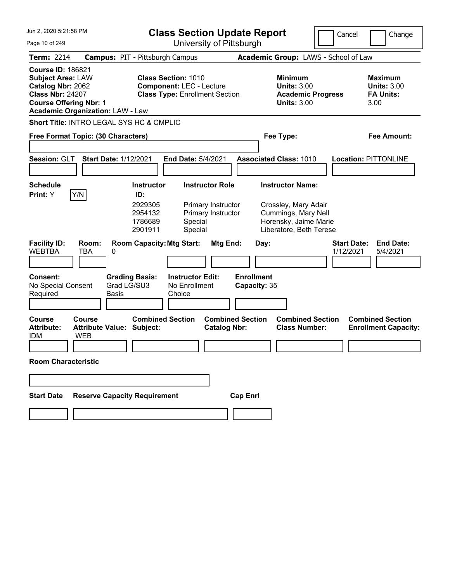| Jun 2, 2020 5:21:58 PM                                                                                                                |                                                          |                                                                                                        | <b>Class Section Update Report</b>                                 |                                                                                                                            | Cancel<br>Change                                                 |
|---------------------------------------------------------------------------------------------------------------------------------------|----------------------------------------------------------|--------------------------------------------------------------------------------------------------------|--------------------------------------------------------------------|----------------------------------------------------------------------------------------------------------------------------|------------------------------------------------------------------|
| Page 10 of 249                                                                                                                        |                                                          |                                                                                                        | University of Pittsburgh                                           |                                                                                                                            |                                                                  |
| <b>Term: 2214</b>                                                                                                                     |                                                          | <b>Campus: PIT - Pittsburgh Campus</b>                                                                 |                                                                    | Academic Group: LAWS - School of Law                                                                                       |                                                                  |
| <b>Course ID: 186821</b><br><b>Subject Area: LAW</b><br>Catalog Nbr: 2062<br><b>Class Nbr: 24207</b><br><b>Course Offering Nbr: 1</b> | <b>Academic Organization: LAW - Law</b>                  | <b>Class Section: 1010</b><br><b>Component: LEC - Lecture</b><br><b>Class Type: Enrollment Section</b> |                                                                    | <b>Minimum</b><br><b>Units: 3.00</b><br><b>Academic Progress</b><br><b>Units: 3.00</b>                                     | <b>Maximum</b><br><b>Units: 3.00</b><br><b>FA Units:</b><br>3.00 |
|                                                                                                                                       | Short Title: INTRO LEGAL SYS HC & CMPLIC                 |                                                                                                        |                                                                    |                                                                                                                            |                                                                  |
|                                                                                                                                       | Free Format Topic: (30 Characters)                       |                                                                                                        |                                                                    | Fee Type:                                                                                                                  | Fee Amount:                                                      |
| Session: GLT                                                                                                                          | <b>Start Date: 1/12/2021</b>                             | <b>End Date: 5/4/2021</b>                                                                              |                                                                    | <b>Associated Class: 1010</b>                                                                                              | <b>Location: PITTONLINE</b>                                      |
| <b>Schedule</b><br>Print: Y                                                                                                           | Y/N                                                      | <b>Instructor</b><br>ID:<br>2929305<br>2954132<br>1786689<br>Special<br>Special<br>2901911             | <b>Instructor Role</b><br>Primary Instructor<br>Primary Instructor | <b>Instructor Name:</b><br>Crossley, Mary Adair<br>Cummings, Mary Nell<br>Horensky, Jaime Marie<br>Liberatore, Beth Terese |                                                                  |
| <b>Facility ID:</b><br><b>WEBTBA</b>                                                                                                  | Room:<br>TBA<br>0                                        | <b>Room Capacity: Mtg Start:</b>                                                                       | Mtg End:                                                           | Day:                                                                                                                       | <b>Start Date:</b><br><b>End Date:</b><br>1/12/2021<br>5/4/2021  |
| <b>Consent:</b><br>No Special Consent<br>Required                                                                                     | <b>Grading Basis:</b><br>Grad LG/SU3<br><b>Basis</b>     | <b>Instructor Edit:</b><br>No Enrollment<br>Choice                                                     | <b>Enrollment</b>                                                  | Capacity: 35                                                                                                               |                                                                  |
| <b>Course</b><br><b>Attribute:</b><br><b>IDM</b>                                                                                      | Course<br><b>Attribute Value: Subject:</b><br><b>WEB</b> | <b>Combined Section</b>                                                                                | <b>Combined Section</b><br><b>Catalog Nbr:</b>                     | <b>Combined Section</b><br><b>Class Number:</b>                                                                            | <b>Combined Section</b><br><b>Enrollment Capacity:</b>           |
| <b>Room Characteristic</b>                                                                                                            |                                                          |                                                                                                        |                                                                    |                                                                                                                            |                                                                  |
|                                                                                                                                       |                                                          |                                                                                                        |                                                                    |                                                                                                                            |                                                                  |
| <b>Start Date</b>                                                                                                                     | <b>Reserve Capacity Requirement</b>                      |                                                                                                        | <b>Cap Enrl</b>                                                    |                                                                                                                            |                                                                  |
|                                                                                                                                       |                                                          |                                                                                                        |                                                                    |                                                                                                                            |                                                                  |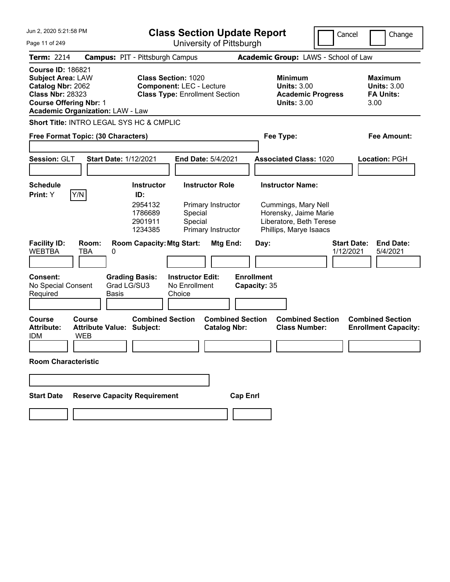| Jun 2, 2020 5:21:58 PM                                                                                                                |                                                          | <b>Class Section Update Report</b>                                                                     |                                                                    |                                                                                                                              | Cancel                          | Change                                                    |
|---------------------------------------------------------------------------------------------------------------------------------------|----------------------------------------------------------|--------------------------------------------------------------------------------------------------------|--------------------------------------------------------------------|------------------------------------------------------------------------------------------------------------------------------|---------------------------------|-----------------------------------------------------------|
| Page 11 of 249                                                                                                                        |                                                          |                                                                                                        | University of Pittsburgh                                           |                                                                                                                              |                                 |                                                           |
| <b>Term: 2214</b>                                                                                                                     |                                                          | <b>Campus: PIT - Pittsburgh Campus</b>                                                                 |                                                                    | Academic Group: LAWS - School of Law                                                                                         |                                 |                                                           |
| <b>Course ID: 186821</b><br><b>Subject Area: LAW</b><br>Catalog Nbr: 2062<br><b>Class Nbr: 28323</b><br><b>Course Offering Nbr: 1</b> | <b>Academic Organization: LAW - Law</b>                  | <b>Class Section: 1020</b><br><b>Component: LEC - Lecture</b><br><b>Class Type: Enrollment Section</b> |                                                                    | Minimum<br><b>Units: 3.00</b><br><b>Academic Progress</b><br><b>Units: 3.00</b>                                              |                                 | Maximum<br><b>Units: 3.00</b><br><b>FA Units:</b><br>3.00 |
|                                                                                                                                       | Short Title: INTRO LEGAL SYS HC & CMPLIC                 |                                                                                                        |                                                                    |                                                                                                                              |                                 |                                                           |
|                                                                                                                                       | Free Format Topic: (30 Characters)                       |                                                                                                        |                                                                    | Fee Type:                                                                                                                    |                                 | Fee Amount:                                               |
| Session: GLT                                                                                                                          | <b>Start Date: 1/12/2021</b>                             |                                                                                                        | <b>End Date: 5/4/2021</b>                                          | <b>Associated Class: 1020</b>                                                                                                |                                 | Location: PGH                                             |
| <b>Schedule</b><br><b>Print:</b> Y                                                                                                    | Y/N                                                      | <b>Instructor</b><br>ID:<br>2954132<br>1786689<br>Special<br>Special<br>2901911<br>1234385             | <b>Instructor Role</b><br>Primary Instructor<br>Primary Instructor | <b>Instructor Name:</b><br>Cummings, Mary Nell<br>Horensky, Jaime Marie<br>Liberatore, Beth Terese<br>Phillips, Marye Isaacs |                                 |                                                           |
| <b>Facility ID:</b><br><b>WEBTBA</b>                                                                                                  | Room:<br>TBA<br>0                                        | <b>Room Capacity: Mtg Start:</b>                                                                       | Mtg End:                                                           | Day:                                                                                                                         | <b>Start Date:</b><br>1/12/2021 | <b>End Date:</b><br>5/4/2021                              |
| <b>Consent:</b><br>No Special Consent<br>Required                                                                                     | <b>Grading Basis:</b><br>Grad LG/SU3<br><b>Basis</b>     | <b>Instructor Edit:</b><br>No Enrollment<br>Choice                                                     | <b>Enrollment</b>                                                  | Capacity: 35                                                                                                                 |                                 |                                                           |
| <b>Course</b><br><b>Attribute:</b><br><b>IDM</b>                                                                                      | Course<br><b>Attribute Value: Subject:</b><br><b>WEB</b> | <b>Combined Section</b>                                                                                | <b>Combined Section</b><br><b>Catalog Nbr:</b>                     | <b>Combined Section</b><br><b>Class Number:</b>                                                                              |                                 | <b>Combined Section</b><br><b>Enrollment Capacity:</b>    |
| <b>Room Characteristic</b>                                                                                                            |                                                          |                                                                                                        |                                                                    |                                                                                                                              |                                 |                                                           |
|                                                                                                                                       |                                                          |                                                                                                        |                                                                    |                                                                                                                              |                                 |                                                           |
| <b>Start Date</b>                                                                                                                     | <b>Reserve Capacity Requirement</b>                      |                                                                                                        | <b>Cap Enrl</b>                                                    |                                                                                                                              |                                 |                                                           |
|                                                                                                                                       |                                                          |                                                                                                        |                                                                    |                                                                                                                              |                                 |                                                           |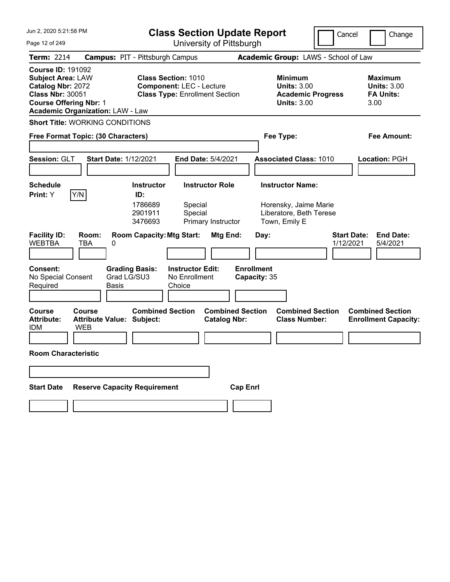| Jun 2, 2020 5:21:58 PM                                                                                                                                                           | <b>Class Section Update Report</b>                                                                                        | Cancel                                                                                                       | Change                                                           |
|----------------------------------------------------------------------------------------------------------------------------------------------------------------------------------|---------------------------------------------------------------------------------------------------------------------------|--------------------------------------------------------------------------------------------------------------|------------------------------------------------------------------|
| Page 12 of 249                                                                                                                                                                   | University of Pittsburgh                                                                                                  |                                                                                                              |                                                                  |
| <b>Term: 2214</b>                                                                                                                                                                | <b>Campus: PIT - Pittsburgh Campus</b>                                                                                    | Academic Group: LAWS - School of Law                                                                         |                                                                  |
| <b>Course ID: 191092</b><br><b>Subject Area: LAW</b><br>Catalog Nbr: 2072<br><b>Class Nbr: 30051</b><br><b>Course Offering Nbr: 1</b><br><b>Academic Organization: LAW - Law</b> | <b>Class Section: 1010</b><br><b>Component: LEC - Lecture</b><br><b>Class Type: Enrollment Section</b>                    | <b>Minimum</b><br><b>Units: 3.00</b><br><b>Academic Progress</b><br><b>Units: 3.00</b>                       | <b>Maximum</b><br><b>Units: 3.00</b><br><b>FA Units:</b><br>3.00 |
| <b>Short Title: WORKING CONDITIONS</b>                                                                                                                                           |                                                                                                                           |                                                                                                              |                                                                  |
| Free Format Topic: (30 Characters)                                                                                                                                               |                                                                                                                           | Fee Type:                                                                                                    | Fee Amount:                                                      |
|                                                                                                                                                                                  |                                                                                                                           |                                                                                                              |                                                                  |
| Session: GLT<br><b>Start Date: 1/12/2021</b>                                                                                                                                     | End Date: 5/4/2021                                                                                                        | <b>Associated Class: 1010</b>                                                                                | Location: PGH                                                    |
|                                                                                                                                                                                  |                                                                                                                           |                                                                                                              |                                                                  |
| <b>Schedule</b><br>Y/N<br>Print: Y                                                                                                                                               | <b>Instructor</b><br><b>Instructor Role</b><br>ID:                                                                        | <b>Instructor Name:</b>                                                                                      |                                                                  |
| <b>Facility ID:</b><br>Room:<br><b>WEBTBA</b><br>TBA<br>0                                                                                                                        | 1786689<br>Special<br>2901911<br>Special<br>3476693<br>Primary Instructor<br><b>Room Capacity: Mtg Start:</b><br>Mtg End: | Horensky, Jaime Marie<br>Liberatore, Beth Terese<br>Town, Emily E<br><b>Start Date:</b><br>Day:<br>1/12/2021 | <b>End Date:</b><br>5/4/2021                                     |
|                                                                                                                                                                                  |                                                                                                                           |                                                                                                              |                                                                  |
| <b>Consent:</b><br>Grad LG/SU3<br>No Special Consent<br>Required<br>Basis                                                                                                        | <b>Grading Basis:</b><br><b>Instructor Edit:</b><br>No Enrollment<br>Choice                                               | <b>Enrollment</b><br>Capacity: 35                                                                            |                                                                  |
| <b>Course</b><br>Course<br><b>Attribute:</b><br><b>Attribute Value: Subject:</b><br><b>IDM</b><br><b>WEB</b>                                                                     | <b>Combined Section</b><br><b>Combined Section</b><br><b>Catalog Nbr:</b>                                                 | <b>Combined Section</b><br><b>Class Number:</b>                                                              | <b>Combined Section</b><br><b>Enrollment Capacity:</b>           |
|                                                                                                                                                                                  |                                                                                                                           |                                                                                                              |                                                                  |
| <b>Room Characteristic</b>                                                                                                                                                       |                                                                                                                           |                                                                                                              |                                                                  |
|                                                                                                                                                                                  |                                                                                                                           |                                                                                                              |                                                                  |
| <b>Reserve Capacity Requirement</b><br><b>Start Date</b>                                                                                                                         | <b>Cap Enrl</b>                                                                                                           |                                                                                                              |                                                                  |
|                                                                                                                                                                                  |                                                                                                                           |                                                                                                              |                                                                  |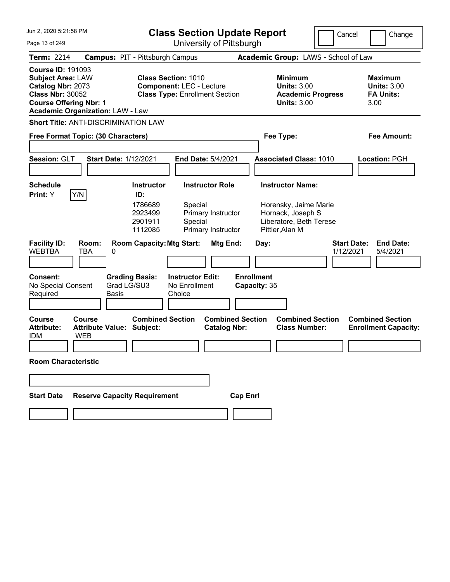| Jun 2, 2020 5:21:58 PM                                                                                                                                                           | <b>Class Section Update Report</b>                                                                                                                         | Cancel                                                                                                                              | Change                                                           |
|----------------------------------------------------------------------------------------------------------------------------------------------------------------------------------|------------------------------------------------------------------------------------------------------------------------------------------------------------|-------------------------------------------------------------------------------------------------------------------------------------|------------------------------------------------------------------|
| Page 13 of 249                                                                                                                                                                   | University of Pittsburgh                                                                                                                                   |                                                                                                                                     |                                                                  |
| <b>Term: 2214</b>                                                                                                                                                                | <b>Campus: PIT - Pittsburgh Campus</b>                                                                                                                     | Academic Group: LAWS - School of Law                                                                                                |                                                                  |
| <b>Course ID: 191093</b><br><b>Subject Area: LAW</b><br>Catalog Nbr: 2073<br><b>Class Nbr: 30052</b><br><b>Course Offering Nbr: 1</b><br><b>Academic Organization: LAW - Law</b> | <b>Class Section: 1010</b><br><b>Component: LEC - Lecture</b><br><b>Class Type: Enrollment Section</b>                                                     | <b>Minimum</b><br><b>Units: 3.00</b><br><b>Academic Progress</b><br><b>Units: 3.00</b>                                              | <b>Maximum</b><br><b>Units: 3.00</b><br><b>FA Units:</b><br>3.00 |
| <b>Short Title: ANTI-DISCRIMINATION LAW</b>                                                                                                                                      |                                                                                                                                                            |                                                                                                                                     |                                                                  |
| Free Format Topic: (30 Characters)                                                                                                                                               |                                                                                                                                                            | Fee Type:                                                                                                                           | Fee Amount:                                                      |
| Session: GLT<br><b>Start Date: 1/12/2021</b>                                                                                                                                     | End Date: 5/4/2021                                                                                                                                         | <b>Associated Class: 1010</b>                                                                                                       | Location: PGH                                                    |
| <b>Schedule</b>                                                                                                                                                                  | <b>Instructor Role</b><br><b>Instructor</b>                                                                                                                | <b>Instructor Name:</b>                                                                                                             |                                                                  |
| Y/N<br>Print: Y<br><b>Facility ID:</b><br>Room:<br><b>WEBTBA</b><br>TBA<br>0                                                                                                     | 1786689<br>Special<br>2923499<br>Primary Instructor<br>2901911<br>Special<br>1112085<br>Primary Instructor<br><b>Room Capacity: Mtg Start:</b><br>Mtg End: | Horensky, Jaime Marie<br>Hornack, Joseph S<br>Liberatore, Beth Terese<br>Pittler, Alan M<br><b>Start Date:</b><br>Day:<br>1/12/2021 | <b>End Date:</b><br>5/4/2021                                     |
| <b>Consent:</b><br><b>Grading Basis:</b><br>Grad LG/SU3<br>No Special Consent<br>Required<br>Basis                                                                               | <b>Instructor Edit:</b><br>No Enrollment<br>Choice                                                                                                         | <b>Enrollment</b><br>Capacity: 35                                                                                                   |                                                                  |
| <b>Course</b><br>Course<br><b>Attribute:</b><br><b>Attribute Value: Subject:</b><br><b>WEB</b><br><b>IDM</b><br><b>Room Characteristic</b>                                       | <b>Combined Section</b><br><b>Combined Section</b><br><b>Catalog Nbr:</b>                                                                                  | <b>Combined Section</b><br><b>Class Number:</b>                                                                                     | <b>Combined Section</b><br><b>Enrollment Capacity:</b>           |
|                                                                                                                                                                                  |                                                                                                                                                            |                                                                                                                                     |                                                                  |
|                                                                                                                                                                                  |                                                                                                                                                            |                                                                                                                                     |                                                                  |
| <b>Reserve Capacity Requirement</b><br><b>Start Date</b>                                                                                                                         | <b>Cap Enrl</b>                                                                                                                                            |                                                                                                                                     |                                                                  |
|                                                                                                                                                                                  |                                                                                                                                                            |                                                                                                                                     |                                                                  |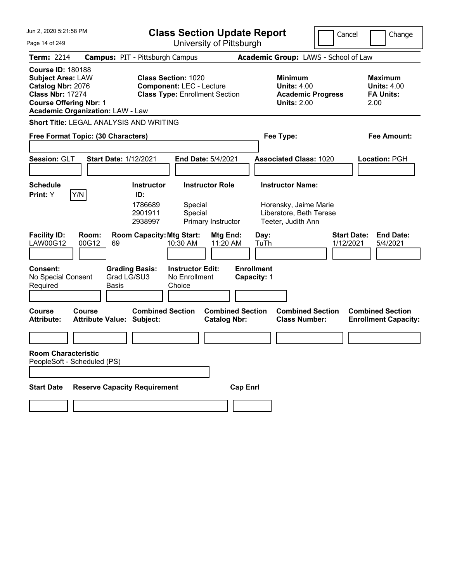| Jun 2, 2020 5:21:58 PM                                                                                                                                                           | <b>Class Section Update Report</b>                                                                     | Cancel                                                                                 | Change                                                           |
|----------------------------------------------------------------------------------------------------------------------------------------------------------------------------------|--------------------------------------------------------------------------------------------------------|----------------------------------------------------------------------------------------|------------------------------------------------------------------|
| Page 14 of 249                                                                                                                                                                   | University of Pittsburgh                                                                               |                                                                                        |                                                                  |
| <b>Term: 2214</b>                                                                                                                                                                | <b>Campus: PIT - Pittsburgh Campus</b>                                                                 | Academic Group: LAWS - School of Law                                                   |                                                                  |
| <b>Course ID: 180188</b><br><b>Subject Area: LAW</b><br>Catalog Nbr: 2076<br><b>Class Nbr: 17274</b><br><b>Course Offering Nbr: 1</b><br><b>Academic Organization: LAW - Law</b> | <b>Class Section: 1020</b><br><b>Component: LEC - Lecture</b><br><b>Class Type: Enrollment Section</b> | <b>Minimum</b><br><b>Units: 4.00</b><br><b>Academic Progress</b><br><b>Units: 2.00</b> | <b>Maximum</b><br><b>Units: 4.00</b><br><b>FA Units:</b><br>2.00 |
| Short Title: LEGAL ANALYSIS AND WRITING                                                                                                                                          |                                                                                                        |                                                                                        |                                                                  |
| Free Format Topic: (30 Characters)                                                                                                                                               |                                                                                                        | Fee Type:                                                                              | Fee Amount:                                                      |
|                                                                                                                                                                                  |                                                                                                        |                                                                                        |                                                                  |
| Session: GLT<br><b>Start Date: 1/12/2021</b>                                                                                                                                     | <b>End Date: 5/4/2021</b>                                                                              | <b>Associated Class: 1020</b>                                                          | Location: PGH                                                    |
|                                                                                                                                                                                  |                                                                                                        |                                                                                        |                                                                  |
| <b>Schedule</b><br>Y/N<br>Print: Y                                                                                                                                               | <b>Instructor Role</b><br><b>Instructor</b><br>ID:                                                     | <b>Instructor Name:</b>                                                                |                                                                  |
|                                                                                                                                                                                  | 1786689<br>Special<br>2901911<br>Special<br>2938997<br>Primary Instructor                              | Horensky, Jaime Marie<br>Liberatore, Beth Terese<br>Teeter, Judith Ann                 |                                                                  |
| <b>Facility ID:</b><br>Room:<br>00G12<br>LAW00G12<br>69                                                                                                                          | <b>Room Capacity: Mtg Start:</b><br>Mtg End:<br>10:30 AM<br>11:20 AM                                   | <b>Start Date:</b><br>Day:<br>TuTh<br>1/12/2021                                        | <b>End Date:</b><br>5/4/2021                                     |
| <b>Consent:</b><br>Grad LG/SU3<br>No Special Consent<br>Required<br>Basis                                                                                                        | <b>Grading Basis:</b><br><b>Instructor Edit:</b><br>No Enrollment<br>Choice                            | <b>Enrollment</b><br>Capacity: 1                                                       |                                                                  |
| <b>Course</b><br>Course<br><b>Attribute:</b><br><b>Attribute Value: Subject:</b>                                                                                                 | <b>Combined Section</b><br><b>Combined Section</b><br><b>Catalog Nbr:</b>                              | <b>Combined Section</b><br><b>Class Number:</b>                                        | <b>Combined Section</b><br><b>Enrollment Capacity:</b>           |
|                                                                                                                                                                                  |                                                                                                        |                                                                                        |                                                                  |
| <b>Room Characteristic</b><br>PeopleSoft - Scheduled (PS)                                                                                                                        |                                                                                                        |                                                                                        |                                                                  |
|                                                                                                                                                                                  |                                                                                                        |                                                                                        |                                                                  |
| <b>Reserve Capacity Requirement</b><br><b>Start Date</b>                                                                                                                         | <b>Cap Enrl</b>                                                                                        |                                                                                        |                                                                  |
|                                                                                                                                                                                  |                                                                                                        |                                                                                        |                                                                  |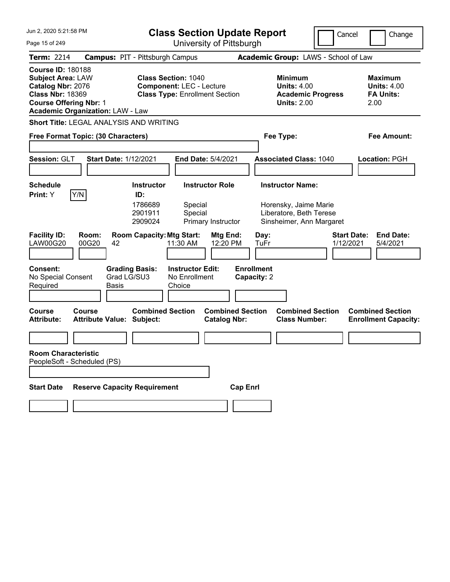| Jun 2, 2020 5:21:58 PM<br>Page 15 of 249                                                                                                                                         |                                                      |                                                                                                        |                                                    | <b>Class Section Update Report</b><br>University of Pittsburgh |                                  |                                                                                 | Cancel                               | Change                                                    |
|----------------------------------------------------------------------------------------------------------------------------------------------------------------------------------|------------------------------------------------------|--------------------------------------------------------------------------------------------------------|----------------------------------------------------|----------------------------------------------------------------|----------------------------------|---------------------------------------------------------------------------------|--------------------------------------|-----------------------------------------------------------|
| <b>Term: 2214</b>                                                                                                                                                                | <b>Campus: PIT - Pittsburgh Campus</b>               |                                                                                                        |                                                    |                                                                |                                  |                                                                                 | Academic Group: LAWS - School of Law |                                                           |
| <b>Course ID: 180188</b><br><b>Subject Area: LAW</b><br>Catalog Nbr: 2076<br><b>Class Nbr: 18369</b><br><b>Course Offering Nbr: 1</b><br><b>Academic Organization: LAW - Law</b> |                                                      | <b>Class Section: 1040</b><br><b>Component: LEC - Lecture</b><br><b>Class Type: Enrollment Section</b> |                                                    |                                                                |                                  | Minimum<br><b>Units: 4.00</b><br><b>Academic Progress</b><br><b>Units: 2.00</b> |                                      | Maximum<br><b>Units: 4.00</b><br><b>FA Units:</b><br>2.00 |
| <b>Short Title: LEGAL ANALYSIS AND WRITING</b>                                                                                                                                   |                                                      |                                                                                                        |                                                    |                                                                |                                  |                                                                                 |                                      |                                                           |
| Free Format Topic: (30 Characters)                                                                                                                                               |                                                      |                                                                                                        |                                                    |                                                                |                                  | Fee Type:                                                                       |                                      | Fee Amount:                                               |
| Session: GLT                                                                                                                                                                     | <b>Start Date: 1/12/2021</b>                         |                                                                                                        | <b>End Date: 5/4/2021</b>                          |                                                                |                                  | <b>Associated Class: 1040</b>                                                   |                                      | Location: PGH                                             |
| <b>Schedule</b>                                                                                                                                                                  |                                                      | <b>Instructor</b>                                                                                      |                                                    | <b>Instructor Role</b>                                         |                                  | <b>Instructor Name:</b>                                                         |                                      |                                                           |
| Y/N<br>Print: Y<br><b>Facility ID:</b><br><b>LAW00G20</b>                                                                                                                        | Room:<br>00G20<br>42                                 | ID:<br>1786689<br>2901911<br>2909024<br><b>Room Capacity: Mtg Start:</b>                               | Special<br>Special<br>11:30 AM                     | Primary Instructor<br>Mtg End:<br>12:20 PM                     | Day:<br>TuFr                     | Horensky, Jaime Marie<br>Liberatore, Beth Terese<br>Sinsheimer, Ann Margaret    | <b>Start Date:</b><br>1/12/2021      | <b>End Date:</b><br>5/4/2021                              |
| <b>Consent:</b><br>No Special Consent<br>Required                                                                                                                                | <b>Grading Basis:</b><br>Grad LG/SU3<br><b>Basis</b> |                                                                                                        | <b>Instructor Edit:</b><br>No Enrollment<br>Choice |                                                                | <b>Enrollment</b><br>Capacity: 2 |                                                                                 |                                      |                                                           |
| Course<br><b>Attribute:</b>                                                                                                                                                      | Course<br><b>Attribute Value: Subject:</b>           | <b>Combined Section</b>                                                                                |                                                    | <b>Combined Section</b><br><b>Catalog Nbr:</b>                 |                                  | <b>Combined Section</b><br><b>Class Number:</b>                                 |                                      | <b>Combined Section</b><br><b>Enrollment Capacity:</b>    |
|                                                                                                                                                                                  |                                                      |                                                                                                        |                                                    |                                                                |                                  |                                                                                 |                                      |                                                           |
| <b>Room Characteristic</b><br>PeopleSoft - Scheduled (PS)                                                                                                                        |                                                      |                                                                                                        |                                                    |                                                                |                                  |                                                                                 |                                      |                                                           |
| <b>Start Date</b>                                                                                                                                                                | <b>Reserve Capacity Requirement</b>                  |                                                                                                        |                                                    | <b>Cap Enrl</b>                                                |                                  |                                                                                 |                                      |                                                           |
|                                                                                                                                                                                  |                                                      |                                                                                                        |                                                    |                                                                |                                  |                                                                                 |                                      |                                                           |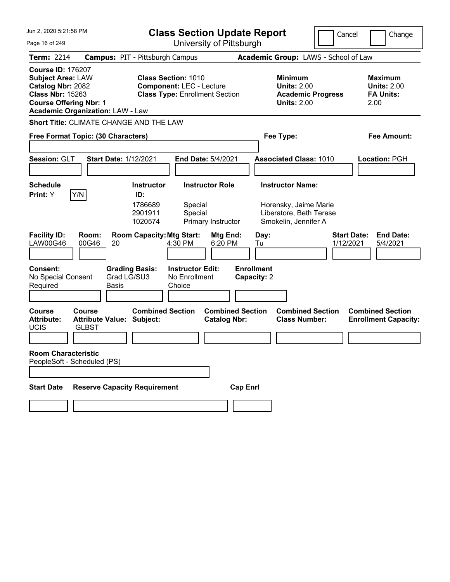| Jun 2, 2020 5:21:58 PM<br>Page 16 of 249                                                                                                                                         | <b>Class Section Update Report</b><br>University of Pittsburgh                                                                                                                  | Cancel                                                                                                                            | Change                                                           |
|----------------------------------------------------------------------------------------------------------------------------------------------------------------------------------|---------------------------------------------------------------------------------------------------------------------------------------------------------------------------------|-----------------------------------------------------------------------------------------------------------------------------------|------------------------------------------------------------------|
| <b>Term: 2214</b>                                                                                                                                                                |                                                                                                                                                                                 | Academic Group: LAWS - School of Law                                                                                              |                                                                  |
| <b>Course ID: 176207</b><br><b>Subject Area: LAW</b><br>Catalog Nbr: 2082<br><b>Class Nbr: 15263</b><br><b>Course Offering Nbr: 1</b><br><b>Academic Organization: LAW - Law</b> | <b>Campus: PIT - Pittsburgh Campus</b><br><b>Class Section: 1010</b><br><b>Component: LEC - Lecture</b><br><b>Class Type: Enrollment Section</b>                                | Minimum<br><b>Units: 2.00</b><br><b>Academic Progress</b><br><b>Units: 2.00</b>                                                   | <b>Maximum</b><br><b>Units: 2.00</b><br><b>FA Units:</b><br>2.00 |
| Short Title: CLIMATE CHANGE AND THE LAW                                                                                                                                          |                                                                                                                                                                                 |                                                                                                                                   |                                                                  |
| Free Format Topic: (30 Characters)                                                                                                                                               |                                                                                                                                                                                 | Fee Type:                                                                                                                         | Fee Amount:                                                      |
| Session: GLT<br><b>Start Date: 1/12/2021</b>                                                                                                                                     | End Date: 5/4/2021                                                                                                                                                              | <b>Associated Class: 1010</b>                                                                                                     | Location: PGH                                                    |
| <b>Schedule</b><br>Y/N<br>Print: Y<br><b>Facility ID:</b><br>Room:                                                                                                               | <b>Instructor Role</b><br><b>Instructor</b><br>ID:<br>1786689<br>Special<br>2901911<br>Special<br>1020574<br>Primary Instructor<br><b>Room Capacity: Mtg Start:</b><br>Mtg End: | <b>Instructor Name:</b><br>Horensky, Jaime Marie<br>Liberatore, Beth Terese<br>Smokelin, Jennifer A<br><b>Start Date:</b><br>Day: | <b>End Date:</b>                                                 |
| LAW00G46<br>00G46<br>20<br><b>Consent:</b><br>No Special Consent<br>Required<br>Basis                                                                                            | 4:30 PM<br>6:20 PM<br><b>Instructor Edit:</b><br><b>Grading Basis:</b><br>Grad LG/SU3<br>No Enrollment<br>Choice                                                                | 1/12/2021<br>Tu<br><b>Enrollment</b><br>Capacity: 2                                                                               | 5/4/2021                                                         |
| <b>Course</b><br>Course<br><b>Attribute:</b><br><b>Attribute Value: Subject:</b><br><b>UCIS</b><br><b>GLBST</b><br><b>Room Characteristic</b>                                    | <b>Combined Section</b><br><b>Combined Section</b><br><b>Catalog Nbr:</b>                                                                                                       | <b>Combined Section</b><br><b>Class Number:</b>                                                                                   | <b>Combined Section</b><br><b>Enrollment Capacity:</b>           |
| PeopleSoft - Scheduled (PS)                                                                                                                                                      |                                                                                                                                                                                 |                                                                                                                                   |                                                                  |
| <b>Reserve Capacity Requirement</b><br><b>Start Date</b>                                                                                                                         | <b>Cap Enrl</b>                                                                                                                                                                 |                                                                                                                                   |                                                                  |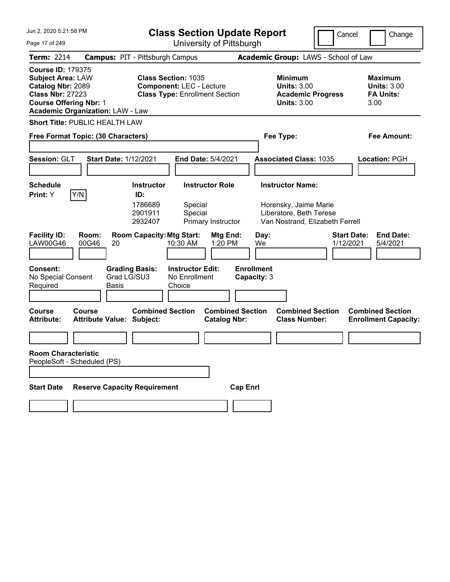| Jun 2, 2020 5:21:58 PM                                                                                                                                                           | <b>Class Section Update Report</b>                                                                                                                      | Cancel                                                                                                         | Change                                                           |
|----------------------------------------------------------------------------------------------------------------------------------------------------------------------------------|---------------------------------------------------------------------------------------------------------------------------------------------------------|----------------------------------------------------------------------------------------------------------------|------------------------------------------------------------------|
| Page 17 of 249                                                                                                                                                                   | University of Pittsburgh                                                                                                                                |                                                                                                                |                                                                  |
| <b>Term: 2214</b>                                                                                                                                                                | <b>Campus: PIT - Pittsburgh Campus</b>                                                                                                                  | Academic Group: LAWS - School of Law                                                                           |                                                                  |
| <b>Course ID: 179375</b><br><b>Subject Area: LAW</b><br>Catalog Nbr: 2089<br><b>Class Nbr: 27223</b><br><b>Course Offering Nbr: 1</b><br><b>Academic Organization: LAW - Law</b> | <b>Class Section: 1035</b><br><b>Component: LEC - Lecture</b><br><b>Class Type: Enrollment Section</b>                                                  | <b>Minimum</b><br><b>Units: 3.00</b><br><b>Academic Progress</b><br><b>Units: 3.00</b>                         | <b>Maximum</b><br><b>Units: 3.00</b><br><b>FA Units:</b><br>3.00 |
| <b>Short Title: PUBLIC HEALTH LAW</b>                                                                                                                                            |                                                                                                                                                         |                                                                                                                |                                                                  |
| Free Format Topic: (30 Characters)                                                                                                                                               |                                                                                                                                                         | Fee Type:                                                                                                      | Fee Amount:                                                      |
| Session: GLT<br><b>Start Date: 1/12/2021</b>                                                                                                                                     | End Date: 5/4/2021                                                                                                                                      | <b>Associated Class: 1035</b>                                                                                  | Location: PGH                                                    |
| <b>Schedule</b>                                                                                                                                                                  | <b>Instructor</b><br><b>Instructor Role</b>                                                                                                             | <b>Instructor Name:</b>                                                                                        |                                                                  |
| Y/N<br>Print: Y<br><b>Facility ID:</b><br>Room:<br><b>LAW00G46</b><br>00G46<br>20                                                                                                | ID:<br>1786689<br>Special<br>2901911<br>Special<br>2932407<br>Primary Instructor<br><b>Room Capacity: Mtg Start:</b><br>Mtg End:<br>1:20 PM<br>10:30 AM | Horensky, Jaime Marie<br>Liberatore, Beth Terese<br>Van Nostrand, Elizabeth Ferrell<br>Day:<br>We<br>1/12/2021 | <b>Start Date:</b><br><b>End Date:</b><br>5/4/2021               |
| <b>Consent:</b><br>Grad LG/SU3<br>No Special Consent<br>Required<br>Basis<br><b>Course</b><br>Course                                                                             | <b>Grading Basis:</b><br><b>Instructor Edit:</b><br>No Enrollment<br>Choice<br><b>Combined Section</b><br><b>Combined Section</b>                       | <b>Enrollment</b><br>Capacity: 3<br><b>Combined Section</b>                                                    | <b>Combined Section</b>                                          |
| <b>Attribute Value: Subject:</b><br><b>Attribute:</b>                                                                                                                            | <b>Catalog Nbr:</b>                                                                                                                                     | <b>Class Number:</b>                                                                                           | <b>Enrollment Capacity:</b>                                      |
|                                                                                                                                                                                  |                                                                                                                                                         |                                                                                                                |                                                                  |
| <b>Room Characteristic</b><br>PeopleSoft - Scheduled (PS)                                                                                                                        |                                                                                                                                                         |                                                                                                                |                                                                  |
| <b>Reserve Capacity Requirement</b><br><b>Start Date</b>                                                                                                                         |                                                                                                                                                         | <b>Cap Enrl</b>                                                                                                |                                                                  |
|                                                                                                                                                                                  |                                                                                                                                                         |                                                                                                                |                                                                  |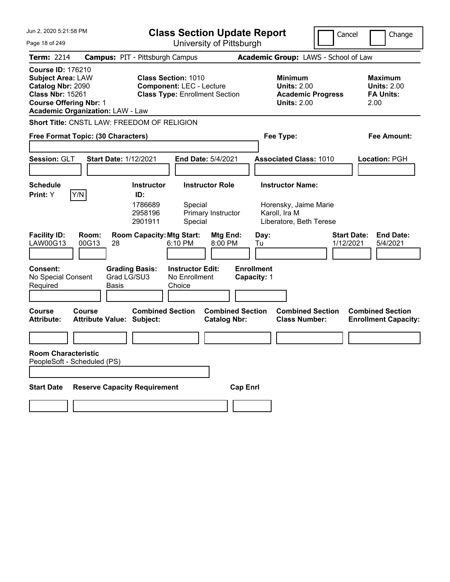| Jun 2, 2020 5:21:58 PM                                                                                                                |                                             |                                        | <b>Class Section Update Report</b>                                                                     |                                                |                                  |                                                                                        | Cancel<br>Change                                                 |
|---------------------------------------------------------------------------------------------------------------------------------------|---------------------------------------------|----------------------------------------|--------------------------------------------------------------------------------------------------------|------------------------------------------------|----------------------------------|----------------------------------------------------------------------------------------|------------------------------------------------------------------|
| Page 18 of 249                                                                                                                        |                                             |                                        | University of Pittsburgh                                                                               |                                                |                                  |                                                                                        |                                                                  |
| <b>Term: 2214</b>                                                                                                                     |                                             | <b>Campus: PIT - Pittsburgh Campus</b> |                                                                                                        |                                                |                                  | Academic Group: LAWS - School of Law                                                   |                                                                  |
| <b>Course ID: 176210</b><br><b>Subject Area: LAW</b><br>Catalog Nbr: 2090<br><b>Class Nbr: 15261</b><br><b>Course Offering Nbr: 1</b> | <b>Academic Organization: LAW - Law</b>     |                                        | <b>Class Section: 1010</b><br><b>Component: LEC - Lecture</b><br><b>Class Type: Enrollment Section</b> |                                                |                                  | <b>Minimum</b><br><b>Units: 2.00</b><br><b>Academic Progress</b><br><b>Units: 2.00</b> | <b>Maximum</b><br><b>Units: 2.00</b><br><b>FA Units:</b><br>2.00 |
|                                                                                                                                       | Short Title: CNSTL LAW: FREEDOM OF RELIGION |                                        |                                                                                                        |                                                |                                  |                                                                                        |                                                                  |
|                                                                                                                                       | Free Format Topic: (30 Characters)          |                                        |                                                                                                        |                                                | Fee Type:                        |                                                                                        | <b>Fee Amount:</b>                                               |
| Session: GLT                                                                                                                          |                                             | <b>Start Date: 1/12/2021</b>           | End Date: 5/4/2021                                                                                     |                                                |                                  | <b>Associated Class: 1010</b>                                                          | Location: PGH                                                    |
| <b>Schedule</b>                                                                                                                       |                                             | <b>Instructor</b>                      | <b>Instructor Role</b>                                                                                 |                                                | <b>Instructor Name:</b>          |                                                                                        |                                                                  |
| Print: Y                                                                                                                              | Y/N                                         | ID:<br>1786689<br>2958196<br>2901911   | Special<br>Primary Instructor<br>Special                                                               |                                                | Karoll, Ira M                    | Horensky, Jaime Marie<br>Liberatore, Beth Terese                                       |                                                                  |
| <b>Facility ID:</b><br>LAW00G13                                                                                                       | Room:<br>00G13<br>28                        | <b>Room Capacity: Mtg Start:</b>       | 6:10 PM                                                                                                | Mtg End:<br>8:00 PM                            | Day:<br>Tu                       |                                                                                        | <b>Start Date:</b><br><b>End Date:</b><br>1/12/2021<br>5/4/2021  |
| <b>Consent:</b><br>No Special Consent<br>Required                                                                                     | Basis                                       | <b>Grading Basis:</b><br>Grad LG/SU3   | <b>Instructor Edit:</b><br>No Enrollment<br>Choice                                                     |                                                | <b>Enrollment</b><br>Capacity: 1 |                                                                                        |                                                                  |
| Course<br><b>Attribute:</b>                                                                                                           | Course<br><b>Attribute Value: Subject:</b>  | <b>Combined Section</b>                |                                                                                                        | <b>Combined Section</b><br><b>Catalog Nbr:</b> |                                  | <b>Combined Section</b><br><b>Class Number:</b>                                        | <b>Combined Section</b><br><b>Enrollment Capacity:</b>           |
|                                                                                                                                       |                                             |                                        |                                                                                                        |                                                |                                  |                                                                                        |                                                                  |
| <b>Room Characteristic</b>                                                                                                            | PeopleSoft - Scheduled (PS)                 |                                        |                                                                                                        |                                                |                                  |                                                                                        |                                                                  |
| <b>Start Date</b>                                                                                                                     |                                             | <b>Reserve Capacity Requirement</b>    |                                                                                                        | <b>Cap Enrl</b>                                |                                  |                                                                                        |                                                                  |
|                                                                                                                                       |                                             |                                        |                                                                                                        |                                                |                                  |                                                                                        |                                                                  |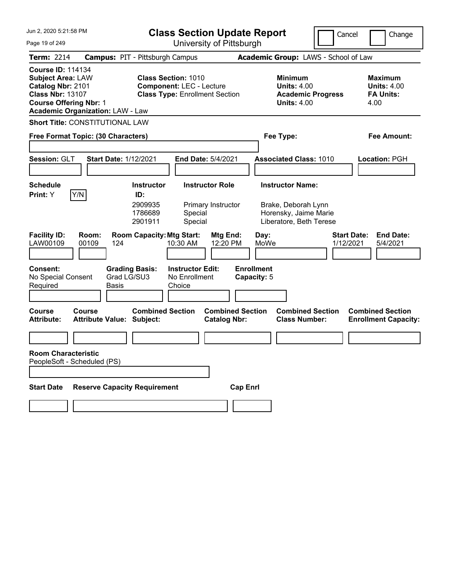| Jun 2, 2020 5:21:58 PM                                                                                                                                                           | <b>Class Section Update Report</b>                                                                     | Cancel                                                                          | Change                                                           |
|----------------------------------------------------------------------------------------------------------------------------------------------------------------------------------|--------------------------------------------------------------------------------------------------------|---------------------------------------------------------------------------------|------------------------------------------------------------------|
| Page 19 of 249                                                                                                                                                                   | University of Pittsburgh                                                                               |                                                                                 |                                                                  |
| <b>Term: 2214</b>                                                                                                                                                                | <b>Campus: PIT - Pittsburgh Campus</b>                                                                 | Academic Group: LAWS - School of Law                                            |                                                                  |
| <b>Course ID: 114134</b><br><b>Subject Area: LAW</b><br>Catalog Nbr: 2101<br><b>Class Nbr: 13107</b><br><b>Course Offering Nbr: 1</b><br><b>Academic Organization: LAW - Law</b> | <b>Class Section: 1010</b><br><b>Component: LEC - Lecture</b><br><b>Class Type: Enrollment Section</b> | Minimum<br><b>Units: 4.00</b><br><b>Academic Progress</b><br><b>Units: 4.00</b> | <b>Maximum</b><br><b>Units: 4.00</b><br><b>FA Units:</b><br>4.00 |
| <b>Short Title: CONSTITUTIONAL LAW</b>                                                                                                                                           |                                                                                                        |                                                                                 |                                                                  |
| Free Format Topic: (30 Characters)                                                                                                                                               |                                                                                                        | Fee Type:                                                                       | Fee Amount:                                                      |
|                                                                                                                                                                                  |                                                                                                        |                                                                                 |                                                                  |
| Session: GLT<br><b>Start Date: 1/12/2021</b>                                                                                                                                     | End Date: 5/4/2021                                                                                     | <b>Associated Class: 1010</b>                                                   | Location: PGH                                                    |
|                                                                                                                                                                                  |                                                                                                        |                                                                                 |                                                                  |
| <b>Schedule</b>                                                                                                                                                                  | <b>Instructor Role</b><br><b>Instructor</b>                                                            | <b>Instructor Name:</b>                                                         |                                                                  |
| Y/N<br>Print: Y                                                                                                                                                                  | ID:<br>2909935<br>Primary Instructor<br>1786689<br>Special<br>2901911<br>Special                       | Brake, Deborah Lynn<br>Horensky, Jaime Marie<br>Liberatore, Beth Terese         |                                                                  |
| <b>Facility ID:</b><br>Room:<br>LAW00109<br>00109<br>124                                                                                                                         | <b>Room Capacity: Mtg Start:</b><br>Mtg End:<br>12:20 PM<br>10:30 AM                                   | <b>Start Date:</b><br>Day:<br>MoWe<br>1/12/2021                                 | <b>End Date:</b><br>5/4/2021                                     |
| <b>Consent:</b><br><b>Grading Basis:</b><br>Grad LG/SU3<br>No Special Consent<br>Required<br>Basis                                                                               | <b>Instructor Edit:</b><br>No Enrollment<br>Choice                                                     | <b>Enrollment</b><br>Capacity: 5                                                |                                                                  |
| <b>Course</b><br>Course<br><b>Attribute:</b><br><b>Attribute Value: Subject:</b>                                                                                                 | <b>Combined Section</b><br><b>Combined Section</b><br><b>Catalog Nbr:</b>                              | <b>Combined Section</b><br><b>Class Number:</b>                                 | <b>Combined Section</b><br><b>Enrollment Capacity:</b>           |
|                                                                                                                                                                                  |                                                                                                        |                                                                                 |                                                                  |
| <b>Room Characteristic</b><br>PeopleSoft - Scheduled (PS)                                                                                                                        |                                                                                                        |                                                                                 |                                                                  |
| <b>Reserve Capacity Requirement</b><br><b>Start Date</b>                                                                                                                         | <b>Cap Enrl</b>                                                                                        |                                                                                 |                                                                  |
|                                                                                                                                                                                  |                                                                                                        |                                                                                 |                                                                  |
|                                                                                                                                                                                  |                                                                                                        |                                                                                 |                                                                  |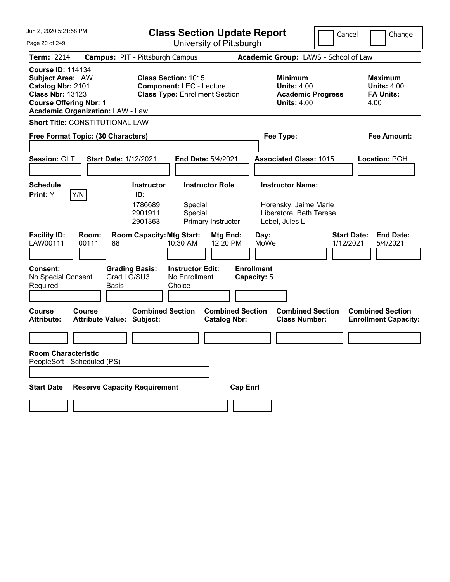| Jun 2, 2020 5:21:58 PM                                                                                                                                                           | <b>Class Section Update Report</b>                                                                     | Cancel                                                                                 | Change                                                           |
|----------------------------------------------------------------------------------------------------------------------------------------------------------------------------------|--------------------------------------------------------------------------------------------------------|----------------------------------------------------------------------------------------|------------------------------------------------------------------|
| Page 20 of 249                                                                                                                                                                   | University of Pittsburgh                                                                               |                                                                                        |                                                                  |
| <b>Term: 2214</b>                                                                                                                                                                | <b>Campus: PIT - Pittsburgh Campus</b>                                                                 | Academic Group: LAWS - School of Law                                                   |                                                                  |
| <b>Course ID: 114134</b><br><b>Subject Area: LAW</b><br>Catalog Nbr: 2101<br><b>Class Nbr: 13123</b><br><b>Course Offering Nbr: 1</b><br><b>Academic Organization: LAW - Law</b> | <b>Class Section: 1015</b><br><b>Component: LEC - Lecture</b><br><b>Class Type: Enrollment Section</b> | <b>Minimum</b><br><b>Units: 4.00</b><br><b>Academic Progress</b><br><b>Units: 4.00</b> | <b>Maximum</b><br><b>Units: 4.00</b><br><b>FA Units:</b><br>4.00 |
| <b>Short Title: CONSTITUTIONAL LAW</b>                                                                                                                                           |                                                                                                        |                                                                                        |                                                                  |
| Free Format Topic: (30 Characters)                                                                                                                                               |                                                                                                        | Fee Type:                                                                              | Fee Amount:                                                      |
| Session: GLT<br><b>Start Date: 1/12/2021</b>                                                                                                                                     | End Date: 5/4/2021                                                                                     | <b>Associated Class: 1015</b>                                                          | Location: PGH                                                    |
| <b>Schedule</b>                                                                                                                                                                  | <b>Instructor</b><br><b>Instructor Role</b>                                                            | <b>Instructor Name:</b>                                                                |                                                                  |
| Y/N<br>Print: Y                                                                                                                                                                  | ID:<br>1786689<br>Special<br>2901911<br>Special<br>2901363<br>Primary Instructor                       | Horensky, Jaime Marie<br>Liberatore, Beth Terese<br>Lobel, Jules L                     |                                                                  |
| <b>Facility ID:</b><br>Room:<br>LAW00111<br>00111<br>88                                                                                                                          | <b>Room Capacity: Mtg Start:</b><br>Mtg End:<br>12:20 PM<br>10:30 AM                                   | Day:<br>MoWe<br>1/12/2021                                                              | <b>Start Date:</b><br><b>End Date:</b><br>5/4/2021               |
| <b>Consent:</b><br>Grad LG/SU3<br>No Special Consent<br>Required<br>Basis                                                                                                        | <b>Grading Basis:</b><br><b>Instructor Edit:</b><br>No Enrollment<br>Choice                            | <b>Enrollment</b><br>Capacity: 5                                                       |                                                                  |
| <b>Course</b><br>Course<br><b>Attribute Value: Subject:</b><br><b>Attribute:</b>                                                                                                 | <b>Combined Section</b><br><b>Combined Section</b><br><b>Catalog Nbr:</b>                              | <b>Combined Section</b><br><b>Class Number:</b>                                        | <b>Combined Section</b><br><b>Enrollment Capacity:</b>           |
|                                                                                                                                                                                  |                                                                                                        |                                                                                        |                                                                  |
| <b>Room Characteristic</b><br>PeopleSoft - Scheduled (PS)                                                                                                                        |                                                                                                        |                                                                                        |                                                                  |
| <b>Reserve Capacity Requirement</b><br><b>Start Date</b>                                                                                                                         |                                                                                                        | <b>Cap Enrl</b>                                                                        |                                                                  |
|                                                                                                                                                                                  |                                                                                                        |                                                                                        |                                                                  |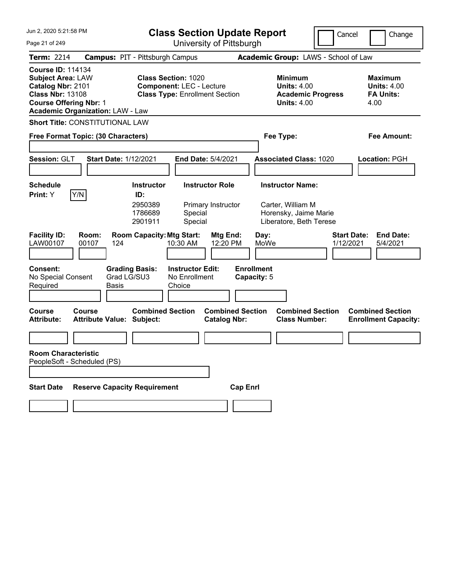| Jun 2, 2020 5:21:58 PM                                                                                                                                                           | <b>Class Section Update Report</b>                                                                     | Cancel                                                                                 | Change                                                           |
|----------------------------------------------------------------------------------------------------------------------------------------------------------------------------------|--------------------------------------------------------------------------------------------------------|----------------------------------------------------------------------------------------|------------------------------------------------------------------|
| Page 21 of 249                                                                                                                                                                   | University of Pittsburgh                                                                               |                                                                                        |                                                                  |
| <b>Term: 2214</b>                                                                                                                                                                | <b>Campus: PIT - Pittsburgh Campus</b>                                                                 | Academic Group: LAWS - School of Law                                                   |                                                                  |
| <b>Course ID: 114134</b><br><b>Subject Area: LAW</b><br>Catalog Nbr: 2101<br><b>Class Nbr: 13108</b><br><b>Course Offering Nbr: 1</b><br><b>Academic Organization: LAW - Law</b> | <b>Class Section: 1020</b><br><b>Component: LEC - Lecture</b><br><b>Class Type: Enrollment Section</b> | <b>Minimum</b><br><b>Units: 4.00</b><br><b>Academic Progress</b><br><b>Units: 4.00</b> | <b>Maximum</b><br><b>Units: 4.00</b><br><b>FA Units:</b><br>4.00 |
| <b>Short Title: CONSTITUTIONAL LAW</b>                                                                                                                                           |                                                                                                        |                                                                                        |                                                                  |
| Free Format Topic: (30 Characters)                                                                                                                                               |                                                                                                        | Fee Type:                                                                              | Fee Amount:                                                      |
| Session: GLT                                                                                                                                                                     | <b>Start Date: 1/12/2021</b><br>End Date: 5/4/2021                                                     | <b>Associated Class: 1020</b>                                                          | Location: PGH                                                    |
| <b>Schedule</b>                                                                                                                                                                  | <b>Instructor</b><br><b>Instructor Role</b>                                                            | <b>Instructor Name:</b>                                                                |                                                                  |
| Y/N<br>Print: Y                                                                                                                                                                  | ID:<br>2950389<br>Primary Instructor<br>1786689<br>Special<br>2901911<br>Special                       | Carter, William M<br>Horensky, Jaime Marie<br>Liberatore, Beth Terese                  |                                                                  |
| <b>Facility ID:</b><br>Room:<br>LAW00107<br>00107<br>124                                                                                                                         | <b>Room Capacity: Mtg Start:</b><br><b>Mtg End:</b><br>10:30 AM<br>12:20 PM                            | Day:<br>MoWe                                                                           | <b>Start Date:</b><br><b>End Date:</b><br>1/12/2021<br>5/4/2021  |
| <b>Consent:</b><br>No Special Consent<br>Required<br>Basis                                                                                                                       | <b>Grading Basis:</b><br><b>Instructor Edit:</b><br>Grad LG/SU3<br>No Enrollment<br>Choice             | <b>Enrollment</b><br>Capacity: 5                                                       |                                                                  |
| <b>Course</b><br>Course<br><b>Attribute Value: Subject:</b><br><b>Attribute:</b>                                                                                                 | <b>Combined Section</b><br><b>Combined Section</b><br><b>Catalog Nbr:</b>                              | <b>Combined Section</b><br><b>Class Number:</b>                                        | <b>Combined Section</b><br><b>Enrollment Capacity:</b>           |
|                                                                                                                                                                                  |                                                                                                        |                                                                                        |                                                                  |
| <b>Room Characteristic</b><br>PeopleSoft - Scheduled (PS)                                                                                                                        |                                                                                                        |                                                                                        |                                                                  |
| <b>Start Date</b>                                                                                                                                                                | <b>Reserve Capacity Requirement</b>                                                                    | <b>Cap Enrl</b>                                                                        |                                                                  |
|                                                                                                                                                                                  |                                                                                                        |                                                                                        |                                                                  |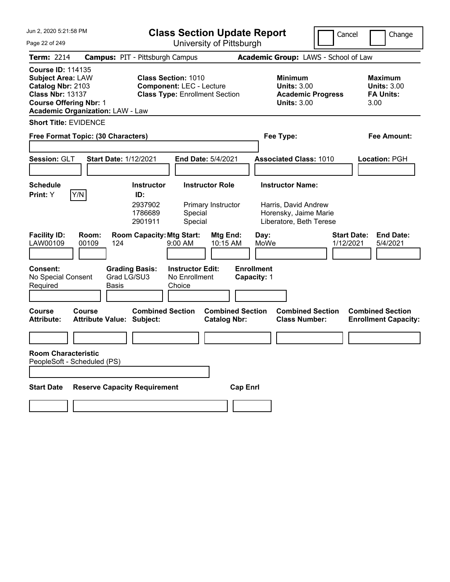| Jun 2, 2020 5:21:58 PM                                                                                                                                                           | <b>Class Section Update Report</b>                                                                     | Cancel                                                                                 | Change                                                           |
|----------------------------------------------------------------------------------------------------------------------------------------------------------------------------------|--------------------------------------------------------------------------------------------------------|----------------------------------------------------------------------------------------|------------------------------------------------------------------|
| Page 22 of 249                                                                                                                                                                   | University of Pittsburgh                                                                               |                                                                                        |                                                                  |
| <b>Term: 2214</b>                                                                                                                                                                | <b>Campus: PIT - Pittsburgh Campus</b>                                                                 | Academic Group: LAWS - School of Law                                                   |                                                                  |
| <b>Course ID: 114135</b><br><b>Subject Area: LAW</b><br>Catalog Nbr: 2103<br><b>Class Nbr: 13137</b><br><b>Course Offering Nbr: 1</b><br><b>Academic Organization: LAW - Law</b> | <b>Class Section: 1010</b><br><b>Component: LEC - Lecture</b><br><b>Class Type: Enrollment Section</b> | <b>Minimum</b><br><b>Units: 3.00</b><br><b>Academic Progress</b><br><b>Units: 3.00</b> | <b>Maximum</b><br><b>Units: 3.00</b><br><b>FA Units:</b><br>3.00 |
| <b>Short Title: EVIDENCE</b>                                                                                                                                                     |                                                                                                        |                                                                                        |                                                                  |
| Free Format Topic: (30 Characters)                                                                                                                                               |                                                                                                        | Fee Type:                                                                              | Fee Amount:                                                      |
| Session: GLT<br><b>Start Date: 1/12/2021</b>                                                                                                                                     | End Date: 5/4/2021                                                                                     | <b>Associated Class: 1010</b>                                                          | Location: PGH                                                    |
| <b>Schedule</b>                                                                                                                                                                  | <b>Instructor</b><br><b>Instructor Role</b>                                                            | <b>Instructor Name:</b>                                                                |                                                                  |
| Y/N<br>Print: Y                                                                                                                                                                  | ID:<br>2937902<br>Primary Instructor<br>1786689<br>Special<br>2901911<br>Special                       | Harris, David Andrew<br>Horensky, Jaime Marie<br>Liberatore, Beth Terese               |                                                                  |
| <b>Facility ID:</b><br>Room:<br>LAW00109<br>00109<br>124                                                                                                                         | <b>Room Capacity: Mtg Start:</b><br>Mtg End:<br>9:00 AM<br>10:15 AM                                    | Day:<br>MoWe<br>1/12/2021                                                              | <b>Start Date:</b><br><b>End Date:</b><br>5/4/2021               |
| <b>Consent:</b><br>No Special Consent<br>Required<br>Basis                                                                                                                       | <b>Grading Basis:</b><br><b>Instructor Edit:</b><br>Grad LG/SU3<br>No Enrollment<br>Choice             | <b>Enrollment</b><br>Capacity: 1                                                       |                                                                  |
| <b>Course</b><br>Course<br><b>Attribute Value: Subject:</b><br><b>Attribute:</b>                                                                                                 | <b>Combined Section</b><br><b>Combined Section</b><br><b>Catalog Nbr:</b>                              | <b>Combined Section</b><br><b>Class Number:</b>                                        | <b>Combined Section</b><br><b>Enrollment Capacity:</b>           |
|                                                                                                                                                                                  |                                                                                                        |                                                                                        |                                                                  |
| <b>Room Characteristic</b><br>PeopleSoft - Scheduled (PS)                                                                                                                        |                                                                                                        |                                                                                        |                                                                  |
| <b>Reserve Capacity Requirement</b><br><b>Start Date</b>                                                                                                                         |                                                                                                        | <b>Cap Enrl</b>                                                                        |                                                                  |
|                                                                                                                                                                                  |                                                                                                        |                                                                                        |                                                                  |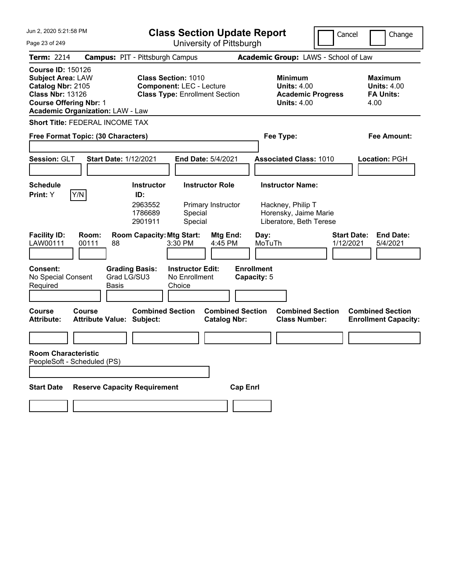| Jun 2. 2020 5:21:58 PM                                                                                                                                                           | <b>Class Section Update Report</b>                                                                            | Cancel                                                                          | Change                                                          |
|----------------------------------------------------------------------------------------------------------------------------------------------------------------------------------|---------------------------------------------------------------------------------------------------------------|---------------------------------------------------------------------------------|-----------------------------------------------------------------|
| Page 23 of 249                                                                                                                                                                   | University of Pittsburgh                                                                                      |                                                                                 |                                                                 |
| <b>Term: 2214</b>                                                                                                                                                                | <b>Campus: PIT - Pittsburgh Campus</b>                                                                        | Academic Group: LAWS - School of Law                                            |                                                                 |
| <b>Course ID: 150126</b><br><b>Subject Area: LAW</b><br>Catalog Nbr: 2105<br><b>Class Nbr: 13126</b><br><b>Course Offering Nbr: 1</b><br><b>Academic Organization: LAW - Law</b> | <b>Class Section: 1010</b><br><b>Component: LEC - Lecture</b><br><b>Class Type: Enrollment Section</b>        | Minimum<br><b>Units: 4.00</b><br><b>Academic Progress</b><br><b>Units: 4.00</b> | Maximum<br><b>Units: 4.00</b><br><b>FA Units:</b><br>4.00       |
| <b>Short Title: FEDERAL INCOME TAX</b>                                                                                                                                           |                                                                                                               |                                                                                 |                                                                 |
| Free Format Topic: (30 Characters)                                                                                                                                               |                                                                                                               | Fee Type:                                                                       | Fee Amount:                                                     |
|                                                                                                                                                                                  |                                                                                                               |                                                                                 |                                                                 |
| Session: GLT                                                                                                                                                                     | <b>Start Date: 1/12/2021</b><br><b>End Date: 5/4/2021</b>                                                     | <b>Associated Class: 1010</b>                                                   | Location: PGH                                                   |
| <b>Schedule</b>                                                                                                                                                                  | <b>Instructor Role</b><br><b>Instructor</b>                                                                   | <b>Instructor Name:</b>                                                         |                                                                 |
| Y/N<br><b>Print:</b> Y                                                                                                                                                           | ID:                                                                                                           |                                                                                 |                                                                 |
|                                                                                                                                                                                  | 2963552<br>Primary Instructor<br>1786689<br>Special<br>Special<br>2901911                                     | Hackney, Philip T<br>Horensky, Jaime Marie<br>Liberatore, Beth Terese           |                                                                 |
| <b>Facility ID:</b><br>Room:<br>LAW00111<br>00111                                                                                                                                | <b>Room Capacity: Mtg Start:</b><br>Mtg End:<br>88<br>3:30 PM<br>4:45 PM                                      | Day:<br>MoTuTh                                                                  | <b>Start Date:</b><br><b>End Date:</b><br>1/12/2021<br>5/4/2021 |
| <b>Consent:</b><br>No Special Consent<br>Required                                                                                                                                | <b>Grading Basis:</b><br><b>Instructor Edit:</b><br>Grad LG/SU3<br>No Enrollment<br>Basis<br>Choice           | <b>Enrollment</b><br>Capacity: 5                                                |                                                                 |
| Course<br>Course<br><b>Attribute:</b>                                                                                                                                            | <b>Combined Section</b><br><b>Combined Section</b><br><b>Attribute Value: Subject:</b><br><b>Catalog Nbr:</b> | <b>Combined Section</b><br><b>Class Number:</b>                                 | <b>Combined Section</b><br><b>Enrollment Capacity:</b>          |
|                                                                                                                                                                                  |                                                                                                               |                                                                                 |                                                                 |
| <b>Room Characteristic</b><br>PeopleSoft - Scheduled (PS)                                                                                                                        |                                                                                                               |                                                                                 |                                                                 |
|                                                                                                                                                                                  |                                                                                                               |                                                                                 |                                                                 |
| <b>Start Date</b>                                                                                                                                                                | <b>Reserve Capacity Requirement</b><br><b>Cap Enrl</b>                                                        |                                                                                 |                                                                 |
|                                                                                                                                                                                  |                                                                                                               |                                                                                 |                                                                 |
|                                                                                                                                                                                  |                                                                                                               |                                                                                 |                                                                 |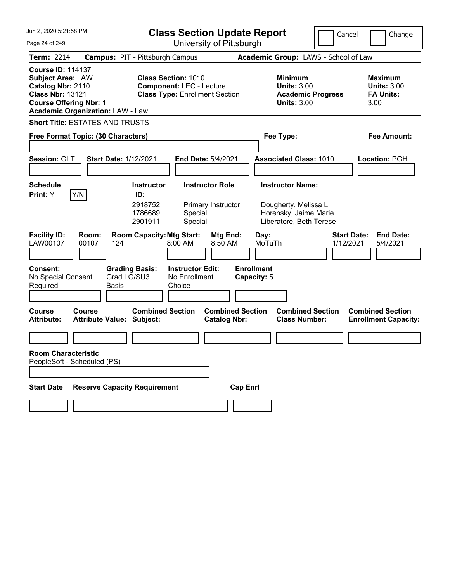| Jun 2, 2020 5:21:58 PM                                                                                                                                                           | <b>Class Section Update Report</b><br>Cancel                                                           |                                                                                 |                                                                  |
|----------------------------------------------------------------------------------------------------------------------------------------------------------------------------------|--------------------------------------------------------------------------------------------------------|---------------------------------------------------------------------------------|------------------------------------------------------------------|
| Page 24 of 249                                                                                                                                                                   | University of Pittsburgh                                                                               |                                                                                 |                                                                  |
| <b>Term: 2214</b>                                                                                                                                                                | <b>Campus: PIT - Pittsburgh Campus</b>                                                                 | Academic Group: LAWS - School of Law                                            |                                                                  |
| <b>Course ID: 114137</b><br><b>Subject Area: LAW</b><br>Catalog Nbr: 2110<br><b>Class Nbr: 13121</b><br><b>Course Offering Nbr: 1</b><br><b>Academic Organization: LAW - Law</b> | <b>Class Section: 1010</b><br><b>Component: LEC - Lecture</b><br><b>Class Type: Enrollment Section</b> | Minimum<br><b>Units: 3.00</b><br><b>Academic Progress</b><br><b>Units: 3.00</b> | <b>Maximum</b><br><b>Units: 3.00</b><br><b>FA Units:</b><br>3.00 |
| <b>Short Title: ESTATES AND TRUSTS</b>                                                                                                                                           |                                                                                                        |                                                                                 |                                                                  |
| Free Format Topic: (30 Characters)                                                                                                                                               |                                                                                                        | Fee Type:                                                                       | Fee Amount:                                                      |
|                                                                                                                                                                                  |                                                                                                        |                                                                                 |                                                                  |
| Session: GLT<br><b>Start Date: 1/12/2021</b>                                                                                                                                     | End Date: 5/4/2021                                                                                     | <b>Associated Class: 1010</b>                                                   | Location: PGH                                                    |
|                                                                                                                                                                                  |                                                                                                        |                                                                                 |                                                                  |
| <b>Schedule</b>                                                                                                                                                                  | <b>Instructor Role</b><br><b>Instructor</b>                                                            | <b>Instructor Name:</b>                                                         |                                                                  |
| Y/N<br>Print: Y                                                                                                                                                                  | ID:<br>2918752<br>Primary Instructor<br>1786689<br>Special<br>2901911<br>Special                       | Dougherty, Melissa L<br>Horensky, Jaime Marie<br>Liberatore, Beth Terese        |                                                                  |
| <b>Facility ID:</b><br>Room:<br>LAW00107<br>00107<br>124                                                                                                                         | <b>Room Capacity: Mtg Start:</b><br>Mtg End:<br>8:00 AM<br>8:50 AM                                     | <b>Start Date:</b><br>Day:<br>MoTuTh<br>1/12/2021                               | <b>End Date:</b><br>5/4/2021                                     |
| <b>Consent:</b><br><b>Grading Basis:</b><br>Grad LG/SU3<br>No Special Consent<br>Required<br>Basis                                                                               | <b>Instructor Edit:</b><br>No Enrollment<br>Choice                                                     | <b>Enrollment</b><br>Capacity: 5                                                |                                                                  |
| <b>Course</b><br>Course<br><b>Attribute:</b><br><b>Attribute Value: Subject:</b>                                                                                                 | <b>Combined Section</b><br><b>Combined Section</b><br><b>Catalog Nbr:</b>                              | <b>Combined Section</b><br><b>Class Number:</b>                                 | <b>Combined Section</b><br><b>Enrollment Capacity:</b>           |
|                                                                                                                                                                                  |                                                                                                        |                                                                                 |                                                                  |
| <b>Room Characteristic</b><br>PeopleSoft - Scheduled (PS)                                                                                                                        |                                                                                                        |                                                                                 |                                                                  |
| <b>Reserve Capacity Requirement</b><br><b>Start Date</b>                                                                                                                         | <b>Cap Enrl</b>                                                                                        |                                                                                 |                                                                  |
|                                                                                                                                                                                  |                                                                                                        |                                                                                 |                                                                  |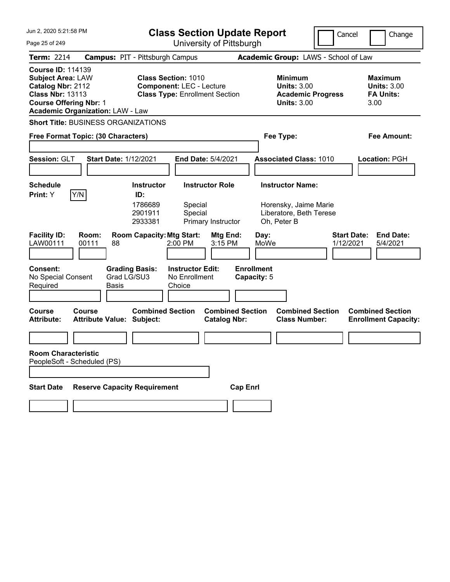| Jun 2, 2020 5:21:58 PM                                                                                                                                                           | <b>Class Section Update Report</b>                                                                                                                                                                                                                                         | Cancel                                                                                                                                                 | Change                                                           |
|----------------------------------------------------------------------------------------------------------------------------------------------------------------------------------|----------------------------------------------------------------------------------------------------------------------------------------------------------------------------------------------------------------------------------------------------------------------------|--------------------------------------------------------------------------------------------------------------------------------------------------------|------------------------------------------------------------------|
| Page 25 of 249                                                                                                                                                                   | University of Pittsburgh                                                                                                                                                                                                                                                   |                                                                                                                                                        |                                                                  |
| <b>Term: 2214</b>                                                                                                                                                                | <b>Campus: PIT - Pittsburgh Campus</b>                                                                                                                                                                                                                                     | Academic Group: LAWS - School of Law                                                                                                                   |                                                                  |
| <b>Course ID: 114139</b><br><b>Subject Area: LAW</b><br>Catalog Nbr: 2112<br><b>Class Nbr: 13113</b><br><b>Course Offering Nbr: 1</b><br><b>Academic Organization: LAW - Law</b> | <b>Class Section: 1010</b><br><b>Component: LEC - Lecture</b><br><b>Class Type: Enrollment Section</b>                                                                                                                                                                     | <b>Minimum</b><br><b>Units: 3.00</b><br><b>Academic Progress</b><br><b>Units: 3.00</b>                                                                 | <b>Maximum</b><br><b>Units: 3.00</b><br><b>FA Units:</b><br>3.00 |
| <b>Short Title: BUSINESS ORGANIZATIONS</b>                                                                                                                                       |                                                                                                                                                                                                                                                                            |                                                                                                                                                        |                                                                  |
| Free Format Topic: (30 Characters)                                                                                                                                               |                                                                                                                                                                                                                                                                            | Fee Type:                                                                                                                                              | Fee Amount:                                                      |
| Session: GLT                                                                                                                                                                     | <b>Start Date: 1/12/2021</b><br><b>End Date: 5/4/2021</b>                                                                                                                                                                                                                  | <b>Associated Class: 1010</b>                                                                                                                          | Location: PGH                                                    |
| Schedule                                                                                                                                                                         | <b>Instructor Role</b><br><b>Instructor</b>                                                                                                                                                                                                                                | <b>Instructor Name:</b>                                                                                                                                |                                                                  |
| Y/N<br><b>Print:</b> Y<br><b>Facility ID:</b><br>Room:<br>LAW00111<br>00111<br><b>Consent:</b><br>No Special Consent<br>Required                                                 | ID:<br>1786689<br>Special<br>2901911<br>Special<br>2933381<br>Primary Instructor<br><b>Room Capacity: Mtg Start:</b><br><b>Mtg End:</b><br>88<br>2:00 PM<br>3:15 PM<br><b>Grading Basis:</b><br><b>Instructor Edit:</b><br>Grad LG/SU3<br>No Enrollment<br>Basis<br>Choice | Horensky, Jaime Marie<br>Liberatore, Beth Terese<br>Oh, Peter B<br><b>Start Date:</b><br>Day:<br>MoWe<br>1/12/2021<br><b>Enrollment</b><br>Capacity: 5 | <b>End Date:</b><br>5/4/2021                                     |
| <b>Course</b><br>Course<br><b>Attribute:</b><br><b>Room Characteristic</b><br>PeopleSoft - Scheduled (PS)                                                                        | <b>Combined Section</b><br><b>Combined Section</b><br><b>Attribute Value: Subject:</b><br><b>Catalog Nbr:</b>                                                                                                                                                              | <b>Combined Section</b><br><b>Class Number:</b>                                                                                                        | <b>Combined Section</b><br><b>Enrollment Capacity:</b>           |
| <b>Start Date</b>                                                                                                                                                                | <b>Reserve Capacity Requirement</b>                                                                                                                                                                                                                                        | <b>Cap Enrl</b>                                                                                                                                        |                                                                  |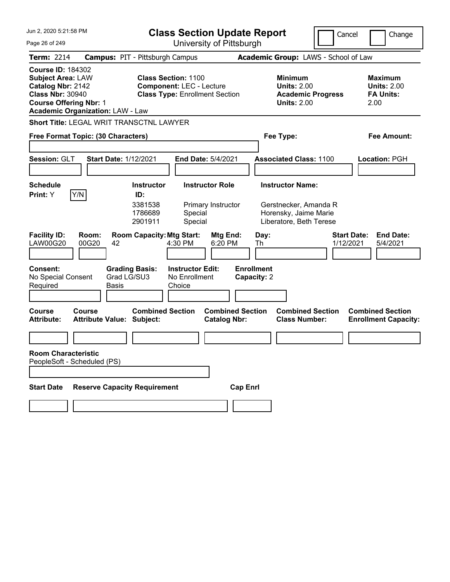| Jun 2, 2020 5:21:58 PM                                                                                                                                                           | <b>Class Section Update Report</b>                                                                                              |                                                | Cancel                                                                                                       | Change                                                           |
|----------------------------------------------------------------------------------------------------------------------------------------------------------------------------------|---------------------------------------------------------------------------------------------------------------------------------|------------------------------------------------|--------------------------------------------------------------------------------------------------------------|------------------------------------------------------------------|
| Page 26 of 249                                                                                                                                                                   | University of Pittsburgh                                                                                                        |                                                |                                                                                                              |                                                                  |
| <b>Term: 2214</b>                                                                                                                                                                | <b>Campus: PIT - Pittsburgh Campus</b>                                                                                          |                                                | Academic Group: LAWS - School of Law                                                                         |                                                                  |
| <b>Course ID: 184302</b><br><b>Subject Area: LAW</b><br>Catalog Nbr: 2142<br><b>Class Nbr: 30940</b><br><b>Course Offering Nbr: 1</b><br><b>Academic Organization: LAW - Law</b> | <b>Class Section: 1100</b><br><b>Component: LEC - Lecture</b><br><b>Class Type: Enrollment Section</b>                          |                                                | <b>Minimum</b><br><b>Units: 2.00</b><br><b>Academic Progress</b><br><b>Units: 2.00</b>                       | <b>Maximum</b><br><b>Units: 2.00</b><br><b>FA Units:</b><br>2.00 |
| <b>Short Title: LEGAL WRIT TRANSCTNL LAWYER</b>                                                                                                                                  |                                                                                                                                 |                                                |                                                                                                              |                                                                  |
| Free Format Topic: (30 Characters)                                                                                                                                               |                                                                                                                                 | Fee Type:                                      |                                                                                                              | <b>Fee Amount:</b>                                               |
| Session: GLT                                                                                                                                                                     | <b>Start Date: 1/12/2021</b><br><b>End Date: 5/4/2021</b>                                                                       |                                                | <b>Associated Class: 1100</b>                                                                                | Location: PGH                                                    |
| <b>Schedule</b>                                                                                                                                                                  | <b>Instructor Role</b><br><b>Instructor</b>                                                                                     |                                                | <b>Instructor Name:</b>                                                                                      |                                                                  |
| Y/N<br>Print: Y<br><b>Facility ID:</b><br>Room:<br>00G20<br><b>LAW00G20</b><br>42                                                                                                | ID:<br>3381538<br>Primary Instructor<br>1786689<br>Special<br>2901911<br>Special<br><b>Room Capacity: Mtg Start:</b><br>4:30 PM | Mtg End:<br>Day:<br>6:20 PM<br>Th              | Gerstnecker, Amanda R<br>Horensky, Jaime Marie<br>Liberatore, Beth Terese<br><b>Start Date:</b><br>1/12/2021 | <b>End Date:</b><br>5/4/2021                                     |
| Consent:<br>No Special Consent<br>Required<br><b>Basis</b>                                                                                                                       | <b>Instructor Edit:</b><br><b>Grading Basis:</b><br>Grad LG/SU3<br>No Enrollment<br>Choice                                      | <b>Enrollment</b><br>Capacity: 2               |                                                                                                              |                                                                  |
| Course<br>Course<br><b>Attribute Value: Subject:</b><br><b>Attribute:</b>                                                                                                        | <b>Combined Section</b>                                                                                                         | <b>Combined Section</b><br><b>Catalog Nbr:</b> | <b>Combined Section</b><br><b>Class Number:</b>                                                              | <b>Combined Section</b><br><b>Enrollment Capacity:</b>           |
|                                                                                                                                                                                  |                                                                                                                                 |                                                |                                                                                                              |                                                                  |
| <b>Room Characteristic</b><br>PeopleSoft - Scheduled (PS)                                                                                                                        |                                                                                                                                 |                                                |                                                                                                              |                                                                  |
| <b>Start Date</b>                                                                                                                                                                | <b>Reserve Capacity Requirement</b>                                                                                             | <b>Cap Enrl</b>                                |                                                                                                              |                                                                  |
|                                                                                                                                                                                  |                                                                                                                                 |                                                |                                                                                                              |                                                                  |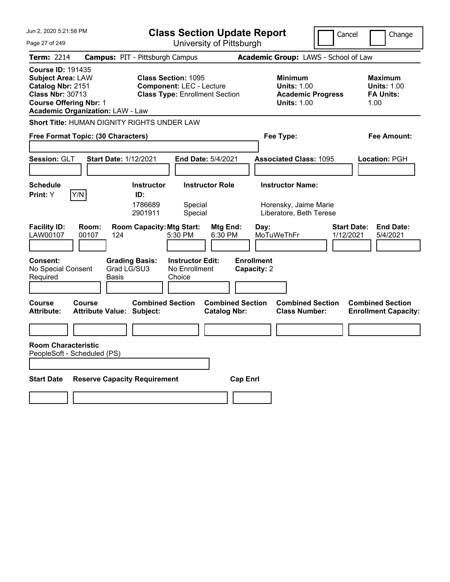| Jun 2, 2020 5:21:58 PM<br><b>Class Section Update Report</b>                                                                                                                     |                                                                                                        | Cancel                                                                                 | Change                                                           |
|----------------------------------------------------------------------------------------------------------------------------------------------------------------------------------|--------------------------------------------------------------------------------------------------------|----------------------------------------------------------------------------------------|------------------------------------------------------------------|
| Page 27 of 249                                                                                                                                                                   | University of Pittsburgh                                                                               |                                                                                        |                                                                  |
| <b>Term: 2214</b>                                                                                                                                                                | <b>Campus: PIT - Pittsburgh Campus</b>                                                                 | Academic Group: LAWS - School of Law                                                   |                                                                  |
| <b>Course ID: 191435</b><br><b>Subject Area: LAW</b><br>Catalog Nbr: 2151<br><b>Class Nbr: 30713</b><br><b>Course Offering Nbr: 1</b><br><b>Academic Organization: LAW - Law</b> | <b>Class Section: 1095</b><br><b>Component: LEC - Lecture</b><br><b>Class Type: Enrollment Section</b> | <b>Minimum</b><br><b>Units: 1.00</b><br><b>Academic Progress</b><br><b>Units: 1.00</b> | <b>Maximum</b><br><b>Units: 1.00</b><br><b>FA Units:</b><br>1.00 |
| Short Title: HUMAN DIGNITY RIGHTS UNDER LAW                                                                                                                                      |                                                                                                        |                                                                                        |                                                                  |
| Free Format Topic: (30 Characters)                                                                                                                                               |                                                                                                        | Fee Type:                                                                              | Fee Amount:                                                      |
| Session: GLT<br><b>Start Date: 1/12/2021</b>                                                                                                                                     | <b>End Date: 5/4/2021</b>                                                                              | <b>Associated Class: 1095</b>                                                          | <b>Location: PGH</b>                                             |
| <b>Schedule</b><br>Y/N<br>Print: Y                                                                                                                                               | <b>Instructor Role</b><br><b>Instructor</b><br>ID:<br>1786689<br>Special<br>2901911<br>Special         | <b>Instructor Name:</b><br>Horensky, Jaime Marie<br>Liberatore, Beth Terese            |                                                                  |
| <b>Facility ID:</b><br>Room:<br>LAW00107<br>00107<br>124                                                                                                                         | <b>Room Capacity: Mtg Start:</b><br>Mtg End:<br>5:30 PM<br>6:30 PM                                     | Day:<br>MoTuWeThFr<br>1/12/2021                                                        | <b>End Date:</b><br><b>Start Date:</b><br>5/4/2021               |
| <b>Consent:</b><br>No Special Consent<br>Grad LG/SU3<br>Required<br>Basis                                                                                                        | <b>Grading Basis:</b><br><b>Instructor Edit:</b><br>No Enrollment<br>Choice                            | <b>Enrollment</b><br>Capacity: 2                                                       |                                                                  |
| <b>Course</b><br>Course<br><b>Attribute:</b><br><b>Attribute Value: Subject:</b>                                                                                                 | <b>Combined Section</b><br><b>Combined Section</b><br><b>Catalog Nbr:</b>                              | <b>Combined Section</b><br><b>Class Number:</b>                                        | <b>Combined Section</b><br><b>Enrollment Capacity:</b>           |
| <b>Room Characteristic</b><br>PeopleSoft - Scheduled (PS)                                                                                                                        |                                                                                                        |                                                                                        |                                                                  |
| <b>Start Date</b><br><b>Reserve Capacity Requirement</b>                                                                                                                         | <b>Cap Enrl</b>                                                                                        |                                                                                        |                                                                  |
|                                                                                                                                                                                  |                                                                                                        |                                                                                        |                                                                  |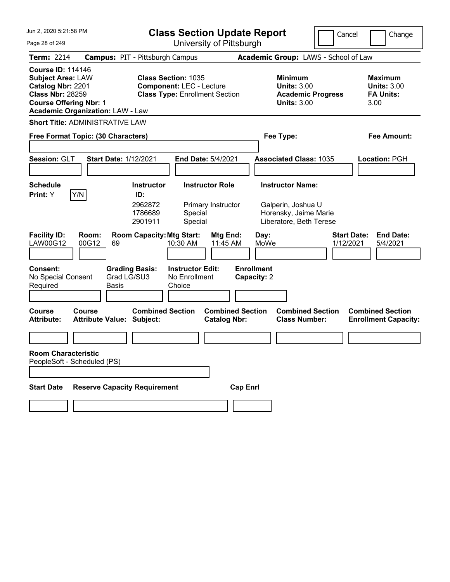| Jun 2, 2020 5:21:58 PM<br><b>Class Section Update Report</b>                                                                                                                     |                                                                                                        | Cancel                                                                                 | Change                                                           |
|----------------------------------------------------------------------------------------------------------------------------------------------------------------------------------|--------------------------------------------------------------------------------------------------------|----------------------------------------------------------------------------------------|------------------------------------------------------------------|
| Page 28 of 249                                                                                                                                                                   | University of Pittsburgh                                                                               |                                                                                        |                                                                  |
| <b>Term: 2214</b>                                                                                                                                                                | <b>Campus: PIT - Pittsburgh Campus</b>                                                                 | Academic Group: LAWS - School of Law                                                   |                                                                  |
| <b>Course ID: 114146</b><br><b>Subject Area: LAW</b><br>Catalog Nbr: 2201<br><b>Class Nbr: 28259</b><br><b>Course Offering Nbr: 1</b><br><b>Academic Organization: LAW - Law</b> | <b>Class Section: 1035</b><br><b>Component: LEC - Lecture</b><br><b>Class Type: Enrollment Section</b> | <b>Minimum</b><br><b>Units: 3.00</b><br><b>Academic Progress</b><br><b>Units: 3.00</b> | <b>Maximum</b><br><b>Units: 3.00</b><br><b>FA Units:</b><br>3.00 |
| <b>Short Title: ADMINISTRATIVE LAW</b>                                                                                                                                           |                                                                                                        |                                                                                        |                                                                  |
| Free Format Topic: (30 Characters)                                                                                                                                               |                                                                                                        | Fee Type:                                                                              | Fee Amount:                                                      |
| Session: GLT<br><b>Start Date: 1/12/2021</b>                                                                                                                                     | End Date: 5/4/2021                                                                                     | <b>Associated Class: 1035</b>                                                          | Location: PGH                                                    |
| <b>Schedule</b>                                                                                                                                                                  | <b>Instructor</b><br><b>Instructor Role</b>                                                            | <b>Instructor Name:</b>                                                                |                                                                  |
| Y/N<br>Print: Y                                                                                                                                                                  | ID:<br>2962872<br>Primary Instructor<br>1786689<br>Special<br>2901911<br>Special                       | Galperin, Joshua U<br>Horensky, Jaime Marie<br>Liberatore, Beth Terese                 |                                                                  |
| <b>Facility ID:</b><br>Room:<br>LAW00G12<br>00G12<br>69                                                                                                                          | <b>Room Capacity: Mtg Start:</b><br>Mtg End:<br>10:30 AM<br>11:45 AM                                   | Day:<br>MoWe<br>1/12/2021                                                              | <b>Start Date:</b><br><b>End Date:</b><br>5/4/2021               |
| <b>Consent:</b><br>Grad LG/SU3<br>No Special Consent<br>Required<br>Basis                                                                                                        | <b>Grading Basis:</b><br><b>Instructor Edit:</b><br>No Enrollment<br>Choice                            | <b>Enrollment</b><br>Capacity: 2                                                       |                                                                  |
| <b>Course</b><br>Course<br><b>Attribute Value: Subject:</b><br><b>Attribute:</b>                                                                                                 | <b>Combined Section</b><br><b>Combined Section</b><br><b>Catalog Nbr:</b>                              | <b>Combined Section</b><br><b>Class Number:</b>                                        | <b>Combined Section</b><br><b>Enrollment Capacity:</b>           |
|                                                                                                                                                                                  |                                                                                                        |                                                                                        |                                                                  |
| <b>Room Characteristic</b><br>PeopleSoft - Scheduled (PS)                                                                                                                        |                                                                                                        |                                                                                        |                                                                  |
| <b>Reserve Capacity Requirement</b><br><b>Start Date</b>                                                                                                                         | <b>Cap Enrl</b>                                                                                        |                                                                                        |                                                                  |
|                                                                                                                                                                                  |                                                                                                        |                                                                                        |                                                                  |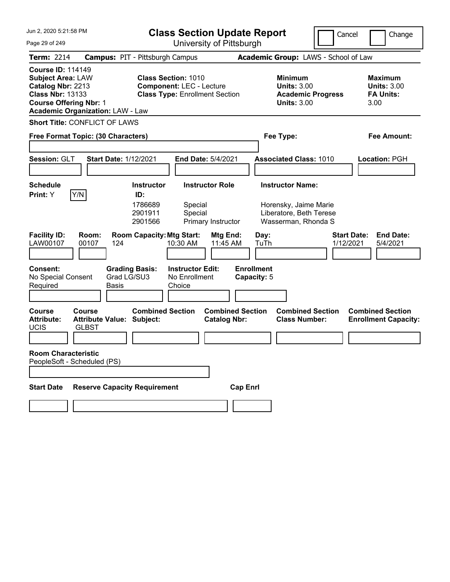| Jun 2, 2020 5:21:58 PM                                                                                                                                                           | <b>Class Section Update Report</b><br>Cancel<br>Change                                                                           |                                                                                                       |                                                                  |
|----------------------------------------------------------------------------------------------------------------------------------------------------------------------------------|----------------------------------------------------------------------------------------------------------------------------------|-------------------------------------------------------------------------------------------------------|------------------------------------------------------------------|
| Page 29 of 249                                                                                                                                                                   | University of Pittsburgh                                                                                                         |                                                                                                       |                                                                  |
| <b>Term: 2214</b>                                                                                                                                                                | <b>Campus: PIT - Pittsburgh Campus</b>                                                                                           | Academic Group: LAWS - School of Law                                                                  |                                                                  |
| <b>Course ID: 114149</b><br><b>Subject Area: LAW</b><br>Catalog Nbr: 2213<br><b>Class Nbr: 13133</b><br><b>Course Offering Nbr: 1</b><br><b>Academic Organization: LAW - Law</b> | <b>Class Section: 1010</b><br><b>Component: LEC - Lecture</b><br><b>Class Type: Enrollment Section</b>                           | <b>Minimum</b><br><b>Units: 3.00</b><br><b>Academic Progress</b><br><b>Units: 3.00</b>                | <b>Maximum</b><br><b>Units: 3.00</b><br><b>FA Units:</b><br>3.00 |
| <b>Short Title: CONFLICT OF LAWS</b>                                                                                                                                             |                                                                                                                                  |                                                                                                       |                                                                  |
| Free Format Topic: (30 Characters)                                                                                                                                               |                                                                                                                                  | Fee Type:                                                                                             | <b>Fee Amount:</b>                                               |
| Session: GLT<br><b>Start Date: 1/12/2021</b>                                                                                                                                     | End Date: 5/4/2021                                                                                                               | <b>Associated Class: 1010</b>                                                                         | Location: PGH                                                    |
| <b>Schedule</b>                                                                                                                                                                  | <b>Instructor</b><br><b>Instructor Role</b>                                                                                      | <b>Instructor Name:</b>                                                                               |                                                                  |
| Y/N <br>Print: Y<br><b>Facility ID:</b><br>Room:                                                                                                                                 | ID:<br>1786689<br>Special<br>2901911<br>Special<br>2901566<br>Primary Instructor<br><b>Room Capacity: Mtg Start:</b><br>Mtg End: | Horensky, Jaime Marie<br>Liberatore, Beth Terese<br>Wasserman, Rhonda S<br><b>Start Date:</b><br>Day: | <b>End Date:</b>                                                 |
| LAW00107<br>00107<br>124                                                                                                                                                         | 10:30 AM<br>11:45 AM                                                                                                             | TuTh<br>1/12/2021                                                                                     | 5/4/2021                                                         |
| <b>Consent:</b><br><b>Grading Basis:</b><br>Grad LG/SU3<br>No Special Consent<br>Required<br>Basis                                                                               | <b>Instructor Edit:</b><br>No Enrollment<br>Choice                                                                               | <b>Enrollment</b><br>Capacity: 5                                                                      |                                                                  |
| <b>Course</b><br><b>Course</b><br><b>Attribute:</b><br><b>Attribute Value: Subject:</b><br><b>UCIS</b><br><b>GLBST</b>                                                           | <b>Combined Section</b><br><b>Combined Section</b><br><b>Catalog Nbr:</b>                                                        | <b>Combined Section</b><br><b>Class Number:</b>                                                       | <b>Combined Section</b><br><b>Enrollment Capacity:</b>           |
|                                                                                                                                                                                  |                                                                                                                                  |                                                                                                       |                                                                  |
| <b>Room Characteristic</b><br>PeopleSoft - Scheduled (PS)                                                                                                                        |                                                                                                                                  |                                                                                                       |                                                                  |
|                                                                                                                                                                                  |                                                                                                                                  |                                                                                                       |                                                                  |
| <b>Reserve Capacity Requirement</b><br><b>Start Date</b>                                                                                                                         | <b>Cap Enrl</b>                                                                                                                  |                                                                                                       |                                                                  |
|                                                                                                                                                                                  |                                                                                                                                  |                                                                                                       |                                                                  |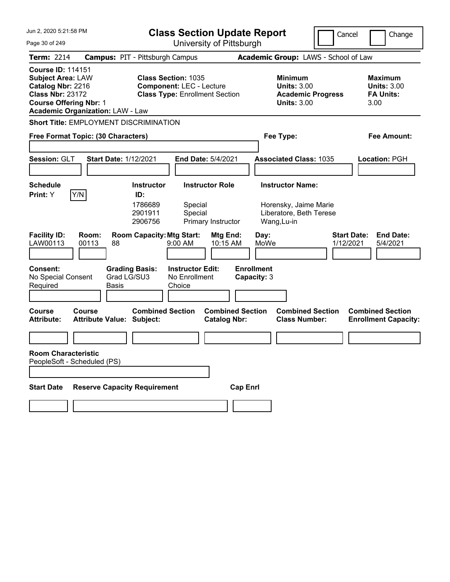| Jun 2, 2020 5:21:58 PM                                                                                                                                                           | <b>Class Section Update Report</b>                                                                            | Cancel                                                                                 | Change                                                           |
|----------------------------------------------------------------------------------------------------------------------------------------------------------------------------------|---------------------------------------------------------------------------------------------------------------|----------------------------------------------------------------------------------------|------------------------------------------------------------------|
| Page 30 of 249                                                                                                                                                                   | University of Pittsburgh                                                                                      |                                                                                        |                                                                  |
| <b>Term: 2214</b>                                                                                                                                                                | <b>Campus: PIT - Pittsburgh Campus</b>                                                                        | Academic Group: LAWS - School of Law                                                   |                                                                  |
| <b>Course ID: 114151</b><br><b>Subject Area: LAW</b><br>Catalog Nbr: 2216<br><b>Class Nbr: 23172</b><br><b>Course Offering Nbr: 1</b><br><b>Academic Organization: LAW - Law</b> | <b>Class Section: 1035</b><br><b>Component: LEC - Lecture</b><br><b>Class Type: Enrollment Section</b>        | <b>Minimum</b><br><b>Units: 3.00</b><br><b>Academic Progress</b><br><b>Units: 3.00</b> | <b>Maximum</b><br><b>Units: 3.00</b><br><b>FA Units:</b><br>3.00 |
| Short Title: EMPLOYMENT DISCRIMINATION                                                                                                                                           |                                                                                                               |                                                                                        |                                                                  |
| Free Format Topic: (30 Characters)                                                                                                                                               |                                                                                                               | Fee Type:                                                                              | Fee Amount:                                                      |
|                                                                                                                                                                                  |                                                                                                               |                                                                                        |                                                                  |
| Session: GLT                                                                                                                                                                     | <b>Start Date: 1/12/2021</b><br><b>End Date: 5/4/2021</b>                                                     | <b>Associated Class: 1035</b>                                                          | Location: PGH                                                    |
|                                                                                                                                                                                  |                                                                                                               |                                                                                        |                                                                  |
| Schedule                                                                                                                                                                         | <b>Instructor Role</b><br><b>Instructor</b><br>ID:                                                            | <b>Instructor Name:</b>                                                                |                                                                  |
| Y/N<br><b>Print:</b> Y                                                                                                                                                           | 1786689<br>Special<br>2901911<br>Special<br>2906756<br>Primary Instructor                                     | Horensky, Jaime Marie<br>Liberatore, Beth Terese<br>Wang, Lu-in                        |                                                                  |
| <b>Facility ID:</b><br>Room:<br>LAW00113<br>00113                                                                                                                                | <b>Room Capacity: Mtg Start:</b><br>Mtg End:<br>88<br>$9:00$ AM<br>10:15 AM                                   | <b>Start Date:</b><br>Day:<br>MoWe<br>1/12/2021                                        | <b>End Date:</b><br>5/4/2021                                     |
| <b>Consent:</b><br>No Special Consent<br>Required                                                                                                                                | <b>Grading Basis:</b><br><b>Instructor Edit:</b><br>Grad LG/SU3<br>No Enrollment<br>Basis<br>Choice           | <b>Enrollment</b><br>Capacity: 3                                                       |                                                                  |
| <b>Course</b><br>Course<br><b>Attribute:</b>                                                                                                                                     | <b>Combined Section</b><br><b>Combined Section</b><br><b>Attribute Value: Subject:</b><br><b>Catalog Nbr:</b> | <b>Combined Section</b><br><b>Class Number:</b>                                        | <b>Combined Section</b><br><b>Enrollment Capacity:</b>           |
|                                                                                                                                                                                  |                                                                                                               |                                                                                        |                                                                  |
| <b>Room Characteristic</b><br>PeopleSoft - Scheduled (PS)                                                                                                                        |                                                                                                               |                                                                                        |                                                                  |
| <b>Start Date</b>                                                                                                                                                                | <b>Reserve Capacity Requirement</b><br><b>Cap Enrl</b>                                                        |                                                                                        |                                                                  |
|                                                                                                                                                                                  |                                                                                                               |                                                                                        |                                                                  |
|                                                                                                                                                                                  |                                                                                                               |                                                                                        |                                                                  |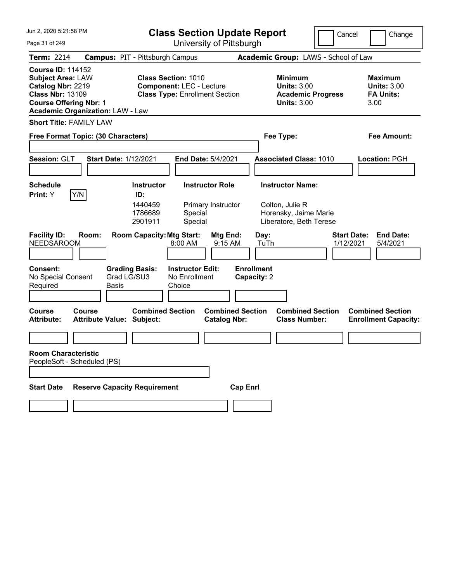| Jun 2, 2020 5:21:58 PM                                                                                                                |                                               | <b>Class Section Update Report</b>                                                                     |                                                    |                                                | Cancel          | Change                           |                                                                                        |                                 |                                                                  |
|---------------------------------------------------------------------------------------------------------------------------------------|-----------------------------------------------|--------------------------------------------------------------------------------------------------------|----------------------------------------------------|------------------------------------------------|-----------------|----------------------------------|----------------------------------------------------------------------------------------|---------------------------------|------------------------------------------------------------------|
| Page 31 of 249                                                                                                                        |                                               |                                                                                                        | University of Pittsburgh                           |                                                |                 |                                  |                                                                                        |                                 |                                                                  |
| <b>Term: 2214</b>                                                                                                                     | <b>Campus: PIT - Pittsburgh Campus</b>        |                                                                                                        |                                                    |                                                |                 |                                  | Academic Group: LAWS - School of Law                                                   |                                 |                                                                  |
| <b>Course ID: 114152</b><br><b>Subject Area: LAW</b><br>Catalog Nbr: 2219<br><b>Class Nbr: 13109</b><br><b>Course Offering Nbr: 1</b> | <b>Academic Organization: LAW - Law</b>       | <b>Class Section: 1010</b><br><b>Component: LEC - Lecture</b><br><b>Class Type: Enrollment Section</b> |                                                    |                                                |                 |                                  | <b>Minimum</b><br><b>Units: 3.00</b><br><b>Academic Progress</b><br><b>Units: 3.00</b> |                                 | <b>Maximum</b><br><b>Units: 3.00</b><br><b>FA Units:</b><br>3.00 |
| <b>Short Title: FAMILY LAW</b>                                                                                                        |                                               |                                                                                                        |                                                    |                                                |                 |                                  |                                                                                        |                                 |                                                                  |
|                                                                                                                                       | Free Format Topic: (30 Characters)            |                                                                                                        |                                                    |                                                |                 |                                  | Fee Type:                                                                              |                                 | <b>Fee Amount:</b>                                               |
|                                                                                                                                       |                                               |                                                                                                        |                                                    |                                                |                 |                                  |                                                                                        |                                 |                                                                  |
| Session: GLT                                                                                                                          | <b>Start Date: 1/12/2021</b>                  |                                                                                                        | End Date: 5/4/2021                                 |                                                |                 |                                  | <b>Associated Class: 1010</b>                                                          |                                 | Location: PGH                                                    |
|                                                                                                                                       |                                               |                                                                                                        |                                                    |                                                |                 |                                  |                                                                                        |                                 |                                                                  |
| <b>Schedule</b><br>Y/N<br>Print: Y                                                                                                    |                                               | <b>Instructor</b><br>ID:                                                                               |                                                    | <b>Instructor Role</b>                         |                 |                                  | <b>Instructor Name:</b>                                                                |                                 |                                                                  |
|                                                                                                                                       |                                               | 1440459<br>1786689<br>2901911                                                                          | Special<br>Special                                 | Primary Instructor                             |                 |                                  | Colton, Julie R<br>Horensky, Jaime Marie<br>Liberatore, Beth Terese                    |                                 |                                                                  |
| <b>Facility ID:</b><br><b>NEEDSAROOM</b>                                                                                              | Room:                                         | <b>Room Capacity: Mtg Start:</b>                                                                       | 8:00 AM                                            | <b>Mtg End:</b><br>9:15 AM                     |                 | Day:<br>TuTh                     |                                                                                        | <b>Start Date:</b><br>1/12/2021 | <b>End Date:</b><br>5/4/2021                                     |
| <b>Consent:</b><br>No Special Consent<br>Required                                                                                     | <b>Grading Basis:</b><br>Grad LG/SU3<br>Basis |                                                                                                        | <b>Instructor Edit:</b><br>No Enrollment<br>Choice |                                                |                 | <b>Enrollment</b><br>Capacity: 2 |                                                                                        |                                 |                                                                  |
| <b>Course</b><br><b>Attribute:</b>                                                                                                    | Course<br><b>Attribute Value: Subject:</b>    | <b>Combined Section</b>                                                                                |                                                    | <b>Combined Section</b><br><b>Catalog Nbr:</b> |                 |                                  | <b>Combined Section</b><br><b>Class Number:</b>                                        |                                 | <b>Combined Section</b><br><b>Enrollment Capacity:</b>           |
|                                                                                                                                       |                                               |                                                                                                        |                                                    |                                                |                 |                                  |                                                                                        |                                 |                                                                  |
| <b>Room Characteristic</b><br>PeopleSoft - Scheduled (PS)                                                                             |                                               |                                                                                                        |                                                    |                                                |                 |                                  |                                                                                        |                                 |                                                                  |
|                                                                                                                                       |                                               |                                                                                                        |                                                    |                                                |                 |                                  |                                                                                        |                                 |                                                                  |
| <b>Start Date</b>                                                                                                                     | <b>Reserve Capacity Requirement</b>           |                                                                                                        |                                                    |                                                | <b>Cap Enrl</b> |                                  |                                                                                        |                                 |                                                                  |
|                                                                                                                                       |                                               |                                                                                                        |                                                    |                                                |                 |                                  |                                                                                        |                                 |                                                                  |
|                                                                                                                                       |                                               |                                                                                                        |                                                    |                                                |                 |                                  |                                                                                        |                                 |                                                                  |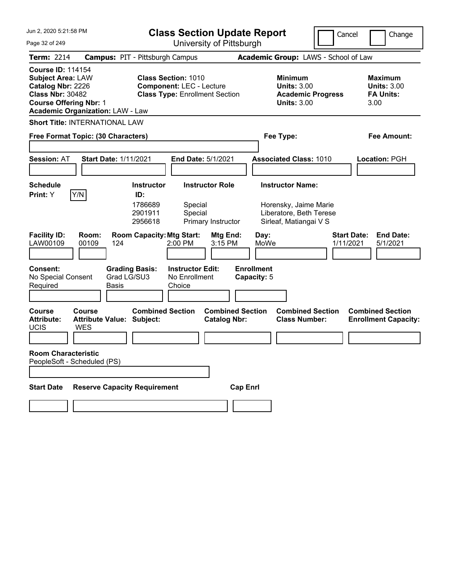| Jun 2, 2020 5:21:58 PM                                                                                                                                                           | <b>Class Section Update Report</b><br>Cancel<br>Change                                                                                                   |                                                                                                         |                                                                  |  |
|----------------------------------------------------------------------------------------------------------------------------------------------------------------------------------|----------------------------------------------------------------------------------------------------------------------------------------------------------|---------------------------------------------------------------------------------------------------------|------------------------------------------------------------------|--|
| Page 32 of 249                                                                                                                                                                   | University of Pittsburgh                                                                                                                                 |                                                                                                         |                                                                  |  |
| <b>Term: 2214</b>                                                                                                                                                                | <b>Campus: PIT - Pittsburgh Campus</b>                                                                                                                   | Academic Group: LAWS - School of Law                                                                    |                                                                  |  |
| <b>Course ID: 114154</b><br><b>Subject Area: LAW</b><br>Catalog Nbr: 2226<br><b>Class Nbr: 30482</b><br><b>Course Offering Nbr: 1</b><br><b>Academic Organization: LAW - Law</b> | <b>Class Section: 1010</b><br><b>Component: LEC - Lecture</b><br><b>Class Type: Enrollment Section</b>                                                   | <b>Minimum</b><br><b>Units: 3.00</b><br><b>Academic Progress</b><br><b>Units: 3.00</b>                  | <b>Maximum</b><br><b>Units: 3.00</b><br><b>FA Units:</b><br>3.00 |  |
| <b>Short Title: INTERNATIONAL LAW</b>                                                                                                                                            |                                                                                                                                                          |                                                                                                         |                                                                  |  |
| Free Format Topic: (30 Characters)                                                                                                                                               |                                                                                                                                                          | Fee Type:                                                                                               | <b>Fee Amount:</b>                                               |  |
| <b>Session: AT</b><br><b>Start Date: 1/11/2021</b>                                                                                                                               | End Date: 5/1/2021                                                                                                                                       | <b>Associated Class: 1010</b>                                                                           | Location: PGH                                                    |  |
| <b>Schedule</b>                                                                                                                                                                  | <b>Instructor</b><br><b>Instructor Role</b>                                                                                                              | <b>Instructor Name:</b>                                                                                 |                                                                  |  |
| Y/N <br>Print: Y<br><b>Facility ID:</b><br>Room:<br>LAW00109<br>00109<br>124                                                                                                     | ID:<br>1786689<br>Special<br>2901911<br>Special<br>2956618<br>Primary Instructor<br><b>Room Capacity: Mtg Start:</b><br>Mtg End:<br>$2:00$ PM<br>3:15 PM | Horensky, Jaime Marie<br>Liberatore, Beth Terese<br>Sirleaf, Matiangai V S<br>Day:<br>MoWe<br>1/11/2021 | <b>Start Date:</b><br><b>End Date:</b><br>5/1/2021               |  |
| <b>Consent:</b><br>No Special Consent<br>Required<br>Basis                                                                                                                       | <b>Grading Basis:</b><br><b>Instructor Edit:</b><br>Grad LG/SU3<br>No Enrollment<br>Choice                                                               | <b>Enrollment</b><br>Capacity: 5                                                                        |                                                                  |  |
| <b>Course</b><br><b>Course</b><br><b>Attribute:</b><br>Attribute Value: Subject:<br><b>UCIS</b><br><b>WES</b>                                                                    | <b>Combined Section</b><br><b>Combined Section</b><br><b>Catalog Nbr:</b>                                                                                | <b>Combined Section</b><br><b>Class Number:</b>                                                         | <b>Combined Section</b><br><b>Enrollment Capacity:</b>           |  |
| <b>Room Characteristic</b><br>PeopleSoft - Scheduled (PS)                                                                                                                        |                                                                                                                                                          |                                                                                                         |                                                                  |  |
| <b>Reserve Capacity Requirement</b><br><b>Start Date</b>                                                                                                                         |                                                                                                                                                          | <b>Cap Enrl</b>                                                                                         |                                                                  |  |
|                                                                                                                                                                                  |                                                                                                                                                          |                                                                                                         |                                                                  |  |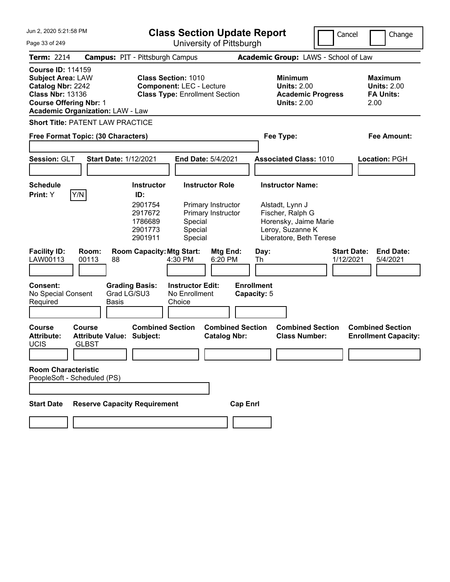| Jun 2, 2020 5:21:58 PM                                                                                                                |                                                                   |                                                                                 |                                                               | <b>Class Section Update Report</b>                                 |                                                |                                                                                                                                        | Cancel    | Change                                                           |
|---------------------------------------------------------------------------------------------------------------------------------------|-------------------------------------------------------------------|---------------------------------------------------------------------------------|---------------------------------------------------------------|--------------------------------------------------------------------|------------------------------------------------|----------------------------------------------------------------------------------------------------------------------------------------|-----------|------------------------------------------------------------------|
| Page 33 of 249                                                                                                                        |                                                                   |                                                                                 |                                                               | University of Pittsburgh                                           |                                                |                                                                                                                                        |           |                                                                  |
| Term: 2214                                                                                                                            |                                                                   | <b>Campus: PIT - Pittsburgh Campus</b>                                          |                                                               |                                                                    |                                                | Academic Group: LAWS - School of Law                                                                                                   |           |                                                                  |
| <b>Course ID: 114159</b><br><b>Subject Area: LAW</b><br>Catalog Nbr: 2242<br><b>Class Nbr: 13136</b><br><b>Course Offering Nbr: 1</b> | <b>Academic Organization: LAW - Law</b>                           |                                                                                 | <b>Class Section: 1010</b><br><b>Component: LEC - Lecture</b> | <b>Class Type: Enrollment Section</b>                              |                                                | <b>Minimum</b><br><b>Units: 2.00</b><br><b>Academic Progress</b><br><b>Units: 2.00</b>                                                 |           | <b>Maximum</b><br><b>Units: 2.00</b><br><b>FA Units:</b><br>2.00 |
|                                                                                                                                       | <b>Short Title: PATENT LAW PRACTICE</b>                           |                                                                                 |                                                               |                                                                    |                                                |                                                                                                                                        |           |                                                                  |
|                                                                                                                                       | Free Format Topic: (30 Characters)                                |                                                                                 |                                                               |                                                                    |                                                | Fee Type:                                                                                                                              |           | Fee Amount:                                                      |
| Session: GLT                                                                                                                          | <b>Start Date: 1/12/2021</b>                                      |                                                                                 |                                                               | End Date: 5/4/2021                                                 |                                                | <b>Associated Class: 1010</b>                                                                                                          |           | Location: PGH                                                    |
| <b>Schedule</b><br>Print: Y                                                                                                           | Y/N                                                               | <b>Instructor</b><br>ID:<br>2901754<br>2917672<br>1786689<br>2901773<br>2901911 | Special<br>Special<br>Special                                 | <b>Instructor Role</b><br>Primary Instructor<br>Primary Instructor |                                                | <b>Instructor Name:</b><br>Alstadt, Lynn J<br>Fischer, Ralph G<br>Horensky, Jaime Marie<br>Leroy, Suzanne K<br>Liberatore, Beth Terese |           |                                                                  |
| <b>Facility ID:</b><br>LAW00113<br>Consent:<br>No Special Consent<br>Required                                                         | Room:<br>00113<br>88<br><b>Basis</b>                              | <b>Room Capacity: Mtg Start:</b><br><b>Grading Basis:</b><br>Grad LG/SU3        | 4:30 PM<br><b>Instructor Edit:</b><br>No Enrollment<br>Choice | Mtg End:<br>6:20 PM                                                | Day:<br>Th<br><b>Enrollment</b><br>Capacity: 5 |                                                                                                                                        | 1/12/2021 | <b>Start Date:</b><br><b>End Date:</b><br>5/4/2021               |
| <b>Course</b><br><b>Attribute:</b><br><b>UCIS</b><br><b>Room Characteristic</b>                                                       | <b>Course</b><br><b>Attribute Value: Subject:</b><br><b>GLBST</b> | <b>Combined Section</b>                                                         |                                                               | <b>Combined Section</b><br><b>Catalog Nbr:</b>                     |                                                | <b>Combined Section</b><br><b>Class Number:</b>                                                                                        |           | <b>Combined Section</b><br><b>Enrollment Capacity:</b>           |
|                                                                                                                                       | PeopleSoft - Scheduled (PS)                                       |                                                                                 |                                                               |                                                                    |                                                |                                                                                                                                        |           |                                                                  |
| <b>Start Date</b>                                                                                                                     | <b>Reserve Capacity Requirement</b>                               |                                                                                 |                                                               |                                                                    | <b>Cap Enrl</b>                                |                                                                                                                                        |           |                                                                  |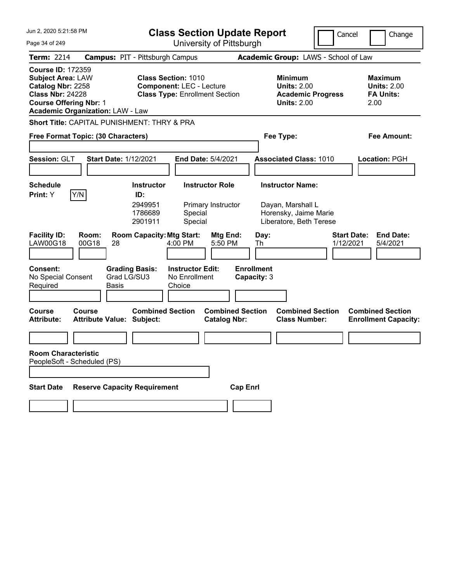| Jun 2, 2020 5:21:58 PM                                                                                                                                                           | <b>Class Section Update Report</b>                                                                                   |                                                                                        | Cancel             | Change                                                           |
|----------------------------------------------------------------------------------------------------------------------------------------------------------------------------------|----------------------------------------------------------------------------------------------------------------------|----------------------------------------------------------------------------------------|--------------------|------------------------------------------------------------------|
| Page 34 of 249                                                                                                                                                                   | University of Pittsburgh                                                                                             |                                                                                        |                    |                                                                  |
| <b>Term: 2214</b>                                                                                                                                                                | <b>Campus: PIT - Pittsburgh Campus</b>                                                                               | Academic Group: LAWS - School of Law                                                   |                    |                                                                  |
| <b>Course ID: 172359</b><br><b>Subject Area: LAW</b><br>Catalog Nbr: 2258<br><b>Class Nbr: 24228</b><br><b>Course Offering Nbr: 1</b><br><b>Academic Organization: LAW - Law</b> | <b>Class Section: 1010</b><br><b>Component: LEC - Lecture</b><br><b>Class Type: Enrollment Section</b>               | <b>Minimum</b><br><b>Units: 2.00</b><br><b>Academic Progress</b><br><b>Units: 2.00</b> |                    | <b>Maximum</b><br><b>Units: 2.00</b><br><b>FA Units:</b><br>2.00 |
| <b>Short Title: CAPITAL PUNISHMENT: THRY &amp; PRA</b>                                                                                                                           |                                                                                                                      |                                                                                        |                    |                                                                  |
| Free Format Topic: (30 Characters)                                                                                                                                               |                                                                                                                      | Fee Type:                                                                              |                    | <b>Fee Amount:</b>                                               |
| Session: GLT<br><b>Start Date: 1/12/2021</b>                                                                                                                                     | <b>End Date: 5/4/2021</b>                                                                                            | <b>Associated Class: 1010</b>                                                          |                    | Location: PGH                                                    |
| <b>Schedule</b>                                                                                                                                                                  | <b>Instructor Role</b><br><b>Instructor</b>                                                                          | <b>Instructor Name:</b>                                                                |                    |                                                                  |
| Y/N<br>Print: Y<br>Room:                                                                                                                                                         | ID:<br>2949951<br>Primary Instructor<br>1786689<br>Special<br>2901911<br>Special<br><b>Room Capacity: Mtg Start:</b> | Dayan, Marshall L<br>Horensky, Jaime Marie<br>Liberatore, Beth Terese                  | <b>Start Date:</b> | <b>End Date:</b>                                                 |
| <b>Facility ID:</b><br>00G18<br><b>LAW00G18</b><br>28                                                                                                                            | Mtg End:<br>4:00 PM<br>5:50 PM                                                                                       | Day:<br>Th                                                                             | 1/12/2021          | 5/4/2021                                                         |
| Consent:<br>Grad LG/SU3<br>No Special Consent<br>Required<br><b>Basis</b>                                                                                                        | <b>Instructor Edit:</b><br><b>Grading Basis:</b><br>No Enrollment<br>Choice                                          | <b>Enrollment</b><br>Capacity: 3                                                       |                    |                                                                  |
| Course<br>Course<br><b>Attribute Value: Subject:</b><br><b>Attribute:</b>                                                                                                        | <b>Combined Section</b><br><b>Catalog Nbr:</b>                                                                       | <b>Combined Section</b><br><b>Combined Section</b><br><b>Class Number:</b>             |                    | <b>Combined Section</b><br><b>Enrollment Capacity:</b>           |
|                                                                                                                                                                                  |                                                                                                                      |                                                                                        |                    |                                                                  |
| <b>Room Characteristic</b><br>PeopleSoft - Scheduled (PS)                                                                                                                        |                                                                                                                      |                                                                                        |                    |                                                                  |
| <b>Reserve Capacity Requirement</b><br><b>Start Date</b>                                                                                                                         |                                                                                                                      | <b>Cap Enrl</b>                                                                        |                    |                                                                  |
|                                                                                                                                                                                  |                                                                                                                      |                                                                                        |                    |                                                                  |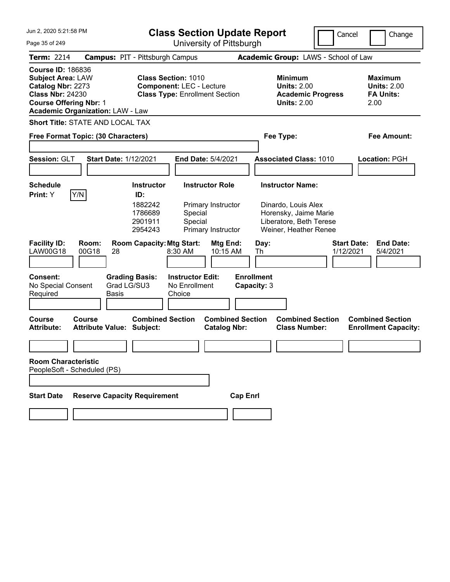| Jun 2. 2020 5:21:58 PM                                                                                                                                                           | <b>Class Section Update Report</b>                                                                                                                               |                                                                         | Cancel                                           | Change                                                           |
|----------------------------------------------------------------------------------------------------------------------------------------------------------------------------------|------------------------------------------------------------------------------------------------------------------------------------------------------------------|-------------------------------------------------------------------------|--------------------------------------------------|------------------------------------------------------------------|
| Page 35 of 249                                                                                                                                                                   |                                                                                                                                                                  | University of Pittsburgh                                                |                                                  |                                                                  |
| <b>Term: 2214</b>                                                                                                                                                                | <b>Campus: PIT - Pittsburgh Campus</b>                                                                                                                           | Academic Group: LAWS - School of Law                                    |                                                  |                                                                  |
| <b>Course ID: 186836</b><br><b>Subject Area: LAW</b><br>Catalog Nbr: 2273<br><b>Class Nbr: 24230</b><br><b>Course Offering Nbr: 1</b><br><b>Academic Organization: LAW - Law</b> | <b>Class Section: 1010</b><br><b>Component: LEC - Lecture</b><br><b>Class Type: Enrollment Section</b>                                                           | <b>Minimum</b><br><b>Units: 2.00</b><br><b>Units: 2.00</b>              | <b>Academic Progress</b>                         | <b>Maximum</b><br><b>Units: 2.00</b><br><b>FA Units:</b><br>2.00 |
| Short Title: STATE AND LOCAL TAX                                                                                                                                                 |                                                                                                                                                                  |                                                                         |                                                  |                                                                  |
| Free Format Topic: (30 Characters)                                                                                                                                               |                                                                                                                                                                  | Fee Type:                                                               |                                                  | <b>Fee Amount:</b>                                               |
| Session: GLT                                                                                                                                                                     | <b>Start Date: 1/12/2021</b><br>End Date: 5/4/2021                                                                                                               | <b>Associated Class: 1010</b>                                           |                                                  | Location: PGH                                                    |
| <b>Schedule</b><br>Y/N<br>Print: Y                                                                                                                                               | <b>Instructor Role</b><br><b>Instructor</b><br>ID:<br>1882242<br>Primary Instructor<br>1786689<br>Special<br>2901911<br>Special<br>Primary Instructor<br>2954243 | <b>Instructor Name:</b><br>Dinardo, Louis Alex<br>Horensky, Jaime Marie | Liberatore, Beth Terese<br>Weiner, Heather Renee |                                                                  |
| <b>Facility ID:</b><br>Room:<br>LAW00G18<br>00G18                                                                                                                                | <b>Room Capacity: Mtg Start:</b><br>28<br>8:30 AM                                                                                                                | Mtg End:<br>Day:<br>10:15 AM<br>Th                                      | <b>Start Date:</b><br>1/12/2021                  | <b>End Date:</b><br>5/4/2021                                     |
| <b>Consent:</b><br>No Special Consent<br>Required                                                                                                                                | <b>Instructor Edit:</b><br><b>Grading Basis:</b><br>Grad LG/SU3<br>No Enrollment<br>Basis<br>Choice                                                              | <b>Enrollment</b><br>Capacity: 3                                        |                                                  |                                                                  |
| <b>Course</b><br>Course<br><b>Attribute:</b>                                                                                                                                     | <b>Combined Section</b><br>Attribute Value: Subject:                                                                                                             | <b>Combined Section</b><br><b>Catalog Nbr:</b>                          | <b>Combined Section</b><br><b>Class Number:</b>  | <b>Combined Section</b><br><b>Enrollment Capacity:</b>           |
|                                                                                                                                                                                  |                                                                                                                                                                  |                                                                         |                                                  |                                                                  |
| <b>Room Characteristic</b><br>PeopleSoft - Scheduled (PS)                                                                                                                        |                                                                                                                                                                  |                                                                         |                                                  |                                                                  |
|                                                                                                                                                                                  |                                                                                                                                                                  |                                                                         |                                                  |                                                                  |
| <b>Start Date</b>                                                                                                                                                                | <b>Reserve Capacity Requirement</b>                                                                                                                              | <b>Cap Enrl</b>                                                         |                                                  |                                                                  |
|                                                                                                                                                                                  |                                                                                                                                                                  |                                                                         |                                                  |                                                                  |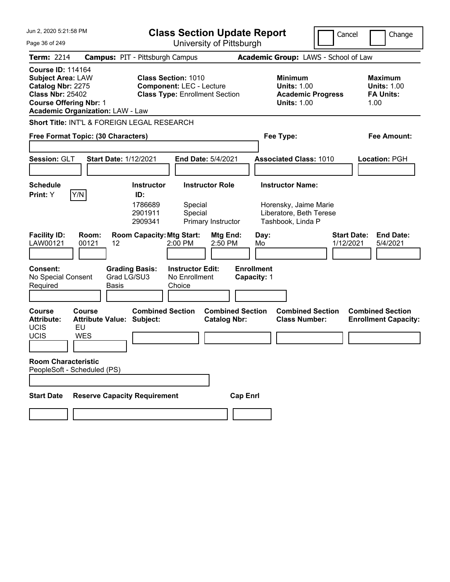Jun 2, 2020 5:21:58 PM Page 36 of 249 **Class Section Update Report** University of Pittsburgh Cancel | Change **Term:** 2214 **Campus:** PIT - Pittsburgh Campus **Academic Group:** LAWS - School of Law **Course ID:** 114164 **Subject Area:** LAW **Class Section:** 1010 **Minimum 1010 Minimum 1010 Minimum 1010 Maximum Catalog Nbr:** 2275 **Component:** LEC - Lecture **100 Units:** 1.00 **Catalog Nbr:** 2275 **Component:** LEC - Lecture **Units:** 1.00 **Units:** 1.00 **Class Type: Enrollment Section <b>Academic Progress FA Units: Course Offering Nbr:** 1 **Units:** 1.00 1.00 **Academic Organization:** LAW - Law **Short Title:** INT'L & FOREIGN LEGAL RESEARCH **Free Format Topic: (30 Characters) Fee Type: Fee Amount: Session:** GLT **Start Date:** 1/12/2021 **End Date:** 5/4/2021 **Associated Class:** 1010 **Location:** PGH **Schedule Instructor Instructor Role Instructor Name: Print:**  $Y$   $|Y/N|$  **ID:** 1786689 Special Horensky, Jaime Marie 2901911 Special Liberatore, Beth Terese 2909341 Primary Instructor Tashbook, Linda P **Facility ID: Room: Room Capacity: Mtg Start: Mtg End: Day: Start Date: End Date: LAW00121** 00121 12 2021 2:00 PM 2:50 PM Mo 4/12/2021 5/4/2021 LAW00121 00121 12 2:00 PM 2:50 PM Mo 1/12/2021 5/4/2021 **Consent: Grading Basis: Instructor Edit: Enrollment** No Special Consent Required Grad LG/SU3 Basis No Enrollment **Choice Capacity:** 1 **Course Course Combined Section Combined Section Combined Section Combined Section**  Attribute Value: Subject: Catalog Nbr: Class Number: Enrollment Capacity: UCIS EU UCIS WES **Room Characteristic** PeopleSoft - Scheduled (PS) **Start Date Reserve Capacity Requirement Cap Enrl**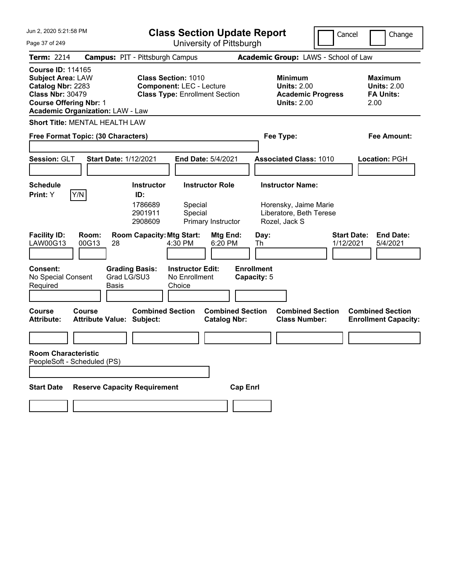| Jun 2, 2020 5:21:58 PM                                                                                                                                                           | <b>Class Section Update Report</b>                                                                     |                                                                                        | Cancel<br>Change                                                 |
|----------------------------------------------------------------------------------------------------------------------------------------------------------------------------------|--------------------------------------------------------------------------------------------------------|----------------------------------------------------------------------------------------|------------------------------------------------------------------|
| Page 37 of 249                                                                                                                                                                   | University of Pittsburgh                                                                               |                                                                                        |                                                                  |
| <b>Term: 2214</b>                                                                                                                                                                | <b>Campus: PIT - Pittsburgh Campus</b>                                                                 | Academic Group: LAWS - School of Law                                                   |                                                                  |
| <b>Course ID: 114165</b><br><b>Subject Area: LAW</b><br>Catalog Nbr: 2283<br><b>Class Nbr: 30479</b><br><b>Course Offering Nbr: 1</b><br><b>Academic Organization: LAW - Law</b> | <b>Class Section: 1010</b><br><b>Component: LEC - Lecture</b><br><b>Class Type: Enrollment Section</b> | <b>Minimum</b><br><b>Units: 2.00</b><br><b>Academic Progress</b><br><b>Units: 2.00</b> | <b>Maximum</b><br><b>Units: 2.00</b><br><b>FA Units:</b><br>2.00 |
| <b>Short Title: MENTAL HEALTH LAW</b>                                                                                                                                            |                                                                                                        |                                                                                        |                                                                  |
| Free Format Topic: (30 Characters)                                                                                                                                               |                                                                                                        | Fee Type:                                                                              | <b>Fee Amount:</b>                                               |
| Session: GLT<br><b>Start Date: 1/12/2021</b>                                                                                                                                     | End Date: 5/4/2021                                                                                     | <b>Associated Class: 1010</b>                                                          | Location: PGH                                                    |
| <b>Schedule</b>                                                                                                                                                                  | <b>Instructor</b><br><b>Instructor Role</b>                                                            | <b>Instructor Name:</b>                                                                |                                                                  |
| Y/N <br>Print: Y                                                                                                                                                                 | ID:<br>1786689<br>Special<br>2901911<br>Special<br>2908609<br>Primary Instructor                       | Horensky, Jaime Marie<br>Liberatore, Beth Terese<br>Rozel, Jack S                      |                                                                  |
| <b>Facility ID:</b><br>Room:<br>LAW00G13<br>00G13<br>28                                                                                                                          | <b>Room Capacity: Mtg Start:</b><br>Mtg End:<br>4:30 PM<br>6:20 PM                                     | Day:<br>Th                                                                             | <b>Start Date:</b><br><b>End Date:</b><br>1/12/2021<br>5/4/2021  |
| <b>Consent:</b><br>Grad LG/SU3<br>No Special Consent<br>Required<br>Basis                                                                                                        | <b>Grading Basis:</b><br><b>Instructor Edit:</b><br>No Enrollment<br>Choice                            | <b>Enrollment</b><br>Capacity: 5                                                       |                                                                  |
| <b>Course</b><br>Course<br><b>Attribute Value: Subject:</b><br><b>Attribute:</b>                                                                                                 | <b>Combined Section</b><br><b>Combined Section</b><br><b>Catalog Nbr:</b>                              | <b>Combined Section</b><br><b>Class Number:</b>                                        | <b>Combined Section</b><br><b>Enrollment Capacity:</b>           |
|                                                                                                                                                                                  |                                                                                                        |                                                                                        |                                                                  |
| <b>Room Characteristic</b><br>PeopleSoft - Scheduled (PS)                                                                                                                        |                                                                                                        |                                                                                        |                                                                  |
| <b>Reserve Capacity Requirement</b><br><b>Start Date</b>                                                                                                                         |                                                                                                        | <b>Cap Enrl</b>                                                                        |                                                                  |
|                                                                                                                                                                                  |                                                                                                        |                                                                                        |                                                                  |
|                                                                                                                                                                                  |                                                                                                        |                                                                                        |                                                                  |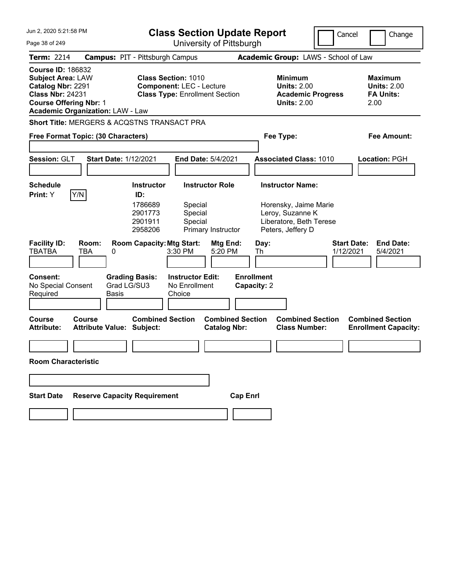| Jun 2, 2020 5:21:58 PM                                                                                                                                                           |                                            | <b>Class Section Update Report</b><br>Cancel                         |                                                                                                        |                                              |                                  |                                                                                                                      |                                                 | Change                          |      |                                                          |
|----------------------------------------------------------------------------------------------------------------------------------------------------------------------------------|--------------------------------------------|----------------------------------------------------------------------|--------------------------------------------------------------------------------------------------------|----------------------------------------------|----------------------------------|----------------------------------------------------------------------------------------------------------------------|-------------------------------------------------|---------------------------------|------|----------------------------------------------------------|
| University of Pittsburgh<br>Page 38 of 249                                                                                                                                       |                                            |                                                                      |                                                                                                        |                                              |                                  |                                                                                                                      |                                                 |                                 |      |                                                          |
| <b>Term: 2214</b>                                                                                                                                                                | <b>Campus: PIT - Pittsburgh Campus</b>     |                                                                      |                                                                                                        |                                              |                                  | Academic Group: LAWS - School of Law                                                                                 |                                                 |                                 |      |                                                          |
| <b>Course ID: 186832</b><br><b>Subject Area: LAW</b><br>Catalog Nbr: 2291<br><b>Class Nbr: 24231</b><br><b>Course Offering Nbr: 1</b><br><b>Academic Organization: LAW - Law</b> |                                            |                                                                      | <b>Class Section: 1010</b><br><b>Component: LEC - Lecture</b><br><b>Class Type: Enrollment Section</b> |                                              |                                  | <b>Minimum</b><br><b>Units: 2.00</b><br><b>Units: 2.00</b>                                                           | <b>Academic Progress</b>                        |                                 | 2.00 | <b>Maximum</b><br><b>Units: 2.00</b><br><b>FA Units:</b> |
| Short Title: MERGERS & ACQSTNS TRANSACT PRA                                                                                                                                      |                                            |                                                                      |                                                                                                        |                                              |                                  |                                                                                                                      |                                                 |                                 |      |                                                          |
| Free Format Topic: (30 Characters)                                                                                                                                               |                                            |                                                                      |                                                                                                        |                                              |                                  | Fee Type:                                                                                                            |                                                 |                                 |      | <b>Fee Amount:</b>                                       |
| Session: GLT                                                                                                                                                                     | <b>Start Date: 1/12/2021</b>               |                                                                      |                                                                                                        | End Date: 5/4/2021                           |                                  | <b>Associated Class: 1010</b>                                                                                        |                                                 |                                 |      | Location: PGH                                            |
| <b>Schedule</b><br>Y/N<br>Print: Y                                                                                                                                               |                                            | <b>Instructor</b><br>ID:<br>1786689<br>2901773<br>2901911<br>2958206 | Special<br>Special<br>Special                                                                          | <b>Instructor Role</b><br>Primary Instructor |                                  | <b>Instructor Name:</b><br>Horensky, Jaime Marie<br>Leroy, Suzanne K<br>Liberatore, Beth Terese<br>Peters, Jeffery D |                                                 |                                 |      |                                                          |
| <b>Facility ID:</b><br><b>TBATBA</b>                                                                                                                                             | Room:<br><b>TBA</b><br>0                   | <b>Room Capacity: Mtg Start:</b>                                     | 3:30 PM                                                                                                | Mtg End:<br>5:20 PM                          | Day:<br>Th                       |                                                                                                                      |                                                 | <b>Start Date:</b><br>1/12/2021 |      | <b>End Date:</b><br>5/4/2021                             |
| <b>Consent:</b><br>No Special Consent<br>Required                                                                                                                                | Grad LG/SU3<br>Basis                       | <b>Grading Basis:</b>                                                | <b>Instructor Edit:</b><br>No Enrollment<br>Choice                                                     |                                              | <b>Enrollment</b><br>Capacity: 2 |                                                                                                                      |                                                 |                                 |      |                                                          |
| Course<br><b>Attribute:</b>                                                                                                                                                      | Course<br><b>Attribute Value: Subject:</b> | <b>Combined Section</b>                                              |                                                                                                        | <b>Catalog Nbr:</b>                          | <b>Combined Section</b>          |                                                                                                                      | <b>Combined Section</b><br><b>Class Number:</b> |                                 |      | <b>Combined Section</b><br><b>Enrollment Capacity:</b>   |
| <b>Room Characteristic</b>                                                                                                                                                       |                                            |                                                                      |                                                                                                        |                                              |                                  |                                                                                                                      |                                                 |                                 |      |                                                          |
|                                                                                                                                                                                  |                                            |                                                                      |                                                                                                        |                                              |                                  |                                                                                                                      |                                                 |                                 |      |                                                          |
| <b>Start Date</b>                                                                                                                                                                | <b>Reserve Capacity Requirement</b>        |                                                                      |                                                                                                        |                                              | <b>Cap Enrl</b>                  |                                                                                                                      |                                                 |                                 |      |                                                          |
|                                                                                                                                                                                  |                                            |                                                                      |                                                                                                        |                                              |                                  |                                                                                                                      |                                                 |                                 |      |                                                          |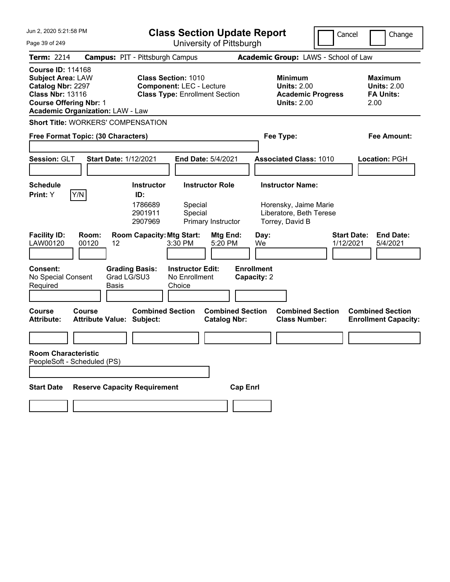| Jun 2, 2020 5:21:58 PM                                                                                                                                                           | <b>Class Section Update Report</b>                                                                                                                    | Cancel                                                                                                               | Change                                                           |
|----------------------------------------------------------------------------------------------------------------------------------------------------------------------------------|-------------------------------------------------------------------------------------------------------------------------------------------------------|----------------------------------------------------------------------------------------------------------------------|------------------------------------------------------------------|
| Page 39 of 249                                                                                                                                                                   | University of Pittsburgh                                                                                                                              |                                                                                                                      |                                                                  |
| <b>Term: 2214</b>                                                                                                                                                                | <b>Campus: PIT - Pittsburgh Campus</b>                                                                                                                | Academic Group: LAWS - School of Law                                                                                 |                                                                  |
| <b>Course ID: 114168</b><br><b>Subject Area: LAW</b><br>Catalog Nbr: 2297<br><b>Class Nbr: 13116</b><br><b>Course Offering Nbr: 1</b><br><b>Academic Organization: LAW - Law</b> | <b>Class Section: 1010</b><br><b>Component: LEC - Lecture</b><br><b>Class Type: Enrollment Section</b>                                                | <b>Minimum</b><br><b>Units: 2.00</b><br><b>Academic Progress</b><br><b>Units: 2.00</b>                               | <b>Maximum</b><br><b>Units: 2.00</b><br><b>FA Units:</b><br>2.00 |
| <b>Short Title: WORKERS' COMPENSATION</b>                                                                                                                                        |                                                                                                                                                       |                                                                                                                      |                                                                  |
| Free Format Topic: (30 Characters)                                                                                                                                               |                                                                                                                                                       | Fee Type:                                                                                                            | Fee Amount:                                                      |
|                                                                                                                                                                                  |                                                                                                                                                       |                                                                                                                      |                                                                  |
| Session: GLT                                                                                                                                                                     | <b>Start Date: 1/12/2021</b><br><b>End Date: 5/4/2021</b>                                                                                             | <b>Associated Class: 1010</b>                                                                                        | Location: PGH                                                    |
|                                                                                                                                                                                  |                                                                                                                                                       |                                                                                                                      |                                                                  |
| Schedule                                                                                                                                                                         | <b>Instructor Role</b><br><b>Instructor</b><br>ID:                                                                                                    | <b>Instructor Name:</b>                                                                                              |                                                                  |
| Y/N<br><b>Print:</b> Y<br><b>Facility ID:</b><br>Room:<br>LAW00120<br>00120                                                                                                      | 1786689<br>Special<br>2901911<br>Special<br>2907969<br>Primary Instructor<br><b>Room Capacity: Mtg Start:</b><br>Mtg End:<br>12<br>3:30 PM<br>5:20 PM | Horensky, Jaime Marie<br>Liberatore, Beth Terese<br>Torrey, David B<br><b>Start Date:</b><br>Day:<br>We<br>1/12/2021 | <b>End Date:</b><br>5/4/2021                                     |
| <b>Consent:</b><br>No Special Consent<br>Required<br><b>Basis</b>                                                                                                                | <b>Grading Basis:</b><br><b>Instructor Edit:</b><br>Grad LG/SU3<br>No Enrollment<br>Choice                                                            | <b>Enrollment</b><br>Capacity: 2                                                                                     |                                                                  |
| <b>Course</b><br>Course<br><b>Attribute:</b>                                                                                                                                     | <b>Combined Section</b><br><b>Combined Section</b><br><b>Attribute Value: Subject:</b><br><b>Catalog Nbr:</b>                                         | <b>Combined Section</b><br><b>Class Number:</b>                                                                      | <b>Combined Section</b><br><b>Enrollment Capacity:</b>           |
|                                                                                                                                                                                  |                                                                                                                                                       |                                                                                                                      |                                                                  |
| <b>Room Characteristic</b><br>PeopleSoft - Scheduled (PS)                                                                                                                        |                                                                                                                                                       |                                                                                                                      |                                                                  |
| <b>Start Date</b>                                                                                                                                                                | <b>Reserve Capacity Requirement</b><br><b>Cap Enrl</b>                                                                                                |                                                                                                                      |                                                                  |
|                                                                                                                                                                                  |                                                                                                                                                       |                                                                                                                      |                                                                  |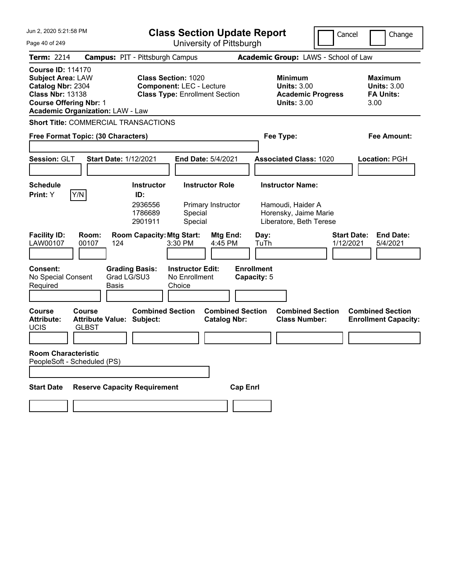| Jun 2, 2020 5:21:58 PM                                                                                                                |                                                            | <b>Class Section Update Report</b><br>University of Pittsburgh                                    |                                                                           |                                                |                                                  |                                                                                 | Cancel                               | Change                                                    |
|---------------------------------------------------------------------------------------------------------------------------------------|------------------------------------------------------------|---------------------------------------------------------------------------------------------------|---------------------------------------------------------------------------|------------------------------------------------|--------------------------------------------------|---------------------------------------------------------------------------------|--------------------------------------|-----------------------------------------------------------|
| Page 40 of 249                                                                                                                        |                                                            |                                                                                                   |                                                                           |                                                |                                                  |                                                                                 |                                      |                                                           |
| <b>Term: 2214</b>                                                                                                                     | <b>Campus: PIT - Pittsburgh Campus</b>                     |                                                                                                   |                                                                           |                                                |                                                  |                                                                                 | Academic Group: LAWS - School of Law |                                                           |
| <b>Course ID: 114170</b><br><b>Subject Area: LAW</b><br>Catalog Nbr: 2304<br><b>Class Nbr: 13138</b><br><b>Course Offering Nbr: 1</b> | <b>Academic Organization: LAW - Law</b>                    | <b>Class Section: 1020</b><br><b>Component: LEC - Lecture</b>                                     |                                                                           | <b>Class Type: Enrollment Section</b>          |                                                  | Minimum<br><b>Units: 3.00</b><br><b>Academic Progress</b><br><b>Units: 3.00</b> |                                      | Maximum<br><b>Units: 3.00</b><br><b>FA Units:</b><br>3.00 |
|                                                                                                                                       | <b>Short Title: COMMERCIAL TRANSACTIONS</b>                |                                                                                                   |                                                                           |                                                |                                                  |                                                                                 |                                      |                                                           |
|                                                                                                                                       | Free Format Topic: (30 Characters)                         |                                                                                                   |                                                                           |                                                |                                                  | Fee Type:                                                                       |                                      | Fee Amount:                                               |
| Session: GLT                                                                                                                          | <b>Start Date: 1/12/2021</b>                               |                                                                                                   |                                                                           | <b>End Date: 5/4/2021</b>                      |                                                  | <b>Associated Class: 1020</b>                                                   |                                      | Location: PGH                                             |
| <b>Schedule</b>                                                                                                                       |                                                            | <b>Instructor</b>                                                                                 |                                                                           | <b>Instructor Role</b>                         |                                                  | <b>Instructor Name:</b>                                                         |                                      |                                                           |
| <b>Print:</b> Y<br><b>Facility ID:</b><br>LAW00107<br><b>Consent:</b><br>No Special Consent                                           | Y/N<br>Room:<br>00107<br>124<br>Grad LG/SU3                | ID:<br>2936556<br>1786689<br>2901911<br><b>Room Capacity: Mtg Start:</b><br><b>Grading Basis:</b> | Special<br>Special<br>3:30 PM<br><b>Instructor Edit:</b><br>No Enrollment | Primary Instructor<br>Mtg End:<br>4:45 PM      | Day:<br>TuTh<br><b>Enrollment</b><br>Capacity: 5 | Hamoudi, Haider A<br>Horensky, Jaime Marie<br>Liberatore, Beth Terese           | <b>Start Date:</b><br>1/12/2021      | <b>End Date:</b><br>5/4/2021                              |
| Required                                                                                                                              | <b>Basis</b>                                               |                                                                                                   | Choice                                                                    |                                                |                                                  |                                                                                 |                                      |                                                           |
| Course<br><b>Attribute:</b><br><b>UCIS</b><br><b>Room Characteristic</b>                                                              | Course<br><b>Attribute Value: Subject:</b><br><b>GLBST</b> | <b>Combined Section</b>                                                                           |                                                                           | <b>Combined Section</b><br><b>Catalog Nbr:</b> |                                                  | <b>Combined Section</b><br><b>Class Number:</b>                                 |                                      | <b>Combined Section</b><br><b>Enrollment Capacity:</b>    |
|                                                                                                                                       | PeopleSoft - Scheduled (PS)                                |                                                                                                   |                                                                           |                                                |                                                  |                                                                                 |                                      |                                                           |
| <b>Start Date</b>                                                                                                                     | <b>Reserve Capacity Requirement</b>                        |                                                                                                   |                                                                           |                                                | <b>Cap Enrl</b>                                  |                                                                                 |                                      |                                                           |
|                                                                                                                                       |                                                            |                                                                                                   |                                                                           |                                                |                                                  |                                                                                 |                                      |                                                           |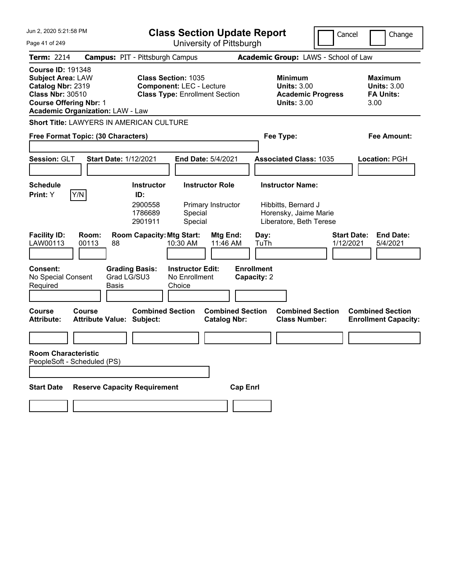| Jun 2, 2020 5:21:58 PM                                                                                                                                                           |                                                             | <b>Class Section Update Report</b>                                                                     |                                                                         | Cancel<br>Change                |                                                                  |  |
|----------------------------------------------------------------------------------------------------------------------------------------------------------------------------------|-------------------------------------------------------------|--------------------------------------------------------------------------------------------------------|-------------------------------------------------------------------------|---------------------------------|------------------------------------------------------------------|--|
| Page 41 of 249                                                                                                                                                                   |                                                             | University of Pittsburgh                                                                               |                                                                         |                                 |                                                                  |  |
| <b>Term: 2214</b>                                                                                                                                                                | <b>Campus: PIT - Pittsburgh Campus</b>                      |                                                                                                        | Academic Group: LAWS - School of Law                                    |                                 |                                                                  |  |
| <b>Course ID: 191348</b><br><b>Subject Area: LAW</b><br>Catalog Nbr: 2319<br><b>Class Nbr: 30510</b><br><b>Course Offering Nbr: 1</b><br><b>Academic Organization: LAW - Law</b> |                                                             | <b>Class Section: 1035</b><br><b>Component: LEC - Lecture</b><br><b>Class Type: Enrollment Section</b> | <b>Minimum</b><br><b>Units: 3.00</b><br><b>Units: 3.00</b>              | <b>Academic Progress</b>        | <b>Maximum</b><br><b>Units: 3.00</b><br><b>FA Units:</b><br>3.00 |  |
|                                                                                                                                                                                  | Short Title: LAWYERS IN AMERICAN CULTURE                    |                                                                                                        |                                                                         |                                 |                                                                  |  |
| Free Format Topic: (30 Characters)                                                                                                                                               |                                                             |                                                                                                        | Fee Type:                                                               |                                 | Fee Amount:                                                      |  |
| Session: GLT                                                                                                                                                                     | Start Date: 1/12/2021                                       | End Date: 5/4/2021                                                                                     | <b>Associated Class: 1035</b>                                           |                                 | <b>Location: PGH</b>                                             |  |
| <b>Schedule</b>                                                                                                                                                                  | <b>Instructor</b>                                           | <b>Instructor Role</b>                                                                                 | <b>Instructor Name:</b>                                                 |                                 |                                                                  |  |
| Y/N<br>Print: Y                                                                                                                                                                  | ID:<br>2900558<br>1786689<br>2901911                        | Primary Instructor<br>Special<br>Special                                                               | Hibbitts, Bernard J<br>Horensky, Jaime Marie<br>Liberatore, Beth Terese |                                 |                                                                  |  |
| <b>Facility ID:</b><br>Room:<br>LAW00113<br>00113                                                                                                                                | <b>Room Capacity: Mtg Start:</b><br>88                      | Mtg End:<br>11:46 AM<br>10:30 AM                                                                       | Day:<br>TuTh                                                            | <b>Start Date:</b><br>1/12/2021 | <b>End Date:</b><br>5/4/2021                                     |  |
| <b>Consent:</b><br>No Special Consent<br>Required                                                                                                                                | <b>Grading Basis:</b><br>Grad LG/SU3<br><b>Basis</b>        | <b>Instructor Edit:</b><br>No Enrollment<br>Choice                                                     | <b>Enrollment</b><br>Capacity: 2                                        |                                 |                                                                  |  |
| <b>Course</b><br>Course<br><b>Attribute:</b>                                                                                                                                     | <b>Combined Section</b><br><b>Attribute Value: Subject:</b> | <b>Catalog Nbr:</b>                                                                                    | <b>Combined Section</b><br><b>Class Number:</b>                         | <b>Combined Section</b>         | <b>Combined Section</b><br><b>Enrollment Capacity:</b>           |  |
|                                                                                                                                                                                  |                                                             |                                                                                                        |                                                                         |                                 |                                                                  |  |
| <b>Room Characteristic</b><br>PeopleSoft - Scheduled (PS)                                                                                                                        |                                                             |                                                                                                        |                                                                         |                                 |                                                                  |  |
| <b>Start Date</b>                                                                                                                                                                | <b>Reserve Capacity Requirement</b>                         |                                                                                                        | <b>Cap Enrl</b>                                                         |                                 |                                                                  |  |
|                                                                                                                                                                                  |                                                             |                                                                                                        |                                                                         |                                 |                                                                  |  |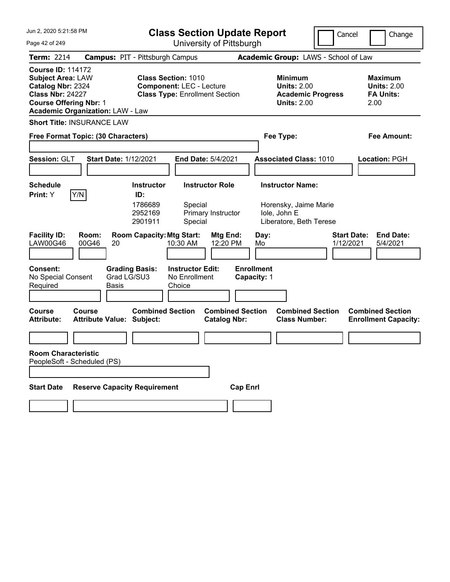| Jun 2, 2020 5:21:58 PM                                                                                                                                                           | <b>Class Section Update Report</b>                                                                     | Cancel                                                                          | Change                                                           |
|----------------------------------------------------------------------------------------------------------------------------------------------------------------------------------|--------------------------------------------------------------------------------------------------------|---------------------------------------------------------------------------------|------------------------------------------------------------------|
| Page 42 of 249                                                                                                                                                                   | University of Pittsburgh                                                                               |                                                                                 |                                                                  |
| <b>Term: 2214</b>                                                                                                                                                                | <b>Campus: PIT - Pittsburgh Campus</b>                                                                 | Academic Group: LAWS - School of Law                                            |                                                                  |
| <b>Course ID: 114172</b><br><b>Subject Area: LAW</b><br>Catalog Nbr: 2324<br><b>Class Nbr: 24227</b><br><b>Course Offering Nbr: 1</b><br><b>Academic Organization: LAW - Law</b> | <b>Class Section: 1010</b><br><b>Component: LEC - Lecture</b><br><b>Class Type: Enrollment Section</b> | Minimum<br><b>Units: 2.00</b><br><b>Academic Progress</b><br><b>Units: 2.00</b> | <b>Maximum</b><br><b>Units: 2.00</b><br><b>FA Units:</b><br>2.00 |
| <b>Short Title: INSURANCE LAW</b>                                                                                                                                                |                                                                                                        |                                                                                 |                                                                  |
| Free Format Topic: (30 Characters)                                                                                                                                               |                                                                                                        | Fee Type:                                                                       | <b>Fee Amount:</b>                                               |
|                                                                                                                                                                                  |                                                                                                        |                                                                                 |                                                                  |
| Session: GLT<br><b>Start Date: 1/12/2021</b>                                                                                                                                     | End Date: 5/4/2021                                                                                     | <b>Associated Class: 1010</b>                                                   | Location: PGH                                                    |
|                                                                                                                                                                                  |                                                                                                        |                                                                                 |                                                                  |
| <b>Schedule</b><br>Y/N<br>Print: Y                                                                                                                                               | <b>Instructor Role</b><br><b>Instructor</b><br>ID:                                                     | <b>Instructor Name:</b>                                                         |                                                                  |
|                                                                                                                                                                                  | 1786689<br>Special<br>2952169<br>Primary Instructor<br>2901911<br>Special                              | Horensky, Jaime Marie<br>Iole, John E<br>Liberatore, Beth Terese                |                                                                  |
| <b>Facility ID:</b><br>Room:<br>LAW00G46<br>00G46<br>20                                                                                                                          | <b>Room Capacity: Mtg Start:</b><br>Mtg End:<br>12:20 PM<br>10:30 AM                                   | Day:<br>1/12/2021<br>Mo                                                         | <b>Start Date:</b><br><b>End Date:</b><br>5/4/2021               |
| <b>Consent:</b><br><b>Grading Basis:</b><br>Grad LG/SU3<br>No Special Consent<br>Required<br>Basis                                                                               | <b>Instructor Edit:</b><br>No Enrollment<br>Choice                                                     | <b>Enrollment</b><br>Capacity: 1                                                |                                                                  |
| <b>Course</b><br>Course<br><b>Attribute:</b><br><b>Attribute Value: Subject:</b>                                                                                                 | <b>Combined Section</b><br><b>Combined Section</b><br><b>Catalog Nbr:</b>                              | <b>Combined Section</b><br><b>Class Number:</b>                                 | <b>Combined Section</b><br><b>Enrollment Capacity:</b>           |
|                                                                                                                                                                                  |                                                                                                        |                                                                                 |                                                                  |
| <b>Room Characteristic</b><br>PeopleSoft - Scheduled (PS)                                                                                                                        |                                                                                                        |                                                                                 |                                                                  |
|                                                                                                                                                                                  |                                                                                                        |                                                                                 |                                                                  |
| <b>Reserve Capacity Requirement</b><br><b>Start Date</b>                                                                                                                         | <b>Cap Enrl</b>                                                                                        |                                                                                 |                                                                  |
|                                                                                                                                                                                  |                                                                                                        |                                                                                 |                                                                  |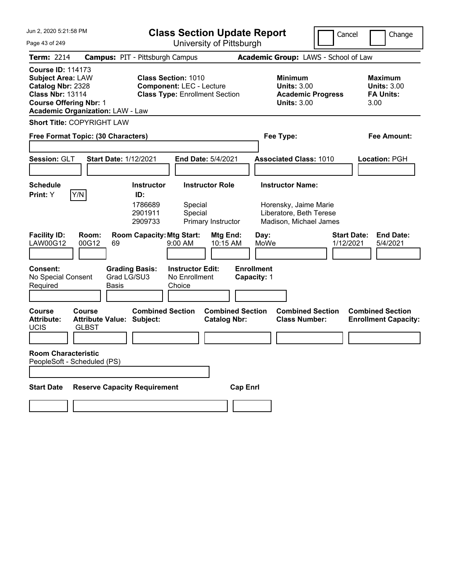| Jun 2, 2020 5:21:58 PM                                                                                                                                                           | <b>Class Section Update Report</b>                                                                     | Cancel                                                                                 | Change                                                           |
|----------------------------------------------------------------------------------------------------------------------------------------------------------------------------------|--------------------------------------------------------------------------------------------------------|----------------------------------------------------------------------------------------|------------------------------------------------------------------|
| Page 43 of 249                                                                                                                                                                   | University of Pittsburgh                                                                               |                                                                                        |                                                                  |
| <b>Term: 2214</b>                                                                                                                                                                | <b>Campus: PIT - Pittsburgh Campus</b>                                                                 | Academic Group: LAWS - School of Law                                                   |                                                                  |
| <b>Course ID: 114173</b><br><b>Subject Area: LAW</b><br>Catalog Nbr: 2328<br><b>Class Nbr: 13114</b><br><b>Course Offering Nbr: 1</b><br><b>Academic Organization: LAW - Law</b> | <b>Class Section: 1010</b><br><b>Component: LEC - Lecture</b><br><b>Class Type: Enrollment Section</b> | <b>Minimum</b><br><b>Units: 3.00</b><br><b>Academic Progress</b><br><b>Units: 3.00</b> | <b>Maximum</b><br><b>Units: 3.00</b><br><b>FA Units:</b><br>3.00 |
| <b>Short Title: COPYRIGHT LAW</b>                                                                                                                                                |                                                                                                        |                                                                                        |                                                                  |
| Free Format Topic: (30 Characters)                                                                                                                                               |                                                                                                        | Fee Type:                                                                              | <b>Fee Amount:</b>                                               |
|                                                                                                                                                                                  |                                                                                                        |                                                                                        |                                                                  |
| Session: GLT<br><b>Start Date: 1/12/2021</b>                                                                                                                                     | End Date: 5/4/2021                                                                                     | <b>Associated Class: 1010</b>                                                          | Location: PGH                                                    |
|                                                                                                                                                                                  |                                                                                                        |                                                                                        |                                                                  |
| <b>Schedule</b>                                                                                                                                                                  | <b>Instructor</b><br><b>Instructor Role</b>                                                            | <b>Instructor Name:</b>                                                                |                                                                  |
| Y/N<br>Print: Y                                                                                                                                                                  | ID:<br>1786689<br>Special<br>2901911<br>Special<br>2909733<br>Primary Instructor                       | Horensky, Jaime Marie<br>Liberatore, Beth Terese<br>Madison, Michael James             |                                                                  |
| <b>Facility ID:</b><br>Room:<br>LAW00G12<br>00G12<br>69                                                                                                                          | <b>Room Capacity: Mtg Start:</b><br>Mtg End:<br>10:15 AM<br>$9:00$ AM                                  | Day:<br>MoWe<br>1/12/2021                                                              | <b>Start Date:</b><br><b>End Date:</b><br>5/4/2021               |
| <b>Consent:</b><br>No Special Consent<br>Required<br>Basis                                                                                                                       | <b>Grading Basis:</b><br><b>Instructor Edit:</b><br>Grad LG/SU3<br>No Enrollment<br>Choice             | <b>Enrollment</b><br>Capacity: 1                                                       |                                                                  |
| <b>Course</b><br>Course<br><b>Attribute:</b><br><b>Attribute Value: Subject:</b><br><b>UCIS</b><br><b>GLBST</b>                                                                  | <b>Combined Section</b><br><b>Combined Section</b><br><b>Catalog Nbr:</b>                              | <b>Combined Section</b><br><b>Class Number:</b>                                        | <b>Combined Section</b><br><b>Enrollment Capacity:</b>           |
|                                                                                                                                                                                  |                                                                                                        |                                                                                        |                                                                  |
| <b>Room Characteristic</b><br>PeopleSoft - Scheduled (PS)                                                                                                                        |                                                                                                        |                                                                                        |                                                                  |
|                                                                                                                                                                                  |                                                                                                        |                                                                                        |                                                                  |
| <b>Start Date</b>                                                                                                                                                                | <b>Reserve Capacity Requirement</b><br><b>Cap Enrl</b>                                                 |                                                                                        |                                                                  |
|                                                                                                                                                                                  |                                                                                                        |                                                                                        |                                                                  |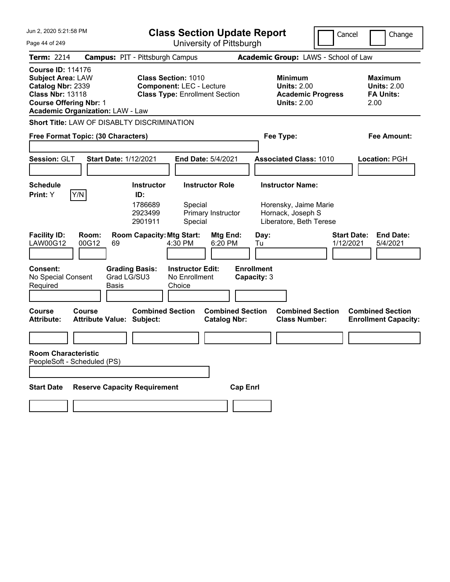Jun 2, 2020 5:21:58 PM Page 44 of 249 **Class Section Update Report** University of Pittsburgh Cancel Change **Term:** 2214 **Campus:** PIT - Pittsburgh Campus **Academic Group:** LAWS - School of Law **Course ID:** 114176 **Subject Area:** LAW **Class Section:** 1010 **Minimum Maximum Catalog Nbr:** 2339 **Component:** LEC - Lecture **Units:** 2.00 **Units:** 2.00 **Class Nbr:** 13118 **Class Type:** Enrollment Section **Academic Progress FA Units: Course Offering Nbr:** 1 **Units:** 2.00 2.00 **Academic Organization:** LAW - Law **Short Title:** LAW OF DISABLTY DISCRIMINATION **Free Format Topic: (30 Characters) Fee Type: Fee Amount: Session:** GLT **Start Date:** 1/12/2021 **End Date:** 5/4/2021 **Associated Class:** 1010 **Location:** PGH **Schedule Instructor Instructor Role Instructor Name: Print:**  $Y$   $|Y/N|$  **ID:** 1786689 Special Horensky, Jaime Marie 2923499 Primary Instructor Hornack, Joseph S 2901911 Special Liberatore, Beth Terese **Facility ID: Room: Room Capacity: Mtg Start: Mtg End: Day: Start Date: End Date: End Date: LAW00G12 00G12 69 4:30 PM 6:20 PM Tu** LAW00G12 00G12 69 4:30 PM 6:20 PM Tu 1/12/2021 5/4/2021 **Consent: Grading Basis: Instructor Edit: Enrollment** No Special Consent Required Grad LG/SU3 Basis No Enrollment **Choice Capacity:** 3 **Course Course Combined Section Combined Section Combined Section Combined Section**  Attribute Value: Subject: Catalog Nbr: Class Number: Enrollment Capacity: **Room Characteristic** PeopleSoft - Scheduled (PS) **Start Date Reserve Capacity Requirement Cap Enrl**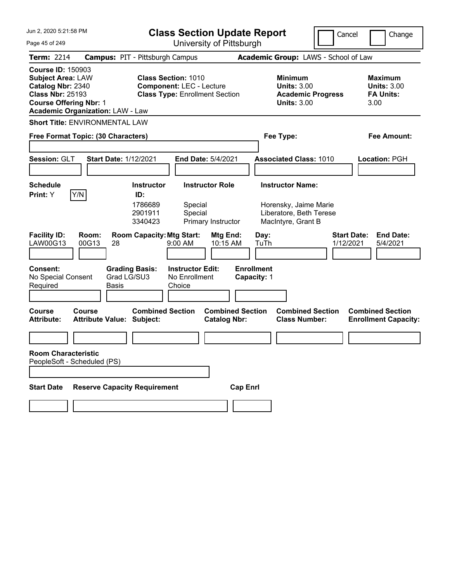| Jun 2, 2020 5:21:58 PM                                                                                                                                                           | <b>Class Section Update Report</b>                                                                     | Cancel                                                                                 | Change                                                           |
|----------------------------------------------------------------------------------------------------------------------------------------------------------------------------------|--------------------------------------------------------------------------------------------------------|----------------------------------------------------------------------------------------|------------------------------------------------------------------|
| Page 45 of 249                                                                                                                                                                   | University of Pittsburgh                                                                               |                                                                                        |                                                                  |
| <b>Term: 2214</b>                                                                                                                                                                | <b>Campus: PIT - Pittsburgh Campus</b>                                                                 | Academic Group: LAWS - School of Law                                                   |                                                                  |
| <b>Course ID: 150903</b><br><b>Subject Area: LAW</b><br>Catalog Nbr: 2340<br><b>Class Nbr: 25193</b><br><b>Course Offering Nbr: 1</b><br><b>Academic Organization: LAW - Law</b> | <b>Class Section: 1010</b><br><b>Component: LEC - Lecture</b><br><b>Class Type: Enrollment Section</b> | <b>Minimum</b><br><b>Units: 3.00</b><br><b>Academic Progress</b><br><b>Units: 3.00</b> | <b>Maximum</b><br><b>Units: 3.00</b><br><b>FA Units:</b><br>3.00 |
| <b>Short Title: ENVIRONMENTAL LAW</b>                                                                                                                                            |                                                                                                        |                                                                                        |                                                                  |
| Free Format Topic: (30 Characters)                                                                                                                                               |                                                                                                        | Fee Type:                                                                              | <b>Fee Amount:</b>                                               |
| Session: GLT<br><b>Start Date: 1/12/2021</b>                                                                                                                                     | End Date: 5/4/2021                                                                                     | <b>Associated Class: 1010</b>                                                          | Location: PGH                                                    |
| <b>Schedule</b>                                                                                                                                                                  | <b>Instructor</b><br><b>Instructor Role</b>                                                            | <b>Instructor Name:</b>                                                                |                                                                  |
| Y/N<br>Print: Y                                                                                                                                                                  | ID:<br>1786689<br>Special<br>2901911<br>Special<br>Primary Instructor<br>3340423                       | Horensky, Jaime Marie<br>Liberatore, Beth Terese<br>MacIntyre, Grant B                 |                                                                  |
| <b>Facility ID:</b><br>Room:<br>LAW00G13<br>00G13<br>28                                                                                                                          | <b>Room Capacity: Mtg Start:</b><br>Mtg End:<br>10:15 AM<br>$9:00$ AM                                  | Day:<br>TuTh<br>1/12/2021                                                              | <b>Start Date:</b><br><b>End Date:</b><br>5/4/2021               |
| <b>Consent:</b><br>Grad LG/SU3<br>No Special Consent<br>Required<br>Basis                                                                                                        | <b>Grading Basis:</b><br><b>Instructor Edit:</b><br>No Enrollment<br>Choice                            | <b>Enrollment</b><br>Capacity: 1                                                       |                                                                  |
| <b>Course</b><br>Course<br><b>Attribute Value: Subject:</b><br><b>Attribute:</b>                                                                                                 | <b>Combined Section</b><br><b>Combined Section</b><br><b>Catalog Nbr:</b>                              | <b>Combined Section</b><br><b>Class Number:</b>                                        | <b>Combined Section</b><br><b>Enrollment Capacity:</b>           |
|                                                                                                                                                                                  |                                                                                                        |                                                                                        |                                                                  |
| <b>Room Characteristic</b><br>PeopleSoft - Scheduled (PS)                                                                                                                        |                                                                                                        |                                                                                        |                                                                  |
| <b>Reserve Capacity Requirement</b><br><b>Start Date</b>                                                                                                                         |                                                                                                        | <b>Cap Enrl</b>                                                                        |                                                                  |
|                                                                                                                                                                                  |                                                                                                        |                                                                                        |                                                                  |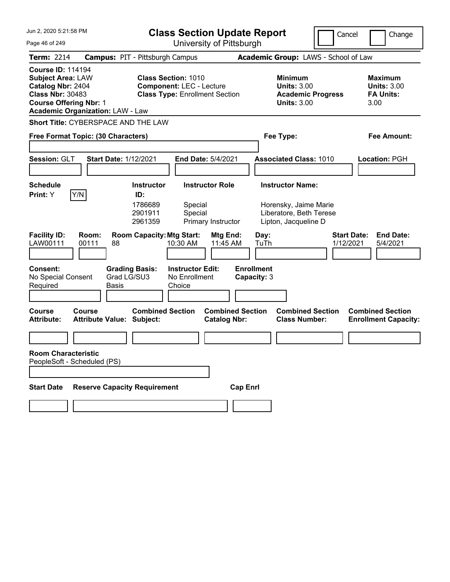| Jun 2, 2020 5:21:58 PM                                                                                                                                                           |                                                      |                                                                                                        | <b>Class Section Update Report</b>                 |                                                |                 |                                  |                                                                          |                                      | Cancel             | Change                                                           |
|----------------------------------------------------------------------------------------------------------------------------------------------------------------------------------|------------------------------------------------------|--------------------------------------------------------------------------------------------------------|----------------------------------------------------|------------------------------------------------|-----------------|----------------------------------|--------------------------------------------------------------------------|--------------------------------------|--------------------|------------------------------------------------------------------|
| University of Pittsburgh<br>Page 46 of 249                                                                                                                                       |                                                      |                                                                                                        |                                                    |                                                |                 |                                  |                                                                          |                                      |                    |                                                                  |
| <b>Term: 2214</b>                                                                                                                                                                | <b>Campus: PIT - Pittsburgh Campus</b>               |                                                                                                        |                                                    |                                                |                 |                                  |                                                                          | Academic Group: LAWS - School of Law |                    |                                                                  |
| <b>Course ID: 114194</b><br><b>Subject Area: LAW</b><br>Catalog Nbr: 2404<br><b>Class Nbr: 30483</b><br><b>Course Offering Nbr: 1</b><br><b>Academic Organization: LAW - Law</b> |                                                      | <b>Class Section: 1010</b><br><b>Component: LEC - Lecture</b><br><b>Class Type: Enrollment Section</b> |                                                    |                                                |                 |                                  | <b>Minimum</b><br><b>Units: 3.00</b><br><b>Units: 3.00</b>               | <b>Academic Progress</b>             |                    | <b>Maximum</b><br><b>Units: 3.00</b><br><b>FA Units:</b><br>3.00 |
| Short Title: CYBERSPACE AND THE LAW                                                                                                                                              |                                                      |                                                                                                        |                                                    |                                                |                 |                                  |                                                                          |                                      |                    |                                                                  |
| Free Format Topic: (30 Characters)                                                                                                                                               |                                                      |                                                                                                        |                                                    |                                                |                 |                                  | Fee Type:                                                                |                                      |                    | Fee Amount:                                                      |
|                                                                                                                                                                                  |                                                      |                                                                                                        |                                                    |                                                |                 |                                  |                                                                          |                                      |                    |                                                                  |
| Session: GLT                                                                                                                                                                     | <b>Start Date: 1/12/2021</b>                         |                                                                                                        |                                                    | <b>End Date: 5/4/2021</b>                      |                 |                                  | <b>Associated Class: 1010</b>                                            |                                      |                    | Location: PGH                                                    |
|                                                                                                                                                                                  |                                                      |                                                                                                        |                                                    |                                                |                 |                                  |                                                                          |                                      |                    |                                                                  |
| Schedule<br>Y/N<br><b>Print:</b> Y                                                                                                                                               |                                                      | <b>Instructor</b><br>ID:                                                                               |                                                    | <b>Instructor Role</b>                         |                 |                                  | <b>Instructor Name:</b>                                                  |                                      |                    |                                                                  |
| <b>Facility ID:</b><br>Room:                                                                                                                                                     |                                                      | 1786689<br>2901911<br>2961359<br><b>Room Capacity: Mtg Start:</b>                                      | Special<br>Special                                 | Primary Instructor<br>Mtg End:                 |                 | Day:                             | Horensky, Jaime Marie<br>Liberatore, Beth Terese<br>Lipton, Jacqueline D |                                      | <b>Start Date:</b> | <b>End Date:</b>                                                 |
| LAW00111<br>00111                                                                                                                                                                | 88                                                   |                                                                                                        | 10:30 AM                                           | 11:45 AM                                       |                 | TuTh                             |                                                                          |                                      | 1/12/2021          | 5/4/2021                                                         |
| <b>Consent:</b><br>No Special Consent<br>Required                                                                                                                                | <b>Grading Basis:</b><br>Grad LG/SU3<br><b>Basis</b> |                                                                                                        | <b>Instructor Edit:</b><br>No Enrollment<br>Choice |                                                |                 | <b>Enrollment</b><br>Capacity: 3 |                                                                          |                                      |                    |                                                                  |
| <b>Course</b><br>Course<br><b>Attribute:</b>                                                                                                                                     | <b>Attribute Value: Subject:</b>                     | <b>Combined Section</b>                                                                                |                                                    | <b>Combined Section</b><br><b>Catalog Nbr:</b> |                 |                                  | <b>Combined Section</b><br><b>Class Number:</b>                          |                                      |                    | <b>Combined Section</b><br><b>Enrollment Capacity:</b>           |
|                                                                                                                                                                                  |                                                      |                                                                                                        |                                                    |                                                |                 |                                  |                                                                          |                                      |                    |                                                                  |
| <b>Room Characteristic</b><br>PeopleSoft - Scheduled (PS)                                                                                                                        |                                                      |                                                                                                        |                                                    |                                                |                 |                                  |                                                                          |                                      |                    |                                                                  |
|                                                                                                                                                                                  |                                                      |                                                                                                        |                                                    |                                                |                 |                                  |                                                                          |                                      |                    |                                                                  |
| <b>Start Date</b>                                                                                                                                                                | <b>Reserve Capacity Requirement</b>                  |                                                                                                        |                                                    |                                                | <b>Cap Enrl</b> |                                  |                                                                          |                                      |                    |                                                                  |
|                                                                                                                                                                                  |                                                      |                                                                                                        |                                                    |                                                |                 |                                  |                                                                          |                                      |                    |                                                                  |
|                                                                                                                                                                                  |                                                      |                                                                                                        |                                                    |                                                |                 |                                  |                                                                          |                                      |                    |                                                                  |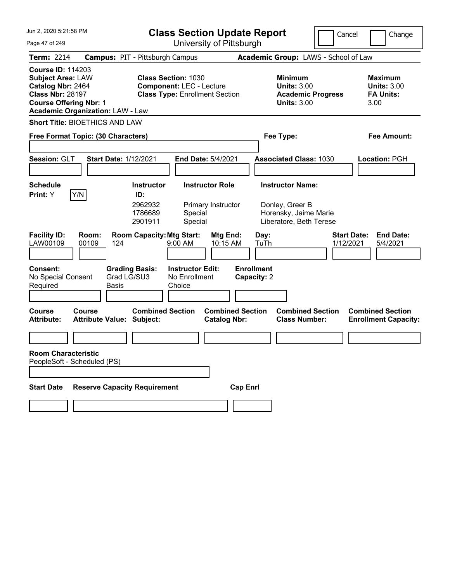| Jun 2, 2020 5:21:58 PM<br>Page 47 of 249                                                                                                                                         | <b>Class Section Update Report</b><br>University of Pittsburgh                                         | Cancel                                                                                 | Change                                                           |
|----------------------------------------------------------------------------------------------------------------------------------------------------------------------------------|--------------------------------------------------------------------------------------------------------|----------------------------------------------------------------------------------------|------------------------------------------------------------------|
|                                                                                                                                                                                  |                                                                                                        |                                                                                        |                                                                  |
| <b>Term: 2214</b>                                                                                                                                                                | <b>Campus: PIT - Pittsburgh Campus</b>                                                                 | Academic Group: LAWS - School of Law                                                   |                                                                  |
| <b>Course ID: 114203</b><br><b>Subject Area: LAW</b><br>Catalog Nbr: 2464<br><b>Class Nbr: 28197</b><br><b>Course Offering Nbr: 1</b><br><b>Academic Organization: LAW - Law</b> | <b>Class Section: 1030</b><br><b>Component: LEC - Lecture</b><br><b>Class Type: Enrollment Section</b> | <b>Minimum</b><br><b>Units: 3.00</b><br><b>Academic Progress</b><br><b>Units: 3.00</b> | <b>Maximum</b><br><b>Units: 3.00</b><br><b>FA Units:</b><br>3.00 |
| <b>Short Title: BIOETHICS AND LAW</b>                                                                                                                                            |                                                                                                        |                                                                                        |                                                                  |
| Free Format Topic: (30 Characters)                                                                                                                                               |                                                                                                        | Fee Type:                                                                              | <b>Fee Amount:</b>                                               |
| Session: GLT<br><b>Start Date: 1/12/2021</b>                                                                                                                                     | End Date: 5/4/2021                                                                                     | <b>Associated Class: 1030</b>                                                          | Location: PGH                                                    |
| <b>Schedule</b>                                                                                                                                                                  | <b>Instructor</b><br><b>Instructor Role</b>                                                            | <b>Instructor Name:</b>                                                                |                                                                  |
| Y/N<br>Print: Y                                                                                                                                                                  | ID:<br>2962932<br>Primary Instructor<br>1786689<br>Special<br>2901911<br>Special                       | Donley, Greer B<br>Horensky, Jaime Marie<br>Liberatore, Beth Terese                    |                                                                  |
| <b>Facility ID:</b><br>Room:<br>LAW00109<br>00109<br>124                                                                                                                         | <b>Room Capacity: Mtg Start:</b><br><b>Mtg End:</b><br>9:00 AM<br>10:15 AM                             | Day:<br>TuTh<br>1/12/2021                                                              | <b>Start Date:</b><br><b>End Date:</b><br>5/4/2021               |
| <b>Consent:</b><br>No Special Consent<br>Required<br>Basis                                                                                                                       | <b>Grading Basis:</b><br><b>Instructor Edit:</b><br>Grad LG/SU3<br>No Enrollment<br>Choice             | <b>Enrollment</b><br>Capacity: 2                                                       |                                                                  |
| <b>Course</b><br>Course<br><b>Attribute Value: Subject:</b><br><b>Attribute:</b>                                                                                                 | <b>Combined Section</b><br><b>Combined Section</b><br><b>Catalog Nbr:</b>                              | <b>Combined Section</b><br><b>Class Number:</b>                                        | <b>Combined Section</b><br><b>Enrollment Capacity:</b>           |
|                                                                                                                                                                                  |                                                                                                        |                                                                                        |                                                                  |
| <b>Room Characteristic</b><br>PeopleSoft - Scheduled (PS)                                                                                                                        |                                                                                                        |                                                                                        |                                                                  |
| <b>Reserve Capacity Requirement</b><br><b>Start Date</b>                                                                                                                         |                                                                                                        | <b>Cap Enrl</b>                                                                        |                                                                  |
|                                                                                                                                                                                  |                                                                                                        |                                                                                        |                                                                  |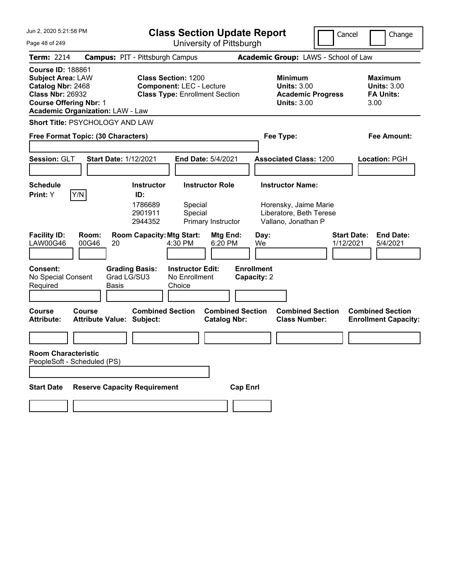| University of Pittsburgh<br>Page 48 of 249<br><b>Term: 2214</b><br><b>Campus: PIT - Pittsburgh Campus</b><br>Academic Group: LAWS - School of Law<br><b>Course ID: 188861</b><br><b>Class Section: 1200</b><br><b>Subject Area: LAW</b><br><b>Maximum</b><br>Minimum<br><b>Units: 3.00</b><br><b>Units: 3.00</b><br>Catalog Nbr: 2468<br><b>Component: LEC - Lecture</b><br><b>Class Nbr: 26932</b><br><b>Class Type: Enrollment Section</b><br><b>FA Units:</b><br><b>Academic Progress</b> |  |
|----------------------------------------------------------------------------------------------------------------------------------------------------------------------------------------------------------------------------------------------------------------------------------------------------------------------------------------------------------------------------------------------------------------------------------------------------------------------------------------------|--|
|                                                                                                                                                                                                                                                                                                                                                                                                                                                                                              |  |
|                                                                                                                                                                                                                                                                                                                                                                                                                                                                                              |  |
| <b>Course Offering Nbr: 1</b><br><b>Units: 3.00</b><br>3.00<br><b>Academic Organization: LAW - Law</b>                                                                                                                                                                                                                                                                                                                                                                                       |  |
| <b>Short Title: PSYCHOLOGY AND LAW</b>                                                                                                                                                                                                                                                                                                                                                                                                                                                       |  |
| Free Format Topic: (30 Characters)<br>Fee Type:<br><b>Fee Amount:</b>                                                                                                                                                                                                                                                                                                                                                                                                                        |  |
|                                                                                                                                                                                                                                                                                                                                                                                                                                                                                              |  |
| Session: GLT<br><b>Start Date: 1/12/2021</b><br>End Date: 5/4/2021<br><b>Associated Class: 1200</b><br>Location: PGH                                                                                                                                                                                                                                                                                                                                                                         |  |
|                                                                                                                                                                                                                                                                                                                                                                                                                                                                                              |  |
| <b>Instructor Role</b><br><b>Instructor Name:</b><br><b>Schedule</b><br><b>Instructor</b>                                                                                                                                                                                                                                                                                                                                                                                                    |  |
| Y/N<br>Print: Y<br>ID:<br>1786689<br>Horensky, Jaime Marie<br>Special<br>Liberatore, Beth Terese<br>2901911<br>Special<br>2944352<br>Primary Instructor<br>Vallano, Jonathan P                                                                                                                                                                                                                                                                                                               |  |
| <b>Facility ID:</b><br>Room:<br><b>Room Capacity: Mtg Start:</b><br><b>Start Date:</b><br><b>End Date:</b><br>Mtg End:<br>Day:<br>LAW00G46<br>00G46<br>4:30 PM<br>6:20 PM<br>1/12/2021<br>20<br>We<br>5/4/2021                                                                                                                                                                                                                                                                               |  |
| <b>Instructor Edit:</b><br><b>Enrollment</b><br><b>Consent:</b><br><b>Grading Basis:</b><br>Grad LG/SU3<br>No Special Consent<br>No Enrollment<br>Capacity: 2<br>Required<br>Choice<br>Basis                                                                                                                                                                                                                                                                                                 |  |
| <b>Combined Section</b><br><b>Combined Section</b><br><b>Combined Section</b><br><b>Combined Section</b><br><b>Course</b><br>Course<br><b>Class Number:</b><br><b>Attribute:</b><br><b>Attribute Value: Subject:</b><br><b>Catalog Nbr:</b><br><b>Enrollment Capacity:</b>                                                                                                                                                                                                                   |  |
|                                                                                                                                                                                                                                                                                                                                                                                                                                                                                              |  |
| <b>Room Characteristic</b><br>PeopleSoft - Scheduled (PS)                                                                                                                                                                                                                                                                                                                                                                                                                                    |  |
|                                                                                                                                                                                                                                                                                                                                                                                                                                                                                              |  |
| <b>Reserve Capacity Requirement</b><br><b>Cap Enrl</b><br><b>Start Date</b>                                                                                                                                                                                                                                                                                                                                                                                                                  |  |
|                                                                                                                                                                                                                                                                                                                                                                                                                                                                                              |  |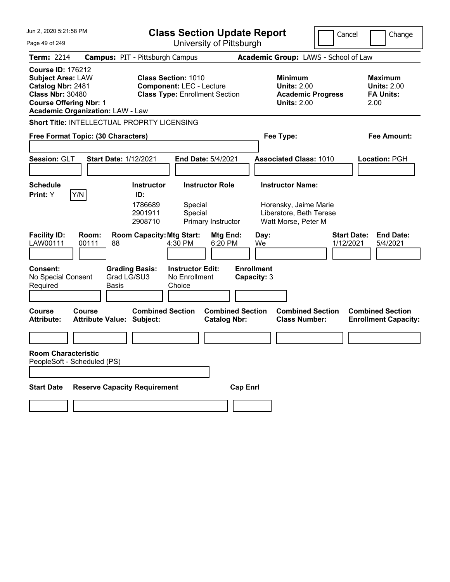| Jun 2, 2020 5:21:58 PM<br><b>Class Section Update Report</b>                                                                          |                                                    |                                        |                                                                          |                                                |                                  |                                                                                        | Cancel                          | Change                                                           |
|---------------------------------------------------------------------------------------------------------------------------------------|----------------------------------------------------|----------------------------------------|--------------------------------------------------------------------------|------------------------------------------------|----------------------------------|----------------------------------------------------------------------------------------|---------------------------------|------------------------------------------------------------------|
| Page 49 of 249                                                                                                                        | University of Pittsburgh                           |                                        |                                                                          |                                                |                                  |                                                                                        |                                 |                                                                  |
| <b>Term: 2214</b>                                                                                                                     |                                                    | <b>Campus: PIT - Pittsburgh Campus</b> |                                                                          |                                                |                                  | Academic Group: LAWS - School of Law                                                   |                                 |                                                                  |
| <b>Course ID: 176212</b><br><b>Subject Area: LAW</b><br>Catalog Nbr: 2481<br><b>Class Nbr: 30480</b><br><b>Course Offering Nbr: 1</b> | <b>Academic Organization: LAW - Law</b>            | <b>Class Section: 1010</b>             | <b>Component: LEC - Lecture</b><br><b>Class Type: Enrollment Section</b> |                                                |                                  | <b>Minimum</b><br><b>Units: 2.00</b><br><b>Academic Progress</b><br><b>Units: 2.00</b> |                                 | <b>Maximum</b><br><b>Units: 2.00</b><br><b>FA Units:</b><br>2.00 |
|                                                                                                                                       | <b>Short Title: INTELLECTUAL PROPRTY LICENSING</b> |                                        |                                                                          |                                                |                                  |                                                                                        |                                 |                                                                  |
|                                                                                                                                       | Free Format Topic: (30 Characters)                 |                                        |                                                                          |                                                | Fee Type:                        |                                                                                        |                                 | <b>Fee Amount:</b>                                               |
| Session: GLT                                                                                                                          | <b>Start Date: 1/12/2021</b>                       |                                        | End Date: 5/4/2021                                                       |                                                |                                  | <b>Associated Class: 1010</b>                                                          |                                 | Location: PGH                                                    |
| <b>Schedule</b>                                                                                                                       |                                                    | <b>Instructor</b>                      | <b>Instructor Role</b>                                                   |                                                |                                  | <b>Instructor Name:</b>                                                                |                                 |                                                                  |
| Print: Y                                                                                                                              | Y/N                                                | ID:<br>1786689<br>2901911<br>2908710   | Special<br>Special<br>Primary Instructor                                 |                                                |                                  | Horensky, Jaime Marie<br>Liberatore, Beth Terese<br>Watt Morse, Peter M                |                                 |                                                                  |
| <b>Facility ID:</b><br>LAW00111                                                                                                       | Room:<br>00111<br>88                               | <b>Room Capacity: Mtg Start:</b>       | 4:30 PM                                                                  | Mtg End:<br>6:20 PM                            | Day:<br>We                       |                                                                                        | <b>Start Date:</b><br>1/12/2021 | <b>End Date:</b><br>5/4/2021                                     |
| <b>Consent:</b><br>No Special Consent<br>Required                                                                                     | <b>Basis</b>                                       | <b>Grading Basis:</b><br>Grad LG/SU3   | <b>Instructor Edit:</b><br>No Enrollment<br>Choice                       |                                                | <b>Enrollment</b><br>Capacity: 3 |                                                                                        |                                 |                                                                  |
| <b>Course</b><br><b>Attribute:</b>                                                                                                    | <b>Course</b><br><b>Attribute Value: Subject:</b>  | <b>Combined Section</b>                |                                                                          | <b>Combined Section</b><br><b>Catalog Nbr:</b> |                                  | <b>Combined Section</b><br><b>Class Number:</b>                                        |                                 | <b>Combined Section</b><br><b>Enrollment Capacity:</b>           |
|                                                                                                                                       |                                                    |                                        |                                                                          |                                                |                                  |                                                                                        |                                 |                                                                  |
| <b>Room Characteristic</b>                                                                                                            | PeopleSoft - Scheduled (PS)                        |                                        |                                                                          |                                                |                                  |                                                                                        |                                 |                                                                  |
| <b>Start Date</b>                                                                                                                     | <b>Reserve Capacity Requirement</b>                |                                        |                                                                          | <b>Cap Enrl</b>                                |                                  |                                                                                        |                                 |                                                                  |
|                                                                                                                                       |                                                    |                                        |                                                                          |                                                |                                  |                                                                                        |                                 |                                                                  |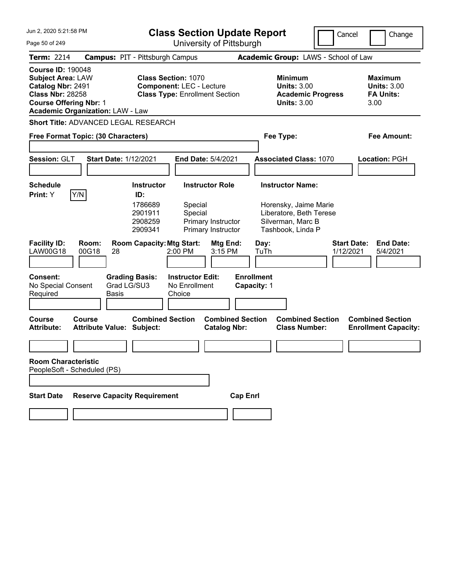| <b>Class Section Update Report</b><br>Cancel<br>Change<br>University of Pittsburgh<br>Page 50 of 249<br>Term: 2214<br><b>Campus: PIT - Pittsburgh Campus</b><br>Academic Group: LAWS - School of Law<br><b>Course ID: 190048</b><br><b>Subject Area: LAW</b><br><b>Class Section: 1070</b><br><b>Minimum</b><br><b>Maximum</b><br>Catalog Nbr: 2491<br><b>Units: 3.00</b><br><b>Component: LEC - Lecture</b><br><b>Units: 3.00</b><br><b>Class Nbr: 28258</b><br><b>Class Type: Enrollment Section</b><br><b>FA Units:</b><br><b>Academic Progress</b><br><b>Course Offering Nbr: 1</b><br><b>Units: 3.00</b><br>3.00<br><b>Academic Organization: LAW - Law</b><br><b>Short Title: ADVANCED LEGAL RESEARCH</b><br>Free Format Topic: (30 Characters)<br>Fee Type:<br><b>Fee Amount:</b><br>Session: GLT<br><b>Start Date: 1/12/2021</b><br>End Date: 5/4/2021<br><b>Associated Class: 1070</b><br>Location: PGH |
|------------------------------------------------------------------------------------------------------------------------------------------------------------------------------------------------------------------------------------------------------------------------------------------------------------------------------------------------------------------------------------------------------------------------------------------------------------------------------------------------------------------------------------------------------------------------------------------------------------------------------------------------------------------------------------------------------------------------------------------------------------------------------------------------------------------------------------------------------------------------------------------------------------------|
|                                                                                                                                                                                                                                                                                                                                                                                                                                                                                                                                                                                                                                                                                                                                                                                                                                                                                                                  |
|                                                                                                                                                                                                                                                                                                                                                                                                                                                                                                                                                                                                                                                                                                                                                                                                                                                                                                                  |
|                                                                                                                                                                                                                                                                                                                                                                                                                                                                                                                                                                                                                                                                                                                                                                                                                                                                                                                  |
|                                                                                                                                                                                                                                                                                                                                                                                                                                                                                                                                                                                                                                                                                                                                                                                                                                                                                                                  |
|                                                                                                                                                                                                                                                                                                                                                                                                                                                                                                                                                                                                                                                                                                                                                                                                                                                                                                                  |
|                                                                                                                                                                                                                                                                                                                                                                                                                                                                                                                                                                                                                                                                                                                                                                                                                                                                                                                  |
| <b>Instructor Role</b><br><b>Instructor Name:</b><br><b>Schedule</b><br><b>Instructor</b><br> Y/N <br>Print: Y<br>ID:<br>1786689<br>Special<br>Horensky, Jaime Marie<br>2901911<br>Special<br>Liberatore, Beth Terese<br>Silverman, Marc B<br>2908259<br>Primary Instructor<br>2909341<br>Primary Instructor<br>Tashbook, Linda P                                                                                                                                                                                                                                                                                                                                                                                                                                                                                                                                                                                |
| <b>Facility ID:</b><br>Room:<br><b>Room Capacity: Mtg Start:</b><br><b>Start Date:</b><br><b>End Date:</b><br>Mtg End:<br>Day:<br><b>LAW00G18</b><br>00G18<br>2:00 PM<br>3:15 PM<br>TuTh<br>1/12/2021<br>5/4/2021<br>28                                                                                                                                                                                                                                                                                                                                                                                                                                                                                                                                                                                                                                                                                          |
| <b>Enrollment</b><br><b>Consent:</b><br><b>Grading Basis:</b><br><b>Instructor Edit:</b><br>Grad LG/SU3<br>No Special Consent<br>No Enrollment<br>Capacity: 1<br>Required<br><b>Basis</b><br>Choice                                                                                                                                                                                                                                                                                                                                                                                                                                                                                                                                                                                                                                                                                                              |
| <b>Combined Section</b><br><b>Combined Section</b><br><b>Combined Section</b><br><b>Combined Section</b><br><b>Course</b><br>Course<br><b>Attribute:</b><br><b>Attribute Value: Subject:</b><br><b>Catalog Nbr:</b><br><b>Class Number:</b><br><b>Enrollment Capacity:</b>                                                                                                                                                                                                                                                                                                                                                                                                                                                                                                                                                                                                                                       |
|                                                                                                                                                                                                                                                                                                                                                                                                                                                                                                                                                                                                                                                                                                                                                                                                                                                                                                                  |
| <b>Room Characteristic</b><br>PeopleSoft - Scheduled (PS)                                                                                                                                                                                                                                                                                                                                                                                                                                                                                                                                                                                                                                                                                                                                                                                                                                                        |
|                                                                                                                                                                                                                                                                                                                                                                                                                                                                                                                                                                                                                                                                                                                                                                                                                                                                                                                  |
| <b>Start Date</b><br><b>Reserve Capacity Requirement</b><br><b>Cap Enrl</b>                                                                                                                                                                                                                                                                                                                                                                                                                                                                                                                                                                                                                                                                                                                                                                                                                                      |
|                                                                                                                                                                                                                                                                                                                                                                                                                                                                                                                                                                                                                                                                                                                                                                                                                                                                                                                  |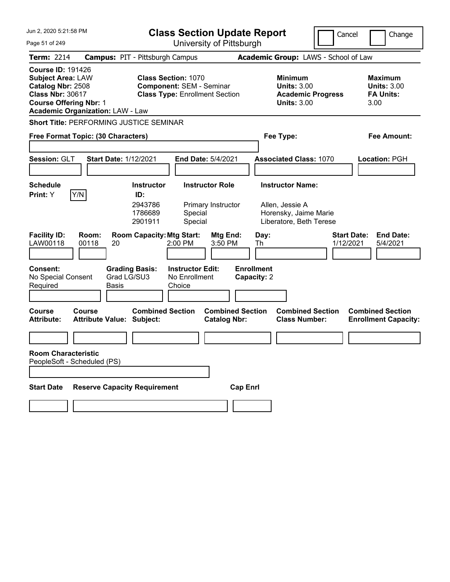| Jun 2, 2020 5:21:58 PM                                                                                                                                                           | <b>Class Section Update Report</b>                                                                     | Cancel                                                                                 | Change                                                           |
|----------------------------------------------------------------------------------------------------------------------------------------------------------------------------------|--------------------------------------------------------------------------------------------------------|----------------------------------------------------------------------------------------|------------------------------------------------------------------|
| Page 51 of 249                                                                                                                                                                   | University of Pittsburgh                                                                               |                                                                                        |                                                                  |
| <b>Term: 2214</b>                                                                                                                                                                | <b>Campus: PIT - Pittsburgh Campus</b>                                                                 | Academic Group: LAWS - School of Law                                                   |                                                                  |
| <b>Course ID: 191426</b><br><b>Subject Area: LAW</b><br>Catalog Nbr: 2508<br><b>Class Nbr: 30617</b><br><b>Course Offering Nbr: 1</b><br><b>Academic Organization: LAW - Law</b> | <b>Class Section: 1070</b><br><b>Component: SEM - Seminar</b><br><b>Class Type: Enrollment Section</b> | <b>Minimum</b><br><b>Units: 3.00</b><br><b>Academic Progress</b><br><b>Units: 3.00</b> | <b>Maximum</b><br><b>Units: 3.00</b><br><b>FA Units:</b><br>3.00 |
| <b>Short Title: PERFORMING JUSTICE SEMINAR</b>                                                                                                                                   |                                                                                                        |                                                                                        |                                                                  |
| Free Format Topic: (30 Characters)                                                                                                                                               |                                                                                                        | Fee Type:                                                                              | Fee Amount:                                                      |
|                                                                                                                                                                                  |                                                                                                        |                                                                                        |                                                                  |
| Session: GLT<br><b>Start Date: 1/12/2021</b>                                                                                                                                     | <b>End Date: 5/4/2021</b>                                                                              | <b>Associated Class: 1070</b>                                                          | Location: PGH                                                    |
|                                                                                                                                                                                  |                                                                                                        |                                                                                        |                                                                  |
| <b>Schedule</b>                                                                                                                                                                  | <b>Instructor Role</b><br><b>Instructor</b>                                                            | <b>Instructor Name:</b>                                                                |                                                                  |
| Y/N<br>Print: Y                                                                                                                                                                  | ID:<br>2943786<br>Primary Instructor<br>1786689<br>Special<br>Special<br>2901911                       | Allen, Jessie A<br>Horensky, Jaime Marie<br>Liberatore, Beth Terese                    |                                                                  |
| <b>Facility ID:</b><br>Room:<br>00118<br>LAW00118<br>20                                                                                                                          | <b>Room Capacity: Mtg Start:</b><br>Mtg End:<br>3:50 PM<br>2:00 PM                                     | <b>Start Date:</b><br>Day:<br>1/12/2021<br>Th                                          | <b>End Date:</b><br>5/4/2021                                     |
| <b>Consent:</b><br>No Special Consent<br>Required<br>Basis                                                                                                                       | <b>Grading Basis:</b><br><b>Instructor Edit:</b><br>Grad LG/SU3<br>No Enrollment<br>Choice             | <b>Enrollment</b><br>Capacity: 2                                                       |                                                                  |
| <b>Course</b><br>Course<br><b>Attribute:</b><br><b>Attribute Value: Subject:</b>                                                                                                 | <b>Combined Section</b><br><b>Combined Section</b><br><b>Catalog Nbr:</b>                              | <b>Combined Section</b><br><b>Class Number:</b>                                        | <b>Combined Section</b><br><b>Enrollment Capacity:</b>           |
|                                                                                                                                                                                  |                                                                                                        |                                                                                        |                                                                  |
| <b>Room Characteristic</b><br>PeopleSoft - Scheduled (PS)                                                                                                                        |                                                                                                        |                                                                                        |                                                                  |
| <b>Start Date</b>                                                                                                                                                                | <b>Reserve Capacity Requirement</b><br><b>Cap Enrl</b>                                                 |                                                                                        |                                                                  |
|                                                                                                                                                                                  |                                                                                                        |                                                                                        |                                                                  |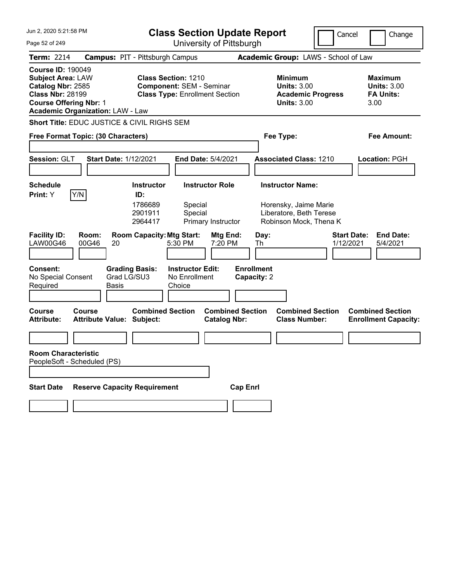| Jun 2, 2020 5:21:58 PM                                                                                                                                                           | <b>Class Section Update Report</b>                                                                                               | Cancel                                                                                 | Change                                                           |
|----------------------------------------------------------------------------------------------------------------------------------------------------------------------------------|----------------------------------------------------------------------------------------------------------------------------------|----------------------------------------------------------------------------------------|------------------------------------------------------------------|
| Page 52 of 249                                                                                                                                                                   | University of Pittsburgh                                                                                                         |                                                                                        |                                                                  |
| <b>Term: 2214</b>                                                                                                                                                                | <b>Campus: PIT - Pittsburgh Campus</b>                                                                                           | Academic Group: LAWS - School of Law                                                   |                                                                  |
| <b>Course ID: 190049</b><br><b>Subject Area: LAW</b><br>Catalog Nbr: 2585<br><b>Class Nbr: 28199</b><br><b>Course Offering Nbr: 1</b><br><b>Academic Organization: LAW - Law</b> | <b>Class Section: 1210</b><br><b>Component: SEM - Seminar</b><br><b>Class Type: Enrollment Section</b>                           | <b>Minimum</b><br><b>Units: 3.00</b><br><b>Academic Progress</b><br><b>Units: 3.00</b> | <b>Maximum</b><br><b>Units: 3.00</b><br><b>FA Units:</b><br>3.00 |
| Short Title: EDUC JUSTICE & CIVIL RIGHS SEM                                                                                                                                      |                                                                                                                                  |                                                                                        |                                                                  |
| Free Format Topic: (30 Characters)                                                                                                                                               |                                                                                                                                  | Fee Type:                                                                              | <b>Fee Amount:</b>                                               |
| Session: GLT<br><b>Start Date: 1/12/2021</b>                                                                                                                                     | End Date: 5/4/2021                                                                                                               | <b>Associated Class: 1210</b>                                                          | Location: PGH                                                    |
| <b>Schedule</b>                                                                                                                                                                  | <b>Instructor</b><br><b>Instructor Role</b>                                                                                      | <b>Instructor Name:</b>                                                                |                                                                  |
| Y/N<br>Print: Y<br><b>Facility ID:</b><br>Room:                                                                                                                                  | ID:<br>1786689<br>Special<br>Special<br>2901911<br>Primary Instructor<br>2964417<br><b>Room Capacity: Mtg Start:</b><br>Mtg End: | Horensky, Jaime Marie<br>Liberatore, Beth Terese<br>Robinson Mock, Thena K<br>Day:     | <b>Start Date:</b><br><b>End Date:</b>                           |
| <b>LAW00G46</b><br>00G46<br>20                                                                                                                                                   | 5:30 PM<br>7:20 PM                                                                                                               | Th<br>1/12/2021                                                                        | 5/4/2021                                                         |
| <b>Consent:</b><br><b>Grading Basis:</b><br>Grad LG/SU3<br>No Special Consent<br>Required<br>Basis                                                                               | <b>Instructor Edit:</b><br>No Enrollment<br>Choice                                                                               | <b>Enrollment</b><br>Capacity: 2                                                       |                                                                  |
| <b>Course</b><br>Course<br><b>Attribute Value: Subject:</b><br><b>Attribute:</b>                                                                                                 | <b>Combined Section</b><br><b>Combined Section</b><br><b>Catalog Nbr:</b>                                                        | <b>Combined Section</b><br><b>Class Number:</b>                                        | <b>Combined Section</b><br><b>Enrollment Capacity:</b>           |
|                                                                                                                                                                                  |                                                                                                                                  |                                                                                        |                                                                  |
| <b>Room Characteristic</b><br>PeopleSoft - Scheduled (PS)                                                                                                                        |                                                                                                                                  |                                                                                        |                                                                  |
| <b>Reserve Capacity Requirement</b><br><b>Start Date</b>                                                                                                                         | <b>Cap Enrl</b>                                                                                                                  |                                                                                        |                                                                  |
|                                                                                                                                                                                  |                                                                                                                                  |                                                                                        |                                                                  |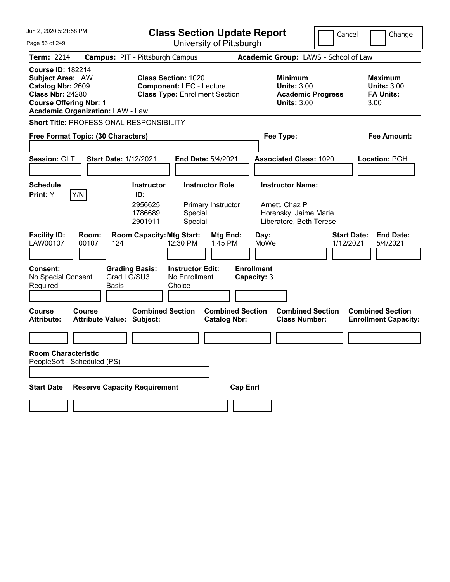| Jun 2. 2020 5:21:58 PM<br><b>Class Section Update Report</b><br>University of Pittsburgh                                                                                                                                                                                                   |                                                       |                                                                                 |                                                           |                                                | Cancel                                                    | Change                                                             |                                      |                                                        |
|--------------------------------------------------------------------------------------------------------------------------------------------------------------------------------------------------------------------------------------------------------------------------------------------|-------------------------------------------------------|---------------------------------------------------------------------------------|-----------------------------------------------------------|------------------------------------------------|-----------------------------------------------------------|--------------------------------------------------------------------|--------------------------------------|--------------------------------------------------------|
| Page 53 of 249                                                                                                                                                                                                                                                                             |                                                       |                                                                                 |                                                           |                                                |                                                           |                                                                    |                                      |                                                        |
| <b>Term: 2214</b>                                                                                                                                                                                                                                                                          | <b>Campus: PIT - Pittsburgh Campus</b>                |                                                                                 |                                                           |                                                |                                                           |                                                                    | Academic Group: LAWS - School of Law |                                                        |
| <b>Course ID: 182214</b><br><b>Class Section: 1020</b><br><b>Subject Area: LAW</b><br>Catalog Nbr: 2609<br><b>Component: LEC - Lecture</b><br><b>Class Nbr: 24280</b><br><b>Class Type: Enrollment Section</b><br><b>Course Offering Nbr: 1</b><br><b>Academic Organization: LAW - Law</b> |                                                       | Minimum<br><b>Units: 3.00</b><br><b>Academic Progress</b><br><b>Units: 3.00</b> |                                                           |                                                | Maximum<br><b>Units: 3.00</b><br><b>FA Units:</b><br>3.00 |                                                                    |                                      |                                                        |
|                                                                                                                                                                                                                                                                                            | Short Title: PROFESSIONAL RESPONSIBILITY              |                                                                                 |                                                           |                                                |                                                           |                                                                    |                                      |                                                        |
|                                                                                                                                                                                                                                                                                            | Free Format Topic: (30 Characters)                    |                                                                                 |                                                           |                                                |                                                           | Fee Type:                                                          |                                      | Fee Amount:                                            |
| Session: GLT                                                                                                                                                                                                                                                                               | <b>Start Date: 1/12/2021</b>                          |                                                                                 | <b>End Date: 5/4/2021</b>                                 |                                                |                                                           | <b>Associated Class: 1020</b>                                      |                                      | Location: PGH                                          |
| <b>Schedule</b>                                                                                                                                                                                                                                                                            |                                                       | <b>Instructor</b>                                                               | <b>Instructor Role</b>                                    |                                                |                                                           | <b>Instructor Name:</b>                                            |                                      |                                                        |
| <b>Print:</b> Y<br><b>Facility ID:</b><br>LAW00107<br><b>Consent:</b>                                                                                                                                                                                                                      | Y/N<br>Room:<br>00107<br>124<br><b>Grading Basis:</b> | ID:<br>2956625<br>1786689<br>2901911<br><b>Room Capacity: Mtg Start:</b>        | Special<br>Special<br>12:30 PM<br><b>Instructor Edit:</b> | Primary Instructor<br>Mtg End:<br>1:45 PM      | Day:<br>MoWe<br><b>Enrollment</b>                         | Arnett, Chaz P<br>Horensky, Jaime Marie<br>Liberatore, Beth Terese | <b>Start Date:</b><br>1/12/2021      | <b>End Date:</b><br>5/4/2021                           |
| No Special Consent<br>Required                                                                                                                                                                                                                                                             | Grad LG/SU3<br><b>Basis</b>                           |                                                                                 | No Enrollment<br>Choice                                   |                                                | Capacity: 3                                               |                                                                    |                                      |                                                        |
| Course<br><b>Attribute:</b>                                                                                                                                                                                                                                                                | Course<br><b>Attribute Value: Subject:</b>            | <b>Combined Section</b>                                                         |                                                           | <b>Combined Section</b><br><b>Catalog Nbr:</b> |                                                           | <b>Combined Section</b><br><b>Class Number:</b>                    |                                      | <b>Combined Section</b><br><b>Enrollment Capacity:</b> |
|                                                                                                                                                                                                                                                                                            |                                                       |                                                                                 |                                                           |                                                |                                                           |                                                                    |                                      |                                                        |
| <b>Room Characteristic</b>                                                                                                                                                                                                                                                                 | PeopleSoft - Scheduled (PS)                           |                                                                                 |                                                           |                                                |                                                           |                                                                    |                                      |                                                        |
| <b>Start Date</b>                                                                                                                                                                                                                                                                          | <b>Reserve Capacity Requirement</b>                   |                                                                                 |                                                           | <b>Cap Enrl</b>                                |                                                           |                                                                    |                                      |                                                        |
|                                                                                                                                                                                                                                                                                            |                                                       |                                                                                 |                                                           |                                                |                                                           |                                                                    |                                      |                                                        |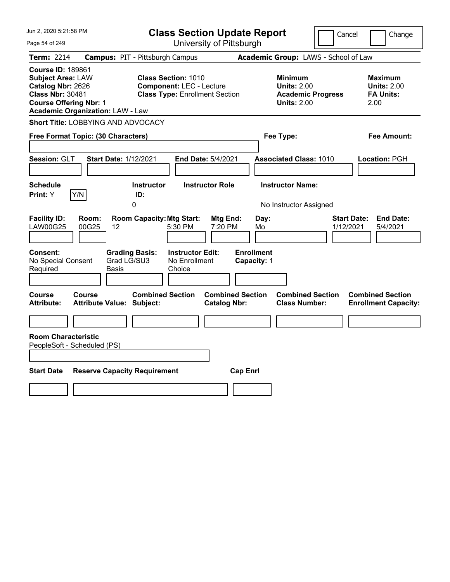| Jun 2, 2020 5:21:58 PM                                                                                                                                                           | <b>Class Section Update Report</b>                                                                     |                                                                                        | Change<br>Cancel                                                 |
|----------------------------------------------------------------------------------------------------------------------------------------------------------------------------------|--------------------------------------------------------------------------------------------------------|----------------------------------------------------------------------------------------|------------------------------------------------------------------|
| Page 54 of 249                                                                                                                                                                   | University of Pittsburgh                                                                               |                                                                                        |                                                                  |
| Term: 2214                                                                                                                                                                       | <b>Campus: PIT - Pittsburgh Campus</b>                                                                 | Academic Group: LAWS - School of Law                                                   |                                                                  |
| <b>Course ID: 189861</b><br><b>Subject Area: LAW</b><br>Catalog Nbr: 2626<br><b>Class Nbr: 30481</b><br><b>Course Offering Nbr: 1</b><br><b>Academic Organization: LAW - Law</b> | <b>Class Section: 1010</b><br><b>Component: LEC - Lecture</b><br><b>Class Type: Enrollment Section</b> | <b>Minimum</b><br><b>Units: 2.00</b><br><b>Academic Progress</b><br><b>Units: 2.00</b> | <b>Maximum</b><br><b>Units: 2.00</b><br><b>FA Units:</b><br>2.00 |
| Short Title: LOBBYING AND ADVOCACY                                                                                                                                               |                                                                                                        |                                                                                        |                                                                  |
| Free Format Topic: (30 Characters)                                                                                                                                               |                                                                                                        | Fee Type:                                                                              | Fee Amount:                                                      |
| Session: GLT<br><b>Start Date: 1/12/2021</b>                                                                                                                                     | End Date: 5/4/2021                                                                                     | <b>Associated Class: 1010</b>                                                          | Location: PGH                                                    |
| <b>Schedule</b><br>Y/N<br>Print: Y                                                                                                                                               | <b>Instructor</b><br><b>Instructor Role</b><br>ID:<br>0                                                | <b>Instructor Name:</b><br>No Instructor Assigned                                      |                                                                  |
| <b>Facility ID:</b><br>Room:<br><b>LAW00G25</b><br>00G25<br>12                                                                                                                   | <b>Room Capacity: Mtg Start:</b><br>Mtg End:<br>5:30 PM<br>7:20 PM                                     | Day:<br>Mo                                                                             | <b>Start Date:</b><br><b>End Date:</b><br>1/12/2021<br>5/4/2021  |
| Consent:<br><b>Grading Basis:</b><br>Grad LG/SU3<br>No Special Consent<br>Required<br>Basis                                                                                      | <b>Instructor Edit:</b><br>No Enrollment<br>Choice                                                     | <b>Enrollment</b><br>Capacity: 1                                                       |                                                                  |
| Course<br>Course<br><b>Attribute Value: Subject:</b><br><b>Attribute:</b>                                                                                                        | <b>Combined Section</b><br><b>Combined Section</b><br><b>Catalog Nbr:</b>                              | <b>Combined Section</b><br><b>Class Number:</b>                                        | <b>Combined Section</b><br><b>Enrollment Capacity:</b>           |
|                                                                                                                                                                                  |                                                                                                        |                                                                                        |                                                                  |
| <b>Room Characteristic</b><br>PeopleSoft - Scheduled (PS)                                                                                                                        |                                                                                                        |                                                                                        |                                                                  |
| <b>Start Date</b><br><b>Reserve Capacity Requirement</b>                                                                                                                         |                                                                                                        | <b>Cap Enrl</b>                                                                        |                                                                  |
|                                                                                                                                                                                  |                                                                                                        |                                                                                        |                                                                  |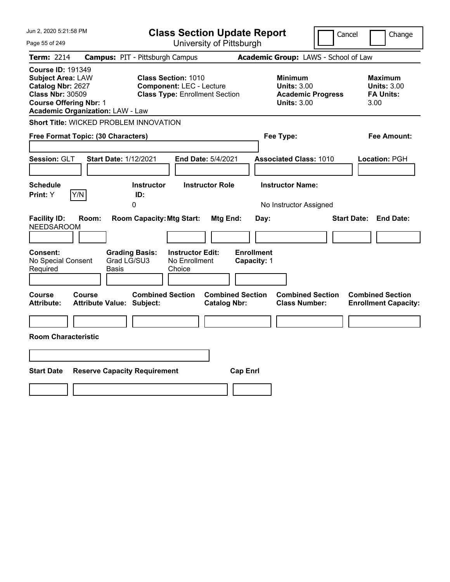| Jun 2, 2020 5:21:58 PM                                                                                                                                                           | <b>Class Section Update Report</b>                                                                     | Cancel                                                                                 | Change                                                           |
|----------------------------------------------------------------------------------------------------------------------------------------------------------------------------------|--------------------------------------------------------------------------------------------------------|----------------------------------------------------------------------------------------|------------------------------------------------------------------|
| Page 55 of 249                                                                                                                                                                   | University of Pittsburgh                                                                               |                                                                                        |                                                                  |
| <b>Term: 2214</b>                                                                                                                                                                | <b>Campus: PIT - Pittsburgh Campus</b>                                                                 | Academic Group: LAWS - School of Law                                                   |                                                                  |
| <b>Course ID: 191349</b><br><b>Subject Area: LAW</b><br>Catalog Nbr: 2627<br><b>Class Nbr: 30509</b><br><b>Course Offering Nbr: 1</b><br><b>Academic Organization: LAW - Law</b> | <b>Class Section: 1010</b><br><b>Component: LEC - Lecture</b><br><b>Class Type: Enrollment Section</b> | <b>Minimum</b><br><b>Units: 3.00</b><br><b>Academic Progress</b><br><b>Units: 3.00</b> | <b>Maximum</b><br><b>Units: 3.00</b><br><b>FA Units:</b><br>3.00 |
| <b>Short Title: WICKED PROBLEM INNOVATION</b>                                                                                                                                    |                                                                                                        |                                                                                        |                                                                  |
| Free Format Topic: (30 Characters)                                                                                                                                               |                                                                                                        | Fee Type:                                                                              | Fee Amount:                                                      |
| Session: GLT<br><b>Start Date: 1/12/2021</b>                                                                                                                                     | <b>End Date: 5/4/2021</b>                                                                              | <b>Associated Class: 1010</b>                                                          | Location: PGH                                                    |
| <b>Schedule</b><br>Y/N<br><b>Print:</b> Y                                                                                                                                        | <b>Instructor</b><br><b>Instructor Role</b><br>ID:<br>0                                                | <b>Instructor Name:</b><br>No Instructor Assigned                                      |                                                                  |
| <b>Facility ID:</b><br>Room:<br><b>NEEDSAROOM</b>                                                                                                                                | <b>Room Capacity: Mtg Start:</b><br>Mtg End:                                                           | Day:                                                                                   | <b>Start Date: End Date:</b>                                     |
| <b>Consent:</b><br><b>Grading Basis:</b><br>Grad LG/SU3<br>No Special Consent<br>Required<br>Basis                                                                               | <b>Instructor Edit:</b><br><b>Enrollment</b><br>No Enrollment<br>Capacity: 1<br>Choice                 |                                                                                        |                                                                  |
| Course<br>Course<br><b>Attribute:</b><br><b>Attribute Value: Subject:</b>                                                                                                        | <b>Combined Section</b><br><b>Combined Section</b><br><b>Catalog Nbr:</b>                              | <b>Combined Section</b><br><b>Class Number:</b>                                        | <b>Combined Section</b><br><b>Enrollment Capacity:</b>           |
|                                                                                                                                                                                  |                                                                                                        |                                                                                        |                                                                  |
| <b>Room Characteristic</b>                                                                                                                                                       |                                                                                                        |                                                                                        |                                                                  |
|                                                                                                                                                                                  |                                                                                                        |                                                                                        |                                                                  |
| <b>Start Date</b><br><b>Reserve Capacity Requirement</b>                                                                                                                         | <b>Cap Enrl</b>                                                                                        |                                                                                        |                                                                  |
|                                                                                                                                                                                  |                                                                                                        |                                                                                        |                                                                  |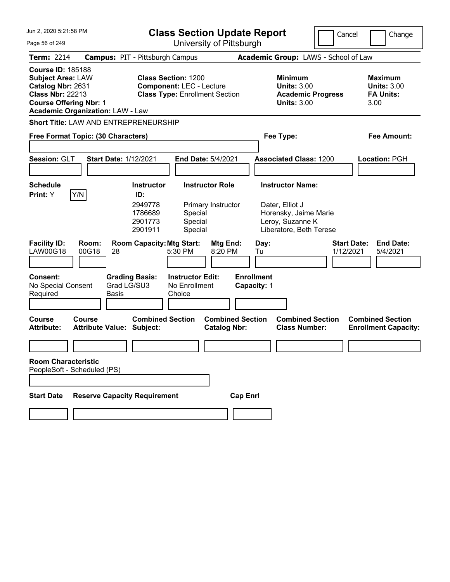| Jun 2, 2020 5:21:58 PM                                                                                                                |                                            |                                                                                                        | <b>Class Section Update Report</b>                 |                                                |                                  |            |                                                                                                                    | Cancel                          |      | Change                                                   |
|---------------------------------------------------------------------------------------------------------------------------------------|--------------------------------------------|--------------------------------------------------------------------------------------------------------|----------------------------------------------------|------------------------------------------------|----------------------------------|------------|--------------------------------------------------------------------------------------------------------------------|---------------------------------|------|----------------------------------------------------------|
| Page 56 of 249                                                                                                                        |                                            | University of Pittsburgh                                                                               |                                                    |                                                |                                  |            |                                                                                                                    |                                 |      |                                                          |
| <b>Term: 2214</b>                                                                                                                     | <b>Campus: PIT - Pittsburgh Campus</b>     |                                                                                                        |                                                    |                                                |                                  |            | Academic Group: LAWS - School of Law                                                                               |                                 |      |                                                          |
| <b>Course ID: 185188</b><br><b>Subject Area: LAW</b><br>Catalog Nbr: 2631<br><b>Class Nbr: 22213</b><br><b>Course Offering Nbr: 1</b> | <b>Academic Organization: LAW - Law</b>    | <b>Class Section: 1200</b><br><b>Component: LEC - Lecture</b><br><b>Class Type: Enrollment Section</b> |                                                    |                                                |                                  |            | <b>Minimum</b><br><b>Units: 3.00</b><br><b>Academic Progress</b><br><b>Units: 3.00</b>                             |                                 | 3.00 | <b>Maximum</b><br><b>Units: 3.00</b><br><b>FA Units:</b> |
|                                                                                                                                       | Short Title: LAW AND ENTREPRENEURSHIP      |                                                                                                        |                                                    |                                                |                                  |            |                                                                                                                    |                                 |      |                                                          |
|                                                                                                                                       | Free Format Topic: (30 Characters)         |                                                                                                        |                                                    |                                                |                                  |            | Fee Type:                                                                                                          |                                 |      | Fee Amount:                                              |
| Session: GLT                                                                                                                          | Start Date: 1/12/2021                      |                                                                                                        |                                                    | End Date: 5/4/2021                             |                                  |            | <b>Associated Class: 1200</b>                                                                                      |                                 |      | <b>Location: PGH</b>                                     |
| <b>Schedule</b><br>Print: Y                                                                                                           | Y/N                                        | <b>Instructor</b><br>ID:<br>2949778<br>1786689<br>2901773<br>2901911                                   | Special<br>Special<br>Special                      | <b>Instructor Role</b><br>Primary Instructor   |                                  |            | <b>Instructor Name:</b><br>Dater, Elliot J<br>Horensky, Jaime Marie<br>Leroy, Suzanne K<br>Liberatore, Beth Terese |                                 |      |                                                          |
| <b>Facility ID:</b><br><b>LAW00G18</b>                                                                                                | Room:<br>00G18<br>28                       | <b>Room Capacity: Mtg Start:</b>                                                                       | 5:30 PM                                            | Mtg End:<br>8:20 PM                            |                                  | Day:<br>Tu |                                                                                                                    | <b>Start Date:</b><br>1/12/2021 |      | <b>End Date:</b><br>5/4/2021                             |
| Consent:<br>No Special Consent<br>Required                                                                                            | Grad LG/SU3<br><b>Basis</b>                | <b>Grading Basis:</b>                                                                                  | <b>Instructor Edit:</b><br>No Enrollment<br>Choice |                                                | <b>Enrollment</b><br>Capacity: 1 |            |                                                                                                                    |                                 |      |                                                          |
| <b>Course</b><br><b>Attribute:</b>                                                                                                    | Course<br><b>Attribute Value: Subject:</b> | <b>Combined Section</b>                                                                                |                                                    | <b>Combined Section</b><br><b>Catalog Nbr:</b> |                                  |            | <b>Combined Section</b><br><b>Class Number:</b>                                                                    |                                 |      | <b>Combined Section</b><br><b>Enrollment Capacity:</b>   |
|                                                                                                                                       |                                            |                                                                                                        |                                                    |                                                |                                  |            |                                                                                                                    |                                 |      |                                                          |
| <b>Room Characteristic</b>                                                                                                            | PeopleSoft - Scheduled (PS)                |                                                                                                        |                                                    |                                                |                                  |            |                                                                                                                    |                                 |      |                                                          |
|                                                                                                                                       |                                            |                                                                                                        |                                                    |                                                |                                  |            |                                                                                                                    |                                 |      |                                                          |
| <b>Start Date</b>                                                                                                                     | <b>Reserve Capacity Requirement</b>        |                                                                                                        |                                                    |                                                | <b>Cap Enrl</b>                  |            |                                                                                                                    |                                 |      |                                                          |
|                                                                                                                                       |                                            |                                                                                                        |                                                    |                                                |                                  |            |                                                                                                                    |                                 |      |                                                          |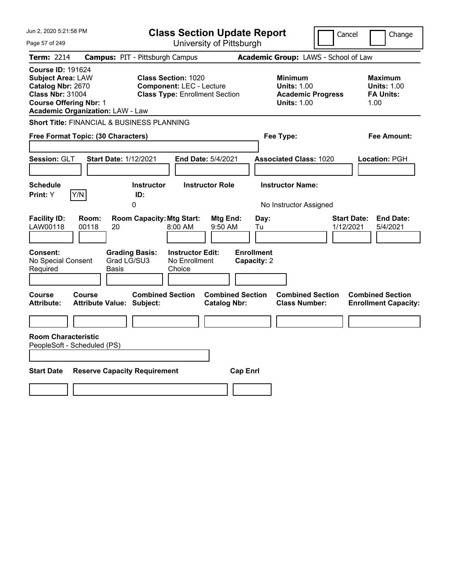| Jun 2, 2020 5:21:58 PM                                                                                                                                                           | <b>Class Section Update Report</b>                                                                     |                                                                                        | Cancel<br>Change                                                 |
|----------------------------------------------------------------------------------------------------------------------------------------------------------------------------------|--------------------------------------------------------------------------------------------------------|----------------------------------------------------------------------------------------|------------------------------------------------------------------|
| Page 57 of 249                                                                                                                                                                   | University of Pittsburgh                                                                               |                                                                                        |                                                                  |
| <b>Term: 2214</b>                                                                                                                                                                | <b>Campus: PIT - Pittsburgh Campus</b>                                                                 | Academic Group: LAWS - School of Law                                                   |                                                                  |
| <b>Course ID: 191624</b><br><b>Subject Area: LAW</b><br>Catalog Nbr: 2670<br><b>Class Nbr: 31004</b><br><b>Course Offering Nbr: 1</b><br><b>Academic Organization: LAW - Law</b> | <b>Class Section: 1020</b><br><b>Component: LEC - Lecture</b><br><b>Class Type: Enrollment Section</b> | <b>Minimum</b><br><b>Units: 1.00</b><br><b>Academic Progress</b><br><b>Units: 1.00</b> | <b>Maximum</b><br><b>Units: 1.00</b><br><b>FA Units:</b><br>1.00 |
| <b>Short Title: FINANCIAL &amp; BUSINESS PLANNING</b>                                                                                                                            |                                                                                                        |                                                                                        |                                                                  |
| Free Format Topic: (30 Characters)                                                                                                                                               |                                                                                                        | Fee Type:                                                                              | Fee Amount:                                                      |
| <b>Session: GLT</b><br><b>Start Date: 1/12/2021</b>                                                                                                                              | End Date: 5/4/2021                                                                                     | <b>Associated Class: 1020</b>                                                          | Location: PGH                                                    |
| <b>Schedule</b><br>Y/N<br>Print: Y                                                                                                                                               | <b>Instructor Role</b><br><b>Instructor</b><br>ID:<br>0                                                | <b>Instructor Name:</b><br>No Instructor Assigned                                      |                                                                  |
| <b>Facility ID:</b><br>Room:<br>LAW00118<br>00118<br>20                                                                                                                          | <b>Room Capacity: Mtg Start:</b><br>Mtg End:<br>8:00 AM<br>9:50 AM                                     | Day:<br>Tu                                                                             | <b>End Date:</b><br><b>Start Date:</b><br>1/12/2021<br>5/4/2021  |
| Consent:<br>No Special Consent<br>Grad LG/SU3<br>Required<br>Basis                                                                                                               | <b>Instructor Edit:</b><br><b>Grading Basis:</b><br>No Enrollment<br>Choice                            | <b>Enrollment</b><br>Capacity: 2                                                       |                                                                  |
| Course<br>Course<br>Attribute Value: Subject:<br>Attribute:                                                                                                                      | <b>Combined Section</b><br><b>Combined Section</b><br><b>Catalog Nbr:</b>                              | <b>Combined Section</b><br><b>Class Number:</b>                                        | <b>Combined Section</b><br><b>Enrollment Capacity:</b>           |
| <b>Room Characteristic</b><br>PeopleSoft - Scheduled (PS)                                                                                                                        |                                                                                                        |                                                                                        |                                                                  |
| <b>Start Date</b><br><b>Reserve Capacity Requirement</b>                                                                                                                         | <b>Cap Enrl</b>                                                                                        |                                                                                        |                                                                  |
|                                                                                                                                                                                  |                                                                                                        |                                                                                        |                                                                  |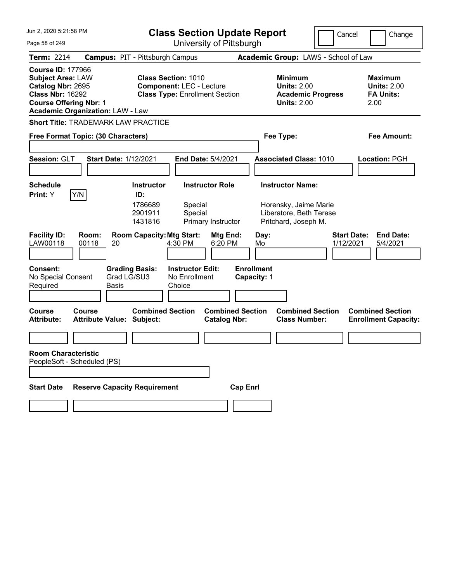| Jun 2, 2020 5:21:58 PM                                                                                                                                                           | <b>Class Section Update Report</b>                                                                     | Cancel                                                                                 | Change                                                           |
|----------------------------------------------------------------------------------------------------------------------------------------------------------------------------------|--------------------------------------------------------------------------------------------------------|----------------------------------------------------------------------------------------|------------------------------------------------------------------|
| Page 58 of 249                                                                                                                                                                   | University of Pittsburgh                                                                               |                                                                                        |                                                                  |
| <b>Term: 2214</b>                                                                                                                                                                | <b>Campus: PIT - Pittsburgh Campus</b>                                                                 | Academic Group: LAWS - School of Law                                                   |                                                                  |
| <b>Course ID: 177966</b><br><b>Subject Area: LAW</b><br>Catalog Nbr: 2695<br><b>Class Nbr: 16292</b><br><b>Course Offering Nbr: 1</b><br><b>Academic Organization: LAW - Law</b> | <b>Class Section: 1010</b><br><b>Component: LEC - Lecture</b><br><b>Class Type: Enrollment Section</b> | <b>Minimum</b><br><b>Units: 2.00</b><br><b>Academic Progress</b><br><b>Units: 2.00</b> | <b>Maximum</b><br><b>Units: 2.00</b><br><b>FA Units:</b><br>2.00 |
| Short Title: TRADEMARK LAW PRACTICE                                                                                                                                              |                                                                                                        |                                                                                        |                                                                  |
| Free Format Topic: (30 Characters)                                                                                                                                               |                                                                                                        | Fee Type:                                                                              | Fee Amount:                                                      |
|                                                                                                                                                                                  |                                                                                                        |                                                                                        |                                                                  |
| Session: GLT<br><b>Start Date: 1/12/2021</b>                                                                                                                                     | <b>End Date: 5/4/2021</b>                                                                              | <b>Associated Class: 1010</b>                                                          | Location: PGH                                                    |
|                                                                                                                                                                                  |                                                                                                        |                                                                                        |                                                                  |
| Schedule<br>Y/N<br><b>Print:</b> Y                                                                                                                                               | <b>Instructor Role</b><br><b>Instructor</b><br>ID:                                                     | <b>Instructor Name:</b>                                                                |                                                                  |
|                                                                                                                                                                                  | 1786689<br>Special<br>2901911<br>Special<br>1431816<br>Primary Instructor                              | Horensky, Jaime Marie<br>Liberatore, Beth Terese<br>Pritchard, Joseph M.               |                                                                  |
| <b>Facility ID:</b><br>Room:<br>LAW00118<br>00118<br>20                                                                                                                          | <b>Room Capacity: Mtg Start:</b><br>Mtg End:<br>4:30 PM<br>6:20 PM                                     | <b>Start Date:</b><br>Day:<br>1/12/2021<br>Mo                                          | <b>End Date:</b><br>5/4/2021                                     |
| <b>Consent:</b><br><b>Grading Basis:</b><br>Grad LG/SU3<br>No Special Consent<br>Required<br><b>Basis</b>                                                                        | <b>Instructor Edit:</b><br>No Enrollment<br>Choice                                                     | <b>Enrollment</b><br>Capacity: 1                                                       |                                                                  |
| <b>Course</b><br>Course<br><b>Attribute:</b><br><b>Attribute Value: Subject:</b>                                                                                                 | <b>Combined Section</b><br><b>Combined Section</b><br><b>Catalog Nbr:</b>                              | <b>Combined Section</b><br><b>Class Number:</b>                                        | <b>Combined Section</b><br><b>Enrollment Capacity:</b>           |
|                                                                                                                                                                                  |                                                                                                        |                                                                                        |                                                                  |
| <b>Room Characteristic</b><br>PeopleSoft - Scheduled (PS)                                                                                                                        |                                                                                                        |                                                                                        |                                                                  |
|                                                                                                                                                                                  |                                                                                                        |                                                                                        |                                                                  |
| <b>Reserve Capacity Requirement</b><br><b>Start Date</b>                                                                                                                         | <b>Cap Enrl</b>                                                                                        |                                                                                        |                                                                  |
|                                                                                                                                                                                  |                                                                                                        |                                                                                        |                                                                  |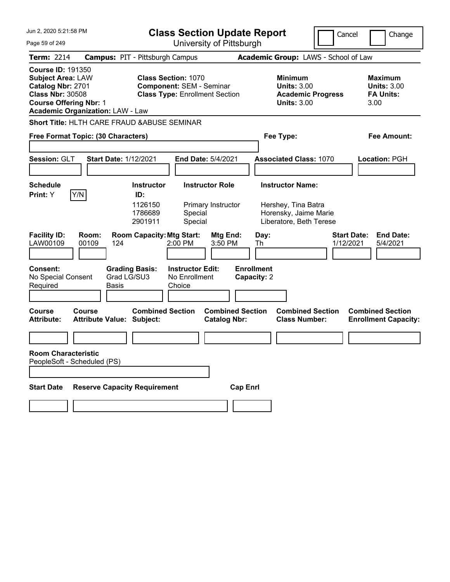| Jun 2, 2020 5:21:58 PM                                                                                                                                                                                                                                                                     |                                                                               |                                                                          | <b>Class Section Update Report</b>                                                                        |                                                |                                                |                                                                                        | Cancel                          | Change                                                           |
|--------------------------------------------------------------------------------------------------------------------------------------------------------------------------------------------------------------------------------------------------------------------------------------------|-------------------------------------------------------------------------------|--------------------------------------------------------------------------|-----------------------------------------------------------------------------------------------------------|------------------------------------------------|------------------------------------------------|----------------------------------------------------------------------------------------|---------------------------------|------------------------------------------------------------------|
| Page 59 of 249                                                                                                                                                                                                                                                                             |                                                                               | University of Pittsburgh                                                 |                                                                                                           |                                                |                                                |                                                                                        |                                 |                                                                  |
| <b>Term: 2214</b>                                                                                                                                                                                                                                                                          | <b>Campus: PIT - Pittsburgh Campus</b>                                        |                                                                          |                                                                                                           |                                                |                                                | Academic Group: LAWS - School of Law                                                   |                                 |                                                                  |
| <b>Course ID: 191350</b><br><b>Class Section: 1070</b><br><b>Subject Area: LAW</b><br>Catalog Nbr: 2701<br><b>Component: SEM - Seminar</b><br><b>Class Nbr: 30508</b><br><b>Class Type: Enrollment Section</b><br><b>Course Offering Nbr: 1</b><br><b>Academic Organization: LAW - Law</b> |                                                                               |                                                                          |                                                                                                           |                                                |                                                | <b>Minimum</b><br><b>Units: 3.00</b><br><b>Academic Progress</b><br><b>Units: 3.00</b> |                                 | <b>Maximum</b><br><b>Units: 3.00</b><br><b>FA Units:</b><br>3.00 |
| <b>Short Title: HLTH CARE FRAUD &amp; ABUSE SEMINAR</b>                                                                                                                                                                                                                                    |                                                                               |                                                                          |                                                                                                           |                                                |                                                |                                                                                        |                                 |                                                                  |
|                                                                                                                                                                                                                                                                                            | Free Format Topic: (30 Characters)                                            |                                                                          |                                                                                                           |                                                |                                                | Fee Type:                                                                              |                                 | <b>Fee Amount:</b>                                               |
| Session: GLT                                                                                                                                                                                                                                                                               | <b>Start Date: 1/12/2021</b>                                                  |                                                                          | <b>End Date: 5/4/2021</b>                                                                                 |                                                |                                                | <b>Associated Class: 1070</b>                                                          |                                 | <b>Location: PGH</b>                                             |
| <b>Schedule</b>                                                                                                                                                                                                                                                                            |                                                                               | <b>Instructor</b>                                                        | <b>Instructor Role</b>                                                                                    |                                                |                                                | <b>Instructor Name:</b>                                                                |                                 |                                                                  |
| Y/N<br>Print: Y<br><b>Facility ID:</b><br>LAW00109<br>Consent:<br>No Special Consent<br>Required                                                                                                                                                                                           | Room:<br>00109<br>124<br><b>Grading Basis:</b><br>Grad LG/SU3<br><b>Basis</b> | ID:<br>1126150<br>1786689<br>2901911<br><b>Room Capacity: Mtg Start:</b> | Primary Instructor<br>Special<br>Special<br>2:00 PM<br><b>Instructor Edit:</b><br>No Enrollment<br>Choice | Mtg End:<br>3:50 PM                            | Day:<br>Th<br><b>Enrollment</b><br>Capacity: 2 | Hershey, Tina Batra<br>Horensky, Jaime Marie<br>Liberatore, Beth Terese                | <b>Start Date:</b><br>1/12/2021 | <b>End Date:</b><br>5/4/2021                                     |
|                                                                                                                                                                                                                                                                                            |                                                                               |                                                                          |                                                                                                           |                                                |                                                |                                                                                        |                                 |                                                                  |
| Course<br><b>Attribute:</b>                                                                                                                                                                                                                                                                | Course<br><b>Attribute Value: Subject:</b>                                    | <b>Combined Section</b>                                                  |                                                                                                           | <b>Combined Section</b><br><b>Catalog Nbr:</b> |                                                | <b>Combined Section</b><br><b>Class Number:</b>                                        |                                 | <b>Combined Section</b><br><b>Enrollment Capacity:</b>           |
|                                                                                                                                                                                                                                                                                            |                                                                               |                                                                          |                                                                                                           |                                                |                                                |                                                                                        |                                 |                                                                  |
| <b>Room Characteristic</b><br>PeopleSoft - Scheduled (PS)                                                                                                                                                                                                                                  |                                                                               |                                                                          |                                                                                                           |                                                |                                                |                                                                                        |                                 |                                                                  |
| <b>Start Date</b>                                                                                                                                                                                                                                                                          | <b>Reserve Capacity Requirement</b>                                           |                                                                          |                                                                                                           | <b>Cap Enrl</b>                                |                                                |                                                                                        |                                 |                                                                  |
|                                                                                                                                                                                                                                                                                            |                                                                               |                                                                          |                                                                                                           |                                                |                                                |                                                                                        |                                 |                                                                  |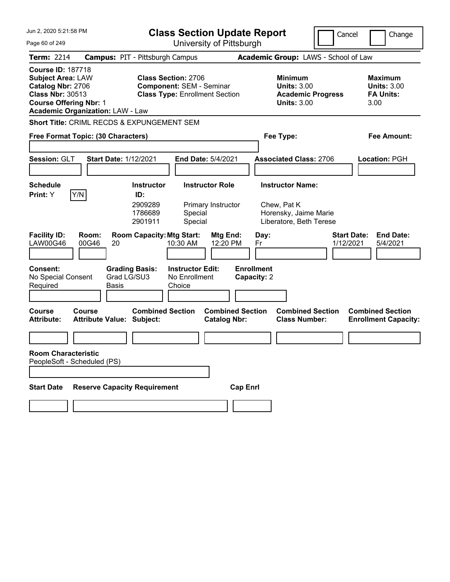| Jun 2, 2020 5:21:58 PM                                                                                                                                                           | <b>Class Section Update Report</b>                                                                            | Cancel                                                                                 | Change                                                           |
|----------------------------------------------------------------------------------------------------------------------------------------------------------------------------------|---------------------------------------------------------------------------------------------------------------|----------------------------------------------------------------------------------------|------------------------------------------------------------------|
| Page 60 of 249                                                                                                                                                                   | University of Pittsburgh                                                                                      |                                                                                        |                                                                  |
| <b>Term: 2214</b>                                                                                                                                                                | <b>Campus: PIT - Pittsburgh Campus</b>                                                                        | Academic Group: LAWS - School of Law                                                   |                                                                  |
| <b>Course ID: 187718</b><br><b>Subject Area: LAW</b><br>Catalog Nbr: 2706<br><b>Class Nbr: 30513</b><br><b>Course Offering Nbr: 1</b><br><b>Academic Organization: LAW - Law</b> | <b>Class Section: 2706</b><br><b>Component: SEM - Seminar</b><br><b>Class Type: Enrollment Section</b>        | <b>Minimum</b><br><b>Units: 3.00</b><br><b>Academic Progress</b><br><b>Units: 3.00</b> | <b>Maximum</b><br><b>Units: 3.00</b><br><b>FA Units:</b><br>3.00 |
| Short Title: CRIML RECDS & EXPUNGEMENT SEM                                                                                                                                       |                                                                                                               |                                                                                        |                                                                  |
| Free Format Topic: (30 Characters)                                                                                                                                               |                                                                                                               | Fee Type:                                                                              | Fee Amount:                                                      |
|                                                                                                                                                                                  |                                                                                                               |                                                                                        |                                                                  |
| Session: GLT                                                                                                                                                                     | <b>Start Date: 1/12/2021</b><br><b>End Date: 5/4/2021</b>                                                     | <b>Associated Class: 2706</b>                                                          | Location: PGH                                                    |
|                                                                                                                                                                                  |                                                                                                               |                                                                                        |                                                                  |
| Schedule                                                                                                                                                                         | <b>Instructor Role</b><br><b>Instructor</b>                                                                   | <b>Instructor Name:</b>                                                                |                                                                  |
| Y/N<br><b>Print:</b> Y                                                                                                                                                           | ID:<br>2909289<br>Primary Instructor<br>1786689<br>Special<br>Special<br>2901911                              | Chew, Pat K<br>Horensky, Jaime Marie<br>Liberatore, Beth Terese                        |                                                                  |
| <b>Facility ID:</b><br>Room:<br><b>LAW00G46</b><br>00G46                                                                                                                         | <b>Room Capacity: Mtg Start:</b><br>Mtg End:<br>10:30 AM<br>12:20 PM<br>20                                    | <b>Start Date:</b><br>Day:<br>1/12/2021<br>Fr                                          | <b>End Date:</b><br>5/4/2021                                     |
| <b>Consent:</b><br>No Special Consent<br>Required<br><b>Basis</b>                                                                                                                | <b>Grading Basis:</b><br><b>Instructor Edit:</b><br>Grad LG/SU3<br>No Enrollment<br>Choice                    | <b>Enrollment</b><br>Capacity: 2                                                       |                                                                  |
| <b>Course</b><br>Course<br><b>Attribute:</b>                                                                                                                                     | <b>Combined Section</b><br><b>Combined Section</b><br><b>Attribute Value: Subject:</b><br><b>Catalog Nbr:</b> | <b>Combined Section</b><br><b>Class Number:</b>                                        | <b>Combined Section</b><br><b>Enrollment Capacity:</b>           |
|                                                                                                                                                                                  |                                                                                                               |                                                                                        |                                                                  |
| <b>Room Characteristic</b><br>PeopleSoft - Scheduled (PS)                                                                                                                        |                                                                                                               |                                                                                        |                                                                  |
| <b>Start Date</b>                                                                                                                                                                | <b>Reserve Capacity Requirement</b><br><b>Cap Enrl</b>                                                        |                                                                                        |                                                                  |
|                                                                                                                                                                                  |                                                                                                               |                                                                                        |                                                                  |
|                                                                                                                                                                                  |                                                                                                               |                                                                                        |                                                                  |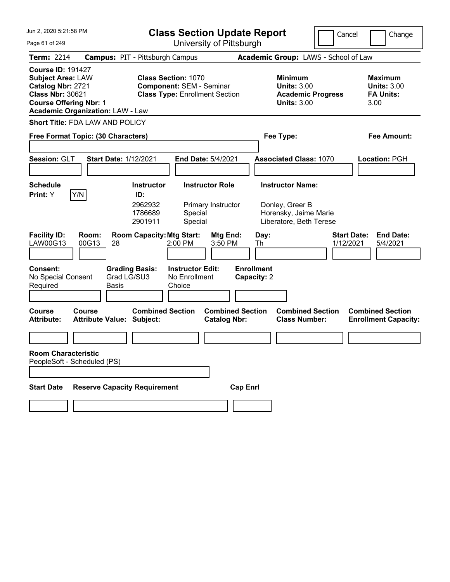| Jun 2, 2020 5:21:58 PM                                                                                                                                                           | <b>Class Section Update Report</b><br>Cancel<br>Change                                                 |                                                                                        |                                                                  |  |
|----------------------------------------------------------------------------------------------------------------------------------------------------------------------------------|--------------------------------------------------------------------------------------------------------|----------------------------------------------------------------------------------------|------------------------------------------------------------------|--|
| Page 61 of 249                                                                                                                                                                   | University of Pittsburgh                                                                               |                                                                                        |                                                                  |  |
| <b>Term: 2214</b>                                                                                                                                                                | <b>Campus: PIT - Pittsburgh Campus</b>                                                                 | Academic Group: LAWS - School of Law                                                   |                                                                  |  |
| <b>Course ID: 191427</b><br><b>Subject Area: LAW</b><br>Catalog Nbr: 2721<br><b>Class Nbr: 30621</b><br><b>Course Offering Nbr: 1</b><br><b>Academic Organization: LAW - Law</b> | <b>Class Section: 1070</b><br><b>Component: SEM - Seminar</b><br><b>Class Type: Enrollment Section</b> | <b>Minimum</b><br><b>Units: 3.00</b><br><b>Academic Progress</b><br><b>Units: 3.00</b> | <b>Maximum</b><br><b>Units: 3.00</b><br><b>FA Units:</b><br>3.00 |  |
| Short Title: FDA LAW AND POLICY                                                                                                                                                  |                                                                                                        |                                                                                        |                                                                  |  |
| Free Format Topic: (30 Characters)                                                                                                                                               |                                                                                                        | Fee Type:                                                                              | Fee Amount:                                                      |  |
| Session: GLT<br><b>Start Date: 1/12/2021</b>                                                                                                                                     | End Date: 5/4/2021                                                                                     | <b>Associated Class: 1070</b>                                                          | Location: PGH                                                    |  |
| <b>Schedule</b>                                                                                                                                                                  | <b>Instructor</b><br><b>Instructor Role</b>                                                            | <b>Instructor Name:</b>                                                                |                                                                  |  |
| Y/N<br>Print: Y                                                                                                                                                                  | ID:<br>2962932<br>Primary Instructor<br>1786689<br>Special<br>2901911<br>Special                       | Donley, Greer B<br>Horensky, Jaime Marie<br>Liberatore, Beth Terese                    |                                                                  |  |
| <b>Facility ID:</b><br>Room:<br>LAW00G13<br>00G13<br>28                                                                                                                          | <b>Room Capacity: Mtg Start:</b><br>Mtg End:<br>2:00 PM<br>3:50 PM                                     | Day:<br>Th<br>1/12/2021                                                                | <b>Start Date:</b><br><b>End Date:</b><br>5/4/2021               |  |
| <b>Consent:</b><br>Grad LG/SU3<br>No Special Consent<br>Required<br>Basis                                                                                                        | <b>Grading Basis:</b><br><b>Instructor Edit:</b><br>No Enrollment<br>Choice                            | <b>Enrollment</b><br>Capacity: 2                                                       |                                                                  |  |
| <b>Course</b><br>Course<br><b>Attribute Value: Subject:</b><br><b>Attribute:</b>                                                                                                 | <b>Combined Section</b><br><b>Combined Section</b><br><b>Catalog Nbr:</b>                              | <b>Combined Section</b><br><b>Class Number:</b>                                        | <b>Combined Section</b><br><b>Enrollment Capacity:</b>           |  |
|                                                                                                                                                                                  |                                                                                                        |                                                                                        |                                                                  |  |
| <b>Room Characteristic</b><br>PeopleSoft - Scheduled (PS)                                                                                                                        |                                                                                                        |                                                                                        |                                                                  |  |
| <b>Reserve Capacity Requirement</b><br><b>Start Date</b>                                                                                                                         | <b>Cap Enrl</b>                                                                                        |                                                                                        |                                                                  |  |
|                                                                                                                                                                                  |                                                                                                        |                                                                                        |                                                                  |  |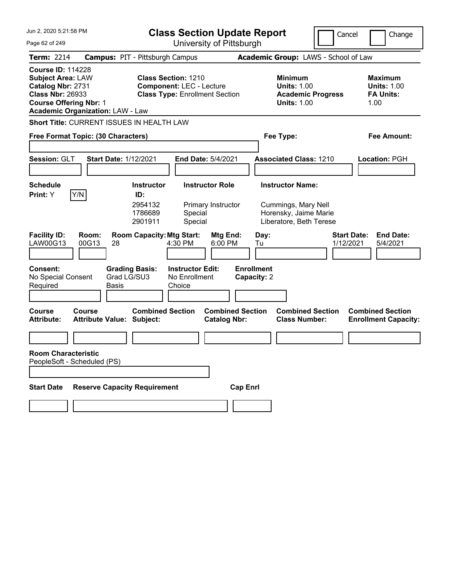| Jun 2, 2020 5:21:58 PM                                                                                                                                                           | <b>Class Section Update Report</b>                   |                                                                                                        |                                                    |                                                |                   |                                                                                        | Cancel                                                                  | Change |                                 |                                                                  |
|----------------------------------------------------------------------------------------------------------------------------------------------------------------------------------|------------------------------------------------------|--------------------------------------------------------------------------------------------------------|----------------------------------------------------|------------------------------------------------|-------------------|----------------------------------------------------------------------------------------|-------------------------------------------------------------------------|--------|---------------------------------|------------------------------------------------------------------|
| Page 62 of 249                                                                                                                                                                   | University of Pittsburgh                             |                                                                                                        |                                                    |                                                |                   |                                                                                        |                                                                         |        |                                 |                                                                  |
| <b>Term: 2214</b>                                                                                                                                                                | <b>Campus: PIT - Pittsburgh Campus</b>               |                                                                                                        |                                                    |                                                |                   | Academic Group: LAWS - School of Law                                                   |                                                                         |        |                                 |                                                                  |
| <b>Course ID: 114228</b><br><b>Subject Area: LAW</b><br>Catalog Nbr: 2731<br><b>Class Nbr: 26933</b><br><b>Course Offering Nbr: 1</b><br><b>Academic Organization: LAW - Law</b> |                                                      | <b>Class Section: 1210</b><br><b>Component: LEC - Lecture</b><br><b>Class Type: Enrollment Section</b> |                                                    |                                                |                   | <b>Minimum</b><br><b>Units: 1.00</b><br><b>Academic Progress</b><br><b>Units: 1.00</b> |                                                                         |        |                                 | <b>Maximum</b><br><b>Units: 1.00</b><br><b>FA Units:</b><br>1.00 |
| Short Title: CURRENT ISSUES IN HEALTH LAW                                                                                                                                        |                                                      |                                                                                                        |                                                    |                                                |                   |                                                                                        |                                                                         |        |                                 |                                                                  |
| Free Format Topic: (30 Characters)                                                                                                                                               |                                                      |                                                                                                        |                                                    |                                                |                   |                                                                                        | Fee Type:                                                               |        |                                 | Fee Amount:                                                      |
| Session: GLT                                                                                                                                                                     | <b>Start Date: 1/12/2021</b>                         |                                                                                                        |                                                    | End Date: 5/4/2021                             |                   |                                                                                        | <b>Associated Class: 1210</b>                                           |        |                                 | <b>Location: PGH</b>                                             |
| <b>Schedule</b>                                                                                                                                                                  |                                                      | <b>Instructor</b>                                                                                      |                                                    | <b>Instructor Role</b>                         |                   |                                                                                        | <b>Instructor Name:</b>                                                 |        |                                 |                                                                  |
| Y/N<br>Print: Y                                                                                                                                                                  |                                                      | ID:<br>2954132<br>1786689<br>2901911                                                                   | Special<br>Special                                 | Primary Instructor                             |                   |                                                                                        | Cummings, Mary Nell<br>Horensky, Jaime Marie<br>Liberatore, Beth Terese |        |                                 |                                                                  |
| <b>Facility ID:</b><br>Room:<br>LAW00G13<br>00G13                                                                                                                                | 28                                                   | <b>Room Capacity: Mtg Start:</b>                                                                       | 4:30 PM                                            | Mtg End:<br>6:00 PM                            |                   | Day:<br>Tu                                                                             |                                                                         |        | <b>Start Date:</b><br>1/12/2021 | <b>End Date:</b><br>5/4/2021                                     |
| Consent:<br>No Special Consent<br>Required                                                                                                                                       | <b>Grading Basis:</b><br>Grad LG/SU3<br><b>Basis</b> |                                                                                                        | <b>Instructor Edit:</b><br>No Enrollment<br>Choice |                                                | <b>Enrollment</b> | Capacity: 2                                                                            |                                                                         |        |                                 |                                                                  |
| Course<br>Course<br><b>Attribute:</b>                                                                                                                                            | <b>Attribute Value: Subject:</b>                     | <b>Combined Section</b>                                                                                |                                                    | <b>Combined Section</b><br><b>Catalog Nbr:</b> |                   |                                                                                        | <b>Combined Section</b><br><b>Class Number:</b>                         |        |                                 | <b>Combined Section</b><br><b>Enrollment Capacity:</b>           |
|                                                                                                                                                                                  |                                                      |                                                                                                        |                                                    |                                                |                   |                                                                                        |                                                                         |        |                                 |                                                                  |
| <b>Room Characteristic</b><br>PeopleSoft - Scheduled (PS)                                                                                                                        |                                                      |                                                                                                        |                                                    |                                                |                   |                                                                                        |                                                                         |        |                                 |                                                                  |
| <b>Start Date</b>                                                                                                                                                                | <b>Reserve Capacity Requirement</b>                  |                                                                                                        |                                                    |                                                | <b>Cap Enrl</b>   |                                                                                        |                                                                         |        |                                 |                                                                  |
|                                                                                                                                                                                  |                                                      |                                                                                                        |                                                    |                                                |                   |                                                                                        |                                                                         |        |                                 |                                                                  |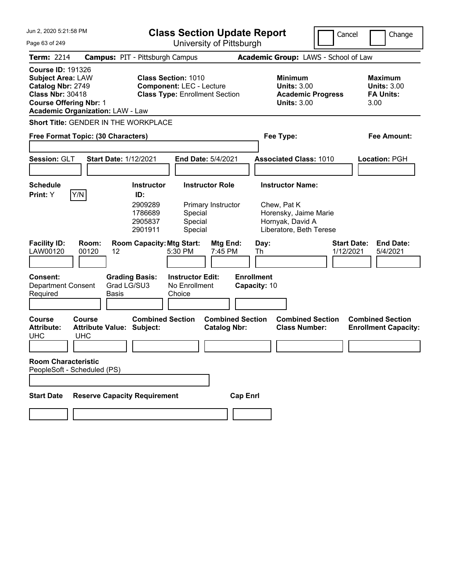| Jun 2, 2020 5:21:58 PM                                                                                                                |                                                                 |                                                                      | <b>Class Section Update Report</b>                                                                     |                                              |                                   |            |                                                                                                                | Cancel                          |      | Change                                                   |
|---------------------------------------------------------------------------------------------------------------------------------------|-----------------------------------------------------------------|----------------------------------------------------------------------|--------------------------------------------------------------------------------------------------------|----------------------------------------------|-----------------------------------|------------|----------------------------------------------------------------------------------------------------------------|---------------------------------|------|----------------------------------------------------------|
| Page 63 of 249                                                                                                                        |                                                                 |                                                                      | University of Pittsburgh                                                                               |                                              |                                   |            |                                                                                                                |                                 |      |                                                          |
| <b>Term: 2214</b>                                                                                                                     | <b>Campus: PIT - Pittsburgh Campus</b>                          |                                                                      |                                                                                                        |                                              |                                   |            | Academic Group: LAWS - School of Law                                                                           |                                 |      |                                                          |
| <b>Course ID: 191326</b><br><b>Subject Area: LAW</b><br>Catalog Nbr: 2749<br><b>Class Nbr: 30418</b><br><b>Course Offering Nbr: 1</b> | <b>Academic Organization: LAW - Law</b>                         |                                                                      | <b>Class Section: 1010</b><br><b>Component: LEC - Lecture</b><br><b>Class Type: Enrollment Section</b> |                                              |                                   |            | <b>Minimum</b><br><b>Units: 3.00</b><br><b>Academic Progress</b><br><b>Units: 3.00</b>                         |                                 | 3.00 | <b>Maximum</b><br><b>Units: 3.00</b><br><b>FA Units:</b> |
|                                                                                                                                       | Short Title: GENDER IN THE WORKPLACE                            |                                                                      |                                                                                                        |                                              |                                   |            |                                                                                                                |                                 |      |                                                          |
|                                                                                                                                       | Free Format Topic: (30 Characters)                              |                                                                      |                                                                                                        |                                              |                                   |            | Fee Type:                                                                                                      |                                 |      | Fee Amount:                                              |
| Session: GLT                                                                                                                          | <b>Start Date: 1/12/2021</b>                                    |                                                                      |                                                                                                        | End Date: 5/4/2021                           |                                   |            | <b>Associated Class: 1010</b>                                                                                  |                                 |      | <b>Location: PGH</b>                                     |
| <b>Schedule</b><br>Print: Y                                                                                                           | Y/N                                                             | <b>Instructor</b><br>ID:<br>2909289<br>1786689<br>2905837<br>2901911 | Special<br>Special<br>Special                                                                          | <b>Instructor Role</b><br>Primary Instructor |                                   |            | <b>Instructor Name:</b><br>Chew, Pat K<br>Horensky, Jaime Marie<br>Hornyak, David A<br>Liberatore, Beth Terese |                                 |      |                                                          |
| <b>Facility ID:</b><br>LAW00120                                                                                                       | Room:<br>00120<br>12                                            | <b>Room Capacity: Mtg Start:</b>                                     | 5:30 PM                                                                                                | Mtg End:<br>7:45 PM                          |                                   | Day:<br>Th |                                                                                                                | <b>Start Date:</b><br>1/12/2021 |      | <b>End Date:</b><br>5/4/2021                             |
| Consent:<br><b>Department Consent</b><br>Required                                                                                     | <b>Basis</b>                                                    | <b>Grading Basis:</b><br>Grad LG/SU3                                 | <b>Instructor Edit:</b><br>No Enrollment<br>Choice                                                     |                                              | <b>Enrollment</b><br>Capacity: 10 |            |                                                                                                                |                                 |      |                                                          |
| <b>Course</b><br><b>Attribute:</b><br><b>UHC</b>                                                                                      | <b>Course</b><br><b>Attribute Value: Subject:</b><br><b>UHC</b> | <b>Combined Section</b>                                              |                                                                                                        | <b>Catalog Nbr:</b>                          | <b>Combined Section</b>           |            | <b>Combined Section</b><br><b>Class Number:</b>                                                                |                                 |      | <b>Combined Section</b><br><b>Enrollment Capacity:</b>   |
|                                                                                                                                       |                                                                 |                                                                      |                                                                                                        |                                              |                                   |            |                                                                                                                |                                 |      |                                                          |
| <b>Room Characteristic</b>                                                                                                            | PeopleSoft - Scheduled (PS)                                     |                                                                      |                                                                                                        |                                              |                                   |            |                                                                                                                |                                 |      |                                                          |
|                                                                                                                                       |                                                                 |                                                                      |                                                                                                        |                                              |                                   |            |                                                                                                                |                                 |      |                                                          |
| <b>Start Date</b>                                                                                                                     | <b>Reserve Capacity Requirement</b>                             |                                                                      |                                                                                                        |                                              | <b>Cap Enrl</b>                   |            |                                                                                                                |                                 |      |                                                          |
|                                                                                                                                       |                                                                 |                                                                      |                                                                                                        |                                              |                                   |            |                                                                                                                |                                 |      |                                                          |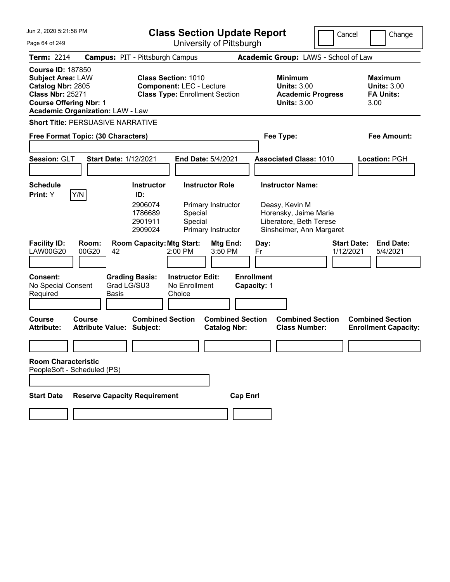| Jun 2. 2020 5:21:58 PM                                                                                                                                                           |                                                      | <b>Class Section Update Report</b>                                                                     |                                                                    |                                                                                                                           | Cancel                          | Change                                                    |
|----------------------------------------------------------------------------------------------------------------------------------------------------------------------------------|------------------------------------------------------|--------------------------------------------------------------------------------------------------------|--------------------------------------------------------------------|---------------------------------------------------------------------------------------------------------------------------|---------------------------------|-----------------------------------------------------------|
| Page 64 of 249                                                                                                                                                                   |                                                      |                                                                                                        | University of Pittsburgh                                           |                                                                                                                           |                                 |                                                           |
| <b>Term: 2214</b>                                                                                                                                                                |                                                      | <b>Campus: PIT - Pittsburgh Campus</b>                                                                 |                                                                    | Academic Group: LAWS - School of Law                                                                                      |                                 |                                                           |
| <b>Course ID: 187850</b><br><b>Subject Area: LAW</b><br>Catalog Nbr: 2805<br><b>Class Nbr: 25271</b><br><b>Course Offering Nbr: 1</b><br><b>Academic Organization: LAW - Law</b> |                                                      | <b>Class Section: 1010</b><br><b>Component: LEC - Lecture</b><br><b>Class Type: Enrollment Section</b> |                                                                    | Minimum<br><b>Units: 3.00</b><br><b>Units: 3.00</b>                                                                       | <b>Academic Progress</b>        | Maximum<br><b>Units: 3.00</b><br><b>FA Units:</b><br>3.00 |
|                                                                                                                                                                                  | <b>Short Title: PERSUASIVE NARRATIVE</b>             |                                                                                                        |                                                                    |                                                                                                                           |                                 |                                                           |
|                                                                                                                                                                                  | Free Format Topic: (30 Characters)                   |                                                                                                        |                                                                    | Fee Type:                                                                                                                 |                                 | Fee Amount:                                               |
| Session: GLT                                                                                                                                                                     | <b>Start Date: 1/12/2021</b>                         |                                                                                                        | <b>End Date: 5/4/2021</b>                                          | <b>Associated Class: 1010</b>                                                                                             |                                 | Location: PGH                                             |
| <b>Schedule</b><br><b>Print:</b> Y                                                                                                                                               | Y/N                                                  | <b>Instructor</b><br>ID:<br>2906074<br>1786689<br>Special<br>Special<br>2901911<br>2909024             | <b>Instructor Role</b><br>Primary Instructor<br>Primary Instructor | <b>Instructor Name:</b><br>Deasy, Kevin M<br>Horensky, Jaime Marie<br>Liberatore, Beth Terese<br>Sinsheimer, Ann Margaret |                                 |                                                           |
| <b>Facility ID:</b><br><b>LAW00G20</b>                                                                                                                                           | Room:<br>00G20<br>42                                 | <b>Room Capacity: Mtg Start:</b><br>2:00 PM                                                            | Mtg End:<br>3:50 PM                                                | Day:<br>Fr                                                                                                                | <b>Start Date:</b><br>1/12/2021 | <b>End Date:</b><br>5/4/2021                              |
| <b>Consent:</b><br>No Special Consent<br>Required                                                                                                                                | <b>Grading Basis:</b><br>Grad LG/SU3<br><b>Basis</b> | <b>Instructor Edit:</b><br>No Enrollment<br>Choice                                                     |                                                                    | <b>Enrollment</b><br>Capacity: 1                                                                                          |                                 |                                                           |
| <b>Course</b><br><b>Attribute:</b>                                                                                                                                               | Course<br>Attribute Value: Subject:                  | <b>Combined Section</b>                                                                                | <b>Combined Section</b><br><b>Catalog Nbr:</b>                     | <b>Combined Section</b><br><b>Class Number:</b>                                                                           |                                 | <b>Combined Section</b><br><b>Enrollment Capacity:</b>    |
|                                                                                                                                                                                  |                                                      |                                                                                                        |                                                                    |                                                                                                                           |                                 |                                                           |
| <b>Room Characteristic</b>                                                                                                                                                       | PeopleSoft - Scheduled (PS)                          |                                                                                                        |                                                                    |                                                                                                                           |                                 |                                                           |
|                                                                                                                                                                                  |                                                      |                                                                                                        |                                                                    |                                                                                                                           |                                 |                                                           |
| <b>Start Date</b>                                                                                                                                                                | <b>Reserve Capacity Requirement</b>                  |                                                                                                        | <b>Cap Enrl</b>                                                    |                                                                                                                           |                                 |                                                           |
|                                                                                                                                                                                  |                                                      |                                                                                                        |                                                                    |                                                                                                                           |                                 |                                                           |
|                                                                                                                                                                                  |                                                      |                                                                                                        |                                                                    |                                                                                                                           |                                 |                                                           |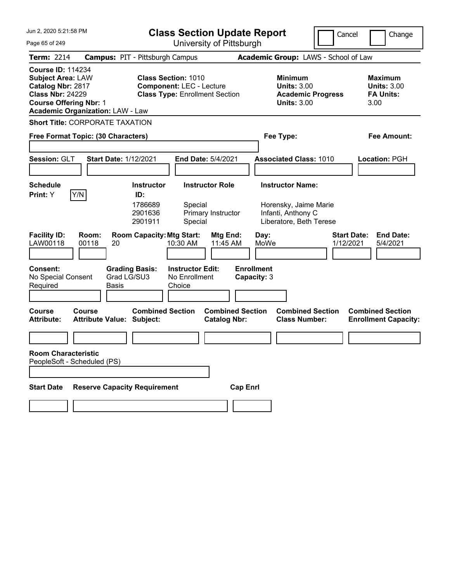| Jun 2, 2020 5:21:58 PM                                                                                                                                                           |                                               | <b>Class Section Update Report</b>                                                                     |                                                |                                                                        | Cancel                                                               | Change                                                 |
|----------------------------------------------------------------------------------------------------------------------------------------------------------------------------------|-----------------------------------------------|--------------------------------------------------------------------------------------------------------|------------------------------------------------|------------------------------------------------------------------------|----------------------------------------------------------------------|--------------------------------------------------------|
| Page 65 of 249                                                                                                                                                                   |                                               |                                                                                                        | University of Pittsburgh                       |                                                                        |                                                                      |                                                        |
| <b>Term: 2214</b>                                                                                                                                                                |                                               | <b>Campus: PIT - Pittsburgh Campus</b>                                                                 |                                                | Academic Group: LAWS - School of Law                                   |                                                                      |                                                        |
| <b>Course ID: 114234</b><br><b>Subject Area: LAW</b><br>Catalog Nbr: 2817<br><b>Class Nbr: 24229</b><br><b>Course Offering Nbr: 1</b><br><b>Academic Organization: LAW - Law</b> |                                               | <b>Class Section: 1010</b><br><b>Component: LEC - Lecture</b><br><b>Class Type: Enrollment Section</b> |                                                | Minimum                                                                | <b>Units: 3.00</b><br><b>Academic Progress</b><br><b>Units: 3.00</b> |                                                        |
|                                                                                                                                                                                  | <b>Short Title: CORPORATE TAXATION</b>        |                                                                                                        |                                                |                                                                        |                                                                      |                                                        |
|                                                                                                                                                                                  | Free Format Topic: (30 Characters)            |                                                                                                        |                                                | Fee Type:                                                              |                                                                      | Fee Amount:                                            |
|                                                                                                                                                                                  |                                               |                                                                                                        |                                                |                                                                        |                                                                      |                                                        |
| Session: GLT                                                                                                                                                                     | <b>Start Date: 1/12/2021</b>                  |                                                                                                        | End Date: 5/4/2021                             | <b>Associated Class: 1010</b>                                          |                                                                      | Location: PGH                                          |
|                                                                                                                                                                                  |                                               |                                                                                                        |                                                |                                                                        |                                                                      |                                                        |
| <b>Schedule</b>                                                                                                                                                                  |                                               | <b>Instructor</b>                                                                                      | <b>Instructor Role</b>                         | <b>Instructor Name:</b>                                                |                                                                      |                                                        |
| Print: Y                                                                                                                                                                         | Y/N                                           | ID:<br>1786689<br>Special<br>2901636<br>2901911<br>Special                                             | Primary Instructor                             | Horensky, Jaime Marie<br>Infanti, Anthony C<br>Liberatore, Beth Terese |                                                                      |                                                        |
| <b>Facility ID:</b><br>LAW00118                                                                                                                                                  | Room:<br>00118<br>20                          | <b>Room Capacity: Mtg Start:</b><br>10:30 AM                                                           | Mtg End:<br>11:45 AM                           | Day:<br>MoWe                                                           | <b>Start Date:</b><br>1/12/2021                                      | <b>End Date:</b><br>5/4/2021                           |
| <b>Consent:</b><br>No Special Consent<br>Required                                                                                                                                | <b>Grading Basis:</b><br>Grad LG/SU3<br>Basis | <b>Instructor Edit:</b><br>No Enrollment<br>Choice                                                     |                                                | <b>Enrollment</b><br>Capacity: 3                                       |                                                                      |                                                        |
| <b>Course</b><br><b>Attribute:</b>                                                                                                                                               | Course<br><b>Attribute Value: Subject:</b>    | <b>Combined Section</b>                                                                                | <b>Combined Section</b><br><b>Catalog Nbr:</b> | <b>Combined Section</b><br><b>Class Number:</b>                        |                                                                      | <b>Combined Section</b><br><b>Enrollment Capacity:</b> |
|                                                                                                                                                                                  |                                               |                                                                                                        |                                                |                                                                        |                                                                      |                                                        |
| <b>Room Characteristic</b>                                                                                                                                                       | PeopleSoft - Scheduled (PS)                   |                                                                                                        |                                                |                                                                        |                                                                      |                                                        |
|                                                                                                                                                                                  |                                               |                                                                                                        |                                                |                                                                        |                                                                      |                                                        |
| <b>Start Date</b>                                                                                                                                                                | <b>Reserve Capacity Requirement</b>           |                                                                                                        | <b>Cap Enrl</b>                                |                                                                        |                                                                      |                                                        |
|                                                                                                                                                                                  |                                               |                                                                                                        |                                                |                                                                        |                                                                      |                                                        |
|                                                                                                                                                                                  |                                               |                                                                                                        |                                                |                                                                        |                                                                      |                                                        |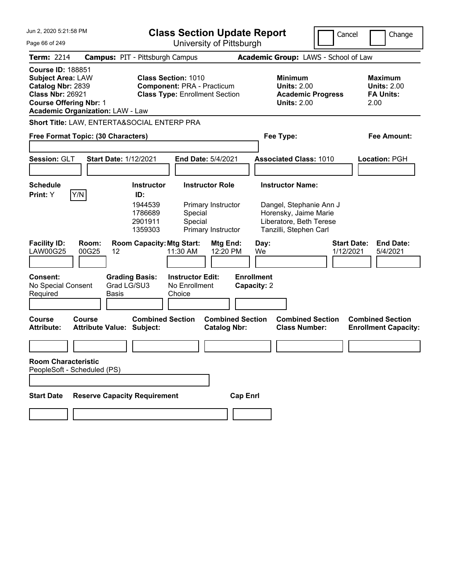| Jun 2, 2020 5:21:58 PM                                                                                                                                                                                                                                                                       |                                                   | <b>Class Section Update Report</b>                                   |                                                                                          |                                                                                        |                                  | Cancel     |                                                                                                                                  |  |                                                                  | Change |                                                        |
|----------------------------------------------------------------------------------------------------------------------------------------------------------------------------------------------------------------------------------------------------------------------------------------------|---------------------------------------------------|----------------------------------------------------------------------|------------------------------------------------------------------------------------------|----------------------------------------------------------------------------------------|----------------------------------|------------|----------------------------------------------------------------------------------------------------------------------------------|--|------------------------------------------------------------------|--------|--------------------------------------------------------|
| Page 66 of 249                                                                                                                                                                                                                                                                               |                                                   | University of Pittsburgh                                             |                                                                                          |                                                                                        |                                  |            |                                                                                                                                  |  |                                                                  |        |                                                        |
| Term: 2214                                                                                                                                                                                                                                                                                   |                                                   | <b>Campus: PIT - Pittsburgh Campus</b>                               |                                                                                          |                                                                                        |                                  |            | Academic Group: LAWS - School of Law                                                                                             |  |                                                                  |        |                                                        |
| <b>Course ID: 188851</b><br><b>Subject Area: LAW</b><br><b>Class Section: 1010</b><br>Catalog Nbr: 2839<br><b>Component: PRA - Practicum</b><br><b>Class Nbr: 26921</b><br><b>Class Type: Enrollment Section</b><br><b>Course Offering Nbr: 1</b><br><b>Academic Organization: LAW - Law</b> |                                                   |                                                                      |                                                                                          | <b>Minimum</b><br><b>Units: 2.00</b><br><b>Academic Progress</b><br><b>Units: 2.00</b> |                                  |            |                                                                                                                                  |  | <b>Maximum</b><br><b>Units: 2.00</b><br><b>FA Units:</b><br>2.00 |        |                                                        |
|                                                                                                                                                                                                                                                                                              | Short Title: LAW, ENTERTA&SOCIAL ENTERP PRA       |                                                                      |                                                                                          |                                                                                        |                                  |            |                                                                                                                                  |  |                                                                  |        |                                                        |
|                                                                                                                                                                                                                                                                                              | Free Format Topic: (30 Characters)                |                                                                      |                                                                                          |                                                                                        |                                  |            | Fee Type:                                                                                                                        |  |                                                                  |        | <b>Fee Amount:</b>                                     |
| Session: GLT                                                                                                                                                                                                                                                                                 | <b>Start Date: 1/12/2021</b>                      |                                                                      | <b>End Date: 5/4/2021</b>                                                                |                                                                                        |                                  |            | <b>Associated Class: 1010</b>                                                                                                    |  |                                                                  |        | Location: PGH                                          |
| <b>Schedule</b><br>Print: Y                                                                                                                                                                                                                                                                  | Y/N                                               | <b>Instructor</b><br>ID:<br>1944539<br>1786689<br>2901911<br>1359303 | <b>Instructor Role</b><br>Primary Instructor<br>Special<br>Special<br>Primary Instructor |                                                                                        |                                  |            | <b>Instructor Name:</b><br>Dangel, Stephanie Ann J<br>Horensky, Jaime Marie<br>Liberatore, Beth Terese<br>Tanzilli, Stephen Carl |  |                                                                  |        |                                                        |
| <b>Facility ID:</b><br><b>LAW00G25</b>                                                                                                                                                                                                                                                       | Room:<br>00G25<br>12                              | <b>Room Capacity: Mtg Start:</b>                                     | 11:30 AM                                                                                 | Mtg End:<br>12:20 PM                                                                   |                                  | Day:<br>We |                                                                                                                                  |  | <b>Start Date:</b><br>1/12/2021                                  |        | <b>End Date:</b><br>5/4/2021                           |
| <b>Consent:</b><br>No Special Consent<br>Required                                                                                                                                                                                                                                            | <b>Grading Basis:</b><br>Grad LG/SU3<br>Basis     |                                                                      | <b>Instructor Edit:</b><br>No Enrollment<br>Choice                                       |                                                                                        | <b>Enrollment</b><br>Capacity: 2 |            |                                                                                                                                  |  |                                                                  |        |                                                        |
| <b>Course</b><br><b>Attribute:</b>                                                                                                                                                                                                                                                           | <b>Course</b><br><b>Attribute Value: Subject:</b> | <b>Combined Section</b>                                              |                                                                                          | <b>Combined Section</b><br><b>Catalog Nbr:</b>                                         |                                  |            | <b>Combined Section</b><br><b>Class Number:</b>                                                                                  |  |                                                                  |        | <b>Combined Section</b><br><b>Enrollment Capacity:</b> |
|                                                                                                                                                                                                                                                                                              |                                                   |                                                                      |                                                                                          |                                                                                        |                                  |            |                                                                                                                                  |  |                                                                  |        |                                                        |
| <b>Room Characteristic</b><br>PeopleSoft - Scheduled (PS)                                                                                                                                                                                                                                    |                                                   |                                                                      |                                                                                          |                                                                                        |                                  |            |                                                                                                                                  |  |                                                                  |        |                                                        |
| <b>Start Date</b>                                                                                                                                                                                                                                                                            | <b>Reserve Capacity Requirement</b>               |                                                                      |                                                                                          |                                                                                        | <b>Cap Enrl</b>                  |            |                                                                                                                                  |  |                                                                  |        |                                                        |
|                                                                                                                                                                                                                                                                                              |                                                   |                                                                      |                                                                                          |                                                                                        |                                  |            |                                                                                                                                  |  |                                                                  |        |                                                        |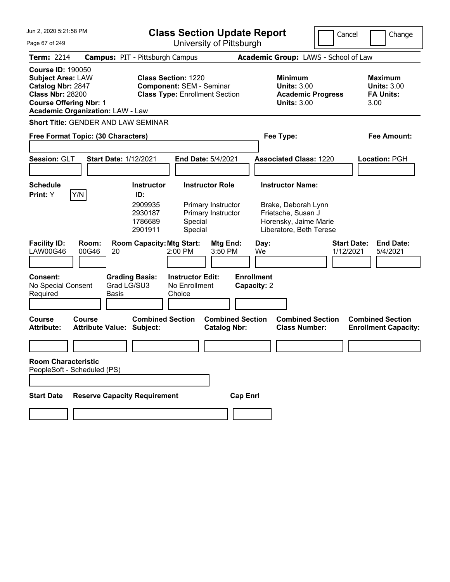| Jun 2. 2020 5:21:58 PM                                                                                                                                                           |                                                      | <b>Class Section Update Report</b>                                                                     |                                                    |                                                                    |                 |                                  |                                                                                                                          | Cancel                          | Change                                                    |  |
|----------------------------------------------------------------------------------------------------------------------------------------------------------------------------------|------------------------------------------------------|--------------------------------------------------------------------------------------------------------|----------------------------------------------------|--------------------------------------------------------------------|-----------------|----------------------------------|--------------------------------------------------------------------------------------------------------------------------|---------------------------------|-----------------------------------------------------------|--|
| Page 67 of 249                                                                                                                                                                   |                                                      |                                                                                                        | University of Pittsburgh                           |                                                                    |                 |                                  |                                                                                                                          |                                 |                                                           |  |
| <b>Term: 2214</b>                                                                                                                                                                | <b>Campus: PIT - Pittsburgh Campus</b>               |                                                                                                        |                                                    |                                                                    |                 |                                  | Academic Group: LAWS - School of Law                                                                                     |                                 |                                                           |  |
| <b>Course ID: 190050</b><br><b>Subject Area: LAW</b><br>Catalog Nbr: 2847<br><b>Class Nbr: 28200</b><br><b>Course Offering Nbr: 1</b><br><b>Academic Organization: LAW - Law</b> |                                                      | <b>Class Section: 1220</b><br><b>Component: SEM - Seminar</b><br><b>Class Type: Enrollment Section</b> |                                                    |                                                                    |                 |                                  | Minimum<br><b>Units: 3.00</b><br><b>Academic Progress</b><br><b>Units: 3.00</b>                                          |                                 | Maximum<br><b>Units: 3.00</b><br><b>FA Units:</b><br>3.00 |  |
|                                                                                                                                                                                  | <b>Short Title: GENDER AND LAW SEMINAR</b>           |                                                                                                        |                                                    |                                                                    |                 |                                  |                                                                                                                          |                                 |                                                           |  |
|                                                                                                                                                                                  | Free Format Topic: (30 Characters)                   |                                                                                                        |                                                    |                                                                    |                 |                                  | Fee Type:                                                                                                                |                                 | Fee Amount:                                               |  |
| Session: GLT                                                                                                                                                                     | <b>Start Date: 1/12/2021</b>                         |                                                                                                        | <b>End Date: 5/4/2021</b>                          |                                                                    |                 |                                  | <b>Associated Class: 1220</b>                                                                                            |                                 | Location: PGH                                             |  |
| <b>Schedule</b><br><b>Print:</b> Y                                                                                                                                               | Y/N                                                  | <b>Instructor</b><br>ID:<br>2909935<br>2930187<br>1786689<br>2901911                                   | Special<br>Special                                 | <b>Instructor Role</b><br>Primary Instructor<br>Primary Instructor |                 |                                  | <b>Instructor Name:</b><br>Brake, Deborah Lynn<br>Frietsche, Susan J<br>Horensky, Jaime Marie<br>Liberatore, Beth Terese |                                 |                                                           |  |
| <b>Facility ID:</b><br>LAW00G46                                                                                                                                                  | Room:<br>00G46<br>20                                 | <b>Room Capacity: Mtg Start:</b>                                                                       | 2:00 PM                                            | Mtg End:<br>3:50 PM                                                |                 | Day:<br>We                       |                                                                                                                          | <b>Start Date:</b><br>1/12/2021 | <b>End Date:</b><br>5/4/2021                              |  |
| <b>Consent:</b><br>No Special Consent<br>Required                                                                                                                                | <b>Grading Basis:</b><br>Grad LG/SU3<br><b>Basis</b> |                                                                                                        | <b>Instructor Edit:</b><br>No Enrollment<br>Choice |                                                                    |                 | <b>Enrollment</b><br>Capacity: 2 |                                                                                                                          |                                 |                                                           |  |
| Course<br><b>Attribute:</b>                                                                                                                                                      | Course<br>Attribute Value: Subject:                  | <b>Combined Section</b>                                                                                |                                                    | <b>Combined Section</b><br><b>Catalog Nbr:</b>                     |                 |                                  | <b>Combined Section</b><br><b>Class Number:</b>                                                                          |                                 | <b>Combined Section</b><br><b>Enrollment Capacity:</b>    |  |
|                                                                                                                                                                                  |                                                      |                                                                                                        |                                                    |                                                                    |                 |                                  |                                                                                                                          |                                 |                                                           |  |
| <b>Room Characteristic</b><br>PeopleSoft - Scheduled (PS)                                                                                                                        |                                                      |                                                                                                        |                                                    |                                                                    |                 |                                  |                                                                                                                          |                                 |                                                           |  |
|                                                                                                                                                                                  |                                                      |                                                                                                        |                                                    |                                                                    |                 |                                  |                                                                                                                          |                                 |                                                           |  |
| <b>Start Date</b>                                                                                                                                                                | <b>Reserve Capacity Requirement</b>                  |                                                                                                        |                                                    |                                                                    | <b>Cap Enrl</b> |                                  |                                                                                                                          |                                 |                                                           |  |
|                                                                                                                                                                                  |                                                      |                                                                                                        |                                                    |                                                                    |                 |                                  |                                                                                                                          |                                 |                                                           |  |
|                                                                                                                                                                                  |                                                      |                                                                                                        |                                                    |                                                                    |                 |                                  |                                                                                                                          |                                 |                                                           |  |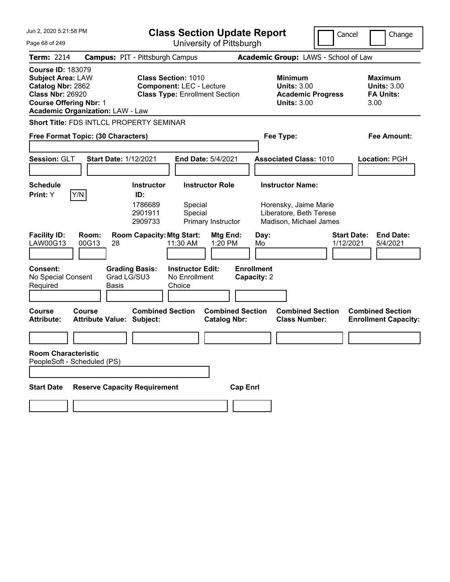| Jun 2. 2020 5:21:58 PM<br><b>Class Section Update Report</b><br>University of Pittsburgh                                                                                                                                                                                                   |                                                   |                                                                          |                                                                                        |                                                |                                      |                                                                            | Cancel    | Change                                                 |  |
|--------------------------------------------------------------------------------------------------------------------------------------------------------------------------------------------------------------------------------------------------------------------------------------------|---------------------------------------------------|--------------------------------------------------------------------------|----------------------------------------------------------------------------------------|------------------------------------------------|--------------------------------------|----------------------------------------------------------------------------|-----------|--------------------------------------------------------|--|
| Page 68 of 249                                                                                                                                                                                                                                                                             |                                                   |                                                                          |                                                                                        |                                                | Academic Group: LAWS - School of Law |                                                                            |           |                                                        |  |
| Term: 2214                                                                                                                                                                                                                                                                                 |                                                   | <b>Campus: PIT - Pittsburgh Campus</b>                                   |                                                                                        |                                                |                                      |                                                                            |           |                                                        |  |
| <b>Course ID: 183079</b><br><b>Class Section: 1010</b><br><b>Subject Area: LAW</b><br>Catalog Nbr: 2862<br><b>Component: LEC - Lecture</b><br><b>Class Nbr: 26920</b><br><b>Class Type: Enrollment Section</b><br><b>Course Offering Nbr: 1</b><br><b>Academic Organization: LAW - Law</b> |                                                   |                                                                          | <b>Minimum</b><br><b>Units: 3.00</b><br><b>Academic Progress</b><br><b>Units: 3.00</b> |                                                |                                      | <b>Maximum</b><br><b>Units: 3.00</b><br><b>FA Units:</b><br>3.00           |           |                                                        |  |
|                                                                                                                                                                                                                                                                                            | <b>Short Title: FDS INTLCL PROPERTY SEMINAR</b>   |                                                                          |                                                                                        |                                                |                                      |                                                                            |           |                                                        |  |
|                                                                                                                                                                                                                                                                                            | Free Format Topic: (30 Characters)                |                                                                          |                                                                                        |                                                | Fee Type:                            |                                                                            |           | <b>Fee Amount:</b>                                     |  |
| Session: GLT                                                                                                                                                                                                                                                                               | <b>Start Date: 1/12/2021</b>                      |                                                                          | <b>End Date: 5/4/2021</b>                                                              |                                                |                                      | <b>Associated Class: 1010</b>                                              |           | Location: PGH                                          |  |
| <b>Schedule</b>                                                                                                                                                                                                                                                                            |                                                   | <b>Instructor</b>                                                        | <b>Instructor Role</b>                                                                 |                                                |                                      | <b>Instructor Name:</b>                                                    |           |                                                        |  |
| Print: Y<br><b>Facility ID:</b><br>LAW00G13                                                                                                                                                                                                                                                | Y/N<br>Room:<br>00G13<br>28                       | ID:<br>1786689<br>2901911<br>2909733<br><b>Room Capacity: Mtg Start:</b> | Special<br>Special<br>Primary Instructor<br>11:30 AM                                   | Mtg End:<br>1:20 PM                            | Day:<br>Mo                           | Horensky, Jaime Marie<br>Liberatore, Beth Terese<br>Madison, Michael James | 1/12/2021 | <b>End Date:</b><br><b>Start Date:</b><br>5/4/2021     |  |
|                                                                                                                                                                                                                                                                                            |                                                   |                                                                          |                                                                                        |                                                |                                      |                                                                            |           |                                                        |  |
| <b>Consent:</b><br>No Special Consent<br>Required                                                                                                                                                                                                                                          | Basis                                             | <b>Grading Basis:</b><br>Grad LG/SU3                                     | <b>Instructor Edit:</b><br>No Enrollment<br>Choice                                     |                                                | <b>Enrollment</b><br>Capacity: 2     |                                                                            |           |                                                        |  |
| <b>Course</b><br><b>Attribute:</b>                                                                                                                                                                                                                                                         | <b>Course</b><br><b>Attribute Value: Subject:</b> | <b>Combined Section</b>                                                  |                                                                                        | <b>Combined Section</b><br><b>Catalog Nbr:</b> |                                      | <b>Combined Section</b><br><b>Class Number:</b>                            |           | <b>Combined Section</b><br><b>Enrollment Capacity:</b> |  |
|                                                                                                                                                                                                                                                                                            |                                                   |                                                                          |                                                                                        |                                                |                                      |                                                                            |           |                                                        |  |
| <b>Room Characteristic</b><br>PeopleSoft - Scheduled (PS)                                                                                                                                                                                                                                  |                                                   |                                                                          |                                                                                        |                                                |                                      |                                                                            |           |                                                        |  |
| <b>Start Date</b>                                                                                                                                                                                                                                                                          | <b>Reserve Capacity Requirement</b>               |                                                                          |                                                                                        | <b>Cap Enrl</b>                                |                                      |                                                                            |           |                                                        |  |
|                                                                                                                                                                                                                                                                                            |                                                   |                                                                          |                                                                                        |                                                |                                      |                                                                            |           |                                                        |  |
|                                                                                                                                                                                                                                                                                            |                                                   |                                                                          |                                                                                        |                                                |                                      |                                                                            |           |                                                        |  |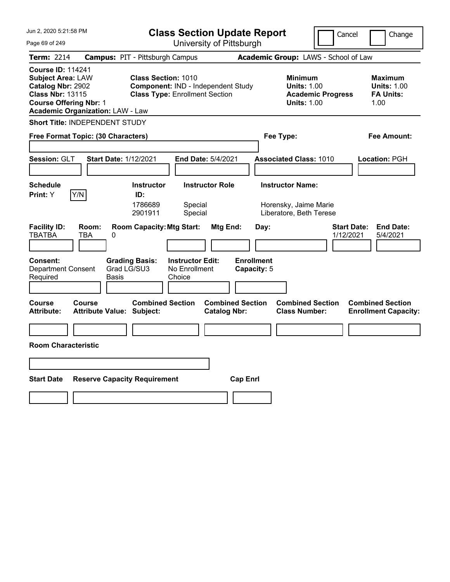| Jun 2, 2020 5:21:58 PM                                                                                                                                                           | <b>Class Section Update Report</b>                                                                        |                                                                        | Cancel                          | Change                                                           |
|----------------------------------------------------------------------------------------------------------------------------------------------------------------------------------|-----------------------------------------------------------------------------------------------------------|------------------------------------------------------------------------|---------------------------------|------------------------------------------------------------------|
| Page 69 of 249                                                                                                                                                                   | University of Pittsburgh                                                                                  |                                                                        |                                 |                                                                  |
| <b>Term: 2214</b>                                                                                                                                                                | <b>Campus: PIT - Pittsburgh Campus</b>                                                                    | Academic Group: LAWS - School of Law                                   |                                 |                                                                  |
| <b>Course ID: 114241</b><br><b>Subject Area: LAW</b><br>Catalog Nbr: 2902<br><b>Class Nbr: 13115</b><br><b>Course Offering Nbr: 1</b><br><b>Academic Organization: LAW - Law</b> | <b>Class Section: 1010</b><br>Component: IND - Independent Study<br><b>Class Type: Enrollment Section</b> | <b>Minimum</b><br><b>Units: 1.00</b><br><b>Units: 1.00</b>             | <b>Academic Progress</b>        | <b>Maximum</b><br><b>Units: 1.00</b><br><b>FA Units:</b><br>1.00 |
| <b>Short Title: INDEPENDENT STUDY</b>                                                                                                                                            |                                                                                                           |                                                                        |                                 |                                                                  |
| Free Format Topic: (30 Characters)                                                                                                                                               |                                                                                                           | Fee Type:                                                              |                                 | Fee Amount:                                                      |
| Session: GLT                                                                                                                                                                     | <b>Start Date: 1/12/2021</b><br><b>End Date: 5/4/2021</b>                                                 | <b>Associated Class: 1010</b>                                          |                                 | <b>Location: PGH</b>                                             |
| <b>Schedule</b>                                                                                                                                                                  | <b>Instructor Role</b><br><b>Instructor</b>                                                               | <b>Instructor Name:</b>                                                |                                 |                                                                  |
| Y/N<br>Print: Y                                                                                                                                                                  | ID:<br>1786689<br>Special<br>Special<br>2901911                                                           | Horensky, Jaime Marie<br>Liberatore, Beth Terese                       |                                 |                                                                  |
| <b>Facility ID:</b><br>Room:<br><b>TBATBA</b><br>TBA<br>0                                                                                                                        | <b>Room Capacity: Mtg Start:</b>                                                                          | Mtg End:<br>Day:                                                       | <b>Start Date:</b><br>1/12/2021 | <b>End Date:</b><br>5/4/2021                                     |
| <b>Consent:</b><br><b>Department Consent</b><br>Required                                                                                                                         | <b>Grading Basis:</b><br><b>Instructor Edit:</b><br>Grad LG/SU3<br>No Enrollment<br>Choice<br>Basis       | <b>Enrollment</b><br>Capacity: 5                                       |                                 |                                                                  |
| <b>Course</b><br>Course<br><b>Attribute:</b>                                                                                                                                     | <b>Combined Section</b><br><b>Attribute Value: Subject:</b>                                               | <b>Combined Section</b><br><b>Catalog Nbr:</b><br><b>Class Number:</b> | <b>Combined Section</b>         | <b>Combined Section</b><br><b>Enrollment Capacity:</b>           |
|                                                                                                                                                                                  |                                                                                                           |                                                                        |                                 |                                                                  |
| <b>Room Characteristic</b>                                                                                                                                                       |                                                                                                           |                                                                        |                                 |                                                                  |
|                                                                                                                                                                                  |                                                                                                           |                                                                        |                                 |                                                                  |
| <b>Start Date</b>                                                                                                                                                                | <b>Reserve Capacity Requirement</b>                                                                       | <b>Cap Enrl</b>                                                        |                                 |                                                                  |
|                                                                                                                                                                                  |                                                                                                           |                                                                        |                                 |                                                                  |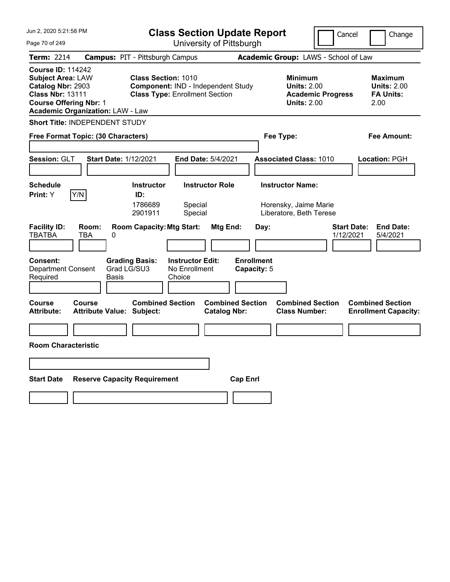| Jun 2, 2020 5:21:58 PM                                                                                                                                                           |                                                                                                           | <b>Class Section Update Report</b><br>Cancel                                                      |                                 |                                                                  |  |  |
|----------------------------------------------------------------------------------------------------------------------------------------------------------------------------------|-----------------------------------------------------------------------------------------------------------|---------------------------------------------------------------------------------------------------|---------------------------------|------------------------------------------------------------------|--|--|
| Page 70 of 249                                                                                                                                                                   | University of Pittsburgh                                                                                  |                                                                                                   |                                 |                                                                  |  |  |
| Term: 2214                                                                                                                                                                       | <b>Campus: PIT - Pittsburgh Campus</b>                                                                    | Academic Group: LAWS - School of Law                                                              |                                 |                                                                  |  |  |
| <b>Course ID: 114242</b><br><b>Subject Area: LAW</b><br>Catalog Nbr: 2903<br><b>Class Nbr: 13111</b><br><b>Course Offering Nbr: 1</b><br><b>Academic Organization: LAW - Law</b> | <b>Class Section: 1010</b><br>Component: IND - Independent Study<br><b>Class Type: Enrollment Section</b> | <b>Minimum</b><br><b>Units: 2.00</b><br><b>Units: 2.00</b>                                        | <b>Academic Progress</b>        | <b>Maximum</b><br><b>Units: 2.00</b><br><b>FA Units:</b><br>2.00 |  |  |
| Short Title: INDEPENDENT STUDY                                                                                                                                                   |                                                                                                           |                                                                                                   |                                 |                                                                  |  |  |
| Free Format Topic: (30 Characters)                                                                                                                                               |                                                                                                           | Fee Type:                                                                                         |                                 | Fee Amount:                                                      |  |  |
| <b>Session: GLT</b>                                                                                                                                                              | <b>Start Date: 1/12/2021</b><br><b>End Date: 5/4/2021</b>                                                 | <b>Associated Class: 1010</b>                                                                     |                                 | Location: PGH                                                    |  |  |
| <b>Schedule</b>                                                                                                                                                                  | <b>Instructor Role</b><br><b>Instructor</b>                                                               | <b>Instructor Name:</b>                                                                           |                                 |                                                                  |  |  |
| Y/N<br><b>Print:</b> Y                                                                                                                                                           | ID:<br>1786689<br>Special<br>2901911<br>Special                                                           | Horensky, Jaime Marie<br>Liberatore, Beth Terese                                                  |                                 |                                                                  |  |  |
| <b>Facility ID:</b><br>Room:<br><b>TBATBA</b><br>TBA                                                                                                                             | <b>Room Capacity: Mtg Start:</b><br>0                                                                     | Mtg End:<br>Day:                                                                                  | <b>Start Date:</b><br>1/12/2021 | <b>End Date:</b><br>5/4/2021                                     |  |  |
| <b>Consent:</b><br><b>Department Consent</b><br>Required                                                                                                                         | <b>Grading Basis:</b><br><b>Instructor Edit:</b><br>Grad LG/SU3<br>No Enrollment<br>Basis<br>Choice       | <b>Enrollment</b><br>Capacity: 5                                                                  |                                 |                                                                  |  |  |
| Course<br><b>Course</b><br><b>Attribute:</b>                                                                                                                                     | <b>Combined Section</b><br><b>Attribute Value: Subject:</b>                                               | <b>Combined Section</b><br><b>Combined Section</b><br><b>Catalog Nbr:</b><br><b>Class Number:</b> |                                 | <b>Combined Section</b><br><b>Enrollment Capacity:</b>           |  |  |
|                                                                                                                                                                                  |                                                                                                           |                                                                                                   |                                 |                                                                  |  |  |
| <b>Room Characteristic</b>                                                                                                                                                       |                                                                                                           |                                                                                                   |                                 |                                                                  |  |  |
|                                                                                                                                                                                  |                                                                                                           |                                                                                                   |                                 |                                                                  |  |  |
| <b>Start Date</b>                                                                                                                                                                | <b>Reserve Capacity Requirement</b>                                                                       | <b>Cap Enri</b>                                                                                   |                                 |                                                                  |  |  |
|                                                                                                                                                                                  |                                                                                                           |                                                                                                   |                                 |                                                                  |  |  |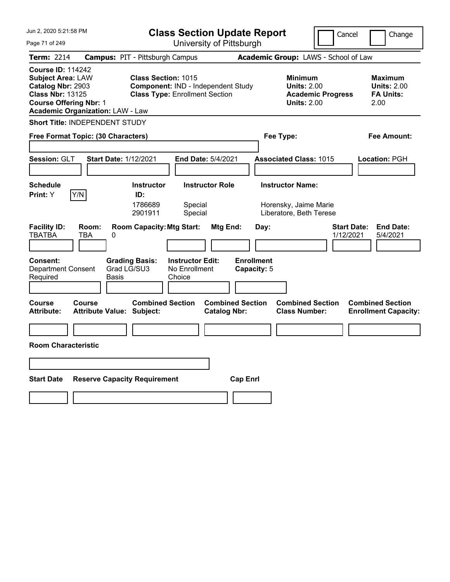| Jun 2, 2020 5:21:58 PM                                                                                                                                                           | <b>Class Section Update Report</b>                                                                                                      |                                                                                                   | Cancel<br>Change                                                                             |
|----------------------------------------------------------------------------------------------------------------------------------------------------------------------------------|-----------------------------------------------------------------------------------------------------------------------------------------|---------------------------------------------------------------------------------------------------|----------------------------------------------------------------------------------------------|
| Page 71 of 249                                                                                                                                                                   | University of Pittsburgh                                                                                                                |                                                                                                   |                                                                                              |
| Term: 2214                                                                                                                                                                       | <b>Campus: PIT - Pittsburgh Campus</b>                                                                                                  | Academic Group: LAWS - School of Law                                                              |                                                                                              |
| <b>Course ID: 114242</b><br><b>Subject Area: LAW</b><br>Catalog Nbr: 2903<br><b>Class Nbr: 13125</b><br><b>Course Offering Nbr: 1</b><br><b>Academic Organization: LAW - Law</b> | <b>Class Section: 1015</b><br>Component: IND - Independent Study<br><b>Class Type: Enrollment Section</b>                               | <b>Minimum</b><br><b>Units: 2.00</b><br><b>Units: 2.00</b>                                        | <b>Maximum</b><br><b>Units: 2.00</b><br><b>Academic Progress</b><br><b>FA Units:</b><br>2.00 |
| <b>Short Title: INDEPENDENT STUDY</b>                                                                                                                                            |                                                                                                                                         |                                                                                                   |                                                                                              |
| Free Format Topic: (30 Characters)                                                                                                                                               |                                                                                                                                         | Fee Type:                                                                                         | Fee Amount:                                                                                  |
| <b>Session: GLT</b>                                                                                                                                                              | <b>Start Date: 1/12/2021</b><br><b>End Date: 5/4/2021</b>                                                                               | <b>Associated Class: 1015</b>                                                                     | <b>Location: PGH</b>                                                                         |
| <b>Schedule</b><br>Y/N<br>Print: Y<br><b>Facility ID:</b><br>Room:<br><b>TBATBA</b><br>TBA                                                                                       | <b>Instructor</b><br><b>Instructor Role</b><br>ID:<br>1786689<br>Special<br>Special<br>2901911<br><b>Room Capacity: Mtg Start:</b><br>0 | <b>Instructor Name:</b><br>Horensky, Jaime Marie<br>Liberatore, Beth Terese<br>Mtg End:<br>Day:   | <b>Start Date:</b><br><b>End Date:</b><br>1/12/2021<br>5/4/2021                              |
| Consent:<br><b>Department Consent</b><br>Required                                                                                                                                | <b>Grading Basis:</b><br><b>Instructor Edit:</b><br>Grad LG/SU3<br>No Enrollment<br>Choice<br>Basis                                     | <b>Enrollment</b><br>Capacity: 5                                                                  |                                                                                              |
| <b>Course</b><br>Course<br><b>Attribute:</b>                                                                                                                                     | <b>Combined Section</b><br><b>Attribute Value: Subject:</b>                                                                             | <b>Combined Section</b><br><b>Combined Section</b><br><b>Class Number:</b><br><b>Catalog Nbr:</b> | <b>Combined Section</b><br><b>Enrollment Capacity:</b>                                       |
|                                                                                                                                                                                  |                                                                                                                                         |                                                                                                   |                                                                                              |
| <b>Room Characteristic</b>                                                                                                                                                       |                                                                                                                                         |                                                                                                   |                                                                                              |
|                                                                                                                                                                                  |                                                                                                                                         |                                                                                                   |                                                                                              |
| <b>Start Date</b>                                                                                                                                                                | <b>Reserve Capacity Requirement</b>                                                                                                     | <b>Cap Enri</b>                                                                                   |                                                                                              |
|                                                                                                                                                                                  |                                                                                                                                         |                                                                                                   |                                                                                              |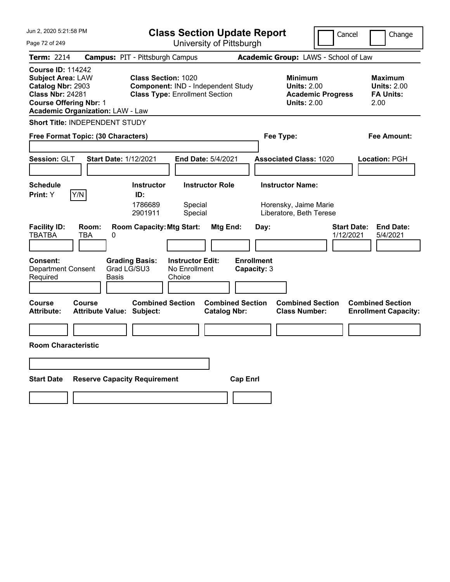| Jun 2, 2020 5:21:58 PM                                                                                                                                                           | <b>Class Section Update Report</b>                                                                                                                       |                                                                             | Cancel<br>Change                                                                             |
|----------------------------------------------------------------------------------------------------------------------------------------------------------------------------------|----------------------------------------------------------------------------------------------------------------------------------------------------------|-----------------------------------------------------------------------------|----------------------------------------------------------------------------------------------|
| Page 72 of 249                                                                                                                                                                   | University of Pittsburgh                                                                                                                                 |                                                                             |                                                                                              |
| Term: 2214                                                                                                                                                                       | <b>Campus: PIT - Pittsburgh Campus</b>                                                                                                                   | Academic Group: LAWS - School of Law                                        |                                                                                              |
| <b>Course ID: 114242</b><br><b>Subject Area: LAW</b><br>Catalog Nbr: 2903<br><b>Class Nbr: 24281</b><br><b>Course Offering Nbr: 1</b><br><b>Academic Organization: LAW - Law</b> | <b>Class Section: 1020</b><br>Component: IND - Independent Study<br><b>Class Type: Enrollment Section</b>                                                | <b>Minimum</b><br><b>Units: 2.00</b><br><b>Units: 2.00</b>                  | <b>Maximum</b><br><b>Units: 2.00</b><br><b>Academic Progress</b><br><b>FA Units:</b><br>2.00 |
| Short Title: INDEPENDENT STUDY                                                                                                                                                   |                                                                                                                                                          |                                                                             |                                                                                              |
| Free Format Topic: (30 Characters)                                                                                                                                               |                                                                                                                                                          | Fee Type:                                                                   | Fee Amount:                                                                                  |
| <b>Session: GLT</b>                                                                                                                                                              | <b>Start Date: 1/12/2021</b><br><b>End Date: 5/4/2021</b>                                                                                                | <b>Associated Class: 1020</b>                                               | Location: PGH                                                                                |
| <b>Schedule</b><br>Y/N<br><b>Print: Y</b>                                                                                                                                        | <b>Instructor Role</b><br><b>Instructor</b><br>ID:<br>1786689<br>Special<br>2901911<br>Special                                                           | <b>Instructor Name:</b><br>Horensky, Jaime Marie<br>Liberatore, Beth Terese |                                                                                              |
| <b>Facility ID:</b><br>Room:<br><b>TBATBA</b><br>TBA<br><b>Consent:</b><br><b>Department Consent</b><br>Required                                                                 | <b>Room Capacity: Mtg Start:</b><br>Mtg End:<br>0<br><b>Grading Basis:</b><br><b>Instructor Edit:</b><br>Grad LG/SU3<br>No Enrollment<br>Basis<br>Choice | Day:<br><b>Enrollment</b><br>Capacity: 3                                    | <b>End Date:</b><br><b>Start Date:</b><br>1/12/2021<br>5/4/2021                              |
| Course<br><b>Course</b><br><b>Attribute:</b>                                                                                                                                     | <b>Combined Section</b><br><b>Attribute Value: Subject:</b><br><b>Catalog Nbr:</b>                                                                       | <b>Combined Section</b><br><b>Combined Section</b><br><b>Class Number:</b>  | <b>Combined Section</b><br><b>Enrollment Capacity:</b>                                       |
|                                                                                                                                                                                  |                                                                                                                                                          |                                                                             |                                                                                              |
| <b>Room Characteristic</b>                                                                                                                                                       |                                                                                                                                                          |                                                                             |                                                                                              |
|                                                                                                                                                                                  |                                                                                                                                                          |                                                                             |                                                                                              |
| <b>Start Date</b>                                                                                                                                                                | <b>Reserve Capacity Requirement</b>                                                                                                                      | <b>Cap Enri</b>                                                             |                                                                                              |
|                                                                                                                                                                                  |                                                                                                                                                          |                                                                             |                                                                                              |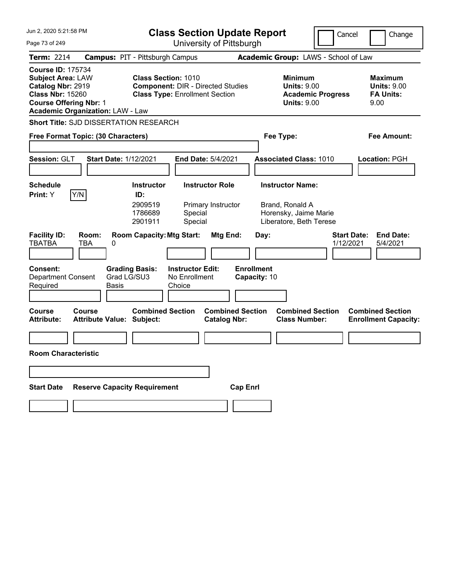| Jun 2, 2020 5:21:58 PM                                                                                                                                                           | <b>Class Section Update Report</b>                                                                              | Cancel                                                                                 | Change                                                           |
|----------------------------------------------------------------------------------------------------------------------------------------------------------------------------------|-----------------------------------------------------------------------------------------------------------------|----------------------------------------------------------------------------------------|------------------------------------------------------------------|
| Page 73 of 249                                                                                                                                                                   | University of Pittsburgh                                                                                        |                                                                                        |                                                                  |
| <b>Term: 2214</b>                                                                                                                                                                | <b>Campus: PIT - Pittsburgh Campus</b>                                                                          | Academic Group: LAWS - School of Law                                                   |                                                                  |
| <b>Course ID: 175734</b><br><b>Subject Area: LAW</b><br>Catalog Nbr: 2919<br><b>Class Nbr: 15260</b><br><b>Course Offering Nbr: 1</b><br><b>Academic Organization: LAW - Law</b> | <b>Class Section: 1010</b><br><b>Component: DIR - Directed Studies</b><br><b>Class Type: Enrollment Section</b> | <b>Minimum</b><br><b>Units: 9.00</b><br><b>Academic Progress</b><br><b>Units: 9.00</b> | <b>Maximum</b><br><b>Units: 9.00</b><br><b>FA Units:</b><br>9.00 |
| <b>Short Title: SJD DISSERTATION RESEARCH</b>                                                                                                                                    |                                                                                                                 |                                                                                        |                                                                  |
| Free Format Topic: (30 Characters)                                                                                                                                               |                                                                                                                 | Fee Type:                                                                              | <b>Fee Amount:</b>                                               |
|                                                                                                                                                                                  |                                                                                                                 |                                                                                        |                                                                  |
| Session: GLT                                                                                                                                                                     | <b>Start Date: 1/12/2021</b><br>End Date: 5/4/2021                                                              | <b>Associated Class: 1010</b>                                                          | Location: PGH                                                    |
| <b>Schedule</b>                                                                                                                                                                  | <b>Instructor</b><br><b>Instructor Role</b>                                                                     | <b>Instructor Name:</b>                                                                |                                                                  |
| Y/N<br>Print: Y                                                                                                                                                                  | ID:                                                                                                             |                                                                                        |                                                                  |
|                                                                                                                                                                                  | 2909519<br>Primary Instructor<br>1786689<br>Special<br>2901911<br>Special                                       | Brand, Ronald A<br>Horensky, Jaime Marie<br>Liberatore, Beth Terese                    |                                                                  |
| <b>Facility ID:</b><br>Room:<br><b>TBATBA</b><br>TBA<br>0                                                                                                                        | <b>Room Capacity: Mtg Start:</b><br>Mtg End:                                                                    | <b>Start Date:</b><br>Day:<br>1/12/2021                                                | <b>End Date:</b><br>5/4/2021                                     |
| <b>Consent:</b><br><b>Department Consent</b><br>Required<br>Basis                                                                                                                | <b>Grading Basis:</b><br><b>Instructor Edit:</b><br>Grad LG/SU3<br>No Enrollment<br>Choice                      | <b>Enrollment</b><br>Capacity: 10                                                      |                                                                  |
| <b>Course</b><br>Course<br><b>Attribute Value: Subject:</b><br><b>Attribute:</b>                                                                                                 | <b>Combined Section</b><br><b>Combined Section</b><br><b>Catalog Nbr:</b>                                       | <b>Combined Section</b><br><b>Class Number:</b>                                        | <b>Combined Section</b><br><b>Enrollment Capacity:</b>           |
|                                                                                                                                                                                  |                                                                                                                 |                                                                                        |                                                                  |
| <b>Room Characteristic</b>                                                                                                                                                       |                                                                                                                 |                                                                                        |                                                                  |
|                                                                                                                                                                                  |                                                                                                                 |                                                                                        |                                                                  |
| <b>Start Date</b>                                                                                                                                                                | <b>Reserve Capacity Requirement</b><br><b>Cap Enrl</b>                                                          |                                                                                        |                                                                  |
|                                                                                                                                                                                  |                                                                                                                 |                                                                                        |                                                                  |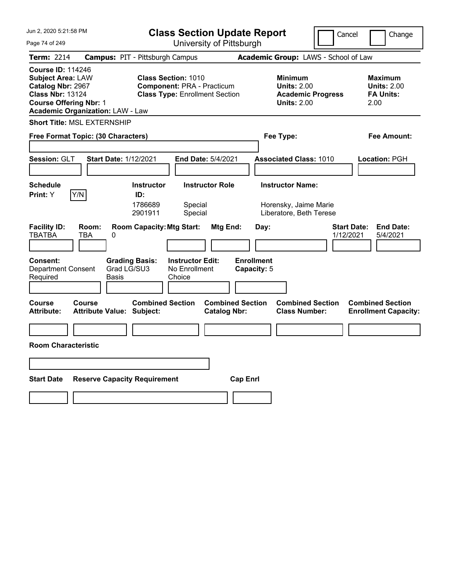| Jun 2, 2020 5:21:58 PM                                                                                                                                                           | <b>Class Section Update Report</b>                                                                                          |                                                                                        | Cancel<br>Change                                                 |
|----------------------------------------------------------------------------------------------------------------------------------------------------------------------------------|-----------------------------------------------------------------------------------------------------------------------------|----------------------------------------------------------------------------------------|------------------------------------------------------------------|
| Page 74 of 249                                                                                                                                                                   | University of Pittsburgh                                                                                                    |                                                                                        |                                                                  |
| <b>Term: 2214</b>                                                                                                                                                                | <b>Campus: PIT - Pittsburgh Campus</b>                                                                                      | Academic Group: LAWS - School of Law                                                   |                                                                  |
| <b>Course ID: 114246</b><br><b>Subject Area: LAW</b><br>Catalog Nbr: 2967<br><b>Class Nbr: 13124</b><br><b>Course Offering Nbr: 1</b><br><b>Academic Organization: LAW - Law</b> | <b>Class Section: 1010</b><br><b>Component: PRA - Practicum</b><br><b>Class Type: Enrollment Section</b>                    | <b>Minimum</b><br><b>Units: 2.00</b><br><b>Academic Progress</b><br><b>Units: 2.00</b> | <b>Maximum</b><br><b>Units: 2.00</b><br><b>FA Units:</b><br>2.00 |
| <b>Short Title: MSL EXTERNSHIP</b>                                                                                                                                               |                                                                                                                             |                                                                                        |                                                                  |
| Free Format Topic: (30 Characters)                                                                                                                                               |                                                                                                                             | Fee Type:                                                                              | Fee Amount:                                                      |
| Session: GLT<br><b>Start Date: 1/12/2021</b>                                                                                                                                     | <b>End Date: 5/4/2021</b>                                                                                                   | <b>Associated Class: 1010</b>                                                          | Location: PGH                                                    |
| <b>Schedule</b><br>Y/N<br>Print: Y                                                                                                                                               | <b>Instructor Role</b><br><b>Instructor</b><br>ID:<br>1786689<br>Special<br>Special<br>2901911                              | <b>Instructor Name:</b><br>Horensky, Jaime Marie<br>Liberatore, Beth Terese            |                                                                  |
| <b>Facility ID:</b><br>Room:<br><b>TBATBA</b><br>TBA<br>0<br><b>Consent:</b><br>Grad LG/SU3<br><b>Department Consent</b><br>Required<br>Basis                                    | <b>Room Capacity: Mtg Start:</b><br>Mtg End:<br><b>Grading Basis:</b><br><b>Instructor Edit:</b><br>No Enrollment<br>Choice | Day:<br><b>Enrollment</b><br>Capacity: 5                                               | <b>Start Date:</b><br><b>End Date:</b><br>1/12/2021<br>5/4/2021  |
| Course<br>Course<br><b>Attribute:</b><br><b>Attribute Value: Subject:</b><br><b>Room Characteristic</b>                                                                          | <b>Combined Section</b><br><b>Catalog Nbr:</b>                                                                              | <b>Combined Section</b><br><b>Combined Section</b><br><b>Class Number:</b>             | <b>Combined Section</b><br><b>Enrollment Capacity:</b>           |
| <b>Start Date</b><br><b>Reserve Capacity Requirement</b>                                                                                                                         |                                                                                                                             | <b>Cap Enrl</b>                                                                        |                                                                  |
|                                                                                                                                                                                  |                                                                                                                             |                                                                                        |                                                                  |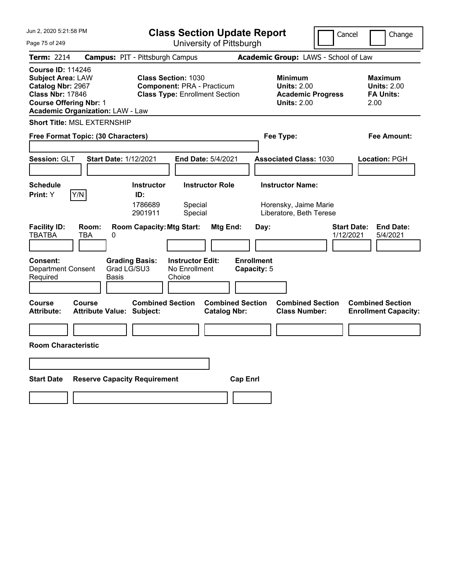| Jun 2, 2020 5:21:58 PM                                                                                                                                                           | <b>Class Section Update Report</b>                                                                       |                                                |                                                                                        | Cancel<br>Change                                                 |
|----------------------------------------------------------------------------------------------------------------------------------------------------------------------------------|----------------------------------------------------------------------------------------------------------|------------------------------------------------|----------------------------------------------------------------------------------------|------------------------------------------------------------------|
| Page 75 of 249                                                                                                                                                                   | University of Pittsburgh                                                                                 |                                                |                                                                                        |                                                                  |
| <b>Term: 2214</b>                                                                                                                                                                | <b>Campus: PIT - Pittsburgh Campus</b>                                                                   |                                                | Academic Group: LAWS - School of Law                                                   |                                                                  |
| <b>Course ID: 114246</b><br><b>Subject Area: LAW</b><br>Catalog Nbr: 2967<br><b>Class Nbr: 17846</b><br><b>Course Offering Nbr: 1</b><br><b>Academic Organization: LAW - Law</b> | <b>Class Section: 1030</b><br><b>Component: PRA - Practicum</b><br><b>Class Type: Enrollment Section</b> |                                                | <b>Minimum</b><br><b>Units: 2.00</b><br><b>Academic Progress</b><br><b>Units: 2.00</b> | <b>Maximum</b><br><b>Units: 2.00</b><br><b>FA Units:</b><br>2.00 |
| <b>Short Title: MSL EXTERNSHIP</b>                                                                                                                                               |                                                                                                          |                                                |                                                                                        |                                                                  |
| Free Format Topic: (30 Characters)                                                                                                                                               |                                                                                                          |                                                | Fee Type:                                                                              | Fee Amount:                                                      |
|                                                                                                                                                                                  |                                                                                                          |                                                |                                                                                        |                                                                  |
| Session: GLT<br><b>Start Date: 1/12/2021</b>                                                                                                                                     | <b>End Date: 5/4/2021</b>                                                                                |                                                | <b>Associated Class: 1030</b>                                                          | Location: PGH                                                    |
|                                                                                                                                                                                  |                                                                                                          |                                                |                                                                                        |                                                                  |
| <b>Schedule</b>                                                                                                                                                                  | <b>Instructor Role</b><br><b>Instructor</b>                                                              |                                                | <b>Instructor Name:</b>                                                                |                                                                  |
| Y/N<br>Print: Y                                                                                                                                                                  | ID:<br>1786689<br>Special<br>2901911<br>Special                                                          |                                                | Horensky, Jaime Marie<br>Liberatore, Beth Terese                                       |                                                                  |
| <b>Facility ID:</b><br>Room:<br><b>TBATBA</b><br>TBA<br>0                                                                                                                        | <b>Room Capacity: Mtg Start:</b>                                                                         | Mtg End:<br>Day:                               |                                                                                        | <b>Start Date:</b><br><b>End Date:</b><br>1/12/2021<br>5/4/2021  |
| <b>Consent:</b><br>Grad LG/SU3<br><b>Department Consent</b><br>Required<br>Basis                                                                                                 | <b>Grading Basis:</b><br><b>Instructor Edit:</b><br>No Enrollment<br>Choice                              | <b>Enrollment</b><br>Capacity: 5               |                                                                                        |                                                                  |
| Course<br><b>Course</b><br><b>Attribute:</b><br><b>Attribute Value: Subject:</b>                                                                                                 | <b>Combined Section</b>                                                                                  | <b>Combined Section</b><br><b>Catalog Nbr:</b> | <b>Combined Section</b><br><b>Class Number:</b>                                        | <b>Combined Section</b><br><b>Enrollment Capacity:</b>           |
|                                                                                                                                                                                  |                                                                                                          |                                                |                                                                                        |                                                                  |
| <b>Room Characteristic</b>                                                                                                                                                       |                                                                                                          |                                                |                                                                                        |                                                                  |
|                                                                                                                                                                                  |                                                                                                          |                                                |                                                                                        |                                                                  |
| <b>Start Date</b><br><b>Reserve Capacity Requirement</b>                                                                                                                         |                                                                                                          | <b>Cap Enri</b>                                |                                                                                        |                                                                  |
|                                                                                                                                                                                  |                                                                                                          |                                                |                                                                                        |                                                                  |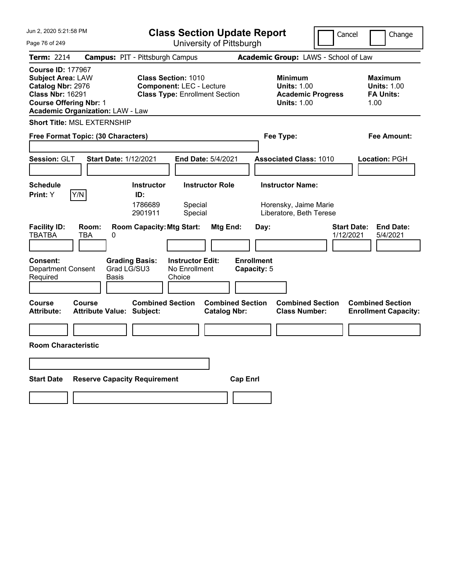| Jun 2, 2020 5:21:58 PM                                                                                                                                                           | <b>Class Section Update Report</b>                                                                                   |                                                                             | Cancel                          | Change                                                    |
|----------------------------------------------------------------------------------------------------------------------------------------------------------------------------------|----------------------------------------------------------------------------------------------------------------------|-----------------------------------------------------------------------------|---------------------------------|-----------------------------------------------------------|
| Page 76 of 249                                                                                                                                                                   | University of Pittsburgh                                                                                             |                                                                             |                                 |                                                           |
| <b>Term: 2214</b>                                                                                                                                                                | <b>Campus: PIT - Pittsburgh Campus</b>                                                                               | Academic Group: LAWS - School of Law                                        |                                 |                                                           |
| <b>Course ID: 177967</b><br><b>Subject Area: LAW</b><br>Catalog Nbr: 2976<br><b>Class Nbr: 16291</b><br><b>Course Offering Nbr: 1</b><br><b>Academic Organization: LAW - Law</b> | <b>Class Section: 1010</b><br><b>Component: LEC - Lecture</b><br><b>Class Type: Enrollment Section</b>               | <b>Minimum</b><br><b>Units: 1.00</b><br><b>Units: 1.00</b>                  | <b>Academic Progress</b>        | Maximum<br><b>Units: 1.00</b><br><b>FA Units:</b><br>1.00 |
| <b>Short Title: MSL EXTERNSHIP</b>                                                                                                                                               |                                                                                                                      |                                                                             |                                 |                                                           |
| Free Format Topic: (30 Characters)                                                                                                                                               |                                                                                                                      | Fee Type:                                                                   |                                 | Fee Amount:                                               |
| Session: GLT<br><b>Start Date: 1/12/2021</b>                                                                                                                                     | <b>End Date: 5/4/2021</b>                                                                                            | <b>Associated Class: 1010</b>                                               |                                 | Location: PGH                                             |
| <b>Schedule</b><br>Y/N<br>Print: Y                                                                                                                                               | <b>Instructor Role</b><br><b>Instructor</b><br>ID:<br>1786689<br>Special<br>2901911<br>Special                       | <b>Instructor Name:</b><br>Horensky, Jaime Marie<br>Liberatore, Beth Terese |                                 |                                                           |
| <b>Facility ID:</b><br>Room:<br><b>TBATBA</b><br><b>TBA</b><br>0<br><b>Consent:</b><br><b>Department Consent</b>                                                                 | <b>Room Capacity: Mtg Start:</b><br><b>Grading Basis:</b><br><b>Instructor Edit:</b><br>Grad LG/SU3<br>No Enrollment | Mtg End:<br>Day:<br><b>Enrollment</b><br>Capacity: 5                        | <b>Start Date:</b><br>1/12/2021 | <b>End Date:</b><br>5/4/2021                              |
| Required<br>Basis                                                                                                                                                                | Choice                                                                                                               |                                                                             |                                 |                                                           |
| <b>Course</b><br><b>Course</b><br><b>Attribute:</b><br><b>Attribute Value: Subject:</b>                                                                                          | <b>Combined Section</b>                                                                                              | <b>Combined Section</b><br><b>Class Number:</b><br><b>Catalog Nbr:</b>      | <b>Combined Section</b>         | <b>Combined Section</b><br><b>Enrollment Capacity:</b>    |
|                                                                                                                                                                                  |                                                                                                                      |                                                                             |                                 |                                                           |
| <b>Room Characteristic</b>                                                                                                                                                       |                                                                                                                      |                                                                             |                                 |                                                           |
|                                                                                                                                                                                  |                                                                                                                      |                                                                             |                                 |                                                           |
| <b>Start Date</b><br><b>Reserve Capacity Requirement</b>                                                                                                                         |                                                                                                                      | <b>Cap Enrl</b>                                                             |                                 |                                                           |
|                                                                                                                                                                                  |                                                                                                                      |                                                                             |                                 |                                                           |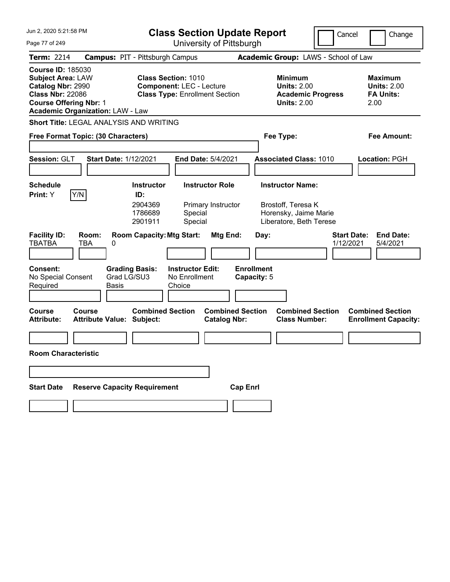| Jun 2, 2020 5:21:58 PM                                                                                                                                                           | <b>Class Section Update Report</b>                                                                     | Cancel                                                                                 | Change                                                           |
|----------------------------------------------------------------------------------------------------------------------------------------------------------------------------------|--------------------------------------------------------------------------------------------------------|----------------------------------------------------------------------------------------|------------------------------------------------------------------|
| Page 77 of 249                                                                                                                                                                   | University of Pittsburgh                                                                               |                                                                                        |                                                                  |
| <b>Term: 2214</b>                                                                                                                                                                | <b>Campus: PIT - Pittsburgh Campus</b>                                                                 | Academic Group: LAWS - School of Law                                                   |                                                                  |
| <b>Course ID: 185030</b><br><b>Subject Area: LAW</b><br>Catalog Nbr: 2990<br><b>Class Nbr: 22086</b><br><b>Course Offering Nbr: 1</b><br><b>Academic Organization: LAW - Law</b> | <b>Class Section: 1010</b><br><b>Component: LEC - Lecture</b><br><b>Class Type: Enrollment Section</b> | <b>Minimum</b><br><b>Units: 2.00</b><br><b>Academic Progress</b><br><b>Units: 2.00</b> | <b>Maximum</b><br><b>Units: 2.00</b><br><b>FA Units:</b><br>2.00 |
| Short Title: LEGAL ANALYSIS AND WRITING                                                                                                                                          |                                                                                                        |                                                                                        |                                                                  |
| Free Format Topic: (30 Characters)                                                                                                                                               |                                                                                                        | Fee Type:                                                                              | <b>Fee Amount:</b>                                               |
|                                                                                                                                                                                  |                                                                                                        |                                                                                        |                                                                  |
| Session: GLT<br><b>Start Date: 1/12/2021</b>                                                                                                                                     | End Date: 5/4/2021                                                                                     | <b>Associated Class: 1010</b>                                                          | Location: PGH                                                    |
| <b>Schedule</b>                                                                                                                                                                  | <b>Instructor</b><br><b>Instructor Role</b>                                                            | <b>Instructor Name:</b>                                                                |                                                                  |
| Y/N<br>Print: Y                                                                                                                                                                  | ID:<br>2904369<br>Primary Instructor<br>1786689<br>Special<br>2901911<br>Special                       | Brostoff, Teresa K<br>Horensky, Jaime Marie<br>Liberatore, Beth Terese                 |                                                                  |
| <b>Facility ID:</b><br>Room:<br><b>TBATBA</b><br>TBA<br>0                                                                                                                        | <b>Room Capacity: Mtg Start:</b><br>Mtg End:                                                           | Day:<br>1/12/2021                                                                      | <b>Start Date:</b><br><b>End Date:</b><br>5/4/2021               |
| <b>Consent:</b><br>Grad LG/SU3<br>No Special Consent<br>Required<br>Basis                                                                                                        | <b>Grading Basis:</b><br><b>Instructor Edit:</b><br>No Enrollment<br>Choice                            | <b>Enrollment</b><br>Capacity: 5                                                       |                                                                  |
| <b>Course</b><br>Course<br><b>Attribute Value: Subject:</b><br><b>Attribute:</b>                                                                                                 | <b>Combined Section</b><br><b>Combined Section</b><br><b>Catalog Nbr:</b>                              | <b>Combined Section</b><br><b>Class Number:</b>                                        | <b>Combined Section</b><br><b>Enrollment Capacity:</b>           |
|                                                                                                                                                                                  |                                                                                                        |                                                                                        |                                                                  |
| <b>Room Characteristic</b>                                                                                                                                                       |                                                                                                        |                                                                                        |                                                                  |
|                                                                                                                                                                                  |                                                                                                        |                                                                                        |                                                                  |
| <b>Reserve Capacity Requirement</b><br><b>Start Date</b>                                                                                                                         | <b>Cap Enrl</b>                                                                                        |                                                                                        |                                                                  |
|                                                                                                                                                                                  |                                                                                                        |                                                                                        |                                                                  |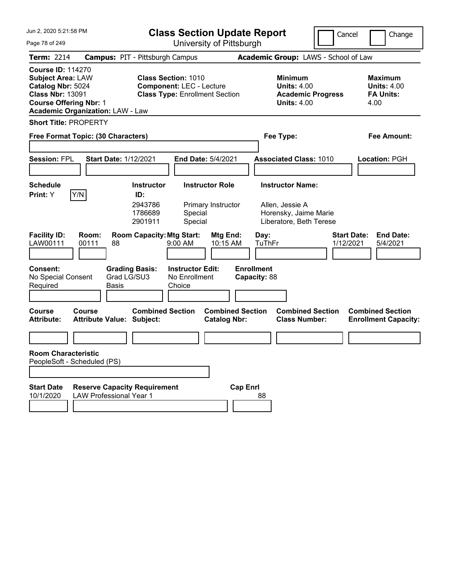| Jun 2, 2020 5:21:58 PM                                                                                                                                                           | <b>Class Section Update Report</b>                                                                     | Cancel                                                                                 | Change                                                           |
|----------------------------------------------------------------------------------------------------------------------------------------------------------------------------------|--------------------------------------------------------------------------------------------------------|----------------------------------------------------------------------------------------|------------------------------------------------------------------|
| Page 78 of 249                                                                                                                                                                   | University of Pittsburgh                                                                               |                                                                                        |                                                                  |
| <b>Term: 2214</b>                                                                                                                                                                | <b>Campus: PIT - Pittsburgh Campus</b>                                                                 | Academic Group: LAWS - School of Law                                                   |                                                                  |
| <b>Course ID: 114270</b><br><b>Subject Area: LAW</b><br>Catalog Nbr: 5024<br><b>Class Nbr: 13091</b><br><b>Course Offering Nbr: 1</b><br><b>Academic Organization: LAW - Law</b> | <b>Class Section: 1010</b><br><b>Component: LEC - Lecture</b><br><b>Class Type: Enrollment Section</b> | <b>Minimum</b><br><b>Units: 4.00</b><br><b>Academic Progress</b><br><b>Units: 4.00</b> | <b>Maximum</b><br><b>Units: 4.00</b><br><b>FA Units:</b><br>4.00 |
| <b>Short Title: PROPERTY</b>                                                                                                                                                     |                                                                                                        |                                                                                        |                                                                  |
| Free Format Topic: (30 Characters)                                                                                                                                               |                                                                                                        | Fee Type:                                                                              | <b>Fee Amount:</b>                                               |
| <b>Session: FPL</b><br><b>Start Date: 1/12/2021</b>                                                                                                                              | End Date: 5/4/2021                                                                                     | <b>Associated Class: 1010</b>                                                          | <b>Location: PGH</b>                                             |
| <b>Schedule</b>                                                                                                                                                                  | <b>Instructor</b><br><b>Instructor Role</b>                                                            | <b>Instructor Name:</b>                                                                |                                                                  |
| Y/N<br>Print: Y                                                                                                                                                                  | ID:<br>2943786<br>Primary Instructor<br>1786689<br>Special<br>2901911<br>Special                       | Allen, Jessie A<br>Horensky, Jaime Marie<br>Liberatore, Beth Terese                    |                                                                  |
| <b>Facility ID:</b><br>Room:<br>LAW00111<br>00111<br>88                                                                                                                          | <b>Room Capacity: Mtg Start:</b><br>Mtg End:<br>9:00 AM<br>10:15 AM                                    | Day:<br>TuThFr<br>1/12/2021                                                            | <b>Start Date:</b><br><b>End Date:</b><br>5/4/2021               |
| <b>Consent:</b><br>Grad LG/SU3<br>No Special Consent<br>Required<br>Basis                                                                                                        | <b>Grading Basis:</b><br><b>Instructor Edit:</b><br>No Enrollment<br>Choice                            | <b>Enrollment</b><br>Capacity: 88                                                      |                                                                  |
| <b>Course</b><br>Course<br><b>Attribute Value: Subject:</b><br><b>Attribute:</b>                                                                                                 | <b>Combined Section</b><br><b>Combined Section</b><br><b>Catalog Nbr:</b>                              | <b>Combined Section</b><br><b>Class Number:</b>                                        | <b>Combined Section</b><br><b>Enrollment Capacity:</b>           |
|                                                                                                                                                                                  |                                                                                                        |                                                                                        |                                                                  |
| <b>Room Characteristic</b><br>PeopleSoft - Scheduled (PS)                                                                                                                        |                                                                                                        |                                                                                        |                                                                  |
| <b>Start Date</b><br><b>Reserve Capacity Requirement</b><br>10/1/2020<br><b>LAW Professional Year 1</b>                                                                          |                                                                                                        | <b>Cap Enrl</b><br>88                                                                  |                                                                  |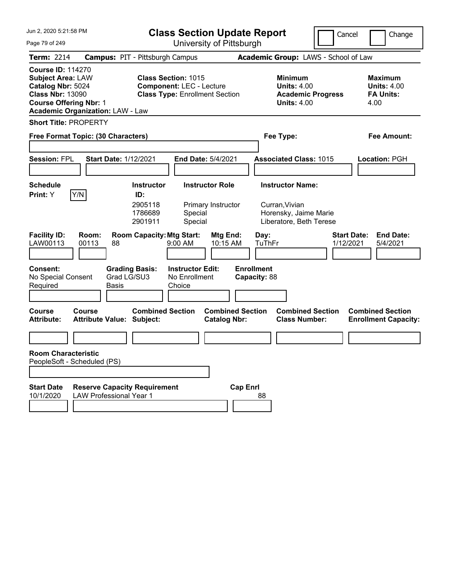| Jun 2, 2020 5:21:58 PM                                                                                                                                                           | <b>Class Section Update Report</b><br>Cancel<br>Change                                                 |                                                                                        |                                                                  |
|----------------------------------------------------------------------------------------------------------------------------------------------------------------------------------|--------------------------------------------------------------------------------------------------------|----------------------------------------------------------------------------------------|------------------------------------------------------------------|
| Page 79 of 249                                                                                                                                                                   | University of Pittsburgh                                                                               |                                                                                        |                                                                  |
| <b>Term: 2214</b>                                                                                                                                                                | <b>Campus: PIT - Pittsburgh Campus</b>                                                                 | Academic Group: LAWS - School of Law                                                   |                                                                  |
| <b>Course ID: 114270</b><br><b>Subject Area: LAW</b><br>Catalog Nbr: 5024<br><b>Class Nbr: 13090</b><br><b>Course Offering Nbr: 1</b><br><b>Academic Organization: LAW - Law</b> | <b>Class Section: 1015</b><br><b>Component: LEC - Lecture</b><br><b>Class Type: Enrollment Section</b> | <b>Minimum</b><br><b>Units: 4.00</b><br><b>Academic Progress</b><br><b>Units: 4.00</b> | <b>Maximum</b><br><b>Units: 4.00</b><br><b>FA Units:</b><br>4.00 |
| <b>Short Title: PROPERTY</b>                                                                                                                                                     |                                                                                                        |                                                                                        |                                                                  |
| Free Format Topic: (30 Characters)                                                                                                                                               |                                                                                                        | Fee Type:                                                                              | <b>Fee Amount:</b>                                               |
| <b>Session: FPL</b><br><b>Start Date: 1/12/2021</b>                                                                                                                              | End Date: 5/4/2021                                                                                     | <b>Associated Class: 1015</b>                                                          | Location: PGH                                                    |
| <b>Schedule</b>                                                                                                                                                                  | <b>Instructor</b><br><b>Instructor Role</b>                                                            | <b>Instructor Name:</b>                                                                |                                                                  |
| Y/N <br>Print: Y                                                                                                                                                                 | ID:<br>2905118<br>Primary Instructor<br>1786689<br>Special<br>Special<br>2901911                       | Curran, Vivian<br>Horensky, Jaime Marie<br>Liberatore, Beth Terese                     |                                                                  |
| <b>Facility ID:</b><br>Room:<br>LAW00113<br>00113<br>88                                                                                                                          | <b>Room Capacity: Mtg Start:</b><br>Mtg End:<br>9:00 AM<br>10:15 AM                                    | Day:<br>TuThFr<br>1/12/2021                                                            | <b>Start Date:</b><br><b>End Date:</b><br>5/4/2021               |
| <b>Consent:</b><br><b>Grading Basis:</b><br>Grad LG/SU3<br>No Special Consent<br>Required<br>Basis                                                                               | <b>Instructor Edit:</b><br>No Enrollment<br>Choice                                                     | <b>Enrollment</b><br>Capacity: 88                                                      |                                                                  |
| <b>Course</b><br>Course<br><b>Attribute Value: Subject:</b><br><b>Attribute:</b>                                                                                                 | <b>Combined Section</b><br><b>Combined Section</b><br><b>Catalog Nbr:</b>                              | <b>Combined Section</b><br><b>Class Number:</b>                                        | <b>Combined Section</b><br><b>Enrollment Capacity:</b>           |
|                                                                                                                                                                                  |                                                                                                        |                                                                                        |                                                                  |
| <b>Room Characteristic</b><br>PeopleSoft - Scheduled (PS)                                                                                                                        |                                                                                                        |                                                                                        |                                                                  |
| <b>Start Date</b><br><b>Reserve Capacity Requirement</b><br>10/1/2020<br><b>LAW Professional Year 1</b>                                                                          |                                                                                                        | <b>Cap Enrl</b><br>88                                                                  |                                                                  |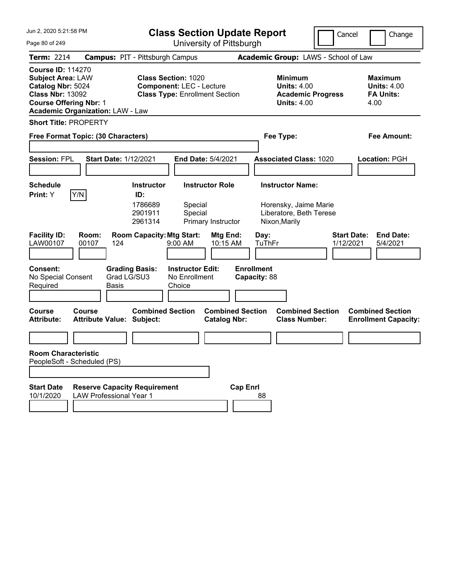| Jun 2, 2020 5:21:58 PM                                                                                                                                                           | <b>Class Section Update Report</b>                                                                     | Cancel<br>Change                                                                       |                                                                  |
|----------------------------------------------------------------------------------------------------------------------------------------------------------------------------------|--------------------------------------------------------------------------------------------------------|----------------------------------------------------------------------------------------|------------------------------------------------------------------|
| Page 80 of 249                                                                                                                                                                   | University of Pittsburgh                                                                               |                                                                                        |                                                                  |
| <b>Term: 2214</b>                                                                                                                                                                | <b>Campus: PIT - Pittsburgh Campus</b>                                                                 | Academic Group: LAWS - School of Law                                                   |                                                                  |
| <b>Course ID: 114270</b><br><b>Subject Area: LAW</b><br>Catalog Nbr: 5024<br><b>Class Nbr: 13092</b><br><b>Course Offering Nbr: 1</b><br><b>Academic Organization: LAW - Law</b> | <b>Class Section: 1020</b><br><b>Component: LEC - Lecture</b><br><b>Class Type: Enrollment Section</b> | <b>Minimum</b><br><b>Units: 4.00</b><br><b>Academic Progress</b><br><b>Units: 4.00</b> | <b>Maximum</b><br><b>Units: 4.00</b><br><b>FA Units:</b><br>4.00 |
| <b>Short Title: PROPERTY</b>                                                                                                                                                     |                                                                                                        |                                                                                        |                                                                  |
| Free Format Topic: (30 Characters)                                                                                                                                               |                                                                                                        | Fee Type:                                                                              | <b>Fee Amount:</b>                                               |
| <b>Session: FPL</b><br><b>Start Date: 1/12/2021</b>                                                                                                                              | End Date: 5/4/2021                                                                                     | <b>Associated Class: 1020</b>                                                          | Location: PGH                                                    |
| <b>Schedule</b>                                                                                                                                                                  | <b>Instructor</b><br><b>Instructor Role</b>                                                            | <b>Instructor Name:</b>                                                                |                                                                  |
| Y/N <br>Print: Y                                                                                                                                                                 | ID:<br>1786689<br>Special<br>2901911<br>Special<br>2961314<br>Primary Instructor                       | Horensky, Jaime Marie<br>Liberatore, Beth Terese<br>Nixon, Marily                      |                                                                  |
| <b>Facility ID:</b><br>Room:<br>LAW00107<br>00107<br>124                                                                                                                         | <b>Room Capacity: Mtg Start:</b><br>Mtg End:<br>$9:00$ AM<br>10:15 AM                                  | <b>Start Date:</b><br>Day:<br>TuThFr<br>1/12/2021                                      | <b>End Date:</b><br>5/4/2021                                     |
| <b>Consent:</b><br><b>Grading Basis:</b><br>Grad LG/SU3<br>No Special Consent<br>Required<br>Basis                                                                               | <b>Instructor Edit:</b><br>No Enrollment<br>Choice                                                     | <b>Enrollment</b><br>Capacity: 88                                                      |                                                                  |
| <b>Course</b><br>Course<br><b>Attribute Value: Subject:</b><br><b>Attribute:</b>                                                                                                 | <b>Combined Section</b><br><b>Combined Section</b><br><b>Catalog Nbr:</b>                              | <b>Combined Section</b><br><b>Class Number:</b>                                        | <b>Combined Section</b><br><b>Enrollment Capacity:</b>           |
|                                                                                                                                                                                  |                                                                                                        |                                                                                        |                                                                  |
| <b>Room Characteristic</b><br>PeopleSoft - Scheduled (PS)                                                                                                                        |                                                                                                        |                                                                                        |                                                                  |
| <b>Start Date</b><br><b>Reserve Capacity Requirement</b><br>10/1/2020<br><b>LAW Professional Year 1</b>                                                                          |                                                                                                        | <b>Cap Enrl</b><br>88                                                                  |                                                                  |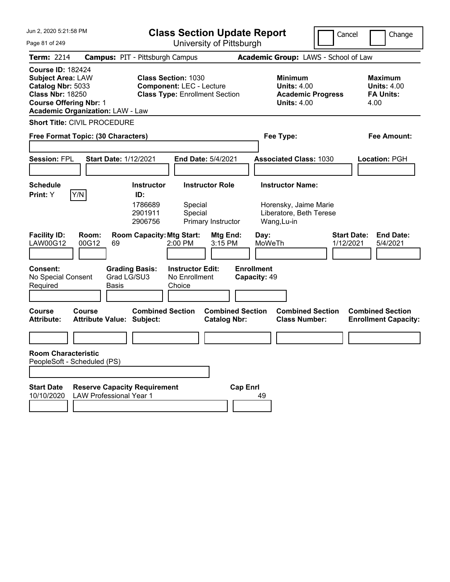| Jun 2, 2020 5:21:58 PM<br><b>Class Section Update Report</b>                                                                                                                     |                                                                       |                                                                                                        | Cancel                                                   | Change                                         |                                                                                                        |                                 |                                                                  |
|----------------------------------------------------------------------------------------------------------------------------------------------------------------------------------|-----------------------------------------------------------------------|--------------------------------------------------------------------------------------------------------|----------------------------------------------------------|------------------------------------------------|--------------------------------------------------------------------------------------------------------|---------------------------------|------------------------------------------------------------------|
| Page 81 of 249                                                                                                                                                                   |                                                                       |                                                                                                        |                                                          | University of Pittsburgh                       |                                                                                                        |                                 |                                                                  |
| <b>Term: 2214</b>                                                                                                                                                                | <b>Campus: PIT - Pittsburgh Campus</b>                                |                                                                                                        |                                                          |                                                | Academic Group: LAWS - School of Law                                                                   |                                 |                                                                  |
| <b>Course ID: 182424</b><br><b>Subject Area: LAW</b><br>Catalog Nbr: 5033<br><b>Class Nbr: 18250</b><br><b>Course Offering Nbr: 1</b><br><b>Academic Organization: LAW - Law</b> |                                                                       | <b>Class Section: 1030</b><br><b>Component: LEC - Lecture</b><br><b>Class Type: Enrollment Section</b> |                                                          |                                                | <b>Minimum</b><br><b>Units: 4.00</b><br><b>Units: 4.00</b>                                             | <b>Academic Progress</b>        | <b>Maximum</b><br><b>Units: 4.00</b><br><b>FA Units:</b><br>4.00 |
| <b>Short Title: CIVIL PROCEDURE</b>                                                                                                                                              |                                                                       |                                                                                                        |                                                          |                                                |                                                                                                        |                                 |                                                                  |
| Free Format Topic: (30 Characters)                                                                                                                                               |                                                                       |                                                                                                        |                                                          |                                                | Fee Type:                                                                                              |                                 | <b>Fee Amount:</b>                                               |
| <b>Session: FPL</b>                                                                                                                                                              | <b>Start Date: 1/12/2021</b>                                          |                                                                                                        | <b>End Date: 5/4/2021</b>                                |                                                | <b>Associated Class: 1030</b>                                                                          |                                 | <b>Location: PGH</b>                                             |
| <b>Schedule</b>                                                                                                                                                                  |                                                                       | <b>Instructor</b>                                                                                      | <b>Instructor Role</b>                                   |                                                | <b>Instructor Name:</b>                                                                                |                                 |                                                                  |
| Y/N<br>Print: Y<br><b>Facility ID:</b><br><b>LAW00G12</b><br><b>Consent:</b>                                                                                                     | Room:<br>00G12<br>69<br><b>Grading Basis:</b>                         | ID:<br>1786689<br>2901911<br>2906756<br><b>Room Capacity: Mtg Start:</b>                               | Special<br>Special<br>2:00 PM<br><b>Instructor Edit:</b> | Primary Instructor<br>Mtg End:<br>3:15 PM      | Horensky, Jaime Marie<br>Liberatore, Beth Terese<br>Wang, Lu-in<br>Day:<br>MoWeTh<br><b>Enrollment</b> | <b>Start Date:</b><br>1/12/2021 | <b>End Date:</b><br>5/4/2021                                     |
| No Special Consent<br>Required                                                                                                                                                   | Grad LG/SU3<br><b>Basis</b>                                           |                                                                                                        | No Enrollment<br>Choice                                  |                                                | Capacity: 49                                                                                           |                                 |                                                                  |
| <b>Course</b><br>Course<br><b>Attribute:</b>                                                                                                                                     | <b>Attribute Value: Subject:</b>                                      | <b>Combined Section</b>                                                                                |                                                          | <b>Combined Section</b><br><b>Catalog Nbr:</b> | <b>Class Number:</b>                                                                                   | <b>Combined Section</b>         | <b>Combined Section</b><br><b>Enrollment Capacity:</b>           |
|                                                                                                                                                                                  |                                                                       |                                                                                                        |                                                          |                                                |                                                                                                        |                                 |                                                                  |
| <b>Room Characteristic</b><br>PeopleSoft - Scheduled (PS)                                                                                                                        |                                                                       |                                                                                                        |                                                          |                                                |                                                                                                        |                                 |                                                                  |
| <b>Start Date</b><br>10/10/2020                                                                                                                                                  | <b>Reserve Capacity Requirement</b><br><b>LAW Professional Year 1</b> |                                                                                                        |                                                          | <b>Cap Enrl</b>                                | 49                                                                                                     |                                 |                                                                  |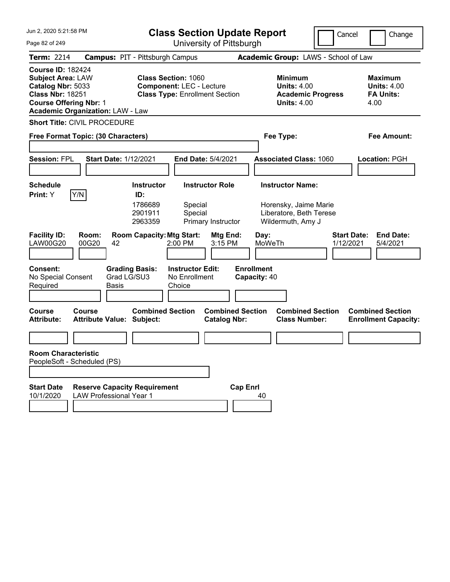| Jun 2, 2020 5:21:58 PM<br><b>Class Section Update Report</b>                                                                                                                     |                                                                                                                        |                                                                                                                          | Cancel                                              | Change                                                                                 |                                                                  |
|----------------------------------------------------------------------------------------------------------------------------------------------------------------------------------|------------------------------------------------------------------------------------------------------------------------|--------------------------------------------------------------------------------------------------------------------------|-----------------------------------------------------|----------------------------------------------------------------------------------------|------------------------------------------------------------------|
| Page 82 of 249                                                                                                                                                                   |                                                                                                                        | University of Pittsburgh                                                                                                 |                                                     |                                                                                        |                                                                  |
| <b>Term: 2214</b>                                                                                                                                                                | <b>Campus: PIT - Pittsburgh Campus</b>                                                                                 |                                                                                                                          |                                                     | Academic Group: LAWS - School of Law                                                   |                                                                  |
| <b>Course ID: 182424</b><br><b>Subject Area: LAW</b><br>Catalog Nbr: 5033<br><b>Class Nbr: 18251</b><br><b>Course Offering Nbr: 1</b><br><b>Academic Organization: LAW - Law</b> |                                                                                                                        | <b>Class Section: 1060</b><br><b>Component: LEC - Lecture</b><br><b>Class Type: Enrollment Section</b>                   |                                                     | <b>Minimum</b><br><b>Units: 4.00</b><br><b>Academic Progress</b><br><b>Units: 4.00</b> | <b>Maximum</b><br><b>Units: 4.00</b><br><b>FA Units:</b><br>4.00 |
| <b>Short Title: CIVIL PROCEDURE</b>                                                                                                                                              |                                                                                                                        |                                                                                                                          |                                                     |                                                                                        |                                                                  |
| Free Format Topic: (30 Characters)                                                                                                                                               |                                                                                                                        |                                                                                                                          |                                                     | Fee Type:                                                                              | <b>Fee Amount:</b>                                               |
| <b>Session: FPL</b>                                                                                                                                                              | <b>Start Date: 1/12/2021</b>                                                                                           | <b>End Date: 5/4/2021</b>                                                                                                |                                                     | <b>Associated Class: 1060</b>                                                          | <b>Location: PGH</b>                                             |
| <b>Schedule</b>                                                                                                                                                                  | <b>Instructor</b>                                                                                                      | <b>Instructor Role</b>                                                                                                   |                                                     | <b>Instructor Name:</b>                                                                |                                                                  |
| Y/N<br>Print: Y<br><b>Facility ID:</b><br>Room:<br><b>LAW00G20</b><br>00G20<br><b>Consent:</b><br>No Special Consent                                                             | ID:<br>1786689<br>2901911<br>2963359<br><b>Room Capacity: Mtg Start:</b><br>42<br><b>Grading Basis:</b><br>Grad LG/SU3 | Special<br>Special<br>Primary Instructor<br>Mtg End:<br>3:15 PM<br>$2:00$ PM<br><b>Instructor Edit:</b><br>No Enrollment | Day:<br>MoWeTh<br><b>Enrollment</b><br>Capacity: 40 | Horensky, Jaime Marie<br>Liberatore, Beth Terese<br>Wildermuth, Amy J<br>1/12/2021     | <b>Start Date:</b><br><b>End Date:</b><br>5/4/2021               |
| Required                                                                                                                                                                         | <b>Basis</b>                                                                                                           | Choice                                                                                                                   |                                                     |                                                                                        |                                                                  |
| <b>Course</b><br>Course<br><b>Attribute:</b>                                                                                                                                     | <b>Attribute Value: Subject:</b>                                                                                       | <b>Combined Section</b><br><b>Catalog Nbr:</b>                                                                           | <b>Combined Section</b>                             | <b>Combined Section</b><br><b>Class Number:</b>                                        | <b>Combined Section</b><br><b>Enrollment Capacity:</b>           |
|                                                                                                                                                                                  |                                                                                                                        |                                                                                                                          |                                                     |                                                                                        |                                                                  |
| <b>Room Characteristic</b><br>PeopleSoft - Scheduled (PS)                                                                                                                        |                                                                                                                        |                                                                                                                          |                                                     |                                                                                        |                                                                  |
| <b>Start Date</b><br>10/1/2020                                                                                                                                                   | <b>Reserve Capacity Requirement</b><br><b>LAW Professional Year 1</b>                                                  |                                                                                                                          | <b>Cap Enrl</b><br>40                               |                                                                                        |                                                                  |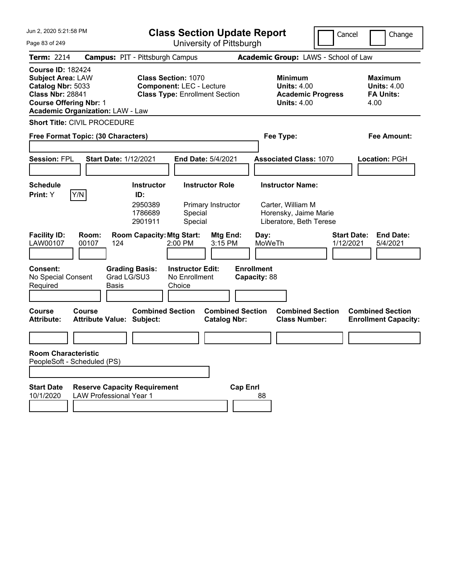| Jun 2, 2020 5:21:58 PM                                                                                                                                                           | <b>Class Section Update Report</b>                                                                     | Cancel                                                                                 | Change                                                           |
|----------------------------------------------------------------------------------------------------------------------------------------------------------------------------------|--------------------------------------------------------------------------------------------------------|----------------------------------------------------------------------------------------|------------------------------------------------------------------|
| Page 83 of 249                                                                                                                                                                   | University of Pittsburgh                                                                               |                                                                                        |                                                                  |
| <b>Term: 2214</b>                                                                                                                                                                | <b>Campus: PIT - Pittsburgh Campus</b>                                                                 | Academic Group: LAWS - School of Law                                                   |                                                                  |
| <b>Course ID: 182424</b><br><b>Subject Area: LAW</b><br>Catalog Nbr: 5033<br><b>Class Nbr: 28841</b><br><b>Course Offering Nbr: 1</b><br><b>Academic Organization: LAW - Law</b> | <b>Class Section: 1070</b><br><b>Component: LEC - Lecture</b><br><b>Class Type: Enrollment Section</b> | <b>Minimum</b><br><b>Units: 4.00</b><br><b>Academic Progress</b><br><b>Units: 4.00</b> | <b>Maximum</b><br><b>Units: 4.00</b><br><b>FA Units:</b><br>4.00 |
| <b>Short Title: CIVIL PROCEDURE</b>                                                                                                                                              |                                                                                                        |                                                                                        |                                                                  |
| Free Format Topic: (30 Characters)                                                                                                                                               |                                                                                                        | Fee Type:                                                                              | <b>Fee Amount:</b>                                               |
| <b>Session: FPL</b><br><b>Start Date: 1/12/2021</b>                                                                                                                              | End Date: 5/4/2021                                                                                     | <b>Associated Class: 1070</b>                                                          | Location: PGH                                                    |
| <b>Schedule</b>                                                                                                                                                                  | <b>Instructor</b><br><b>Instructor Role</b>                                                            | <b>Instructor Name:</b>                                                                |                                                                  |
| Y/N <br>Print: Y                                                                                                                                                                 | ID:<br>2950389<br>Primary Instructor<br>1786689<br>Special<br>Special<br>2901911                       | Carter, William M<br>Horensky, Jaime Marie<br>Liberatore, Beth Terese                  |                                                                  |
| <b>Facility ID:</b><br>Room:<br>LAW00107<br>00107<br>124                                                                                                                         | <b>Room Capacity: Mtg Start:</b><br>Mtg End:<br>2:00 PM<br>3:15 PM                                     | <b>Start Date:</b><br>Day:<br>MoWeTh<br>1/12/2021                                      | <b>End Date:</b><br>5/4/2021                                     |
| <b>Consent:</b><br>Grad LG/SU3<br>No Special Consent<br>Required<br>Basis                                                                                                        | <b>Grading Basis:</b><br><b>Instructor Edit:</b><br>No Enrollment<br>Choice                            | <b>Enrollment</b><br>Capacity: 88                                                      |                                                                  |
| <b>Course</b><br>Course<br><b>Attribute Value: Subject:</b><br><b>Attribute:</b>                                                                                                 | <b>Combined Section</b><br><b>Combined Section</b><br><b>Catalog Nbr:</b>                              | <b>Combined Section</b><br><b>Class Number:</b>                                        | <b>Combined Section</b><br><b>Enrollment Capacity:</b>           |
|                                                                                                                                                                                  |                                                                                                        |                                                                                        |                                                                  |
| <b>Room Characteristic</b><br>PeopleSoft - Scheduled (PS)                                                                                                                        |                                                                                                        |                                                                                        |                                                                  |
| <b>Start Date</b><br><b>Reserve Capacity Requirement</b><br>10/1/2020<br><b>LAW Professional Year 1</b>                                                                          | <b>Cap Enrl</b>                                                                                        | 88                                                                                     |                                                                  |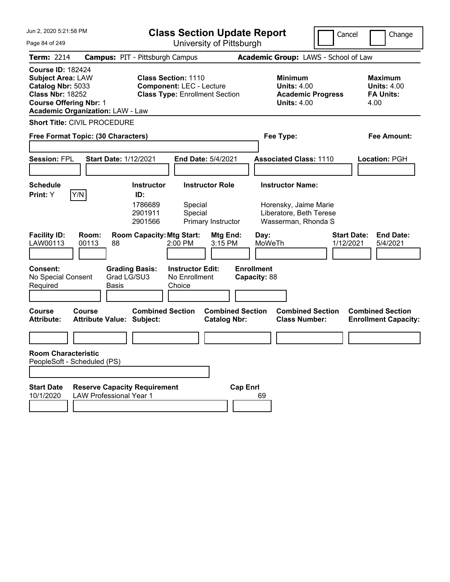| Jun 2, 2020 5:21:58 PM<br><b>Class Section Update Report</b>                                                                                                                     |                                                                                                        |                                                                                                   | Cancel                          | Change                                                           |
|----------------------------------------------------------------------------------------------------------------------------------------------------------------------------------|--------------------------------------------------------------------------------------------------------|---------------------------------------------------------------------------------------------------|---------------------------------|------------------------------------------------------------------|
| Page 84 of 249                                                                                                                                                                   | University of Pittsburgh                                                                               |                                                                                                   |                                 |                                                                  |
| <b>Term: 2214</b>                                                                                                                                                                | <b>Campus: PIT - Pittsburgh Campus</b>                                                                 | Academic Group: LAWS - School of Law                                                              |                                 |                                                                  |
| <b>Course ID: 182424</b><br><b>Subject Area: LAW</b><br>Catalog Nbr: 5033<br><b>Class Nbr: 18252</b><br><b>Course Offering Nbr: 1</b><br><b>Academic Organization: LAW - Law</b> | <b>Class Section: 1110</b><br><b>Component: LEC - Lecture</b><br><b>Class Type: Enrollment Section</b> | <b>Minimum</b><br><b>Units: 4.00</b><br><b>Units: 4.00</b>                                        | <b>Academic Progress</b>        | <b>Maximum</b><br><b>Units: 4.00</b><br><b>FA Units:</b><br>4.00 |
| <b>Short Title: CIVIL PROCEDURE</b>                                                                                                                                              |                                                                                                        |                                                                                                   |                                 |                                                                  |
| Free Format Topic: (30 Characters)                                                                                                                                               |                                                                                                        | Fee Type:                                                                                         |                                 | <b>Fee Amount:</b>                                               |
| <b>Session: FPL</b><br><b>Start Date: 1/12/2021</b>                                                                                                                              | <b>End Date: 5/4/2021</b>                                                                              | <b>Associated Class: 1110</b>                                                                     |                                 | <b>Location: PGH</b>                                             |
| <b>Schedule</b>                                                                                                                                                                  | <b>Instructor Role</b><br><b>Instructor</b>                                                            | <b>Instructor Name:</b>                                                                           |                                 |                                                                  |
| Y/N<br>Print: Y                                                                                                                                                                  | ID:<br>1786689<br>Special<br>2901911<br>Special<br>2901566<br>Primary Instructor                       | Horensky, Jaime Marie<br>Liberatore, Beth Terese<br>Wasserman, Rhonda S                           |                                 |                                                                  |
| <b>Facility ID:</b><br>Room:<br>LAW00113<br>00113<br>88                                                                                                                          | <b>Room Capacity: Mtg Start:</b><br>$2:00$ PM                                                          | Mtg End:<br>Day:<br>3:15 PM<br>MoWeTh                                                             | <b>Start Date:</b><br>1/12/2021 | <b>End Date:</b><br>5/4/2021                                     |
| <b>Consent:</b><br>No Special Consent<br>Required<br><b>Basis</b>                                                                                                                | <b>Grading Basis:</b><br><b>Instructor Edit:</b><br>Grad LG/SU3<br>No Enrollment<br>Choice             | <b>Enrollment</b><br>Capacity: 88                                                                 |                                 |                                                                  |
| Course<br>Course<br><b>Attribute Value: Subject:</b><br><b>Attribute:</b>                                                                                                        | <b>Combined Section</b>                                                                                | <b>Combined Section</b><br><b>Combined Section</b><br><b>Class Number:</b><br><b>Catalog Nbr:</b> |                                 | <b>Combined Section</b><br><b>Enrollment Capacity:</b>           |
|                                                                                                                                                                                  |                                                                                                        |                                                                                                   |                                 |                                                                  |
| <b>Room Characteristic</b><br>PeopleSoft - Scheduled (PS)                                                                                                                        |                                                                                                        |                                                                                                   |                                 |                                                                  |
| <b>Start Date</b><br>10/1/2020<br><b>LAW Professional Year 1</b>                                                                                                                 | <b>Reserve Capacity Requirement</b>                                                                    | <b>Cap Enrl</b><br>69                                                                             |                                 |                                                                  |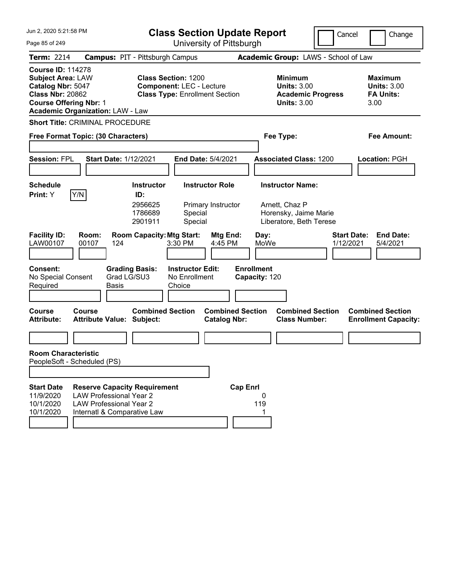| Jun 2, 2020 5:21:58 PM                                                                                                                                                           |                                                                                                                                        |                                                           |                                                                                                        | <b>Class Section Update Report</b>             |                                                    |                                                                                               | Cancel<br>Change                                                 |
|----------------------------------------------------------------------------------------------------------------------------------------------------------------------------------|----------------------------------------------------------------------------------------------------------------------------------------|-----------------------------------------------------------|--------------------------------------------------------------------------------------------------------|------------------------------------------------|----------------------------------------------------|-----------------------------------------------------------------------------------------------|------------------------------------------------------------------|
| Page 85 of 249                                                                                                                                                                   |                                                                                                                                        |                                                           |                                                                                                        | University of Pittsburgh                       |                                                    |                                                                                               |                                                                  |
| <b>Term: 2214</b>                                                                                                                                                                | <b>Campus: PIT - Pittsburgh Campus</b>                                                                                                 |                                                           |                                                                                                        |                                                |                                                    | Academic Group: LAWS - School of Law                                                          |                                                                  |
| <b>Course ID: 114278</b><br><b>Subject Area: LAW</b><br>Catalog Nbr: 5047<br><b>Class Nbr: 20862</b><br><b>Course Offering Nbr: 1</b><br><b>Academic Organization: LAW - Law</b> |                                                                                                                                        |                                                           | <b>Class Section: 1200</b><br><b>Component: LEC - Lecture</b><br><b>Class Type: Enrollment Section</b> |                                                |                                                    | <b>Minimum</b><br><b>Units: 3.00</b><br><b>Academic Progress</b><br><b>Units: 3.00</b>        | <b>Maximum</b><br><b>Units: 3.00</b><br><b>FA Units:</b><br>3.00 |
| <b>Short Title: CRIMINAL PROCEDURE</b>                                                                                                                                           |                                                                                                                                        |                                                           |                                                                                                        |                                                |                                                    |                                                                                               |                                                                  |
| Free Format Topic: (30 Characters)                                                                                                                                               |                                                                                                                                        |                                                           |                                                                                                        |                                                |                                                    | Fee Type:                                                                                     | <b>Fee Amount:</b>                                               |
| <b>Session: FPL</b>                                                                                                                                                              | <b>Start Date: 1/12/2021</b>                                                                                                           |                                                           | End Date: 5/4/2021                                                                                     |                                                |                                                    | <b>Associated Class: 1200</b>                                                                 | <b>Location: PGH</b>                                             |
| <b>Schedule</b><br>Y/N<br>Print: Y                                                                                                                                               |                                                                                                                                        | <b>Instructor</b><br>ID:<br>2956625<br>1786689<br>2901911 | Special<br>Special                                                                                     | <b>Instructor Role</b><br>Primary Instructor   |                                                    | <b>Instructor Name:</b><br>Arnett, Chaz P<br>Horensky, Jaime Marie<br>Liberatore, Beth Terese |                                                                  |
| <b>Facility ID:</b><br>Room:<br>LAW00107<br>00107<br><b>Consent:</b><br>No Special Consent                                                                                       | 124<br><b>Grading Basis:</b><br>Grad LG/SU3                                                                                            | <b>Room Capacity: Mtg Start:</b>                          | 3:30 PM<br><b>Instructor Edit:</b><br>No Enrollment                                                    | <b>Mtg End:</b><br>4:45 PM                     | Day:<br>MoWe<br><b>Enrollment</b><br>Capacity: 120 |                                                                                               | <b>Start Date:</b><br><b>End Date:</b><br>1/12/2021<br>5/4/2021  |
| Required                                                                                                                                                                         | Basis                                                                                                                                  |                                                           | Choice                                                                                                 |                                                |                                                    |                                                                                               |                                                                  |
| <b>Course</b><br>Course<br><b>Attribute:</b>                                                                                                                                     | <b>Attribute Value: Subject:</b>                                                                                                       | <b>Combined Section</b>                                   |                                                                                                        | <b>Combined Section</b><br><b>Catalog Nbr:</b> |                                                    | <b>Combined Section</b><br><b>Class Number:</b>                                               | <b>Combined Section</b><br><b>Enrollment Capacity:</b>           |
|                                                                                                                                                                                  |                                                                                                                                        |                                                           |                                                                                                        |                                                |                                                    |                                                                                               |                                                                  |
| <b>Room Characteristic</b><br>PeopleSoft - Scheduled (PS)                                                                                                                        |                                                                                                                                        |                                                           |                                                                                                        |                                                |                                                    |                                                                                               |                                                                  |
| <b>Start Date</b><br>11/9/2020<br>10/1/2020<br>10/1/2020                                                                                                                         | <b>Reserve Capacity Requirement</b><br><b>LAW Professional Year 2</b><br><b>LAW Professional Year 2</b><br>Internatl & Comparative Law |                                                           |                                                                                                        | <b>Cap Enrl</b>                                | 0<br>119                                           |                                                                                               |                                                                  |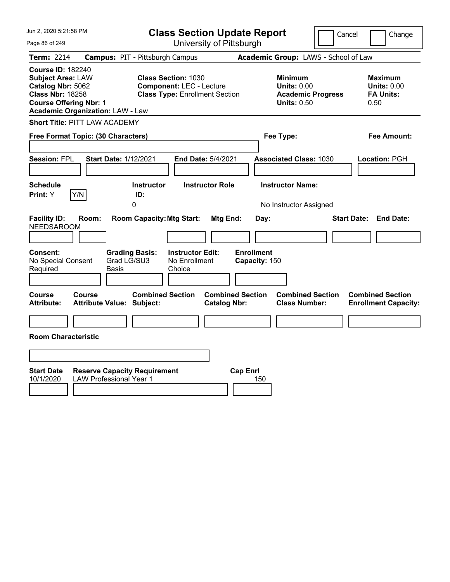| Jun 2, 2020 5:21:58 PM                                                                                                                                                           | <b>Class Section Update Report</b>                                                                     |                                                                                        | Cancel<br>Change                                          |
|----------------------------------------------------------------------------------------------------------------------------------------------------------------------------------|--------------------------------------------------------------------------------------------------------|----------------------------------------------------------------------------------------|-----------------------------------------------------------|
| Page 86 of 249                                                                                                                                                                   | University of Pittsburgh                                                                               |                                                                                        |                                                           |
| Term: 2214                                                                                                                                                                       | <b>Campus: PIT - Pittsburgh Campus</b>                                                                 | Academic Group: LAWS - School of Law                                                   |                                                           |
| <b>Course ID: 182240</b><br><b>Subject Area: LAW</b><br>Catalog Nbr: 5062<br><b>Class Nbr: 18258</b><br><b>Course Offering Nbr: 1</b><br><b>Academic Organization: LAW - Law</b> | <b>Class Section: 1030</b><br><b>Component: LEC - Lecture</b><br><b>Class Type: Enrollment Section</b> | <b>Minimum</b><br><b>Units: 0.00</b><br><b>Academic Progress</b><br><b>Units: 0.50</b> | Maximum<br><b>Units: 0.00</b><br><b>FA Units:</b><br>0.50 |
| <b>Short Title: PITT LAW ACADEMY</b>                                                                                                                                             |                                                                                                        |                                                                                        |                                                           |
| Free Format Topic: (30 Characters)                                                                                                                                               |                                                                                                        | Fee Type:                                                                              | Fee Amount:                                               |
| <b>Session: FPL</b><br><b>Start Date: 1/12/2021</b>                                                                                                                              | End Date: 5/4/2021                                                                                     | <b>Associated Class: 1030</b>                                                          | Location: PGH                                             |
| <b>Schedule</b><br>Y/N<br>Print: Y                                                                                                                                               | <b>Instructor</b><br><b>Instructor Role</b><br>ID:<br>$\Omega$                                         | <b>Instructor Name:</b><br>No Instructor Assigned                                      |                                                           |
| <b>Facility ID:</b><br>Room:<br><b>NEEDSAROOM</b>                                                                                                                                | <b>Room Capacity: Mtg Start:</b><br>Mtg End:                                                           | Day:                                                                                   | <b>Start Date:</b><br><b>End Date:</b>                    |
| Consent:<br>Grad LG/SU3<br>No Special Consent<br>Required<br>Basis                                                                                                               | <b>Instructor Edit:</b><br><b>Grading Basis:</b><br>No Enrollment<br>Choice                            | <b>Enrollment</b><br>Capacity: 150                                                     |                                                           |
| Course<br>Course<br><b>Attribute:</b><br><b>Attribute Value: Subject:</b>                                                                                                        | <b>Combined Section</b><br><b>Catalog Nbr:</b>                                                         | <b>Combined Section</b><br><b>Combined Section</b><br><b>Class Number:</b>             | <b>Combined Section</b><br><b>Enrollment Capacity:</b>    |
|                                                                                                                                                                                  |                                                                                                        |                                                                                        |                                                           |
| <b>Room Characteristic</b>                                                                                                                                                       |                                                                                                        |                                                                                        |                                                           |
|                                                                                                                                                                                  |                                                                                                        |                                                                                        |                                                           |
| <b>Start Date</b><br><b>Reserve Capacity Requirement</b><br><b>LAW Professional Year 1</b><br>10/1/2020                                                                          |                                                                                                        | <b>Cap Enrl</b><br>150                                                                 |                                                           |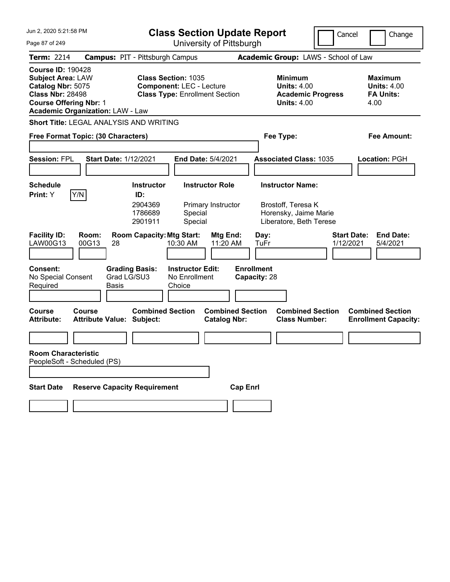| Jun 2, 2020 5:21:58 PM                                                                                                                                                           | <b>Class Section Update Report</b>                                                                     | Cancel                                                                                 | Change                                                           |
|----------------------------------------------------------------------------------------------------------------------------------------------------------------------------------|--------------------------------------------------------------------------------------------------------|----------------------------------------------------------------------------------------|------------------------------------------------------------------|
| Page 87 of 249                                                                                                                                                                   | University of Pittsburgh                                                                               |                                                                                        |                                                                  |
| <b>Term: 2214</b>                                                                                                                                                                | <b>Campus: PIT - Pittsburgh Campus</b>                                                                 | Academic Group: LAWS - School of Law                                                   |                                                                  |
| <b>Course ID: 190428</b><br><b>Subject Area: LAW</b><br>Catalog Nbr: 5075<br><b>Class Nbr: 28498</b><br><b>Course Offering Nbr: 1</b><br><b>Academic Organization: LAW - Law</b> | <b>Class Section: 1035</b><br><b>Component: LEC - Lecture</b><br><b>Class Type: Enrollment Section</b> | <b>Minimum</b><br><b>Units: 4.00</b><br><b>Academic Progress</b><br><b>Units: 4.00</b> | <b>Maximum</b><br><b>Units: 4.00</b><br><b>FA Units:</b><br>4.00 |
| Short Title: LEGAL ANALYSIS AND WRITING                                                                                                                                          |                                                                                                        |                                                                                        |                                                                  |
| Free Format Topic: (30 Characters)                                                                                                                                               |                                                                                                        | Fee Type:                                                                              | Fee Amount:                                                      |
| <b>Session: FPL</b><br><b>Start Date: 1/12/2021</b>                                                                                                                              | <b>End Date: 5/4/2021</b>                                                                              | <b>Associated Class: 1035</b>                                                          | Location: PGH                                                    |
| Schedule                                                                                                                                                                         | <b>Instructor Role</b><br><b>Instructor</b>                                                            | <b>Instructor Name:</b>                                                                |                                                                  |
| Y/N<br><b>Print:</b> Y                                                                                                                                                           | ID:<br>2904369<br>Primary Instructor<br>1786689<br>Special<br>Special<br>2901911                       | Brostoff, Teresa K<br>Horensky, Jaime Marie<br>Liberatore, Beth Terese                 |                                                                  |
| <b>Facility ID:</b><br>Room:<br>LAW00G13<br>00G13<br>28                                                                                                                          | <b>Room Capacity: Mtg Start:</b><br>Mtg End:<br>10:30 AM<br>11:20 AM                                   | <b>Start Date:</b><br>Day:<br>TuFr<br>1/12/2021                                        | <b>End Date:</b><br>5/4/2021                                     |
| <b>Consent:</b><br><b>Grading Basis:</b><br>Grad LG/SU3<br>No Special Consent<br>Required<br><b>Basis</b>                                                                        | <b>Instructor Edit:</b><br>No Enrollment<br>Choice                                                     | <b>Enrollment</b><br>Capacity: 28                                                      |                                                                  |
| <b>Course</b><br>Course<br><b>Attribute:</b><br><b>Attribute Value: Subject:</b>                                                                                                 | <b>Combined Section</b><br><b>Combined Section</b><br><b>Catalog Nbr:</b>                              | <b>Combined Section</b><br><b>Class Number:</b>                                        | <b>Combined Section</b><br><b>Enrollment Capacity:</b>           |
|                                                                                                                                                                                  |                                                                                                        |                                                                                        |                                                                  |
| <b>Room Characteristic</b><br>PeopleSoft - Scheduled (PS)                                                                                                                        |                                                                                                        |                                                                                        |                                                                  |
|                                                                                                                                                                                  |                                                                                                        |                                                                                        |                                                                  |
| <b>Reserve Capacity Requirement</b><br><b>Start Date</b>                                                                                                                         | <b>Cap Enrl</b>                                                                                        |                                                                                        |                                                                  |
|                                                                                                                                                                                  |                                                                                                        |                                                                                        |                                                                  |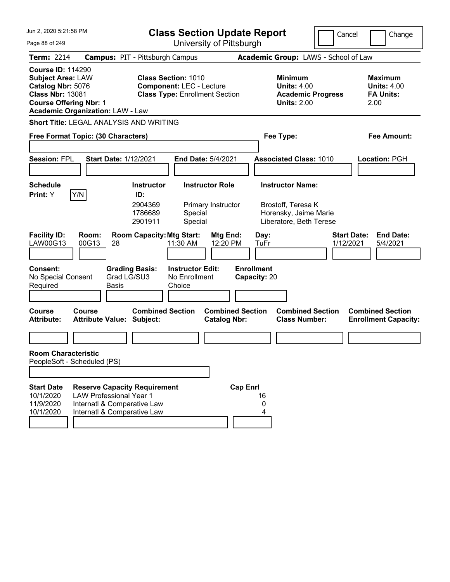| Jun 2, 2020 5:21:58 PM                                                                                                                                                           |                                                                                                                                     |                                                           | <b>Class Section Update Report</b>                                                                     |                                                |                                                   |                                                                                                   | Cancel    | Change                                                           |
|----------------------------------------------------------------------------------------------------------------------------------------------------------------------------------|-------------------------------------------------------------------------------------------------------------------------------------|-----------------------------------------------------------|--------------------------------------------------------------------------------------------------------|------------------------------------------------|---------------------------------------------------|---------------------------------------------------------------------------------------------------|-----------|------------------------------------------------------------------|
| Page 88 of 249                                                                                                                                                                   |                                                                                                                                     |                                                           |                                                                                                        | University of Pittsburgh                       |                                                   |                                                                                                   |           |                                                                  |
| <b>Term: 2214</b>                                                                                                                                                                | <b>Campus: PIT - Pittsburgh Campus</b>                                                                                              |                                                           |                                                                                                        |                                                |                                                   | Academic Group: LAWS - School of Law                                                              |           |                                                                  |
| <b>Course ID: 114290</b><br><b>Subject Area: LAW</b><br>Catalog Nbr: 5076<br><b>Class Nbr: 13081</b><br><b>Course Offering Nbr: 1</b><br><b>Academic Organization: LAW - Law</b> |                                                                                                                                     |                                                           | <b>Class Section: 1010</b><br><b>Component: LEC - Lecture</b><br><b>Class Type: Enrollment Section</b> |                                                |                                                   | <b>Minimum</b><br><b>Units: 4.00</b><br><b>Academic Progress</b><br><b>Units: 2.00</b>            |           | <b>Maximum</b><br><b>Units: 4.00</b><br><b>FA Units:</b><br>2.00 |
| <b>Short Title: LEGAL ANALYSIS AND WRITING</b>                                                                                                                                   |                                                                                                                                     |                                                           |                                                                                                        |                                                |                                                   |                                                                                                   |           |                                                                  |
| Free Format Topic: (30 Characters)                                                                                                                                               |                                                                                                                                     |                                                           |                                                                                                        |                                                |                                                   | Fee Type:                                                                                         |           | <b>Fee Amount:</b>                                               |
| <b>Session: FPL</b>                                                                                                                                                              | <b>Start Date: 1/12/2021</b>                                                                                                        |                                                           | <b>End Date: 5/4/2021</b>                                                                              |                                                |                                                   | <b>Associated Class: 1010</b>                                                                     |           | <b>Location: PGH</b>                                             |
| <b>Schedule</b><br>Y/N<br>Print: Y                                                                                                                                               |                                                                                                                                     | <b>Instructor</b><br>ID:<br>2904369<br>1786689<br>2901911 | <b>Instructor Role</b><br>Special<br>Special                                                           | Primary Instructor                             |                                                   | <b>Instructor Name:</b><br>Brostoff, Teresa K<br>Horensky, Jaime Marie<br>Liberatore, Beth Terese |           |                                                                  |
| <b>Facility ID:</b><br>LAW00G13<br><b>Consent:</b><br>No Special Consent<br>Required                                                                                             | Room:<br>00G13<br>28<br>Grad LG/SU3<br><b>Basis</b>                                                                                 | <b>Room Capacity: Mtg Start:</b><br><b>Grading Basis:</b> | 11:30 AM<br><b>Instructor Edit:</b><br>No Enrollment<br>Choice                                         | Mtg End:<br>12:20 PM                           | Day:<br>TuFr<br><b>Enrollment</b><br>Capacity: 20 |                                                                                                   | 1/12/2021 | <b>Start Date:</b><br><b>End Date:</b><br>5/4/2021               |
| <b>Course</b><br><b>Attribute:</b>                                                                                                                                               | Course<br><b>Attribute Value: Subject:</b>                                                                                          | <b>Combined Section</b>                                   |                                                                                                        | <b>Combined Section</b><br><b>Catalog Nbr:</b> |                                                   | <b>Combined Section</b><br><b>Class Number:</b>                                                   |           | <b>Combined Section</b><br><b>Enrollment Capacity:</b>           |
| <b>Room Characteristic</b><br>PeopleSoft - Scheduled (PS)                                                                                                                        |                                                                                                                                     |                                                           |                                                                                                        |                                                |                                                   |                                                                                                   |           |                                                                  |
| <b>Start Date</b><br>10/1/2020<br>11/9/2020<br>10/1/2020                                                                                                                         | <b>Reserve Capacity Requirement</b><br><b>LAW Professional Year 1</b><br>Internatl & Comparative Law<br>Internatl & Comparative Law |                                                           |                                                                                                        | <b>Cap Enrl</b>                                | 16<br>0<br>4                                      |                                                                                                   |           |                                                                  |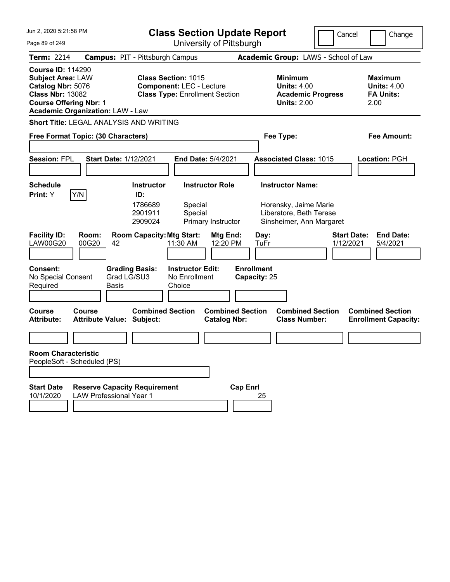| Jun 2, 2020 5:21:58 PM<br><b>Class Section Update Report</b>                                                                                                                     |                                                                                                                                                          | Cancel                                                                                       | Change                                                           |
|----------------------------------------------------------------------------------------------------------------------------------------------------------------------------------|----------------------------------------------------------------------------------------------------------------------------------------------------------|----------------------------------------------------------------------------------------------|------------------------------------------------------------------|
| Page 89 of 249                                                                                                                                                                   | University of Pittsburgh                                                                                                                                 |                                                                                              |                                                                  |
| <b>Term: 2214</b>                                                                                                                                                                | <b>Campus: PIT - Pittsburgh Campus</b>                                                                                                                   | Academic Group: LAWS - School of Law                                                         |                                                                  |
| <b>Course ID: 114290</b><br><b>Subject Area: LAW</b><br>Catalog Nbr: 5076<br><b>Class Nbr: 13082</b><br><b>Course Offering Nbr: 1</b><br><b>Academic Organization: LAW - Law</b> | <b>Class Section: 1015</b><br><b>Component: LEC - Lecture</b><br><b>Class Type: Enrollment Section</b>                                                   | <b>Minimum</b><br><b>Units: 4.00</b><br><b>Academic Progress</b><br><b>Units: 2.00</b>       | <b>Maximum</b><br><b>Units: 4.00</b><br><b>FA Units:</b><br>2.00 |
| Short Title: LEGAL ANALYSIS AND WRITING                                                                                                                                          |                                                                                                                                                          |                                                                                              |                                                                  |
| Free Format Topic: (30 Characters)                                                                                                                                               |                                                                                                                                                          | Fee Type:                                                                                    | <b>Fee Amount:</b>                                               |
| <b>Session: FPL</b><br><b>Start Date: 1/12/2021</b>                                                                                                                              | End Date: 5/4/2021                                                                                                                                       | <b>Associated Class: 1015</b>                                                                | <b>Location: PGH</b>                                             |
| <b>Schedule</b>                                                                                                                                                                  | <b>Instructor</b><br><b>Instructor Role</b>                                                                                                              | <b>Instructor Name:</b>                                                                      |                                                                  |
| Y/N<br>Print: Y<br><b>Facility ID:</b><br>Room:<br><b>LAW00G20</b><br>00G20<br>42                                                                                                | ID:<br>1786689<br>Special<br>2901911<br>Special<br>2909024<br>Primary Instructor<br><b>Room Capacity: Mtg Start:</b><br>Mtg End:<br>12:20 PM<br>11:30 AM | Horensky, Jaime Marie<br>Liberatore, Beth Terese<br>Sinsheimer, Ann Margaret<br>Day:<br>TuFr | <b>Start Date:</b><br><b>End Date:</b><br>1/12/2021<br>5/4/2021  |
| <b>Consent:</b><br>Grad LG/SU3<br>No Special Consent<br>Required<br>Basis<br><b>Course</b><br>Course                                                                             | <b>Grading Basis:</b><br><b>Instructor Edit:</b><br>No Enrollment<br>Choice<br><b>Combined Section</b><br><b>Combined Section</b>                        | <b>Enrollment</b><br>Capacity: 25<br><b>Combined Section</b>                                 | <b>Combined Section</b>                                          |
| <b>Attribute Value: Subject:</b><br><b>Attribute:</b>                                                                                                                            | <b>Catalog Nbr:</b>                                                                                                                                      | <b>Class Number:</b>                                                                         | <b>Enrollment Capacity:</b>                                      |
|                                                                                                                                                                                  |                                                                                                                                                          |                                                                                              |                                                                  |
| <b>Room Characteristic</b><br>PeopleSoft - Scheduled (PS)                                                                                                                        |                                                                                                                                                          |                                                                                              |                                                                  |
| <b>Start Date</b><br><b>Reserve Capacity Requirement</b><br>10/1/2020<br><b>LAW Professional Year 1</b>                                                                          |                                                                                                                                                          | <b>Cap Enrl</b><br>25                                                                        |                                                                  |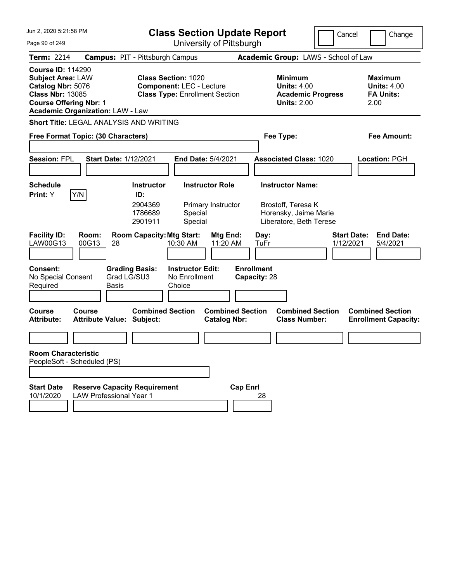| Jun 2, 2020 5:21:58 PM<br><b>Class Section Update Report</b>                                                                                                                     |                                                                                                        | Cancel                                                                          | Change                                                           |
|----------------------------------------------------------------------------------------------------------------------------------------------------------------------------------|--------------------------------------------------------------------------------------------------------|---------------------------------------------------------------------------------|------------------------------------------------------------------|
| Page 90 of 249                                                                                                                                                                   | University of Pittsburgh                                                                               |                                                                                 |                                                                  |
| <b>Term: 2214</b>                                                                                                                                                                | <b>Campus: PIT - Pittsburgh Campus</b>                                                                 | Academic Group: LAWS - School of Law                                            |                                                                  |
| <b>Course ID: 114290</b><br><b>Subject Area: LAW</b><br>Catalog Nbr: 5076<br><b>Class Nbr: 13085</b><br><b>Course Offering Nbr: 1</b><br><b>Academic Organization: LAW - Law</b> | <b>Class Section: 1020</b><br><b>Component: LEC - Lecture</b><br><b>Class Type: Enrollment Section</b> | Minimum<br><b>Units: 4.00</b><br><b>Academic Progress</b><br><b>Units: 2.00</b> | <b>Maximum</b><br><b>Units: 4.00</b><br><b>FA Units:</b><br>2.00 |
| Short Title: LEGAL ANALYSIS AND WRITING                                                                                                                                          |                                                                                                        |                                                                                 |                                                                  |
| Free Format Topic: (30 Characters)                                                                                                                                               |                                                                                                        | Fee Type:                                                                       | <b>Fee Amount:</b>                                               |
|                                                                                                                                                                                  |                                                                                                        |                                                                                 |                                                                  |
| <b>Session: FPL</b><br><b>Start Date: 1/12/2021</b>                                                                                                                              | End Date: 5/4/2021                                                                                     | <b>Associated Class: 1020</b>                                                   | Location: PGH                                                    |
|                                                                                                                                                                                  |                                                                                                        |                                                                                 |                                                                  |
| <b>Schedule</b>                                                                                                                                                                  | <b>Instructor Role</b><br><b>Instructor</b>                                                            | <b>Instructor Name:</b>                                                         |                                                                  |
| Y/N<br>Print: Y                                                                                                                                                                  | ID:<br>2904369<br>Primary Instructor<br>1786689<br>Special<br>2901911<br>Special                       | Brostoff, Teresa K<br>Horensky, Jaime Marie<br>Liberatore, Beth Terese          |                                                                  |
| <b>Facility ID:</b><br>Room:<br>LAW00G13<br>00G13<br>28                                                                                                                          | <b>Room Capacity: Mtg Start:</b><br>Mtg End:<br>11:20 AM<br>10:30 AM                                   | <b>Start Date:</b><br>Day:<br>1/12/2021<br>TuFr                                 | <b>End Date:</b><br>5/4/2021                                     |
| <b>Consent:</b><br><b>Grading Basis:</b><br>Grad LG/SU3<br>No Special Consent<br>Required<br>Basis                                                                               | <b>Instructor Edit:</b><br>No Enrollment<br>Choice                                                     | <b>Enrollment</b><br>Capacity: 28                                               |                                                                  |
| <b>Course</b><br>Course<br><b>Attribute:</b><br><b>Attribute Value: Subject:</b>                                                                                                 | <b>Combined Section</b><br><b>Combined Section</b><br><b>Catalog Nbr:</b>                              | <b>Combined Section</b><br><b>Class Number:</b>                                 | <b>Combined Section</b><br><b>Enrollment Capacity:</b>           |
|                                                                                                                                                                                  |                                                                                                        |                                                                                 |                                                                  |
| <b>Room Characteristic</b><br>PeopleSoft - Scheduled (PS)                                                                                                                        |                                                                                                        |                                                                                 |                                                                  |
|                                                                                                                                                                                  |                                                                                                        |                                                                                 |                                                                  |
| <b>Reserve Capacity Requirement</b><br><b>Start Date</b><br>10/1/2020<br><b>LAW Professional Year 1</b>                                                                          | <b>Cap Enrl</b>                                                                                        | 28                                                                              |                                                                  |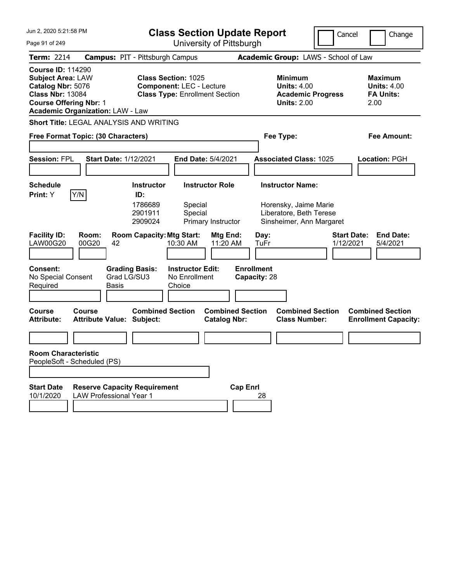| Jun 2. 2020 5:21:58 PM                                                                                                                                                           | <b>Class Section Update Report</b>                                                                     |                                                                                 | Cancel<br>Change                                                |
|----------------------------------------------------------------------------------------------------------------------------------------------------------------------------------|--------------------------------------------------------------------------------------------------------|---------------------------------------------------------------------------------|-----------------------------------------------------------------|
| Page 91 of 249                                                                                                                                                                   | University of Pittsburgh                                                                               |                                                                                 |                                                                 |
| <b>Term: 2214</b>                                                                                                                                                                | <b>Campus: PIT - Pittsburgh Campus</b>                                                                 | Academic Group: LAWS - School of Law                                            |                                                                 |
| <b>Course ID: 114290</b><br><b>Subject Area: LAW</b><br>Catalog Nbr: 5076<br><b>Class Nbr: 13084</b><br><b>Course Offering Nbr: 1</b><br><b>Academic Organization: LAW - Law</b> | <b>Class Section: 1025</b><br><b>Component: LEC - Lecture</b><br><b>Class Type: Enrollment Section</b> | Minimum<br><b>Units: 4.00</b><br><b>Academic Progress</b><br><b>Units: 2.00</b> | Maximum<br><b>Units: 4.00</b><br><b>FA Units:</b><br>2.00       |
| <b>Short Title: LEGAL ANALYSIS AND WRITING</b>                                                                                                                                   |                                                                                                        |                                                                                 |                                                                 |
| Free Format Topic: (30 Characters)                                                                                                                                               |                                                                                                        | Fee Type:                                                                       | Fee Amount:                                                     |
| <b>Session: FPL</b><br><b>Start Date: 1/12/2021</b>                                                                                                                              | <b>End Date: 5/4/2021</b>                                                                              | <b>Associated Class: 1025</b>                                                   | Location: PGH                                                   |
| <b>Schedule</b>                                                                                                                                                                  | <b>Instructor Role</b><br><b>Instructor</b>                                                            | <b>Instructor Name:</b>                                                         |                                                                 |
| Y/N<br>Print: Y                                                                                                                                                                  | ID:<br>1786689<br>Special<br>Special<br>2901911<br>Primary Instructor<br>2909024                       | Horensky, Jaime Marie<br>Liberatore, Beth Terese<br>Sinsheimer, Ann Margaret    |                                                                 |
| <b>Facility ID:</b><br>Room:<br><b>LAW00G20</b><br>00G20<br>42                                                                                                                   | <b>Room Capacity: Mtg Start:</b><br>Mtg End:<br>10:30 AM<br>11:20 AM                                   | Day:<br>TuFr                                                                    | <b>Start Date:</b><br><b>End Date:</b><br>1/12/2021<br>5/4/2021 |
| <b>Consent:</b><br>Grad LG/SU3<br>No Special Consent<br>Required<br><b>Basis</b>                                                                                                 | <b>Grading Basis:</b><br><b>Instructor Edit:</b><br>No Enrollment<br>Choice                            | <b>Enrollment</b><br>Capacity: 28                                               |                                                                 |
| Course<br>Course<br><b>Attribute:</b><br><b>Attribute Value: Subject:</b>                                                                                                        | <b>Combined Section</b><br><b>Combined Section</b><br><b>Catalog Nbr:</b>                              | <b>Combined Section</b><br><b>Class Number:</b>                                 | <b>Combined Section</b><br><b>Enrollment Capacity:</b>          |
|                                                                                                                                                                                  |                                                                                                        |                                                                                 |                                                                 |
| <b>Room Characteristic</b><br>PeopleSoft - Scheduled (PS)                                                                                                                        |                                                                                                        |                                                                                 |                                                                 |
|                                                                                                                                                                                  |                                                                                                        |                                                                                 |                                                                 |
| <b>Start Date</b><br><b>Reserve Capacity Requirement</b><br>10/1/2020<br><b>LAW Professional Year 1</b>                                                                          | <b>Cap Enrl</b>                                                                                        | 28                                                                              |                                                                 |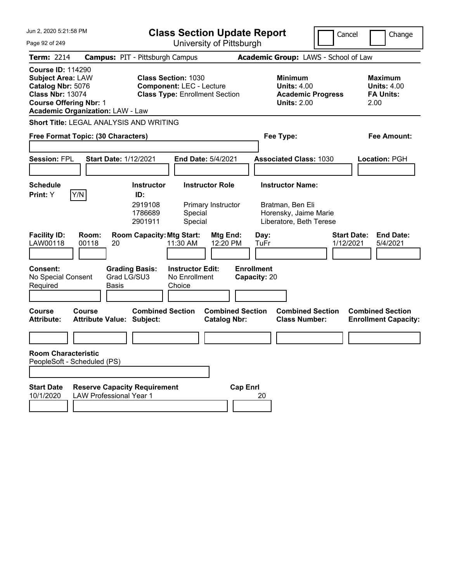| Jun 2. 2020 5:21:58 PM<br>Page 92 of 249                                                                                                                                         | <b>Class Section Update Report</b><br>University of Pittsburgh                                                |                                                                                 | Cancel<br>Change                                                |
|----------------------------------------------------------------------------------------------------------------------------------------------------------------------------------|---------------------------------------------------------------------------------------------------------------|---------------------------------------------------------------------------------|-----------------------------------------------------------------|
|                                                                                                                                                                                  |                                                                                                               |                                                                                 |                                                                 |
| <b>Term: 2214</b>                                                                                                                                                                | <b>Campus: PIT - Pittsburgh Campus</b>                                                                        | Academic Group: LAWS - School of Law                                            |                                                                 |
| <b>Course ID: 114290</b><br><b>Subject Area: LAW</b><br>Catalog Nbr: 5076<br><b>Class Nbr: 13074</b><br><b>Course Offering Nbr: 1</b><br><b>Academic Organization: LAW - Law</b> | <b>Class Section: 1030</b><br><b>Component: LEC - Lecture</b><br><b>Class Type: Enrollment Section</b>        | Minimum<br><b>Units: 4.00</b><br><b>Academic Progress</b><br><b>Units: 2.00</b> | Maximum<br><b>Units: 4.00</b><br><b>FA Units:</b><br>2.00       |
| <b>Short Title: LEGAL ANALYSIS AND WRITING</b>                                                                                                                                   |                                                                                                               |                                                                                 |                                                                 |
| Free Format Topic: (30 Characters)                                                                                                                                               |                                                                                                               | Fee Type:                                                                       | Fee Amount:                                                     |
| <b>Session: FPL</b>                                                                                                                                                              | <b>Start Date: 1/12/2021</b><br><b>End Date: 5/4/2021</b>                                                     | <b>Associated Class: 1030</b>                                                   | Location: PGH                                                   |
| <b>Schedule</b>                                                                                                                                                                  | <b>Instructor Role</b><br><b>Instructor</b>                                                                   | <b>Instructor Name:</b>                                                         |                                                                 |
| Y/N<br><b>Print:</b> Y                                                                                                                                                           | ID:<br>2919108<br>Primary Instructor<br>1786689<br>Special<br>Special<br>2901911                              | Bratman, Ben Eli<br>Horensky, Jaime Marie<br>Liberatore, Beth Terese            |                                                                 |
| <b>Facility ID:</b><br>Room:<br>LAW00118<br>00118                                                                                                                                | <b>Room Capacity: Mtg Start:</b><br>Mtg End:<br>20<br>11:30 AM<br>12:20 PM                                    | Day:<br>TuFr                                                                    | <b>Start Date:</b><br><b>End Date:</b><br>1/12/2021<br>5/4/2021 |
| <b>Consent:</b><br>No Special Consent<br>Required                                                                                                                                | <b>Grading Basis:</b><br><b>Instructor Edit:</b><br>Grad LG/SU3<br>No Enrollment<br><b>Basis</b><br>Choice    | <b>Enrollment</b><br>Capacity: 20                                               |                                                                 |
| Course<br>Course<br><b>Attribute:</b>                                                                                                                                            | <b>Combined Section</b><br><b>Combined Section</b><br><b>Attribute Value: Subject:</b><br><b>Catalog Nbr:</b> | <b>Combined Section</b><br><b>Class Number:</b>                                 | <b>Combined Section</b><br><b>Enrollment Capacity:</b>          |
|                                                                                                                                                                                  |                                                                                                               |                                                                                 |                                                                 |
| <b>Room Characteristic</b><br>PeopleSoft - Scheduled (PS)                                                                                                                        |                                                                                                               |                                                                                 |                                                                 |
|                                                                                                                                                                                  |                                                                                                               |                                                                                 |                                                                 |
| <b>Start Date</b><br>10/1/2020                                                                                                                                                   | <b>Reserve Capacity Requirement</b><br><b>LAW Professional Year 1</b>                                         | <b>Cap Enrl</b><br>20                                                           |                                                                 |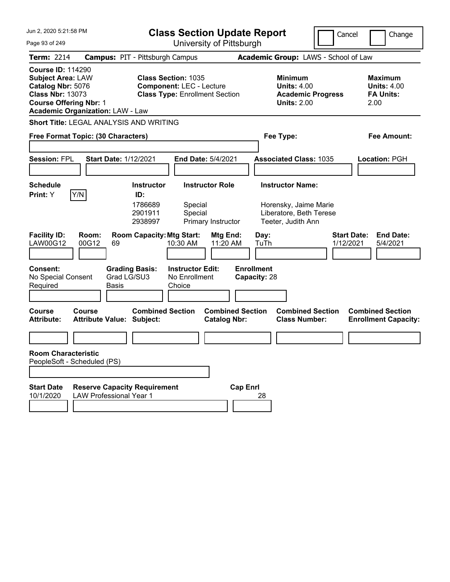| Jun 2. 2020 5:21:58 PM<br><b>Class Section Update Report</b>                                                                                                                     |                                                                                                        | Cancel                                                                          | Change                                                           |
|----------------------------------------------------------------------------------------------------------------------------------------------------------------------------------|--------------------------------------------------------------------------------------------------------|---------------------------------------------------------------------------------|------------------------------------------------------------------|
| Page 93 of 249                                                                                                                                                                   | University of Pittsburgh                                                                               |                                                                                 |                                                                  |
| <b>Term: 2214</b>                                                                                                                                                                | <b>Campus: PIT - Pittsburgh Campus</b>                                                                 | Academic Group: LAWS - School of Law                                            |                                                                  |
| <b>Course ID: 114290</b><br><b>Subject Area: LAW</b><br>Catalog Nbr: 5076<br><b>Class Nbr: 13073</b><br><b>Course Offering Nbr: 1</b><br><b>Academic Organization: LAW - Law</b> | <b>Class Section: 1035</b><br><b>Component: LEC - Lecture</b><br><b>Class Type: Enrollment Section</b> | Minimum<br><b>Units: 4.00</b><br><b>Academic Progress</b><br><b>Units: 2.00</b> | <b>Maximum</b><br><b>Units: 4.00</b><br><b>FA Units:</b><br>2.00 |
| Short Title: LEGAL ANALYSIS AND WRITING                                                                                                                                          |                                                                                                        |                                                                                 |                                                                  |
| Free Format Topic: (30 Characters)                                                                                                                                               |                                                                                                        | Fee Type:                                                                       | <b>Fee Amount:</b>                                               |
|                                                                                                                                                                                  |                                                                                                        |                                                                                 |                                                                  |
| <b>Session: FPL</b><br><b>Start Date: 1/12/2021</b>                                                                                                                              | End Date: 5/4/2021                                                                                     | <b>Associated Class: 1035</b>                                                   | Location: PGH                                                    |
|                                                                                                                                                                                  |                                                                                                        |                                                                                 |                                                                  |
| <b>Schedule</b>                                                                                                                                                                  | <b>Instructor Role</b><br><b>Instructor</b>                                                            | <b>Instructor Name:</b>                                                         |                                                                  |
| Y/N<br>Print: Y                                                                                                                                                                  | ID:<br>1786689<br>Special<br>2901911<br>Special<br>2938997<br>Primary Instructor                       | Horensky, Jaime Marie<br>Liberatore, Beth Terese<br>Teeter, Judith Ann          |                                                                  |
| <b>Facility ID:</b><br>Room:<br>LAW00G12<br>00G12<br>69                                                                                                                          | <b>Room Capacity: Mtg Start:</b><br>Mtg End:<br>11:20 AM<br>10:30 AM                                   | <b>Start Date:</b><br>Day:<br>TuTh<br>1/12/2021                                 | <b>End Date:</b><br>5/4/2021                                     |
| <b>Consent:</b><br><b>Grading Basis:</b><br>Grad LG/SU3<br>No Special Consent<br>Required<br>Basis                                                                               | <b>Instructor Edit:</b><br>No Enrollment<br>Choice                                                     | <b>Enrollment</b><br>Capacity: 28                                               |                                                                  |
| <b>Course</b><br>Course<br><b>Attribute:</b><br><b>Attribute Value: Subject:</b>                                                                                                 | <b>Combined Section</b><br><b>Combined Section</b><br><b>Catalog Nbr:</b>                              | <b>Combined Section</b><br><b>Class Number:</b>                                 | <b>Combined Section</b><br><b>Enrollment Capacity:</b>           |
|                                                                                                                                                                                  |                                                                                                        |                                                                                 |                                                                  |
| <b>Room Characteristic</b><br>PeopleSoft - Scheduled (PS)                                                                                                                        |                                                                                                        |                                                                                 |                                                                  |
| <b>Reserve Capacity Requirement</b><br><b>Start Date</b><br>10/1/2020<br><b>LAW Professional Year 1</b>                                                                          | <b>Cap Enrl</b>                                                                                        | 28                                                                              |                                                                  |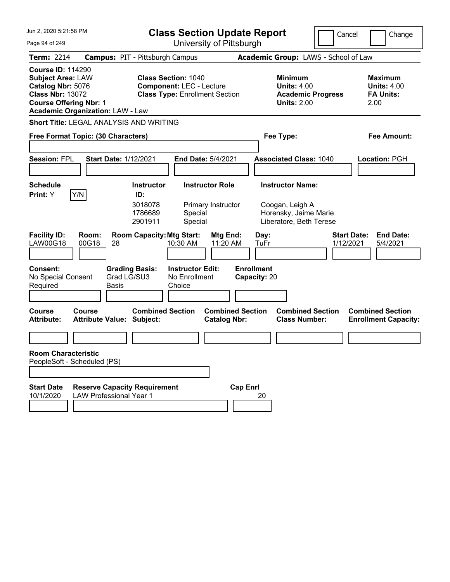| Jun 2. 2020 5:21:58 PM<br>Page 94 of 249                                                                                                                                         | <b>Class Section Update Report</b><br>University of Pittsburgh                                                | Cancel                                                                          | Change                                                    |
|----------------------------------------------------------------------------------------------------------------------------------------------------------------------------------|---------------------------------------------------------------------------------------------------------------|---------------------------------------------------------------------------------|-----------------------------------------------------------|
|                                                                                                                                                                                  |                                                                                                               |                                                                                 |                                                           |
| <b>Term: 2214</b>                                                                                                                                                                | <b>Campus: PIT - Pittsburgh Campus</b>                                                                        | Academic Group: LAWS - School of Law                                            |                                                           |
| <b>Course ID: 114290</b><br><b>Subject Area: LAW</b><br>Catalog Nbr: 5076<br><b>Class Nbr: 13072</b><br><b>Course Offering Nbr: 1</b><br><b>Academic Organization: LAW - Law</b> | <b>Class Section: 1040</b><br><b>Component: LEC - Lecture</b><br><b>Class Type: Enrollment Section</b>        | Minimum<br><b>Units: 4.00</b><br><b>Academic Progress</b><br><b>Units: 2.00</b> | Maximum<br><b>Units: 4.00</b><br><b>FA Units:</b><br>2.00 |
| <b>Short Title: LEGAL ANALYSIS AND WRITING</b>                                                                                                                                   |                                                                                                               |                                                                                 |                                                           |
| Free Format Topic: (30 Characters)                                                                                                                                               |                                                                                                               | Fee Type:                                                                       | Fee Amount:                                               |
| <b>Session: FPL</b>                                                                                                                                                              | <b>Start Date: 1/12/2021</b><br><b>End Date: 5/4/2021</b>                                                     | <b>Associated Class: 1040</b>                                                   | Location: PGH                                             |
| <b>Schedule</b>                                                                                                                                                                  | <b>Instructor Role</b><br><b>Instructor</b>                                                                   | <b>Instructor Name:</b>                                                         |                                                           |
| Y/N<br><b>Print:</b> Y                                                                                                                                                           | ID:<br>3018078<br>Primary Instructor<br>1786689<br>Special<br>Special<br>2901911                              | Coogan, Leigh A<br>Horensky, Jaime Marie<br>Liberatore, Beth Terese             |                                                           |
| <b>Facility ID:</b><br>Room:<br>LAW00G18<br>00G18                                                                                                                                | <b>Room Capacity: Mtg Start:</b><br>Mtg End:<br>28<br>10:30 AM<br>11:20 AM                                    | Day:<br>1/12/2021<br>TuFr                                                       | <b>Start Date:</b><br><b>End Date:</b><br>5/4/2021        |
| <b>Consent:</b><br>No Special Consent<br>Required                                                                                                                                | <b>Grading Basis:</b><br><b>Instructor Edit:</b><br>Grad LG/SU3<br>No Enrollment<br><b>Basis</b><br>Choice    | <b>Enrollment</b><br>Capacity: 20                                               |                                                           |
| Course<br>Course<br><b>Attribute:</b>                                                                                                                                            | <b>Combined Section</b><br><b>Combined Section</b><br><b>Attribute Value: Subject:</b><br><b>Catalog Nbr:</b> | <b>Combined Section</b><br><b>Class Number:</b>                                 | <b>Combined Section</b><br><b>Enrollment Capacity:</b>    |
|                                                                                                                                                                                  |                                                                                                               |                                                                                 |                                                           |
| <b>Room Characteristic</b><br>PeopleSoft - Scheduled (PS)                                                                                                                        |                                                                                                               |                                                                                 |                                                           |
|                                                                                                                                                                                  |                                                                                                               |                                                                                 |                                                           |
| <b>Start Date</b><br>10/1/2020<br><b>LAW Professional Year 1</b>                                                                                                                 | <b>Cap Enrl</b><br><b>Reserve Capacity Requirement</b>                                                        | 20                                                                              |                                                           |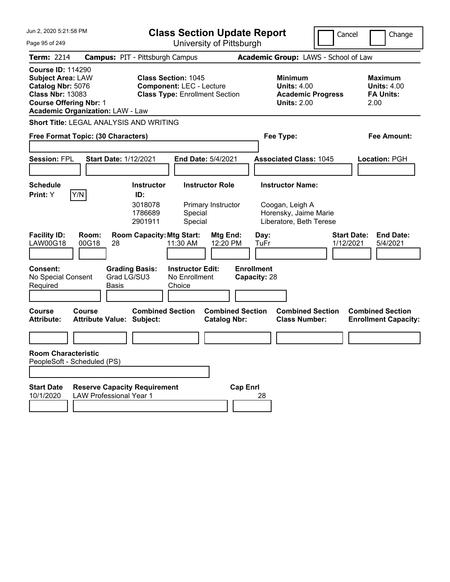| Jun 2. 2020 5:21:58 PM                                                                                                                                                           |                                                                       | <b>Class Section Update Report</b>                                       |                                                                                 | Cancel<br>Change                                                |
|----------------------------------------------------------------------------------------------------------------------------------------------------------------------------------|-----------------------------------------------------------------------|--------------------------------------------------------------------------|---------------------------------------------------------------------------------|-----------------------------------------------------------------|
| Page 95 of 249                                                                                                                                                                   |                                                                       | University of Pittsburgh                                                 |                                                                                 |                                                                 |
| <b>Term: 2214</b>                                                                                                                                                                | <b>Campus: PIT - Pittsburgh Campus</b>                                |                                                                          | Academic Group: LAWS - School of Law                                            |                                                                 |
| <b>Course ID: 114290</b><br><b>Subject Area: LAW</b><br>Catalog Nbr: 5076<br><b>Class Nbr: 13083</b><br><b>Course Offering Nbr: 1</b><br><b>Academic Organization: LAW - Law</b> | <b>Class Section: 1045</b>                                            | <b>Component: LEC - Lecture</b><br><b>Class Type: Enrollment Section</b> | Minimum<br><b>Units: 4.00</b><br><b>Academic Progress</b><br><b>Units: 2.00</b> | Maximum<br><b>Units: 4.00</b><br><b>FA Units:</b><br>2.00       |
|                                                                                                                                                                                  | <b>Short Title: LEGAL ANALYSIS AND WRITING</b>                        |                                                                          |                                                                                 |                                                                 |
| Free Format Topic: (30 Characters)                                                                                                                                               |                                                                       |                                                                          | Fee Type:                                                                       | Fee Amount:                                                     |
| <b>Session: FPL</b>                                                                                                                                                              | <b>Start Date: 1/12/2021</b>                                          | <b>End Date: 5/4/2021</b>                                                | <b>Associated Class: 1045</b>                                                   | Location: PGH                                                   |
| <b>Schedule</b>                                                                                                                                                                  | <b>Instructor</b>                                                     | <b>Instructor Role</b>                                                   | <b>Instructor Name:</b>                                                         |                                                                 |
| Y/N<br><b>Print:</b> Y                                                                                                                                                           | ID:                                                                   |                                                                          |                                                                                 |                                                                 |
|                                                                                                                                                                                  | 3018078<br>1786689<br>2901911                                         | Primary Instructor<br>Special<br>Special                                 | Coogan, Leigh A<br>Horensky, Jaime Marie<br>Liberatore, Beth Terese             |                                                                 |
| <b>Facility ID:</b><br>Room:<br>LAW00G18<br>00G18                                                                                                                                | <b>Room Capacity: Mtg Start:</b><br>28                                | Mtg End:<br>11:30 AM<br>12:20 PM                                         | Day:<br>TuFr                                                                    | <b>Start Date:</b><br><b>End Date:</b><br>1/12/2021<br>5/4/2021 |
| <b>Consent:</b><br>No Special Consent<br>Required                                                                                                                                | <b>Grading Basis:</b><br>Grad LG/SU3<br><b>Basis</b>                  | <b>Instructor Edit:</b><br>No Enrollment<br>Choice                       | <b>Enrollment</b><br>Capacity: 28                                               |                                                                 |
| Course<br>Course<br><b>Attribute:</b>                                                                                                                                            | <b>Combined Section</b><br><b>Attribute Value: Subject:</b>           | <b>Combined Section</b><br><b>Catalog Nbr:</b>                           | <b>Combined Section</b><br><b>Class Number:</b>                                 | <b>Combined Section</b><br><b>Enrollment Capacity:</b>          |
|                                                                                                                                                                                  |                                                                       |                                                                          |                                                                                 |                                                                 |
| <b>Room Characteristic</b><br>PeopleSoft - Scheduled (PS)                                                                                                                        |                                                                       |                                                                          |                                                                                 |                                                                 |
|                                                                                                                                                                                  |                                                                       |                                                                          |                                                                                 |                                                                 |
| <b>Start Date</b><br>10/1/2020                                                                                                                                                   | <b>Reserve Capacity Requirement</b><br><b>LAW Professional Year 1</b> | <b>Cap Enrl</b>                                                          | 28                                                                              |                                                                 |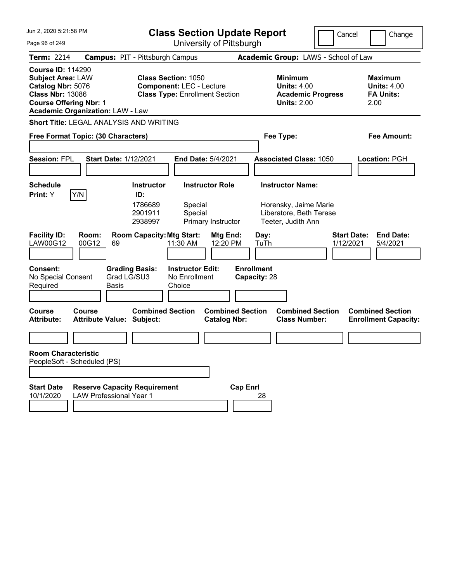| Jun 2, 2020 5:21:58 PM                                                                                                                                                           | <b>Class Section Update Report</b>                                                                     | Cancel                                                                          | Change                                                           |
|----------------------------------------------------------------------------------------------------------------------------------------------------------------------------------|--------------------------------------------------------------------------------------------------------|---------------------------------------------------------------------------------|------------------------------------------------------------------|
| Page 96 of 249                                                                                                                                                                   | University of Pittsburgh                                                                               |                                                                                 |                                                                  |
| <b>Term: 2214</b>                                                                                                                                                                | <b>Campus: PIT - Pittsburgh Campus</b>                                                                 | Academic Group: LAWS - School of Law                                            |                                                                  |
| <b>Course ID: 114290</b><br><b>Subject Area: LAW</b><br>Catalog Nbr: 5076<br><b>Class Nbr: 13086</b><br><b>Course Offering Nbr: 1</b><br><b>Academic Organization: LAW - Law</b> | <b>Class Section: 1050</b><br><b>Component: LEC - Lecture</b><br><b>Class Type: Enrollment Section</b> | Minimum<br><b>Units: 4.00</b><br><b>Academic Progress</b><br><b>Units: 2.00</b> | <b>Maximum</b><br><b>Units: 4.00</b><br><b>FA Units:</b><br>2.00 |
| Short Title: LEGAL ANALYSIS AND WRITING                                                                                                                                          |                                                                                                        |                                                                                 |                                                                  |
| Free Format Topic: (30 Characters)                                                                                                                                               |                                                                                                        | Fee Type:                                                                       | <b>Fee Amount:</b>                                               |
|                                                                                                                                                                                  |                                                                                                        |                                                                                 |                                                                  |
| <b>Session: FPL</b><br><b>Start Date: 1/12/2021</b>                                                                                                                              | End Date: 5/4/2021                                                                                     | <b>Associated Class: 1050</b>                                                   | Location: PGH                                                    |
|                                                                                                                                                                                  |                                                                                                        |                                                                                 |                                                                  |
| <b>Schedule</b>                                                                                                                                                                  | <b>Instructor Role</b><br><b>Instructor</b>                                                            | <b>Instructor Name:</b>                                                         |                                                                  |
| Y/N<br>Print: Y                                                                                                                                                                  | ID:<br>1786689<br>Special<br>2901911<br>Special<br>2938997<br>Primary Instructor                       | Horensky, Jaime Marie<br>Liberatore, Beth Terese<br>Teeter, Judith Ann          |                                                                  |
| <b>Facility ID:</b><br>Room:<br>LAW00G12<br>00G12<br>69                                                                                                                          | <b>Room Capacity: Mtg Start:</b><br>Mtg End:<br>12:20 PM<br>11:30 AM                                   | <b>Start Date:</b><br>Day:<br>TuTh<br>1/12/2021                                 | <b>End Date:</b><br>5/4/2021                                     |
| <b>Consent:</b><br><b>Grading Basis:</b><br>Grad LG/SU3<br>No Special Consent<br>Required<br>Basis                                                                               | <b>Instructor Edit:</b><br>No Enrollment<br>Choice                                                     | <b>Enrollment</b><br>Capacity: 28                                               |                                                                  |
| <b>Course</b><br>Course<br><b>Attribute:</b><br><b>Attribute Value: Subject:</b>                                                                                                 | <b>Combined Section</b><br><b>Combined Section</b><br><b>Catalog Nbr:</b>                              | <b>Combined Section</b><br><b>Class Number:</b>                                 | <b>Combined Section</b><br><b>Enrollment Capacity:</b>           |
|                                                                                                                                                                                  |                                                                                                        |                                                                                 |                                                                  |
| <b>Room Characteristic</b><br>PeopleSoft - Scheduled (PS)                                                                                                                        |                                                                                                        |                                                                                 |                                                                  |
|                                                                                                                                                                                  |                                                                                                        |                                                                                 |                                                                  |
| <b>Reserve Capacity Requirement</b><br><b>Start Date</b><br>10/1/2020<br><b>LAW Professional Year 1</b>                                                                          | <b>Cap Enrl</b>                                                                                        | 28                                                                              |                                                                  |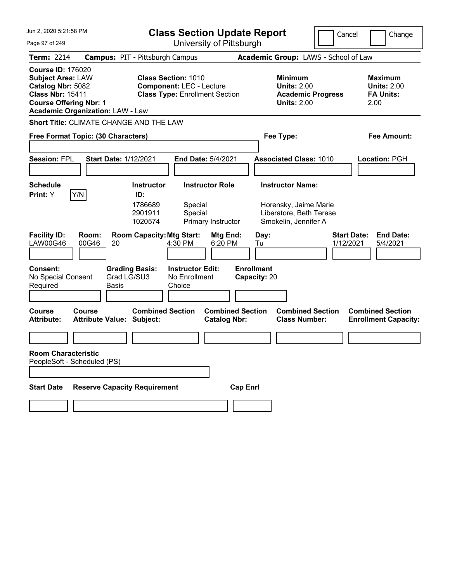| Jun 2. 2020 5:21:58 PM<br>Page 97 of 249                                                                                              |                                                      | <b>Class Section Update Report</b><br>University of Pittsburgh           |                                                                          |                                                |                                   |                                                                                 | Cancel<br>Change                                                |
|---------------------------------------------------------------------------------------------------------------------------------------|------------------------------------------------------|--------------------------------------------------------------------------|--------------------------------------------------------------------------|------------------------------------------------|-----------------------------------|---------------------------------------------------------------------------------|-----------------------------------------------------------------|
| <b>Term: 2214</b>                                                                                                                     | <b>Campus: PIT - Pittsburgh Campus</b>               |                                                                          |                                                                          |                                                |                                   | Academic Group: LAWS - School of Law                                            |                                                                 |
| <b>Course ID: 176020</b><br><b>Subject Area: LAW</b><br>Catalog Nbr: 5082<br><b>Class Nbr: 15411</b><br><b>Course Offering Nbr: 1</b> | <b>Academic Organization: LAW - Law</b>              | <b>Class Section: 1010</b>                                               | <b>Component: LEC - Lecture</b><br><b>Class Type: Enrollment Section</b> |                                                |                                   | Minimum<br><b>Units: 2.00</b><br><b>Academic Progress</b><br><b>Units: 2.00</b> | Maximum<br><b>Units: 2.00</b><br><b>FA Units:</b><br>2.00       |
|                                                                                                                                       | <b>Short Title: CLIMATE CHANGE AND THE LAW</b>       |                                                                          |                                                                          |                                                |                                   |                                                                                 |                                                                 |
|                                                                                                                                       | Free Format Topic: (30 Characters)                   |                                                                          |                                                                          |                                                | Fee Type:                         |                                                                                 | Fee Amount:                                                     |
| <b>Session: FPL</b>                                                                                                                   | <b>Start Date: 1/12/2021</b>                         |                                                                          | <b>End Date: 5/4/2021</b>                                                |                                                |                                   | <b>Associated Class: 1010</b>                                                   | Location: PGH                                                   |
| <b>Schedule</b>                                                                                                                       |                                                      | <b>Instructor</b>                                                        | <b>Instructor Role</b>                                                   |                                                |                                   | <b>Instructor Name:</b>                                                         |                                                                 |
| Print: Y<br><b>Facility ID:</b><br>LAW00G46                                                                                           | Y/N<br>Room:<br>00G46<br>20                          | ID:<br>1786689<br>2901911<br>1020574<br><b>Room Capacity: Mtg Start:</b> | Special<br>Special<br>Primary Instructor<br>4:30 PM                      | Mtg End:<br>6:20 PM                            | Day:<br>Tu                        | Horensky, Jaime Marie<br>Liberatore, Beth Terese<br>Smokelin, Jennifer A        | <b>Start Date:</b><br><b>End Date:</b><br>1/12/2021<br>5/4/2021 |
| <b>Consent:</b><br>No Special Consent<br>Required                                                                                     | <b>Grading Basis:</b><br>Grad LG/SU3<br><b>Basis</b> |                                                                          | <b>Instructor Edit:</b><br>No Enrollment<br>Choice                       |                                                | <b>Enrollment</b><br>Capacity: 20 |                                                                                 |                                                                 |
| Course<br><b>Attribute:</b>                                                                                                           | Course<br><b>Attribute Value: Subject:</b>           | <b>Combined Section</b>                                                  |                                                                          | <b>Combined Section</b><br><b>Catalog Nbr:</b> |                                   | <b>Combined Section</b><br><b>Class Number:</b>                                 | <b>Combined Section</b><br><b>Enrollment Capacity:</b>          |
|                                                                                                                                       |                                                      |                                                                          |                                                                          |                                                |                                   |                                                                                 |                                                                 |
| <b>Room Characteristic</b>                                                                                                            | PeopleSoft - Scheduled (PS)                          |                                                                          |                                                                          |                                                |                                   |                                                                                 |                                                                 |
| <b>Start Date</b>                                                                                                                     | <b>Reserve Capacity Requirement</b>                  |                                                                          |                                                                          | <b>Cap Enrl</b>                                |                                   |                                                                                 |                                                                 |
|                                                                                                                                       |                                                      |                                                                          |                                                                          |                                                |                                   |                                                                                 |                                                                 |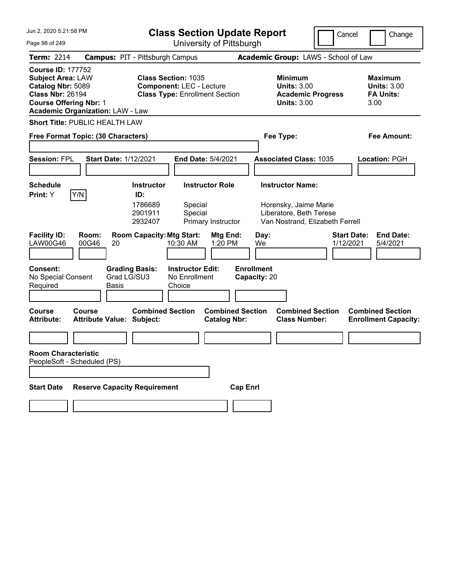| Jun 2, 2020 5:21:58 PM<br><b>Class Section Update Report</b>                                                                                                                     |                                                                                                                                                         | Cancel                                                                                                         | Change                                                           |
|----------------------------------------------------------------------------------------------------------------------------------------------------------------------------------|---------------------------------------------------------------------------------------------------------------------------------------------------------|----------------------------------------------------------------------------------------------------------------|------------------------------------------------------------------|
| Page 98 of 249                                                                                                                                                                   | University of Pittsburgh                                                                                                                                |                                                                                                                |                                                                  |
| <b>Term: 2214</b>                                                                                                                                                                | <b>Campus: PIT - Pittsburgh Campus</b>                                                                                                                  | Academic Group: LAWS - School of Law                                                                           |                                                                  |
| <b>Course ID: 177752</b><br><b>Subject Area: LAW</b><br>Catalog Nbr: 5089<br><b>Class Nbr: 26194</b><br><b>Course Offering Nbr: 1</b><br><b>Academic Organization: LAW - Law</b> | <b>Class Section: 1035</b><br><b>Component: LEC - Lecture</b><br><b>Class Type: Enrollment Section</b>                                                  | <b>Minimum</b><br><b>Units: 3.00</b><br><b>Academic Progress</b><br><b>Units: 3.00</b>                         | <b>Maximum</b><br><b>Units: 3.00</b><br><b>FA Units:</b><br>3.00 |
| <b>Short Title: PUBLIC HEALTH LAW</b>                                                                                                                                            |                                                                                                                                                         |                                                                                                                |                                                                  |
| Free Format Topic: (30 Characters)                                                                                                                                               |                                                                                                                                                         | Fee Type:                                                                                                      | <b>Fee Amount:</b>                                               |
| <b>Session: FPL</b><br><b>Start Date: 1/12/2021</b>                                                                                                                              | End Date: 5/4/2021                                                                                                                                      | <b>Associated Class: 1035</b>                                                                                  | <b>Location: PGH</b>                                             |
| <b>Schedule</b>                                                                                                                                                                  | <b>Instructor</b><br><b>Instructor Role</b>                                                                                                             | <b>Instructor Name:</b>                                                                                        |                                                                  |
| Y/N<br>Print: Y<br><b>Facility ID:</b><br>Room:<br><b>LAW00G46</b><br>00G46<br>20                                                                                                | ID:<br>1786689<br>Special<br>2901911<br>Special<br>2932407<br>Primary Instructor<br><b>Room Capacity: Mtg Start:</b><br>Mtg End:<br>1:20 PM<br>10:30 AM | Horensky, Jaime Marie<br>Liberatore, Beth Terese<br>Van Nostrand, Elizabeth Ferrell<br>Day:<br>We<br>1/12/2021 | <b>Start Date:</b><br><b>End Date:</b><br>5/4/2021               |
| <b>Consent:</b><br>No Special Consent<br>Required<br>Basis                                                                                                                       | <b>Grading Basis:</b><br><b>Instructor Edit:</b><br>Grad LG/SU3<br>No Enrollment<br>Choice<br><b>Combined Section</b>                                   | <b>Enrollment</b><br>Capacity: 20<br><b>Combined Section</b>                                                   |                                                                  |
| <b>Course</b><br>Course<br><b>Attribute Value: Subject:</b><br><b>Attribute:</b>                                                                                                 | <b>Combined Section</b><br><b>Catalog Nbr:</b>                                                                                                          | <b>Class Number:</b>                                                                                           | <b>Combined Section</b><br><b>Enrollment Capacity:</b>           |
|                                                                                                                                                                                  |                                                                                                                                                         |                                                                                                                |                                                                  |
| <b>Room Characteristic</b><br>PeopleSoft - Scheduled (PS)                                                                                                                        |                                                                                                                                                         |                                                                                                                |                                                                  |
| <b>Start Date</b>                                                                                                                                                                | <b>Reserve Capacity Requirement</b>                                                                                                                     | <b>Cap Enrl</b>                                                                                                |                                                                  |
|                                                                                                                                                                                  |                                                                                                                                                         |                                                                                                                |                                                                  |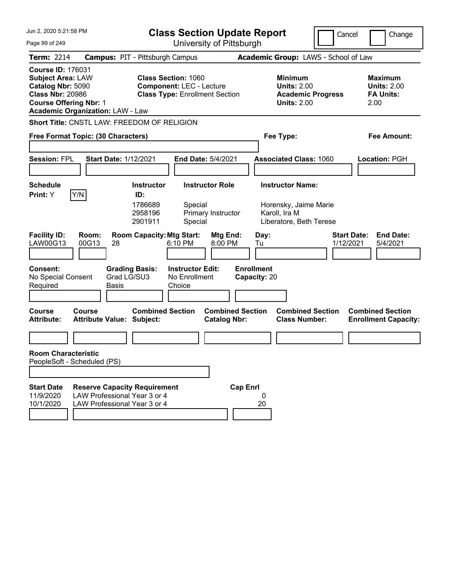| Jun 2, 2020 5:21:58 PM<br>Page 99 of 249                                                                                              |                                                                                                     | <b>Class Section Update Report</b><br>University of Pittsburgh                                |                                                                                                        |                                                                     |                                   |                                                                                              |                                      | Cancel                          | Change                                                           |
|---------------------------------------------------------------------------------------------------------------------------------------|-----------------------------------------------------------------------------------------------------|-----------------------------------------------------------------------------------------------|--------------------------------------------------------------------------------------------------------|---------------------------------------------------------------------|-----------------------------------|----------------------------------------------------------------------------------------------|--------------------------------------|---------------------------------|------------------------------------------------------------------|
| <b>Term: 2214</b>                                                                                                                     | <b>Campus: PIT - Pittsburgh Campus</b>                                                              |                                                                                               |                                                                                                        |                                                                     |                                   |                                                                                              | Academic Group: LAWS - School of Law |                                 |                                                                  |
| <b>Course ID: 176031</b><br><b>Subject Area: LAW</b><br>Catalog Nbr: 5090<br><b>Class Nbr: 20986</b><br><b>Course Offering Nbr: 1</b> | <b>Academic Organization: LAW - Law</b>                                                             |                                                                                               | <b>Class Section: 1060</b><br><b>Component: LEC - Lecture</b><br><b>Class Type: Enrollment Section</b> |                                                                     |                                   | <b>Minimum</b><br><b>Units: 2.00</b><br><b>Units: 2.00</b>                                   | <b>Academic Progress</b>             |                                 | <b>Maximum</b><br><b>Units: 2.00</b><br><b>FA Units:</b><br>2.00 |
|                                                                                                                                       | Short Title: CNSTL LAW: FREEDOM OF RELIGION                                                         |                                                                                               |                                                                                                        |                                                                     |                                   |                                                                                              |                                      |                                 |                                                                  |
|                                                                                                                                       | Free Format Topic: (30 Characters)                                                                  |                                                                                               |                                                                                                        |                                                                     |                                   | Fee Type:                                                                                    |                                      |                                 | <b>Fee Amount:</b>                                               |
| <b>Session: FPL</b>                                                                                                                   | <b>Start Date: 1/12/2021</b>                                                                        |                                                                                               |                                                                                                        | <b>End Date: 5/4/2021</b>                                           |                                   | <b>Associated Class: 1060</b>                                                                |                                      |                                 | Location: PGH                                                    |
| <b>Schedule</b><br>Print: Y<br><b>Facility ID:</b><br>LAW00G13                                                                        | Y/N<br>Room:<br>00G13<br>28                                                                         | <b>Instructor</b><br>ID:<br>1786689<br>2958196<br>2901911<br><b>Room Capacity: Mtg Start:</b> | Special<br>Special<br>6:10 PM                                                                          | <b>Instructor Role</b><br>Primary Instructor<br>Mtg End:<br>8:00 PM | Day:<br>Tu                        | <b>Instructor Name:</b><br>Horensky, Jaime Marie<br>Karoll, Ira M<br>Liberatore, Beth Terese |                                      | <b>Start Date:</b><br>1/12/2021 | <b>End Date:</b><br>5/4/2021                                     |
| <b>Consent:</b><br>No Special Consent<br>Required                                                                                     | Grad LG/SU3<br><b>Basis</b>                                                                         | <b>Grading Basis:</b>                                                                         | <b>Instructor Edit:</b><br>No Enrollment<br>Choice                                                     |                                                                     | <b>Enrollment</b><br>Capacity: 20 |                                                                                              |                                      |                                 |                                                                  |
| Course<br><b>Attribute:</b>                                                                                                           | Course<br><b>Attribute Value: Subject:</b>                                                          | <b>Combined Section</b>                                                                       |                                                                                                        | <b>Catalog Nbr:</b>                                                 | <b>Combined Section</b>           | <b>Class Number:</b>                                                                         | <b>Combined Section</b>              |                                 | <b>Combined Section</b><br><b>Enrollment Capacity:</b>           |
|                                                                                                                                       |                                                                                                     |                                                                                               |                                                                                                        |                                                                     |                                   |                                                                                              |                                      |                                 |                                                                  |
| <b>Room Characteristic</b><br>PeopleSoft - Scheduled (PS)                                                                             |                                                                                                     |                                                                                               |                                                                                                        |                                                                     |                                   |                                                                                              |                                      |                                 |                                                                  |
|                                                                                                                                       |                                                                                                     |                                                                                               |                                                                                                        |                                                                     |                                   |                                                                                              |                                      |                                 |                                                                  |
| <b>Start Date</b><br>11/9/2020<br>10/1/2020                                                                                           | <b>Reserve Capacity Requirement</b><br>LAW Professional Year 3 or 4<br>LAW Professional Year 3 or 4 |                                                                                               |                                                                                                        |                                                                     | <b>Cap Enrl</b><br>0<br>20        |                                                                                              |                                      |                                 |                                                                  |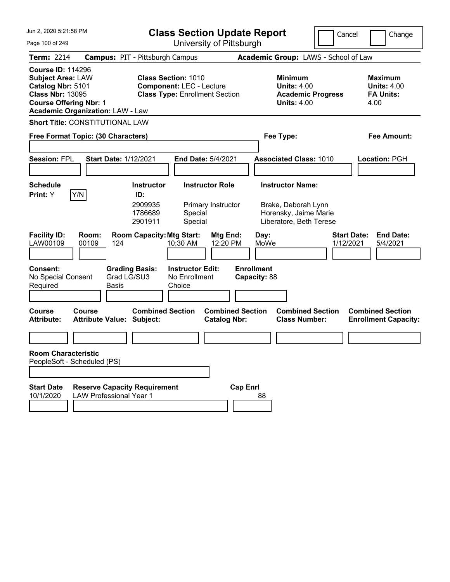| Jun 2, 2020 5:21:58 PM                                                                                                                                                           | <b>Class Section Update Report</b>                                                                     | Cancel                                                                                 | Change                                                           |
|----------------------------------------------------------------------------------------------------------------------------------------------------------------------------------|--------------------------------------------------------------------------------------------------------|----------------------------------------------------------------------------------------|------------------------------------------------------------------|
| Page 100 of 249                                                                                                                                                                  | University of Pittsburgh                                                                               |                                                                                        |                                                                  |
| <b>Term: 2214</b>                                                                                                                                                                | <b>Campus: PIT - Pittsburgh Campus</b>                                                                 | Academic Group: LAWS - School of Law                                                   |                                                                  |
| <b>Course ID: 114296</b><br><b>Subject Area: LAW</b><br>Catalog Nbr: 5101<br><b>Class Nbr: 13095</b><br><b>Course Offering Nbr: 1</b><br><b>Academic Organization: LAW - Law</b> | <b>Class Section: 1010</b><br><b>Component: LEC - Lecture</b><br><b>Class Type: Enrollment Section</b> | <b>Minimum</b><br><b>Units: 4.00</b><br><b>Academic Progress</b><br><b>Units: 4.00</b> | <b>Maximum</b><br><b>Units: 4.00</b><br><b>FA Units:</b><br>4.00 |
| <b>Short Title: CONSTITUTIONAL LAW</b>                                                                                                                                           |                                                                                                        |                                                                                        |                                                                  |
| Free Format Topic: (30 Characters)                                                                                                                                               |                                                                                                        | Fee Type:                                                                              | Fee Amount:                                                      |
| <b>Session: FPL</b><br><b>Start Date: 1/12/2021</b>                                                                                                                              | End Date: 5/4/2021                                                                                     | <b>Associated Class: 1010</b>                                                          | Location: PGH                                                    |
| <b>Schedule</b>                                                                                                                                                                  | <b>Instructor</b><br><b>Instructor Role</b>                                                            | <b>Instructor Name:</b>                                                                |                                                                  |
| Y/N <br>Print: Y                                                                                                                                                                 | ID:<br>2909935<br>Primary Instructor<br>1786689<br>Special<br>Special<br>2901911                       | Brake, Deborah Lynn<br>Horensky, Jaime Marie<br>Liberatore, Beth Terese                |                                                                  |
| <b>Facility ID:</b><br>Room:<br>LAW00109<br>00109<br>124                                                                                                                         | <b>Room Capacity: Mtg Start:</b><br>Mtg End:<br>12:20 PM<br>10:30 AM                                   | Day:<br>MoWe<br>1/12/2021                                                              | <b>Start Date:</b><br><b>End Date:</b><br>5/4/2021               |
| <b>Consent:</b><br><b>Grading Basis:</b><br>Grad LG/SU3<br>No Special Consent<br>Required<br>Basis                                                                               | <b>Instructor Edit:</b><br>No Enrollment<br>Choice                                                     | <b>Enrollment</b><br>Capacity: 88                                                      |                                                                  |
| <b>Course</b><br>Course<br><b>Attribute Value: Subject:</b><br><b>Attribute:</b>                                                                                                 | <b>Combined Section</b><br><b>Combined Section</b><br><b>Catalog Nbr:</b>                              | <b>Combined Section</b><br><b>Class Number:</b>                                        | <b>Combined Section</b><br><b>Enrollment Capacity:</b>           |
|                                                                                                                                                                                  |                                                                                                        |                                                                                        |                                                                  |
| <b>Room Characteristic</b><br>PeopleSoft - Scheduled (PS)                                                                                                                        |                                                                                                        |                                                                                        |                                                                  |
| <b>Start Date</b><br><b>Reserve Capacity Requirement</b><br>10/1/2020<br><b>LAW Professional Year 1</b>                                                                          |                                                                                                        | <b>Cap Enrl</b><br>88                                                                  |                                                                  |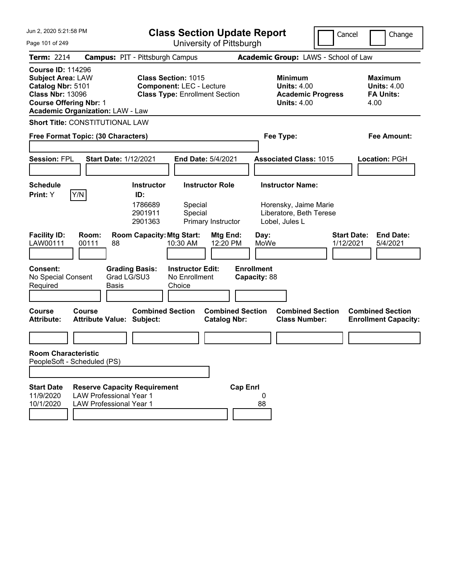| Jun 2, 2020 5:21:58 PM                                                                                                                                                           |                                                                                                         | <b>Class Section Update Report</b>                                                                     |                                                |                                                                                               | Cancel                          | Change                                                           |
|----------------------------------------------------------------------------------------------------------------------------------------------------------------------------------|---------------------------------------------------------------------------------------------------------|--------------------------------------------------------------------------------------------------------|------------------------------------------------|-----------------------------------------------------------------------------------------------|---------------------------------|------------------------------------------------------------------|
| Page 101 of 249                                                                                                                                                                  |                                                                                                         |                                                                                                        | University of Pittsburgh                       |                                                                                               |                                 |                                                                  |
| <b>Term: 2214</b>                                                                                                                                                                |                                                                                                         | <b>Campus: PIT - Pittsburgh Campus</b>                                                                 |                                                | Academic Group: LAWS - School of Law                                                          |                                 |                                                                  |
| <b>Course ID: 114296</b><br><b>Subject Area: LAW</b><br>Catalog Nbr: 5101<br><b>Class Nbr: 13096</b><br><b>Course Offering Nbr: 1</b><br><b>Academic Organization: LAW - Law</b> |                                                                                                         | <b>Class Section: 1015</b><br><b>Component: LEC - Lecture</b><br><b>Class Type: Enrollment Section</b> |                                                | <b>Minimum</b><br><b>Units: 4.00</b><br><b>Academic Progress</b><br><b>Units: 4.00</b>        |                                 | <b>Maximum</b><br><b>Units: 4.00</b><br><b>FA Units:</b><br>4.00 |
| <b>Short Title: CONSTITUTIONAL LAW</b>                                                                                                                                           |                                                                                                         |                                                                                                        |                                                |                                                                                               |                                 |                                                                  |
| Free Format Topic: (30 Characters)                                                                                                                                               |                                                                                                         |                                                                                                        |                                                | Fee Type:                                                                                     |                                 | Fee Amount:                                                      |
| <b>Session: FPL</b>                                                                                                                                                              | <b>Start Date: 1/12/2021</b>                                                                            |                                                                                                        | End Date: 5/4/2021                             | <b>Associated Class: 1015</b>                                                                 |                                 | <b>Location: PGH</b>                                             |
| <b>Schedule</b><br>Y/N<br>Print: Y                                                                                                                                               |                                                                                                         | <b>Instructor</b><br>ID:<br>1786689<br>Special<br>2901911<br>Special<br>2901363                        | <b>Instructor Role</b><br>Primary Instructor   | <b>Instructor Name:</b><br>Horensky, Jaime Marie<br>Liberatore, Beth Terese<br>Lobel, Jules L |                                 |                                                                  |
| <b>Facility ID:</b><br>LAW00111                                                                                                                                                  | Room:<br>00111<br>88                                                                                    | <b>Room Capacity: Mtg Start:</b><br>10:30 AM                                                           | Mtg End:<br>12:20 PM                           | Day:<br>MoWe                                                                                  | <b>Start Date:</b><br>1/12/2021 | <b>End Date:</b><br>5/4/2021                                     |
| <b>Consent:</b><br>No Special Consent<br>Required                                                                                                                                | <b>Grading Basis:</b><br>Grad LG/SU3<br>Basis                                                           | <b>Instructor Edit:</b><br>No Enrollment<br>Choice                                                     | <b>Enrollment</b>                              | Capacity: 88                                                                                  |                                 |                                                                  |
| <b>Course</b><br><b>Attribute:</b>                                                                                                                                               | Course<br><b>Attribute Value: Subject:</b>                                                              | <b>Combined Section</b>                                                                                | <b>Combined Section</b><br><b>Catalog Nbr:</b> | <b>Combined Section</b><br><b>Class Number:</b>                                               |                                 | <b>Combined Section</b><br><b>Enrollment Capacity:</b>           |
|                                                                                                                                                                                  |                                                                                                         |                                                                                                        |                                                |                                                                                               |                                 |                                                                  |
| <b>Room Characteristic</b><br>PeopleSoft - Scheduled (PS)                                                                                                                        |                                                                                                         |                                                                                                        |                                                |                                                                                               |                                 |                                                                  |
|                                                                                                                                                                                  |                                                                                                         |                                                                                                        |                                                |                                                                                               |                                 |                                                                  |
| <b>Start Date</b><br>11/9/2020<br>10/1/2020                                                                                                                                      | <b>Reserve Capacity Requirement</b><br><b>LAW Professional Year 1</b><br><b>LAW Professional Year 1</b> |                                                                                                        | <b>Cap Enrl</b>                                | 0<br>88                                                                                       |                                 |                                                                  |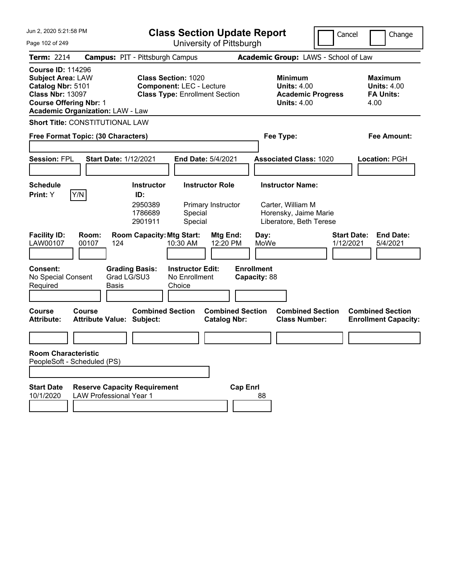| Jun 2, 2020 5:21:58 PM                                                                                                                                                           | <b>Class Section Update Report</b>                                                                     | Cancel                                                                                 | Change                                                           |
|----------------------------------------------------------------------------------------------------------------------------------------------------------------------------------|--------------------------------------------------------------------------------------------------------|----------------------------------------------------------------------------------------|------------------------------------------------------------------|
| Page 102 of 249                                                                                                                                                                  | University of Pittsburgh                                                                               |                                                                                        |                                                                  |
| <b>Term: 2214</b>                                                                                                                                                                | <b>Campus: PIT - Pittsburgh Campus</b>                                                                 | Academic Group: LAWS - School of Law                                                   |                                                                  |
| <b>Course ID: 114296</b><br><b>Subject Area: LAW</b><br>Catalog Nbr: 5101<br><b>Class Nbr: 13097</b><br><b>Course Offering Nbr: 1</b><br><b>Academic Organization: LAW - Law</b> | <b>Class Section: 1020</b><br><b>Component: LEC - Lecture</b><br><b>Class Type: Enrollment Section</b> | <b>Minimum</b><br><b>Units: 4.00</b><br><b>Academic Progress</b><br><b>Units: 4.00</b> | <b>Maximum</b><br><b>Units: 4.00</b><br><b>FA Units:</b><br>4.00 |
| <b>Short Title: CONSTITUTIONAL LAW</b>                                                                                                                                           |                                                                                                        |                                                                                        |                                                                  |
| Free Format Topic: (30 Characters)                                                                                                                                               |                                                                                                        | Fee Type:                                                                              | Fee Amount:                                                      |
| <b>Session: FPL</b><br><b>Start Date: 1/12/2021</b>                                                                                                                              | End Date: 5/4/2021                                                                                     | <b>Associated Class: 1020</b>                                                          | <b>Location: PGH</b>                                             |
| <b>Schedule</b>                                                                                                                                                                  | <b>Instructor</b><br><b>Instructor Role</b>                                                            | <b>Instructor Name:</b>                                                                |                                                                  |
| Y/N<br>Print: Y                                                                                                                                                                  | ID:<br>2950389<br>Primary Instructor<br>1786689<br>Special<br>2901911<br>Special                       | Carter, William M<br>Horensky, Jaime Marie<br>Liberatore, Beth Terese                  | <b>End Date:</b>                                                 |
| <b>Facility ID:</b><br>Room:<br>LAW00107<br>00107<br>124                                                                                                                         | <b>Room Capacity: Mtg Start:</b><br><b>Mtg End:</b><br>10:30 AM<br>12:20 PM                            | Day:<br>MoWe<br>1/12/2021                                                              | <b>Start Date:</b><br>5/4/2021                                   |
| <b>Consent:</b><br><b>Grading Basis:</b><br>Grad LG/SU3<br>No Special Consent<br>Required<br>Basis                                                                               | <b>Instructor Edit:</b><br>No Enrollment<br>Choice                                                     | <b>Enrollment</b><br>Capacity: 88                                                      |                                                                  |
| <b>Course</b><br>Course<br><b>Attribute Value: Subject:</b><br><b>Attribute:</b>                                                                                                 | <b>Combined Section</b><br><b>Combined Section</b><br><b>Catalog Nbr:</b>                              | <b>Combined Section</b><br><b>Class Number:</b>                                        | <b>Combined Section</b><br><b>Enrollment Capacity:</b>           |
|                                                                                                                                                                                  |                                                                                                        |                                                                                        |                                                                  |
| <b>Room Characteristic</b><br>PeopleSoft - Scheduled (PS)                                                                                                                        |                                                                                                        |                                                                                        |                                                                  |
| <b>Start Date</b><br><b>Reserve Capacity Requirement</b><br>10/1/2020<br><b>LAW Professional Year 1</b>                                                                          |                                                                                                        | <b>Cap Enrl</b><br>88                                                                  |                                                                  |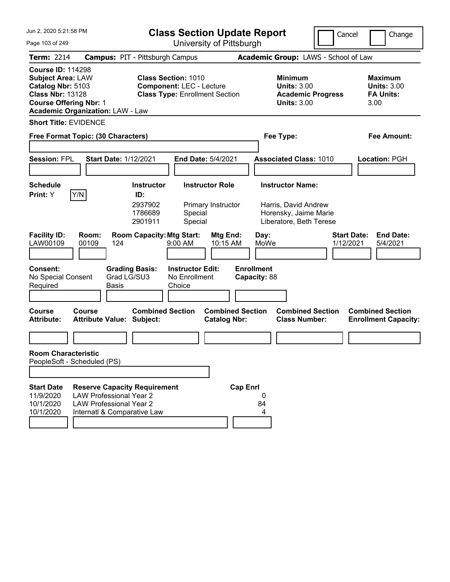| Jun 2, 2020 5:21:58 PM                                                                                                                                                           |                                                                                                                                        | <b>Class Section Update Report</b>                                                                     |                                                                                                     | Cancel<br>Change                                                 |
|----------------------------------------------------------------------------------------------------------------------------------------------------------------------------------|----------------------------------------------------------------------------------------------------------------------------------------|--------------------------------------------------------------------------------------------------------|-----------------------------------------------------------------------------------------------------|------------------------------------------------------------------|
| Page 103 of 249                                                                                                                                                                  |                                                                                                                                        | University of Pittsburgh                                                                               |                                                                                                     |                                                                  |
| <b>Term: 2214</b>                                                                                                                                                                | <b>Campus: PIT - Pittsburgh Campus</b>                                                                                                 |                                                                                                        | Academic Group: LAWS - School of Law                                                                |                                                                  |
| <b>Course ID: 114298</b><br><b>Subject Area: LAW</b><br>Catalog Nbr: 5103<br><b>Class Nbr: 13128</b><br><b>Course Offering Nbr: 1</b><br><b>Academic Organization: LAW - Law</b> |                                                                                                                                        | <b>Class Section: 1010</b><br><b>Component: LEC - Lecture</b><br><b>Class Type: Enrollment Section</b> | <b>Minimum</b><br><b>Units: 3.00</b><br><b>Academic Progress</b><br><b>Units: 3.00</b>              | <b>Maximum</b><br><b>Units: 3.00</b><br><b>FA Units:</b><br>3.00 |
| <b>Short Title: EVIDENCE</b>                                                                                                                                                     |                                                                                                                                        |                                                                                                        |                                                                                                     |                                                                  |
| Free Format Topic: (30 Characters)                                                                                                                                               |                                                                                                                                        |                                                                                                        | Fee Type:                                                                                           | <b>Fee Amount:</b>                                               |
| <b>Session: FPL</b>                                                                                                                                                              | <b>Start Date: 1/12/2021</b>                                                                                                           | <b>End Date: 5/4/2021</b>                                                                              | <b>Associated Class: 1010</b>                                                                       | <b>Location: PGH</b>                                             |
| <b>Schedule</b><br>Y/N<br>Print: Y                                                                                                                                               | <b>Instructor</b><br>ID:<br>2937902<br>1786689<br>2901911                                                                              | <b>Instructor Role</b><br>Primary Instructor<br>Special<br>Special                                     | <b>Instructor Name:</b><br>Harris, David Andrew<br>Horensky, Jaime Marie<br>Liberatore, Beth Terese |                                                                  |
| <b>Facility ID:</b><br>Room:<br>LAW00109<br>00109<br><b>Consent:</b><br>No Special Consent                                                                                       | <b>Room Capacity: Mtg Start:</b><br>124<br><b>Grading Basis:</b><br>Grad LG/SU3                                                        | Mtg End:<br>10:15 AM<br>9:00 AM<br><b>Instructor Edit:</b><br>No Enrollment                            | Day:<br>MoWe<br><b>Enrollment</b><br>Capacity: 88                                                   | <b>Start Date:</b><br><b>End Date:</b><br>1/12/2021<br>5/4/2021  |
| Required                                                                                                                                                                         | <b>Basis</b>                                                                                                                           | Choice                                                                                                 |                                                                                                     |                                                                  |
| <b>Course</b><br>Course<br><b>Attribute:</b>                                                                                                                                     | <b>Attribute Value: Subject:</b>                                                                                                       | <b>Combined Section</b><br><b>Combined Section</b><br><b>Catalog Nbr:</b>                              | <b>Combined Section</b><br><b>Class Number:</b>                                                     | <b>Combined Section</b><br><b>Enrollment Capacity:</b>           |
|                                                                                                                                                                                  |                                                                                                                                        |                                                                                                        |                                                                                                     |                                                                  |
| <b>Room Characteristic</b><br>PeopleSoft - Scheduled (PS)                                                                                                                        |                                                                                                                                        |                                                                                                        |                                                                                                     |                                                                  |
| <b>Start Date</b><br>11/9/2020<br>10/1/2020<br>10/1/2020                                                                                                                         | <b>Reserve Capacity Requirement</b><br><b>LAW Professional Year 2</b><br><b>LAW Professional Year 2</b><br>Internatl & Comparative Law | <b>Cap Enrl</b>                                                                                        | 0<br>84<br>4                                                                                        |                                                                  |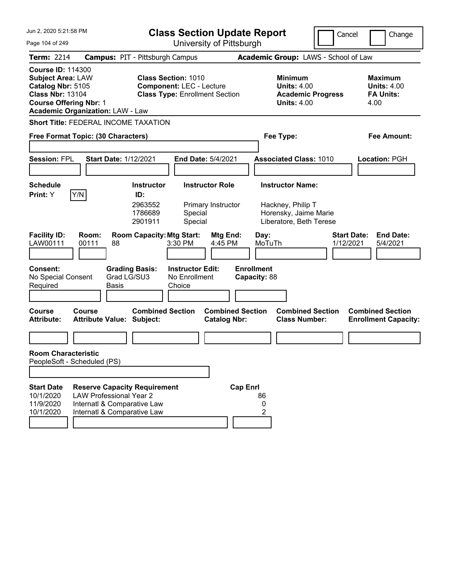| Jun 2, 2020 5:21:58 PM<br><b>Class Section Update Report</b><br>University of Pittsburgh                                                                                         |                                                                                                                                     |                                                           |                                                                                                        |                                                | Cancel                               | Change                                                                                           |           |                                                                  |
|----------------------------------------------------------------------------------------------------------------------------------------------------------------------------------|-------------------------------------------------------------------------------------------------------------------------------------|-----------------------------------------------------------|--------------------------------------------------------------------------------------------------------|------------------------------------------------|--------------------------------------|--------------------------------------------------------------------------------------------------|-----------|------------------------------------------------------------------|
| Page 104 of 249                                                                                                                                                                  |                                                                                                                                     |                                                           |                                                                                                        |                                                |                                      |                                                                                                  |           |                                                                  |
| <b>Term: 2214</b>                                                                                                                                                                | <b>Campus: PIT - Pittsburgh Campus</b>                                                                                              |                                                           |                                                                                                        |                                                | Academic Group: LAWS - School of Law |                                                                                                  |           |                                                                  |
| <b>Course ID: 114300</b><br><b>Subject Area: LAW</b><br>Catalog Nbr: 5105<br><b>Class Nbr: 13104</b><br><b>Course Offering Nbr: 1</b><br><b>Academic Organization: LAW - Law</b> |                                                                                                                                     |                                                           | <b>Class Section: 1010</b><br><b>Component: LEC - Lecture</b><br><b>Class Type: Enrollment Section</b> |                                                |                                      | Minimum<br><b>Units: 4.00</b><br><b>Academic Progress</b><br><b>Units: 4.00</b>                  |           | <b>Maximum</b><br><b>Units: 4.00</b><br><b>FA Units:</b><br>4.00 |
| <b>Short Title: FEDERAL INCOME TAXATION</b>                                                                                                                                      |                                                                                                                                     |                                                           |                                                                                                        |                                                |                                      |                                                                                                  |           |                                                                  |
| Free Format Topic: (30 Characters)                                                                                                                                               |                                                                                                                                     |                                                           |                                                                                                        |                                                | Fee Type:                            |                                                                                                  |           | Fee Amount:                                                      |
| <b>Session: FPL</b>                                                                                                                                                              | <b>Start Date: 1/12/2021</b>                                                                                                        |                                                           | End Date: 5/4/2021                                                                                     |                                                |                                      | <b>Associated Class: 1010</b>                                                                    |           | Location: PGH                                                    |
| <b>Schedule</b><br>Y/N<br>Print: Y                                                                                                                                               |                                                                                                                                     | <b>Instructor</b><br>ID:<br>2963552<br>1786689<br>2901911 | <b>Instructor Role</b><br>Special<br>Special                                                           | Primary Instructor                             |                                      | <b>Instructor Name:</b><br>Hackney, Philip T<br>Horensky, Jaime Marie<br>Liberatore, Beth Terese |           |                                                                  |
| <b>Facility ID:</b><br>LAW00111                                                                                                                                                  | Room:<br>00111<br>88                                                                                                                | <b>Room Capacity: Mtg Start:</b>                          | 3:30 PM                                                                                                | <b>Mtg End:</b><br>4:45 PM                     | Day:<br>MoTuTh                       |                                                                                                  | 1/12/2021 | <b>Start Date:</b><br><b>End Date:</b><br>5/4/2021               |
| <b>Consent:</b><br>No Special Consent<br>Required                                                                                                                                | Grad LG/SU3<br>Basis                                                                                                                | <b>Grading Basis:</b>                                     | <b>Instructor Edit:</b><br>No Enrollment<br>Choice                                                     |                                                | <b>Enrollment</b><br>Capacity: 88    |                                                                                                  |           |                                                                  |
| <b>Course</b><br><b>Attribute:</b>                                                                                                                                               | Course<br><b>Attribute Value: Subject:</b>                                                                                          | <b>Combined Section</b>                                   |                                                                                                        | <b>Combined Section</b><br><b>Catalog Nbr:</b> |                                      | <b>Combined Section</b><br><b>Class Number:</b>                                                  |           | <b>Combined Section</b><br><b>Enrollment Capacity:</b>           |
|                                                                                                                                                                                  |                                                                                                                                     |                                                           |                                                                                                        |                                                |                                      |                                                                                                  |           |                                                                  |
| <b>Room Characteristic</b><br>PeopleSoft - Scheduled (PS)                                                                                                                        |                                                                                                                                     |                                                           |                                                                                                        |                                                |                                      |                                                                                                  |           |                                                                  |
| <b>Start Date</b><br>10/1/2020<br>11/9/2020<br>10/1/2020                                                                                                                         | <b>Reserve Capacity Requirement</b><br><b>LAW Professional Year 2</b><br>Internatl & Comparative Law<br>Internatl & Comparative Law |                                                           |                                                                                                        | <b>Cap Enrl</b>                                | 86<br>0<br>2                         |                                                                                                  |           |                                                                  |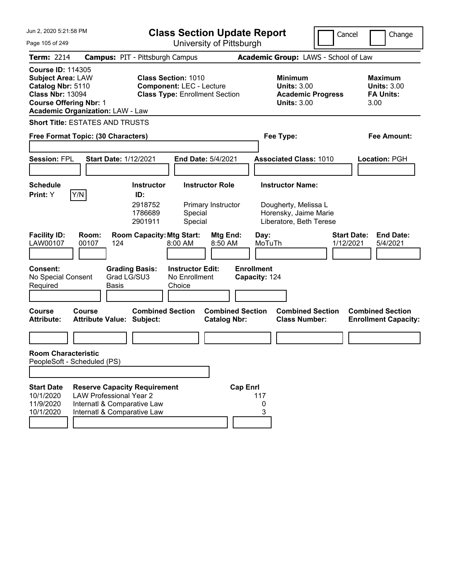| Jun 2, 2020 5:21:58 PM                                                                                                                                                           |                                                                                                                                     | <b>Class Section Update Report</b>                                                                     |                                                |                                                                                                     | Cancel                   | Change                                                           |
|----------------------------------------------------------------------------------------------------------------------------------------------------------------------------------|-------------------------------------------------------------------------------------------------------------------------------------|--------------------------------------------------------------------------------------------------------|------------------------------------------------|-----------------------------------------------------------------------------------------------------|--------------------------|------------------------------------------------------------------|
| Page 105 of 249                                                                                                                                                                  |                                                                                                                                     |                                                                                                        | University of Pittsburgh                       |                                                                                                     |                          |                                                                  |
| <b>Term: 2214</b>                                                                                                                                                                |                                                                                                                                     | <b>Campus: PIT - Pittsburgh Campus</b>                                                                 |                                                | Academic Group: LAWS - School of Law                                                                |                          |                                                                  |
| <b>Course ID: 114305</b><br><b>Subject Area: LAW</b><br>Catalog Nbr: 5110<br><b>Class Nbr: 13094</b><br><b>Course Offering Nbr: 1</b><br><b>Academic Organization: LAW - Law</b> |                                                                                                                                     | <b>Class Section: 1010</b><br><b>Component: LEC - Lecture</b><br><b>Class Type: Enrollment Section</b> |                                                | <b>Minimum</b><br><b>Units: 3.00</b><br><b>Units: 3.00</b>                                          | <b>Academic Progress</b> | <b>Maximum</b><br><b>Units: 3.00</b><br><b>FA Units:</b><br>3.00 |
| <b>Short Title: ESTATES AND TRUSTS</b>                                                                                                                                           |                                                                                                                                     |                                                                                                        |                                                |                                                                                                     |                          |                                                                  |
| Free Format Topic: (30 Characters)                                                                                                                                               |                                                                                                                                     |                                                                                                        |                                                | Fee Type:                                                                                           |                          | Fee Amount:                                                      |
| <b>Session: FPL</b>                                                                                                                                                              | <b>Start Date: 1/12/2021</b>                                                                                                        |                                                                                                        | End Date: 5/4/2021                             | <b>Associated Class: 1010</b>                                                                       |                          | <b>Location: PGH</b>                                             |
| <b>Schedule</b><br>Y/N<br>Print: Y                                                                                                                                               | ID:                                                                                                                                 | <b>Instructor</b><br>2918752<br>1786689<br>Special<br>2901911<br>Special                               | <b>Instructor Role</b><br>Primary Instructor   | <b>Instructor Name:</b><br>Dougherty, Melissa L<br>Horensky, Jaime Marie<br>Liberatore, Beth Terese |                          |                                                                  |
| <b>Facility ID:</b><br>Room:<br>LAW00107<br>00107<br><b>Consent:</b><br>No Special Consent                                                                                       | 124<br><b>Grading Basis:</b><br>Grad LG/SU3                                                                                         | <b>Room Capacity: Mtg Start:</b><br>8:00 AM<br><b>Instructor Edit:</b><br>No Enrollment                | Mtg End:<br>8:50 AM                            | Day:<br>MoTuTh<br><b>Enrollment</b><br>Capacity: 124                                                | 1/12/2021                | <b>Start Date:</b><br><b>End Date:</b><br>5/4/2021               |
| Required                                                                                                                                                                         | Basis                                                                                                                               | Choice                                                                                                 |                                                |                                                                                                     |                          |                                                                  |
| <b>Course</b><br>Course<br><b>Attribute:</b>                                                                                                                                     | <b>Attribute Value: Subject:</b>                                                                                                    | <b>Combined Section</b>                                                                                | <b>Combined Section</b><br><b>Catalog Nbr:</b> | <b>Class Number:</b>                                                                                | <b>Combined Section</b>  | <b>Combined Section</b><br><b>Enrollment Capacity:</b>           |
|                                                                                                                                                                                  |                                                                                                                                     |                                                                                                        |                                                |                                                                                                     |                          |                                                                  |
| <b>Room Characteristic</b><br>PeopleSoft - Scheduled (PS)                                                                                                                        |                                                                                                                                     |                                                                                                        |                                                |                                                                                                     |                          |                                                                  |
| <b>Start Date</b><br>10/1/2020<br>11/9/2020<br>10/1/2020                                                                                                                         | <b>Reserve Capacity Requirement</b><br><b>LAW Professional Year 2</b><br>Internatl & Comparative Law<br>Internatl & Comparative Law |                                                                                                        | <b>Cap Enrl</b>                                | 117<br>0<br>3                                                                                       |                          |                                                                  |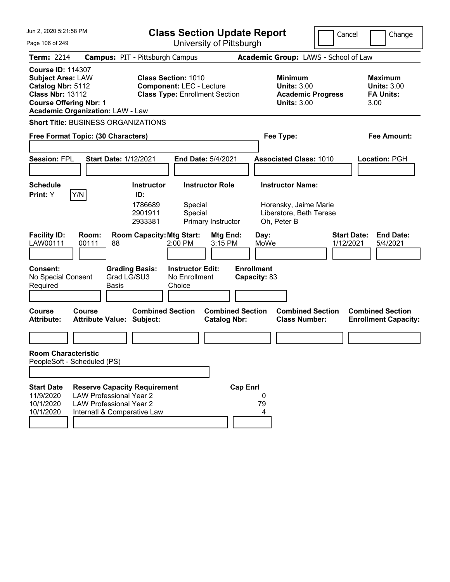| Jun 2, 2020 5:21:58 PM                                                                                                                                                           | <b>Class Section Update Report</b>                                                                                                        |                                                                                            | Cancel                          | Change                                                    |
|----------------------------------------------------------------------------------------------------------------------------------------------------------------------------------|-------------------------------------------------------------------------------------------------------------------------------------------|--------------------------------------------------------------------------------------------|---------------------------------|-----------------------------------------------------------|
| Page 106 of 249                                                                                                                                                                  | University of Pittsburgh                                                                                                                  |                                                                                            |                                 |                                                           |
| <b>Term: 2214</b>                                                                                                                                                                | <b>Campus: PIT - Pittsburgh Campus</b>                                                                                                    | Academic Group: LAWS - School of Law                                                       |                                 |                                                           |
| <b>Course ID: 114307</b><br><b>Subject Area: LAW</b><br>Catalog Nbr: 5112<br><b>Class Nbr: 13112</b><br><b>Course Offering Nbr: 1</b><br><b>Academic Organization: LAW - Law</b> | <b>Class Section: 1010</b><br><b>Component: LEC - Lecture</b><br><b>Class Type: Enrollment Section</b>                                    | Minimum<br><b>Units: 3.00</b><br><b>Units: 3.00</b>                                        | <b>Academic Progress</b>        | Maximum<br><b>Units: 3.00</b><br><b>FA Units:</b><br>3.00 |
| <b>Short Title: BUSINESS ORGANIZATIONS</b>                                                                                                                                       |                                                                                                                                           |                                                                                            |                                 |                                                           |
| Free Format Topic: (30 Characters)                                                                                                                                               |                                                                                                                                           | Fee Type:                                                                                  |                                 | Fee Amount:                                               |
| <b>Session: FPL</b><br><b>Start Date: 1/12/2021</b>                                                                                                                              | <b>End Date: 5/4/2021</b>                                                                                                                 | <b>Associated Class: 1010</b>                                                              |                                 | Location: PGH                                             |
| <b>Schedule</b><br>Y/N<br>Print: Y                                                                                                                                               | <b>Instructor Role</b><br><b>Instructor</b><br>ID:<br>1786689<br>Special<br>2901911<br>Special<br>2933381<br>Primary Instructor           | <b>Instructor Name:</b><br>Horensky, Jaime Marie<br>Liberatore, Beth Terese<br>Oh, Peter B |                                 |                                                           |
| <b>Facility ID:</b><br>Room:<br>LAW00111<br>00111<br>88<br><b>Consent:</b><br>No Special Consent<br>Required<br><b>Basis</b>                                                     | <b>Room Capacity: Mtg Start:</b><br>2:00 PM<br><b>Grading Basis:</b><br><b>Instructor Edit:</b><br>Grad LG/SU3<br>No Enrollment<br>Choice | Mtg End:<br>Day:<br>3:15 PM<br>MoWe<br><b>Enrollment</b><br>Capacity: 83                   | <b>Start Date:</b><br>1/12/2021 | <b>End Date:</b><br>5/4/2021                              |
| Course<br>Course<br><b>Attribute:</b><br><b>Attribute Value: Subject:</b>                                                                                                        | <b>Combined Section</b>                                                                                                                   | <b>Combined Section</b><br><b>Catalog Nbr:</b><br><b>Class Number:</b>                     | <b>Combined Section</b>         | <b>Combined Section</b><br><b>Enrollment Capacity:</b>    |
| <b>Room Characteristic</b><br>PeopleSoft - Scheduled (PS)                                                                                                                        |                                                                                                                                           |                                                                                            |                                 |                                                           |
| <b>Start Date</b><br>11/9/2020<br><b>LAW Professional Year 2</b><br>10/1/2020<br><b>LAW Professional Year 2</b><br>10/1/2020<br>Internatl & Comparative Law                      | <b>Reserve Capacity Requirement</b>                                                                                                       | <b>Cap Enrl</b><br>0<br>79<br>4                                                            |                                 |                                                           |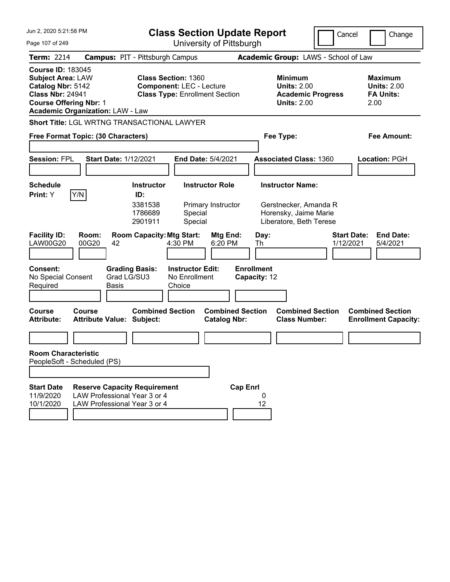| Jun 2, 2020 5:21:58 PM                                                                                                                |                                                                                                     |                                                                                                        | <b>Class Section Update Report</b>             |                                                                                                      |                                                 | Cancel<br>Change                                                 |
|---------------------------------------------------------------------------------------------------------------------------------------|-----------------------------------------------------------------------------------------------------|--------------------------------------------------------------------------------------------------------|------------------------------------------------|------------------------------------------------------------------------------------------------------|-------------------------------------------------|------------------------------------------------------------------|
| Page 107 of 249                                                                                                                       |                                                                                                     |                                                                                                        | University of Pittsburgh                       |                                                                                                      |                                                 |                                                                  |
| <b>Term: 2214</b>                                                                                                                     |                                                                                                     | <b>Campus: PIT - Pittsburgh Campus</b>                                                                 |                                                | Academic Group: LAWS - School of Law                                                                 |                                                 |                                                                  |
| <b>Course ID: 183045</b><br><b>Subject Area: LAW</b><br>Catalog Nbr: 5142<br><b>Class Nbr: 24941</b><br><b>Course Offering Nbr: 1</b> | <b>Academic Organization: LAW - Law</b>                                                             | <b>Class Section: 1360</b><br><b>Component: LEC - Lecture</b><br><b>Class Type: Enrollment Section</b> |                                                | <b>Minimum</b><br><b>Units: 2.00</b><br><b>Units: 2.00</b>                                           | <b>Academic Progress</b>                        | <b>Maximum</b><br><b>Units: 2.00</b><br><b>FA Units:</b><br>2.00 |
|                                                                                                                                       |                                                                                                     | Short Title: LGL WRTNG TRANSACTIONAL LAWYER                                                            |                                                |                                                                                                      |                                                 |                                                                  |
|                                                                                                                                       | Free Format Topic: (30 Characters)                                                                  |                                                                                                        |                                                | Fee Type:                                                                                            |                                                 | <b>Fee Amount:</b>                                               |
| <b>Session: FPL</b>                                                                                                                   | <b>Start Date: 1/12/2021</b>                                                                        |                                                                                                        | End Date: 5/4/2021                             | <b>Associated Class: 1360</b>                                                                        |                                                 | Location: PGH                                                    |
| <b>Schedule</b><br>Print: Y                                                                                                           | Y/N                                                                                                 | <b>Instructor</b><br>ID:<br>3381538<br>1786689<br>Special<br>2901911<br>Special                        | <b>Instructor Role</b><br>Primary Instructor   | <b>Instructor Name:</b><br>Gerstnecker, Amanda R<br>Horensky, Jaime Marie<br>Liberatore, Beth Terese |                                                 |                                                                  |
| <b>Facility ID:</b><br><b>LAW00G20</b>                                                                                                | Room:<br>00G20<br>42                                                                                | <b>Room Capacity: Mtg Start:</b><br>4:30 PM                                                            | Mtg End:<br>6:20 PM                            | Day:<br>Th                                                                                           |                                                 | <b>Start Date:</b><br><b>End Date:</b><br>1/12/2021<br>5/4/2021  |
| Consent:<br>No Special Consent<br>Required                                                                                            | Grad LG/SU3<br><b>Basis</b>                                                                         | <b>Instructor Edit:</b><br><b>Grading Basis:</b><br>No Enrollment<br>Choice                            |                                                | <b>Enrollment</b><br>Capacity: 12                                                                    |                                                 |                                                                  |
| <b>Course</b><br><b>Attribute:</b>                                                                                                    | <b>Course</b><br><b>Attribute Value: Subject:</b>                                                   | <b>Combined Section</b>                                                                                | <b>Combined Section</b><br><b>Catalog Nbr:</b> |                                                                                                      | <b>Combined Section</b><br><b>Class Number:</b> | <b>Combined Section</b><br><b>Enrollment Capacity:</b>           |
|                                                                                                                                       |                                                                                                     |                                                                                                        |                                                |                                                                                                      |                                                 |                                                                  |
| <b>Room Characteristic</b><br>PeopleSoft - Scheduled (PS)                                                                             |                                                                                                     |                                                                                                        |                                                |                                                                                                      |                                                 |                                                                  |
|                                                                                                                                       |                                                                                                     |                                                                                                        |                                                |                                                                                                      |                                                 |                                                                  |
| <b>Start Date</b><br>11/9/2020<br>10/1/2020                                                                                           | <b>Reserve Capacity Requirement</b><br>LAW Professional Year 3 or 4<br>LAW Professional Year 3 or 4 |                                                                                                        | <b>Cap Enrl</b>                                | 0<br>12                                                                                              |                                                 |                                                                  |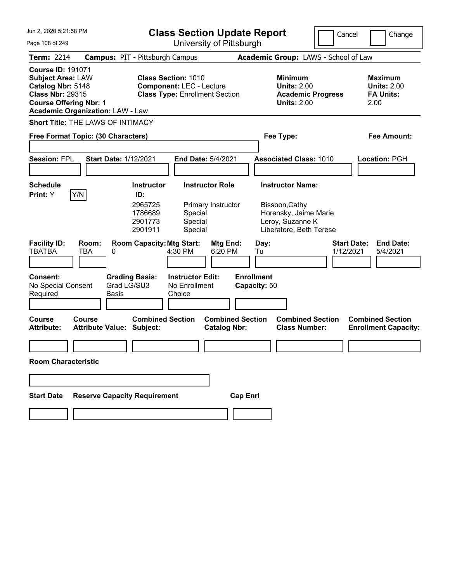| Jun 2, 2020 5:21:58 PM                                                                                                                                                           |                                                                                                                                      | <b>Class Section Update Report</b>                      |                                                                                        | Cancel<br>Change                                                 |
|----------------------------------------------------------------------------------------------------------------------------------------------------------------------------------|--------------------------------------------------------------------------------------------------------------------------------------|---------------------------------------------------------|----------------------------------------------------------------------------------------|------------------------------------------------------------------|
| Page 108 of 249                                                                                                                                                                  |                                                                                                                                      | University of Pittsburgh                                |                                                                                        |                                                                  |
| Term: 2214                                                                                                                                                                       | <b>Campus: PIT - Pittsburgh Campus</b>                                                                                               |                                                         | Academic Group: LAWS - School of Law                                                   |                                                                  |
| <b>Course ID: 191071</b><br><b>Subject Area: LAW</b><br>Catalog Nbr: 5148<br><b>Class Nbr: 29315</b><br><b>Course Offering Nbr: 1</b><br><b>Academic Organization: LAW - Law</b> | <b>Class Section: 1010</b><br><b>Component: LEC - Lecture</b><br><b>Class Type: Enrollment Section</b>                               |                                                         | <b>Minimum</b><br><b>Units: 2.00</b><br><b>Academic Progress</b><br><b>Units: 2.00</b> | <b>Maximum</b><br><b>Units: 2.00</b><br><b>FA Units:</b><br>2.00 |
| <b>Short Title: THE LAWS OF INTIMACY</b>                                                                                                                                         |                                                                                                                                      |                                                         |                                                                                        |                                                                  |
| Free Format Topic: (30 Characters)                                                                                                                                               |                                                                                                                                      |                                                         | Fee Type:                                                                              | Fee Amount:                                                      |
| <b>Session: FPL</b>                                                                                                                                                              | <b>Start Date: 1/12/2021</b>                                                                                                         | End Date: 5/4/2021                                      | <b>Associated Class: 1010</b>                                                          | Location: PGH                                                    |
| <b>Schedule</b>                                                                                                                                                                  | <b>Instructor</b>                                                                                                                    | <b>Instructor Role</b>                                  | <b>Instructor Name:</b>                                                                |                                                                  |
| Y/N<br>Print: Y<br><b>Facility ID:</b><br>Room:<br><b>TBATBA</b><br>TBA                                                                                                          | ID:<br>2965725<br>1786689<br>Special<br>2901773<br>Special<br>2901911<br>Special<br><b>Room Capacity: Mtg Start:</b><br>4:30 PM<br>0 | Primary Instructor<br>Mtg End:<br>Day:<br>6:20 PM<br>Tu | Bissoon, Cathy<br>Horensky, Jaime Marie<br>Leroy, Suzanne K<br>Liberatore, Beth Terese | <b>Start Date:</b><br><b>End Date:</b><br>1/12/2021<br>5/4/2021  |
| <b>Consent:</b><br>No Special Consent<br>Required                                                                                                                                | <b>Grading Basis:</b><br><b>Instructor Edit:</b><br>Grad LG/SU3<br>No Enrollment<br>Choice<br><b>Basis</b>                           | <b>Enrollment</b><br>Capacity: 50                       |                                                                                        |                                                                  |
| <b>Course</b><br>Course<br><b>Attribute:</b>                                                                                                                                     | <b>Combined Section</b><br><b>Attribute Value: Subject:</b>                                                                          | <b>Combined Section</b><br><b>Catalog Nbr:</b>          | <b>Combined Section</b><br><b>Class Number:</b>                                        | <b>Combined Section</b><br><b>Enrollment Capacity:</b>           |
| <b>Room Characteristic</b>                                                                                                                                                       |                                                                                                                                      |                                                         |                                                                                        |                                                                  |
|                                                                                                                                                                                  |                                                                                                                                      |                                                         |                                                                                        |                                                                  |
|                                                                                                                                                                                  |                                                                                                                                      |                                                         |                                                                                        |                                                                  |
| <b>Start Date</b>                                                                                                                                                                | <b>Reserve Capacity Requirement</b>                                                                                                  | <b>Cap Enrl</b>                                         |                                                                                        |                                                                  |
|                                                                                                                                                                                  |                                                                                                                                      |                                                         |                                                                                        |                                                                  |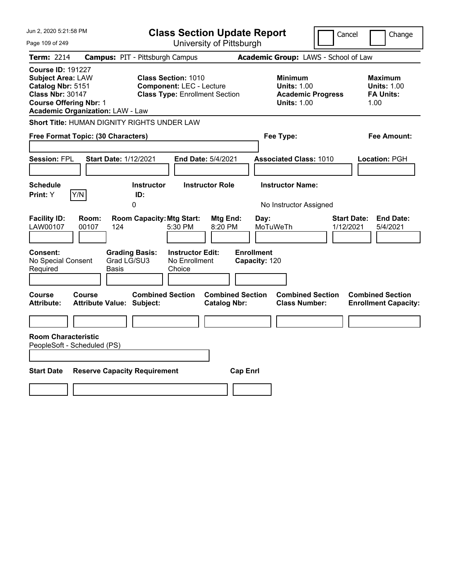| Jun 2, 2020 5:21:58 PM<br><b>Class Section Update Report</b>                                                                                                                     |                                                                                                        |                                                                                        | Cancel<br>Change                                                 |
|----------------------------------------------------------------------------------------------------------------------------------------------------------------------------------|--------------------------------------------------------------------------------------------------------|----------------------------------------------------------------------------------------|------------------------------------------------------------------|
| Page 109 of 249                                                                                                                                                                  | University of Pittsburgh                                                                               |                                                                                        |                                                                  |
| <b>Term: 2214</b>                                                                                                                                                                | <b>Campus: PIT - Pittsburgh Campus</b>                                                                 | Academic Group: LAWS - School of Law                                                   |                                                                  |
| <b>Course ID: 191227</b><br><b>Subject Area: LAW</b><br>Catalog Nbr: 5151<br><b>Class Nbr: 30147</b><br><b>Course Offering Nbr: 1</b><br><b>Academic Organization: LAW - Law</b> | <b>Class Section: 1010</b><br><b>Component: LEC - Lecture</b><br><b>Class Type: Enrollment Section</b> | <b>Minimum</b><br><b>Units: 1.00</b><br><b>Academic Progress</b><br><b>Units: 1.00</b> | <b>Maximum</b><br><b>Units: 1.00</b><br><b>FA Units:</b><br>1.00 |
| Short Title: HUMAN DIGNITY RIGHTS UNDER LAW                                                                                                                                      |                                                                                                        |                                                                                        |                                                                  |
| Free Format Topic: (30 Characters)                                                                                                                                               |                                                                                                        | Fee Type:                                                                              | Fee Amount:                                                      |
| <b>Start Date: 1/12/2021</b><br><b>Session: FPL</b>                                                                                                                              | <b>End Date: 5/4/2021</b>                                                                              | <b>Associated Class: 1010</b>                                                          | Location: PGH                                                    |
| <b>Schedule</b><br>Y/N<br>Print: Y                                                                                                                                               | <b>Instructor Role</b><br><b>Instructor</b><br>ID:<br>0                                                | <b>Instructor Name:</b><br>No Instructor Assigned                                      |                                                                  |
| <b>Facility ID:</b><br>Room:<br>LAW00107<br>00107<br>124                                                                                                                         | <b>Room Capacity: Mtg Start:</b><br>Mtg End:<br>5:30 PM<br>8:20 PM                                     | Day:<br>MoTuWeTh                                                                       | <b>Start Date:</b><br><b>End Date:</b><br>1/12/2021<br>5/4/2021  |
| Consent:<br>Grad LG/SU3<br>No Special Consent<br>Required<br>Basis                                                                                                               | <b>Grading Basis:</b><br><b>Instructor Edit:</b><br>No Enrollment<br>Choice                            | <b>Enrollment</b><br>Capacity: 120                                                     |                                                                  |
| Course<br>Course<br><b>Attribute:</b><br><b>Attribute Value: Subject:</b>                                                                                                        | <b>Combined Section</b><br><b>Combined Section</b><br><b>Catalog Nbr:</b>                              | <b>Combined Section</b><br><b>Class Number:</b>                                        | <b>Combined Section</b><br><b>Enrollment Capacity:</b>           |
|                                                                                                                                                                                  |                                                                                                        |                                                                                        |                                                                  |
| <b>Room Characteristic</b><br>PeopleSoft - Scheduled (PS)                                                                                                                        |                                                                                                        |                                                                                        |                                                                  |
|                                                                                                                                                                                  |                                                                                                        |                                                                                        |                                                                  |
| <b>Start Date</b><br><b>Reserve Capacity Requirement</b>                                                                                                                         | <b>Cap Enrl</b>                                                                                        |                                                                                        |                                                                  |
|                                                                                                                                                                                  |                                                                                                        |                                                                                        |                                                                  |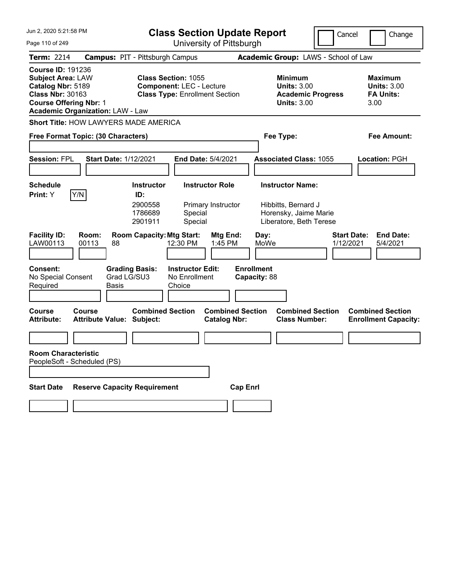| Jun 2, 2020 5:21:58 PM                                                                                                                |                                            |                                  | <b>Class Section Update Report</b>                                       |                                                |                                   |                                                                                        | Cancel                          | Change                                                           |
|---------------------------------------------------------------------------------------------------------------------------------------|--------------------------------------------|----------------------------------|--------------------------------------------------------------------------|------------------------------------------------|-----------------------------------|----------------------------------------------------------------------------------------|---------------------------------|------------------------------------------------------------------|
| University of Pittsburgh<br>Page 110 of 249                                                                                           |                                            |                                  |                                                                          |                                                |                                   |                                                                                        |                                 |                                                                  |
| <b>Term: 2214</b>                                                                                                                     | <b>Campus: PIT - Pittsburgh Campus</b>     |                                  |                                                                          |                                                |                                   | Academic Group: LAWS - School of Law                                                   |                                 |                                                                  |
| <b>Course ID: 191236</b><br><b>Subject Area: LAW</b><br>Catalog Nbr: 5189<br><b>Class Nbr: 30163</b><br><b>Course Offering Nbr: 1</b> | <b>Academic Organization: LAW - Law</b>    | <b>Class Section: 1055</b>       | <b>Component: LEC - Lecture</b><br><b>Class Type: Enrollment Section</b> |                                                |                                   | <b>Minimum</b><br><b>Units: 3.00</b><br><b>Academic Progress</b><br><b>Units: 3.00</b> |                                 | <b>Maximum</b><br><b>Units: 3.00</b><br><b>FA Units:</b><br>3.00 |
|                                                                                                                                       | Short Title: HOW LAWYERS MADE AMERICA      |                                  |                                                                          |                                                |                                   |                                                                                        |                                 |                                                                  |
|                                                                                                                                       | Free Format Topic: (30 Characters)         |                                  |                                                                          |                                                | Fee Type:                         |                                                                                        |                                 | Fee Amount:                                                      |
|                                                                                                                                       |                                            |                                  |                                                                          |                                                |                                   |                                                                                        |                                 |                                                                  |
| <b>Session: FPL</b>                                                                                                                   | <b>Start Date: 1/12/2021</b>               |                                  | <b>End Date: 5/4/2021</b>                                                |                                                |                                   | <b>Associated Class: 1055</b>                                                          |                                 | Location: PGH                                                    |
|                                                                                                                                       |                                            |                                  |                                                                          |                                                |                                   |                                                                                        |                                 |                                                                  |
| Schedule<br><b>Print:</b> Y                                                                                                           | Y/N                                        | <b>Instructor</b><br>ID:         | <b>Instructor Role</b>                                                   |                                                |                                   | <b>Instructor Name:</b>                                                                |                                 |                                                                  |
|                                                                                                                                       |                                            | 2900558<br>1786689<br>2901911    | Primary Instructor<br>Special<br>Special                                 |                                                |                                   | Hibbitts, Bernard J<br>Horensky, Jaime Marie<br>Liberatore, Beth Terese                |                                 |                                                                  |
| <b>Facility ID:</b><br>LAW00113                                                                                                       | Room:<br>00113<br>88                       | <b>Room Capacity: Mtg Start:</b> | 12:30 PM                                                                 | Mtg End:<br>1:45 PM                            | Day:<br>MoWe                      |                                                                                        | <b>Start Date:</b><br>1/12/2021 | <b>End Date:</b><br>5/4/2021                                     |
| <b>Consent:</b><br>No Special Consent<br>Required                                                                                     | Grad LG/SU3<br><b>Basis</b>                | <b>Grading Basis:</b>            | <b>Instructor Edit:</b><br>No Enrollment<br>Choice                       |                                                | <b>Enrollment</b><br>Capacity: 88 |                                                                                        |                                 |                                                                  |
| <b>Course</b><br><b>Attribute:</b>                                                                                                    | Course<br><b>Attribute Value: Subject:</b> | <b>Combined Section</b>          |                                                                          | <b>Combined Section</b><br><b>Catalog Nbr:</b> |                                   | <b>Combined Section</b><br><b>Class Number:</b>                                        |                                 | <b>Combined Section</b><br><b>Enrollment Capacity:</b>           |
|                                                                                                                                       |                                            |                                  |                                                                          |                                                |                                   |                                                                                        |                                 |                                                                  |
| <b>Room Characteristic</b>                                                                                                            | PeopleSoft - Scheduled (PS)                |                                  |                                                                          |                                                |                                   |                                                                                        |                                 |                                                                  |
|                                                                                                                                       |                                            |                                  |                                                                          |                                                |                                   |                                                                                        |                                 |                                                                  |
| <b>Start Date</b>                                                                                                                     | <b>Reserve Capacity Requirement</b>        |                                  |                                                                          | <b>Cap Enrl</b>                                |                                   |                                                                                        |                                 |                                                                  |
|                                                                                                                                       |                                            |                                  |                                                                          |                                                |                                   |                                                                                        |                                 |                                                                  |
|                                                                                                                                       |                                            |                                  |                                                                          |                                                |                                   |                                                                                        |                                 |                                                                  |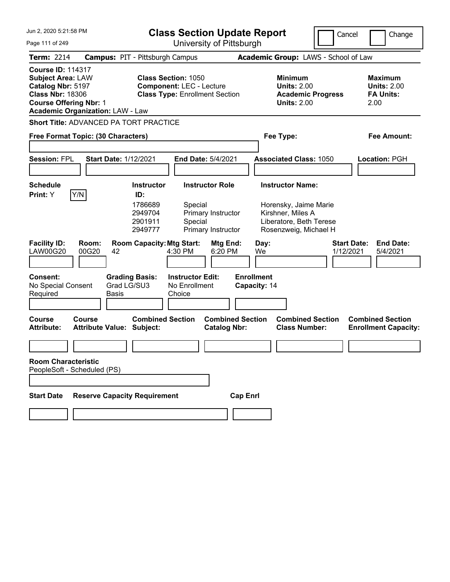| Jun 2, 2020 5:21:58 PM                                                                                                                |                                                      | <b>Class Section Update Report</b>                                                                     |                                                    |                                                |                                   | Cancel    | Change                                                                                                                    |                                 |                                                                  |  |
|---------------------------------------------------------------------------------------------------------------------------------------|------------------------------------------------------|--------------------------------------------------------------------------------------------------------|----------------------------------------------------|------------------------------------------------|-----------------------------------|-----------|---------------------------------------------------------------------------------------------------------------------------|---------------------------------|------------------------------------------------------------------|--|
| Page 111 of 249                                                                                                                       |                                                      | University of Pittsburgh                                                                               |                                                    |                                                |                                   |           |                                                                                                                           |                                 |                                                                  |  |
| <b>Term: 2214</b>                                                                                                                     | <b>Campus: PIT - Pittsburgh Campus</b>               |                                                                                                        |                                                    |                                                |                                   |           | Academic Group: LAWS - School of Law                                                                                      |                                 |                                                                  |  |
| <b>Course ID: 114317</b><br><b>Subject Area: LAW</b><br>Catalog Nbr: 5197<br><b>Class Nbr: 18306</b><br><b>Course Offering Nbr: 1</b> | <b>Academic Organization: LAW - Law</b>              | <b>Class Section: 1050</b><br><b>Component: LEC - Lecture</b><br><b>Class Type: Enrollment Section</b> |                                                    |                                                |                                   |           | <b>Minimum</b><br><b>Units: 2.00</b><br><b>Academic Progress</b><br><b>Units: 2.00</b>                                    |                                 | <b>Maximum</b><br><b>Units: 2.00</b><br><b>FA Units:</b><br>2.00 |  |
|                                                                                                                                       | <b>Short Title: ADVANCED PA TORT PRACTICE</b>        |                                                                                                        |                                                    |                                                |                                   |           |                                                                                                                           |                                 |                                                                  |  |
|                                                                                                                                       | Free Format Topic: (30 Characters)                   |                                                                                                        |                                                    |                                                |                                   | Fee Type: |                                                                                                                           |                                 | Fee Amount:                                                      |  |
| <b>Session: FPL</b>                                                                                                                   | <b>Start Date: 1/12/2021</b>                         |                                                                                                        | End Date: 5/4/2021                                 |                                                |                                   |           | <b>Associated Class: 1050</b>                                                                                             |                                 | Location: PGH                                                    |  |
| <b>Schedule</b><br>Print: Y                                                                                                           | Y/N                                                  | <b>Instructor</b><br>ID:<br>1786689<br>2949704<br>2901911<br>2949777                                   | <b>Instructor Role</b><br>Special<br>Special       | Primary Instructor<br>Primary Instructor       |                                   |           | <b>Instructor Name:</b><br>Horensky, Jaime Marie<br>Kirshner, Miles A<br>Liberatore, Beth Terese<br>Rosenzweig, Michael H |                                 |                                                                  |  |
| <b>Facility ID:</b><br><b>LAW00G20</b>                                                                                                | Room:<br>00G20<br>42                                 | <b>Room Capacity: Mtg Start:</b>                                                                       | 4:30 PM                                            | Mtg End:<br>6:20 PM                            | Day:<br>We                        |           |                                                                                                                           | <b>Start Date:</b><br>1/12/2021 | <b>End Date:</b><br>5/4/2021                                     |  |
| <b>Consent:</b><br>No Special Consent<br>Required                                                                                     | <b>Grading Basis:</b><br>Grad LG/SU3<br><b>Basis</b> |                                                                                                        | <b>Instructor Edit:</b><br>No Enrollment<br>Choice |                                                | <b>Enrollment</b><br>Capacity: 14 |           |                                                                                                                           |                                 |                                                                  |  |
| <b>Course</b><br><b>Attribute:</b>                                                                                                    | Course<br><b>Attribute Value: Subject:</b>           | <b>Combined Section</b>                                                                                |                                                    | <b>Combined Section</b><br><b>Catalog Nbr:</b> |                                   |           | <b>Combined Section</b><br><b>Class Number:</b>                                                                           |                                 | <b>Combined Section</b><br><b>Enrollment Capacity:</b>           |  |
|                                                                                                                                       |                                                      |                                                                                                        |                                                    |                                                |                                   |           |                                                                                                                           |                                 |                                                                  |  |
| <b>Room Characteristic</b>                                                                                                            | PeopleSoft - Scheduled (PS)                          |                                                                                                        |                                                    |                                                |                                   |           |                                                                                                                           |                                 |                                                                  |  |
|                                                                                                                                       |                                                      |                                                                                                        |                                                    |                                                |                                   |           |                                                                                                                           |                                 |                                                                  |  |
| <b>Start Date</b>                                                                                                                     | <b>Reserve Capacity Requirement</b>                  |                                                                                                        |                                                    |                                                | <b>Cap Enrl</b>                   |           |                                                                                                                           |                                 |                                                                  |  |
|                                                                                                                                       |                                                      |                                                                                                        |                                                    |                                                |                                   |           |                                                                                                                           |                                 |                                                                  |  |
|                                                                                                                                       |                                                      |                                                                                                        |                                                    |                                                |                                   |           |                                                                                                                           |                                 |                                                                  |  |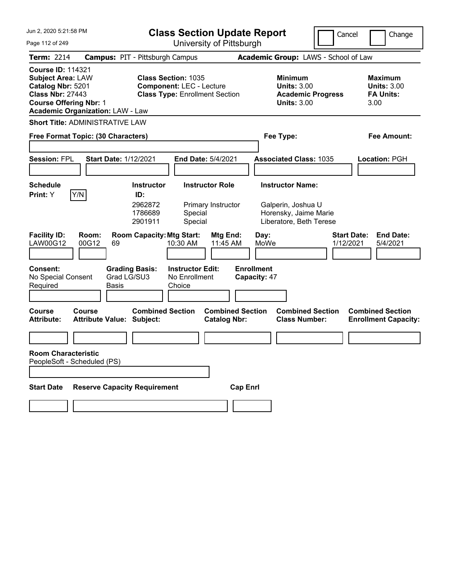| Jun 2, 2020 5:21:58 PM                                                                                                                                                           | <b>Class Section Update Report</b>                                                                            |                                                                                 | Cancel<br>Change                                                 |
|----------------------------------------------------------------------------------------------------------------------------------------------------------------------------------|---------------------------------------------------------------------------------------------------------------|---------------------------------------------------------------------------------|------------------------------------------------------------------|
| Page 112 of 249                                                                                                                                                                  | University of Pittsburgh                                                                                      |                                                                                 |                                                                  |
| <b>Term: 2214</b>                                                                                                                                                                | <b>Campus: PIT - Pittsburgh Campus</b>                                                                        | Academic Group: LAWS - School of Law                                            |                                                                  |
| <b>Course ID: 114321</b><br><b>Subject Area: LAW</b><br>Catalog Nbr: 5201<br><b>Class Nbr: 27443</b><br><b>Course Offering Nbr: 1</b><br><b>Academic Organization: LAW - Law</b> | <b>Class Section: 1035</b><br><b>Component: LEC - Lecture</b><br><b>Class Type: Enrollment Section</b>        | Minimum<br><b>Units: 3.00</b><br><b>Academic Progress</b><br><b>Units: 3.00</b> | <b>Maximum</b><br><b>Units: 3.00</b><br><b>FA Units:</b><br>3.00 |
| <b>Short Title: ADMINISTRATIVE LAW</b>                                                                                                                                           |                                                                                                               |                                                                                 |                                                                  |
| Free Format Topic: (30 Characters)                                                                                                                                               |                                                                                                               | Fee Type:                                                                       | Fee Amount:                                                      |
|                                                                                                                                                                                  |                                                                                                               |                                                                                 |                                                                  |
| <b>Session: FPL</b>                                                                                                                                                              | <b>Start Date: 1/12/2021</b><br>End Date: 5/4/2021                                                            | <b>Associated Class: 1035</b>                                                   | Location: PGH                                                    |
|                                                                                                                                                                                  |                                                                                                               |                                                                                 |                                                                  |
| <b>Schedule</b>                                                                                                                                                                  | <b>Instructor Role</b><br><b>Instructor</b>                                                                   | <b>Instructor Name:</b>                                                         |                                                                  |
| Y/N<br>Print: Y                                                                                                                                                                  | ID:<br>2962872<br>Primary Instructor<br>1786689<br>Special<br>2901911<br>Special                              | Galperin, Joshua U<br>Horensky, Jaime Marie<br>Liberatore, Beth Terese          |                                                                  |
| <b>Facility ID:</b><br>Room:<br>LAW00G12<br>00G12                                                                                                                                | <b>Room Capacity: Mtg Start:</b><br><b>Mtg End:</b><br>11:45 AM<br>69<br>10:30 AM                             | Day:<br>MoWe                                                                    | <b>Start Date:</b><br><b>End Date:</b><br>1/12/2021<br>5/4/2021  |
| <b>Consent:</b><br>No Special Consent<br>Required                                                                                                                                | <b>Instructor Edit:</b><br><b>Grading Basis:</b><br>Grad LG/SU3<br>No Enrollment<br>Choice<br>Basis           | <b>Enrollment</b><br>Capacity: 47                                               |                                                                  |
| <b>Course</b><br>Course<br><b>Attribute:</b>                                                                                                                                     | <b>Combined Section</b><br><b>Combined Section</b><br><b>Attribute Value: Subject:</b><br><b>Catalog Nbr:</b> | <b>Combined Section</b><br><b>Class Number:</b>                                 | <b>Combined Section</b><br><b>Enrollment Capacity:</b>           |
|                                                                                                                                                                                  |                                                                                                               |                                                                                 |                                                                  |
| <b>Room Characteristic</b><br>PeopleSoft - Scheduled (PS)                                                                                                                        |                                                                                                               |                                                                                 |                                                                  |
| <b>Start Date</b>                                                                                                                                                                | <b>Reserve Capacity Requirement</b>                                                                           | <b>Cap Enrl</b>                                                                 |                                                                  |
|                                                                                                                                                                                  |                                                                                                               |                                                                                 |                                                                  |
|                                                                                                                                                                                  |                                                                                                               |                                                                                 |                                                                  |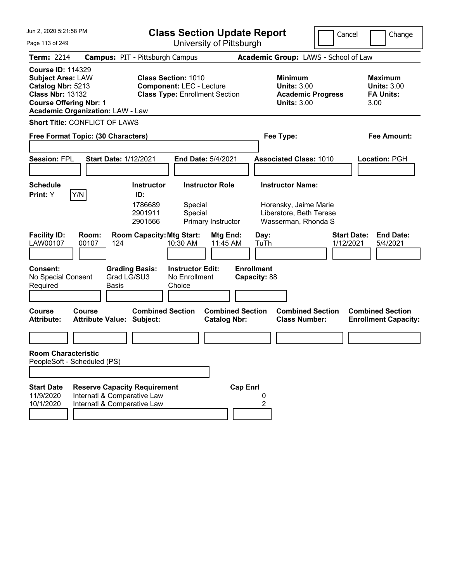| Jun 2, 2020 5:21:58 PM                                                                                                                |                                                                                                   |                                                                                                        | <b>Class Section Update Report</b>             |                                                                                                    |                                 | Cancel<br>Change                                                 |
|---------------------------------------------------------------------------------------------------------------------------------------|---------------------------------------------------------------------------------------------------|--------------------------------------------------------------------------------------------------------|------------------------------------------------|----------------------------------------------------------------------------------------------------|---------------------------------|------------------------------------------------------------------|
| Page 113 of 249                                                                                                                       |                                                                                                   |                                                                                                        | University of Pittsburgh                       |                                                                                                    |                                 |                                                                  |
| <b>Term: 2214</b>                                                                                                                     |                                                                                                   | <b>Campus: PIT - Pittsburgh Campus</b>                                                                 |                                                | Academic Group: LAWS - School of Law                                                               |                                 |                                                                  |
| <b>Course ID: 114329</b><br><b>Subject Area: LAW</b><br>Catalog Nbr: 5213<br><b>Class Nbr: 13132</b><br><b>Course Offering Nbr: 1</b> | <b>Academic Organization: LAW - Law</b>                                                           | <b>Class Section: 1010</b><br><b>Component: LEC - Lecture</b><br><b>Class Type: Enrollment Section</b> |                                                | <b>Minimum</b><br><b>Units: 3.00</b><br><b>Academic Progress</b><br><b>Units: 3.00</b>             |                                 | <b>Maximum</b><br><b>Units: 3.00</b><br><b>FA Units:</b><br>3.00 |
|                                                                                                                                       | <b>Short Title: CONFLICT OF LAWS</b>                                                              |                                                                                                        |                                                |                                                                                                    |                                 |                                                                  |
|                                                                                                                                       | Free Format Topic: (30 Characters)                                                                |                                                                                                        |                                                | Fee Type:                                                                                          |                                 | Fee Amount:                                                      |
| <b>Session: FPL</b>                                                                                                                   | <b>Start Date: 1/12/2021</b>                                                                      |                                                                                                        | End Date: 5/4/2021                             | <b>Associated Class: 1010</b>                                                                      |                                 | Location: PGH                                                    |
| <b>Schedule</b><br>Y/N<br>Print: Y                                                                                                    |                                                                                                   | <b>Instructor</b><br>ID:<br>1786689<br>Special<br>2901911<br>Special<br>2901566                        | <b>Instructor Role</b><br>Primary Instructor   | <b>Instructor Name:</b><br>Horensky, Jaime Marie<br>Liberatore, Beth Terese<br>Wasserman, Rhonda S |                                 |                                                                  |
| <b>Facility ID:</b><br>LAW00107                                                                                                       | Room:<br>00107<br>124                                                                             | <b>Room Capacity: Mtg Start:</b><br>10:30 AM                                                           | Mtg End:<br>11:45 AM                           | Day:<br>TuTh                                                                                       | <b>Start Date:</b><br>1/12/2021 | <b>End Date:</b><br>5/4/2021                                     |
| <b>Consent:</b><br>No Special Consent<br>Required                                                                                     | Grad LG/SU3<br>Basis                                                                              | <b>Grading Basis:</b><br><b>Instructor Edit:</b><br>No Enrollment<br>Choice                            | <b>Enrollment</b>                              | Capacity: 88                                                                                       |                                 |                                                                  |
| <b>Course</b><br><b>Attribute:</b>                                                                                                    | Course<br><b>Attribute Value: Subject:</b>                                                        | <b>Combined Section</b>                                                                                | <b>Combined Section</b><br><b>Catalog Nbr:</b> | <b>Combined Section</b><br><b>Class Number:</b>                                                    |                                 | <b>Combined Section</b><br><b>Enrollment Capacity:</b>           |
|                                                                                                                                       |                                                                                                   |                                                                                                        |                                                |                                                                                                    |                                 |                                                                  |
| <b>Room Characteristic</b><br>PeopleSoft - Scheduled (PS)                                                                             |                                                                                                   |                                                                                                        |                                                |                                                                                                    |                                 |                                                                  |
|                                                                                                                                       |                                                                                                   |                                                                                                        |                                                |                                                                                                    |                                 |                                                                  |
| <b>Start Date</b><br>11/9/2020<br>10/1/2020                                                                                           | <b>Reserve Capacity Requirement</b><br>Internatl & Comparative Law<br>Internatl & Comparative Law |                                                                                                        | <b>Cap Enrl</b>                                | 0<br>2                                                                                             |                                 |                                                                  |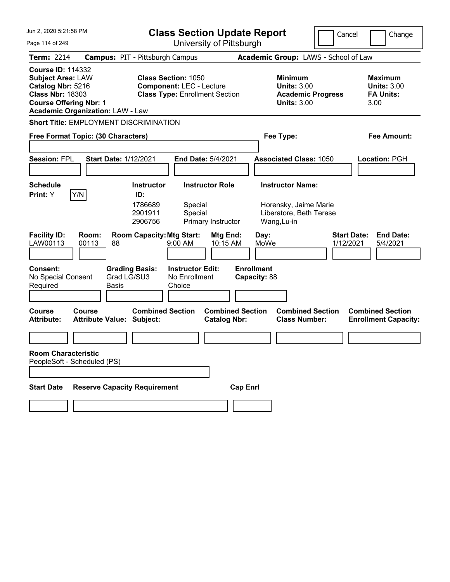| Jun 2, 2020 5:21:58 PM                                                                                                                |                                                      | <b>Class Section Update Report</b> |                                                                          |                                                |                                   | Cancel                                                                                 | Change                          |                                                                  |
|---------------------------------------------------------------------------------------------------------------------------------------|------------------------------------------------------|------------------------------------|--------------------------------------------------------------------------|------------------------------------------------|-----------------------------------|----------------------------------------------------------------------------------------|---------------------------------|------------------------------------------------------------------|
| University of Pittsburgh<br>Page 114 of 249                                                                                           |                                                      |                                    |                                                                          |                                                |                                   |                                                                                        |                                 |                                                                  |
| <b>Term: 2214</b>                                                                                                                     | <b>Campus: PIT - Pittsburgh Campus</b>               |                                    |                                                                          |                                                |                                   | Academic Group: LAWS - School of Law                                                   |                                 |                                                                  |
| <b>Course ID: 114332</b><br><b>Subject Area: LAW</b><br>Catalog Nbr: 5216<br><b>Class Nbr: 18303</b><br><b>Course Offering Nbr: 1</b> | <b>Academic Organization: LAW - Law</b>              | <b>Class Section: 1050</b>         | <b>Component: LEC - Lecture</b><br><b>Class Type: Enrollment Section</b> |                                                |                                   | <b>Minimum</b><br><b>Units: 3.00</b><br><b>Academic Progress</b><br><b>Units: 3.00</b> |                                 | <b>Maximum</b><br><b>Units: 3.00</b><br><b>FA Units:</b><br>3.00 |
|                                                                                                                                       | Short Title: EMPLOYMENT DISCRIMINATION               |                                    |                                                                          |                                                |                                   |                                                                                        |                                 |                                                                  |
|                                                                                                                                       | Free Format Topic: (30 Characters)                   |                                    |                                                                          |                                                | Fee Type:                         |                                                                                        |                                 | Fee Amount:                                                      |
|                                                                                                                                       |                                                      |                                    |                                                                          |                                                |                                   |                                                                                        |                                 |                                                                  |
| <b>Session: FPL</b>                                                                                                                   | <b>Start Date: 1/12/2021</b>                         |                                    | <b>End Date: 5/4/2021</b>                                                |                                                |                                   | <b>Associated Class: 1050</b>                                                          |                                 | Location: PGH                                                    |
|                                                                                                                                       |                                                      |                                    |                                                                          |                                                |                                   |                                                                                        |                                 |                                                                  |
| Schedule                                                                                                                              |                                                      | <b>Instructor</b><br>ID:           | <b>Instructor Role</b>                                                   |                                                |                                   | <b>Instructor Name:</b>                                                                |                                 |                                                                  |
| <b>Print:</b> Y                                                                                                                       | Y/N                                                  | 1786689<br>2901911<br>2906756      | Special<br>Special<br>Primary Instructor                                 |                                                | Wang, Lu-in                       | Horensky, Jaime Marie<br>Liberatore, Beth Terese                                       |                                 |                                                                  |
| <b>Facility ID:</b><br>LAW00113                                                                                                       | Room:<br>00113<br>88                                 | <b>Room Capacity: Mtg Start:</b>   | $9:00$ AM                                                                | Mtg End:<br>10:15 AM                           | Day:<br>MoWe                      |                                                                                        | <b>Start Date:</b><br>1/12/2021 | <b>End Date:</b><br>5/4/2021                                     |
| <b>Consent:</b><br>No Special Consent<br>Required                                                                                     | <b>Grading Basis:</b><br>Grad LG/SU3<br><b>Basis</b> |                                    | <b>Instructor Edit:</b><br>No Enrollment<br>Choice                       |                                                | <b>Enrollment</b><br>Capacity: 88 |                                                                                        |                                 |                                                                  |
| <b>Course</b><br><b>Attribute:</b>                                                                                                    | Course<br><b>Attribute Value: Subject:</b>           | <b>Combined Section</b>            |                                                                          | <b>Combined Section</b><br><b>Catalog Nbr:</b> |                                   | <b>Combined Section</b><br><b>Class Number:</b>                                        |                                 | <b>Combined Section</b><br><b>Enrollment Capacity:</b>           |
|                                                                                                                                       |                                                      |                                    |                                                                          |                                                |                                   |                                                                                        |                                 |                                                                  |
| <b>Room Characteristic</b>                                                                                                            | PeopleSoft - Scheduled (PS)                          |                                    |                                                                          |                                                |                                   |                                                                                        |                                 |                                                                  |
|                                                                                                                                       |                                                      |                                    |                                                                          |                                                |                                   |                                                                                        |                                 |                                                                  |
| <b>Start Date</b>                                                                                                                     | <b>Reserve Capacity Requirement</b>                  |                                    |                                                                          | <b>Cap Enrl</b>                                |                                   |                                                                                        |                                 |                                                                  |
|                                                                                                                                       |                                                      |                                    |                                                                          |                                                |                                   |                                                                                        |                                 |                                                                  |
|                                                                                                                                       |                                                      |                                    |                                                                          |                                                |                                   |                                                                                        |                                 |                                                                  |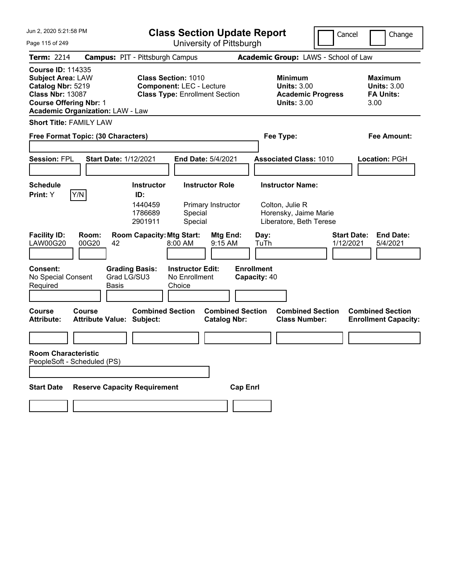| Jun 2, 2020 5:21:58 PM                                                                                                                                                           | <b>Class Section Update Report</b>                                                                     | Cancel                                                                                 | Change                                                           |
|----------------------------------------------------------------------------------------------------------------------------------------------------------------------------------|--------------------------------------------------------------------------------------------------------|----------------------------------------------------------------------------------------|------------------------------------------------------------------|
| Page 115 of 249                                                                                                                                                                  | University of Pittsburgh                                                                               |                                                                                        |                                                                  |
| <b>Term: 2214</b>                                                                                                                                                                | <b>Campus: PIT - Pittsburgh Campus</b>                                                                 | Academic Group: LAWS - School of Law                                                   |                                                                  |
| <b>Course ID: 114335</b><br><b>Subject Area: LAW</b><br>Catalog Nbr: 5219<br><b>Class Nbr: 13087</b><br><b>Course Offering Nbr: 1</b><br><b>Academic Organization: LAW - Law</b> | <b>Class Section: 1010</b><br><b>Component: LEC - Lecture</b><br><b>Class Type: Enrollment Section</b> | <b>Minimum</b><br><b>Units: 3.00</b><br><b>Academic Progress</b><br><b>Units: 3.00</b> | <b>Maximum</b><br><b>Units: 3.00</b><br><b>FA Units:</b><br>3.00 |
| <b>Short Title: FAMILY LAW</b>                                                                                                                                                   |                                                                                                        |                                                                                        |                                                                  |
| Free Format Topic: (30 Characters)                                                                                                                                               |                                                                                                        | Fee Type:                                                                              | Fee Amount:                                                      |
| <b>Session: FPL</b><br><b>Start Date: 1/12/2021</b>                                                                                                                              | End Date: 5/4/2021                                                                                     | <b>Associated Class: 1010</b>                                                          | Location: PGH                                                    |
| <b>Schedule</b>                                                                                                                                                                  | <b>Instructor</b><br><b>Instructor Role</b>                                                            | <b>Instructor Name:</b>                                                                |                                                                  |
| Y/N<br>Print: Y                                                                                                                                                                  | ID:<br>1440459<br>Primary Instructor<br>1786689<br>Special<br>2901911<br>Special                       | Colton, Julie R<br>Horensky, Jaime Marie<br>Liberatore, Beth Terese                    |                                                                  |
| <b>Facility ID:</b><br>Room:<br><b>LAW00G20</b><br>00G20<br>42                                                                                                                   | <b>Room Capacity: Mtg Start:</b><br>Mtg End:<br>8:00 AM<br>9:15 AM                                     | Day:<br>TuTh                                                                           | <b>Start Date:</b><br><b>End Date:</b><br>1/12/2021<br>5/4/2021  |
| <b>Consent:</b><br>Grad LG/SU3<br>No Special Consent<br>Required<br>Basis                                                                                                        | <b>Grading Basis:</b><br><b>Instructor Edit:</b><br>No Enrollment<br>Choice                            | <b>Enrollment</b><br>Capacity: 40                                                      |                                                                  |
| <b>Course</b><br>Course<br><b>Attribute Value: Subject:</b><br><b>Attribute:</b>                                                                                                 | <b>Combined Section</b><br><b>Combined Section</b><br><b>Catalog Nbr:</b>                              | <b>Combined Section</b><br><b>Class Number:</b>                                        | <b>Combined Section</b><br><b>Enrollment Capacity:</b>           |
|                                                                                                                                                                                  |                                                                                                        |                                                                                        |                                                                  |
| <b>Room Characteristic</b><br>PeopleSoft - Scheduled (PS)                                                                                                                        |                                                                                                        |                                                                                        |                                                                  |
| <b>Reserve Capacity Requirement</b><br><b>Start Date</b>                                                                                                                         |                                                                                                        | <b>Cap Enrl</b>                                                                        |                                                                  |
|                                                                                                                                                                                  |                                                                                                        |                                                                                        |                                                                  |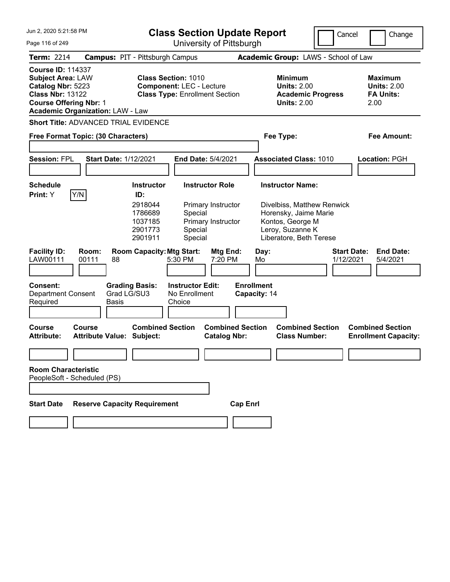| Jun 2, 2020 5:21:58 PM                                                                                                                |                                                   |                                                                                 | <b>Class Section Update Report</b>                                                                  |                                                |                                                                                                                                                   | Cancel                          | Change                                                           |
|---------------------------------------------------------------------------------------------------------------------------------------|---------------------------------------------------|---------------------------------------------------------------------------------|-----------------------------------------------------------------------------------------------------|------------------------------------------------|---------------------------------------------------------------------------------------------------------------------------------------------------|---------------------------------|------------------------------------------------------------------|
| Page 116 of 249                                                                                                                       |                                                   | University of Pittsburgh                                                        |                                                                                                     |                                                |                                                                                                                                                   |                                 |                                                                  |
| Term: 2214                                                                                                                            |                                                   | <b>Campus: PIT - Pittsburgh Campus</b>                                          |                                                                                                     |                                                | Academic Group: LAWS - School of Law                                                                                                              |                                 |                                                                  |
| <b>Course ID: 114337</b><br><b>Subject Area: LAW</b><br>Catalog Nbr: 5223<br><b>Class Nbr: 13122</b><br><b>Course Offering Nbr: 1</b> | <b>Academic Organization: LAW - Law</b>           | <b>Class Section: 1010</b>                                                      | <b>Component: LEC - Lecture</b><br><b>Class Type: Enrollment Section</b>                            |                                                | <b>Minimum</b><br><b>Units: 2.00</b><br><b>Units: 2.00</b>                                                                                        | <b>Academic Progress</b>        | <b>Maximum</b><br><b>Units: 2.00</b><br><b>FA Units:</b><br>2.00 |
|                                                                                                                                       | <b>Short Title: ADVANCED TRIAL EVIDENCE</b>       |                                                                                 |                                                                                                     |                                                |                                                                                                                                                   |                                 |                                                                  |
|                                                                                                                                       | Free Format Topic: (30 Characters)                |                                                                                 |                                                                                                     |                                                | Fee Type:                                                                                                                                         |                                 | Fee Amount:                                                      |
| <b>Session: FPL</b>                                                                                                                   | <b>Start Date: 1/12/2021</b>                      |                                                                                 | <b>End Date: 5/4/2021</b>                                                                           |                                                | <b>Associated Class: 1010</b>                                                                                                                     |                                 | <b>Location: PGH</b>                                             |
| Schedule<br>Print: Y                                                                                                                  | Y/N                                               | <b>Instructor</b><br>ID:<br>2918044<br>1786689<br>1037185<br>2901773<br>2901911 | <b>Instructor Role</b><br>Primary Instructor<br>Special<br>Primary Instructor<br>Special<br>Special |                                                | <b>Instructor Name:</b><br>Divelbiss, Matthew Renwick<br>Horensky, Jaime Marie<br>Kontos, George M<br>Leroy, Suzanne K<br>Liberatore, Beth Terese |                                 |                                                                  |
| <b>Facility ID:</b><br>LAW00111<br>Consent:<br><b>Department Consent</b><br>Required                                                  | Room:<br>00111<br>88<br><b>Basis</b>              | <b>Room Capacity: Mtg Start:</b><br><b>Grading Basis:</b><br>Grad LG/SU3        | 5:30 PM<br><b>Instructor Edit:</b><br>No Enrollment<br>Choice                                       | Mtg End:<br>7:20 PM                            | Day:<br>Mo<br><b>Enrollment</b><br>Capacity: 14                                                                                                   | <b>Start Date:</b><br>1/12/2021 | <b>End Date:</b><br>5/4/2021                                     |
| Course<br><b>Attribute:</b>                                                                                                           | <b>Course</b><br><b>Attribute Value: Subject:</b> | <b>Combined Section</b>                                                         |                                                                                                     | <b>Combined Section</b><br><b>Catalog Nbr:</b> | <b>Class Number:</b>                                                                                                                              | <b>Combined Section</b>         | <b>Combined Section</b><br><b>Enrollment Capacity:</b>           |
| <b>Room Characteristic</b>                                                                                                            | PeopleSoft - Scheduled (PS)                       |                                                                                 |                                                                                                     |                                                |                                                                                                                                                   |                                 |                                                                  |
| <b>Start Date</b>                                                                                                                     | <b>Reserve Capacity Requirement</b>               |                                                                                 |                                                                                                     | <b>Cap Enrl</b>                                |                                                                                                                                                   |                                 |                                                                  |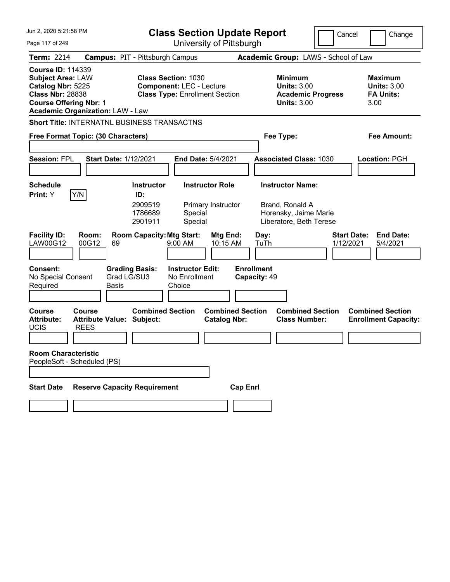| Jun 2, 2020 5:21:58 PM                                                                                                                                                           |                                                             | <b>Class Section Update Report</b>                                       |                                                                                        | Cancel<br>Change                                                 |
|----------------------------------------------------------------------------------------------------------------------------------------------------------------------------------|-------------------------------------------------------------|--------------------------------------------------------------------------|----------------------------------------------------------------------------------------|------------------------------------------------------------------|
| University of Pittsburgh<br>Page 117 of 249                                                                                                                                      |                                                             |                                                                          |                                                                                        |                                                                  |
| <b>Term: 2214</b>                                                                                                                                                                | <b>Campus: PIT - Pittsburgh Campus</b>                      |                                                                          | Academic Group: LAWS - School of Law                                                   |                                                                  |
| <b>Course ID: 114339</b><br><b>Subject Area: LAW</b><br>Catalog Nbr: 5225<br><b>Class Nbr: 28838</b><br><b>Course Offering Nbr: 1</b><br><b>Academic Organization: LAW - Law</b> | <b>Class Section: 1030</b>                                  | <b>Component: LEC - Lecture</b><br><b>Class Type: Enrollment Section</b> | <b>Minimum</b><br><b>Units: 3.00</b><br><b>Academic Progress</b><br><b>Units: 3.00</b> | <b>Maximum</b><br><b>Units: 3.00</b><br><b>FA Units:</b><br>3.00 |
| <b>Short Title: INTERNATNL BUSINESS TRANSACTNS</b>                                                                                                                               |                                                             |                                                                          |                                                                                        |                                                                  |
| Free Format Topic: (30 Characters)                                                                                                                                               |                                                             |                                                                          | Fee Type:                                                                              | Fee Amount:                                                      |
|                                                                                                                                                                                  |                                                             |                                                                          |                                                                                        |                                                                  |
| <b>Session: FPL</b>                                                                                                                                                              | <b>Start Date: 1/12/2021</b>                                | End Date: 5/4/2021                                                       | <b>Associated Class: 1030</b>                                                          | Location: PGH                                                    |
|                                                                                                                                                                                  | <b>Instructor</b>                                           |                                                                          |                                                                                        |                                                                  |
| <b>Schedule</b><br>Y/N<br>Print: Y                                                                                                                                               | ID:                                                         | <b>Instructor Role</b>                                                   | <b>Instructor Name:</b>                                                                |                                                                  |
|                                                                                                                                                                                  | 2909519<br>1786689<br>2901911                               | Primary Instructor<br>Special<br>Special                                 | Brand, Ronald A<br>Horensky, Jaime Marie<br>Liberatore, Beth Terese                    |                                                                  |
| <b>Facility ID:</b><br>Room:<br><b>LAW00G12</b><br>00G12                                                                                                                         | <b>Room Capacity: Mtg Start:</b><br>69                      | Mtg End:<br>10:15 AM<br>9:00 AM                                          | Day:<br>TuTh                                                                           | <b>Start Date:</b><br><b>End Date:</b><br>1/12/2021<br>5/4/2021  |
| <b>Consent:</b><br>No Special Consent<br>Required                                                                                                                                | <b>Grading Basis:</b><br>Grad LG/SU3<br><b>Basis</b>        | <b>Instructor Edit:</b><br>No Enrollment<br>Choice                       | <b>Enrollment</b><br>Capacity: 49                                                      |                                                                  |
| <b>Course</b><br>Course<br><b>Attribute:</b><br><b>UCIS</b><br><b>REES</b>                                                                                                       | <b>Combined Section</b><br><b>Attribute Value: Subject:</b> | <b>Combined Section</b><br><b>Catalog Nbr:</b>                           | <b>Combined Section</b><br><b>Class Number:</b>                                        | <b>Combined Section</b><br><b>Enrollment Capacity:</b>           |
|                                                                                                                                                                                  |                                                             |                                                                          |                                                                                        |                                                                  |
| <b>Room Characteristic</b><br>PeopleSoft - Scheduled (PS)                                                                                                                        |                                                             |                                                                          |                                                                                        |                                                                  |
| <b>Start Date</b>                                                                                                                                                                | <b>Reserve Capacity Requirement</b>                         | <b>Cap Enrl</b>                                                          |                                                                                        |                                                                  |
|                                                                                                                                                                                  |                                                             |                                                                          |                                                                                        |                                                                  |
|                                                                                                                                                                                  |                                                             |                                                                          |                                                                                        |                                                                  |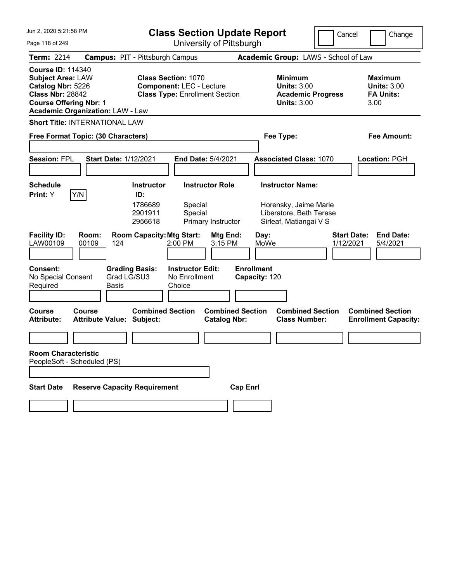| Jun 2, 2020 5:21:58 PM                                                                                                                                                           | <b>Class Section Update Report</b>                                                                     | Cancel                                                                                 | Change                                                           |
|----------------------------------------------------------------------------------------------------------------------------------------------------------------------------------|--------------------------------------------------------------------------------------------------------|----------------------------------------------------------------------------------------|------------------------------------------------------------------|
| Page 118 of 249                                                                                                                                                                  | University of Pittsburgh                                                                               |                                                                                        |                                                                  |
| <b>Term: 2214</b>                                                                                                                                                                | <b>Campus: PIT - Pittsburgh Campus</b>                                                                 | Academic Group: LAWS - School of Law                                                   |                                                                  |
| <b>Course ID: 114340</b><br><b>Subject Area: LAW</b><br>Catalog Nbr: 5226<br><b>Class Nbr: 28842</b><br><b>Course Offering Nbr: 1</b><br><b>Academic Organization: LAW - Law</b> | <b>Class Section: 1070</b><br><b>Component: LEC - Lecture</b><br><b>Class Type: Enrollment Section</b> | <b>Minimum</b><br><b>Units: 3.00</b><br><b>Academic Progress</b><br><b>Units: 3.00</b> | <b>Maximum</b><br><b>Units: 3.00</b><br><b>FA Units:</b><br>3.00 |
| <b>Short Title: INTERNATIONAL LAW</b>                                                                                                                                            |                                                                                                        |                                                                                        |                                                                  |
| Free Format Topic: (30 Characters)                                                                                                                                               |                                                                                                        | Fee Type:                                                                              | Fee Amount:                                                      |
| <b>Session: FPL</b><br><b>Start Date: 1/12/2021</b>                                                                                                                              | End Date: 5/4/2021                                                                                     | <b>Associated Class: 1070</b>                                                          | Location: PGH                                                    |
| <b>Schedule</b>                                                                                                                                                                  | <b>Instructor</b><br><b>Instructor Role</b>                                                            | <b>Instructor Name:</b>                                                                |                                                                  |
| Y/N <br>Print: Y                                                                                                                                                                 | ID:<br>1786689<br>Special<br>2901911<br>Special<br>2956618<br>Primary Instructor                       | Horensky, Jaime Marie<br>Liberatore, Beth Terese<br>Sirleaf, Matiangai V S             |                                                                  |
| <b>Facility ID:</b><br>Room:<br>LAW00109<br>00109<br>124                                                                                                                         | <b>Room Capacity: Mtg Start:</b><br>Mtg End:<br>2:00 PM<br>3:15 PM                                     | <b>Start Date:</b><br>Day:<br>MoWe<br>1/12/2021                                        | <b>End Date:</b><br>5/4/2021                                     |
| <b>Consent:</b><br>Grad LG/SU3<br>No Special Consent<br>Required<br>Basis                                                                                                        | <b>Grading Basis:</b><br><b>Instructor Edit:</b><br>No Enrollment<br>Choice                            | <b>Enrollment</b><br>Capacity: 120                                                     |                                                                  |
| <b>Course</b><br>Course<br><b>Attribute Value: Subject:</b><br><b>Attribute:</b>                                                                                                 | <b>Combined Section</b><br><b>Combined Section</b><br><b>Catalog Nbr:</b>                              | <b>Combined Section</b><br><b>Class Number:</b>                                        | <b>Combined Section</b><br><b>Enrollment Capacity:</b>           |
|                                                                                                                                                                                  |                                                                                                        |                                                                                        |                                                                  |
| <b>Room Characteristic</b><br>PeopleSoft - Scheduled (PS)                                                                                                                        |                                                                                                        |                                                                                        |                                                                  |
| <b>Reserve Capacity Requirement</b><br><b>Start Date</b>                                                                                                                         |                                                                                                        | <b>Cap Enrl</b>                                                                        |                                                                  |
|                                                                                                                                                                                  |                                                                                                        |                                                                                        |                                                                  |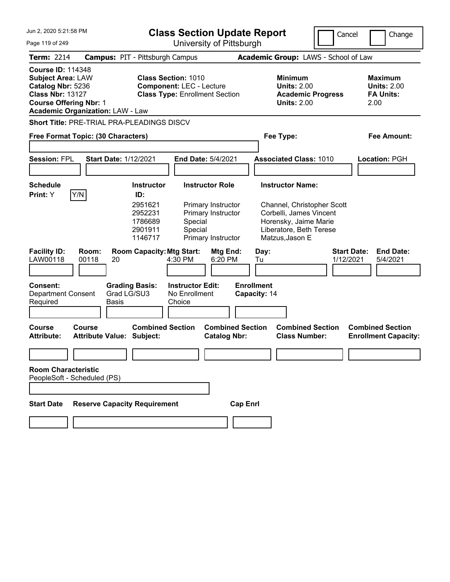| Jun 2, 2020 5:21:58 PM                                                                                                                                                           |                                                   |                                                                                 | <b>Class Section Update Report</b>                                                                     |                                                                |                                                 |                                                                                                                                                         | Cancel                          | Change                                                           |
|----------------------------------------------------------------------------------------------------------------------------------------------------------------------------------|---------------------------------------------------|---------------------------------------------------------------------------------|--------------------------------------------------------------------------------------------------------|----------------------------------------------------------------|-------------------------------------------------|---------------------------------------------------------------------------------------------------------------------------------------------------------|---------------------------------|------------------------------------------------------------------|
| Page 119 of 249                                                                                                                                                                  |                                                   |                                                                                 |                                                                                                        | University of Pittsburgh                                       |                                                 |                                                                                                                                                         |                                 |                                                                  |
| <b>Term: 2214</b>                                                                                                                                                                |                                                   | <b>Campus: PIT - Pittsburgh Campus</b>                                          |                                                                                                        |                                                                |                                                 | Academic Group: LAWS - School of Law                                                                                                                    |                                 |                                                                  |
| <b>Course ID: 114348</b><br><b>Subject Area: LAW</b><br>Catalog Nbr: 5236<br><b>Class Nbr: 13127</b><br><b>Course Offering Nbr: 1</b><br><b>Academic Organization: LAW - Law</b> |                                                   |                                                                                 | <b>Class Section: 1010</b><br><b>Component: LEC - Lecture</b><br><b>Class Type: Enrollment Section</b> |                                                                |                                                 | <b>Minimum</b><br><b>Units: 2.00</b><br><b>Academic Progress</b><br><b>Units: 2.00</b>                                                                  |                                 | <b>Maximum</b><br><b>Units: 2.00</b><br><b>FA Units:</b><br>2.00 |
| Short Title: PRE-TRIAL PRA-PLEADINGS DISCV                                                                                                                                       |                                                   |                                                                                 |                                                                                                        |                                                                |                                                 |                                                                                                                                                         |                                 |                                                                  |
| Free Format Topic: (30 Characters)                                                                                                                                               |                                                   |                                                                                 |                                                                                                        |                                                                |                                                 | Fee Type:                                                                                                                                               |                                 | <b>Fee Amount:</b>                                               |
| <b>Session: FPL</b>                                                                                                                                                              | Start Date: 1/12/2021                             |                                                                                 | End Date: 5/4/2021                                                                                     |                                                                |                                                 | <b>Associated Class: 1010</b>                                                                                                                           |                                 | Location: PGH                                                    |
| <b>Schedule</b><br>Y/N<br>Print: Y                                                                                                                                               |                                                   | <b>Instructor</b><br>ID:<br>2951621<br>2952231<br>1786689<br>2901911<br>1146717 | <b>Instructor Role</b><br>Special<br>Special                                                           | Primary Instructor<br>Primary Instructor<br>Primary Instructor |                                                 | <b>Instructor Name:</b><br>Channel, Christopher Scott<br>Corbelli, James Vincent<br>Horensky, Jaime Marie<br>Liberatore, Beth Terese<br>Matzus, Jason E |                                 |                                                                  |
| <b>Facility ID:</b><br>LAW00118<br><b>Consent:</b><br><b>Department Consent</b><br>Required                                                                                      | Room:<br>00118<br>20<br>Basis                     | <b>Room Capacity: Mtg Start:</b><br><b>Grading Basis:</b><br>Grad LG/SU3        | 4:30 PM<br><b>Instructor Edit:</b><br>No Enrollment<br>Choice                                          | Mtg End:<br>6:20 PM                                            | Day:<br>Tu<br><b>Enrollment</b><br>Capacity: 14 |                                                                                                                                                         | <b>Start Date:</b><br>1/12/2021 | <b>End Date:</b><br>5/4/2021                                     |
| Course<br><b>Attribute:</b>                                                                                                                                                      | <b>Course</b><br><b>Attribute Value: Subject:</b> | <b>Combined Section</b>                                                         |                                                                                                        | <b>Combined Section</b><br><b>Catalog Nbr:</b>                 |                                                 | <b>Combined Section</b><br><b>Class Number:</b>                                                                                                         |                                 | <b>Combined Section</b><br><b>Enrollment Capacity:</b>           |
| <b>Room Characteristic</b><br>PeopleSoft - Scheduled (PS)                                                                                                                        |                                                   |                                                                                 |                                                                                                        |                                                                |                                                 |                                                                                                                                                         |                                 |                                                                  |
| <b>Start Date</b>                                                                                                                                                                |                                                   | <b>Reserve Capacity Requirement</b>                                             |                                                                                                        | <b>Cap Enrl</b>                                                |                                                 |                                                                                                                                                         |                                 |                                                                  |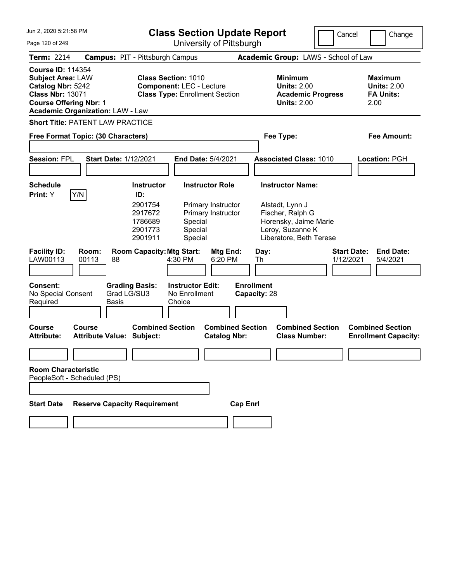| Jun 2, 2020 5:21:58 PM<br>Page 120 of 249                                                                                             |                                                                              | <b>Class Section Update Report</b><br>University of Pittsburgh                                                                                                       |                                                                                                                                        | Cancel<br>Change                                                 |
|---------------------------------------------------------------------------------------------------------------------------------------|------------------------------------------------------------------------------|----------------------------------------------------------------------------------------------------------------------------------------------------------------------|----------------------------------------------------------------------------------------------------------------------------------------|------------------------------------------------------------------|
| <b>Term: 2214</b>                                                                                                                     | <b>Campus: PIT - Pittsburgh Campus</b>                                       |                                                                                                                                                                      | Academic Group: LAWS - School of Law                                                                                                   |                                                                  |
| <b>Course ID: 114354</b><br><b>Subject Area: LAW</b><br>Catalog Nbr: 5242<br><b>Class Nbr: 13071</b><br><b>Course Offering Nbr: 1</b> | <b>Academic Organization: LAW - Law</b>                                      | <b>Class Section: 1010</b><br><b>Component: LEC - Lecture</b><br><b>Class Type: Enrollment Section</b>                                                               | <b>Minimum</b><br><b>Units: 2.00</b><br><b>Academic Progress</b><br><b>Units: 2.00</b>                                                 | <b>Maximum</b><br><b>Units: 2.00</b><br><b>FA Units:</b><br>2.00 |
|                                                                                                                                       | <b>Short Title: PATENT LAW PRACTICE</b>                                      |                                                                                                                                                                      |                                                                                                                                        |                                                                  |
|                                                                                                                                       | Free Format Topic: (30 Characters)                                           |                                                                                                                                                                      | Fee Type:                                                                                                                              | Fee Amount:                                                      |
| <b>Session: FPL</b>                                                                                                                   | <b>Start Date: 1/12/2021</b>                                                 | <b>End Date: 5/4/2021</b>                                                                                                                                            | <b>Associated Class: 1010</b>                                                                                                          | Location: PGH                                                    |
| <b>Schedule</b><br>Print: Y<br>Y/N                                                                                                    | ID:<br>2901911                                                               | <b>Instructor Role</b><br><b>Instructor</b><br>2901754<br>Primary Instructor<br>2917672<br>Primary Instructor<br>1786689<br>Special<br>2901773<br>Special<br>Special | <b>Instructor Name:</b><br>Alstadt, Lynn J<br>Fischer, Ralph G<br>Horensky, Jaime Marie<br>Leroy, Suzanne K<br>Liberatore, Beth Terese |                                                                  |
| <b>Facility ID:</b><br>LAW00113<br><b>Consent:</b><br>No Special Consent<br>Required                                                  | Room:<br>00113<br>88<br><b>Grading Basis:</b><br>Grad LG/SU3<br><b>Basis</b> | <b>Room Capacity: Mtg Start:</b><br>Mtg End:<br>4:30 PM<br>6:20 PM<br><b>Instructor Edit:</b><br>No Enrollment<br>Choice                                             | Day:<br>Th<br><b>Enrollment</b><br>Capacity: 28                                                                                        | <b>Start Date:</b><br><b>End Date:</b><br>1/12/2021<br>5/4/2021  |
| Course<br><b>Attribute:</b>                                                                                                           | Course<br><b>Attribute Value: Subject:</b>                                   | <b>Combined Section</b><br><b>Combined Section</b><br><b>Catalog Nbr:</b>                                                                                            | <b>Combined Section</b><br><b>Class Number:</b>                                                                                        | <b>Combined Section</b><br><b>Enrollment Capacity:</b>           |
| <b>Room Characteristic</b><br>PeopleSoft - Scheduled (PS)                                                                             |                                                                              |                                                                                                                                                                      |                                                                                                                                        |                                                                  |
| <b>Start Date</b>                                                                                                                     | <b>Reserve Capacity Requirement</b>                                          | <b>Cap Enrl</b>                                                                                                                                                      |                                                                                                                                        |                                                                  |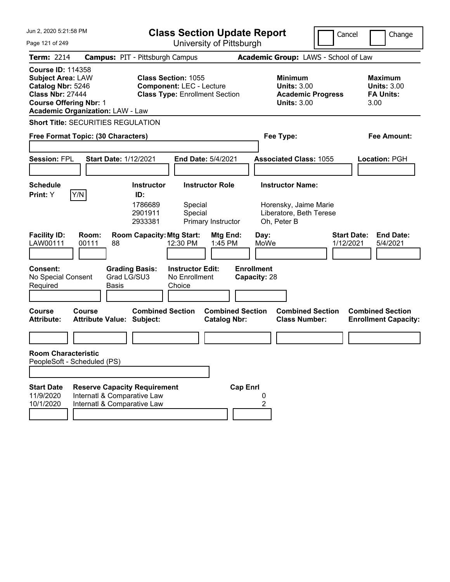| Jun 2, 2020 5:21:58 PM                                                                                                                                                           | <b>Class Section Update Report</b>                                                                                              |                                                                                            | Cancel<br>Change                                                |
|----------------------------------------------------------------------------------------------------------------------------------------------------------------------------------|---------------------------------------------------------------------------------------------------------------------------------|--------------------------------------------------------------------------------------------|-----------------------------------------------------------------|
| Page 121 of 249                                                                                                                                                                  | University of Pittsburgh                                                                                                        |                                                                                            |                                                                 |
| <b>Term: 2214</b>                                                                                                                                                                | <b>Campus: PIT - Pittsburgh Campus</b>                                                                                          | Academic Group: LAWS - School of Law                                                       |                                                                 |
| <b>Course ID: 114358</b><br><b>Subject Area: LAW</b><br>Catalog Nbr: 5246<br><b>Class Nbr: 27444</b><br><b>Course Offering Nbr: 1</b><br><b>Academic Organization: LAW - Law</b> | <b>Class Section: 1055</b><br><b>Component: LEC - Lecture</b><br><b>Class Type: Enrollment Section</b>                          | Minimum<br><b>Units: 3.00</b><br><b>Academic Progress</b><br><b>Units: 3.00</b>            | Maximum<br><b>Units: 3.00</b><br><b>FA Units:</b><br>3.00       |
| <b>Short Title: SECURITIES REGULATION</b>                                                                                                                                        |                                                                                                                                 |                                                                                            |                                                                 |
| Free Format Topic: (30 Characters)                                                                                                                                               |                                                                                                                                 | Fee Type:                                                                                  | Fee Amount:                                                     |
| <b>Session: FPL</b><br><b>Start Date: 1/12/2021</b>                                                                                                                              | <b>End Date: 5/4/2021</b>                                                                                                       | <b>Associated Class: 1055</b>                                                              | Location: PGH                                                   |
| <b>Schedule</b><br>Y/N<br>Print: Y                                                                                                                                               | <b>Instructor Role</b><br><b>Instructor</b><br>ID:<br>1786689<br>Special<br>Special<br>2901911<br>2933381<br>Primary Instructor | <b>Instructor Name:</b><br>Horensky, Jaime Marie<br>Liberatore, Beth Terese<br>Oh, Peter B |                                                                 |
| <b>Facility ID:</b><br>Room:<br>LAW00111<br>00111<br>88                                                                                                                          | <b>Room Capacity: Mtg Start:</b><br>Mtg End:<br>12:30 PM<br>1:45 PM                                                             | Day:<br>MoWe                                                                               | <b>Start Date:</b><br><b>End Date:</b><br>1/12/2021<br>5/4/2021 |
| <b>Consent:</b><br>Grad LG/SU3<br>No Special Consent<br>Required<br><b>Basis</b>                                                                                                 | <b>Grading Basis:</b><br><b>Instructor Edit:</b><br>No Enrollment<br>Choice                                                     | <b>Enrollment</b><br>Capacity: 28                                                          |                                                                 |
| Course<br>Course<br><b>Attribute:</b><br><b>Attribute Value: Subject:</b>                                                                                                        | <b>Combined Section</b><br><b>Combined Section</b><br><b>Catalog Nbr:</b>                                                       | <b>Combined Section</b><br><b>Class Number:</b>                                            | <b>Combined Section</b><br><b>Enrollment Capacity:</b>          |
|                                                                                                                                                                                  |                                                                                                                                 |                                                                                            |                                                                 |
| <b>Room Characteristic</b><br>PeopleSoft - Scheduled (PS)                                                                                                                        |                                                                                                                                 |                                                                                            |                                                                 |
|                                                                                                                                                                                  |                                                                                                                                 |                                                                                            |                                                                 |
| <b>Start Date</b><br><b>Reserve Capacity Requirement</b><br>11/9/2020<br>Internatl & Comparative Law<br>10/1/2020<br>Internatl & Comparative Law                                 | <b>Cap Enrl</b>                                                                                                                 | 0<br>2                                                                                     |                                                                 |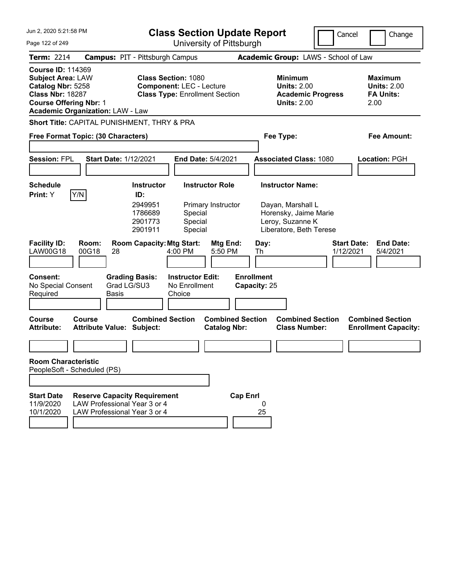| Jun 2, 2020 5:21:58 PM<br><b>Class Section Update Report</b>                                                                                                                     |                                                                                                     |                                                                                                          |                                                                                                        |                                                                     |                                   |           |                                                                                                                      |                                      | Cancel<br>Change                                                 |
|----------------------------------------------------------------------------------------------------------------------------------------------------------------------------------|-----------------------------------------------------------------------------------------------------|----------------------------------------------------------------------------------------------------------|--------------------------------------------------------------------------------------------------------|---------------------------------------------------------------------|-----------------------------------|-----------|----------------------------------------------------------------------------------------------------------------------|--------------------------------------|------------------------------------------------------------------|
| Page 122 of 249                                                                                                                                                                  |                                                                                                     | University of Pittsburgh                                                                                 |                                                                                                        |                                                                     |                                   |           |                                                                                                                      |                                      |                                                                  |
| <b>Term: 2214</b>                                                                                                                                                                | <b>Campus: PIT - Pittsburgh Campus</b>                                                              |                                                                                                          |                                                                                                        |                                                                     |                                   |           |                                                                                                                      | Academic Group: LAWS - School of Law |                                                                  |
| <b>Course ID: 114369</b><br><b>Subject Area: LAW</b><br>Catalog Nbr: 5258<br><b>Class Nbr: 18287</b><br><b>Course Offering Nbr: 1</b><br><b>Academic Organization: LAW - Law</b> |                                                                                                     |                                                                                                          | <b>Class Section: 1080</b><br><b>Component: LEC - Lecture</b><br><b>Class Type: Enrollment Section</b> |                                                                     |                                   |           | <b>Minimum</b><br><b>Units: 2.00</b><br><b>Units: 2.00</b>                                                           | <b>Academic Progress</b>             | <b>Maximum</b><br><b>Units: 2.00</b><br><b>FA Units:</b><br>2.00 |
| Short Title: CAPITAL PUNISHMENT, THRY & PRA                                                                                                                                      |                                                                                                     |                                                                                                          |                                                                                                        |                                                                     |                                   |           |                                                                                                                      |                                      |                                                                  |
| Free Format Topic: (30 Characters)                                                                                                                                               |                                                                                                     |                                                                                                          |                                                                                                        |                                                                     |                                   | Fee Type: |                                                                                                                      |                                      | Fee Amount:                                                      |
| <b>Session: FPL</b>                                                                                                                                                              | <b>Start Date: 1/12/2021</b>                                                                        |                                                                                                          |                                                                                                        | End Date: 5/4/2021                                                  |                                   |           | <b>Associated Class: 1080</b>                                                                                        |                                      | Location: PGH                                                    |
|                                                                                                                                                                                  |                                                                                                     |                                                                                                          |                                                                                                        |                                                                     |                                   |           |                                                                                                                      |                                      |                                                                  |
| <b>Schedule</b><br>Y/N<br>Print: Y<br><b>Facility ID:</b><br><b>LAW00G18</b>                                                                                                     | Room:<br>00G18<br>28                                                                                | <b>Instructor</b><br>ID:<br>2949951<br>1786689<br>2901773<br>2901911<br><b>Room Capacity: Mtg Start:</b> | Special<br>Special<br>Special<br>4:00 PM                                                               | <b>Instructor Role</b><br>Primary Instructor<br>Mtg End:<br>5:50 PM | Th                                | Day:      | <b>Instructor Name:</b><br>Dayan, Marshall L<br>Horensky, Jaime Marie<br>Leroy, Suzanne K<br>Liberatore, Beth Terese |                                      | <b>Start Date:</b><br><b>End Date:</b><br>1/12/2021<br>5/4/2021  |
| <b>Consent:</b><br>No Special Consent<br>Required                                                                                                                                | <b>Basis</b>                                                                                        | <b>Grading Basis:</b><br>Grad LG/SU3                                                                     | <b>Instructor Edit:</b><br>No Enrollment<br>Choice                                                     |                                                                     | <b>Enrollment</b><br>Capacity: 25 |           |                                                                                                                      |                                      |                                                                  |
| <b>Course</b><br><b>Attribute:</b>                                                                                                                                               | Course<br><b>Attribute Value: Subject:</b>                                                          | <b>Combined Section</b>                                                                                  |                                                                                                        | <b>Combined Section</b><br><b>Catalog Nbr:</b>                      |                                   |           | <b>Combined Section</b><br><b>Class Number:</b>                                                                      |                                      | <b>Combined Section</b><br><b>Enrollment Capacity:</b>           |
| <b>Room Characteristic</b>                                                                                                                                                       |                                                                                                     |                                                                                                          |                                                                                                        |                                                                     |                                   |           |                                                                                                                      |                                      |                                                                  |
| PeopleSoft - Scheduled (PS)                                                                                                                                                      |                                                                                                     |                                                                                                          |                                                                                                        |                                                                     |                                   |           |                                                                                                                      |                                      |                                                                  |
|                                                                                                                                                                                  |                                                                                                     |                                                                                                          |                                                                                                        |                                                                     |                                   |           |                                                                                                                      |                                      |                                                                  |
| <b>Start Date</b><br>11/9/2020<br>10/1/2020                                                                                                                                      | <b>Reserve Capacity Requirement</b><br>LAW Professional Year 3 or 4<br>LAW Professional Year 3 or 4 |                                                                                                          |                                                                                                        |                                                                     | <b>Cap Enrl</b>                   | 0<br>25   |                                                                                                                      |                                      |                                                                  |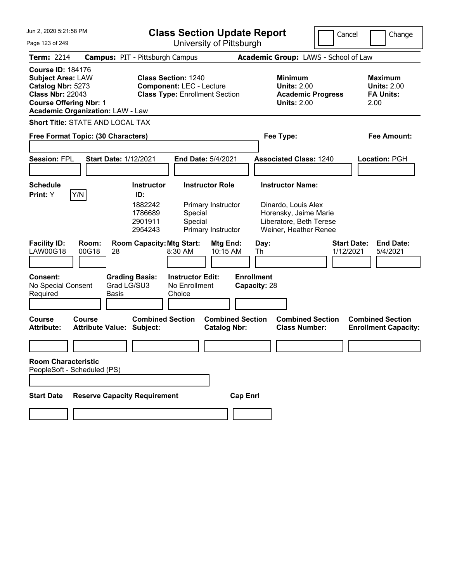| Jun 2, 2020 5:21:58 PM                                                                                                                |                                                      |                                                                                                        | <b>Class Section Update Report</b>                                 |                                                                                                                             | Cancel                          | Change                                                           |
|---------------------------------------------------------------------------------------------------------------------------------------|------------------------------------------------------|--------------------------------------------------------------------------------------------------------|--------------------------------------------------------------------|-----------------------------------------------------------------------------------------------------------------------------|---------------------------------|------------------------------------------------------------------|
| Page 123 of 249                                                                                                                       |                                                      |                                                                                                        | University of Pittsburgh                                           |                                                                                                                             |                                 |                                                                  |
| Term: 2214                                                                                                                            |                                                      | <b>Campus: PIT - Pittsburgh Campus</b>                                                                 |                                                                    | Academic Group: LAWS - School of Law                                                                                        |                                 |                                                                  |
| <b>Course ID: 184176</b><br><b>Subject Area: LAW</b><br>Catalog Nbr: 5273<br><b>Class Nbr: 22043</b><br><b>Course Offering Nbr: 1</b> | <b>Academic Organization: LAW - Law</b>              | <b>Class Section: 1240</b><br><b>Component: LEC - Lecture</b><br><b>Class Type: Enrollment Section</b> |                                                                    | <b>Minimum</b><br><b>Units: 2.00</b><br><b>Units: 2.00</b>                                                                  | <b>Academic Progress</b>        | <b>Maximum</b><br><b>Units: 2.00</b><br><b>FA Units:</b><br>2.00 |
|                                                                                                                                       | Short Title: STATE AND LOCAL TAX                     |                                                                                                        |                                                                    |                                                                                                                             |                                 |                                                                  |
|                                                                                                                                       | Free Format Topic: (30 Characters)                   |                                                                                                        |                                                                    | Fee Type:                                                                                                                   |                                 | Fee Amount:                                                      |
| <b>Session: FPL</b>                                                                                                                   | <b>Start Date: 1/12/2021</b>                         |                                                                                                        | End Date: 5/4/2021                                                 | <b>Associated Class: 1240</b>                                                                                               |                                 | Location: PGH                                                    |
| <b>Schedule</b><br>Print: Y                                                                                                           | Y/N                                                  | <b>Instructor</b><br>ID:<br>1882242<br>1786689<br>Special<br>2901911<br>Special<br>2954243             | <b>Instructor Role</b><br>Primary Instructor<br>Primary Instructor | <b>Instructor Name:</b><br>Dinardo, Louis Alex<br>Horensky, Jaime Marie<br>Liberatore, Beth Terese<br>Weiner, Heather Renee |                                 |                                                                  |
| <b>Facility ID:</b><br><b>LAW00G18</b>                                                                                                | Room:<br>00G18<br>28                                 | <b>Room Capacity: Mtg Start:</b><br>8:30 AM                                                            | Mtg End:<br>10:15 AM                                               | Day:<br>Th                                                                                                                  | <b>Start Date:</b><br>1/12/2021 | <b>End Date:</b><br>5/4/2021                                     |
| <b>Consent:</b><br>No Special Consent<br>Required                                                                                     | <b>Grading Basis:</b><br>Grad LG/SU3<br><b>Basis</b> | <b>Instructor Edit:</b><br>No Enrollment<br>Choice                                                     |                                                                    | <b>Enrollment</b><br>Capacity: 28                                                                                           |                                 |                                                                  |
| <b>Course</b><br><b>Attribute:</b>                                                                                                    | Course<br><b>Attribute Value: Subject:</b>           | <b>Combined Section</b>                                                                                | <b>Combined Section</b><br><b>Catalog Nbr:</b>                     | <b>Combined Section</b><br><b>Class Number:</b>                                                                             |                                 | <b>Combined Section</b><br><b>Enrollment Capacity:</b>           |
|                                                                                                                                       |                                                      |                                                                                                        |                                                                    |                                                                                                                             |                                 |                                                                  |
| <b>Room Characteristic</b>                                                                                                            | PeopleSoft - Scheduled (PS)                          |                                                                                                        |                                                                    |                                                                                                                             |                                 |                                                                  |
|                                                                                                                                       |                                                      |                                                                                                        |                                                                    |                                                                                                                             |                                 |                                                                  |
| <b>Start Date</b>                                                                                                                     | <b>Reserve Capacity Requirement</b>                  |                                                                                                        | <b>Cap Enrl</b>                                                    |                                                                                                                             |                                 |                                                                  |
|                                                                                                                                       |                                                      |                                                                                                        |                                                                    |                                                                                                                             |                                 |                                                                  |
|                                                                                                                                       |                                                      |                                                                                                        |                                                                    |                                                                                                                             |                                 |                                                                  |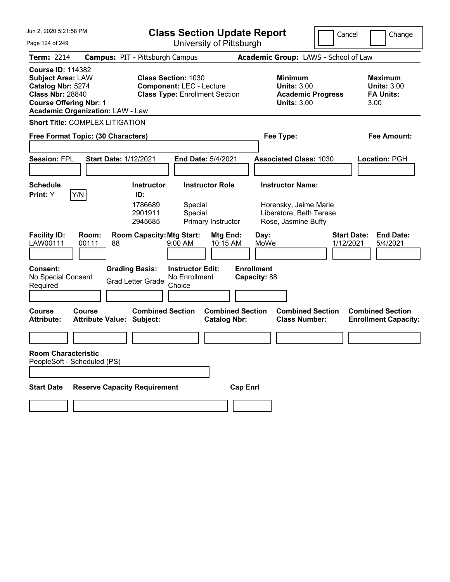| Jun 2, 2020 5:21:58 PM                                                                                                                                                           | <b>Class Section Update Report</b><br>Cancel<br>Change                                                  |                                                                                        |                                                                  |  |  |
|----------------------------------------------------------------------------------------------------------------------------------------------------------------------------------|---------------------------------------------------------------------------------------------------------|----------------------------------------------------------------------------------------|------------------------------------------------------------------|--|--|
| Page 124 of 249                                                                                                                                                                  | University of Pittsburgh                                                                                |                                                                                        |                                                                  |  |  |
| <b>Term: 2214</b>                                                                                                                                                                | <b>Campus: PIT - Pittsburgh Campus</b>                                                                  | Academic Group: LAWS - School of Law                                                   |                                                                  |  |  |
| <b>Course ID: 114382</b><br><b>Subject Area: LAW</b><br>Catalog Nbr: 5274<br><b>Class Nbr: 28840</b><br><b>Course Offering Nbr: 1</b><br><b>Academic Organization: LAW - Law</b> | <b>Class Section: 1030</b><br><b>Component: LEC - Lecture</b><br><b>Class Type: Enrollment Section</b>  | <b>Minimum</b><br><b>Units: 3.00</b><br><b>Academic Progress</b><br><b>Units: 3.00</b> | <b>Maximum</b><br><b>Units: 3.00</b><br><b>FA Units:</b><br>3.00 |  |  |
| <b>Short Title: COMPLEX LITIGATION</b>                                                                                                                                           |                                                                                                         |                                                                                        |                                                                  |  |  |
| Free Format Topic: (30 Characters)                                                                                                                                               |                                                                                                         | Fee Type:                                                                              | Fee Amount:                                                      |  |  |
| <b>Session: FPL</b><br><b>Start Date: 1/12/2021</b>                                                                                                                              | End Date: 5/4/2021                                                                                      | <b>Associated Class: 1030</b>                                                          | Location: PGH                                                    |  |  |
| <b>Schedule</b>                                                                                                                                                                  | <b>Instructor</b><br><b>Instructor Role</b>                                                             | <b>Instructor Name:</b>                                                                |                                                                  |  |  |
| Y/N<br>Print: Y                                                                                                                                                                  | ID:<br>1786689<br>Special<br>2901911<br>Special<br>2945685<br>Primary Instructor                        | Horensky, Jaime Marie<br>Liberatore, Beth Terese<br>Rose, Jasmine Buffy                |                                                                  |  |  |
| <b>Facility ID:</b><br>Room:<br>LAW00111<br>00111<br>88                                                                                                                          | <b>Room Capacity: Mtg Start:</b><br>Mtg End:<br>$9:00$ AM<br>10:15 AM                                   | Day:<br>MoWe<br>1/12/2021                                                              | <b>Start Date:</b><br><b>End Date:</b><br>5/4/2021               |  |  |
| <b>Consent:</b><br>No Special Consent<br>Required                                                                                                                                | <b>Grading Basis:</b><br><b>Instructor Edit:</b><br>No Enrollment<br><b>Grad Letter Grade</b><br>Choice | <b>Enrollment</b><br>Capacity: 88                                                      |                                                                  |  |  |
| <b>Course</b><br>Course<br><b>Attribute Value: Subject:</b><br><b>Attribute:</b>                                                                                                 | <b>Combined Section</b><br><b>Catalog Nbr:</b>                                                          | <b>Combined Section</b><br><b>Combined Section</b><br><b>Class Number:</b>             | <b>Combined Section</b><br><b>Enrollment Capacity:</b>           |  |  |
|                                                                                                                                                                                  |                                                                                                         |                                                                                        |                                                                  |  |  |
| <b>Room Characteristic</b><br>PeopleSoft - Scheduled (PS)                                                                                                                        |                                                                                                         |                                                                                        |                                                                  |  |  |
| <b>Reserve Capacity Requirement</b><br><b>Start Date</b>                                                                                                                         |                                                                                                         | <b>Cap Enrl</b>                                                                        |                                                                  |  |  |
|                                                                                                                                                                                  |                                                                                                         |                                                                                        |                                                                  |  |  |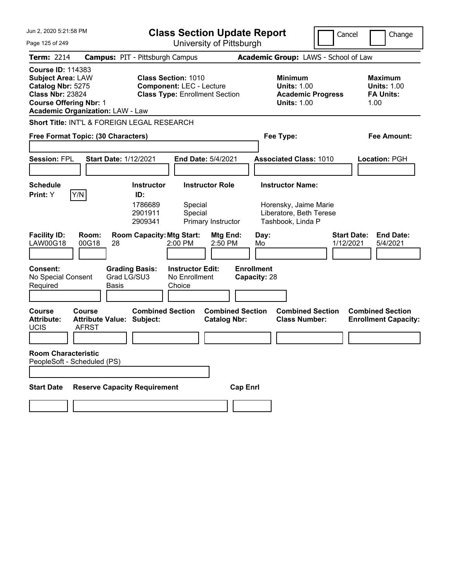| Jun 2, 2020 5:21:58 PM                                                                                                                |                                                            | <b>Class Section Update Report</b><br>Cancel<br>Change                   |                                                                          |                                                |                                      |                                                  |                                                                  |
|---------------------------------------------------------------------------------------------------------------------------------------|------------------------------------------------------------|--------------------------------------------------------------------------|--------------------------------------------------------------------------|------------------------------------------------|--------------------------------------|--------------------------------------------------|------------------------------------------------------------------|
| Page 125 of 249                                                                                                                       |                                                            |                                                                          | University of Pittsburgh                                                 |                                                |                                      |                                                  |                                                                  |
| <b>Term: 2214</b>                                                                                                                     | <b>Campus: PIT - Pittsburgh Campus</b>                     |                                                                          |                                                                          |                                                |                                      | Academic Group: LAWS - School of Law             |                                                                  |
| <b>Course ID: 114383</b><br><b>Subject Area: LAW</b><br>Catalog Nbr: 5275<br><b>Class Nbr: 23824</b><br><b>Course Offering Nbr: 1</b> | <b>Academic Organization: LAW - Law</b>                    | <b>Class Section: 1010</b>                                               | <b>Component: LEC - Lecture</b><br><b>Class Type: Enrollment Section</b> |                                                | <b>Minimum</b><br><b>Units: 1.00</b> | <b>Academic Progress</b><br><b>Units: 1.00</b>   | <b>Maximum</b><br><b>Units: 1.00</b><br><b>FA Units:</b><br>1.00 |
|                                                                                                                                       | Short Title: INT'L & FOREIGN LEGAL RESEARCH                |                                                                          |                                                                          |                                                |                                      |                                                  |                                                                  |
|                                                                                                                                       | Free Format Topic: (30 Characters)                         |                                                                          |                                                                          |                                                | Fee Type:                            |                                                  | Fee Amount:                                                      |
| <b>Session: FPL</b>                                                                                                                   | <b>Start Date: 1/12/2021</b>                               |                                                                          | <b>End Date: 5/4/2021</b>                                                |                                                | <b>Associated Class: 1010</b>        |                                                  | Location: PGH                                                    |
| <b>Schedule</b>                                                                                                                       |                                                            | <b>Instructor</b>                                                        | <b>Instructor Role</b>                                                   |                                                | <b>Instructor Name:</b>              |                                                  |                                                                  |
| Print: Y<br><b>Facility ID:</b>                                                                                                       | Y/N<br>Room:                                               | ID:<br>1786689<br>2901911<br>2909341<br><b>Room Capacity: Mtg Start:</b> | Special<br>Special<br>Primary Instructor                                 | Mtg End:                                       | Tashbook, Linda P<br>Day:            | Horensky, Jaime Marie<br>Liberatore, Beth Terese | <b>Start Date:</b><br><b>End Date:</b>                           |
| <b>LAW00G18</b>                                                                                                                       | 00G18<br>28                                                |                                                                          | 2:00 PM                                                                  | 2:50 PM                                        | Mo                                   | 1/12/2021                                        | 5/4/2021                                                         |
| Consent:<br>No Special Consent<br>Required                                                                                            | <b>Grading Basis:</b><br>Grad LG/SU3<br><b>Basis</b>       |                                                                          | <b>Instructor Edit:</b><br>No Enrollment<br>Choice                       |                                                | <b>Enrollment</b><br>Capacity: 28    |                                                  |                                                                  |
| <b>Course</b><br><b>Attribute:</b><br><b>UCIS</b>                                                                                     | Course<br><b>Attribute Value: Subject:</b><br><b>AFRST</b> | <b>Combined Section</b>                                                  |                                                                          | <b>Combined Section</b><br><b>Catalog Nbr:</b> |                                      | <b>Combined Section</b><br><b>Class Number:</b>  | <b>Combined Section</b><br><b>Enrollment Capacity:</b>           |
| <b>Room Characteristic</b><br>PeopleSoft - Scheduled (PS)                                                                             |                                                            |                                                                          |                                                                          |                                                |                                      |                                                  |                                                                  |
| <b>Start Date</b>                                                                                                                     | <b>Reserve Capacity Requirement</b>                        |                                                                          |                                                                          | <b>Cap Enrl</b>                                |                                      |                                                  |                                                                  |
|                                                                                                                                       |                                                            |                                                                          |                                                                          |                                                |                                      |                                                  |                                                                  |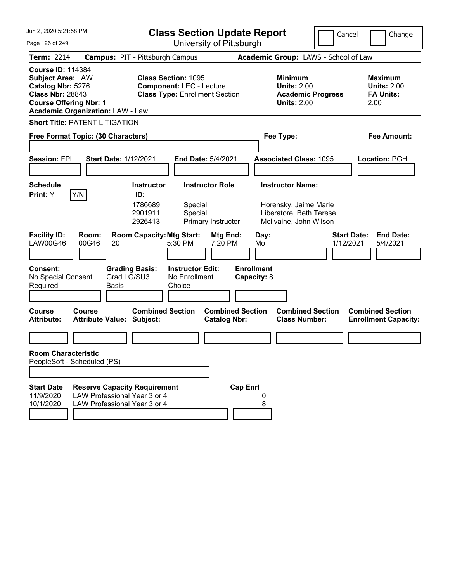| Jun 2, 2020 5:21:58 PM                                                                                                                                                           |                                                                                                     |                                                                                                        | <b>Class Section Update Report</b>             |                                                                                                       | Cancel                          | Change                                                           |
|----------------------------------------------------------------------------------------------------------------------------------------------------------------------------------|-----------------------------------------------------------------------------------------------------|--------------------------------------------------------------------------------------------------------|------------------------------------------------|-------------------------------------------------------------------------------------------------------|---------------------------------|------------------------------------------------------------------|
| Page 126 of 249                                                                                                                                                                  |                                                                                                     |                                                                                                        | University of Pittsburgh                       |                                                                                                       |                                 |                                                                  |
| <b>Term: 2214</b>                                                                                                                                                                |                                                                                                     | <b>Campus: PIT - Pittsburgh Campus</b>                                                                 |                                                | Academic Group: LAWS - School of Law                                                                  |                                 |                                                                  |
| <b>Course ID: 114384</b><br><b>Subject Area: LAW</b><br>Catalog Nbr: 5276<br><b>Class Nbr: 28843</b><br><b>Course Offering Nbr: 1</b><br><b>Academic Organization: LAW - Law</b> |                                                                                                     | <b>Class Section: 1095</b><br><b>Component: LEC - Lecture</b><br><b>Class Type: Enrollment Section</b> |                                                | <b>Minimum</b><br><b>Units: 2.00</b><br><b>Academic Progress</b><br><b>Units: 2.00</b>                |                                 | <b>Maximum</b><br><b>Units: 2.00</b><br><b>FA Units:</b><br>2.00 |
| <b>Short Title: PATENT LITIGATION</b>                                                                                                                                            |                                                                                                     |                                                                                                        |                                                |                                                                                                       |                                 |                                                                  |
| Free Format Topic: (30 Characters)                                                                                                                                               |                                                                                                     |                                                                                                        |                                                | Fee Type:                                                                                             |                                 | Fee Amount:                                                      |
| <b>Session: FPL</b>                                                                                                                                                              | <b>Start Date: 1/12/2021</b>                                                                        |                                                                                                        | End Date: 5/4/2021                             | <b>Associated Class: 1095</b>                                                                         |                                 | Location: PGH                                                    |
| <b>Schedule</b><br>Y/N<br>Print: Y                                                                                                                                               |                                                                                                     | <b>Instructor</b><br>ID:<br>1786689<br>Special<br>2901911<br>Special<br>2926413                        | <b>Instructor Role</b><br>Primary Instructor   | <b>Instructor Name:</b><br>Horensky, Jaime Marie<br>Liberatore, Beth Terese<br>McIlvaine, John Wilson |                                 |                                                                  |
| <b>Facility ID:</b><br><b>LAW00G46</b>                                                                                                                                           | Room:<br>00G46<br>20                                                                                | <b>Room Capacity: Mtg Start:</b><br>5:30 PM                                                            | Mtg End:<br>7:20 PM                            | Day:<br>Mo                                                                                            | <b>Start Date:</b><br>1/12/2021 | <b>End Date:</b><br>5/4/2021                                     |
| <b>Consent:</b><br>No Special Consent<br>Required                                                                                                                                | <b>Grading Basis:</b><br>Grad LG/SU3<br>Basis                                                       | <b>Instructor Edit:</b><br>No Enrollment<br>Choice                                                     | <b>Enrollment</b><br>Capacity: 8               |                                                                                                       |                                 |                                                                  |
| <b>Course</b><br><b>Attribute:</b>                                                                                                                                               | Course<br><b>Attribute Value: Subject:</b>                                                          | <b>Combined Section</b>                                                                                | <b>Combined Section</b><br><b>Catalog Nbr:</b> | <b>Combined Section</b><br><b>Class Number:</b>                                                       |                                 | <b>Combined Section</b><br><b>Enrollment Capacity:</b>           |
|                                                                                                                                                                                  |                                                                                                     |                                                                                                        |                                                |                                                                                                       |                                 |                                                                  |
| <b>Room Characteristic</b><br>PeopleSoft - Scheduled (PS)                                                                                                                        |                                                                                                     |                                                                                                        |                                                |                                                                                                       |                                 |                                                                  |
|                                                                                                                                                                                  |                                                                                                     |                                                                                                        |                                                |                                                                                                       |                                 |                                                                  |
| <b>Start Date</b><br>11/9/2020<br>10/1/2020                                                                                                                                      | <b>Reserve Capacity Requirement</b><br>LAW Professional Year 3 or 4<br>LAW Professional Year 3 or 4 |                                                                                                        | <b>Cap Enrl</b>                                | 8                                                                                                     |                                 |                                                                  |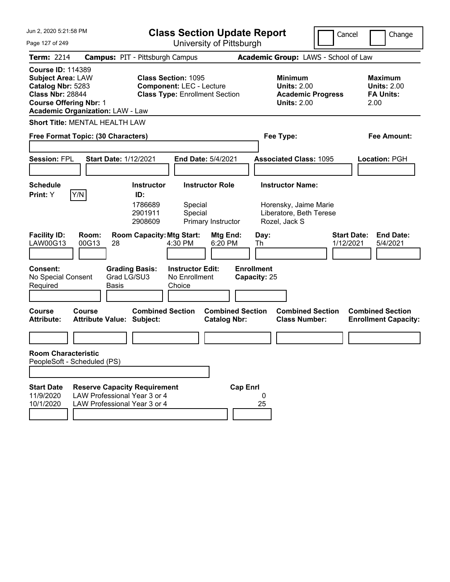| Jun 2, 2020 5:21:58 PM                                                                                                                                                           |                                                                                                     |                                                                                                        | <b>Class Section Update Report</b>             |                                                                                              | Cancel                          | Change                                                           |
|----------------------------------------------------------------------------------------------------------------------------------------------------------------------------------|-----------------------------------------------------------------------------------------------------|--------------------------------------------------------------------------------------------------------|------------------------------------------------|----------------------------------------------------------------------------------------------|---------------------------------|------------------------------------------------------------------|
| Page 127 of 249                                                                                                                                                                  |                                                                                                     |                                                                                                        | University of Pittsburgh                       |                                                                                              |                                 |                                                                  |
| <b>Term: 2214</b>                                                                                                                                                                |                                                                                                     | <b>Campus: PIT - Pittsburgh Campus</b>                                                                 |                                                | Academic Group: LAWS - School of Law                                                         |                                 |                                                                  |
| <b>Course ID: 114389</b><br><b>Subject Area: LAW</b><br>Catalog Nbr: 5283<br><b>Class Nbr: 28844</b><br><b>Course Offering Nbr: 1</b><br><b>Academic Organization: LAW - Law</b> |                                                                                                     | <b>Class Section: 1095</b><br><b>Component: LEC - Lecture</b><br><b>Class Type: Enrollment Section</b> |                                                | <b>Minimum</b><br><b>Units: 2.00</b><br><b>Academic Progress</b><br><b>Units: 2.00</b>       |                                 | <b>Maximum</b><br><b>Units: 2.00</b><br><b>FA Units:</b><br>2.00 |
| <b>Short Title: MENTAL HEALTH LAW</b>                                                                                                                                            |                                                                                                     |                                                                                                        |                                                |                                                                                              |                                 |                                                                  |
| Free Format Topic: (30 Characters)                                                                                                                                               |                                                                                                     |                                                                                                        |                                                | Fee Type:                                                                                    |                                 | Fee Amount:                                                      |
| <b>Session: FPL</b>                                                                                                                                                              | <b>Start Date: 1/12/2021</b>                                                                        |                                                                                                        | End Date: 5/4/2021                             | <b>Associated Class: 1095</b>                                                                |                                 | Location: PGH                                                    |
| <b>Schedule</b><br>Y/N<br>Print: Y                                                                                                                                               |                                                                                                     | <b>Instructor</b><br>ID:<br>1786689<br>Special<br>2901911<br>Special<br>2908609                        | <b>Instructor Role</b><br>Primary Instructor   | <b>Instructor Name:</b><br>Horensky, Jaime Marie<br>Liberatore, Beth Terese<br>Rozel, Jack S |                                 |                                                                  |
| <b>Facility ID:</b><br>LAW00G13                                                                                                                                                  | Room:<br>00G13<br>28                                                                                | <b>Room Capacity: Mtg Start:</b><br>4:30 PM                                                            | Mtg End:<br>6:20 PM                            | Day:<br>Th                                                                                   | <b>Start Date:</b><br>1/12/2021 | <b>End Date:</b><br>5/4/2021                                     |
| <b>Consent:</b><br>No Special Consent<br>Required                                                                                                                                | Grad LG/SU3<br>Basis                                                                                | <b>Grading Basis:</b><br><b>Instructor Edit:</b><br>No Enrollment<br>Choice                            |                                                | <b>Enrollment</b><br>Capacity: 25                                                            |                                 |                                                                  |
| <b>Course</b><br><b>Attribute:</b>                                                                                                                                               | Course<br><b>Attribute Value: Subject:</b>                                                          | <b>Combined Section</b>                                                                                | <b>Combined Section</b><br><b>Catalog Nbr:</b> | <b>Combined Section</b><br><b>Class Number:</b>                                              |                                 | <b>Combined Section</b><br><b>Enrollment Capacity:</b>           |
|                                                                                                                                                                                  |                                                                                                     |                                                                                                        |                                                |                                                                                              |                                 |                                                                  |
| <b>Room Characteristic</b><br>PeopleSoft - Scheduled (PS)                                                                                                                        |                                                                                                     |                                                                                                        |                                                |                                                                                              |                                 |                                                                  |
|                                                                                                                                                                                  |                                                                                                     |                                                                                                        |                                                |                                                                                              |                                 |                                                                  |
| <b>Start Date</b><br>11/9/2020<br>10/1/2020                                                                                                                                      | <b>Reserve Capacity Requirement</b><br>LAW Professional Year 3 or 4<br>LAW Professional Year 3 or 4 |                                                                                                        | <b>Cap Enrl</b>                                | 0<br>25                                                                                      |                                 |                                                                  |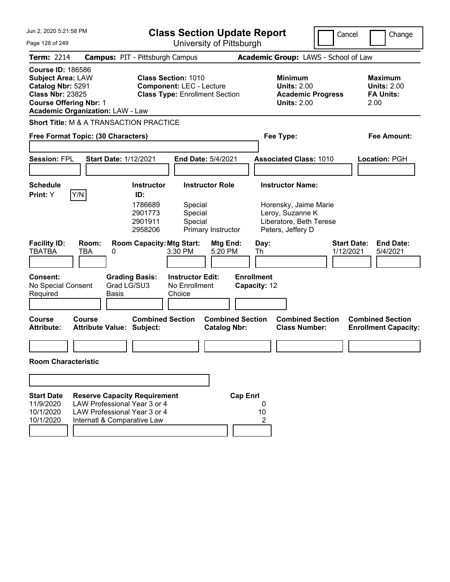| Jun 2, 2020 5:21:58 PM                                                                                                                                                           |                                            |                                                                                                     |                                                               | <b>Class Section Update Report</b>             |                                   |                                                                                                                      | Cancel | Change                                                           |
|----------------------------------------------------------------------------------------------------------------------------------------------------------------------------------|--------------------------------------------|-----------------------------------------------------------------------------------------------------|---------------------------------------------------------------|------------------------------------------------|-----------------------------------|----------------------------------------------------------------------------------------------------------------------|--------|------------------------------------------------------------------|
| Page 128 of 249                                                                                                                                                                  |                                            |                                                                                                     |                                                               | University of Pittsburgh                       |                                   |                                                                                                                      |        |                                                                  |
| <b>Term: 2214</b>                                                                                                                                                                |                                            | <b>Campus: PIT - Pittsburgh Campus</b>                                                              |                                                               |                                                |                                   | Academic Group: LAWS - School of Law                                                                                 |        |                                                                  |
| <b>Course ID: 186586</b><br><b>Subject Area: LAW</b><br>Catalog Nbr: 5291<br><b>Class Nbr: 23825</b><br><b>Course Offering Nbr: 1</b><br><b>Academic Organization: LAW - Law</b> |                                            |                                                                                                     | <b>Class Section: 1010</b><br><b>Component: LEC - Lecture</b> | <b>Class Type: Enrollment Section</b>          |                                   | <b>Minimum</b><br><b>Units: 2.00</b><br><b>Academic Progress</b><br><b>Units: 2.00</b>                               |        | <b>Maximum</b><br><b>Units: 2.00</b><br><b>FA Units:</b><br>2.00 |
| <b>Short Title: M &amp; A TRANSACTION PRACTICE</b>                                                                                                                               |                                            |                                                                                                     |                                                               |                                                |                                   |                                                                                                                      |        |                                                                  |
| Free Format Topic: (30 Characters)                                                                                                                                               |                                            |                                                                                                     |                                                               |                                                |                                   | Fee Type:                                                                                                            |        | <b>Fee Amount:</b>                                               |
| <b>Session: FPL</b>                                                                                                                                                              | <b>Start Date: 1/12/2021</b>               |                                                                                                     |                                                               | End Date: 5/4/2021                             |                                   | <b>Associated Class: 1010</b>                                                                                        |        | Location: PGH                                                    |
|                                                                                                                                                                                  |                                            |                                                                                                     |                                                               |                                                |                                   |                                                                                                                      |        |                                                                  |
| <b>Schedule</b><br>Y/N<br>Print: Y                                                                                                                                               |                                            | <b>Instructor</b><br>ID:<br>1786689<br>2901773<br>2901911<br>2958206                                | Special<br>Special<br>Special                                 | <b>Instructor Role</b><br>Primary Instructor   |                                   | <b>Instructor Name:</b><br>Horensky, Jaime Marie<br>Leroy, Suzanne K<br>Liberatore, Beth Terese<br>Peters, Jeffery D |        |                                                                  |
| <b>Facility ID:</b><br><b>TBATBA</b>                                                                                                                                             | Room:<br>TBA<br>0                          | <b>Room Capacity: Mtg Start:</b>                                                                    | 3:30 PM                                                       | Mtg End:<br>5:20 PM                            | Day:<br>Th                        |                                                                                                                      |        | <b>Start Date:</b><br><b>End Date:</b><br>1/12/2021<br>5/4/2021  |
| <b>Consent:</b><br>No Special Consent<br>Required                                                                                                                                | <b>Basis</b>                               | <b>Grading Basis:</b><br>Grad LG/SU3                                                                | <b>Instructor Edit:</b><br>No Enrollment<br>Choice            |                                                | <b>Enrollment</b><br>Capacity: 12 |                                                                                                                      |        |                                                                  |
| <b>Course</b><br><b>Attribute:</b>                                                                                                                                               | Course<br><b>Attribute Value: Subject:</b> | <b>Combined Section</b>                                                                             |                                                               | <b>Combined Section</b><br><b>Catalog Nbr:</b> |                                   | <b>Combined Section</b><br><b>Class Number:</b>                                                                      |        | <b>Combined Section</b><br><b>Enrollment Capacity:</b>           |
|                                                                                                                                                                                  |                                            |                                                                                                     |                                                               |                                                |                                   |                                                                                                                      |        |                                                                  |
| <b>Room Characteristic</b>                                                                                                                                                       |                                            |                                                                                                     |                                                               |                                                |                                   |                                                                                                                      |        |                                                                  |
|                                                                                                                                                                                  |                                            |                                                                                                     |                                                               |                                                |                                   |                                                                                                                      |        |                                                                  |
| <b>Start Date</b><br>11/9/2020<br>10/1/2020<br>10/1/2020                                                                                                                         | Internatl & Comparative Law                | <b>Reserve Capacity Requirement</b><br>LAW Professional Year 3 or 4<br>LAW Professional Year 3 or 4 |                                                               |                                                | <b>Cap Enrl</b><br>0<br>10<br>2   |                                                                                                                      |        |                                                                  |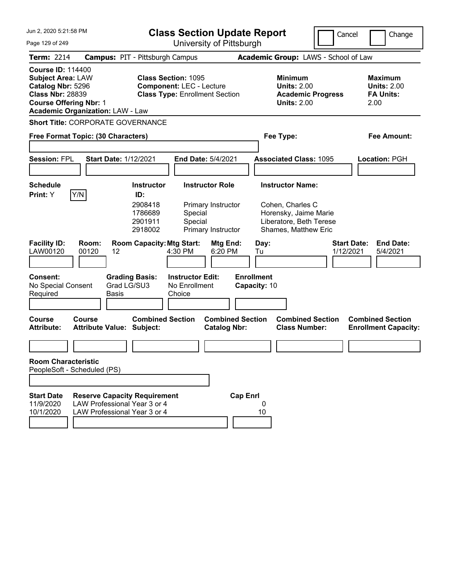| Jun 2, 2020 5:21:58 PM                                                                                                                                                           |                                                                                                     | <b>Class Section Update Report</b>                                                                       |                                                    |                                                                                           |                                   |            | Cancel                                                                                                                  | Change                                                           |                              |
|----------------------------------------------------------------------------------------------------------------------------------------------------------------------------------|-----------------------------------------------------------------------------------------------------|----------------------------------------------------------------------------------------------------------|----------------------------------------------------|-------------------------------------------------------------------------------------------|-----------------------------------|------------|-------------------------------------------------------------------------------------------------------------------------|------------------------------------------------------------------|------------------------------|
| Page 129 of 249                                                                                                                                                                  |                                                                                                     | University of Pittsburgh                                                                                 |                                                    |                                                                                           |                                   |            |                                                                                                                         |                                                                  |                              |
| <b>Term: 2214</b>                                                                                                                                                                | <b>Campus: PIT - Pittsburgh Campus</b>                                                              |                                                                                                          |                                                    |                                                                                           |                                   |            | Academic Group: LAWS - School of Law                                                                                    |                                                                  |                              |
| <b>Course ID: 114400</b><br><b>Subject Area: LAW</b><br>Catalog Nbr: 5296<br><b>Class Nbr: 28839</b><br><b>Course Offering Nbr: 1</b><br><b>Academic Organization: LAW - Law</b> |                                                                                                     | <b>Class Section: 1095</b><br><b>Component: LEC - Lecture</b><br><b>Class Type: Enrollment Section</b>   |                                                    |                                                                                           |                                   |            | <b>Minimum</b><br><b>Units: 2.00</b><br><b>Academic Progress</b><br><b>Units: 2.00</b>                                  | <b>Maximum</b><br><b>Units: 2.00</b><br><b>FA Units:</b><br>2.00 |                              |
| <b>Short Title: CORPORATE GOVERNANCE</b>                                                                                                                                         |                                                                                                     |                                                                                                          |                                                    |                                                                                           |                                   |            |                                                                                                                         |                                                                  |                              |
| Free Format Topic: (30 Characters)                                                                                                                                               |                                                                                                     |                                                                                                          |                                                    |                                                                                           |                                   |            | Fee Type:                                                                                                               | <b>Fee Amount:</b>                                               |                              |
| <b>Session: FPL</b>                                                                                                                                                              | <b>Start Date: 1/12/2021</b>                                                                        |                                                                                                          |                                                    | End Date: 5/4/2021                                                                        |                                   |            | <b>Associated Class: 1095</b>                                                                                           | Location: PGH                                                    |                              |
|                                                                                                                                                                                  |                                                                                                     |                                                                                                          |                                                    |                                                                                           |                                   |            |                                                                                                                         |                                                                  |                              |
| <b>Schedule</b><br>Y/N<br>Print: Y<br><b>Facility ID:</b><br>LAW00120                                                                                                            | Room:<br>00120<br>12                                                                                | <b>Instructor</b><br>ID:<br>2908418<br>1786689<br>2901911<br>2918002<br><b>Room Capacity: Mtg Start:</b> | Special<br>Special<br>4:30 PM                      | <b>Instructor Role</b><br>Primary Instructor<br>Primary Instructor<br>Mtg End:<br>6:20 PM |                                   | Day:<br>Tu | <b>Instructor Name:</b><br>Cohen, Charles C<br>Horensky, Jaime Marie<br>Liberatore, Beth Terese<br>Shames, Matthew Eric | <b>Start Date:</b><br>1/12/2021                                  | <b>End Date:</b><br>5/4/2021 |
| <b>Consent:</b><br>No Special Consent<br>Required                                                                                                                                | Grad LG/SU3<br>Basis                                                                                | <b>Grading Basis:</b>                                                                                    | <b>Instructor Edit:</b><br>No Enrollment<br>Choice |                                                                                           | <b>Enrollment</b><br>Capacity: 10 |            |                                                                                                                         |                                                                  |                              |
| <b>Course</b><br><b>Attribute:</b>                                                                                                                                               | Course<br>Attribute Value: Subject:                                                                 | <b>Combined Section</b>                                                                                  |                                                    | <b>Combined Section</b><br><b>Catalog Nbr:</b>                                            |                                   |            | <b>Combined Section</b><br><b>Class Number:</b>                                                                         | <b>Combined Section</b><br><b>Enrollment Capacity:</b>           |                              |
| <b>Room Characteristic</b>                                                                                                                                                       |                                                                                                     |                                                                                                          |                                                    |                                                                                           |                                   |            |                                                                                                                         |                                                                  |                              |
| PeopleSoft - Scheduled (PS)                                                                                                                                                      |                                                                                                     |                                                                                                          |                                                    |                                                                                           |                                   |            |                                                                                                                         |                                                                  |                              |
|                                                                                                                                                                                  |                                                                                                     |                                                                                                          |                                                    |                                                                                           |                                   |            |                                                                                                                         |                                                                  |                              |
| <b>Start Date</b><br>11/9/2020<br>10/1/2020                                                                                                                                      | <b>Reserve Capacity Requirement</b><br>LAW Professional Year 3 or 4<br>LAW Professional Year 3 or 4 |                                                                                                          |                                                    |                                                                                           | <b>Cap Enrl</b>                   | 0<br>10    |                                                                                                                         |                                                                  |                              |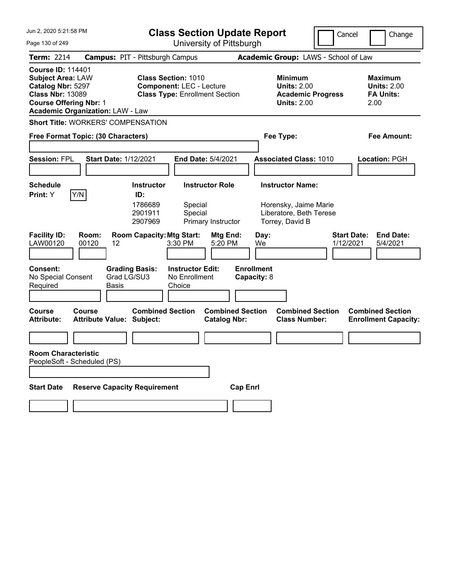| Jun 2, 2020 5:21:58 PM                                                                                                                |                                                                       | <b>Class Section Update Report</b>                                       |                                                                                                           |                                                |                                                |                                                                                        | Cancel                               | Change                                                           |
|---------------------------------------------------------------------------------------------------------------------------------------|-----------------------------------------------------------------------|--------------------------------------------------------------------------|-----------------------------------------------------------------------------------------------------------|------------------------------------------------|------------------------------------------------|----------------------------------------------------------------------------------------|--------------------------------------|------------------------------------------------------------------|
| Page 130 of 249                                                                                                                       |                                                                       | University of Pittsburgh                                                 |                                                                                                           |                                                |                                                |                                                                                        |                                      |                                                                  |
| <b>Term: 2214</b>                                                                                                                     | <b>Campus: PIT - Pittsburgh Campus</b>                                |                                                                          |                                                                                                           |                                                |                                                |                                                                                        | Academic Group: LAWS - School of Law |                                                                  |
| <b>Course ID: 114401</b><br><b>Subject Area: LAW</b><br>Catalog Nbr: 5297<br><b>Class Nbr: 13089</b><br><b>Course Offering Nbr: 1</b> | <b>Academic Organization: LAW - Law</b>                               | <b>Class Section: 1010</b>                                               | <b>Component: LEC - Lecture</b><br><b>Class Type: Enrollment Section</b>                                  |                                                |                                                | <b>Minimum</b><br><b>Units: 2.00</b><br><b>Academic Progress</b><br><b>Units: 2.00</b> |                                      | <b>Maximum</b><br><b>Units: 2.00</b><br><b>FA Units:</b><br>2.00 |
|                                                                                                                                       | <b>Short Title: WORKERS' COMPENSATION</b>                             |                                                                          |                                                                                                           |                                                |                                                |                                                                                        |                                      |                                                                  |
|                                                                                                                                       | Free Format Topic: (30 Characters)                                    |                                                                          |                                                                                                           |                                                |                                                | Fee Type:                                                                              |                                      | Fee Amount:                                                      |
| <b>Session: FPL</b>                                                                                                                   | <b>Start Date: 1/12/2021</b>                                          |                                                                          | <b>End Date: 5/4/2021</b>                                                                                 |                                                |                                                | <b>Associated Class: 1010</b>                                                          |                                      | Location: PGH                                                    |
| <b>Schedule</b>                                                                                                                       |                                                                       | <b>Instructor</b>                                                        | <b>Instructor Role</b>                                                                                    |                                                |                                                | <b>Instructor Name:</b>                                                                |                                      |                                                                  |
| Y/N<br>Print: Y<br><b>Facility ID:</b><br>LAW00120<br><b>Consent:</b><br>No Special Consent<br>Required                               | Room:<br>00120<br>12<br><b>Grading Basis:</b><br>Grad LG/SU3<br>Basis | ID:<br>1786689<br>2901911<br>2907969<br><b>Room Capacity: Mtg Start:</b> | Special<br>Special<br>Primary Instructor<br>3:30 PM<br><b>Instructor Edit:</b><br>No Enrollment<br>Choice | Mtg End:<br>5:20 PM                            | Day:<br>We<br><b>Enrollment</b><br>Capacity: 8 | Horensky, Jaime Marie<br>Liberatore, Beth Terese<br>Torrey, David B                    | <b>Start Date:</b><br>1/12/2021      | <b>End Date:</b><br>5/4/2021                                     |
| <b>Course</b><br><b>Attribute:</b>                                                                                                    | Course<br><b>Attribute Value: Subject:</b>                            | <b>Combined Section</b>                                                  |                                                                                                           | <b>Combined Section</b><br><b>Catalog Nbr:</b> |                                                | <b>Combined Section</b><br><b>Class Number:</b>                                        |                                      | <b>Combined Section</b><br><b>Enrollment Capacity:</b>           |
| <b>Room Characteristic</b><br>PeopleSoft - Scheduled (PS)                                                                             |                                                                       |                                                                          |                                                                                                           |                                                |                                                |                                                                                        |                                      |                                                                  |
| <b>Start Date</b>                                                                                                                     | <b>Reserve Capacity Requirement</b>                                   |                                                                          |                                                                                                           | <b>Cap Enrl</b>                                |                                                |                                                                                        |                                      |                                                                  |
|                                                                                                                                       |                                                                       |                                                                          |                                                                                                           |                                                |                                                |                                                                                        |                                      |                                                                  |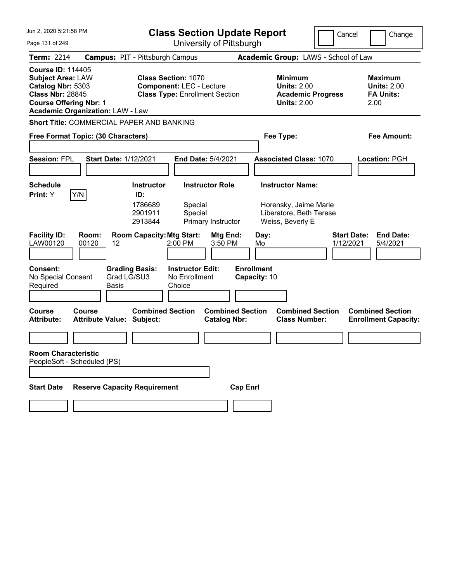| Jun 2, 2020 5:21:58 PM                                                                                                                                                           | <b>Class Section Update Report</b>                                                                     | Cancel                                                                                 | Change                                                           |
|----------------------------------------------------------------------------------------------------------------------------------------------------------------------------------|--------------------------------------------------------------------------------------------------------|----------------------------------------------------------------------------------------|------------------------------------------------------------------|
| Page 131 of 249                                                                                                                                                                  | University of Pittsburgh                                                                               |                                                                                        |                                                                  |
| <b>Term: 2214</b>                                                                                                                                                                | <b>Campus: PIT - Pittsburgh Campus</b>                                                                 | Academic Group: LAWS - School of Law                                                   |                                                                  |
| <b>Course ID: 114405</b><br><b>Subject Area: LAW</b><br>Catalog Nbr: 5303<br><b>Class Nbr: 28845</b><br><b>Course Offering Nbr: 1</b><br><b>Academic Organization: LAW - Law</b> | <b>Class Section: 1070</b><br><b>Component: LEC - Lecture</b><br><b>Class Type: Enrollment Section</b> | <b>Minimum</b><br><b>Units: 2.00</b><br><b>Academic Progress</b><br><b>Units: 2.00</b> | <b>Maximum</b><br><b>Units: 2.00</b><br><b>FA Units:</b><br>2.00 |
| Short Title: COMMERCIAL PAPER AND BANKING                                                                                                                                        |                                                                                                        |                                                                                        |                                                                  |
| Free Format Topic: (30 Characters)                                                                                                                                               |                                                                                                        | Fee Type:                                                                              | <b>Fee Amount:</b>                                               |
| <b>Session: FPL</b><br><b>Start Date: 1/12/2021</b>                                                                                                                              | End Date: 5/4/2021                                                                                     | <b>Associated Class: 1070</b>                                                          | Location: PGH                                                    |
| <b>Schedule</b>                                                                                                                                                                  | <b>Instructor</b><br><b>Instructor Role</b>                                                            | <b>Instructor Name:</b>                                                                |                                                                  |
| Y/N<br>Print: Y                                                                                                                                                                  | ID:<br>1786689<br>Special<br>2901911<br>Special<br>2913844<br>Primary Instructor                       | Horensky, Jaime Marie<br>Liberatore, Beth Terese<br>Weiss, Beverly E                   |                                                                  |
| <b>Facility ID:</b><br>Room:<br>LAW00120<br>00120<br>12                                                                                                                          | <b>Room Capacity: Mtg Start:</b><br>Mtg End:<br>2:00 PM<br>3:50 PM                                     | Day:<br>1/12/2021<br>Mo                                                                | <b>Start Date:</b><br><b>End Date:</b><br>5/4/2021               |
| <b>Consent:</b><br>No Special Consent<br>Required<br>Basis                                                                                                                       | <b>Grading Basis:</b><br><b>Instructor Edit:</b><br>Grad LG/SU3<br>No Enrollment<br>Choice             | <b>Enrollment</b><br>Capacity: 10                                                      |                                                                  |
| <b>Course</b><br>Course<br><b>Attribute Value: Subject:</b><br><b>Attribute:</b>                                                                                                 | <b>Combined Section</b><br><b>Catalog Nbr:</b>                                                         | <b>Combined Section</b><br><b>Combined Section</b><br><b>Class Number:</b>             | <b>Combined Section</b><br><b>Enrollment Capacity:</b>           |
|                                                                                                                                                                                  |                                                                                                        |                                                                                        |                                                                  |
| <b>Room Characteristic</b><br>PeopleSoft - Scheduled (PS)                                                                                                                        |                                                                                                        |                                                                                        |                                                                  |
| <b>Start Date</b>                                                                                                                                                                | <b>Reserve Capacity Requirement</b>                                                                    | <b>Cap Enrl</b>                                                                        |                                                                  |
|                                                                                                                                                                                  |                                                                                                        |                                                                                        |                                                                  |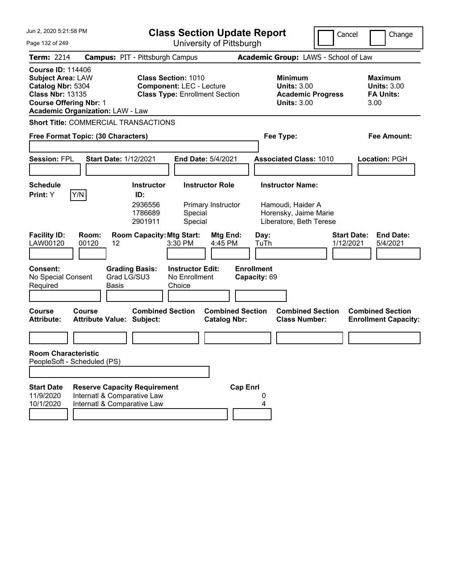| Jun 2, 2020 5:21:58 PM<br>Page 132 of 249                                                                                                                                        | <b>Class Section Update Report</b><br>University of Pittsburgh                                                                  | Cancel                                                                                           | Change                                                           |
|----------------------------------------------------------------------------------------------------------------------------------------------------------------------------------|---------------------------------------------------------------------------------------------------------------------------------|--------------------------------------------------------------------------------------------------|------------------------------------------------------------------|
| <b>Term: 2214</b>                                                                                                                                                                | <b>Campus: PIT - Pittsburgh Campus</b>                                                                                          | Academic Group: LAWS - School of Law                                                             |                                                                  |
| <b>Course ID: 114406</b><br><b>Subject Area: LAW</b><br>Catalog Nbr: 5304<br><b>Class Nbr: 13135</b><br><b>Course Offering Nbr: 1</b><br><b>Academic Organization: LAW - Law</b> | <b>Class Section: 1010</b><br><b>Component: LEC - Lecture</b><br><b>Class Type: Enrollment Section</b>                          | <b>Minimum</b><br><b>Units: 3.00</b><br><b>Academic Progress</b><br><b>Units: 3.00</b>           | <b>Maximum</b><br><b>Units: 3.00</b><br><b>FA Units:</b><br>3.00 |
| <b>Short Title: COMMERCIAL TRANSACTIONS</b>                                                                                                                                      |                                                                                                                                 |                                                                                                  |                                                                  |
| Free Format Topic: (30 Characters)                                                                                                                                               |                                                                                                                                 | Fee Type:                                                                                        | Fee Amount:                                                      |
| <b>Session: FPL</b><br><b>Start Date: 1/12/2021</b>                                                                                                                              | <b>End Date: 5/4/2021</b>                                                                                                       | <b>Associated Class: 1010</b>                                                                    | Location: PGH                                                    |
| Schedule<br>Y/N<br><b>Print:</b> Y                                                                                                                                               | <b>Instructor Role</b><br><b>Instructor</b><br>ID:<br>2936556<br>Primary Instructor<br>1786689<br>Special<br>Special<br>2901911 | <b>Instructor Name:</b><br>Hamoudi, Haider A<br>Horensky, Jaime Marie<br>Liberatore, Beth Terese |                                                                  |
| <b>Facility ID:</b><br>Room:<br>LAW00120<br>00120<br>12                                                                                                                          | <b>Room Capacity: Mtg Start:</b><br>Mtg End:<br>3:30 PM<br>4:45 PM                                                              | Day:<br>TuTh<br>1/12/2021                                                                        | <b>Start Date:</b><br><b>End Date:</b><br>5/4/2021               |
| <b>Consent:</b><br><b>Grading Basis:</b><br>Grad LG/SU3<br>No Special Consent<br>Required<br><b>Basis</b>                                                                        | <b>Instructor Edit:</b><br>No Enrollment<br>Choice                                                                              | <b>Enrollment</b><br>Capacity: 69                                                                |                                                                  |
| <b>Course</b><br>Course<br><b>Attribute:</b><br><b>Attribute Value: Subject:</b>                                                                                                 | <b>Combined Section</b><br><b>Combined Section</b><br><b>Catalog Nbr:</b>                                                       | <b>Combined Section</b><br><b>Class Number:</b>                                                  | <b>Combined Section</b><br><b>Enrollment Capacity:</b>           |
|                                                                                                                                                                                  |                                                                                                                                 |                                                                                                  |                                                                  |
| <b>Room Characteristic</b><br>PeopleSoft - Scheduled (PS)                                                                                                                        |                                                                                                                                 |                                                                                                  |                                                                  |
|                                                                                                                                                                                  |                                                                                                                                 |                                                                                                  |                                                                  |
| <b>Start Date</b><br><b>Reserve Capacity Requirement</b><br>11/9/2020<br>Internatl & Comparative Law<br>10/1/2020<br>Internatl & Comparative Law                                 | <b>Cap Enrl</b>                                                                                                                 | 4                                                                                                |                                                                  |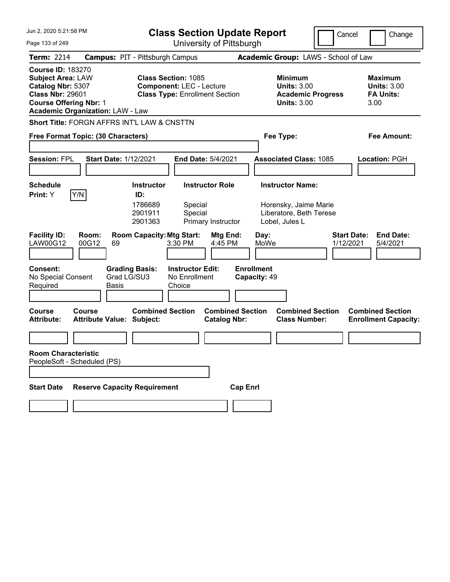| Jun 2, 2020 5:21:58 PM                                                                                                                                                           |                                                             | <b>Class Section Update Report</b><br>Cancel<br>Change                                                 |                                                                    |                                 |                                                                  |  |
|----------------------------------------------------------------------------------------------------------------------------------------------------------------------------------|-------------------------------------------------------------|--------------------------------------------------------------------------------------------------------|--------------------------------------------------------------------|---------------------------------|------------------------------------------------------------------|--|
| Page 133 of 249                                                                                                                                                                  |                                                             | University of Pittsburgh                                                                               |                                                                    |                                 |                                                                  |  |
| <b>Term: 2214</b>                                                                                                                                                                | <b>Campus: PIT - Pittsburgh Campus</b>                      |                                                                                                        | Academic Group: LAWS - School of Law                               |                                 |                                                                  |  |
| <b>Course ID: 183270</b><br><b>Subject Area: LAW</b><br>Catalog Nbr: 5307<br><b>Class Nbr: 29601</b><br><b>Course Offering Nbr: 1</b><br><b>Academic Organization: LAW - Law</b> |                                                             | <b>Class Section: 1085</b><br><b>Component: LEC - Lecture</b><br><b>Class Type: Enrollment Section</b> | <b>Minimum</b><br><b>Units: 3.00</b><br><b>Units: 3.00</b>         | <b>Academic Progress</b>        | <b>Maximum</b><br><b>Units: 3.00</b><br><b>FA Units:</b><br>3.00 |  |
|                                                                                                                                                                                  | Short Title: FORGN AFFRS INT'L LAW & CNSTTN                 |                                                                                                        |                                                                    |                                 |                                                                  |  |
| Free Format Topic: (30 Characters)                                                                                                                                               |                                                             |                                                                                                        | Fee Type:                                                          |                                 | Fee Amount:                                                      |  |
|                                                                                                                                                                                  |                                                             |                                                                                                        |                                                                    |                                 |                                                                  |  |
| <b>Session: FPL</b>                                                                                                                                                              | <b>Start Date: 1/12/2021</b>                                | End Date: 5/4/2021                                                                                     | <b>Associated Class: 1085</b>                                      |                                 | Location: PGH                                                    |  |
| <b>Schedule</b>                                                                                                                                                                  | <b>Instructor</b>                                           | <b>Instructor Role</b>                                                                                 | <b>Instructor Name:</b>                                            |                                 |                                                                  |  |
| Y/N<br>Print: Y                                                                                                                                                                  | ID:                                                         |                                                                                                        |                                                                    |                                 |                                                                  |  |
|                                                                                                                                                                                  | 1786689<br>2901911<br>2901363                               | Special<br>Special<br>Primary Instructor                                                               | Horensky, Jaime Marie<br>Liberatore, Beth Terese<br>Lobel, Jules L |                                 |                                                                  |  |
| <b>Facility ID:</b><br>Room:<br><b>LAW00G12</b><br>00G12                                                                                                                         | <b>Room Capacity: Mtg Start:</b><br>69                      | Mtg End:<br>4:45 PM<br>3:30 PM                                                                         | Day:<br>MoWe                                                       | <b>Start Date:</b><br>1/12/2021 | <b>End Date:</b><br>5/4/2021                                     |  |
| <b>Consent:</b><br>No Special Consent<br>Required                                                                                                                                | <b>Grading Basis:</b><br>Grad LG/SU3<br><b>Basis</b>        | <b>Instructor Edit:</b><br>No Enrollment<br>Choice                                                     | <b>Enrollment</b><br>Capacity: 49                                  |                                 |                                                                  |  |
| <b>Course</b><br>Course<br><b>Attribute:</b>                                                                                                                                     | <b>Combined Section</b><br><b>Attribute Value: Subject:</b> | <b>Catalog Nbr:</b>                                                                                    | <b>Combined Section</b><br><b>Class Number:</b>                    | <b>Combined Section</b>         | <b>Combined Section</b><br><b>Enrollment Capacity:</b>           |  |
|                                                                                                                                                                                  |                                                             |                                                                                                        |                                                                    |                                 |                                                                  |  |
| <b>Room Characteristic</b><br>PeopleSoft - Scheduled (PS)                                                                                                                        |                                                             |                                                                                                        |                                                                    |                                 |                                                                  |  |
| <b>Start Date</b>                                                                                                                                                                | <b>Reserve Capacity Requirement</b>                         |                                                                                                        | <b>Cap Enrl</b>                                                    |                                 |                                                                  |  |
|                                                                                                                                                                                  |                                                             |                                                                                                        |                                                                    |                                 |                                                                  |  |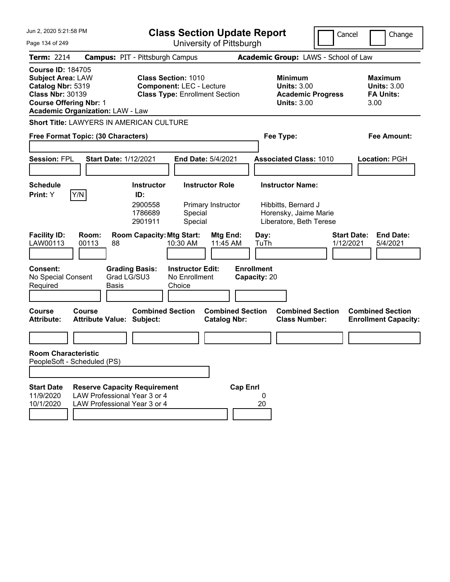| Jun 2, 2020 5:21:58 PM                                                                                                                                                           |                                                                                                     |                                                                                                        | <b>Class Section Update Report</b>             |                                                                                                    | Cancel                          | Change                                                           |
|----------------------------------------------------------------------------------------------------------------------------------------------------------------------------------|-----------------------------------------------------------------------------------------------------|--------------------------------------------------------------------------------------------------------|------------------------------------------------|----------------------------------------------------------------------------------------------------|---------------------------------|------------------------------------------------------------------|
| Page 134 of 249                                                                                                                                                                  |                                                                                                     | University of Pittsburgh                                                                               |                                                |                                                                                                    |                                 |                                                                  |
| <b>Term: 2214</b>                                                                                                                                                                |                                                                                                     | <b>Campus: PIT - Pittsburgh Campus</b>                                                                 |                                                | Academic Group: LAWS - School of Law                                                               |                                 |                                                                  |
| <b>Course ID: 184705</b><br><b>Subject Area: LAW</b><br>Catalog Nbr: 5319<br><b>Class Nbr: 30139</b><br><b>Course Offering Nbr: 1</b><br><b>Academic Organization: LAW - Law</b> |                                                                                                     | <b>Class Section: 1010</b><br><b>Component: LEC - Lecture</b><br><b>Class Type: Enrollment Section</b> |                                                | <b>Minimum</b><br><b>Units: 3.00</b><br><b>Units: 3.00</b>                                         | <b>Academic Progress</b>        | <b>Maximum</b><br><b>Units: 3.00</b><br><b>FA Units:</b><br>3.00 |
|                                                                                                                                                                                  |                                                                                                     | Short Title: LAWYERS IN AMERICAN CULTURE                                                               |                                                |                                                                                                    |                                 |                                                                  |
| Free Format Topic: (30 Characters)                                                                                                                                               |                                                                                                     |                                                                                                        |                                                | Fee Type:                                                                                          |                                 | Fee Amount:                                                      |
| <b>Session: FPL</b>                                                                                                                                                              | <b>Start Date: 1/12/2021</b>                                                                        |                                                                                                        | End Date: 5/4/2021                             | <b>Associated Class: 1010</b>                                                                      |                                 | Location: PGH                                                    |
| <b>Schedule</b><br>Y/N<br>Print: Y                                                                                                                                               |                                                                                                     | <b>Instructor</b><br>ID:<br>2900558<br>1786689<br>Special<br>Special<br>2901911                        | <b>Instructor Role</b><br>Primary Instructor   | <b>Instructor Name:</b><br>Hibbitts, Bernard J<br>Horensky, Jaime Marie<br>Liberatore, Beth Terese |                                 |                                                                  |
| <b>Facility ID:</b><br>LAW00113                                                                                                                                                  | Room:<br>00113<br>88                                                                                | <b>Room Capacity: Mtg Start:</b><br>10:30 AM                                                           | Mtg End:<br>11:45 AM                           | Day:<br>TuTh                                                                                       | <b>Start Date:</b><br>1/12/2021 | <b>End Date:</b><br>5/4/2021                                     |
| <b>Consent:</b><br>No Special Consent<br>Required                                                                                                                                | Grad LG/SU3<br><b>Basis</b>                                                                         | <b>Grading Basis:</b><br><b>Instructor Edit:</b><br>No Enrollment<br>Choice                            |                                                | <b>Enrollment</b><br>Capacity: 20                                                                  |                                 |                                                                  |
| <b>Course</b><br><b>Attribute:</b>                                                                                                                                               | Course<br><b>Attribute Value: Subject:</b>                                                          | <b>Combined Section</b>                                                                                | <b>Combined Section</b><br><b>Catalog Nbr:</b> | <b>Class Number:</b>                                                                               | <b>Combined Section</b>         | <b>Combined Section</b><br><b>Enrollment Capacity:</b>           |
|                                                                                                                                                                                  |                                                                                                     |                                                                                                        |                                                |                                                                                                    |                                 |                                                                  |
| <b>Room Characteristic</b><br>PeopleSoft - Scheduled (PS)                                                                                                                        |                                                                                                     |                                                                                                        |                                                |                                                                                                    |                                 |                                                                  |
|                                                                                                                                                                                  |                                                                                                     |                                                                                                        |                                                |                                                                                                    |                                 |                                                                  |
| <b>Start Date</b><br>11/9/2020<br>10/1/2020                                                                                                                                      | <b>Reserve Capacity Requirement</b><br>LAW Professional Year 3 or 4<br>LAW Professional Year 3 or 4 |                                                                                                        | <b>Cap Enrl</b>                                | 0<br>20                                                                                            |                                 |                                                                  |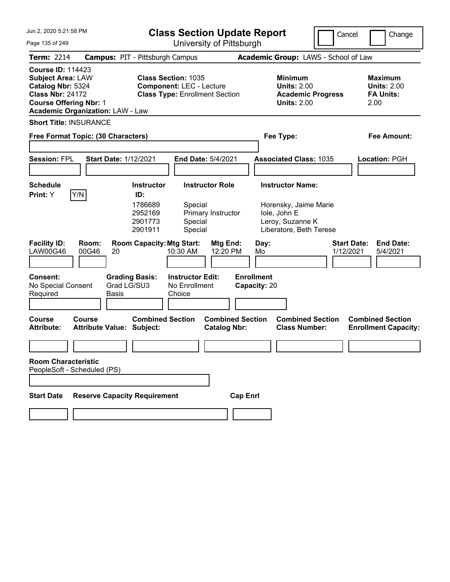| <b>Class Section Update Report</b><br>Cancel<br>University of Pittsburgh<br>Page 135 of 249<br>Term: 2214<br><b>Campus: PIT - Pittsburgh Campus</b><br>Academic Group: LAWS - School of Law<br><b>Course ID: 114423</b><br><b>Subject Area: LAW</b><br><b>Class Section: 1035</b><br><b>Minimum</b><br><b>Maximum</b><br>Catalog Nbr: 5324<br><b>Component: LEC - Lecture</b><br><b>Units: 2.00</b><br><b>Units: 2.00</b><br><b>Class Nbr: 24172</b><br><b>Class Type: Enrollment Section</b><br><b>FA Units:</b><br><b>Academic Progress</b><br><b>Course Offering Nbr: 1</b><br><b>Units: 2.00</b><br>2.00<br><b>Academic Organization: LAW - Law</b><br><b>Short Title: INSURANCE</b><br>Free Format Topic: (30 Characters)<br>Fee Type:<br><b>Fee Amount:</b> | Change |
|-------------------------------------------------------------------------------------------------------------------------------------------------------------------------------------------------------------------------------------------------------------------------------------------------------------------------------------------------------------------------------------------------------------------------------------------------------------------------------------------------------------------------------------------------------------------------------------------------------------------------------------------------------------------------------------------------------------------------------------------------------------------|--------|
|                                                                                                                                                                                                                                                                                                                                                                                                                                                                                                                                                                                                                                                                                                                                                                   |        |
|                                                                                                                                                                                                                                                                                                                                                                                                                                                                                                                                                                                                                                                                                                                                                                   |        |
|                                                                                                                                                                                                                                                                                                                                                                                                                                                                                                                                                                                                                                                                                                                                                                   |        |
|                                                                                                                                                                                                                                                                                                                                                                                                                                                                                                                                                                                                                                                                                                                                                                   |        |
|                                                                                                                                                                                                                                                                                                                                                                                                                                                                                                                                                                                                                                                                                                                                                                   |        |
| <b>Session: FPL</b><br><b>Start Date: 1/12/2021</b><br>End Date: 5/4/2021<br><b>Associated Class: 1035</b><br>Location: PGH                                                                                                                                                                                                                                                                                                                                                                                                                                                                                                                                                                                                                                       |        |
| <b>Instructor Name:</b><br><b>Schedule</b><br><b>Instructor</b><br><b>Instructor Role</b><br>Y/N<br>Print: Y<br>ID:<br>1786689<br>Special<br>Horensky, Jaime Marie<br>2952169<br>Primary Instructor<br>Iole, John E<br>2901773<br>Special<br>Leroy, Suzanne K<br>2901911<br>Special<br>Liberatore, Beth Terese                                                                                                                                                                                                                                                                                                                                                                                                                                                    |        |
| <b>Room Capacity: Mtg Start:</b><br><b>Facility ID:</b><br>Room:<br>Mtg End:<br><b>Start Date:</b><br><b>End Date:</b><br>Day:<br><b>LAW00G46</b><br>00G46<br>12:20 PM<br>10:30 AM<br>Mo<br>1/12/2021<br>5/4/2021<br>20                                                                                                                                                                                                                                                                                                                                                                                                                                                                                                                                           |        |
| <b>Enrollment</b><br><b>Consent:</b><br><b>Grading Basis:</b><br><b>Instructor Edit:</b><br>Grad LG/SU3<br>No Special Consent<br>No Enrollment<br>Capacity: 20<br>Choice<br>Required<br><b>Basis</b>                                                                                                                                                                                                                                                                                                                                                                                                                                                                                                                                                              |        |
| <b>Combined Section</b><br><b>Combined Section</b><br><b>Combined Section</b><br><b>Combined Section</b><br><b>Course</b><br>Course<br><b>Attribute:</b><br><b>Attribute Value: Subject:</b><br><b>Catalog Nbr:</b><br><b>Class Number:</b><br><b>Enrollment Capacity:</b>                                                                                                                                                                                                                                                                                                                                                                                                                                                                                        |        |
|                                                                                                                                                                                                                                                                                                                                                                                                                                                                                                                                                                                                                                                                                                                                                                   |        |
| <b>Room Characteristic</b><br>PeopleSoft - Scheduled (PS)                                                                                                                                                                                                                                                                                                                                                                                                                                                                                                                                                                                                                                                                                                         |        |
|                                                                                                                                                                                                                                                                                                                                                                                                                                                                                                                                                                                                                                                                                                                                                                   |        |
| <b>Reserve Capacity Requirement</b><br><b>Start Date</b><br><b>Cap Enrl</b>                                                                                                                                                                                                                                                                                                                                                                                                                                                                                                                                                                                                                                                                                       |        |
|                                                                                                                                                                                                                                                                                                                                                                                                                                                                                                                                                                                                                                                                                                                                                                   |        |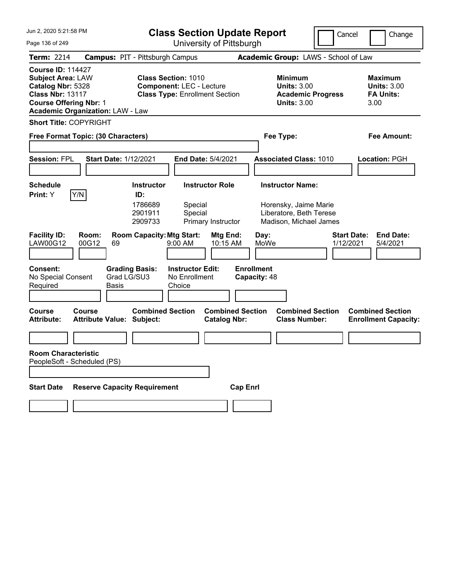| Jun 2, 2020 5:21:58 PM                                                                                                                                                           | <b>Class Section Update Report</b><br>Cancel<br>Change                                                 |                                                                                        |                                                                  |  |  |
|----------------------------------------------------------------------------------------------------------------------------------------------------------------------------------|--------------------------------------------------------------------------------------------------------|----------------------------------------------------------------------------------------|------------------------------------------------------------------|--|--|
| Page 136 of 249                                                                                                                                                                  | University of Pittsburgh                                                                               |                                                                                        |                                                                  |  |  |
| <b>Term: 2214</b>                                                                                                                                                                | <b>Campus: PIT - Pittsburgh Campus</b>                                                                 | Academic Group: LAWS - School of Law                                                   |                                                                  |  |  |
| <b>Course ID: 114427</b><br><b>Subject Area: LAW</b><br>Catalog Nbr: 5328<br><b>Class Nbr: 13117</b><br><b>Course Offering Nbr: 1</b><br><b>Academic Organization: LAW - Law</b> | <b>Class Section: 1010</b><br><b>Component: LEC - Lecture</b><br><b>Class Type: Enrollment Section</b> | <b>Minimum</b><br><b>Units: 3.00</b><br><b>Academic Progress</b><br><b>Units: 3.00</b> | <b>Maximum</b><br><b>Units: 3.00</b><br><b>FA Units:</b><br>3.00 |  |  |
| <b>Short Title: COPYRIGHT</b>                                                                                                                                                    |                                                                                                        |                                                                                        |                                                                  |  |  |
| Free Format Topic: (30 Characters)                                                                                                                                               |                                                                                                        | Fee Type:                                                                              | <b>Fee Amount:</b>                                               |  |  |
| <b>Session: FPL</b><br><b>Start Date: 1/12/2021</b>                                                                                                                              | End Date: 5/4/2021                                                                                     | <b>Associated Class: 1010</b>                                                          | Location: PGH                                                    |  |  |
| <b>Schedule</b>                                                                                                                                                                  | <b>Instructor</b><br><b>Instructor Role</b>                                                            | <b>Instructor Name:</b>                                                                |                                                                  |  |  |
| Y/N<br>Print: Y                                                                                                                                                                  | ID:<br>1786689<br>Special<br>2901911<br>Special<br>2909733<br>Primary Instructor                       | Horensky, Jaime Marie<br>Liberatore, Beth Terese<br>Madison, Michael James             |                                                                  |  |  |
| <b>Facility ID:</b><br>Room:<br><b>LAW00G12</b><br>00G12<br>69                                                                                                                   | <b>Room Capacity: Mtg Start:</b><br>Mtg End:<br>$9:00$ AM<br>10:15 AM                                  | Day:<br>MoWe<br>1/12/2021                                                              | <b>Start Date:</b><br><b>End Date:</b><br>5/4/2021               |  |  |
| <b>Consent:</b><br>Grad LG/SU3<br>No Special Consent<br>Required<br>Basis                                                                                                        | <b>Grading Basis:</b><br><b>Instructor Edit:</b><br>No Enrollment<br>Choice                            | <b>Enrollment</b><br>Capacity: 48                                                      |                                                                  |  |  |
| <b>Course</b><br>Course<br><b>Attribute Value: Subject:</b><br><b>Attribute:</b>                                                                                                 | <b>Combined Section</b><br><b>Combined Section</b><br><b>Catalog Nbr:</b>                              | <b>Combined Section</b><br><b>Class Number:</b>                                        | <b>Combined Section</b><br><b>Enrollment Capacity:</b>           |  |  |
|                                                                                                                                                                                  |                                                                                                        |                                                                                        |                                                                  |  |  |
| <b>Room Characteristic</b><br>PeopleSoft - Scheduled (PS)                                                                                                                        |                                                                                                        |                                                                                        |                                                                  |  |  |
| <b>Reserve Capacity Requirement</b><br><b>Start Date</b>                                                                                                                         |                                                                                                        | <b>Cap Enrl</b>                                                                        |                                                                  |  |  |
|                                                                                                                                                                                  |                                                                                                        |                                                                                        |                                                                  |  |  |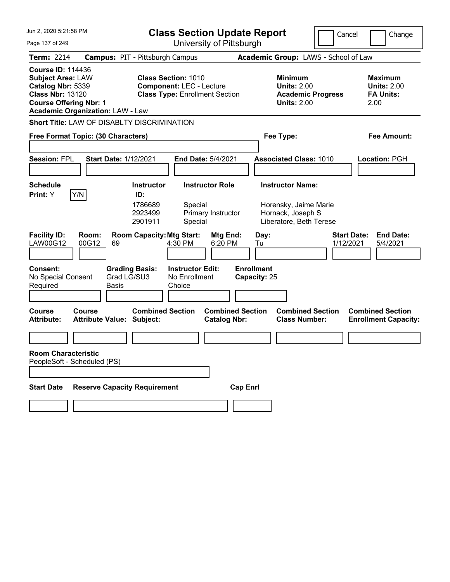| Jun 2, 2020 5:21:58 PM<br>Page 137 of 249                                                                                             | <b>Class Section Update Report</b><br>University of Pittsburgh                                                    |                                                                                                        |                                                                          |                                                |                                                 |                                                                                        | Cancel    | Change                                                           |  |  |
|---------------------------------------------------------------------------------------------------------------------------------------|-------------------------------------------------------------------------------------------------------------------|--------------------------------------------------------------------------------------------------------|--------------------------------------------------------------------------|------------------------------------------------|-------------------------------------------------|----------------------------------------------------------------------------------------|-----------|------------------------------------------------------------------|--|--|
| Term: 2214                                                                                                                            | <b>Campus: PIT - Pittsburgh Campus</b>                                                                            |                                                                                                        |                                                                          |                                                |                                                 | Academic Group: LAWS - School of Law                                                   |           |                                                                  |  |  |
| <b>Course ID: 114436</b><br><b>Subject Area: LAW</b><br>Catalog Nbr: 5339<br><b>Class Nbr: 13120</b><br><b>Course Offering Nbr: 1</b> | <b>Academic Organization: LAW - Law</b>                                                                           | <b>Class Section: 1010</b><br><b>Component: LEC - Lecture</b><br><b>Class Type: Enrollment Section</b> |                                                                          |                                                |                                                 | <b>Minimum</b><br><b>Units: 2.00</b><br><b>Academic Progress</b><br><b>Units: 2.00</b> |           | <b>Maximum</b><br><b>Units: 2.00</b><br><b>FA Units:</b><br>2.00 |  |  |
| <b>Session: FPL</b>                                                                                                                   | Short Title: LAW OF DISABLTY DISCRIMINATION<br>Free Format Topic: (30 Characters)<br><b>Start Date: 1/12/2021</b> |                                                                                                        | End Date: 5/4/2021                                                       |                                                |                                                 | Fee Type:<br><b>Associated Class: 1010</b>                                             |           | <b>Fee Amount:</b><br>Location: PGH                              |  |  |
| <b>Schedule</b><br>Print: Y                                                                                                           | Y/N                                                                                                               | <b>Instructor</b><br>ID:<br>1786689                                                                    | Special                                                                  | <b>Instructor Role</b>                         |                                                 | <b>Instructor Name:</b><br>Horensky, Jaime Marie                                       |           |                                                                  |  |  |
| <b>Facility ID:</b><br><b>LAW00G12</b><br>Consent:<br>No Special Consent<br>Required                                                  | Room:<br>00G12<br>69<br>Grad LG/SU3<br>Basis                                                                      | 2923499<br>2901911<br><b>Room Capacity: Mtg Start:</b><br><b>Grading Basis:</b>                        | Special<br>4:30 PM<br><b>Instructor Edit:</b><br>No Enrollment<br>Choice | Primary Instructor<br>Mtg End:<br>6:20 PM      | Day:<br>Tu<br><b>Enrollment</b><br>Capacity: 25 | Hornack, Joseph S<br>Liberatore, Beth Terese                                           | 1/12/2021 | <b>End Date:</b><br><b>Start Date:</b><br>5/4/2021               |  |  |
| <b>Course</b><br><b>Attribute:</b>                                                                                                    | <b>Course</b><br><b>Attribute Value: Subject:</b>                                                                 | <b>Combined Section</b>                                                                                |                                                                          | <b>Combined Section</b><br><b>Catalog Nbr:</b> |                                                 | <b>Combined Section</b><br><b>Class Number:</b>                                        |           | <b>Combined Section</b><br><b>Enrollment Capacity:</b>           |  |  |
| <b>Room Characteristic</b><br>PeopleSoft - Scheduled (PS)                                                                             |                                                                                                                   |                                                                                                        |                                                                          |                                                |                                                 |                                                                                        |           |                                                                  |  |  |
| <b>Start Date</b>                                                                                                                     | <b>Reserve Capacity Requirement</b>                                                                               |                                                                                                        |                                                                          |                                                | <b>Cap Enrl</b>                                 |                                                                                        |           |                                                                  |  |  |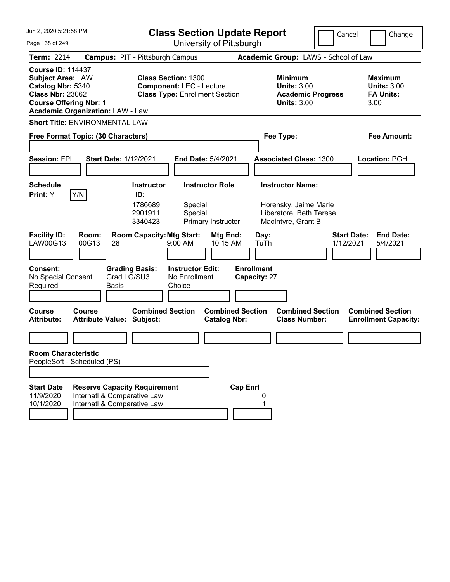| Jun 2, 2020 5:21:58 PM                                                                                                                |                                                                                                   | <b>Class Section Update Report</b>                                                                     |                                                |                                                                                                   | Cancel                          | Change                                                           |
|---------------------------------------------------------------------------------------------------------------------------------------|---------------------------------------------------------------------------------------------------|--------------------------------------------------------------------------------------------------------|------------------------------------------------|---------------------------------------------------------------------------------------------------|---------------------------------|------------------------------------------------------------------|
| Page 138 of 249                                                                                                                       |                                                                                                   |                                                                                                        | University of Pittsburgh                       |                                                                                                   |                                 |                                                                  |
| <b>Term: 2214</b>                                                                                                                     |                                                                                                   | <b>Campus: PIT - Pittsburgh Campus</b>                                                                 |                                                | Academic Group: LAWS - School of Law                                                              |                                 |                                                                  |
| <b>Course ID: 114437</b><br><b>Subject Area: LAW</b><br>Catalog Nbr: 5340<br><b>Class Nbr: 23062</b><br><b>Course Offering Nbr: 1</b> | <b>Academic Organization: LAW - Law</b>                                                           | <b>Class Section: 1300</b><br><b>Component: LEC - Lecture</b><br><b>Class Type: Enrollment Section</b> |                                                | <b>Minimum</b><br><b>Units: 3.00</b><br><b>Academic Progress</b><br><b>Units: 3.00</b>            |                                 | <b>Maximum</b><br><b>Units: 3.00</b><br><b>FA Units:</b><br>3.00 |
|                                                                                                                                       | <b>Short Title: ENVIRONMENTAL LAW</b>                                                             |                                                                                                        |                                                |                                                                                                   |                                 |                                                                  |
|                                                                                                                                       | Free Format Topic: (30 Characters)                                                                |                                                                                                        |                                                | Fee Type:                                                                                         |                                 | <b>Fee Amount:</b>                                               |
| <b>Session: FPL</b>                                                                                                                   | <b>Start Date: 1/12/2021</b>                                                                      |                                                                                                        | End Date: 5/4/2021                             | <b>Associated Class: 1300</b>                                                                     |                                 | Location: PGH                                                    |
| <b>Schedule</b><br>Y/N<br>Print: Y                                                                                                    |                                                                                                   | <b>Instructor</b><br>ID:<br>1786689<br>Special<br>2901911<br>Special<br>3340423                        | <b>Instructor Role</b><br>Primary Instructor   | <b>Instructor Name:</b><br>Horensky, Jaime Marie<br>Liberatore, Beth Terese<br>MacIntyre, Grant B |                                 |                                                                  |
| <b>Facility ID:</b><br>LAW00G13                                                                                                       | Room:<br>00G13<br>28                                                                              | <b>Room Capacity: Mtg Start:</b><br>$9:00$ AM                                                          | Mtg End:<br>10:15 AM                           | Day:<br>TuTh                                                                                      | <b>Start Date:</b><br>1/12/2021 | <b>End Date:</b><br>5/4/2021                                     |
| <b>Consent:</b><br>No Special Consent<br>Required                                                                                     | <b>Grading Basis:</b><br>Grad LG/SU3<br>Basis                                                     | <b>Instructor Edit:</b><br>No Enrollment<br>Choice                                                     | <b>Enrollment</b>                              | Capacity: 27                                                                                      |                                 |                                                                  |
| <b>Course</b><br><b>Attribute:</b>                                                                                                    | Course<br><b>Attribute Value: Subject:</b>                                                        | <b>Combined Section</b>                                                                                | <b>Combined Section</b><br><b>Catalog Nbr:</b> | <b>Combined Section</b><br><b>Class Number:</b>                                                   |                                 | <b>Combined Section</b><br><b>Enrollment Capacity:</b>           |
|                                                                                                                                       |                                                                                                   |                                                                                                        |                                                |                                                                                                   |                                 |                                                                  |
| <b>Room Characteristic</b><br>PeopleSoft - Scheduled (PS)                                                                             |                                                                                                   |                                                                                                        |                                                |                                                                                                   |                                 |                                                                  |
|                                                                                                                                       |                                                                                                   |                                                                                                        |                                                |                                                                                                   |                                 |                                                                  |
| <b>Start Date</b><br>11/9/2020<br>10/1/2020                                                                                           | <b>Reserve Capacity Requirement</b><br>Internatl & Comparative Law<br>Internatl & Comparative Law |                                                                                                        | <b>Cap Enrl</b>                                |                                                                                                   |                                 |                                                                  |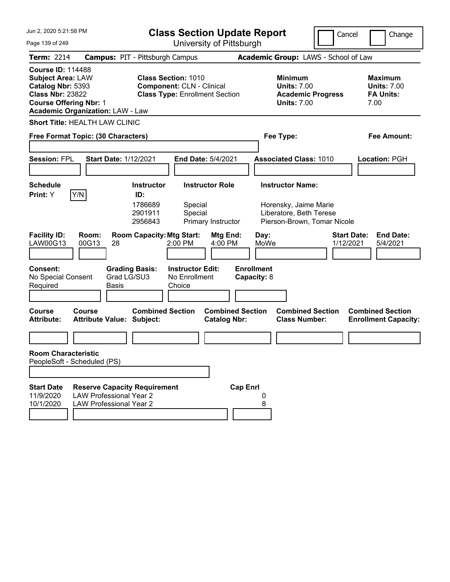| Jun 2, 2020 5:21:58 PM                                                                                                                                                           |                                                                                                         |                                                                                                         | <b>Class Section Update Report</b>             |                                                                                                            | Cancel                          | Change                                                           |
|----------------------------------------------------------------------------------------------------------------------------------------------------------------------------------|---------------------------------------------------------------------------------------------------------|---------------------------------------------------------------------------------------------------------|------------------------------------------------|------------------------------------------------------------------------------------------------------------|---------------------------------|------------------------------------------------------------------|
| Page 139 of 249                                                                                                                                                                  |                                                                                                         |                                                                                                         | University of Pittsburgh                       |                                                                                                            |                                 |                                                                  |
| <b>Term: 2214</b>                                                                                                                                                                |                                                                                                         | <b>Campus: PIT - Pittsburgh Campus</b>                                                                  |                                                | Academic Group: LAWS - School of Law                                                                       |                                 |                                                                  |
| <b>Course ID: 114488</b><br><b>Subject Area: LAW</b><br>Catalog Nbr: 5393<br><b>Class Nbr: 23822</b><br><b>Course Offering Nbr: 1</b><br><b>Academic Organization: LAW - Law</b> |                                                                                                         | <b>Class Section: 1010</b><br><b>Component: CLN - Clinical</b><br><b>Class Type: Enrollment Section</b> |                                                | <b>Minimum</b><br><b>Units: 7.00</b><br><b>Academic Progress</b><br><b>Units: 7.00</b>                     |                                 | <b>Maximum</b><br><b>Units: 7.00</b><br><b>FA Units:</b><br>7.00 |
| <b>Short Title: HEALTH LAW CLINIC</b>                                                                                                                                            |                                                                                                         |                                                                                                         |                                                |                                                                                                            |                                 |                                                                  |
| Free Format Topic: (30 Characters)                                                                                                                                               |                                                                                                         |                                                                                                         |                                                | Fee Type:                                                                                                  |                                 | <b>Fee Amount:</b>                                               |
| <b>Session: FPL</b>                                                                                                                                                              | <b>Start Date: 1/12/2021</b>                                                                            |                                                                                                         | End Date: 5/4/2021                             | <b>Associated Class: 1010</b>                                                                              |                                 | Location: PGH                                                    |
| <b>Schedule</b><br>Y/N<br>Print: Y                                                                                                                                               |                                                                                                         | <b>Instructor</b><br>ID:<br>1786689<br>Special<br>2901911<br>Special<br>2956843                         | <b>Instructor Role</b><br>Primary Instructor   | <b>Instructor Name:</b><br>Horensky, Jaime Marie<br>Liberatore, Beth Terese<br>Pierson-Brown, Tomar Nicole |                                 |                                                                  |
| <b>Facility ID:</b><br>LAW00G13                                                                                                                                                  | Room:<br>00G13<br>28                                                                                    | <b>Room Capacity: Mtg Start:</b><br>$2:00$ PM                                                           | Mtg End:<br>4:00 PM                            | Day:<br>MoWe                                                                                               | <b>Start Date:</b><br>1/12/2021 | <b>End Date:</b><br>5/4/2021                                     |
| <b>Consent:</b><br>No Special Consent<br>Required                                                                                                                                | <b>Grading Basis:</b><br>Grad LG/SU3<br>Basis                                                           | <b>Instructor Edit:</b><br>No Enrollment<br>Choice                                                      | <b>Enrollment</b><br>Capacity: 8               |                                                                                                            |                                 |                                                                  |
| <b>Course</b><br><b>Attribute:</b>                                                                                                                                               | Course<br><b>Attribute Value: Subject:</b>                                                              | <b>Combined Section</b>                                                                                 | <b>Combined Section</b><br><b>Catalog Nbr:</b> | <b>Combined Section</b><br><b>Class Number:</b>                                                            |                                 | <b>Combined Section</b><br><b>Enrollment Capacity:</b>           |
|                                                                                                                                                                                  |                                                                                                         |                                                                                                         |                                                |                                                                                                            |                                 |                                                                  |
| <b>Room Characteristic</b><br>PeopleSoft - Scheduled (PS)                                                                                                                        |                                                                                                         |                                                                                                         |                                                |                                                                                                            |                                 |                                                                  |
|                                                                                                                                                                                  |                                                                                                         |                                                                                                         |                                                |                                                                                                            |                                 |                                                                  |
| <b>Start Date</b><br>11/9/2020<br>10/1/2020                                                                                                                                      | <b>Reserve Capacity Requirement</b><br><b>LAW Professional Year 2</b><br><b>LAW Professional Year 2</b> |                                                                                                         | <b>Cap Enrl</b>                                | 8                                                                                                          |                                 |                                                                  |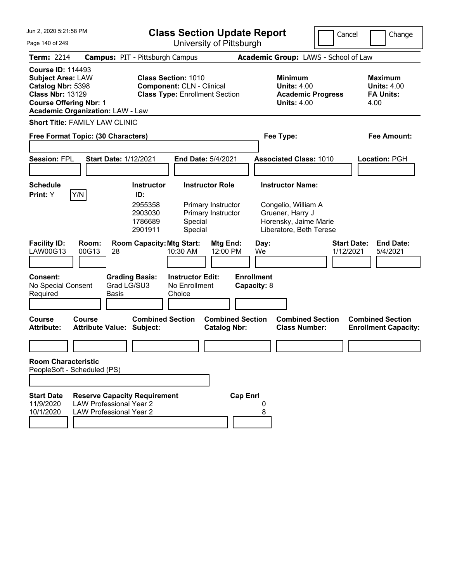| Jun 2, 2020 5:21:58 PM<br><b>Class Section Update Report</b>                                                                                                                     |                                                                                                         |                                                                                                         |                                                    |                                                                                        |                 |                                                                  |                                                                                                                        |  | Cancel<br>Change                                                |
|----------------------------------------------------------------------------------------------------------------------------------------------------------------------------------|---------------------------------------------------------------------------------------------------------|---------------------------------------------------------------------------------------------------------|----------------------------------------------------|----------------------------------------------------------------------------------------|-----------------|------------------------------------------------------------------|------------------------------------------------------------------------------------------------------------------------|--|-----------------------------------------------------------------|
| Page 140 of 249                                                                                                                                                                  |                                                                                                         | University of Pittsburgh                                                                                |                                                    |                                                                                        |                 |                                                                  |                                                                                                                        |  |                                                                 |
| <b>Term: 2214</b>                                                                                                                                                                | <b>Campus: PIT - Pittsburgh Campus</b>                                                                  |                                                                                                         |                                                    |                                                                                        |                 | Academic Group: LAWS - School of Law                             |                                                                                                                        |  |                                                                 |
| <b>Course ID: 114493</b><br><b>Subject Area: LAW</b><br>Catalog Nbr: 5398<br><b>Class Nbr: 13129</b><br><b>Course Offering Nbr: 1</b><br><b>Academic Organization: LAW - Law</b> |                                                                                                         | <b>Class Section: 1010</b><br><b>Component: CLN - Clinical</b><br><b>Class Type: Enrollment Section</b> |                                                    | <b>Minimum</b><br><b>Units: 4.00</b><br><b>Academic Progress</b><br><b>Units: 4.00</b> |                 | <b>Maximum</b><br><b>Units: 4.00</b><br><b>FA Units:</b><br>4.00 |                                                                                                                        |  |                                                                 |
| <b>Short Title: FAMILY LAW CLINIC</b>                                                                                                                                            |                                                                                                         |                                                                                                         |                                                    |                                                                                        |                 |                                                                  |                                                                                                                        |  |                                                                 |
| Free Format Topic: (30 Characters)                                                                                                                                               |                                                                                                         |                                                                                                         |                                                    |                                                                                        |                 |                                                                  | Fee Type:                                                                                                              |  | <b>Fee Amount:</b>                                              |
| <b>Session: FPL</b>                                                                                                                                                              | <b>Start Date: 1/12/2021</b>                                                                            |                                                                                                         | End Date: 5/4/2021                                 |                                                                                        |                 |                                                                  | <b>Associated Class: 1010</b>                                                                                          |  | Location: PGH                                                   |
|                                                                                                                                                                                  |                                                                                                         |                                                                                                         |                                                    |                                                                                        |                 |                                                                  |                                                                                                                        |  |                                                                 |
| <b>Schedule</b><br>Y/N<br>Print: Y                                                                                                                                               |                                                                                                         | <b>Instructor</b><br>ID:<br>2955358<br>2903030<br>1786689<br>2901911                                    | Special<br>Special                                 | <b>Instructor Role</b><br>Primary Instructor<br>Primary Instructor                     |                 |                                                                  | <b>Instructor Name:</b><br>Congelio, William A<br>Gruener, Harry J<br>Horensky, Jaime Marie<br>Liberatore, Beth Terese |  |                                                                 |
| <b>Facility ID:</b><br>LAW00G13                                                                                                                                                  | Room:<br>00G13<br>28                                                                                    | <b>Room Capacity: Mtg Start:</b>                                                                        | 10:30 AM                                           | Mtg End:<br>12:00 PM                                                                   |                 | Day:<br>We                                                       |                                                                                                                        |  | <b>Start Date:</b><br><b>End Date:</b><br>1/12/2021<br>5/4/2021 |
| <b>Consent:</b><br>No Special Consent<br>Required                                                                                                                                | Grad LG/SU3<br><b>Basis</b>                                                                             | <b>Grading Basis:</b>                                                                                   | <b>Instructor Edit:</b><br>No Enrollment<br>Choice |                                                                                        |                 | <b>Enrollment</b><br>Capacity: 8                                 |                                                                                                                        |  |                                                                 |
| <b>Course</b><br><b>Attribute:</b>                                                                                                                                               | Course<br><b>Attribute Value: Subject:</b>                                                              | <b>Combined Section</b>                                                                                 |                                                    | <b>Combined Section</b><br><b>Catalog Nbr:</b>                                         |                 |                                                                  | <b>Combined Section</b><br><b>Class Number:</b>                                                                        |  | <b>Combined Section</b><br><b>Enrollment Capacity:</b>          |
|                                                                                                                                                                                  |                                                                                                         |                                                                                                         |                                                    |                                                                                        |                 |                                                                  |                                                                                                                        |  |                                                                 |
| <b>Room Characteristic</b><br>PeopleSoft - Scheduled (PS)                                                                                                                        |                                                                                                         |                                                                                                         |                                                    |                                                                                        |                 |                                                                  |                                                                                                                        |  |                                                                 |
|                                                                                                                                                                                  |                                                                                                         |                                                                                                         |                                                    |                                                                                        |                 |                                                                  |                                                                                                                        |  |                                                                 |
| <b>Start Date</b><br>11/9/2020<br>10/1/2020                                                                                                                                      | <b>Reserve Capacity Requirement</b><br><b>LAW Professional Year 2</b><br><b>LAW Professional Year 2</b> |                                                                                                         |                                                    |                                                                                        | <b>Cap Enrl</b> | 8                                                                |                                                                                                                        |  |                                                                 |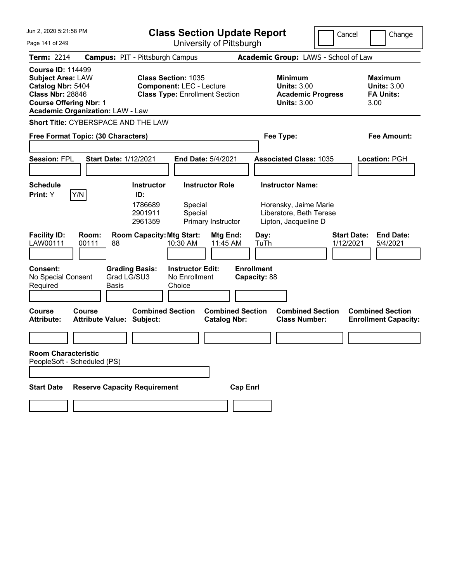| Jun 2, 2020 5:21:58 PM<br><b>Class Section Update Report</b>                                                                                                                     |                                                      |                                  |                                                                          | Cancel                                         | Change                            |                                                                                        |                                      |                                                                  |
|----------------------------------------------------------------------------------------------------------------------------------------------------------------------------------|------------------------------------------------------|----------------------------------|--------------------------------------------------------------------------|------------------------------------------------|-----------------------------------|----------------------------------------------------------------------------------------|--------------------------------------|------------------------------------------------------------------|
| Page 141 of 249                                                                                                                                                                  |                                                      |                                  | University of Pittsburgh                                                 |                                                |                                   |                                                                                        |                                      |                                                                  |
| <b>Term: 2214</b>                                                                                                                                                                | <b>Campus: PIT - Pittsburgh Campus</b>               |                                  |                                                                          |                                                |                                   |                                                                                        | Academic Group: LAWS - School of Law |                                                                  |
| <b>Course ID: 114499</b><br><b>Subject Area: LAW</b><br>Catalog Nbr: 5404<br><b>Class Nbr: 28846</b><br><b>Course Offering Nbr: 1</b><br><b>Academic Organization: LAW - Law</b> |                                                      | <b>Class Section: 1035</b>       | <b>Component: LEC - Lecture</b><br><b>Class Type: Enrollment Section</b> |                                                |                                   | <b>Minimum</b><br><b>Units: 3.00</b><br><b>Academic Progress</b><br><b>Units: 3.00</b> |                                      | <b>Maximum</b><br><b>Units: 3.00</b><br><b>FA Units:</b><br>3.00 |
| Short Title: CYBERSPACE AND THE LAW                                                                                                                                              |                                                      |                                  |                                                                          |                                                |                                   |                                                                                        |                                      |                                                                  |
| Free Format Topic: (30 Characters)                                                                                                                                               |                                                      |                                  |                                                                          |                                                |                                   | Fee Type:                                                                              |                                      | Fee Amount:                                                      |
|                                                                                                                                                                                  |                                                      |                                  |                                                                          |                                                |                                   |                                                                                        |                                      |                                                                  |
| <b>Session: FPL</b>                                                                                                                                                              | <b>Start Date: 1/12/2021</b>                         |                                  | <b>End Date: 5/4/2021</b>                                                |                                                |                                   | <b>Associated Class: 1035</b>                                                          |                                      | Location: PGH                                                    |
|                                                                                                                                                                                  |                                                      |                                  |                                                                          |                                                |                                   |                                                                                        |                                      |                                                                  |
| Schedule                                                                                                                                                                         |                                                      | <b>Instructor</b><br>ID:         | <b>Instructor Role</b>                                                   |                                                |                                   | <b>Instructor Name:</b>                                                                |                                      |                                                                  |
| Y/N<br><b>Print:</b> Y                                                                                                                                                           |                                                      | 1786689<br>2901911<br>2961359    | Special<br>Special<br>Primary Instructor                                 |                                                |                                   | Horensky, Jaime Marie<br>Liberatore, Beth Terese<br>Lipton, Jacqueline D               |                                      |                                                                  |
| <b>Facility ID:</b><br>LAW00111                                                                                                                                                  | Room:<br>00111<br>88                                 | <b>Room Capacity: Mtg Start:</b> | 10:30 AM                                                                 | Mtg End:<br>11:45 AM                           | Day:<br>TuTh                      |                                                                                        | <b>Start Date:</b><br>1/12/2021      | <b>End Date:</b><br>5/4/2021                                     |
| <b>Consent:</b><br>No Special Consent<br>Required                                                                                                                                | <b>Grading Basis:</b><br>Grad LG/SU3<br><b>Basis</b> |                                  | <b>Instructor Edit:</b><br>No Enrollment<br>Choice                       |                                                | <b>Enrollment</b><br>Capacity: 88 |                                                                                        |                                      |                                                                  |
| <b>Course</b><br><b>Attribute:</b>                                                                                                                                               | Course<br><b>Attribute Value: Subject:</b>           | <b>Combined Section</b>          |                                                                          | <b>Combined Section</b><br><b>Catalog Nbr:</b> |                                   | <b>Combined Section</b><br><b>Class Number:</b>                                        |                                      | <b>Combined Section</b><br><b>Enrollment Capacity:</b>           |
|                                                                                                                                                                                  |                                                      |                                  |                                                                          |                                                |                                   |                                                                                        |                                      |                                                                  |
| <b>Room Characteristic</b><br>PeopleSoft - Scheduled (PS)                                                                                                                        |                                                      |                                  |                                                                          |                                                |                                   |                                                                                        |                                      |                                                                  |
|                                                                                                                                                                                  |                                                      |                                  |                                                                          |                                                |                                   |                                                                                        |                                      |                                                                  |
| <b>Start Date</b>                                                                                                                                                                | <b>Reserve Capacity Requirement</b>                  |                                  |                                                                          | <b>Cap Enrl</b>                                |                                   |                                                                                        |                                      |                                                                  |
|                                                                                                                                                                                  |                                                      |                                  |                                                                          |                                                |                                   |                                                                                        |                                      |                                                                  |
|                                                                                                                                                                                  |                                                      |                                  |                                                                          |                                                |                                   |                                                                                        |                                      |                                                                  |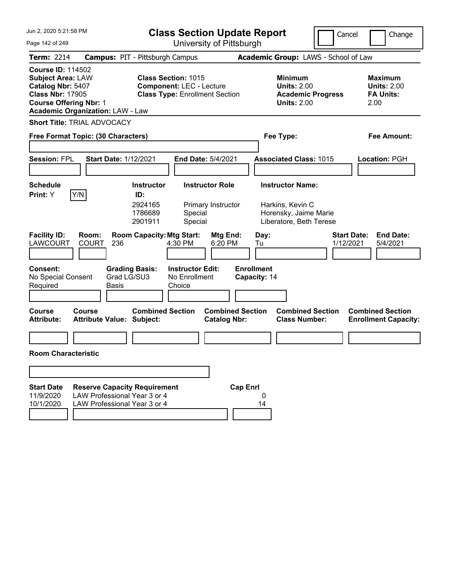| Jun 2, 2020 5:21:58 PM                                                                                                                                                           | <b>Class Section Update Report</b><br>Cancel<br>Change                                                                          |                                                                                                 |                                                                  |  |  |
|----------------------------------------------------------------------------------------------------------------------------------------------------------------------------------|---------------------------------------------------------------------------------------------------------------------------------|-------------------------------------------------------------------------------------------------|------------------------------------------------------------------|--|--|
| Page 142 of 249                                                                                                                                                                  | University of Pittsburgh                                                                                                        |                                                                                                 |                                                                  |  |  |
| <b>Term: 2214</b>                                                                                                                                                                | <b>Campus: PIT - Pittsburgh Campus</b>                                                                                          | Academic Group: LAWS - School of Law                                                            |                                                                  |  |  |
| <b>Course ID: 114502</b><br><b>Subject Area: LAW</b><br>Catalog Nbr: 5407<br><b>Class Nbr: 17905</b><br><b>Course Offering Nbr: 1</b><br><b>Academic Organization: LAW - Law</b> | <b>Class Section: 1015</b><br><b>Component: LEC - Lecture</b><br><b>Class Type: Enrollment Section</b>                          | Minimum<br><b>Units: 2.00</b><br><b>Academic Progress</b><br><b>Units: 2.00</b>                 | <b>Maximum</b><br><b>Units: 2.00</b><br><b>FA Units:</b><br>2.00 |  |  |
| <b>Short Title: TRIAL ADVOCACY</b>                                                                                                                                               |                                                                                                                                 |                                                                                                 |                                                                  |  |  |
| Free Format Topic: (30 Characters)                                                                                                                                               |                                                                                                                                 | Fee Type:                                                                                       | <b>Fee Amount:</b>                                               |  |  |
| <b>Session: FPL</b><br><b>Start Date: 1/12/2021</b>                                                                                                                              | End Date: 5/4/2021                                                                                                              | <b>Associated Class: 1015</b>                                                                   | Location: PGH                                                    |  |  |
| <b>Schedule</b><br>Y/N<br>Print: Y                                                                                                                                               | <b>Instructor Role</b><br><b>Instructor</b><br>ID:<br>2924165<br>Primary Instructor<br>1786689<br>Special<br>2901911<br>Special | <b>Instructor Name:</b><br>Harkins, Kevin C<br>Horensky, Jaime Marie<br>Liberatore, Beth Terese |                                                                  |  |  |
| <b>Facility ID:</b><br>Room:<br><b>LAWCOURT</b><br><b>COURT</b><br>236                                                                                                           | <b>Room Capacity: Mtg Start:</b><br>Mtg End:<br>4:30 PM<br>6:20 PM                                                              | Day:<br>1/12/2021<br>Tu                                                                         | <b>Start Date:</b><br><b>End Date:</b><br>5/4/2021               |  |  |
| <b>Consent:</b><br><b>Grading Basis:</b><br>Grad LG/SU3<br>No Special Consent<br>Required<br>Basis                                                                               | <b>Instructor Edit:</b><br>No Enrollment<br>Choice                                                                              | <b>Enrollment</b><br>Capacity: 14                                                               |                                                                  |  |  |
| <b>Course</b><br>Course<br><b>Attribute:</b><br><b>Attribute Value: Subject:</b>                                                                                                 | <b>Combined Section</b><br><b>Combined Section</b><br><b>Catalog Nbr:</b>                                                       | <b>Combined Section</b><br><b>Class Number:</b>                                                 | <b>Combined Section</b><br><b>Enrollment Capacity:</b>           |  |  |
| <b>Room Characteristic</b>                                                                                                                                                       |                                                                                                                                 |                                                                                                 |                                                                  |  |  |
|                                                                                                                                                                                  |                                                                                                                                 |                                                                                                 |                                                                  |  |  |
| <b>Start Date</b><br><b>Reserve Capacity Requirement</b><br>LAW Professional Year 3 or 4<br>11/9/2020<br>LAW Professional Year 3 or 4<br>10/1/2020                               | <b>Cap Enrl</b>                                                                                                                 | 0<br>14                                                                                         |                                                                  |  |  |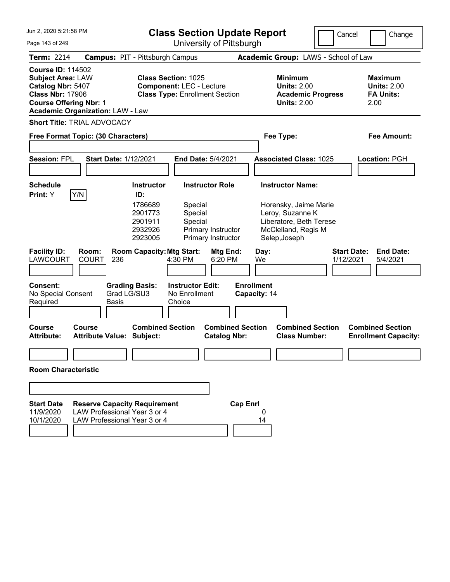| Jun 2, 2020 5:21:58 PM<br><b>Class Section Update Report</b>                                                                                                                     |                                                                                                     |                                                                                                                                 |                                                                                                |                                                                 |                 | Change<br>Cancel                                                                                                                                                |                          |                    |                                                          |  |
|----------------------------------------------------------------------------------------------------------------------------------------------------------------------------------|-----------------------------------------------------------------------------------------------------|---------------------------------------------------------------------------------------------------------------------------------|------------------------------------------------------------------------------------------------|-----------------------------------------------------------------|-----------------|-----------------------------------------------------------------------------------------------------------------------------------------------------------------|--------------------------|--------------------|----------------------------------------------------------|--|
| Page 143 of 249                                                                                                                                                                  |                                                                                                     |                                                                                                                                 | University of Pittsburgh                                                                       |                                                                 |                 |                                                                                                                                                                 |                          |                    |                                                          |  |
| <b>Term: 2214</b>                                                                                                                                                                | <b>Campus: PIT - Pittsburgh Campus</b>                                                              |                                                                                                                                 |                                                                                                |                                                                 |                 | Academic Group: LAWS - School of Law                                                                                                                            |                          |                    |                                                          |  |
| <b>Course ID: 114502</b><br><b>Subject Area: LAW</b><br>Catalog Nbr: 5407<br><b>Class Nbr: 17906</b><br><b>Course Offering Nbr: 1</b><br><b>Academic Organization: LAW - Law</b> |                                                                                                     | <b>Class Section: 1025</b>                                                                                                      | <b>Component: LEC - Lecture</b><br><b>Class Type: Enrollment Section</b>                       |                                                                 |                 | <b>Minimum</b><br><b>Units: 2.00</b><br><b>Units: 2.00</b>                                                                                                      | <b>Academic Progress</b> | 2.00               | <b>Maximum</b><br><b>Units: 2.00</b><br><b>FA Units:</b> |  |
| <b>Short Title: TRIAL ADVOCACY</b>                                                                                                                                               |                                                                                                     |                                                                                                                                 |                                                                                                |                                                                 |                 |                                                                                                                                                                 |                          |                    |                                                          |  |
| Free Format Topic: (30 Characters)                                                                                                                                               |                                                                                                     |                                                                                                                                 |                                                                                                |                                                                 |                 | Fee Type:                                                                                                                                                       |                          |                    | Fee Amount:                                              |  |
|                                                                                                                                                                                  |                                                                                                     |                                                                                                                                 |                                                                                                |                                                                 |                 |                                                                                                                                                                 |                          |                    |                                                          |  |
| <b>Session: FPL</b>                                                                                                                                                              | Start Date: 1/12/2021                                                                               |                                                                                                                                 | End Date: 5/4/2021                                                                             |                                                                 |                 | <b>Associated Class: 1025</b>                                                                                                                                   |                          |                    | Location: PGH                                            |  |
|                                                                                                                                                                                  |                                                                                                     |                                                                                                                                 |                                                                                                |                                                                 |                 |                                                                                                                                                                 |                          |                    |                                                          |  |
| <b>Schedule</b><br>Y/N                                                                                                                                                           |                                                                                                     | <b>Instructor</b>                                                                                                               |                                                                                                | <b>Instructor Role</b>                                          |                 | <b>Instructor Name:</b>                                                                                                                                         |                          |                    |                                                          |  |
| <b>Facility ID:</b><br>LAWCOURT<br><b>Consent:</b><br>No Special Consent<br>Required                                                                                             | Room:<br><b>COURT</b><br>236<br><b>Basis</b>                                                        | 1786689<br>2901773<br>2901911<br>2932926<br>2923005<br><b>Room Capacity: Mtg Start:</b><br><b>Grading Basis:</b><br>Grad LG/SU3 | Special<br>Special<br>Special<br>4:30 PM<br><b>Instructor Edit:</b><br>No Enrollment<br>Choice | Primary Instructor<br>Primary Instructor<br>Mtg End:<br>6:20 PM |                 | Horensky, Jaime Marie<br>Leroy, Suzanne K<br>Liberatore, Beth Terese<br>McClelland, Regis M<br>Selep, Joseph<br>Day:<br>We<br><b>Enrollment</b><br>Capacity: 14 | 1/12/2021                | <b>Start Date:</b> | <b>End Date:</b><br>5/4/2021                             |  |
| <b>Course</b><br><b>Attribute:</b>                                                                                                                                               | Course<br><b>Attribute Value: Subject:</b>                                                          | <b>Combined Section</b>                                                                                                         |                                                                                                | <b>Combined Section</b><br><b>Catalog Nbr:</b>                  |                 | <b>Class Number:</b>                                                                                                                                            | <b>Combined Section</b>  |                    | <b>Combined Section</b><br><b>Enrollment Capacity:</b>   |  |
|                                                                                                                                                                                  |                                                                                                     |                                                                                                                                 |                                                                                                |                                                                 |                 |                                                                                                                                                                 |                          |                    |                                                          |  |
| <b>Room Characteristic</b>                                                                                                                                                       |                                                                                                     |                                                                                                                                 |                                                                                                |                                                                 |                 |                                                                                                                                                                 |                          |                    |                                                          |  |
|                                                                                                                                                                                  |                                                                                                     |                                                                                                                                 |                                                                                                |                                                                 |                 |                                                                                                                                                                 |                          |                    |                                                          |  |
| <b>Start Date</b><br>11/9/2020<br>10/1/2020                                                                                                                                      | <b>Reserve Capacity Requirement</b><br>LAW Professional Year 3 or 4<br>LAW Professional Year 3 or 4 |                                                                                                                                 |                                                                                                |                                                                 | <b>Cap Enrl</b> | 0<br>14                                                                                                                                                         |                          |                    |                                                          |  |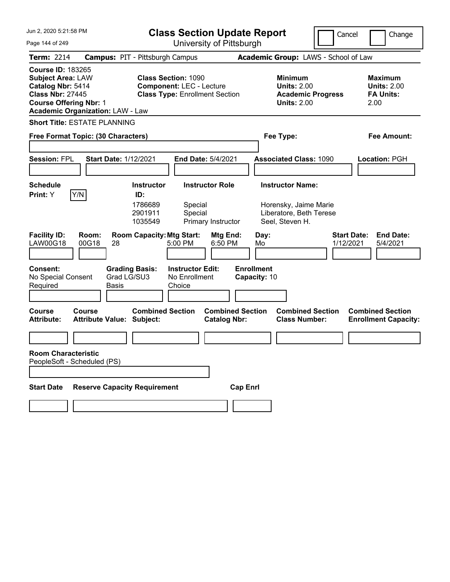| Jun 2, 2020 5:21:58 PM                                                                                                                                                           | <b>Class Section Update Report</b>                                                                                               | Cancel                                                                                 | Change                                                           |
|----------------------------------------------------------------------------------------------------------------------------------------------------------------------------------|----------------------------------------------------------------------------------------------------------------------------------|----------------------------------------------------------------------------------------|------------------------------------------------------------------|
| Page 144 of 249                                                                                                                                                                  | University of Pittsburgh                                                                                                         |                                                                                        |                                                                  |
| <b>Term: 2214</b>                                                                                                                                                                | <b>Campus: PIT - Pittsburgh Campus</b>                                                                                           | Academic Group: LAWS - School of Law                                                   |                                                                  |
| <b>Course ID: 183265</b><br><b>Subject Area: LAW</b><br>Catalog Nbr: 5414<br><b>Class Nbr: 27445</b><br><b>Course Offering Nbr: 1</b><br><b>Academic Organization: LAW - Law</b> | <b>Class Section: 1090</b><br><b>Component: LEC - Lecture</b><br><b>Class Type: Enrollment Section</b>                           | <b>Minimum</b><br><b>Units: 2.00</b><br><b>Academic Progress</b><br><b>Units: 2.00</b> | <b>Maximum</b><br><b>Units: 2.00</b><br><b>FA Units:</b><br>2.00 |
| <b>Short Title: ESTATE PLANNING</b>                                                                                                                                              |                                                                                                                                  |                                                                                        |                                                                  |
| Free Format Topic: (30 Characters)                                                                                                                                               |                                                                                                                                  | Fee Type:                                                                              | Fee Amount:                                                      |
| <b>Session: FPL</b><br><b>Start Date: 1/12/2021</b>                                                                                                                              | End Date: 5/4/2021                                                                                                               | <b>Associated Class: 1090</b>                                                          | Location: PGH                                                    |
| <b>Schedule</b>                                                                                                                                                                  | <b>Instructor</b><br><b>Instructor Role</b>                                                                                      | <b>Instructor Name:</b>                                                                |                                                                  |
| Y/N<br>Print: Y<br><b>Facility ID:</b><br>Room:                                                                                                                                  | ID:<br>1786689<br>Special<br>2901911<br>Special<br>1035549<br>Primary Instructor<br><b>Room Capacity: Mtg Start:</b><br>Mtg End: | Horensky, Jaime Marie<br>Liberatore, Beth Terese<br>Seel, Steven H.<br>Day:            | <b>Start Date:</b><br><b>End Date:</b>                           |
| LAW00G18<br>00G18<br>28                                                                                                                                                          | 6:50 PM<br>5:00 PM                                                                                                               | Mo<br>1/12/2021                                                                        | 5/4/2021                                                         |
| <b>Consent:</b><br><b>Grading Basis:</b><br>Grad LG/SU3<br>No Special Consent<br>Required<br>Basis                                                                               | <b>Instructor Edit:</b><br>No Enrollment<br>Choice                                                                               | <b>Enrollment</b><br>Capacity: 10                                                      |                                                                  |
| <b>Course</b><br>Course<br><b>Attribute Value: Subject:</b><br><b>Attribute:</b>                                                                                                 | <b>Combined Section</b><br><b>Combined Section</b><br><b>Catalog Nbr:</b>                                                        | <b>Combined Section</b><br><b>Class Number:</b>                                        | <b>Combined Section</b><br><b>Enrollment Capacity:</b>           |
|                                                                                                                                                                                  |                                                                                                                                  |                                                                                        |                                                                  |
| <b>Room Characteristic</b><br>PeopleSoft - Scheduled (PS)                                                                                                                        |                                                                                                                                  |                                                                                        |                                                                  |
| <b>Reserve Capacity Requirement</b><br><b>Start Date</b>                                                                                                                         | <b>Cap Enrl</b>                                                                                                                  |                                                                                        |                                                                  |
|                                                                                                                                                                                  |                                                                                                                                  |                                                                                        |                                                                  |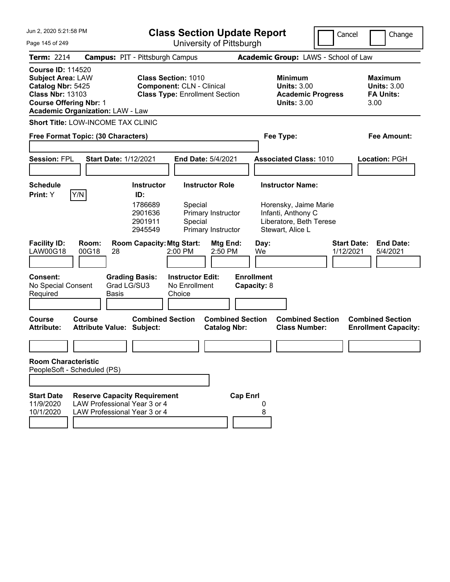| Jun 2, 2020 5:21:58 PM                                                                                                                                                           |                                                                                                     |                                                                                                                                   | <b>Class Section Update Report</b>                                                                      |                                                                                           |                                                |                                                                                                                       |                          | Cancel<br>Change                                                 |  |  |  |
|----------------------------------------------------------------------------------------------------------------------------------------------------------------------------------|-----------------------------------------------------------------------------------------------------|-----------------------------------------------------------------------------------------------------------------------------------|---------------------------------------------------------------------------------------------------------|-------------------------------------------------------------------------------------------|------------------------------------------------|-----------------------------------------------------------------------------------------------------------------------|--------------------------|------------------------------------------------------------------|--|--|--|
| Page 145 of 249                                                                                                                                                                  |                                                                                                     |                                                                                                                                   |                                                                                                         | University of Pittsburgh                                                                  |                                                |                                                                                                                       |                          |                                                                  |  |  |  |
| Term: 2214                                                                                                                                                                       | <b>Campus: PIT - Pittsburgh Campus</b>                                                              |                                                                                                                                   |                                                                                                         |                                                                                           |                                                | Academic Group: LAWS - School of Law                                                                                  |                          |                                                                  |  |  |  |
| <b>Course ID: 114520</b><br><b>Subject Area: LAW</b><br>Catalog Nbr: 5425<br><b>Class Nbr: 13103</b><br><b>Course Offering Nbr: 1</b><br><b>Academic Organization: LAW - Law</b> |                                                                                                     |                                                                                                                                   | <b>Class Section: 1010</b><br><b>Component: CLN - Clinical</b><br><b>Class Type: Enrollment Section</b> |                                                                                           |                                                | <b>Minimum</b><br><b>Units: 3.00</b><br><b>Units: 3.00</b>                                                            | <b>Academic Progress</b> | <b>Maximum</b><br><b>Units: 3.00</b><br><b>FA Units:</b><br>3.00 |  |  |  |
| Short Title: LOW-INCOME TAX CLINIC                                                                                                                                               |                                                                                                     |                                                                                                                                   |                                                                                                         |                                                                                           |                                                |                                                                                                                       |                          |                                                                  |  |  |  |
|                                                                                                                                                                                  | Free Format Topic: (30 Characters)                                                                  |                                                                                                                                   |                                                                                                         |                                                                                           |                                                | Fee Type:                                                                                                             |                          | Fee Amount:                                                      |  |  |  |
| <b>Session: FPL</b>                                                                                                                                                              | <b>Start Date: 1/12/2021</b>                                                                        |                                                                                                                                   |                                                                                                         | End Date: 5/4/2021                                                                        |                                                | <b>Associated Class: 1010</b>                                                                                         |                          | Location: PGH                                                    |  |  |  |
|                                                                                                                                                                                  |                                                                                                     |                                                                                                                                   |                                                                                                         |                                                                                           |                                                |                                                                                                                       |                          |                                                                  |  |  |  |
| <b>Schedule</b><br>Y/N<br>Print: Y<br><b>Facility ID:</b><br><b>LAW00G18</b><br><b>Consent:</b><br>No Special Consent<br>Required                                                | Room:<br>00G18<br>28<br>Grad LG/SU3<br><b>Basis</b>                                                 | <b>Instructor</b><br>ID:<br>1786689<br>2901636<br>2901911<br>2945549<br><b>Room Capacity: Mtg Start:</b><br><b>Grading Basis:</b> | Special<br>Special<br>2:00 PM<br><b>Instructor Edit:</b><br>No Enrollment<br>Choice                     | <b>Instructor Role</b><br>Primary Instructor<br>Primary Instructor<br>Mtg End:<br>2:50 PM | Day:<br>We<br><b>Enrollment</b><br>Capacity: 8 | <b>Instructor Name:</b><br>Horensky, Jaime Marie<br>Infanti, Anthony C<br>Liberatore, Beth Terese<br>Stewart, Alice L |                          | <b>Start Date:</b><br><b>End Date:</b><br>1/12/2021<br>5/4/2021  |  |  |  |
| <b>Course</b><br><b>Attribute:</b>                                                                                                                                               | Course<br><b>Attribute Value: Subject:</b>                                                          | <b>Combined Section</b>                                                                                                           |                                                                                                         | <b>Combined Section</b><br><b>Catalog Nbr:</b>                                            |                                                | <b>Class Number:</b>                                                                                                  | <b>Combined Section</b>  | <b>Combined Section</b><br><b>Enrollment Capacity:</b>           |  |  |  |
| <b>Room Characteristic</b>                                                                                                                                                       |                                                                                                     |                                                                                                                                   |                                                                                                         |                                                                                           |                                                |                                                                                                                       |                          |                                                                  |  |  |  |
| PeopleSoft - Scheduled (PS)                                                                                                                                                      |                                                                                                     |                                                                                                                                   |                                                                                                         |                                                                                           |                                                |                                                                                                                       |                          |                                                                  |  |  |  |
|                                                                                                                                                                                  |                                                                                                     |                                                                                                                                   |                                                                                                         |                                                                                           |                                                |                                                                                                                       |                          |                                                                  |  |  |  |
| <b>Start Date</b><br>11/9/2020<br>10/1/2020                                                                                                                                      | <b>Reserve Capacity Requirement</b><br>LAW Professional Year 3 or 4<br>LAW Professional Year 3 or 4 |                                                                                                                                   |                                                                                                         |                                                                                           | <b>Cap Enrl</b>                                | 8                                                                                                                     |                          |                                                                  |  |  |  |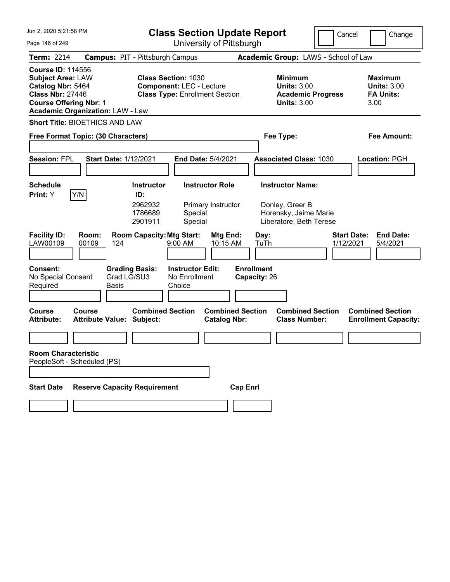| Jun 2, 2020 5:21:58 PM                                                                                                                                                           | <b>Class Section Update Report</b>                                                                     | Cancel                                                                                 | Change                                                           |  |
|----------------------------------------------------------------------------------------------------------------------------------------------------------------------------------|--------------------------------------------------------------------------------------------------------|----------------------------------------------------------------------------------------|------------------------------------------------------------------|--|
| Page 146 of 249                                                                                                                                                                  | University of Pittsburgh                                                                               |                                                                                        |                                                                  |  |
| <b>Term: 2214</b>                                                                                                                                                                | <b>Campus: PIT - Pittsburgh Campus</b>                                                                 | Academic Group: LAWS - School of Law                                                   |                                                                  |  |
| <b>Course ID: 114556</b><br><b>Subject Area: LAW</b><br>Catalog Nbr: 5464<br><b>Class Nbr: 27446</b><br><b>Course Offering Nbr: 1</b><br><b>Academic Organization: LAW - Law</b> | <b>Class Section: 1030</b><br><b>Component: LEC - Lecture</b><br><b>Class Type: Enrollment Section</b> | <b>Minimum</b><br><b>Units: 3.00</b><br><b>Academic Progress</b><br><b>Units: 3.00</b> | <b>Maximum</b><br><b>Units: 3.00</b><br><b>FA Units:</b><br>3.00 |  |
| <b>Short Title: BIOETHICS AND LAW</b>                                                                                                                                            |                                                                                                        |                                                                                        |                                                                  |  |
| Free Format Topic: (30 Characters)                                                                                                                                               |                                                                                                        | Fee Type:                                                                              | Fee Amount:                                                      |  |
| <b>Session: FPL</b><br><b>Start Date: 1/12/2021</b>                                                                                                                              | End Date: 5/4/2021                                                                                     | <b>Associated Class: 1030</b>                                                          | Location: PGH                                                    |  |
| <b>Schedule</b>                                                                                                                                                                  | <b>Instructor</b><br><b>Instructor Role</b>                                                            | <b>Instructor Name:</b>                                                                |                                                                  |  |
| Y/N<br>Print: Y                                                                                                                                                                  | ID:<br>2962932<br>Primary Instructor<br>1786689<br>Special<br>2901911<br>Special                       | Donley, Greer B<br>Horensky, Jaime Marie<br>Liberatore, Beth Terese                    |                                                                  |  |
| <b>Facility ID:</b><br>Room:<br>LAW00109<br>00109<br>124                                                                                                                         | <b>Room Capacity: Mtg Start:</b><br>Mtg End:<br>9:00 AM<br>10:15 AM                                    | Day:<br>TuTh<br>1/12/2021                                                              | <b>Start Date:</b><br><b>End Date:</b><br>5/4/2021               |  |
| <b>Consent:</b><br>Grad LG/SU3<br>No Special Consent<br>Required<br>Basis                                                                                                        | <b>Grading Basis:</b><br><b>Instructor Edit:</b><br>No Enrollment<br>Choice                            | <b>Enrollment</b><br>Capacity: 26                                                      |                                                                  |  |
| <b>Course</b><br>Course<br><b>Attribute Value: Subject:</b><br><b>Attribute:</b>                                                                                                 | <b>Combined Section</b><br><b>Combined Section</b><br><b>Catalog Nbr:</b>                              | <b>Combined Section</b><br><b>Class Number:</b>                                        | <b>Combined Section</b><br><b>Enrollment Capacity:</b>           |  |
|                                                                                                                                                                                  |                                                                                                        |                                                                                        |                                                                  |  |
| <b>Room Characteristic</b><br>PeopleSoft - Scheduled (PS)                                                                                                                        |                                                                                                        |                                                                                        |                                                                  |  |
| <b>Reserve Capacity Requirement</b><br><b>Start Date</b>                                                                                                                         |                                                                                                        | <b>Cap Enrl</b>                                                                        |                                                                  |  |
|                                                                                                                                                                                  |                                                                                                        |                                                                                        |                                                                  |  |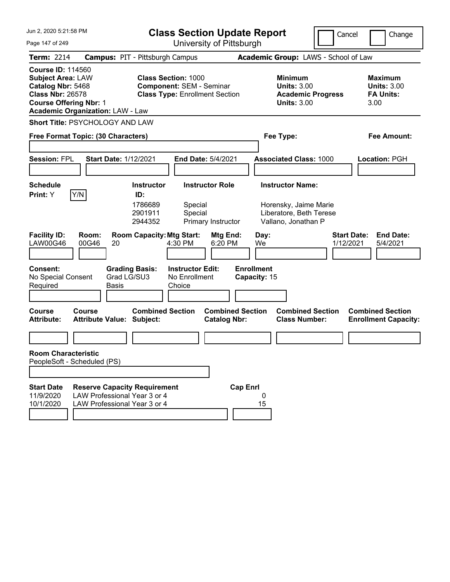| Jun 2, 2020 5:21:58 PM                                                                                                                                                           | <b>Class Section Update Report</b>                                                                                              |                                                                                                    | Cancel<br>Change                                                 |
|----------------------------------------------------------------------------------------------------------------------------------------------------------------------------------|---------------------------------------------------------------------------------------------------------------------------------|----------------------------------------------------------------------------------------------------|------------------------------------------------------------------|
| Page 147 of 249                                                                                                                                                                  | University of Pittsburgh                                                                                                        |                                                                                                    |                                                                  |
| <b>Term: 2214</b>                                                                                                                                                                | <b>Campus: PIT - Pittsburgh Campus</b>                                                                                          | Academic Group: LAWS - School of Law                                                               |                                                                  |
| <b>Course ID: 114560</b><br><b>Subject Area: LAW</b><br>Catalog Nbr: 5468<br><b>Class Nbr: 26578</b><br><b>Course Offering Nbr: 1</b><br><b>Academic Organization: LAW - Law</b> | <b>Class Section: 1000</b><br><b>Component: SEM - Seminar</b><br><b>Class Type: Enrollment Section</b>                          | Minimum<br><b>Units: 3.00</b><br><b>Academic Progress</b><br><b>Units: 3.00</b>                    | <b>Maximum</b><br><b>Units: 3.00</b><br><b>FA Units:</b><br>3.00 |
| Short Title: PSYCHOLOGY AND LAW                                                                                                                                                  |                                                                                                                                 |                                                                                                    |                                                                  |
| Free Format Topic: (30 Characters)                                                                                                                                               |                                                                                                                                 | Fee Type:                                                                                          | Fee Amount:                                                      |
| <b>Session: FPL</b><br><b>Start Date: 1/12/2021</b>                                                                                                                              | End Date: 5/4/2021                                                                                                              | <b>Associated Class: 1000</b>                                                                      | Location: PGH                                                    |
| <b>Schedule</b><br>Y/N<br>Print: Y                                                                                                                                               | <b>Instructor Role</b><br><b>Instructor</b><br>ID:<br>1786689<br>Special<br>2901911<br>Special<br>2944352<br>Primary Instructor | <b>Instructor Name:</b><br>Horensky, Jaime Marie<br>Liberatore, Beth Terese<br>Vallano, Jonathan P |                                                                  |
| <b>Facility ID:</b><br>Room:<br>LAW00G46<br>00G46<br>20                                                                                                                          | <b>Room Capacity: Mtg Start:</b><br>Mtg End:<br>4:30 PM<br>6:20 PM                                                              | Day:<br>We                                                                                         | <b>Start Date:</b><br><b>End Date:</b><br>1/12/2021<br>5/4/2021  |
| <b>Consent:</b><br>No Special Consent<br>Required<br>Basis                                                                                                                       | <b>Instructor Edit:</b><br><b>Grading Basis:</b><br>Grad LG/SU3<br>No Enrollment<br>Choice                                      | <b>Enrollment</b><br>Capacity: 15                                                                  |                                                                  |
| <b>Course</b><br>Course<br><b>Attribute:</b><br><b>Attribute Value: Subject:</b>                                                                                                 | <b>Combined Section</b><br><b>Combined Section</b><br><b>Catalog Nbr:</b>                                                       | <b>Combined Section</b><br><b>Class Number:</b>                                                    | <b>Combined Section</b><br><b>Enrollment Capacity:</b>           |
|                                                                                                                                                                                  |                                                                                                                                 |                                                                                                    |                                                                  |
| <b>Room Characteristic</b><br>PeopleSoft - Scheduled (PS)                                                                                                                        |                                                                                                                                 |                                                                                                    |                                                                  |
|                                                                                                                                                                                  |                                                                                                                                 |                                                                                                    |                                                                  |
| <b>Start Date</b><br>LAW Professional Year 3 or 4<br>11/9/2020<br>10/1/2020<br>LAW Professional Year 3 or 4                                                                      | <b>Reserve Capacity Requirement</b>                                                                                             | <b>Cap Enrl</b><br>0<br>15                                                                         |                                                                  |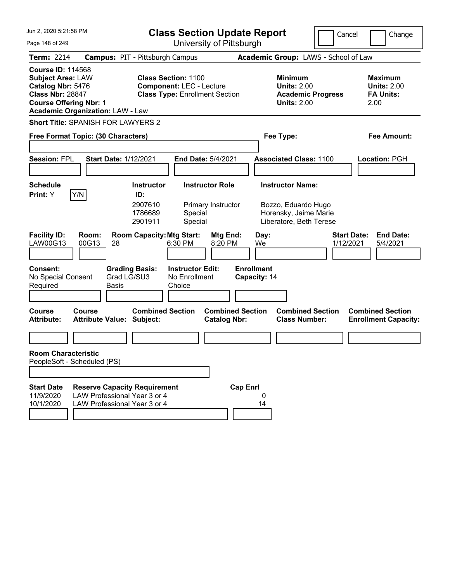| Jun 2, 2020 5:21:58 PM<br>Page 148 of 249                                                                                                                                        | <b>Class Section Update Report</b><br>University of Pittsburgh                                                                  | Cancel                                                                                             | Change                                                           |  |  |  |
|----------------------------------------------------------------------------------------------------------------------------------------------------------------------------------|---------------------------------------------------------------------------------------------------------------------------------|----------------------------------------------------------------------------------------------------|------------------------------------------------------------------|--|--|--|
| <b>Term: 2214</b>                                                                                                                                                                | <b>Campus: PIT - Pittsburgh Campus</b>                                                                                          | Academic Group: LAWS - School of Law                                                               |                                                                  |  |  |  |
| <b>Course ID: 114568</b><br><b>Subject Area: LAW</b><br>Catalog Nbr: 5476<br><b>Class Nbr: 28847</b><br><b>Course Offering Nbr: 1</b><br><b>Academic Organization: LAW - Law</b> | <b>Class Section: 1100</b><br><b>Component: LEC - Lecture</b><br><b>Class Type: Enrollment Section</b>                          | <b>Minimum</b><br><b>Units: 2.00</b><br><b>Academic Progress</b><br><b>Units: 2.00</b>             | <b>Maximum</b><br><b>Units: 2.00</b><br><b>FA Units:</b><br>2.00 |  |  |  |
| <b>Short Title: SPANISH FOR LAWYERS 2</b>                                                                                                                                        |                                                                                                                                 |                                                                                                    |                                                                  |  |  |  |
| Free Format Topic: (30 Characters)                                                                                                                                               |                                                                                                                                 | Fee Type:                                                                                          |                                                                  |  |  |  |
| <b>Session: FPL</b><br><b>Start Date: 1/12/2021</b>                                                                                                                              | <b>End Date: 5/4/2021</b>                                                                                                       | <b>Associated Class: 1100</b>                                                                      | Location: PGH                                                    |  |  |  |
| Schedule<br>Y/N<br><b>Print:</b> Y                                                                                                                                               | <b>Instructor Role</b><br><b>Instructor</b><br>ID:<br>2907610<br>Primary Instructor<br>1786689<br>Special<br>Special<br>2901911 | <b>Instructor Name:</b><br>Bozzo, Eduardo Hugo<br>Horensky, Jaime Marie<br>Liberatore, Beth Terese |                                                                  |  |  |  |
| <b>Facility ID:</b><br>Room:<br>LAW00G13<br>00G13<br>28                                                                                                                          | <b>Room Capacity: Mtg Start:</b><br>Mtg End:<br>6:30 PM<br>8:20 PM                                                              | Day:<br>We<br>1/12/2021                                                                            | <b>Start Date:</b><br><b>End Date:</b><br>5/4/2021               |  |  |  |
| <b>Consent:</b><br><b>Grading Basis:</b><br>Grad LG/SU3<br>No Special Consent<br>Required<br><b>Basis</b>                                                                        | <b>Instructor Edit:</b><br>No Enrollment<br>Choice                                                                              | <b>Enrollment</b><br>Capacity: 14                                                                  |                                                                  |  |  |  |
| <b>Course</b><br>Course<br><b>Attribute:</b><br><b>Attribute Value: Subject:</b>                                                                                                 | <b>Combined Section</b><br><b>Combined Section</b><br><b>Catalog Nbr:</b>                                                       | <b>Combined Section</b><br><b>Class Number:</b>                                                    | <b>Combined Section</b><br><b>Enrollment Capacity:</b>           |  |  |  |
|                                                                                                                                                                                  |                                                                                                                                 |                                                                                                    |                                                                  |  |  |  |
| <b>Room Characteristic</b>                                                                                                                                                       |                                                                                                                                 |                                                                                                    |                                                                  |  |  |  |
| PeopleSoft - Scheduled (PS)                                                                                                                                                      |                                                                                                                                 |                                                                                                    |                                                                  |  |  |  |
| <b>Start Date</b><br><b>Reserve Capacity Requirement</b><br>LAW Professional Year 3 or 4<br>11/9/2020<br>10/1/2020<br>LAW Professional Year 3 or 4                               | <b>Cap Enrl</b>                                                                                                                 | 0<br>14                                                                                            |                                                                  |  |  |  |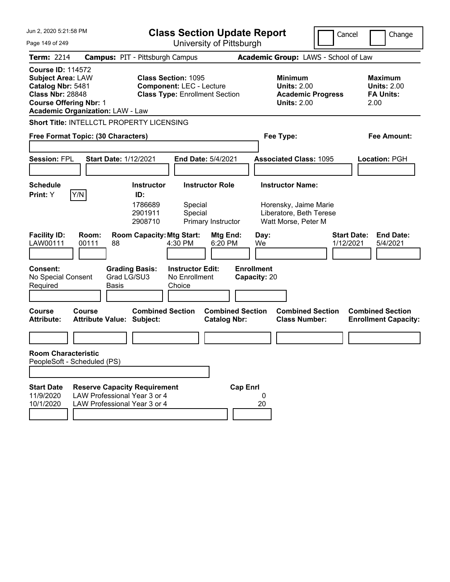| Jun 2, 2020 5:21:58 PM                                                                                                                                                           | <b>Class Section Update Report</b>                                                                                              |                                                                                                    | Cancel<br>Change                                                 |  |  |  |
|----------------------------------------------------------------------------------------------------------------------------------------------------------------------------------|---------------------------------------------------------------------------------------------------------------------------------|----------------------------------------------------------------------------------------------------|------------------------------------------------------------------|--|--|--|
| Page 149 of 249                                                                                                                                                                  | University of Pittsburgh                                                                                                        |                                                                                                    |                                                                  |  |  |  |
| <b>Term: 2214</b>                                                                                                                                                                | <b>Campus: PIT - Pittsburgh Campus</b>                                                                                          | Academic Group: LAWS - School of Law                                                               |                                                                  |  |  |  |
| <b>Course ID: 114572</b><br><b>Subject Area: LAW</b><br>Catalog Nbr: 5481<br><b>Class Nbr: 28848</b><br><b>Course Offering Nbr: 1</b><br><b>Academic Organization: LAW - Law</b> | <b>Class Section: 1095</b><br><b>Component: LEC - Lecture</b><br><b>Class Type: Enrollment Section</b>                          | Minimum<br><b>Units: 2.00</b><br><b>Academic Progress</b><br><b>Units: 2.00</b>                    | <b>Maximum</b><br><b>Units: 2.00</b><br><b>FA Units:</b><br>2.00 |  |  |  |
| Short Title: INTELLCTL PROPERTY LICENSING                                                                                                                                        |                                                                                                                                 |                                                                                                    |                                                                  |  |  |  |
| Free Format Topic: (30 Characters)                                                                                                                                               |                                                                                                                                 | Fee Type:<br>Fee Amount:                                                                           |                                                                  |  |  |  |
| <b>Session: FPL</b><br><b>Start Date: 1/12/2021</b>                                                                                                                              | End Date: 5/4/2021                                                                                                              | <b>Associated Class: 1095</b>                                                                      | Location: PGH                                                    |  |  |  |
| <b>Schedule</b><br>Y/N<br>Print: Y                                                                                                                                               | <b>Instructor Role</b><br><b>Instructor</b><br>ID:<br>1786689<br>Special<br>2901911<br>Special<br>2908710<br>Primary Instructor | <b>Instructor Name:</b><br>Horensky, Jaime Marie<br>Liberatore, Beth Terese<br>Watt Morse, Peter M |                                                                  |  |  |  |
| <b>Facility ID:</b><br>Room:<br>LAW00111<br>00111<br>88                                                                                                                          | <b>Room Capacity: Mtg Start:</b><br>Mtg End:<br>4:30 PM<br>6:20 PM                                                              | Day:<br>We                                                                                         | <b>Start Date:</b><br><b>End Date:</b><br>1/12/2021<br>5/4/2021  |  |  |  |
| <b>Consent:</b><br>Grad LG/SU3<br>No Special Consent<br>Required<br>Basis                                                                                                        | <b>Instructor Edit:</b><br><b>Grading Basis:</b><br>No Enrollment<br>Choice                                                     | <b>Enrollment</b><br>Capacity: 20                                                                  |                                                                  |  |  |  |
| <b>Course</b><br>Course<br><b>Attribute:</b><br><b>Attribute Value: Subject:</b>                                                                                                 | <b>Combined Section</b><br><b>Combined Section</b><br><b>Catalog Nbr:</b>                                                       | <b>Combined Section</b><br><b>Class Number:</b>                                                    | <b>Combined Section</b><br><b>Enrollment Capacity:</b>           |  |  |  |
|                                                                                                                                                                                  |                                                                                                                                 |                                                                                                    |                                                                  |  |  |  |
| <b>Room Characteristic</b><br>PeopleSoft - Scheduled (PS)                                                                                                                        |                                                                                                                                 |                                                                                                    |                                                                  |  |  |  |
|                                                                                                                                                                                  |                                                                                                                                 |                                                                                                    |                                                                  |  |  |  |
| <b>Start Date</b><br><b>Reserve Capacity Requirement</b><br>LAW Professional Year 3 or 4<br>11/9/2020<br>10/1/2020<br>LAW Professional Year 3 or 4                               | <b>Cap Enrl</b>                                                                                                                 | 0<br>20                                                                                            |                                                                  |  |  |  |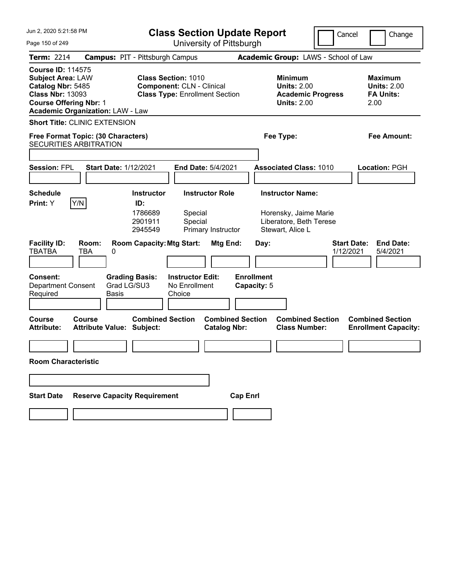| Jun 2, 2020 5:21:58 PM                            |                                                                                                                                                                                              | <b>Class Section Update Report</b>  |                                                    |                                                                                                         |                                  |                         | Cancel                                                                                 | Change                          |                                                                  |
|---------------------------------------------------|----------------------------------------------------------------------------------------------------------------------------------------------------------------------------------------------|-------------------------------------|----------------------------------------------------|---------------------------------------------------------------------------------------------------------|----------------------------------|-------------------------|----------------------------------------------------------------------------------------|---------------------------------|------------------------------------------------------------------|
| Page 150 of 249                                   |                                                                                                                                                                                              |                                     |                                                    |                                                                                                         | University of Pittsburgh         |                         |                                                                                        |                                 |                                                                  |
| <b>Term: 2214</b>                                 | <b>Campus: PIT - Pittsburgh Campus</b>                                                                                                                                                       |                                     |                                                    |                                                                                                         |                                  |                         | Academic Group: LAWS - School of Law                                                   |                                 |                                                                  |
| <b>Course ID: 114575</b>                          | <b>Subject Area: LAW</b><br>Catalog Nbr: 5485<br><b>Class Nbr: 13093</b><br><b>Course Offering Nbr: 1</b><br><b>Academic Organization: LAW - Law</b><br><b>Short Title: CLINIC EXTENSION</b> |                                     |                                                    | <b>Class Section: 1010</b><br><b>Component: CLN - Clinical</b><br><b>Class Type: Enrollment Section</b> |                                  |                         | <b>Minimum</b><br><b>Units: 2.00</b><br><b>Academic Progress</b><br><b>Units: 2.00</b> |                                 | <b>Maximum</b><br><b>Units: 2.00</b><br><b>FA Units:</b><br>2.00 |
|                                                   |                                                                                                                                                                                              |                                     |                                                    |                                                                                                         |                                  |                         |                                                                                        |                                 |                                                                  |
| <b>SECURITIES ARBITRATION</b>                     | Free Format Topic: (30 Characters)                                                                                                                                                           |                                     |                                                    |                                                                                                         |                                  | Fee Type:               |                                                                                        |                                 | <b>Fee Amount:</b>                                               |
|                                                   |                                                                                                                                                                                              |                                     |                                                    |                                                                                                         |                                  |                         |                                                                                        |                                 |                                                                  |
| <b>Session: FPL</b>                               | <b>Start Date: 1/12/2021</b>                                                                                                                                                                 |                                     |                                                    | <b>End Date: 5/4/2021</b>                                                                               |                                  |                         | <b>Associated Class: 1010</b>                                                          |                                 | <b>Location: PGH</b>                                             |
|                                                   |                                                                                                                                                                                              |                                     |                                                    |                                                                                                         |                                  |                         |                                                                                        |                                 |                                                                  |
| <b>Schedule</b><br>Print: Y                       | Y/N                                                                                                                                                                                          | <b>Instructor</b><br>ID:<br>1786689 | Special                                            | <b>Instructor Role</b>                                                                                  |                                  | <b>Instructor Name:</b> | Horensky, Jaime Marie                                                                  |                                 |                                                                  |
|                                                   |                                                                                                                                                                                              | 2901911<br>2945549                  | Special                                            | Primary Instructor                                                                                      |                                  |                         | Liberatore, Beth Terese                                                                |                                 |                                                                  |
| <b>Facility ID:</b><br><b>TBATBA</b>              | Room:<br><b>TBA</b><br>0                                                                                                                                                                     | <b>Room Capacity: Mtg Start:</b>    |                                                    | Mtg End:                                                                                                | Day:                             | Stewart, Alice L        |                                                                                        | <b>Start Date:</b><br>1/12/2021 | <b>End Date:</b><br>5/4/2021                                     |
| Consent:<br><b>Department Consent</b><br>Required | Grad LG/SU3<br><b>Basis</b>                                                                                                                                                                  | <b>Grading Basis:</b>               | <b>Instructor Edit:</b><br>No Enrollment<br>Choice |                                                                                                         | <b>Enrollment</b><br>Capacity: 5 |                         |                                                                                        |                                 |                                                                  |
| <b>Course</b><br><b>Attribute:</b>                | Course<br><b>Attribute Value: Subject:</b>                                                                                                                                                   | <b>Combined Section</b>             |                                                    | <b>Catalog Nbr:</b>                                                                                     | <b>Combined Section</b>          |                         | <b>Combined Section</b><br><b>Class Number:</b>                                        |                                 | <b>Combined Section</b><br><b>Enrollment Capacity:</b>           |
|                                                   |                                                                                                                                                                                              |                                     |                                                    |                                                                                                         |                                  |                         |                                                                                        |                                 |                                                                  |
| <b>Room Characteristic</b>                        |                                                                                                                                                                                              |                                     |                                                    |                                                                                                         |                                  |                         |                                                                                        |                                 |                                                                  |
|                                                   |                                                                                                                                                                                              |                                     |                                                    |                                                                                                         |                                  |                         |                                                                                        |                                 |                                                                  |
| <b>Start Date</b>                                 | <b>Reserve Capacity Requirement</b>                                                                                                                                                          |                                     |                                                    |                                                                                                         | <b>Cap Enrl</b>                  |                         |                                                                                        |                                 |                                                                  |
|                                                   |                                                                                                                                                                                              |                                     |                                                    |                                                                                                         |                                  |                         |                                                                                        |                                 |                                                                  |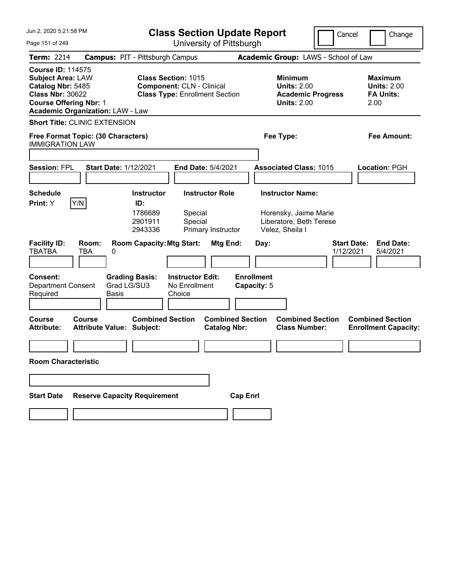| Jun 2, 2020 5:21:58 PM                                                                                                                                                                                                   |                                                   |                                                | <b>Class Section Update Report</b>                                                                      |                                                |                                  |      |                                                                                        | Cancel                          | Change                                                           |
|--------------------------------------------------------------------------------------------------------------------------------------------------------------------------------------------------------------------------|---------------------------------------------------|------------------------------------------------|---------------------------------------------------------------------------------------------------------|------------------------------------------------|----------------------------------|------|----------------------------------------------------------------------------------------|---------------------------------|------------------------------------------------------------------|
| Page 151 of 249                                                                                                                                                                                                          |                                                   |                                                |                                                                                                         | University of Pittsburgh                       |                                  |      |                                                                                        |                                 |                                                                  |
| <b>Term: 2214</b>                                                                                                                                                                                                        | <b>Campus: PIT - Pittsburgh Campus</b>            |                                                |                                                                                                         |                                                |                                  |      | Academic Group: LAWS - School of Law                                                   |                                 |                                                                  |
| <b>Course ID: 114575</b><br><b>Subject Area: LAW</b><br>Catalog Nbr: 5485<br><b>Class Nbr: 30622</b><br><b>Course Offering Nbr: 1</b><br><b>Academic Organization: LAW - Law</b><br><b>Short Title: CLINIC EXTENSION</b> |                                                   |                                                | <b>Class Section: 1015</b><br><b>Component: CLN - Clinical</b><br><b>Class Type: Enrollment Section</b> |                                                |                                  |      | <b>Minimum</b><br><b>Units: 2.00</b><br><b>Academic Progress</b><br><b>Units: 2.00</b> |                                 | <b>Maximum</b><br><b>Units: 2.00</b><br><b>FA Units:</b><br>2.00 |
|                                                                                                                                                                                                                          |                                                   |                                                |                                                                                                         |                                                |                                  |      |                                                                                        |                                 |                                                                  |
| <b>IMMIGRATION LAW</b>                                                                                                                                                                                                   | Free Format Topic: (30 Characters)                |                                                |                                                                                                         |                                                |                                  |      | Fee Type:                                                                              |                                 | <b>Fee Amount:</b>                                               |
|                                                                                                                                                                                                                          |                                                   |                                                |                                                                                                         |                                                |                                  |      |                                                                                        |                                 |                                                                  |
| <b>Session: FPL</b>                                                                                                                                                                                                      | <b>Start Date: 1/12/2021</b>                      |                                                |                                                                                                         | <b>End Date: 5/4/2021</b>                      |                                  |      | <b>Associated Class: 1015</b>                                                          |                                 | Location: PGH                                                    |
|                                                                                                                                                                                                                          |                                                   |                                                |                                                                                                         |                                                |                                  |      |                                                                                        |                                 |                                                                  |
| <b>Schedule</b><br>Print: Y                                                                                                                                                                                              | Y/N                                               | <b>Instructor</b><br>ID:<br>1786689<br>2901911 | Special<br>Special                                                                                      | <b>Instructor Role</b>                         |                                  |      | <b>Instructor Name:</b><br>Horensky, Jaime Marie<br>Liberatore, Beth Terese            |                                 |                                                                  |
| <b>Facility ID:</b><br><b>TBATBA</b>                                                                                                                                                                                     | Room:<br><b>TBA</b><br>0                          | 2943336<br><b>Room Capacity: Mtg Start:</b>    |                                                                                                         | Primary Instructor<br>Mtg End:                 |                                  | Day: | Velez, Sheila I                                                                        | <b>Start Date:</b><br>1/12/2021 | <b>End Date:</b><br>5/4/2021                                     |
| Consent:<br><b>Department Consent</b><br>Required                                                                                                                                                                        | Grad LG/SU3<br><b>Basis</b>                       | <b>Grading Basis:</b>                          | <b>Instructor Edit:</b><br>No Enrollment<br>Choice                                                      |                                                | <b>Enrollment</b><br>Capacity: 5 |      |                                                                                        |                                 |                                                                  |
| <b>Course</b><br><b>Attribute:</b>                                                                                                                                                                                       | <b>Course</b><br><b>Attribute Value: Subject:</b> | <b>Combined Section</b>                        |                                                                                                         | <b>Combined Section</b><br><b>Catalog Nbr:</b> |                                  |      | <b>Combined Section</b><br><b>Class Number:</b>                                        |                                 | <b>Combined Section</b><br><b>Enrollment Capacity:</b>           |
| <b>Room Characteristic</b>                                                                                                                                                                                               |                                                   |                                                |                                                                                                         |                                                |                                  |      |                                                                                        |                                 |                                                                  |
|                                                                                                                                                                                                                          |                                                   |                                                |                                                                                                         |                                                |                                  |      |                                                                                        |                                 |                                                                  |
| <b>Start Date</b>                                                                                                                                                                                                        | <b>Reserve Capacity Requirement</b>               |                                                |                                                                                                         |                                                | <b>Cap Enrl</b>                  |      |                                                                                        |                                 |                                                                  |
|                                                                                                                                                                                                                          |                                                   |                                                |                                                                                                         |                                                |                                  |      |                                                                                        |                                 |                                                                  |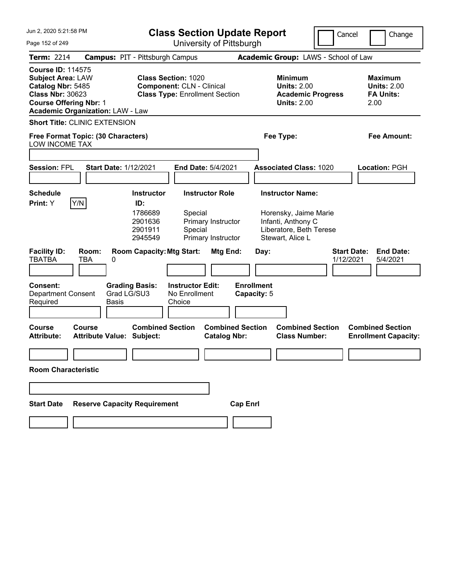| Jun 2, 2020 5:21:58 PM                                                                                                                                                                            | <b>Class Section Update Report</b>                                                                                                                        | Cancel                                                                                                                | Change                                                           |  |  |  |  |  |
|---------------------------------------------------------------------------------------------------------------------------------------------------------------------------------------------------|-----------------------------------------------------------------------------------------------------------------------------------------------------------|-----------------------------------------------------------------------------------------------------------------------|------------------------------------------------------------------|--|--|--|--|--|
| Page 152 of 249                                                                                                                                                                                   | University of Pittsburgh                                                                                                                                  |                                                                                                                       |                                                                  |  |  |  |  |  |
| <b>Term: 2214</b>                                                                                                                                                                                 | <b>Campus: PIT - Pittsburgh Campus</b>                                                                                                                    | Academic Group: LAWS - School of Law                                                                                  |                                                                  |  |  |  |  |  |
| <b>Course ID: 114575</b><br><b>Subject Area: LAW</b><br>Catalog Nbr: 5485<br><b>Class Nbr: 30623</b><br><b>Course Offering Nbr: 1</b><br><b>Academic Organization: LAW - Law</b>                  | <b>Class Section: 1020</b><br><b>Component: CLN - Clinical</b><br><b>Class Type: Enrollment Section</b>                                                   | <b>Minimum</b><br><b>Units: 2.00</b><br><b>Academic Progress</b><br><b>Units: 2.00</b>                                | <b>Maximum</b><br><b>Units: 2.00</b><br><b>FA Units:</b><br>2.00 |  |  |  |  |  |
| <b>Short Title: CLINIC EXTENSION</b>                                                                                                                                                              |                                                                                                                                                           |                                                                                                                       |                                                                  |  |  |  |  |  |
| Free Format Topic: (30 Characters)<br>LOW INCOME TAX                                                                                                                                              |                                                                                                                                                           | Fee Type:<br>Fee Amount:                                                                                              |                                                                  |  |  |  |  |  |
| <b>Session: FPL</b><br><b>Start Date: 1/12/2021</b>                                                                                                                                               | End Date: 5/4/2021                                                                                                                                        | <b>Associated Class: 1020</b>                                                                                         | Location: PGH                                                    |  |  |  |  |  |
| Schedule<br>Print: Y<br> Y/N <br>ID:                                                                                                                                                              | <b>Instructor Role</b><br><b>Instructor</b><br>1786689<br>Special<br>Primary Instructor<br>2901636<br>Special<br>2901911<br>2945549<br>Primary Instructor | <b>Instructor Name:</b><br>Horensky, Jaime Marie<br>Infanti, Anthony C<br>Liberatore, Beth Terese<br>Stewart, Alice L |                                                                  |  |  |  |  |  |
| <b>Facility ID:</b><br>Room:<br><b>TBATBA</b><br>TBA<br>0<br><b>Consent:</b><br><b>Grading Basis:</b><br>Grad LG/SU3<br><b>Department Consent</b><br>Required<br><b>Basis</b><br>Course<br>Course | <b>Room Capacity: Mtg Start:</b><br>Mtg End:<br><b>Instructor Edit:</b><br>No Enrollment<br>Choice<br><b>Combined Section</b><br><b>Combined Section</b>  | <b>Start Date:</b><br>Day:<br>1/12/2021<br><b>Enrollment</b><br>Capacity: 5<br><b>Combined Section</b>                | <b>End Date:</b><br>5/4/2021<br><b>Combined Section</b>          |  |  |  |  |  |
| <b>Attribute Value: Subject:</b><br><b>Attribute:</b>                                                                                                                                             | <b>Catalog Nbr:</b>                                                                                                                                       | <b>Class Number:</b>                                                                                                  | <b>Enrollment Capacity:</b>                                      |  |  |  |  |  |
|                                                                                                                                                                                                   |                                                                                                                                                           |                                                                                                                       |                                                                  |  |  |  |  |  |
| <b>Room Characteristic</b>                                                                                                                                                                        |                                                                                                                                                           |                                                                                                                       |                                                                  |  |  |  |  |  |
|                                                                                                                                                                                                   |                                                                                                                                                           |                                                                                                                       |                                                                  |  |  |  |  |  |
| <b>Reserve Capacity Requirement</b><br><b>Start Date</b>                                                                                                                                          | <b>Cap Enrl</b>                                                                                                                                           |                                                                                                                       |                                                                  |  |  |  |  |  |
|                                                                                                                                                                                                   |                                                                                                                                                           |                                                                                                                       |                                                                  |  |  |  |  |  |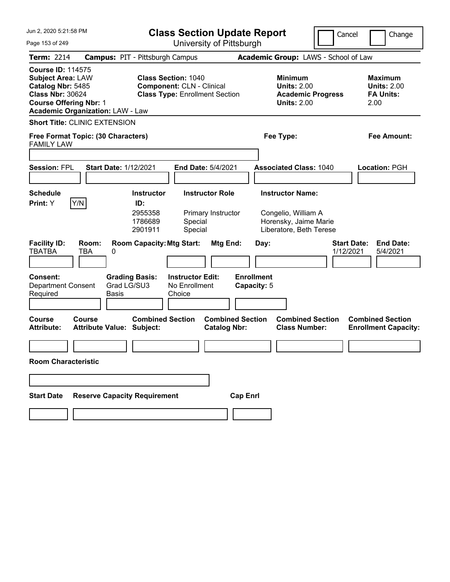| Jun 2, 2020 5:21:58 PM                                                                                                                                                           |                                            | <b>Class Section Update Report</b>                                                                      |                                                    |                                                |                                  |                                                                                        | Cancel                                                                                             |                                 | Change                                                   |                                                        |
|----------------------------------------------------------------------------------------------------------------------------------------------------------------------------------|--------------------------------------------|---------------------------------------------------------------------------------------------------------|----------------------------------------------------|------------------------------------------------|----------------------------------|----------------------------------------------------------------------------------------|----------------------------------------------------------------------------------------------------|---------------------------------|----------------------------------------------------------|--------------------------------------------------------|
| Page 153 of 249                                                                                                                                                                  |                                            |                                                                                                         |                                                    | University of Pittsburgh                       |                                  |                                                                                        |                                                                                                    |                                 |                                                          |                                                        |
| <b>Term: 2214</b>                                                                                                                                                                | <b>Campus: PIT - Pittsburgh Campus</b>     |                                                                                                         |                                                    |                                                |                                  |                                                                                        | Academic Group: LAWS - School of Law                                                               |                                 |                                                          |                                                        |
| <b>Course ID: 114575</b><br><b>Subject Area: LAW</b><br>Catalog Nbr: 5485<br><b>Class Nbr: 30624</b><br><b>Course Offering Nbr: 1</b><br><b>Academic Organization: LAW - Law</b> |                                            | <b>Class Section: 1040</b><br><b>Component: CLN - Clinical</b><br><b>Class Type: Enrollment Section</b> |                                                    |                                                |                                  | <b>Minimum</b><br><b>Units: 2.00</b><br><b>Academic Progress</b><br><b>Units: 2.00</b> |                                                                                                    | 2.00                            | <b>Maximum</b><br><b>Units: 2.00</b><br><b>FA Units:</b> |                                                        |
|                                                                                                                                                                                  | <b>Short Title: CLINIC EXTENSION</b>       |                                                                                                         |                                                    |                                                |                                  |                                                                                        |                                                                                                    |                                 |                                                          |                                                        |
| <b>FAMILY LAW</b>                                                                                                                                                                | Free Format Topic: (30 Characters)         |                                                                                                         |                                                    |                                                |                                  |                                                                                        | Fee Type:                                                                                          |                                 |                                                          | <b>Fee Amount:</b>                                     |
|                                                                                                                                                                                  |                                            |                                                                                                         |                                                    |                                                |                                  |                                                                                        |                                                                                                    |                                 |                                                          |                                                        |
| <b>Session: FPL</b>                                                                                                                                                              | <b>Start Date: 1/12/2021</b>               |                                                                                                         |                                                    | <b>End Date: 5/4/2021</b>                      |                                  |                                                                                        | <b>Associated Class: 1040</b>                                                                      |                                 |                                                          | Location: PGH                                          |
| <b>Schedule</b><br>Print: Y                                                                                                                                                      | Y/N                                        | <b>Instructor</b><br>ID:<br>2955358<br>1786689<br>2901911                                               | Special<br>Special                                 | <b>Instructor Role</b><br>Primary Instructor   |                                  |                                                                                        | <b>Instructor Name:</b><br>Congelio, William A<br>Horensky, Jaime Marie<br>Liberatore, Beth Terese |                                 |                                                          |                                                        |
| <b>Facility ID:</b><br><b>TBATBA</b>                                                                                                                                             | Room:<br><b>TBA</b><br>0                   | <b>Room Capacity: Mtg Start:</b>                                                                        |                                                    | Mtg End:                                       |                                  | Day:                                                                                   |                                                                                                    | <b>Start Date:</b><br>1/12/2021 |                                                          | <b>End Date:</b><br>5/4/2021                           |
| Consent:<br><b>Department Consent</b><br>Required                                                                                                                                | Grad LG/SU3<br><b>Basis</b>                | <b>Grading Basis:</b>                                                                                   | <b>Instructor Edit:</b><br>No Enrollment<br>Choice |                                                | <b>Enrollment</b><br>Capacity: 5 |                                                                                        |                                                                                                    |                                 |                                                          |                                                        |
| Course<br><b>Attribute:</b>                                                                                                                                                      | Course<br><b>Attribute Value: Subject:</b> | <b>Combined Section</b>                                                                                 |                                                    | <b>Combined Section</b><br><b>Catalog Nbr:</b> |                                  |                                                                                        | <b>Combined Section</b><br><b>Class Number:</b>                                                    |                                 |                                                          | <b>Combined Section</b><br><b>Enrollment Capacity:</b> |
| <b>Room Characteristic</b>                                                                                                                                                       |                                            |                                                                                                         |                                                    |                                                |                                  |                                                                                        |                                                                                                    |                                 |                                                          |                                                        |
|                                                                                                                                                                                  |                                            |                                                                                                         |                                                    |                                                |                                  |                                                                                        |                                                                                                    |                                 |                                                          |                                                        |
| <b>Start Date</b>                                                                                                                                                                | <b>Reserve Capacity Requirement</b>        |                                                                                                         |                                                    |                                                | <b>Cap Enrl</b>                  |                                                                                        |                                                                                                    |                                 |                                                          |                                                        |
|                                                                                                                                                                                  |                                            |                                                                                                         |                                                    |                                                |                                  |                                                                                        |                                                                                                    |                                 |                                                          |                                                        |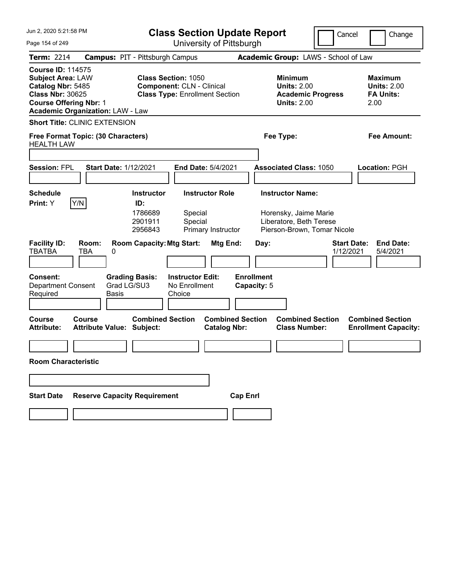| Jun 2, 2020 5:21:58 PM<br><b>Class Section Update Report</b>                                                                                                                     |                                                   |                                      |                                                                                                         |                           |                                  |                                                                                        | Cancel<br>Change                                                 |
|----------------------------------------------------------------------------------------------------------------------------------------------------------------------------------|---------------------------------------------------|--------------------------------------|---------------------------------------------------------------------------------------------------------|---------------------------|----------------------------------|----------------------------------------------------------------------------------------|------------------------------------------------------------------|
| Page 154 of 249                                                                                                                                                                  |                                                   |                                      |                                                                                                         |                           | University of Pittsburgh         |                                                                                        |                                                                  |
| <b>Term: 2214</b>                                                                                                                                                                | <b>Campus: PIT - Pittsburgh Campus</b>            |                                      |                                                                                                         |                           |                                  | Academic Group: LAWS - School of Law                                                   |                                                                  |
| <b>Course ID: 114575</b><br><b>Subject Area: LAW</b><br>Catalog Nbr: 5485<br><b>Class Nbr: 30625</b><br><b>Course Offering Nbr: 1</b><br><b>Academic Organization: LAW - Law</b> |                                                   |                                      | <b>Class Section: 1050</b><br><b>Component: CLN - Clinical</b><br><b>Class Type: Enrollment Section</b> |                           |                                  | <b>Minimum</b><br><b>Units: 2.00</b><br><b>Academic Progress</b><br><b>Units: 2.00</b> | <b>Maximum</b><br><b>Units: 2.00</b><br><b>FA Units:</b><br>2.00 |
|                                                                                                                                                                                  | <b>Short Title: CLINIC EXTENSION</b>              |                                      |                                                                                                         |                           |                                  |                                                                                        |                                                                  |
| <b>HEALTH LAW</b>                                                                                                                                                                | Free Format Topic: (30 Characters)                |                                      |                                                                                                         |                           |                                  | Fee Type:                                                                              | <b>Fee Amount:</b>                                               |
|                                                                                                                                                                                  |                                                   |                                      |                                                                                                         |                           |                                  |                                                                                        |                                                                  |
| <b>Session: FPL</b>                                                                                                                                                              | <b>Start Date: 1/12/2021</b>                      |                                      |                                                                                                         | <b>End Date: 5/4/2021</b> |                                  | <b>Associated Class: 1050</b>                                                          | Location: PGH                                                    |
|                                                                                                                                                                                  |                                                   |                                      |                                                                                                         |                           |                                  |                                                                                        |                                                                  |
| <b>Schedule</b>                                                                                                                                                                  |                                                   | <b>Instructor</b>                    |                                                                                                         | <b>Instructor Role</b>    |                                  | <b>Instructor Name:</b>                                                                |                                                                  |
| Print: Y                                                                                                                                                                         | Y/N                                               | ID:<br>1786689<br>2901911<br>2956843 | Special<br>Special                                                                                      | Primary Instructor        |                                  | Horensky, Jaime Marie<br>Liberatore, Beth Terese<br>Pierson-Brown, Tomar Nicole        |                                                                  |
| <b>Facility ID:</b><br><b>TBATBA</b>                                                                                                                                             | Room:<br><b>TBA</b><br>0                          | <b>Room Capacity: Mtg Start:</b>     |                                                                                                         | Mtg End:                  | Day:                             |                                                                                        | <b>Start Date:</b><br><b>End Date:</b><br>1/12/2021<br>5/4/2021  |
| Consent:<br><b>Department Consent</b><br>Required                                                                                                                                | Grad LG/SU3<br><b>Basis</b>                       | <b>Grading Basis:</b>                | <b>Instructor Edit:</b><br>No Enrollment<br>Choice                                                      |                           | <b>Enrollment</b><br>Capacity: 5 |                                                                                        |                                                                  |
| <b>Course</b><br><b>Attribute:</b>                                                                                                                                               | <b>Course</b><br><b>Attribute Value: Subject:</b> | <b>Combined Section</b>              |                                                                                                         | <b>Catalog Nbr:</b>       | <b>Combined Section</b>          | <b>Combined Section</b><br><b>Class Number:</b>                                        | <b>Combined Section</b><br><b>Enrollment Capacity:</b>           |
| <b>Room Characteristic</b>                                                                                                                                                       |                                                   |                                      |                                                                                                         |                           |                                  |                                                                                        |                                                                  |
|                                                                                                                                                                                  |                                                   |                                      |                                                                                                         |                           |                                  |                                                                                        |                                                                  |
| <b>Start Date</b>                                                                                                                                                                | <b>Reserve Capacity Requirement</b>               |                                      |                                                                                                         |                           | <b>Cap Enrl</b>                  |                                                                                        |                                                                  |
|                                                                                                                                                                                  |                                                   |                                      |                                                                                                         |                           |                                  |                                                                                        |                                                                  |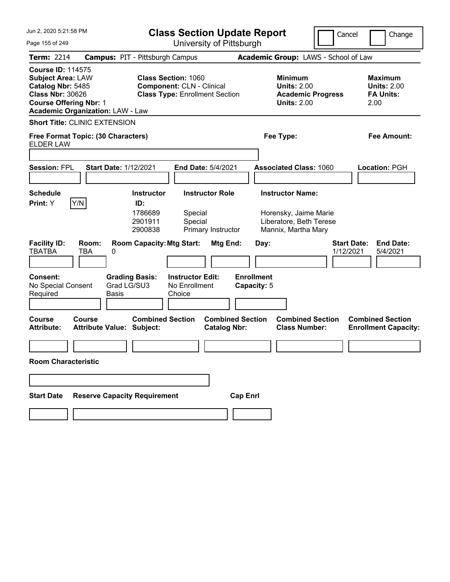| Jun 2, 2020 5:21:58 PM                                                                                                                                                           |                                            | <b>Class Section Update Report</b>                                                                      |                                                    |                           |                                                                                        |      |                                                                         | Cancel |                                 | Change                                                   |                                                        |
|----------------------------------------------------------------------------------------------------------------------------------------------------------------------------------|--------------------------------------------|---------------------------------------------------------------------------------------------------------|----------------------------------------------------|---------------------------|----------------------------------------------------------------------------------------|------|-------------------------------------------------------------------------|--------|---------------------------------|----------------------------------------------------------|--------------------------------------------------------|
| Page 155 of 249                                                                                                                                                                  |                                            |                                                                                                         |                                                    | University of Pittsburgh  |                                                                                        |      |                                                                         |        |                                 |                                                          |                                                        |
| <b>Term: 2214</b>                                                                                                                                                                | <b>Campus: PIT - Pittsburgh Campus</b>     |                                                                                                         |                                                    |                           |                                                                                        |      | Academic Group: LAWS - School of Law                                    |        |                                 |                                                          |                                                        |
| <b>Course ID: 114575</b><br><b>Subject Area: LAW</b><br>Catalog Nbr: 5485<br><b>Class Nbr: 30626</b><br><b>Course Offering Nbr: 1</b><br><b>Academic Organization: LAW - Law</b> |                                            | <b>Class Section: 1060</b><br><b>Component: CLN - Clinical</b><br><b>Class Type: Enrollment Section</b> |                                                    |                           | <b>Minimum</b><br><b>Units: 2.00</b><br><b>Academic Progress</b><br><b>Units: 2.00</b> |      |                                                                         |        | 2.00                            | <b>Maximum</b><br><b>Units: 2.00</b><br><b>FA Units:</b> |                                                        |
|                                                                                                                                                                                  | <b>Short Title: CLINIC EXTENSION</b>       |                                                                                                         |                                                    |                           |                                                                                        |      |                                                                         |        |                                 |                                                          |                                                        |
| <b>ELDER LAW</b>                                                                                                                                                                 | Free Format Topic: (30 Characters)         |                                                                                                         |                                                    |                           |                                                                                        |      | Fee Type:                                                               |        |                                 |                                                          | <b>Fee Amount:</b>                                     |
|                                                                                                                                                                                  |                                            |                                                                                                         |                                                    |                           |                                                                                        |      |                                                                         |        |                                 |                                                          |                                                        |
| <b>Session: FPL</b>                                                                                                                                                              | <b>Start Date: 1/12/2021</b>               |                                                                                                         |                                                    | <b>End Date: 5/4/2021</b> |                                                                                        |      | <b>Associated Class: 1060</b>                                           |        |                                 |                                                          | <b>Location: PGH</b>                                   |
|                                                                                                                                                                                  |                                            |                                                                                                         |                                                    |                           |                                                                                        |      |                                                                         |        |                                 |                                                          |                                                        |
| <b>Schedule</b><br>Print: Y                                                                                                                                                      |                                            | <b>Instructor</b><br>ID:                                                                                |                                                    | <b>Instructor Role</b>    |                                                                                        |      | <b>Instructor Name:</b>                                                 |        |                                 |                                                          |                                                        |
|                                                                                                                                                                                  | Y/N                                        | 1786689<br>2901911<br>2900838                                                                           | Special<br>Special                                 | Primary Instructor        |                                                                                        |      | Horensky, Jaime Marie<br>Liberatore, Beth Terese<br>Mannix, Martha Mary |        |                                 |                                                          |                                                        |
| <b>Facility ID:</b><br><b>TBATBA</b>                                                                                                                                             | Room:<br><b>TBA</b><br>0                   | <b>Room Capacity: Mtg Start:</b>                                                                        |                                                    | Mtg End:                  |                                                                                        | Day: |                                                                         |        | <b>Start Date:</b><br>1/12/2021 |                                                          | <b>End Date:</b><br>5/4/2021                           |
| Consent:<br>No Special Consent<br>Required                                                                                                                                       | Grad LG/SU3<br><b>Basis</b>                | <b>Grading Basis:</b>                                                                                   | <b>Instructor Edit:</b><br>No Enrollment<br>Choice |                           | <b>Enrollment</b><br>Capacity: 5                                                       |      |                                                                         |        |                                 |                                                          |                                                        |
| Course<br><b>Attribute:</b>                                                                                                                                                      | Course<br><b>Attribute Value: Subject:</b> | <b>Combined Section</b>                                                                                 |                                                    | <b>Catalog Nbr:</b>       | <b>Combined Section</b>                                                                |      | <b>Combined Section</b><br><b>Class Number:</b>                         |        |                                 |                                                          | <b>Combined Section</b><br><b>Enrollment Capacity:</b> |
|                                                                                                                                                                                  |                                            |                                                                                                         |                                                    |                           |                                                                                        |      |                                                                         |        |                                 |                                                          |                                                        |
| <b>Room Characteristic</b>                                                                                                                                                       |                                            |                                                                                                         |                                                    |                           |                                                                                        |      |                                                                         |        |                                 |                                                          |                                                        |
|                                                                                                                                                                                  |                                            |                                                                                                         |                                                    |                           |                                                                                        |      |                                                                         |        |                                 |                                                          |                                                        |
| <b>Start Date</b>                                                                                                                                                                | <b>Reserve Capacity Requirement</b>        |                                                                                                         |                                                    |                           | <b>Cap Enrl</b>                                                                        |      |                                                                         |        |                                 |                                                          |                                                        |
|                                                                                                                                                                                  |                                            |                                                                                                         |                                                    |                           |                                                                                        |      |                                                                         |        |                                 |                                                          |                                                        |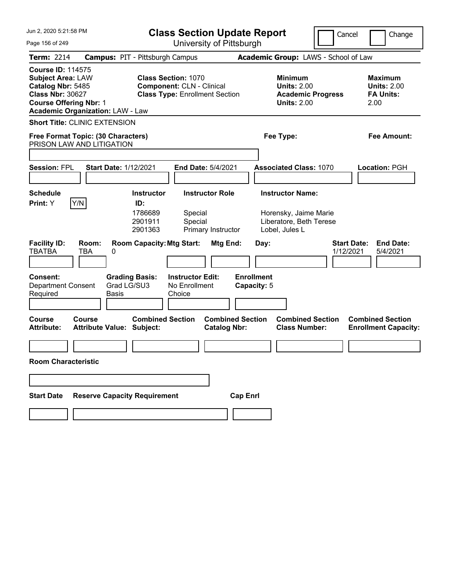| Jun 2, 2020 5:21:58 PM                                                                                                                |                                                                 |                                                                                                         |                                                    | <b>Class Section Update Report</b>             |                                  |      |                                                                                        | Cancel                          |      | Change                                                   |
|---------------------------------------------------------------------------------------------------------------------------------------|-----------------------------------------------------------------|---------------------------------------------------------------------------------------------------------|----------------------------------------------------|------------------------------------------------|----------------------------------|------|----------------------------------------------------------------------------------------|---------------------------------|------|----------------------------------------------------------|
| Page 156 of 249                                                                                                                       |                                                                 |                                                                                                         |                                                    | University of Pittsburgh                       |                                  |      |                                                                                        |                                 |      |                                                          |
| <b>Term: 2214</b>                                                                                                                     | <b>Campus: PIT - Pittsburgh Campus</b>                          |                                                                                                         |                                                    |                                                |                                  |      | Academic Group: LAWS - School of Law                                                   |                                 |      |                                                          |
| <b>Course ID: 114575</b><br><b>Subject Area: LAW</b><br>Catalog Nbr: 5485<br><b>Class Nbr: 30627</b><br><b>Course Offering Nbr: 1</b> | <b>Academic Organization: LAW - Law</b>                         | <b>Class Section: 1070</b><br><b>Component: CLN - Clinical</b><br><b>Class Type: Enrollment Section</b> |                                                    |                                                |                                  |      | <b>Minimum</b><br><b>Units: 2.00</b><br><b>Academic Progress</b><br><b>Units: 2.00</b> |                                 | 2.00 | <b>Maximum</b><br><b>Units: 2.00</b><br><b>FA Units:</b> |
|                                                                                                                                       | <b>Short Title: CLINIC EXTENSION</b>                            |                                                                                                         |                                                    |                                                |                                  |      |                                                                                        |                                 |      |                                                          |
|                                                                                                                                       | Free Format Topic: (30 Characters)<br>PRISON LAW AND LITIGATION |                                                                                                         |                                                    |                                                |                                  |      | Fee Type:                                                                              |                                 |      | Fee Amount:                                              |
|                                                                                                                                       |                                                                 |                                                                                                         |                                                    |                                                |                                  |      |                                                                                        |                                 |      |                                                          |
| <b>Session: FPL</b>                                                                                                                   | <b>Start Date: 1/12/2021</b>                                    |                                                                                                         |                                                    | <b>End Date: 5/4/2021</b>                      |                                  |      | <b>Associated Class: 1070</b>                                                          |                                 |      | Location: PGH                                            |
|                                                                                                                                       |                                                                 |                                                                                                         |                                                    |                                                |                                  |      |                                                                                        |                                 |      |                                                          |
| <b>Schedule</b>                                                                                                                       |                                                                 | <b>Instructor</b>                                                                                       |                                                    | <b>Instructor Role</b>                         |                                  |      | <b>Instructor Name:</b>                                                                |                                 |      |                                                          |
| Y/N<br>Print: Y                                                                                                                       |                                                                 | ID:<br>1786689<br>2901911<br>2901363                                                                    | Special<br>Special                                 | Primary Instructor                             |                                  |      | Horensky, Jaime Marie<br>Liberatore, Beth Terese<br>Lobel, Jules L                     |                                 |      |                                                          |
| <b>Facility ID:</b><br><b>TBATBA</b>                                                                                                  | Room:<br>TBA<br>0                                               | <b>Room Capacity: Mtg Start:</b>                                                                        |                                                    | Mtg End:                                       |                                  | Day: |                                                                                        | <b>Start Date:</b><br>1/12/2021 |      | <b>End Date:</b><br>5/4/2021                             |
| <b>Consent:</b><br>Department Consent<br>Required                                                                                     | <b>Grading Basis:</b><br>Grad LG/SU3<br><b>Basis</b>            |                                                                                                         | <b>Instructor Edit:</b><br>No Enrollment<br>Choice |                                                | <b>Enrollment</b><br>Capacity: 5 |      |                                                                                        |                                 |      |                                                          |
| <b>Course</b><br><b>Attribute:</b>                                                                                                    | Course<br><b>Attribute Value: Subject:</b>                      | <b>Combined Section</b>                                                                                 |                                                    | <b>Combined Section</b><br><b>Catalog Nbr:</b> |                                  |      | <b>Combined Section</b><br><b>Class Number:</b>                                        |                                 |      | <b>Combined Section</b><br><b>Enrollment Capacity:</b>   |
|                                                                                                                                       |                                                                 |                                                                                                         |                                                    |                                                |                                  |      |                                                                                        |                                 |      |                                                          |
| <b>Room Characteristic</b>                                                                                                            |                                                                 |                                                                                                         |                                                    |                                                |                                  |      |                                                                                        |                                 |      |                                                          |
|                                                                                                                                       |                                                                 |                                                                                                         |                                                    |                                                |                                  |      |                                                                                        |                                 |      |                                                          |
| <b>Start Date</b>                                                                                                                     | <b>Reserve Capacity Requirement</b>                             |                                                                                                         |                                                    |                                                | <b>Cap Enrl</b>                  |      |                                                                                        |                                 |      |                                                          |
|                                                                                                                                       |                                                                 |                                                                                                         |                                                    |                                                |                                  |      |                                                                                        |                                 |      |                                                          |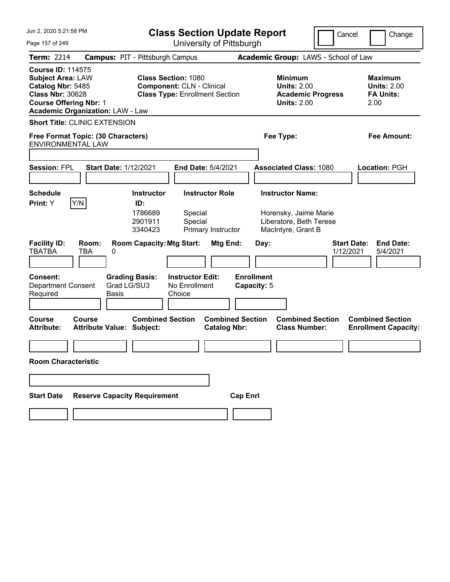| Jun 2, 2020 5:21:58 PM                                                                                                                                                           | <b>Class Section Update Report</b>                                                                                              |                                                                                                   | Cancel<br>Change                                                 |
|----------------------------------------------------------------------------------------------------------------------------------------------------------------------------------|---------------------------------------------------------------------------------------------------------------------------------|---------------------------------------------------------------------------------------------------|------------------------------------------------------------------|
| Page 157 of 249                                                                                                                                                                  | University of Pittsburgh                                                                                                        |                                                                                                   |                                                                  |
| <b>Term: 2214</b>                                                                                                                                                                | <b>Campus: PIT - Pittsburgh Campus</b>                                                                                          | Academic Group: LAWS - School of Law                                                              |                                                                  |
| <b>Course ID: 114575</b><br><b>Subject Area: LAW</b><br>Catalog Nbr: 5485<br><b>Class Nbr: 30628</b><br><b>Course Offering Nbr: 1</b><br><b>Academic Organization: LAW - Law</b> | <b>Class Section: 1080</b><br><b>Component: CLN - Clinical</b><br><b>Class Type: Enrollment Section</b>                         | <b>Minimum</b><br><b>Units: 2.00</b><br><b>Academic Progress</b><br><b>Units: 2.00</b>            | <b>Maximum</b><br><b>Units: 2.00</b><br><b>FA Units:</b><br>2.00 |
| <b>Short Title: CLINIC EXTENSION</b>                                                                                                                                             |                                                                                                                                 |                                                                                                   |                                                                  |
| Free Format Topic: (30 Characters)<br><b>ENVIRONMENTAL LAW</b>                                                                                                                   |                                                                                                                                 | Fee Type:                                                                                         | Fee Amount:                                                      |
|                                                                                                                                                                                  |                                                                                                                                 |                                                                                                   |                                                                  |
| <b>Session: FPL</b>                                                                                                                                                              | <b>Start Date: 1/12/2021</b><br><b>End Date: 5/4/2021</b>                                                                       | <b>Associated Class: 1080</b>                                                                     | Location: PGH                                                    |
| <b>Schedule</b><br>Y/N<br>Print: Y                                                                                                                                               | <b>Instructor Role</b><br><b>Instructor</b><br>ID:<br>1786689<br>Special<br>2901911<br>Special<br>3340423<br>Primary Instructor | <b>Instructor Name:</b><br>Horensky, Jaime Marie<br>Liberatore, Beth Terese<br>MacIntyre, Grant B |                                                                  |
| <b>Facility ID:</b><br>Room:<br><b>TBATBA</b><br>TBA<br>0                                                                                                                        | <b>Room Capacity: Mtg Start:</b><br>Mtg End:                                                                                    | Day:                                                                                              | <b>Start Date:</b><br><b>End Date:</b><br>1/12/2021<br>5/4/2021  |
| <b>Consent:</b><br>Department Consent<br>Required                                                                                                                                | <b>Grading Basis:</b><br><b>Instructor Edit:</b><br>Grad LG/SU3<br>No Enrollment<br><b>Basis</b><br>Choice                      | <b>Enrollment</b><br>Capacity: 5                                                                  |                                                                  |
| <b>Course</b><br>Course<br><b>Attribute:</b>                                                                                                                                     | <b>Combined Section</b><br><b>Attribute Value: Subject:</b><br><b>Catalog Nbr:</b>                                              | <b>Combined Section</b><br><b>Combined Section</b><br><b>Class Number:</b>                        | <b>Combined Section</b><br><b>Enrollment Capacity:</b>           |
| <b>Room Characteristic</b>                                                                                                                                                       |                                                                                                                                 |                                                                                                   |                                                                  |
|                                                                                                                                                                                  |                                                                                                                                 |                                                                                                   |                                                                  |
| <b>Start Date</b>                                                                                                                                                                | <b>Reserve Capacity Requirement</b>                                                                                             | <b>Cap Enrl</b>                                                                                   |                                                                  |
|                                                                                                                                                                                  |                                                                                                                                 |                                                                                                   |                                                                  |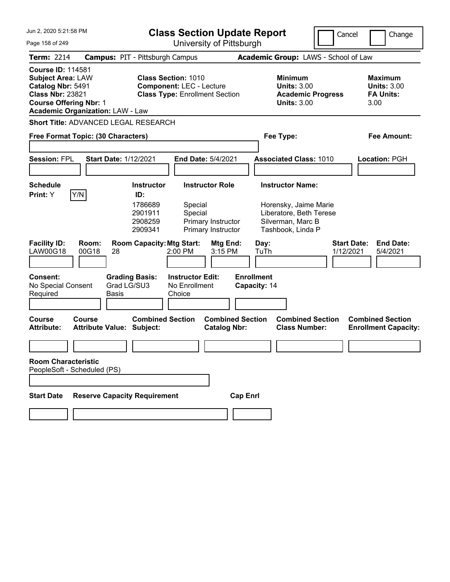| Jun 2, 2020 5:21:58 PM                                                                                                                |                                                      | <b>Class Section Update Report</b>                                                                     |                                                                    |                                                                                                                       | Cancel                          | Change                                                           |
|---------------------------------------------------------------------------------------------------------------------------------------|------------------------------------------------------|--------------------------------------------------------------------------------------------------------|--------------------------------------------------------------------|-----------------------------------------------------------------------------------------------------------------------|---------------------------------|------------------------------------------------------------------|
| Page 158 of 249                                                                                                                       |                                                      |                                                                                                        | University of Pittsburgh                                           |                                                                                                                       |                                 |                                                                  |
| Term: 2214                                                                                                                            |                                                      | <b>Campus: PIT - Pittsburgh Campus</b>                                                                 |                                                                    | Academic Group: LAWS - School of Law                                                                                  |                                 |                                                                  |
| <b>Course ID: 114581</b><br><b>Subject Area: LAW</b><br>Catalog Nbr: 5491<br><b>Class Nbr: 23821</b><br><b>Course Offering Nbr: 1</b> | <b>Academic Organization: LAW - Law</b>              | <b>Class Section: 1010</b><br><b>Component: LEC - Lecture</b><br><b>Class Type: Enrollment Section</b> |                                                                    | <b>Minimum</b><br><b>Units: 3.00</b><br><b>Academic Progress</b><br><b>Units: 3.00</b>                                |                                 | <b>Maximum</b><br><b>Units: 3.00</b><br><b>FA Units:</b><br>3.00 |
|                                                                                                                                       | Short Title: ADVANCED LEGAL RESEARCH                 |                                                                                                        |                                                                    |                                                                                                                       |                                 |                                                                  |
|                                                                                                                                       | Free Format Topic: (30 Characters)                   |                                                                                                        |                                                                    | Fee Type:                                                                                                             |                                 | Fee Amount:                                                      |
| <b>Session: FPL</b>                                                                                                                   | <b>Start Date: 1/12/2021</b>                         |                                                                                                        | End Date: 5/4/2021                                                 | <b>Associated Class: 1010</b>                                                                                         |                                 | Location: PGH                                                    |
| <b>Schedule</b><br>Print: Y                                                                                                           | Y/N                                                  | <b>Instructor</b><br>ID:<br>1786689<br>Special<br>2901911<br>Special<br>2908259<br>2909341             | <b>Instructor Role</b><br>Primary Instructor<br>Primary Instructor | <b>Instructor Name:</b><br>Horensky, Jaime Marie<br>Liberatore, Beth Terese<br>Silverman, Marc B<br>Tashbook, Linda P |                                 |                                                                  |
| <b>Facility ID:</b><br><b>LAW00G18</b>                                                                                                | Room:<br>00G18<br>28                                 | <b>Room Capacity: Mtg Start:</b><br>2:00 PM                                                            | Mtg End:<br>3:15 PM                                                | Day:<br>TuTh                                                                                                          | <b>Start Date:</b><br>1/12/2021 | <b>End Date:</b><br>5/4/2021                                     |
| <b>Consent:</b><br>No Special Consent<br>Required                                                                                     | <b>Grading Basis:</b><br>Grad LG/SU3<br><b>Basis</b> | <b>Instructor Edit:</b><br>No Enrollment<br>Choice                                                     |                                                                    | <b>Enrollment</b><br>Capacity: 14                                                                                     |                                 |                                                                  |
| <b>Course</b><br><b>Attribute:</b>                                                                                                    | Course<br><b>Attribute Value: Subject:</b>           | <b>Combined Section</b>                                                                                | <b>Combined Section</b><br><b>Catalog Nbr:</b>                     | <b>Combined Section</b><br><b>Class Number:</b>                                                                       |                                 | <b>Combined Section</b><br><b>Enrollment Capacity:</b>           |
|                                                                                                                                       |                                                      |                                                                                                        |                                                                    |                                                                                                                       |                                 |                                                                  |
| <b>Room Characteristic</b>                                                                                                            | PeopleSoft - Scheduled (PS)                          |                                                                                                        |                                                                    |                                                                                                                       |                                 |                                                                  |
|                                                                                                                                       |                                                      |                                                                                                        |                                                                    |                                                                                                                       |                                 |                                                                  |
| <b>Start Date</b>                                                                                                                     | <b>Reserve Capacity Requirement</b>                  |                                                                                                        | <b>Cap Enrl</b>                                                    |                                                                                                                       |                                 |                                                                  |
|                                                                                                                                       |                                                      |                                                                                                        |                                                                    |                                                                                                                       |                                 |                                                                  |
|                                                                                                                                       |                                                      |                                                                                                        |                                                                    |                                                                                                                       |                                 |                                                                  |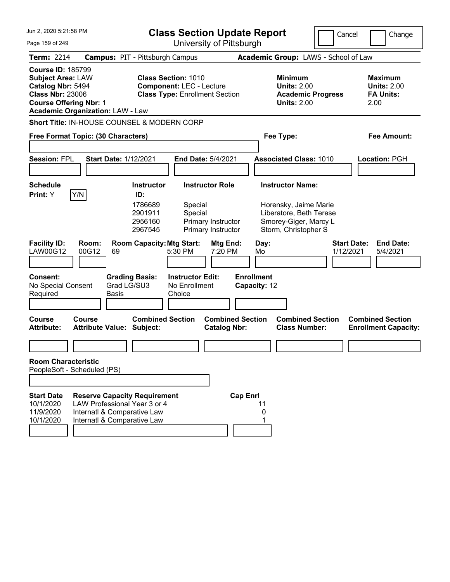| Jun 2. 2020 5:21:58 PM<br>Page 159 of 249                                                                                                                                        |                                                                                                                                   | <b>Class Section Update Report</b><br>University of Pittsburgh       |                                                                                                        |                         |                                   |                                                                                                                              | Cancel                          | Change                                                           |
|----------------------------------------------------------------------------------------------------------------------------------------------------------------------------------|-----------------------------------------------------------------------------------------------------------------------------------|----------------------------------------------------------------------|--------------------------------------------------------------------------------------------------------|-------------------------|-----------------------------------|------------------------------------------------------------------------------------------------------------------------------|---------------------------------|------------------------------------------------------------------|
| Term: 2214                                                                                                                                                                       |                                                                                                                                   | <b>Campus: PIT - Pittsburgh Campus</b>                               |                                                                                                        |                         |                                   | Academic Group: LAWS - School of Law                                                                                         |                                 |                                                                  |
| <b>Course ID: 185799</b><br><b>Subject Area: LAW</b><br>Catalog Nbr: 5494<br><b>Class Nbr: 23006</b><br><b>Course Offering Nbr: 1</b><br><b>Academic Organization: LAW - Law</b> |                                                                                                                                   |                                                                      | <b>Class Section: 1010</b><br><b>Component: LEC - Lecture</b><br><b>Class Type: Enrollment Section</b> |                         |                                   | <b>Minimum</b><br><b>Units: 2.00</b><br><b>Academic Progress</b><br><b>Units: 2.00</b>                                       |                                 | <b>Maximum</b><br><b>Units: 2.00</b><br><b>FA Units:</b><br>2.00 |
| Short Title: IN-HOUSE COUNSEL & MODERN CORP                                                                                                                                      |                                                                                                                                   |                                                                      |                                                                                                        |                         |                                   |                                                                                                                              |                                 |                                                                  |
| Free Format Topic: (30 Characters)                                                                                                                                               |                                                                                                                                   |                                                                      |                                                                                                        |                         | Fee Type:                         |                                                                                                                              |                                 | <b>Fee Amount:</b>                                               |
| <b>Session: FPL</b>                                                                                                                                                              | <b>Start Date: 1/12/2021</b>                                                                                                      |                                                                      | <b>End Date: 5/4/2021</b>                                                                              |                         |                                   | <b>Associated Class: 1010</b>                                                                                                |                                 | Location: PGH                                                    |
| <b>Schedule</b><br>Y/N<br>Print: Y                                                                                                                                               |                                                                                                                                   | <b>Instructor</b><br>ID:<br>1786689<br>2901911<br>2956160<br>2967545 | <b>Instructor Role</b><br>Special<br>Special<br>Primary Instructor<br>Primary Instructor               |                         |                                   | <b>Instructor Name:</b><br>Horensky, Jaime Marie<br>Liberatore, Beth Terese<br>Smorey-Giger, Marcy L<br>Storm, Christopher S |                                 |                                                                  |
| <b>Facility ID:</b><br><b>LAW00G12</b>                                                                                                                                           | Room:<br>00G12<br>69                                                                                                              | <b>Room Capacity: Mtg Start:</b>                                     | 5:30 PM                                                                                                | Mtg End:<br>7:20 PM     | Day:<br>Mo                        |                                                                                                                              | <b>Start Date:</b><br>1/12/2021 | <b>End Date:</b><br>5/4/2021                                     |
| <b>Consent:</b><br>No Special Consent<br>Required<br><b>Course</b>                                                                                                               | Basis<br><b>Course</b>                                                                                                            | <b>Grading Basis:</b><br>Grad LG/SU3<br><b>Combined Section</b>      | <b>Instructor Edit:</b><br>No Enrollment<br>Choice                                                     | <b>Combined Section</b> | <b>Enrollment</b><br>Capacity: 12 | <b>Combined Section</b>                                                                                                      |                                 | <b>Combined Section</b>                                          |
| <b>Attribute:</b>                                                                                                                                                                | <b>Attribute Value: Subject:</b>                                                                                                  |                                                                      |                                                                                                        | <b>Catalog Nbr:</b>     |                                   | <b>Class Number:</b>                                                                                                         |                                 | <b>Enrollment Capacity:</b>                                      |
|                                                                                                                                                                                  |                                                                                                                                   |                                                                      |                                                                                                        |                         |                                   |                                                                                                                              |                                 |                                                                  |
| <b>Room Characteristic</b><br>PeopleSoft - Scheduled (PS)                                                                                                                        |                                                                                                                                   |                                                                      |                                                                                                        |                         |                                   |                                                                                                                              |                                 |                                                                  |
| <b>Start Date</b><br>10/1/2020<br>11/9/2020<br>10/1/2020                                                                                                                         | <b>Reserve Capacity Requirement</b><br>LAW Professional Year 3 or 4<br>Internatl & Comparative Law<br>Internatl & Comparative Law |                                                                      |                                                                                                        | <b>Cap Enrl</b>         | 11<br>0                           |                                                                                                                              |                                 |                                                                  |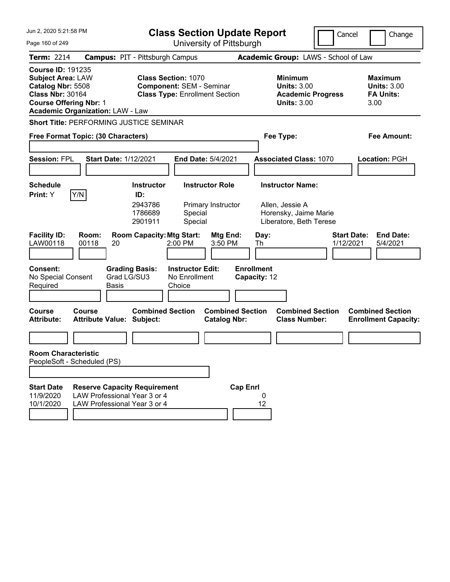| Jun 2, 2020 5:21:58 PM                                                                                                                                                           | <b>Class Section Update Report</b>                                                                                                                     |                                                                                   | Cancel<br>Change                                                |
|----------------------------------------------------------------------------------------------------------------------------------------------------------------------------------|--------------------------------------------------------------------------------------------------------------------------------------------------------|-----------------------------------------------------------------------------------|-----------------------------------------------------------------|
| Page 160 of 249                                                                                                                                                                  | University of Pittsburgh                                                                                                                               |                                                                                   |                                                                 |
| <b>Term: 2214</b>                                                                                                                                                                | <b>Campus: PIT - Pittsburgh Campus</b>                                                                                                                 | Academic Group: LAWS - School of Law                                              |                                                                 |
| <b>Course ID: 191235</b><br><b>Subject Area: LAW</b><br>Catalog Nbr: 5508<br><b>Class Nbr: 30164</b><br><b>Course Offering Nbr: 1</b><br><b>Academic Organization: LAW - Law</b> | <b>Class Section: 1070</b><br><b>Component: SEM - Seminar</b><br><b>Class Type: Enrollment Section</b>                                                 | Minimum<br><b>Units: 3.00</b><br><b>Academic Progress</b><br><b>Units: 3.00</b>   | Maximum<br><b>Units: 3.00</b><br><b>FA Units:</b><br>3.00       |
| Short Title: PERFORMING JUSTICE SEMINAR                                                                                                                                          |                                                                                                                                                        |                                                                                   |                                                                 |
| Free Format Topic: (30 Characters)                                                                                                                                               |                                                                                                                                                        | Fee Type:                                                                         | Fee Amount:                                                     |
| <b>Session: FPL</b><br><b>Start Date: 1/12/2021</b>                                                                                                                              | <b>End Date: 5/4/2021</b>                                                                                                                              | <b>Associated Class: 1070</b>                                                     | Location: PGH                                                   |
| <b>Schedule</b>                                                                                                                                                                  | <b>Instructor Role</b><br><b>Instructor</b>                                                                                                            | <b>Instructor Name:</b>                                                           |                                                                 |
| Y/N<br><b>Print:</b> Y<br><b>Facility ID:</b><br>Room:<br>LAW00118<br>00118<br>20                                                                                                | ID:<br>2943786<br>Primary Instructor<br>1786689<br>Special<br>Special<br>2901911<br><b>Room Capacity: Mtg Start:</b><br>Mtg End:<br>2:00 PM<br>3:50 PM | Allen, Jessie A<br>Horensky, Jaime Marie<br>Liberatore, Beth Terese<br>Day:<br>Th | <b>Start Date:</b><br><b>End Date:</b><br>1/12/2021<br>5/4/2021 |
| <b>Consent:</b><br>No Special Consent<br>Required<br><b>Basis</b>                                                                                                                | <b>Grading Basis:</b><br><b>Instructor Edit:</b><br>Grad LG/SU3<br>No Enrollment<br>Choice                                                             | <b>Enrollment</b><br>Capacity: 12                                                 |                                                                 |
| Course<br>Course<br><b>Attribute:</b><br><b>Attribute Value: Subject:</b>                                                                                                        | <b>Combined Section</b><br><b>Combined Section</b><br><b>Catalog Nbr:</b>                                                                              | <b>Combined Section</b><br><b>Class Number:</b>                                   | <b>Combined Section</b><br><b>Enrollment Capacity:</b>          |
|                                                                                                                                                                                  |                                                                                                                                                        |                                                                                   |                                                                 |
| <b>Room Characteristic</b><br>PeopleSoft - Scheduled (PS)                                                                                                                        |                                                                                                                                                        |                                                                                   |                                                                 |
|                                                                                                                                                                                  |                                                                                                                                                        |                                                                                   |                                                                 |
| <b>Start Date</b><br>LAW Professional Year 3 or 4<br>11/9/2020<br>10/1/2020<br>LAW Professional Year 3 or 4                                                                      | <b>Reserve Capacity Requirement</b>                                                                                                                    | <b>Cap Enrl</b><br>0<br>12                                                        |                                                                 |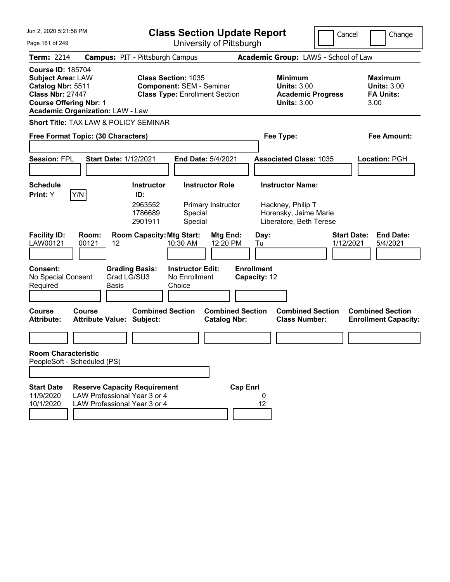| Jun 2, 2020 5:21:58 PM                                                                                                                                                           | <b>Class Section Update Report</b>                                                                        |                                                                                        | Cancel<br>Change                                                 |
|----------------------------------------------------------------------------------------------------------------------------------------------------------------------------------|-----------------------------------------------------------------------------------------------------------|----------------------------------------------------------------------------------------|------------------------------------------------------------------|
| Page 161 of 249                                                                                                                                                                  | University of Pittsburgh                                                                                  |                                                                                        |                                                                  |
| <b>Term: 2214</b>                                                                                                                                                                | <b>Campus: PIT - Pittsburgh Campus</b>                                                                    | Academic Group: LAWS - School of Law                                                   |                                                                  |
| <b>Course ID: 185704</b><br><b>Subject Area: LAW</b><br>Catalog Nbr: 5511<br><b>Class Nbr: 27447</b><br><b>Course Offering Nbr: 1</b><br><b>Academic Organization: LAW - Law</b> | <b>Class Section: 1035</b><br><b>Component: SEM - Seminar</b><br><b>Class Type: Enrollment Section</b>    | <b>Minimum</b><br><b>Units: 3.00</b><br><b>Academic Progress</b><br><b>Units: 3.00</b> | <b>Maximum</b><br><b>Units: 3.00</b><br><b>FA Units:</b><br>3.00 |
| Short Title: TAX LAW & POLICY SEMINAR                                                                                                                                            |                                                                                                           |                                                                                        |                                                                  |
| Free Format Topic: (30 Characters)                                                                                                                                               |                                                                                                           | Fee Type:                                                                              | Fee Amount:                                                      |
| <b>Session: FPL</b><br><b>Start Date: 1/12/2021</b>                                                                                                                              | <b>End Date: 5/4/2021</b>                                                                                 | <b>Associated Class: 1035</b>                                                          | Location: PGH                                                    |
| <b>Schedule</b><br>Y/N<br>Print: Y                                                                                                                                               | <b>Instructor Role</b><br><b>Instructor</b><br>ID:<br>2963552<br>Primary Instructor<br>1786689<br>Special | <b>Instructor Name:</b><br>Hackney, Philip T<br>Horensky, Jaime Marie                  |                                                                  |
| <b>Facility ID:</b><br>Room:<br>00121<br>LAW00121<br>12                                                                                                                          | 2901911<br>Special<br><b>Room Capacity: Mtg Start:</b><br><b>Mtg End:</b><br>10:30 AM<br>12:20 PM         | Liberatore, Beth Terese<br>Day:<br>Tu                                                  | <b>Start Date:</b><br><b>End Date:</b><br>1/12/2021<br>5/4/2021  |
| <b>Consent:</b><br>Grad LG/SU3<br>No Special Consent<br>Required<br>Basis                                                                                                        | <b>Grading Basis:</b><br><b>Instructor Edit:</b><br>No Enrollment<br>Choice                               | <b>Enrollment</b><br>Capacity: 12                                                      |                                                                  |
| <b>Course</b><br>Course<br><b>Attribute:</b><br><b>Attribute Value: Subject:</b>                                                                                                 | <b>Combined Section</b><br><b>Combined Section</b><br><b>Catalog Nbr:</b>                                 | <b>Combined Section</b><br><b>Class Number:</b>                                        | <b>Combined Section</b><br><b>Enrollment Capacity:</b>           |
|                                                                                                                                                                                  |                                                                                                           |                                                                                        |                                                                  |
| <b>Room Characteristic</b><br>PeopleSoft - Scheduled (PS)                                                                                                                        |                                                                                                           |                                                                                        |                                                                  |
|                                                                                                                                                                                  |                                                                                                           |                                                                                        |                                                                  |
| <b>Start Date</b><br><b>Reserve Capacity Requirement</b><br>LAW Professional Year 3 or 4<br>11/9/2020<br>LAW Professional Year 3 or 4<br>10/1/2020                               | <b>Cap Enrl</b>                                                                                           | 12                                                                                     |                                                                  |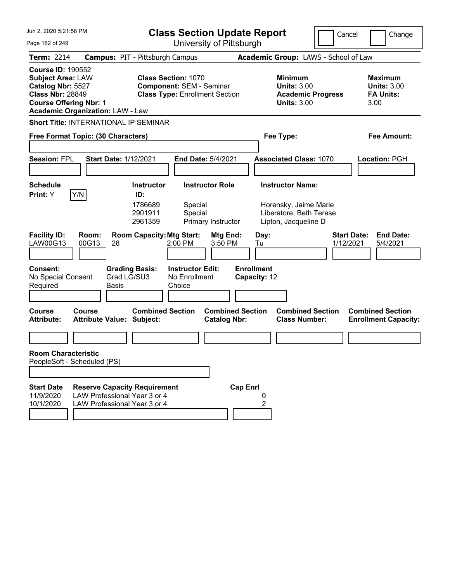| Jun 2, 2020 5:21:58 PM                                                                                                                                                           | <b>Class Section Update Report</b>                                                                     | Cancel                                                                                 | Change                                                           |
|----------------------------------------------------------------------------------------------------------------------------------------------------------------------------------|--------------------------------------------------------------------------------------------------------|----------------------------------------------------------------------------------------|------------------------------------------------------------------|
| Page 162 of 249                                                                                                                                                                  | University of Pittsburgh                                                                               |                                                                                        |                                                                  |
| <b>Term: 2214</b>                                                                                                                                                                | <b>Campus: PIT - Pittsburgh Campus</b>                                                                 | Academic Group: LAWS - School of Law                                                   |                                                                  |
| <b>Course ID: 190552</b><br><b>Subject Area: LAW</b><br>Catalog Nbr: 5527<br><b>Class Nbr: 28849</b><br><b>Course Offering Nbr: 1</b><br><b>Academic Organization: LAW - Law</b> | <b>Class Section: 1070</b><br><b>Component: SEM - Seminar</b><br><b>Class Type: Enrollment Section</b> | <b>Minimum</b><br><b>Units: 3.00</b><br><b>Academic Progress</b><br><b>Units: 3.00</b> | <b>Maximum</b><br><b>Units: 3.00</b><br><b>FA Units:</b><br>3.00 |
| <b>Short Title: INTERNATIONAL IP SEMINAR</b>                                                                                                                                     |                                                                                                        |                                                                                        |                                                                  |
| Free Format Topic: (30 Characters)                                                                                                                                               |                                                                                                        | Fee Type:                                                                              | Fee Amount:                                                      |
| <b>Session: FPL</b><br><b>Start Date: 1/12/2021</b>                                                                                                                              | <b>End Date: 5/4/2021</b>                                                                              | <b>Associated Class: 1070</b>                                                          | Location: PGH                                                    |
| <b>Schedule</b><br>Y/N<br>Print: Y                                                                                                                                               | <b>Instructor Role</b><br><b>Instructor</b><br>ID:<br>1786689<br>Special<br>2901911<br>Special         | <b>Instructor Name:</b><br>Horensky, Jaime Marie<br>Liberatore, Beth Terese            |                                                                  |
| <b>Facility ID:</b><br>Room:<br>00G13<br>LAW00G13<br>28                                                                                                                          | 2961359<br>Primary Instructor<br><b>Room Capacity: Mtg Start:</b><br>Mtg End:<br>2:00 PM<br>3:50 PM    | Lipton, Jacqueline D<br>Day:<br>1/12/2021<br>Tu                                        | <b>Start Date:</b><br><b>End Date:</b><br>5/4/2021               |
| <b>Consent:</b><br>Grad LG/SU3<br>No Special Consent<br>Required<br>Basis                                                                                                        | <b>Grading Basis:</b><br><b>Instructor Edit:</b><br>No Enrollment<br>Choice                            | <b>Enrollment</b><br>Capacity: 12                                                      |                                                                  |
| <b>Course</b><br>Course<br><b>Attribute:</b><br><b>Attribute Value: Subject:</b>                                                                                                 | <b>Combined Section</b><br><b>Combined Section</b><br><b>Catalog Nbr:</b>                              | <b>Combined Section</b><br><b>Class Number:</b>                                        | <b>Combined Section</b><br><b>Enrollment Capacity:</b>           |
|                                                                                                                                                                                  |                                                                                                        |                                                                                        |                                                                  |
| <b>Room Characteristic</b><br>PeopleSoft - Scheduled (PS)                                                                                                                        |                                                                                                        |                                                                                        |                                                                  |
|                                                                                                                                                                                  |                                                                                                        |                                                                                        |                                                                  |
| <b>Start Date</b><br><b>Reserve Capacity Requirement</b><br>LAW Professional Year 3 or 4<br>11/9/2020<br>10/1/2020<br>LAW Professional Year 3 or 4                               | <b>Cap Enrl</b>                                                                                        | 2                                                                                      |                                                                  |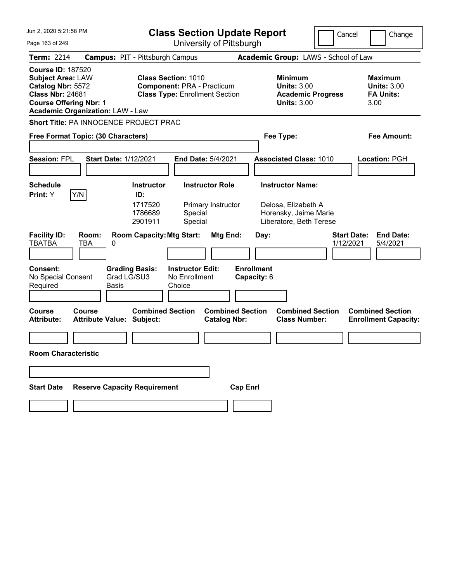| Jun 2, 2020 5:21:58 PM                                                                                                                                                           | <b>Class Section Update Report</b>                                                                       |                                                                                 | Cancel<br>Change                                                |
|----------------------------------------------------------------------------------------------------------------------------------------------------------------------------------|----------------------------------------------------------------------------------------------------------|---------------------------------------------------------------------------------|-----------------------------------------------------------------|
| Page 163 of 249                                                                                                                                                                  | University of Pittsburgh                                                                                 |                                                                                 |                                                                 |
| <b>Term: 2214</b>                                                                                                                                                                | <b>Campus: PIT - Pittsburgh Campus</b>                                                                   | Academic Group: LAWS - School of Law                                            |                                                                 |
| <b>Course ID: 187520</b><br><b>Subject Area: LAW</b><br>Catalog Nbr: 5572<br><b>Class Nbr: 24681</b><br><b>Course Offering Nbr: 1</b><br><b>Academic Organization: LAW - Law</b> | <b>Class Section: 1010</b><br><b>Component: PRA - Practicum</b><br><b>Class Type: Enrollment Section</b> | Minimum<br><b>Units: 3.00</b><br><b>Academic Progress</b><br><b>Units: 3.00</b> | Maximum<br><b>Units: 3.00</b><br><b>FA Units:</b><br>3.00       |
| Short Title: PA INNOCENCE PROJECT PRAC                                                                                                                                           |                                                                                                          |                                                                                 |                                                                 |
| Free Format Topic: (30 Characters)                                                                                                                                               |                                                                                                          | Fee Type:                                                                       | Fee Amount:                                                     |
|                                                                                                                                                                                  |                                                                                                          |                                                                                 |                                                                 |
| <b>Session: FPL</b><br><b>Start Date: 1/12/2021</b>                                                                                                                              | <b>End Date: 5/4/2021</b>                                                                                | <b>Associated Class: 1010</b>                                                   | Location: PGH                                                   |
|                                                                                                                                                                                  |                                                                                                          |                                                                                 |                                                                 |
| <b>Schedule</b>                                                                                                                                                                  | <b>Instructor Role</b><br><b>Instructor</b>                                                              | <b>Instructor Name:</b>                                                         |                                                                 |
| Y/N<br>Print: Y                                                                                                                                                                  | ID:<br>1717520<br>Primary Instructor<br>1786689<br>Special<br>Special<br>2901911                         | Delosa, Elizabeth A<br>Horensky, Jaime Marie<br>Liberatore, Beth Terese         |                                                                 |
| <b>Facility ID:</b><br>Room:<br><b>TBATBA</b><br>TBA<br>0                                                                                                                        | <b>Room Capacity: Mtg Start:</b><br>Mtg End:                                                             | Day:                                                                            | <b>Start Date:</b><br><b>End Date:</b><br>1/12/2021<br>5/4/2021 |
| <b>Consent:</b><br>No Special Consent<br>Required<br><b>Basis</b>                                                                                                                | <b>Grading Basis:</b><br><b>Instructor Edit:</b><br>Grad LG/SU3<br>No Enrollment<br>Choice               | <b>Enrollment</b><br>Capacity: 6                                                |                                                                 |
| Course<br>Course<br><b>Attribute:</b><br><b>Attribute Value: Subject:</b>                                                                                                        | <b>Combined Section</b><br><b>Combined Section</b><br><b>Catalog Nbr:</b>                                | <b>Combined Section</b><br><b>Class Number:</b>                                 | <b>Combined Section</b><br><b>Enrollment Capacity:</b>          |
|                                                                                                                                                                                  |                                                                                                          |                                                                                 |                                                                 |
| <b>Room Characteristic</b>                                                                                                                                                       |                                                                                                          |                                                                                 |                                                                 |
|                                                                                                                                                                                  |                                                                                                          |                                                                                 |                                                                 |
| <b>Reserve Capacity Requirement</b><br><b>Start Date</b>                                                                                                                         | <b>Cap Enrl</b>                                                                                          |                                                                                 |                                                                 |
|                                                                                                                                                                                  |                                                                                                          |                                                                                 |                                                                 |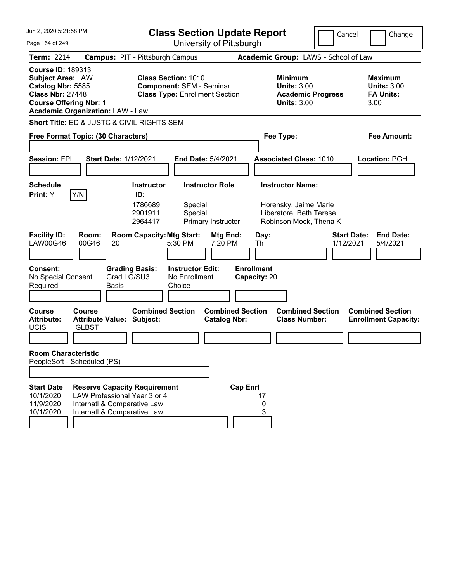| Jun 2, 2020 5:21:58 PM                                                                                                                                                           |                                                                                                                                   |                                                           |                                                                                                        | <b>Class Section Update Report</b>             |                                   |                                                                                                       | Cancel    | Change                                                           |
|----------------------------------------------------------------------------------------------------------------------------------------------------------------------------------|-----------------------------------------------------------------------------------------------------------------------------------|-----------------------------------------------------------|--------------------------------------------------------------------------------------------------------|------------------------------------------------|-----------------------------------|-------------------------------------------------------------------------------------------------------|-----------|------------------------------------------------------------------|
| Page 164 of 249                                                                                                                                                                  |                                                                                                                                   |                                                           |                                                                                                        | University of Pittsburgh                       |                                   |                                                                                                       |           |                                                                  |
| <b>Term: 2214</b>                                                                                                                                                                | <b>Campus: PIT - Pittsburgh Campus</b>                                                                                            |                                                           |                                                                                                        |                                                |                                   | Academic Group: LAWS - School of Law                                                                  |           |                                                                  |
| <b>Course ID: 189313</b><br><b>Subject Area: LAW</b><br>Catalog Nbr: 5585<br><b>Class Nbr: 27448</b><br><b>Course Offering Nbr: 1</b><br><b>Academic Organization: LAW - Law</b> |                                                                                                                                   |                                                           | <b>Class Section: 1010</b><br><b>Component: SEM - Seminar</b><br><b>Class Type: Enrollment Section</b> |                                                |                                   | <b>Minimum</b><br><b>Units: 3.00</b><br><b>Academic Progress</b><br><b>Units: 3.00</b>                |           | <b>Maximum</b><br><b>Units: 3.00</b><br><b>FA Units:</b><br>3.00 |
| Short Title: ED & JUSTC & CIVIL RIGHTS SEM                                                                                                                                       |                                                                                                                                   |                                                           |                                                                                                        |                                                |                                   |                                                                                                       |           |                                                                  |
| Free Format Topic: (30 Characters)                                                                                                                                               |                                                                                                                                   |                                                           |                                                                                                        |                                                |                                   | Fee Type:                                                                                             |           | Fee Amount:                                                      |
| <b>Session: FPL</b>                                                                                                                                                              | <b>Start Date: 1/12/2021</b>                                                                                                      |                                                           | <b>End Date: 5/4/2021</b>                                                                              |                                                |                                   | <b>Associated Class: 1010</b>                                                                         |           | Location: PGH                                                    |
|                                                                                                                                                                                  |                                                                                                                                   |                                                           |                                                                                                        |                                                |                                   |                                                                                                       |           |                                                                  |
| <b>Schedule</b><br>Y/N<br>Print: Y                                                                                                                                               |                                                                                                                                   | <b>Instructor</b><br>ID:<br>1786689<br>2901911<br>2964417 | <b>Instructor Role</b><br>Special<br>Special                                                           | Primary Instructor                             |                                   | <b>Instructor Name:</b><br>Horensky, Jaime Marie<br>Liberatore, Beth Terese<br>Robinson Mock, Thena K |           |                                                                  |
| <b>Facility ID:</b><br><b>LAW00G46</b>                                                                                                                                           | Room:<br>00G46<br>20                                                                                                              | <b>Room Capacity: Mtg Start:</b>                          | 5:30 PM                                                                                                | Mtg End:<br>7:20 PM                            | Day:<br>Th                        |                                                                                                       | 1/12/2021 | <b>Start Date:</b><br><b>End Date:</b><br>5/4/2021               |
| Consent:<br>No Special Consent<br>Required                                                                                                                                       | Grad LG/SU3<br><b>Basis</b>                                                                                                       | <b>Grading Basis:</b>                                     | <b>Instructor Edit:</b><br>No Enrollment<br>Choice                                                     |                                                | <b>Enrollment</b><br>Capacity: 20 |                                                                                                       |           |                                                                  |
| Course<br><b>Attribute:</b><br><b>UCIS</b>                                                                                                                                       | Course<br><b>Attribute Value: Subject:</b><br><b>GLBST</b>                                                                        | <b>Combined Section</b>                                   |                                                                                                        | <b>Combined Section</b><br><b>Catalog Nbr:</b> |                                   | <b>Combined Section</b><br><b>Class Number:</b>                                                       |           | <b>Combined Section</b><br><b>Enrollment Capacity:</b>           |
| <b>Room Characteristic</b><br>PeopleSoft - Scheduled (PS)                                                                                                                        |                                                                                                                                   |                                                           |                                                                                                        |                                                |                                   |                                                                                                       |           |                                                                  |
| <b>Start Date</b><br>10/1/2020<br>11/9/2020<br>10/1/2020                                                                                                                         | <b>Reserve Capacity Requirement</b><br>LAW Professional Year 3 or 4<br>Internatl & Comparative Law<br>Internatl & Comparative Law |                                                           |                                                                                                        | <b>Cap Enrl</b>                                | 17<br>0<br>3                      |                                                                                                       |           |                                                                  |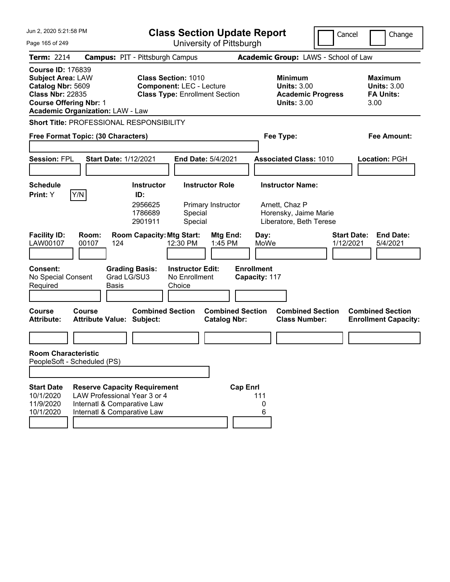| Jun 2, 2020 5:21:58 PM                                                                                                                                                           |                                                                                                                                   | <b>Class Section Update Report</b>                                                                     |                                                                                               | Cancel                          | Change                                                           |
|----------------------------------------------------------------------------------------------------------------------------------------------------------------------------------|-----------------------------------------------------------------------------------------------------------------------------------|--------------------------------------------------------------------------------------------------------|-----------------------------------------------------------------------------------------------|---------------------------------|------------------------------------------------------------------|
| Page 165 of 249                                                                                                                                                                  |                                                                                                                                   | University of Pittsburgh                                                                               |                                                                                               |                                 |                                                                  |
| <b>Term: 2214</b>                                                                                                                                                                | <b>Campus: PIT - Pittsburgh Campus</b>                                                                                            |                                                                                                        | Academic Group: LAWS - School of Law                                                          |                                 |                                                                  |
| <b>Course ID: 176839</b><br><b>Subject Area: LAW</b><br>Catalog Nbr: 5609<br><b>Class Nbr: 22835</b><br><b>Course Offering Nbr: 1</b><br><b>Academic Organization: LAW - Law</b> |                                                                                                                                   | <b>Class Section: 1010</b><br><b>Component: LEC - Lecture</b><br><b>Class Type: Enrollment Section</b> | <b>Minimum</b><br><b>Units: 3.00</b><br><b>Units: 3.00</b>                                    | <b>Academic Progress</b>        | <b>Maximum</b><br><b>Units: 3.00</b><br><b>FA Units:</b><br>3.00 |
|                                                                                                                                                                                  | Short Title: PROFESSIONAL RESPONSIBILITY                                                                                          |                                                                                                        |                                                                                               |                                 |                                                                  |
| Free Format Topic: (30 Characters)                                                                                                                                               |                                                                                                                                   |                                                                                                        | Fee Type:                                                                                     |                                 | Fee Amount:                                                      |
| <b>Session: FPL</b>                                                                                                                                                              | <b>Start Date: 1/12/2021</b>                                                                                                      | End Date: 5/4/2021                                                                                     | <b>Associated Class: 1010</b>                                                                 |                                 | Location: PGH                                                    |
| <b>Schedule</b><br>Y/N<br>Print: Y                                                                                                                                               | <b>Instructor</b><br>ID:<br>2956625<br>1786689<br>2901911                                                                         | <b>Instructor Role</b><br>Primary Instructor<br>Special<br>Special                                     | <b>Instructor Name:</b><br>Arnett, Chaz P<br>Horensky, Jaime Marie<br>Liberatore, Beth Terese |                                 |                                                                  |
| <b>Facility ID:</b><br>LAW00107<br>00107                                                                                                                                         | Room:<br><b>Room Capacity: Mtg Start:</b><br>124                                                                                  | <b>Mtg End:</b><br>12:30 PM<br>1:45 PM                                                                 | Day:<br>MoWe                                                                                  | <b>Start Date:</b><br>1/12/2021 | <b>End Date:</b><br>5/4/2021                                     |
| <b>Consent:</b><br>No Special Consent<br>Required                                                                                                                                | <b>Grading Basis:</b><br>Grad LG/SU3<br>Basis                                                                                     | <b>Instructor Edit:</b><br>No Enrollment<br>Choice                                                     | <b>Enrollment</b><br>Capacity: 117                                                            |                                 |                                                                  |
| <b>Course</b><br>Course<br><b>Attribute:</b>                                                                                                                                     | <b>Attribute Value: Subject:</b>                                                                                                  | <b>Combined Section</b><br><b>Catalog Nbr:</b>                                                         | <b>Combined Section</b><br><b>Class Number:</b>                                               | <b>Combined Section</b>         | <b>Combined Section</b><br><b>Enrollment Capacity:</b>           |
|                                                                                                                                                                                  |                                                                                                                                   |                                                                                                        |                                                                                               |                                 |                                                                  |
| <b>Room Characteristic</b><br>PeopleSoft - Scheduled (PS)                                                                                                                        |                                                                                                                                   |                                                                                                        |                                                                                               |                                 |                                                                  |
| <b>Start Date</b><br>10/1/2020<br>11/9/2020<br>10/1/2020                                                                                                                         | <b>Reserve Capacity Requirement</b><br>LAW Professional Year 3 or 4<br>Internatl & Comparative Law<br>Internatl & Comparative Law |                                                                                                        | <b>Cap Enrl</b><br>111<br>0<br>6                                                              |                                 |                                                                  |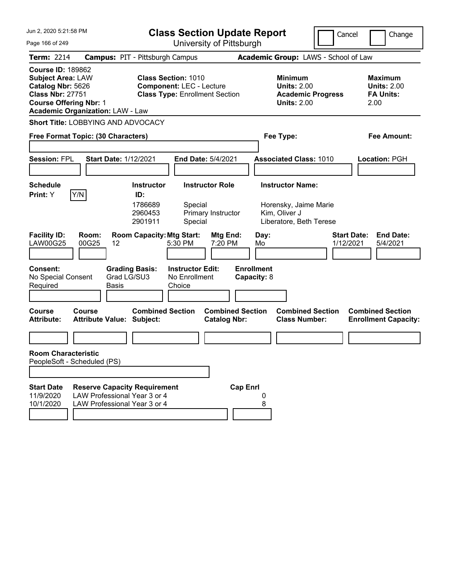| Jun 2, 2020 5:21:58 PM<br>Page 166 of 249                                                                                                                                        | <b>Class Section Update Report</b><br>University of Pittsburgh                                                                                         |                                                                                        | Cancel<br>Change                                                 |
|----------------------------------------------------------------------------------------------------------------------------------------------------------------------------------|--------------------------------------------------------------------------------------------------------------------------------------------------------|----------------------------------------------------------------------------------------|------------------------------------------------------------------|
| <b>Term: 2214</b>                                                                                                                                                                | <b>Campus: PIT - Pittsburgh Campus</b>                                                                                                                 | Academic Group: LAWS - School of Law                                                   |                                                                  |
| <b>Course ID: 189862</b><br><b>Subject Area: LAW</b><br>Catalog Nbr: 5626<br><b>Class Nbr: 27751</b><br><b>Course Offering Nbr: 1</b><br><b>Academic Organization: LAW - Law</b> | <b>Class Section: 1010</b><br><b>Component: LEC - Lecture</b><br><b>Class Type: Enrollment Section</b>                                                 | <b>Minimum</b><br><b>Units: 2.00</b><br><b>Academic Progress</b><br><b>Units: 2.00</b> | <b>Maximum</b><br><b>Units: 2.00</b><br><b>FA Units:</b><br>2.00 |
| <b>Short Title: LOBBYING AND ADVOCACY</b>                                                                                                                                        |                                                                                                                                                        |                                                                                        |                                                                  |
| Free Format Topic: (30 Characters)                                                                                                                                               |                                                                                                                                                        | Fee Type:                                                                              | Fee Amount:                                                      |
| <b>Session: FPL</b><br><b>Start Date: 1/12/2021</b>                                                                                                                              | <b>End Date: 5/4/2021</b>                                                                                                                              | <b>Associated Class: 1010</b>                                                          | Location: PGH                                                    |
| Schedule                                                                                                                                                                         | <b>Instructor Role</b><br><b>Instructor</b>                                                                                                            | <b>Instructor Name:</b>                                                                |                                                                  |
| Y/N<br><b>Print:</b> Y<br><b>Facility ID:</b><br>Room:<br><b>LAW00G25</b><br>00G25<br>12                                                                                         | ID:<br>1786689<br>Special<br>2960453<br>Primary Instructor<br>2901911<br>Special<br><b>Room Capacity: Mtg Start:</b><br>Mtg End:<br>5:30 PM<br>7:20 PM | Horensky, Jaime Marie<br>Kim, Oliver J<br>Liberatore, Beth Terese<br>Day:<br>Mo        | <b>Start Date:</b><br><b>End Date:</b><br>1/12/2021<br>5/4/2021  |
| <b>Consent:</b><br><b>Grading Basis:</b><br>Grad LG/SU3<br>No Special Consent<br>Required<br><b>Basis</b>                                                                        | <b>Instructor Edit:</b><br>No Enrollment<br>Choice                                                                                                     | <b>Enrollment</b><br>Capacity: 8                                                       |                                                                  |
| <b>Course</b><br>Course<br><b>Attribute:</b><br><b>Attribute Value: Subject:</b>                                                                                                 | <b>Combined Section</b><br><b>Combined Section</b><br><b>Catalog Nbr:</b>                                                                              | <b>Combined Section</b><br><b>Class Number:</b>                                        | <b>Combined Section</b><br><b>Enrollment Capacity:</b>           |
|                                                                                                                                                                                  |                                                                                                                                                        |                                                                                        |                                                                  |
| <b>Room Characteristic</b><br>PeopleSoft - Scheduled (PS)                                                                                                                        |                                                                                                                                                        |                                                                                        |                                                                  |
|                                                                                                                                                                                  |                                                                                                                                                        |                                                                                        |                                                                  |
| <b>Start Date</b><br><b>Reserve Capacity Requirement</b><br>LAW Professional Year 3 or 4<br>11/9/2020<br>10/1/2020<br>LAW Professional Year 3 or 4                               | <b>Cap Enrl</b>                                                                                                                                        | 8                                                                                      |                                                                  |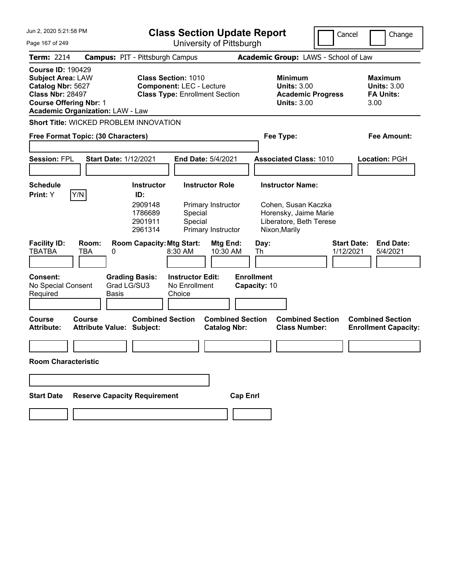| Jun 2, 2020 5:21:58 PM                                                                                                                                                           |                                                      |                                                                                                        | <b>Class Section Update Report</b>                 |                                                                    |                 |                                   |                                                                                                                     | Cancel                          |      | Change                                                   |
|----------------------------------------------------------------------------------------------------------------------------------------------------------------------------------|------------------------------------------------------|--------------------------------------------------------------------------------------------------------|----------------------------------------------------|--------------------------------------------------------------------|-----------------|-----------------------------------|---------------------------------------------------------------------------------------------------------------------|---------------------------------|------|----------------------------------------------------------|
| Page 167 of 249                                                                                                                                                                  |                                                      |                                                                                                        |                                                    | University of Pittsburgh                                           |                 |                                   |                                                                                                                     |                                 |      |                                                          |
| <b>Term: 2214</b>                                                                                                                                                                | <b>Campus: PIT - Pittsburgh Campus</b>               |                                                                                                        |                                                    |                                                                    |                 |                                   | Academic Group: LAWS - School of Law                                                                                |                                 |      |                                                          |
| <b>Course ID: 190429</b><br><b>Subject Area: LAW</b><br>Catalog Nbr: 5627<br><b>Class Nbr: 28497</b><br><b>Course Offering Nbr: 1</b><br><b>Academic Organization: LAW - Law</b> |                                                      | <b>Class Section: 1010</b><br><b>Component: LEC - Lecture</b><br><b>Class Type: Enrollment Section</b> |                                                    |                                                                    |                 |                                   | <b>Minimum</b><br><b>Units: 3.00</b><br><b>Academic Progress</b><br><b>Units: 3.00</b>                              |                                 | 3.00 | <b>Maximum</b><br><b>Units: 3.00</b><br><b>FA Units:</b> |
| <b>Short Title: WICKED PROBLEM INNOVATION</b>                                                                                                                                    |                                                      |                                                                                                        |                                                    |                                                                    |                 |                                   |                                                                                                                     |                                 |      |                                                          |
| Free Format Topic: (30 Characters)                                                                                                                                               |                                                      |                                                                                                        |                                                    |                                                                    |                 |                                   | Fee Type:                                                                                                           |                                 |      | Fee Amount:                                              |
| <b>Session: FPL</b>                                                                                                                                                              | <b>Start Date: 1/12/2021</b>                         |                                                                                                        |                                                    | End Date: 5/4/2021                                                 |                 |                                   | <b>Associated Class: 1010</b>                                                                                       |                                 |      | Location: PGH                                            |
| <b>Schedule</b><br> Y/N <br>Print: Y                                                                                                                                             |                                                      | <b>Instructor</b><br>ID:<br>2909148<br>1786689<br>2901911<br>2961314                                   | Special<br>Special                                 | <b>Instructor Role</b><br>Primary Instructor<br>Primary Instructor |                 |                                   | <b>Instructor Name:</b><br>Cohen, Susan Kaczka<br>Horensky, Jaime Marie<br>Liberatore, Beth Terese<br>Nixon, Marily |                                 |      |                                                          |
| <b>Facility ID:</b><br><b>TBATBA</b><br>TBA                                                                                                                                      | Room:<br>0                                           | <b>Room Capacity: Mtg Start:</b>                                                                       | 8:30 AM                                            | Mtg End:<br>10:30 AM                                               |                 | Day:<br>Th                        |                                                                                                                     | <b>Start Date:</b><br>1/12/2021 |      | <b>End Date:</b><br>5/4/2021                             |
| <b>Consent:</b><br>No Special Consent<br>Required                                                                                                                                | <b>Grading Basis:</b><br>Grad LG/SU3<br><b>Basis</b> |                                                                                                        | <b>Instructor Edit:</b><br>No Enrollment<br>Choice |                                                                    |                 | <b>Enrollment</b><br>Capacity: 10 |                                                                                                                     |                                 |      |                                                          |
| <b>Course</b><br>Course<br><b>Attribute:</b>                                                                                                                                     | <b>Attribute Value: Subject:</b>                     | <b>Combined Section</b>                                                                                |                                                    | <b>Combined Section</b><br><b>Catalog Nbr:</b>                     |                 |                                   | <b>Combined Section</b><br><b>Class Number:</b>                                                                     |                                 |      | <b>Combined Section</b><br><b>Enrollment Capacity:</b>   |
| <b>Room Characteristic</b>                                                                                                                                                       |                                                      |                                                                                                        |                                                    |                                                                    |                 |                                   |                                                                                                                     |                                 |      |                                                          |
|                                                                                                                                                                                  |                                                      |                                                                                                        |                                                    |                                                                    |                 |                                   |                                                                                                                     |                                 |      |                                                          |
| <b>Start Date</b>                                                                                                                                                                | <b>Reserve Capacity Requirement</b>                  |                                                                                                        |                                                    |                                                                    | <b>Cap Enrl</b> |                                   |                                                                                                                     |                                 |      |                                                          |
|                                                                                                                                                                                  |                                                      |                                                                                                        |                                                    |                                                                    |                 |                                   |                                                                                                                     |                                 |      |                                                          |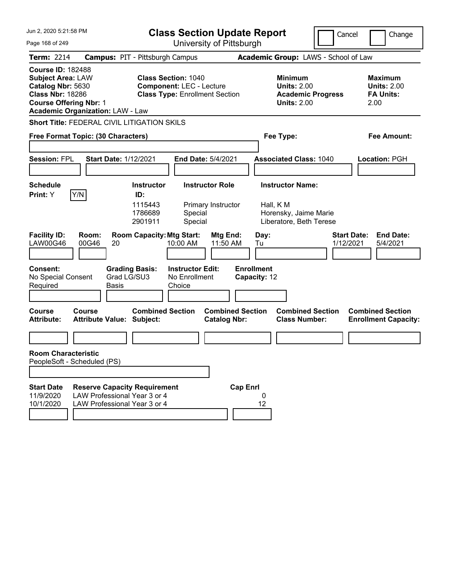| Jun 2, 2020 5:21:58 PM                                                                                                                |                                                                                                     | <b>Class Section Update Report</b><br>Cancel<br>Change        |                                                    |                                                |                                   |                                                                                          |  |                                                                  |
|---------------------------------------------------------------------------------------------------------------------------------------|-----------------------------------------------------------------------------------------------------|---------------------------------------------------------------|----------------------------------------------------|------------------------------------------------|-----------------------------------|------------------------------------------------------------------------------------------|--|------------------------------------------------------------------|
| Page 168 of 249                                                                                                                       |                                                                                                     |                                                               |                                                    | University of Pittsburgh                       |                                   |                                                                                          |  |                                                                  |
| <b>Term: 2214</b>                                                                                                                     | <b>Campus: PIT - Pittsburgh Campus</b>                                                              |                                                               |                                                    |                                                |                                   | Academic Group: LAWS - School of Law                                                     |  |                                                                  |
| <b>Course ID: 182488</b><br><b>Subject Area: LAW</b><br>Catalog Nbr: 5630<br><b>Class Nbr: 18286</b><br><b>Course Offering Nbr: 1</b> | <b>Academic Organization: LAW - Law</b>                                                             | <b>Class Section: 1040</b><br><b>Component: LEC - Lecture</b> |                                                    | <b>Class Type: Enrollment Section</b>          |                                   | <b>Minimum</b><br><b>Units: 2.00</b><br><b>Academic Progress</b><br><b>Units: 2.00</b>   |  | <b>Maximum</b><br><b>Units: 2.00</b><br><b>FA Units:</b><br>2.00 |
|                                                                                                                                       | <b>Short Title: FEDERAL CIVIL LITIGATION SKILS</b>                                                  |                                                               |                                                    |                                                |                                   |                                                                                          |  |                                                                  |
|                                                                                                                                       | Free Format Topic: (30 Characters)                                                                  |                                                               |                                                    |                                                |                                   | Fee Type:                                                                                |  | Fee Amount:                                                      |
| <b>Session: FPL</b>                                                                                                                   | <b>Start Date: 1/12/2021</b>                                                                        |                                                               |                                                    | End Date: 5/4/2021                             |                                   | <b>Associated Class: 1040</b>                                                            |  | Location: PGH                                                    |
| <b>Schedule</b><br>Print: Y                                                                                                           | Y/N                                                                                                 | <b>Instructor</b><br>ID:<br>1115443<br>1786689<br>2901911     | Special<br>Special                                 | <b>Instructor Role</b><br>Primary Instructor   |                                   | <b>Instructor Name:</b><br>Hall, K M<br>Horensky, Jaime Marie<br>Liberatore, Beth Terese |  |                                                                  |
| <b>Facility ID:</b><br><b>LAW00G46</b>                                                                                                | Room:<br>00G46<br>20                                                                                | <b>Room Capacity: Mtg Start:</b>                              | 10:00 AM                                           | Mtg End:<br>11:50 AM                           | Day:<br>Tu                        |                                                                                          |  | <b>Start Date:</b><br><b>End Date:</b><br>1/12/2021<br>5/4/2021  |
| <b>Consent:</b><br>No Special Consent<br>Required                                                                                     | Grad LG/SU3<br>Basis                                                                                | <b>Grading Basis:</b>                                         | <b>Instructor Edit:</b><br>No Enrollment<br>Choice |                                                | <b>Enrollment</b><br>Capacity: 12 |                                                                                          |  |                                                                  |
| <b>Course</b><br><b>Attribute:</b>                                                                                                    | Course<br><b>Attribute Value: Subject:</b>                                                          | <b>Combined Section</b>                                       |                                                    | <b>Combined Section</b><br><b>Catalog Nbr:</b> |                                   | <b>Combined Section</b><br><b>Class Number:</b>                                          |  | <b>Combined Section</b><br><b>Enrollment Capacity:</b>           |
|                                                                                                                                       |                                                                                                     |                                                               |                                                    |                                                |                                   |                                                                                          |  |                                                                  |
| <b>Room Characteristic</b><br>PeopleSoft - Scheduled (PS)                                                                             |                                                                                                     |                                                               |                                                    |                                                |                                   |                                                                                          |  |                                                                  |
|                                                                                                                                       |                                                                                                     |                                                               |                                                    |                                                |                                   |                                                                                          |  |                                                                  |
| <b>Start Date</b><br>11/9/2020<br>10/1/2020                                                                                           | <b>Reserve Capacity Requirement</b><br>LAW Professional Year 3 or 4<br>LAW Professional Year 3 or 4 |                                                               |                                                    |                                                | <b>Cap Enrl</b><br>0<br>12        |                                                                                          |  |                                                                  |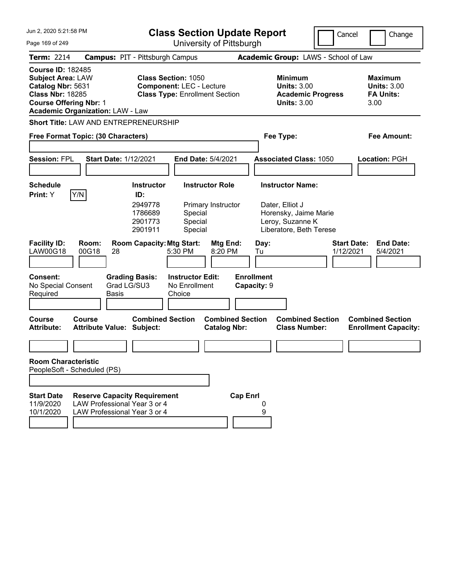| Jun 2, 2020 5:21:58 PM                                                                                                                |                                                                                                     |                                                                      | <b>Class Section Update Report</b>                                       | Cancel<br>Change                               |                                      |                                                                                                                    |             |                                                                  |  |  |
|---------------------------------------------------------------------------------------------------------------------------------------|-----------------------------------------------------------------------------------------------------|----------------------------------------------------------------------|--------------------------------------------------------------------------|------------------------------------------------|--------------------------------------|--------------------------------------------------------------------------------------------------------------------|-------------|------------------------------------------------------------------|--|--|
| Page 169 of 249                                                                                                                       |                                                                                                     |                                                                      |                                                                          | University of Pittsburgh                       |                                      |                                                                                                                    |             |                                                                  |  |  |
| Term: 2214                                                                                                                            | <b>Campus: PIT - Pittsburgh Campus</b>                                                              |                                                                      |                                                                          |                                                | Academic Group: LAWS - School of Law |                                                                                                                    |             |                                                                  |  |  |
| <b>Course ID: 182485</b><br><b>Subject Area: LAW</b><br>Catalog Nbr: 5631<br><b>Class Nbr: 18285</b><br><b>Course Offering Nbr: 1</b> | <b>Academic Organization: LAW - Law</b>                                                             | <b>Class Section: 1050</b>                                           | <b>Component: LEC - Lecture</b><br><b>Class Type: Enrollment Section</b> |                                                |                                      | <b>Minimum</b><br><b>Units: 3.00</b><br><b>Academic Progress</b><br><b>Units: 3.00</b>                             |             | <b>Maximum</b><br><b>Units: 3.00</b><br><b>FA Units:</b><br>3.00 |  |  |
|                                                                                                                                       | <b>Short Title: LAW AND ENTREPRENEURSHIP</b>                                                        |                                                                      |                                                                          |                                                |                                      |                                                                                                                    |             |                                                                  |  |  |
| Free Format Topic: (30 Characters)                                                                                                    |                                                                                                     |                                                                      |                                                                          |                                                | Fee Type:                            |                                                                                                                    | Fee Amount: |                                                                  |  |  |
| <b>Session: FPL</b>                                                                                                                   | <b>Start Date: 1/12/2021</b>                                                                        |                                                                      | End Date: 5/4/2021                                                       |                                                |                                      | <b>Associated Class: 1050</b>                                                                                      |             | Location: PGH                                                    |  |  |
| <b>Schedule</b><br>Print: Y                                                                                                           | Y/N                                                                                                 | <b>Instructor</b><br>ID:<br>2949778<br>1786689<br>2901773<br>2901911 | Special<br>Special<br>Special                                            | <b>Instructor Role</b><br>Primary Instructor   |                                      | <b>Instructor Name:</b><br>Dater, Elliot J<br>Horensky, Jaime Marie<br>Leroy, Suzanne K<br>Liberatore, Beth Terese |             |                                                                  |  |  |
| <b>Facility ID:</b><br><b>LAW00G18</b><br><b>Consent:</b>                                                                             | Room:<br>00G18<br>28                                                                                | <b>Room Capacity: Mtg Start:</b><br><b>Grading Basis:</b>            | 5:30 PM<br><b>Instructor Edit:</b>                                       | Mtg End:<br>8:20 PM                            | Day:<br>Tu<br><b>Enrollment</b>      |                                                                                                                    | 1/12/2021   | <b>Start Date:</b><br><b>End Date:</b><br>5/4/2021               |  |  |
| No Special Consent<br>Required                                                                                                        | Grad LG/SU3<br><b>Basis</b>                                                                         |                                                                      | No Enrollment<br>Choice                                                  |                                                | Capacity: 9                          |                                                                                                                    |             |                                                                  |  |  |
| <b>Course</b><br><b>Attribute:</b>                                                                                                    | Course<br><b>Attribute Value: Subject:</b>                                                          | <b>Combined Section</b>                                              |                                                                          | <b>Combined Section</b><br><b>Catalog Nbr:</b> |                                      | <b>Combined Section</b><br><b>Class Number:</b>                                                                    |             | <b>Combined Section</b><br><b>Enrollment Capacity:</b>           |  |  |
|                                                                                                                                       |                                                                                                     |                                                                      |                                                                          |                                                |                                      |                                                                                                                    |             |                                                                  |  |  |
| <b>Room Characteristic</b><br>PeopleSoft - Scheduled (PS)                                                                             |                                                                                                     |                                                                      |                                                                          |                                                |                                      |                                                                                                                    |             |                                                                  |  |  |
|                                                                                                                                       |                                                                                                     |                                                                      |                                                                          |                                                |                                      |                                                                                                                    |             |                                                                  |  |  |
| <b>Start Date</b><br>11/9/2020<br>10/1/2020                                                                                           | <b>Reserve Capacity Requirement</b><br>LAW Professional Year 3 or 4<br>LAW Professional Year 3 or 4 |                                                                      |                                                                          | <b>Cap Enrl</b>                                | 9                                    |                                                                                                                    |             |                                                                  |  |  |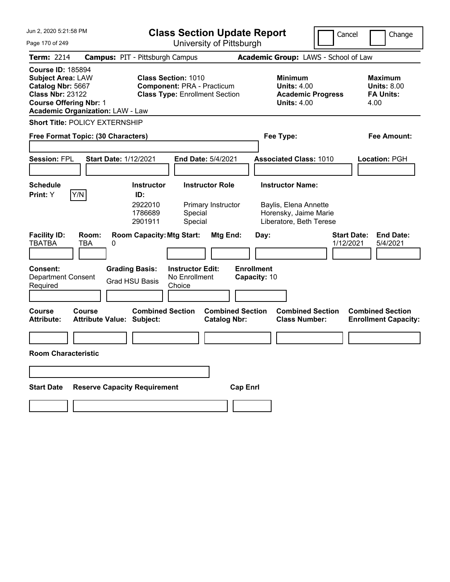| Jun 2, 2020 5:21:58 PM                                                                                                                                                           |                                                | <b>Class Section Update Report</b><br>Cancel<br>Change                                                   |                                                |                                                                                        |                                 |                                                                  |  |
|----------------------------------------------------------------------------------------------------------------------------------------------------------------------------------|------------------------------------------------|----------------------------------------------------------------------------------------------------------|------------------------------------------------|----------------------------------------------------------------------------------------|---------------------------------|------------------------------------------------------------------|--|
| Page 170 of 249                                                                                                                                                                  |                                                | University of Pittsburgh                                                                                 |                                                |                                                                                        |                                 |                                                                  |  |
| <b>Term: 2214</b>                                                                                                                                                                | <b>Campus: PIT - Pittsburgh Campus</b>         |                                                                                                          |                                                | Academic Group: LAWS - School of Law                                                   |                                 |                                                                  |  |
| <b>Course ID: 185894</b><br><b>Subject Area: LAW</b><br>Catalog Nbr: 5667<br><b>Class Nbr: 23122</b><br><b>Course Offering Nbr: 1</b><br><b>Academic Organization: LAW - Law</b> |                                                | <b>Class Section: 1010</b><br><b>Component: PRA - Practicum</b><br><b>Class Type: Enrollment Section</b> |                                                | <b>Minimum</b><br><b>Units: 4.00</b><br><b>Academic Progress</b><br><b>Units: 4.00</b> |                                 | <b>Maximum</b><br><b>Units: 8.00</b><br><b>FA Units:</b><br>4.00 |  |
| <b>Short Title: POLICY EXTERNSHIP</b>                                                                                                                                            |                                                |                                                                                                          |                                                |                                                                                        |                                 |                                                                  |  |
| Free Format Topic: (30 Characters)                                                                                                                                               |                                                |                                                                                                          |                                                | Fee Type:                                                                              |                                 | Fee Amount:                                                      |  |
|                                                                                                                                                                                  |                                                |                                                                                                          |                                                |                                                                                        |                                 |                                                                  |  |
| <b>Session: FPL</b>                                                                                                                                                              | <b>Start Date: 1/12/2021</b>                   | End Date: 5/4/2021                                                                                       |                                                | <b>Associated Class: 1010</b>                                                          |                                 | Location: PGH                                                    |  |
|                                                                                                                                                                                  |                                                |                                                                                                          |                                                |                                                                                        |                                 |                                                                  |  |
| <b>Schedule</b><br>Print: Y                                                                                                                                                      | <b>Instructor</b>                              | <b>Instructor Role</b>                                                                                   |                                                | <b>Instructor Name:</b>                                                                |                                 |                                                                  |  |
| Y/N                                                                                                                                                                              | ID:<br>2922010<br>1786689<br>2901911           | Primary Instructor<br>Special<br>Special                                                                 |                                                | Baylis, Elena Annette<br>Horensky, Jaime Marie<br>Liberatore, Beth Terese              |                                 |                                                                  |  |
| <b>Facility ID:</b><br>Room:<br><b>TBATBA</b><br>TBA                                                                                                                             | <b>Room Capacity: Mtg Start:</b><br>0          |                                                                                                          | Mtg End:<br>Day:                               |                                                                                        | <b>Start Date:</b><br>1/12/2021 | <b>End Date:</b><br>5/4/2021                                     |  |
| <b>Consent:</b><br><b>Department Consent</b><br>Required                                                                                                                         | <b>Grading Basis:</b><br><b>Grad HSU Basis</b> | <b>Instructor Edit:</b><br>No Enrollment<br>Choice                                                       | <b>Enrollment</b><br>Capacity: 10              |                                                                                        |                                 |                                                                  |  |
| <b>Course</b><br>Course<br><b>Attribute:</b>                                                                                                                                     | <b>Attribute Value: Subject:</b>               | <b>Combined Section</b>                                                                                  | <b>Combined Section</b><br><b>Catalog Nbr:</b> | <b>Combined Section</b><br><b>Class Number:</b>                                        |                                 | <b>Combined Section</b><br><b>Enrollment Capacity:</b>           |  |
|                                                                                                                                                                                  |                                                |                                                                                                          |                                                |                                                                                        |                                 |                                                                  |  |
| <b>Room Characteristic</b>                                                                                                                                                       |                                                |                                                                                                          |                                                |                                                                                        |                                 |                                                                  |  |
|                                                                                                                                                                                  |                                                |                                                                                                          |                                                |                                                                                        |                                 |                                                                  |  |
|                                                                                                                                                                                  |                                                |                                                                                                          |                                                |                                                                                        |                                 |                                                                  |  |
| <b>Start Date</b>                                                                                                                                                                | <b>Reserve Capacity Requirement</b>            |                                                                                                          | <b>Cap Enrl</b>                                |                                                                                        |                                 |                                                                  |  |
|                                                                                                                                                                                  |                                                |                                                                                                          |                                                |                                                                                        |                                 |                                                                  |  |
|                                                                                                                                                                                  |                                                |                                                                                                          |                                                |                                                                                        |                                 |                                                                  |  |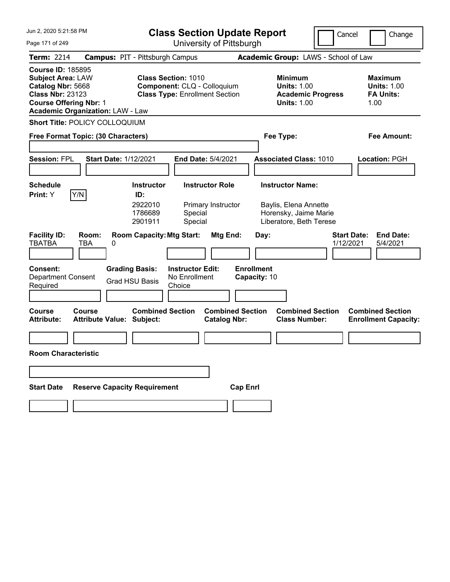| Jun 2, 2020 5:21:58 PM                                                                                                                                                           |                                                                                                      | <b>Class Section Update Report</b><br>Cancel<br>Change                                 |                                                                  |  |  |  |  |  |
|----------------------------------------------------------------------------------------------------------------------------------------------------------------------------------|------------------------------------------------------------------------------------------------------|----------------------------------------------------------------------------------------|------------------------------------------------------------------|--|--|--|--|--|
| Page 171 of 249                                                                                                                                                                  | University of Pittsburgh                                                                             |                                                                                        |                                                                  |  |  |  |  |  |
| <b>Term: 2214</b>                                                                                                                                                                | <b>Campus: PIT - Pittsburgh Campus</b>                                                               | Academic Group: LAWS - School of Law                                                   |                                                                  |  |  |  |  |  |
| <b>Course ID: 185895</b><br><b>Subject Area: LAW</b><br>Catalog Nbr: 5668<br><b>Class Nbr: 23123</b><br><b>Course Offering Nbr: 1</b><br><b>Academic Organization: LAW - Law</b> | <b>Class Section: 1010</b><br>Component: CLQ - Colloquium<br><b>Class Type: Enrollment Section</b>   | <b>Minimum</b><br><b>Units: 1.00</b><br><b>Academic Progress</b><br><b>Units: 1.00</b> | <b>Maximum</b><br><b>Units: 1.00</b><br><b>FA Units:</b><br>1.00 |  |  |  |  |  |
| Short Title: POLICY COLLOQUIUM                                                                                                                                                   |                                                                                                      |                                                                                        |                                                                  |  |  |  |  |  |
| Free Format Topic: (30 Characters)                                                                                                                                               |                                                                                                      | Fee Type:                                                                              | Fee Amount:                                                      |  |  |  |  |  |
|                                                                                                                                                                                  |                                                                                                      |                                                                                        |                                                                  |  |  |  |  |  |
| <b>Session: FPL</b><br><b>Start Date: 1/12/2021</b>                                                                                                                              | <b>End Date: 5/4/2021</b>                                                                            | <b>Associated Class: 1010</b>                                                          | Location: PGH                                                    |  |  |  |  |  |
| <b>Schedule</b>                                                                                                                                                                  | <b>Instructor Role</b><br><b>Instructor</b>                                                          | <b>Instructor Name:</b>                                                                |                                                                  |  |  |  |  |  |
| Y/N<br>Print: Y                                                                                                                                                                  | ID:                                                                                                  |                                                                                        |                                                                  |  |  |  |  |  |
|                                                                                                                                                                                  | 2922010<br>Primary Instructor<br>1786689<br>Special<br>Special<br>2901911                            | Baylis, Elena Annette<br>Horensky, Jaime Marie<br>Liberatore, Beth Terese              |                                                                  |  |  |  |  |  |
| <b>Facility ID:</b><br>Room:<br><b>TBATBA</b><br><b>TBA</b><br>0                                                                                                                 | <b>Room Capacity: Mtg Start:</b><br>Mtg End:                                                         | Day:                                                                                   | <b>Start Date:</b><br><b>End Date:</b><br>1/12/2021<br>5/4/2021  |  |  |  |  |  |
| <b>Consent:</b><br><b>Department Consent</b><br>Required                                                                                                                         | <b>Grading Basis:</b><br><b>Instructor Edit:</b><br>No Enrollment<br><b>Grad HSU Basis</b><br>Choice | <b>Enrollment</b><br>Capacity: 10                                                      |                                                                  |  |  |  |  |  |
| <b>Course</b><br>Course<br><b>Attribute Value: Subject:</b><br><b>Attribute:</b>                                                                                                 | <b>Combined Section</b><br><b>Catalog Nbr:</b>                                                       | <b>Combined Section</b><br><b>Combined Section</b><br><b>Class Number:</b>             | <b>Combined Section</b><br><b>Enrollment Capacity:</b>           |  |  |  |  |  |
|                                                                                                                                                                                  |                                                                                                      |                                                                                        |                                                                  |  |  |  |  |  |
| <b>Room Characteristic</b>                                                                                                                                                       |                                                                                                      |                                                                                        |                                                                  |  |  |  |  |  |
|                                                                                                                                                                                  |                                                                                                      |                                                                                        |                                                                  |  |  |  |  |  |
| <b>Start Date</b>                                                                                                                                                                | <b>Reserve Capacity Requirement</b>                                                                  | <b>Cap Enrl</b>                                                                        |                                                                  |  |  |  |  |  |
|                                                                                                                                                                                  |                                                                                                      |                                                                                        |                                                                  |  |  |  |  |  |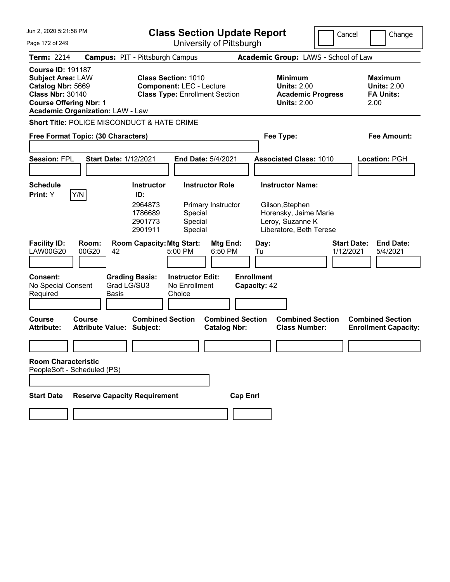| Jun 2. 2020 5:21:58 PM                                                                                                                |                                                   |                                                                      | <b>Class Section Update Report</b>                                                                     |                                                |                                   |            |                                                                                                                    | Cancel                          |      | Change                                                   |
|---------------------------------------------------------------------------------------------------------------------------------------|---------------------------------------------------|----------------------------------------------------------------------|--------------------------------------------------------------------------------------------------------|------------------------------------------------|-----------------------------------|------------|--------------------------------------------------------------------------------------------------------------------|---------------------------------|------|----------------------------------------------------------|
| Page 172 of 249                                                                                                                       |                                                   | University of Pittsburgh                                             |                                                                                                        |                                                |                                   |            |                                                                                                                    |                                 |      |                                                          |
| Term: 2214                                                                                                                            | <b>Campus: PIT - Pittsburgh Campus</b>            |                                                                      |                                                                                                        |                                                |                                   |            | Academic Group: LAWS - School of Law                                                                               |                                 |      |                                                          |
| <b>Course ID: 191187</b><br><b>Subject Area: LAW</b><br>Catalog Nbr: 5669<br><b>Class Nbr: 30140</b><br><b>Course Offering Nbr: 1</b> | <b>Academic Organization: LAW - Law</b>           |                                                                      | <b>Class Section: 1010</b><br><b>Component: LEC - Lecture</b><br><b>Class Type: Enrollment Section</b> |                                                |                                   |            | <b>Minimum</b><br><b>Units: 2.00</b><br><b>Academic Progress</b><br><b>Units: 2.00</b>                             |                                 | 2.00 | <b>Maximum</b><br><b>Units: 2.00</b><br><b>FA Units:</b> |
|                                                                                                                                       | Short Title: POLICE MISCONDUCT & HATE CRIME       |                                                                      |                                                                                                        |                                                |                                   |            |                                                                                                                    |                                 |      |                                                          |
|                                                                                                                                       | Free Format Topic: (30 Characters)                |                                                                      |                                                                                                        |                                                |                                   |            | Fee Type:                                                                                                          |                                 |      | <b>Fee Amount:</b>                                       |
| <b>Session: FPL</b>                                                                                                                   | <b>Start Date: 1/12/2021</b>                      |                                                                      | <b>End Date: 5/4/2021</b>                                                                              |                                                |                                   |            | <b>Associated Class: 1010</b>                                                                                      |                                 |      | Location: PGH                                            |
| <b>Schedule</b><br>Print: Y                                                                                                           | Y/N                                               | <b>Instructor</b><br>ID:<br>2964873<br>1786689<br>2901773<br>2901911 | Special<br>Special<br>Special                                                                          | <b>Instructor Role</b><br>Primary Instructor   |                                   |            | <b>Instructor Name:</b><br>Gilson, Stephen<br>Horensky, Jaime Marie<br>Leroy, Suzanne K<br>Liberatore, Beth Terese |                                 |      |                                                          |
| <b>Facility ID:</b><br><b>LAW00G20</b>                                                                                                | Room:<br>00G20<br>42                              | <b>Room Capacity: Mtg Start:</b>                                     | 5:00 PM                                                                                                | Mtg End:<br>6:50 PM                            |                                   | Day:<br>Tu |                                                                                                                    | <b>Start Date:</b><br>1/12/2021 |      | <b>End Date:</b><br>5/4/2021                             |
| <b>Consent:</b><br>No Special Consent<br>Required                                                                                     | Grad LG/SU3<br>Basis                              | <b>Grading Basis:</b>                                                | <b>Instructor Edit:</b><br>No Enrollment<br>Choice                                                     |                                                | <b>Enrollment</b><br>Capacity: 42 |            |                                                                                                                    |                                 |      |                                                          |
| <b>Course</b><br><b>Attribute:</b>                                                                                                    | <b>Course</b><br><b>Attribute Value: Subject:</b> | <b>Combined Section</b>                                              |                                                                                                        | <b>Combined Section</b><br><b>Catalog Nbr:</b> |                                   |            | <b>Combined Section</b><br><b>Class Number:</b>                                                                    |                                 |      | <b>Combined Section</b><br><b>Enrollment Capacity:</b>   |
|                                                                                                                                       |                                                   |                                                                      |                                                                                                        |                                                |                                   |            |                                                                                                                    |                                 |      |                                                          |
| <b>Room Characteristic</b>                                                                                                            | PeopleSoft - Scheduled (PS)                       |                                                                      |                                                                                                        |                                                |                                   |            |                                                                                                                    |                                 |      |                                                          |
|                                                                                                                                       |                                                   |                                                                      |                                                                                                        |                                                |                                   |            |                                                                                                                    |                                 |      |                                                          |
| <b>Start Date</b>                                                                                                                     | <b>Reserve Capacity Requirement</b>               |                                                                      |                                                                                                        |                                                | <b>Cap Enrl</b>                   |            |                                                                                                                    |                                 |      |                                                          |
|                                                                                                                                       |                                                   |                                                                      |                                                                                                        |                                                |                                   |            |                                                                                                                    |                                 |      |                                                          |
|                                                                                                                                       |                                                   |                                                                      |                                                                                                        |                                                |                                   |            |                                                                                                                    |                                 |      |                                                          |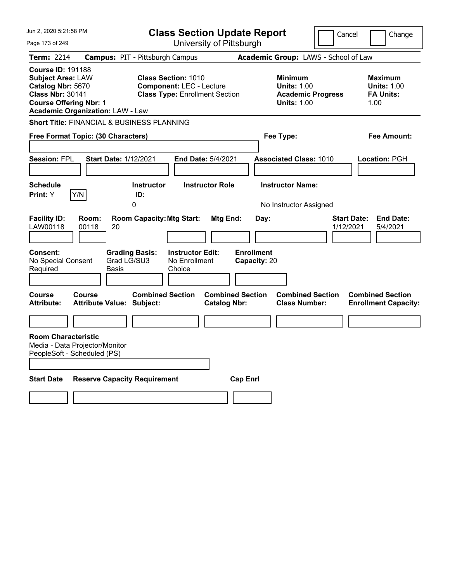| Jun 2, 2020 5:21:58 PM                                                                                                                                                           | <b>Class Section Update Report</b><br>Cancel<br>Change                                                 |                                                                                        |                                                                  |  |  |  |  |
|----------------------------------------------------------------------------------------------------------------------------------------------------------------------------------|--------------------------------------------------------------------------------------------------------|----------------------------------------------------------------------------------------|------------------------------------------------------------------|--|--|--|--|
| Page 173 of 249                                                                                                                                                                  | University of Pittsburgh                                                                               |                                                                                        |                                                                  |  |  |  |  |
| <b>Term: 2214</b>                                                                                                                                                                | <b>Campus: PIT - Pittsburgh Campus</b>                                                                 | Academic Group: LAWS - School of Law                                                   |                                                                  |  |  |  |  |
| <b>Course ID: 191188</b><br><b>Subject Area: LAW</b><br>Catalog Nbr: 5670<br><b>Class Nbr: 30141</b><br><b>Course Offering Nbr: 1</b><br><b>Academic Organization: LAW - Law</b> | <b>Class Section: 1010</b><br><b>Component: LEC - Lecture</b><br><b>Class Type: Enrollment Section</b> | <b>Minimum</b><br><b>Units: 1.00</b><br><b>Academic Progress</b><br><b>Units: 1.00</b> | <b>Maximum</b><br><b>Units: 1.00</b><br><b>FA Units:</b><br>1.00 |  |  |  |  |
| <b>Short Title: FINANCIAL &amp; BUSINESS PLANNING</b>                                                                                                                            |                                                                                                        |                                                                                        |                                                                  |  |  |  |  |
| Free Format Topic: (30 Characters)                                                                                                                                               |                                                                                                        | Fee Type:                                                                              | Fee Amount:                                                      |  |  |  |  |
| <b>Session: FPL</b><br><b>Start Date: 1/12/2021</b>                                                                                                                              | <b>End Date: 5/4/2021</b>                                                                              | <b>Associated Class: 1010</b>                                                          | Location: PGH                                                    |  |  |  |  |
| <b>Schedule</b>                                                                                                                                                                  | <b>Instructor Role</b><br>Instructor                                                                   | <b>Instructor Name:</b>                                                                |                                                                  |  |  |  |  |
| Print: Y<br>Y/N                                                                                                                                                                  | ID:<br>$\mathbf{0}$                                                                                    | No Instructor Assigned                                                                 |                                                                  |  |  |  |  |
| <b>Facility ID:</b><br>Room:<br>LAW00118<br>00118<br>20<br>Consent:<br><b>Grading Basis:</b><br>No Special Consent<br>Grad LG/SU3<br>Required<br>Basis                           | <b>Room Capacity: Mtg Start:</b><br>Mtg End:<br><b>Instructor Edit:</b><br>No Enrollment<br>Choice     | <b>Start Date:</b><br>Day:<br>1/12/2021<br><b>Enrollment</b><br>Capacity: 20           | <b>End Date:</b><br>5/4/2021                                     |  |  |  |  |
| Course<br>Course<br><b>Attribute:</b><br><b>Attribute Value: Subject:</b>                                                                                                        | <b>Combined Section</b><br><b>Combined Section</b><br><b>Catalog Nbr:</b>                              | <b>Combined Section</b><br><b>Class Number:</b>                                        | <b>Combined Section</b><br><b>Enrollment Capacity:</b>           |  |  |  |  |
|                                                                                                                                                                                  |                                                                                                        |                                                                                        |                                                                  |  |  |  |  |
| <b>Room Characteristic</b><br>Media - Data Projector/Monitor<br>PeopleSoft - Scheduled (PS)                                                                                      |                                                                                                        |                                                                                        |                                                                  |  |  |  |  |
| <b>Start Date</b><br><b>Reserve Capacity Requirement</b>                                                                                                                         | <b>Cap Enrl</b>                                                                                        |                                                                                        |                                                                  |  |  |  |  |
|                                                                                                                                                                                  |                                                                                                        |                                                                                        |                                                                  |  |  |  |  |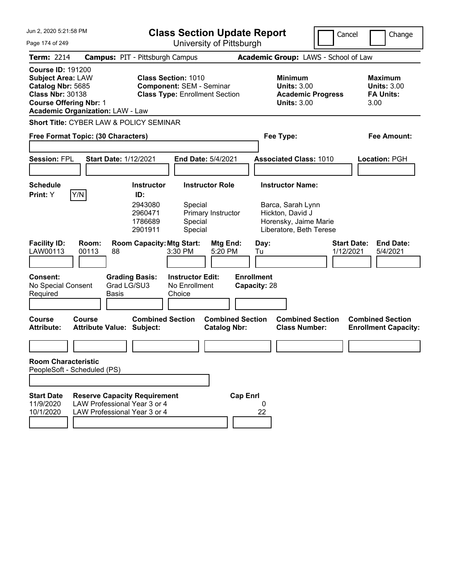| Jun 2, 2020 5:21:58 PM                                                                                                                                                           |                                                                                                     |                                                                                                                                   | <b>Class Section Update Report</b>                                                   |                                                                     |                                         |                                                                          |                                                                      | Cancel                          | Change                                                           |
|----------------------------------------------------------------------------------------------------------------------------------------------------------------------------------|-----------------------------------------------------------------------------------------------------|-----------------------------------------------------------------------------------------------------------------------------------|--------------------------------------------------------------------------------------|---------------------------------------------------------------------|-----------------------------------------|--------------------------------------------------------------------------|----------------------------------------------------------------------|---------------------------------|------------------------------------------------------------------|
| Page 174 of 249                                                                                                                                                                  |                                                                                                     |                                                                                                                                   |                                                                                      | University of Pittsburgh                                            |                                         |                                                                          |                                                                      |                                 |                                                                  |
| Term: 2214                                                                                                                                                                       | <b>Campus: PIT - Pittsburgh Campus</b>                                                              |                                                                                                                                   |                                                                                      |                                                                     |                                         |                                                                          | Academic Group: LAWS - School of Law                                 |                                 |                                                                  |
| <b>Course ID: 191200</b><br><b>Subject Area: LAW</b><br>Catalog Nbr: 5685<br><b>Class Nbr: 30138</b><br><b>Course Offering Nbr: 1</b><br><b>Academic Organization: LAW - Law</b> |                                                                                                     | <b>Class Section: 1010</b><br><b>Component: SEM - Seminar</b><br><b>Class Type: Enrollment Section</b>                            |                                                                                      |                                                                     |                                         | <b>Minimum</b>                                                           | <b>Units: 3.00</b><br><b>Academic Progress</b><br><b>Units: 3.00</b> |                                 | <b>Maximum</b><br><b>Units: 3.00</b><br><b>FA Units:</b><br>3.00 |
| Short Title: CYBER LAW & POLICY SEMINAR                                                                                                                                          |                                                                                                     |                                                                                                                                   |                                                                                      |                                                                     |                                         |                                                                          |                                                                      |                                 |                                                                  |
| Free Format Topic: (30 Characters)                                                                                                                                               |                                                                                                     |                                                                                                                                   |                                                                                      |                                                                     |                                         | Fee Type:                                                                |                                                                      |                                 | Fee Amount:                                                      |
| <b>Session: FPL</b>                                                                                                                                                              | <b>Start Date: 1/12/2021</b>                                                                        |                                                                                                                                   |                                                                                      | <b>End Date: 5/4/2021</b>                                           |                                         |                                                                          | <b>Associated Class: 1010</b>                                        |                                 | Location: PGH                                                    |
|                                                                                                                                                                                  |                                                                                                     |                                                                                                                                   |                                                                                      |                                                                     |                                         |                                                                          |                                                                      |                                 |                                                                  |
| <b>Schedule</b><br>Y/N<br>Print: Y<br><b>Facility ID:</b><br>LAW00113<br><b>Consent:</b><br>No Special Consent                                                                   | Room:<br>00113<br>88<br>Grad LG/SU3                                                                 | <b>Instructor</b><br>ID:<br>2943080<br>2960471<br>1786689<br>2901911<br><b>Room Capacity: Mtg Start:</b><br><b>Grading Basis:</b> | Special<br>Special<br>Special<br>3:30 PM<br><b>Instructor Edit:</b><br>No Enrollment | <b>Instructor Role</b><br>Primary Instructor<br>Mtg End:<br>5:20 PM | Tu<br><b>Enrollment</b><br>Capacity: 28 | <b>Instructor Name:</b><br>Barca, Sarah Lynn<br>Hickton, David J<br>Day: | Horensky, Jaime Marie<br>Liberatore, Beth Terese                     | <b>Start Date:</b><br>1/12/2021 | <b>End Date:</b><br>5/4/2021                                     |
| Required                                                                                                                                                                         | <b>Basis</b>                                                                                        |                                                                                                                                   | Choice                                                                               |                                                                     |                                         |                                                                          |                                                                      |                                 |                                                                  |
| <b>Course</b><br><b>Attribute:</b><br><b>Room Characteristic</b><br>PeopleSoft - Scheduled (PS)                                                                                  | Course<br><b>Attribute Value: Subject:</b>                                                          | <b>Combined Section</b>                                                                                                           |                                                                                      | <b>Combined Section</b><br><b>Catalog Nbr:</b>                      |                                         |                                                                          | <b>Combined Section</b><br><b>Class Number:</b>                      |                                 | <b>Combined Section</b><br><b>Enrollment Capacity:</b>           |
|                                                                                                                                                                                  |                                                                                                     |                                                                                                                                   |                                                                                      |                                                                     |                                         |                                                                          |                                                                      |                                 |                                                                  |
| <b>Start Date</b><br>11/9/2020<br>10/1/2020                                                                                                                                      | <b>Reserve Capacity Requirement</b><br>LAW Professional Year 3 or 4<br>LAW Professional Year 3 or 4 |                                                                                                                                   |                                                                                      |                                                                     | <b>Cap Enrl</b>                         | 0<br>22                                                                  |                                                                      |                                 |                                                                  |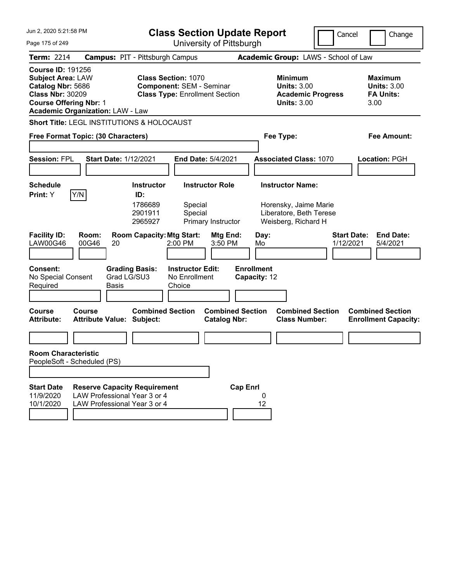| Jun 2, 2020 5:21:58 PM                                                                                                                                                           | <b>Class Section Update Report</b>                                                                                              |                                                                                                    | Cancel<br>Change                                                 |
|----------------------------------------------------------------------------------------------------------------------------------------------------------------------------------|---------------------------------------------------------------------------------------------------------------------------------|----------------------------------------------------------------------------------------------------|------------------------------------------------------------------|
| Page 175 of 249                                                                                                                                                                  | University of Pittsburgh                                                                                                        |                                                                                                    |                                                                  |
| <b>Term: 2214</b>                                                                                                                                                                | <b>Campus: PIT - Pittsburgh Campus</b>                                                                                          | Academic Group: LAWS - School of Law                                                               |                                                                  |
| <b>Course ID: 191256</b><br><b>Subject Area: LAW</b><br>Catalog Nbr: 5686<br><b>Class Nbr: 30209</b><br><b>Course Offering Nbr: 1</b><br><b>Academic Organization: LAW - Law</b> | <b>Class Section: 1070</b><br><b>Component: SEM - Seminar</b><br><b>Class Type: Enrollment Section</b>                          | Minimum<br><b>Units: 3.00</b><br><b>Academic Progress</b><br><b>Units: 3.00</b>                    | <b>Maximum</b><br><b>Units: 3.00</b><br><b>FA Units:</b><br>3.00 |
| <b>Short Title: LEGL INSTITUTIONS &amp; HOLOCAUST</b>                                                                                                                            |                                                                                                                                 |                                                                                                    |                                                                  |
| Free Format Topic: (30 Characters)                                                                                                                                               |                                                                                                                                 | Fee Type:                                                                                          | Fee Amount:                                                      |
| <b>Session: FPL</b>                                                                                                                                                              | <b>Start Date: 1/12/2021</b><br>End Date: 5/4/2021                                                                              | <b>Associated Class: 1070</b>                                                                      | Location: PGH                                                    |
| <b>Schedule</b><br>Y/N<br>Print: Y                                                                                                                                               | <b>Instructor Role</b><br><b>Instructor</b><br>ID:<br>1786689<br>Special<br>2901911<br>Special<br>2965927<br>Primary Instructor | <b>Instructor Name:</b><br>Horensky, Jaime Marie<br>Liberatore, Beth Terese<br>Weisberg, Richard H |                                                                  |
| <b>Facility ID:</b><br>Room:<br>LAW00G46<br>00G46<br>20                                                                                                                          | <b>Room Capacity: Mtg Start:</b><br>Mtg End:<br>2:00 PM<br>3:50 PM                                                              | Day:<br>Mo                                                                                         | <b>Start Date:</b><br><b>End Date:</b><br>1/12/2021<br>5/4/2021  |
| <b>Consent:</b><br>No Special Consent<br>Required<br>Basis                                                                                                                       | <b>Instructor Edit:</b><br><b>Grading Basis:</b><br>Grad LG/SU3<br>No Enrollment<br>Choice                                      | <b>Enrollment</b><br>Capacity: 12                                                                  |                                                                  |
| <b>Course</b><br>Course<br><b>Attribute:</b><br><b>Attribute Value: Subject:</b>                                                                                                 | <b>Combined Section</b><br><b>Combined Section</b><br><b>Catalog Nbr:</b>                                                       | <b>Combined Section</b><br><b>Class Number:</b>                                                    | <b>Combined Section</b><br><b>Enrollment Capacity:</b>           |
|                                                                                                                                                                                  |                                                                                                                                 |                                                                                                    |                                                                  |
| <b>Room Characteristic</b><br>PeopleSoft - Scheduled (PS)                                                                                                                        |                                                                                                                                 |                                                                                                    |                                                                  |
|                                                                                                                                                                                  |                                                                                                                                 |                                                                                                    |                                                                  |
| <b>Start Date</b><br>11/9/2020<br>10/1/2020                                                                                                                                      | <b>Reserve Capacity Requirement</b><br>LAW Professional Year 3 or 4<br>LAW Professional Year 3 or 4                             | <b>Cap Enrl</b><br>0<br>12                                                                         |                                                                  |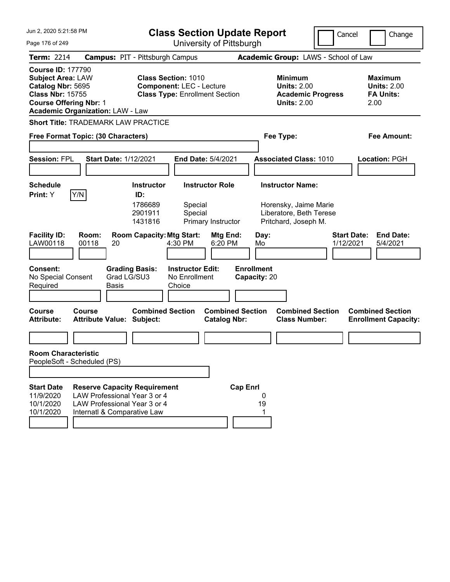| Jun 2, 2020 5:21:58 PM                                                                                                                                                           | <b>Class Section Update Report</b>                                                                     |                                                                                        | Cancel<br>Change                                                 |
|----------------------------------------------------------------------------------------------------------------------------------------------------------------------------------|--------------------------------------------------------------------------------------------------------|----------------------------------------------------------------------------------------|------------------------------------------------------------------|
| Page 176 of 249                                                                                                                                                                  | University of Pittsburgh                                                                               |                                                                                        |                                                                  |
| <b>Term: 2214</b>                                                                                                                                                                | <b>Campus: PIT - Pittsburgh Campus</b>                                                                 | Academic Group: LAWS - School of Law                                                   |                                                                  |
| <b>Course ID: 177790</b><br><b>Subject Area: LAW</b><br>Catalog Nbr: 5695<br><b>Class Nbr: 15755</b><br><b>Course Offering Nbr: 1</b><br><b>Academic Organization: LAW - Law</b> | <b>Class Section: 1010</b><br><b>Component: LEC - Lecture</b><br><b>Class Type: Enrollment Section</b> | <b>Minimum</b><br><b>Units: 2.00</b><br><b>Academic Progress</b><br><b>Units: 2.00</b> | <b>Maximum</b><br><b>Units: 2.00</b><br><b>FA Units:</b><br>2.00 |
| Short Title: TRADEMARK LAW PRACTICE                                                                                                                                              |                                                                                                        |                                                                                        |                                                                  |
| Free Format Topic: (30 Characters)                                                                                                                                               |                                                                                                        | Fee Type:                                                                              | Fee Amount:                                                      |
|                                                                                                                                                                                  |                                                                                                        |                                                                                        |                                                                  |
| <b>Session: FPL</b>                                                                                                                                                              | <b>Start Date: 1/12/2021</b><br><b>End Date: 5/4/2021</b>                                              | <b>Associated Class: 1010</b>                                                          | Location: PGH                                                    |
|                                                                                                                                                                                  |                                                                                                        |                                                                                        |                                                                  |
| Schedule                                                                                                                                                                         | <b>Instructor Role</b><br><b>Instructor</b>                                                            | <b>Instructor Name:</b>                                                                |                                                                  |
| Y/N<br><b>Print:</b> Y                                                                                                                                                           | ID:<br>1786689<br>Special<br>2901911<br>Special<br>1431816<br>Primary Instructor                       | Horensky, Jaime Marie<br>Liberatore, Beth Terese<br>Pritchard, Joseph M.               |                                                                  |
| <b>Facility ID:</b><br>Room:<br>LAW00118<br>00118<br>20                                                                                                                          | <b>Room Capacity: Mtg Start:</b><br>Mtg End:<br>4:30 PM<br>6:20 PM                                     | Day:<br>Mo                                                                             | <b>Start Date:</b><br><b>End Date:</b><br>1/12/2021<br>5/4/2021  |
| <b>Consent:</b><br>No Special Consent<br>Required<br><b>Basis</b>                                                                                                                | <b>Grading Basis:</b><br><b>Instructor Edit:</b><br>Grad LG/SU3<br>No Enrollment<br>Choice             | <b>Enrollment</b><br>Capacity: 20                                                      |                                                                  |
| <b>Course</b><br>Course<br><b>Attribute:</b><br><b>Attribute Value: Subject:</b>                                                                                                 | <b>Combined Section</b><br><b>Catalog Nbr:</b>                                                         | <b>Combined Section</b><br><b>Combined Section</b><br><b>Class Number:</b>             | <b>Combined Section</b><br><b>Enrollment Capacity:</b>           |
|                                                                                                                                                                                  |                                                                                                        |                                                                                        |                                                                  |
| <b>Room Characteristic</b><br>PeopleSoft - Scheduled (PS)                                                                                                                        |                                                                                                        |                                                                                        |                                                                  |
| <b>Start Date</b><br>11/9/2020<br>10/1/2020<br>10/1/2020<br>Internatl & Comparative Law                                                                                          | <b>Reserve Capacity Requirement</b><br>LAW Professional Year 3 or 4<br>LAW Professional Year 3 or 4    | <b>Cap Enrl</b><br>U<br>19                                                             |                                                                  |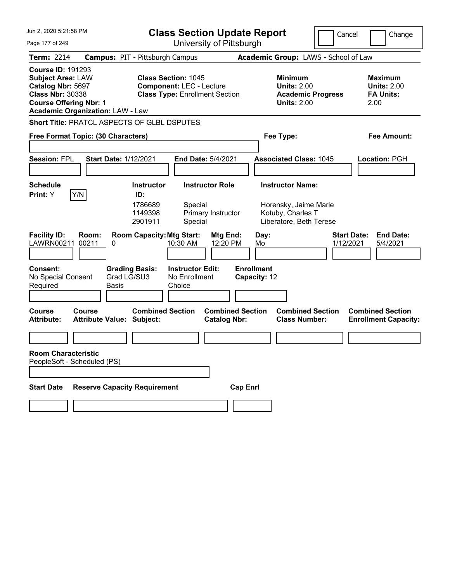| Jun 2, 2020 5:21:58 PM                                                                                                                                                           | <b>Class Section Update Report</b><br>Cancel<br>Change                                                 |                                                                                        |                                                                  |  |  |  |  |  |
|----------------------------------------------------------------------------------------------------------------------------------------------------------------------------------|--------------------------------------------------------------------------------------------------------|----------------------------------------------------------------------------------------|------------------------------------------------------------------|--|--|--|--|--|
| Page 177 of 249                                                                                                                                                                  | University of Pittsburgh                                                                               |                                                                                        |                                                                  |  |  |  |  |  |
| <b>Term: 2214</b>                                                                                                                                                                | <b>Campus: PIT - Pittsburgh Campus</b>                                                                 |                                                                                        | Academic Group: LAWS - School of Law                             |  |  |  |  |  |
| <b>Course ID: 191293</b><br><b>Subject Area: LAW</b><br>Catalog Nbr: 5697<br><b>Class Nbr: 30338</b><br><b>Course Offering Nbr: 1</b><br><b>Academic Organization: LAW - Law</b> | <b>Class Section: 1045</b><br><b>Component: LEC - Lecture</b><br><b>Class Type: Enrollment Section</b> | <b>Minimum</b><br><b>Units: 2.00</b><br><b>Academic Progress</b><br><b>Units: 2.00</b> | <b>Maximum</b><br><b>Units: 2.00</b><br><b>FA Units:</b><br>2.00 |  |  |  |  |  |
| Short Title: PRATCL ASPECTS OF GLBL DSPUTES                                                                                                                                      |                                                                                                        |                                                                                        |                                                                  |  |  |  |  |  |
| Free Format Topic: (30 Characters)                                                                                                                                               |                                                                                                        | Fee Type:                                                                              | Fee Amount:                                                      |  |  |  |  |  |
| <b>Session: FPL</b><br><b>Start Date: 1/12/2021</b>                                                                                                                              | End Date: 5/4/2021                                                                                     | <b>Associated Class: 1045</b>                                                          | Location: PGH                                                    |  |  |  |  |  |
| <b>Schedule</b>                                                                                                                                                                  | <b>Instructor</b><br><b>Instructor Role</b>                                                            | <b>Instructor Name:</b>                                                                |                                                                  |  |  |  |  |  |
| Y/N <br>Print: Y                                                                                                                                                                 | ID:<br>1786689<br>Special<br>1149398<br>Primary Instructor<br>2901911<br>Special                       | Horensky, Jaime Marie<br>Kotuby, Charles T<br>Liberatore, Beth Terese                  |                                                                  |  |  |  |  |  |
| <b>Facility ID:</b><br>Room:<br>LAWRN00211<br>00211<br>0                                                                                                                         | <b>Room Capacity: Mtg Start:</b><br>Mtg End:<br>10:30 AM<br>12:20 PM                                   | <b>Start Date:</b><br>Day:<br>1/12/2021<br>Mo                                          | <b>End Date:</b><br>5/4/2021                                     |  |  |  |  |  |
| <b>Consent:</b><br>Grad LG/SU3<br>No Special Consent<br>Required<br>Basis                                                                                                        | <b>Grading Basis:</b><br><b>Instructor Edit:</b><br>No Enrollment<br>Choice                            | <b>Enrollment</b><br>Capacity: 12                                                      |                                                                  |  |  |  |  |  |
| <b>Course</b><br>Course<br><b>Attribute Value: Subject:</b><br><b>Attribute:</b>                                                                                                 | <b>Combined Section</b><br><b>Combined Section</b><br><b>Catalog Nbr:</b>                              | <b>Combined Section</b><br><b>Class Number:</b>                                        | <b>Combined Section</b><br><b>Enrollment Capacity:</b>           |  |  |  |  |  |
|                                                                                                                                                                                  |                                                                                                        |                                                                                        |                                                                  |  |  |  |  |  |
| <b>Room Characteristic</b><br>PeopleSoft - Scheduled (PS)                                                                                                                        |                                                                                                        |                                                                                        |                                                                  |  |  |  |  |  |
| <b>Reserve Capacity Requirement</b><br><b>Start Date</b>                                                                                                                         |                                                                                                        | <b>Cap Enrl</b>                                                                        |                                                                  |  |  |  |  |  |
|                                                                                                                                                                                  |                                                                                                        |                                                                                        |                                                                  |  |  |  |  |  |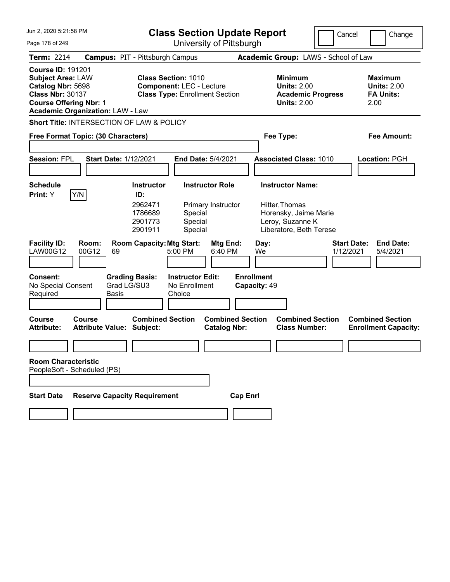| Jun 2, 2020 5:21:58 PM                                                                                                                |                                               | <b>Class Section Update Report</b><br>Cancel                                                           |                                                    |                                                |                   |              |                                                                                                                   | Change                          |      |                                                          |
|---------------------------------------------------------------------------------------------------------------------------------------|-----------------------------------------------|--------------------------------------------------------------------------------------------------------|----------------------------------------------------|------------------------------------------------|-------------------|--------------|-------------------------------------------------------------------------------------------------------------------|---------------------------------|------|----------------------------------------------------------|
| Page 178 of 249                                                                                                                       |                                               | University of Pittsburgh                                                                               |                                                    |                                                |                   |              |                                                                                                                   |                                 |      |                                                          |
| <b>Term: 2214</b>                                                                                                                     | <b>Campus: PIT - Pittsburgh Campus</b>        |                                                                                                        |                                                    |                                                |                   |              | Academic Group: LAWS - School of Law                                                                              |                                 |      |                                                          |
| <b>Course ID: 191201</b><br><b>Subject Area: LAW</b><br>Catalog Nbr: 5698<br><b>Class Nbr: 30137</b><br><b>Course Offering Nbr: 1</b> | <b>Academic Organization: LAW - Law</b>       | <b>Class Section: 1010</b><br><b>Component: LEC - Lecture</b><br><b>Class Type: Enrollment Section</b> |                                                    |                                                |                   |              | <b>Minimum</b><br><b>Units: 2.00</b><br><b>Academic Progress</b><br><b>Units: 2.00</b>                            |                                 | 2.00 | <b>Maximum</b><br><b>Units: 2.00</b><br><b>FA Units:</b> |
|                                                                                                                                       | Short Title: INTERSECTION OF LAW & POLICY     |                                                                                                        |                                                    |                                                |                   |              |                                                                                                                   |                                 |      |                                                          |
|                                                                                                                                       | Free Format Topic: (30 Characters)            |                                                                                                        |                                                    |                                                |                   |              | Fee Type:                                                                                                         |                                 |      | Fee Amount:                                              |
| <b>Session: FPL</b>                                                                                                                   | <b>Start Date: 1/12/2021</b>                  |                                                                                                        |                                                    | End Date: 5/4/2021                             |                   |              | <b>Associated Class: 1010</b>                                                                                     |                                 |      | Location: PGH                                            |
| <b>Schedule</b><br>Print: Y                                                                                                           | Y/N                                           | <b>Instructor</b><br>ID:<br>2962471<br>1786689<br>2901773<br>2901911                                   | Special<br>Special<br>Special                      | <b>Instructor Role</b><br>Primary Instructor   |                   |              | <b>Instructor Name:</b><br>Hitter, Thomas<br>Horensky, Jaime Marie<br>Leroy, Suzanne K<br>Liberatore, Beth Terese |                                 |      |                                                          |
| <b>Facility ID:</b><br>LAW00G12                                                                                                       | Room:<br>00G12<br>69                          | <b>Room Capacity: Mtg Start:</b>                                                                       | 5:00 PM                                            | Mtg End:<br>6:40 PM                            |                   | Day:<br>We   |                                                                                                                   | <b>Start Date:</b><br>1/12/2021 |      | <b>End Date:</b><br>5/4/2021                             |
| <b>Consent:</b><br>No Special Consent<br>Required                                                                                     | <b>Grading Basis:</b><br>Grad LG/SU3<br>Basis |                                                                                                        | <b>Instructor Edit:</b><br>No Enrollment<br>Choice |                                                | <b>Enrollment</b> | Capacity: 49 |                                                                                                                   |                                 |      |                                                          |
| <b>Course</b><br><b>Attribute:</b>                                                                                                    | Course<br><b>Attribute Value: Subject:</b>    | <b>Combined Section</b>                                                                                |                                                    | <b>Combined Section</b><br><b>Catalog Nbr:</b> |                   |              | <b>Combined Section</b><br><b>Class Number:</b>                                                                   |                                 |      | <b>Combined Section</b><br><b>Enrollment Capacity:</b>   |
|                                                                                                                                       |                                               |                                                                                                        |                                                    |                                                |                   |              |                                                                                                                   |                                 |      |                                                          |
| <b>Room Characteristic</b><br>PeopleSoft - Scheduled (PS)                                                                             |                                               |                                                                                                        |                                                    |                                                |                   |              |                                                                                                                   |                                 |      |                                                          |
|                                                                                                                                       |                                               |                                                                                                        |                                                    |                                                |                   |              |                                                                                                                   |                                 |      |                                                          |
| <b>Start Date</b>                                                                                                                     | <b>Reserve Capacity Requirement</b>           |                                                                                                        |                                                    |                                                | <b>Cap Enrl</b>   |              |                                                                                                                   |                                 |      |                                                          |
|                                                                                                                                       |                                               |                                                                                                        |                                                    |                                                |                   |              |                                                                                                                   |                                 |      |                                                          |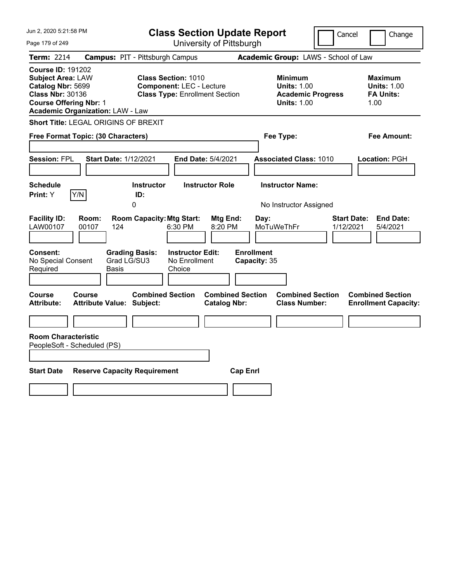| Jun 2, 2020 5:21:58 PM                                                                                                                                                                                | <b>Class Section Update Report</b>                                                                                                               |                                                                                                                                | Cancel<br>Change                                                 |  |  |  |
|-------------------------------------------------------------------------------------------------------------------------------------------------------------------------------------------------------|--------------------------------------------------------------------------------------------------------------------------------------------------|--------------------------------------------------------------------------------------------------------------------------------|------------------------------------------------------------------|--|--|--|
| Page 179 of 249                                                                                                                                                                                       | University of Pittsburgh                                                                                                                         |                                                                                                                                |                                                                  |  |  |  |
| <b>Term: 2214</b><br><b>Course ID: 191202</b><br><b>Subject Area: LAW</b><br>Catalog Nbr: 5699<br><b>Class Nbr: 30136</b><br><b>Course Offering Nbr: 1</b><br><b>Academic Organization: LAW - Law</b> | <b>Campus: PIT - Pittsburgh Campus</b><br><b>Class Section: 1010</b><br><b>Component: LEC - Lecture</b><br><b>Class Type: Enrollment Section</b> | Academic Group: LAWS - School of Law<br><b>Minimum</b><br><b>Units: 1.00</b><br><b>Academic Progress</b><br><b>Units: 1.00</b> | <b>Maximum</b><br><b>Units: 1.00</b><br><b>FA Units:</b><br>1.00 |  |  |  |
| Short Title: LEGAL ORIGINS OF BREXIT<br>Free Format Topic: (30 Characters)                                                                                                                            |                                                                                                                                                  | Fee Type:                                                                                                                      | Fee Amount:                                                      |  |  |  |
| <b>Session: FPL</b><br><b>Start Date: 1/12/2021</b>                                                                                                                                                   | End Date: 5/4/2021                                                                                                                               | <b>Associated Class: 1010</b>                                                                                                  | Location: PGH                                                    |  |  |  |
| <b>Schedule</b><br>Print: Y<br>Y/N                                                                                                                                                                    | <b>Instructor</b><br><b>Instructor Role</b><br>ID:<br>0                                                                                          | <b>Instructor Name:</b><br>No Instructor Assigned                                                                              |                                                                  |  |  |  |
| <b>Facility ID:</b><br>Room:<br>LAW00107<br>00107<br>124<br><b>Consent:</b><br><b>Grading Basis:</b><br>Grad LG/SU3<br>No Special Consent                                                             | <b>Room Capacity: Mtg Start:</b><br>Mtg End:<br>6:30 PM<br>8:20 PM<br><b>Instructor Edit:</b><br>No Enrollment                                   | $\mathsf{Day}$ :<br>MoTuWeThFr<br><b>Enrollment</b><br>Capacity: 35                                                            | <b>End Date:</b><br><b>Start Date:</b><br>1/12/2021<br>5/4/2021  |  |  |  |
| Required<br>Basis<br>Course<br><b>Course</b>                                                                                                                                                          | Choice<br><b>Combined Section</b><br><b>Combined Section</b>                                                                                     | <b>Combined Section</b>                                                                                                        | <b>Combined Section</b>                                          |  |  |  |
| <b>Attribute:</b><br>Attribute Value: Subject:<br><b>Room Characteristic</b><br>PeopleSoft - Scheduled (PS)                                                                                           | <b>Catalog Nbr:</b>                                                                                                                              | <b>Class Number:</b>                                                                                                           | <b>Enrollment Capacity:</b>                                      |  |  |  |
| <b>Start Date</b><br><b>Reserve Capacity Requirement</b>                                                                                                                                              | <b>Cap Enrl</b>                                                                                                                                  |                                                                                                                                |                                                                  |  |  |  |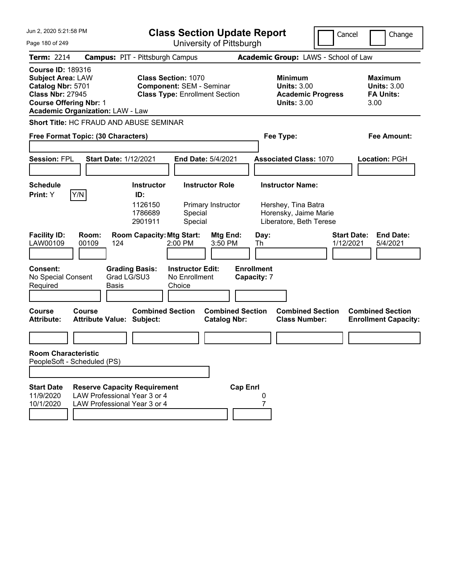| Jun 2, 2020 5:21:58 PM                                                                                                                                                           | <b>Class Section Update Report</b>                                                                     |                                                                                 | Cancel<br>Change                                                |
|----------------------------------------------------------------------------------------------------------------------------------------------------------------------------------|--------------------------------------------------------------------------------------------------------|---------------------------------------------------------------------------------|-----------------------------------------------------------------|
| Page 180 of 249                                                                                                                                                                  | University of Pittsburgh                                                                               |                                                                                 |                                                                 |
| <b>Term: 2214</b>                                                                                                                                                                | <b>Campus: PIT - Pittsburgh Campus</b>                                                                 | Academic Group: LAWS - School of Law                                            |                                                                 |
| <b>Course ID: 189316</b><br><b>Subject Area: LAW</b><br>Catalog Nbr: 5701<br><b>Class Nbr: 27945</b><br><b>Course Offering Nbr: 1</b><br><b>Academic Organization: LAW - Law</b> | <b>Class Section: 1070</b><br><b>Component: SEM - Seminar</b><br><b>Class Type: Enrollment Section</b> | Minimum<br><b>Units: 3.00</b><br><b>Academic Progress</b><br><b>Units: 3.00</b> | Maximum<br><b>Units: 3.00</b><br><b>FA Units:</b><br>3.00       |
| <b>Short Title: HC FRAUD AND ABUSE SEMINAR</b>                                                                                                                                   |                                                                                                        |                                                                                 |                                                                 |
| Free Format Topic: (30 Characters)                                                                                                                                               |                                                                                                        | Fee Type:                                                                       | Fee Amount:                                                     |
| <b>Session: FPL</b><br><b>Start Date: 1/12/2021</b>                                                                                                                              | <b>End Date: 5/4/2021</b>                                                                              | <b>Associated Class: 1070</b>                                                   | Location: PGH                                                   |
| <b>Schedule</b><br>Y/N<br><b>Print:</b> Y                                                                                                                                        | <b>Instructor Role</b><br><b>Instructor</b><br>ID:                                                     | <b>Instructor Name:</b>                                                         |                                                                 |
|                                                                                                                                                                                  | 1126150<br>Primary Instructor<br>1786689<br>Special<br>Special<br>2901911                              | Hershey, Tina Batra<br>Horensky, Jaime Marie<br>Liberatore, Beth Terese         |                                                                 |
| <b>Facility ID:</b><br>Room:<br>LAW00109<br>00109<br>124                                                                                                                         | <b>Room Capacity: Mtg Start:</b><br>Mtg End:<br>2:00 PM<br>3:50 PM                                     | Day:<br>Th                                                                      | <b>Start Date:</b><br><b>End Date:</b><br>1/12/2021<br>5/4/2021 |
| <b>Consent:</b><br>Grad LG/SU3<br>No Special Consent<br>Required<br><b>Basis</b>                                                                                                 | <b>Grading Basis:</b><br><b>Instructor Edit:</b><br>No Enrollment<br>Choice                            | <b>Enrollment</b><br>Capacity: 7                                                |                                                                 |
| Course<br>Course<br><b>Attribute:</b><br><b>Attribute Value: Subject:</b>                                                                                                        | <b>Combined Section</b><br><b>Combined Section</b><br><b>Catalog Nbr:</b>                              | <b>Combined Section</b><br><b>Class Number:</b>                                 | <b>Combined Section</b><br><b>Enrollment Capacity:</b>          |
|                                                                                                                                                                                  |                                                                                                        |                                                                                 |                                                                 |
| <b>Room Characteristic</b><br>PeopleSoft - Scheduled (PS)                                                                                                                        |                                                                                                        |                                                                                 |                                                                 |
|                                                                                                                                                                                  |                                                                                                        |                                                                                 |                                                                 |
| <b>Start Date</b><br><b>Reserve Capacity Requirement</b><br>11/9/2020<br>LAW Professional Year 3 or 4<br>10/1/2020<br>LAW Professional Year 3 or 4                               | <b>Cap Enrl</b>                                                                                        | 0                                                                               |                                                                 |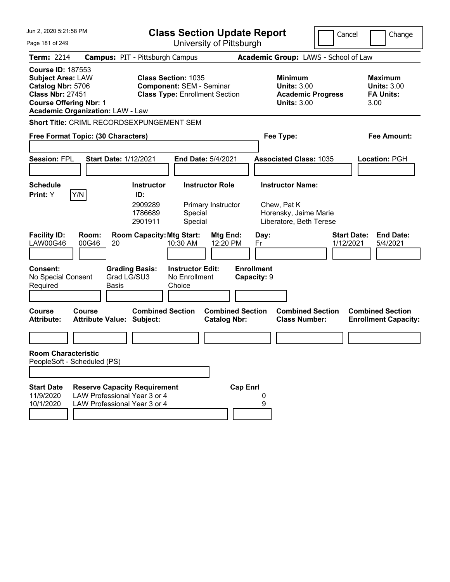| Jun 2, 2020 5:21:58 PM                                                                                                                                                           | <b>Class Section Update Report</b>                                                                                                                       |                                                                                 | Cancel<br>Change                                                |
|----------------------------------------------------------------------------------------------------------------------------------------------------------------------------------|----------------------------------------------------------------------------------------------------------------------------------------------------------|---------------------------------------------------------------------------------|-----------------------------------------------------------------|
| Page 181 of 249                                                                                                                                                                  | University of Pittsburgh                                                                                                                                 |                                                                                 |                                                                 |
| <b>Term: 2214</b>                                                                                                                                                                | <b>Campus: PIT - Pittsburgh Campus</b>                                                                                                                   | Academic Group: LAWS - School of Law                                            |                                                                 |
| <b>Course ID: 187553</b><br><b>Subject Area: LAW</b><br>Catalog Nbr: 5706<br><b>Class Nbr: 27451</b><br><b>Course Offering Nbr: 1</b><br><b>Academic Organization: LAW - Law</b> | <b>Class Section: 1035</b><br><b>Component: SEM - Seminar</b><br><b>Class Type: Enrollment Section</b>                                                   | Minimum<br><b>Units: 3.00</b><br><b>Academic Progress</b><br><b>Units: 3.00</b> | Maximum<br><b>Units: 3.00</b><br><b>FA Units:</b><br>3.00       |
| Short Title: CRIML RECORDSEXPUNGEMENT SEM                                                                                                                                        |                                                                                                                                                          |                                                                                 |                                                                 |
| Free Format Topic: (30 Characters)                                                                                                                                               |                                                                                                                                                          | Fee Type:                                                                       | Fee Amount:                                                     |
| <b>Session: FPL</b><br><b>Start Date: 1/12/2021</b>                                                                                                                              | <b>End Date: 5/4/2021</b>                                                                                                                                | <b>Associated Class: 1035</b>                                                   | Location: PGH                                                   |
| <b>Schedule</b>                                                                                                                                                                  | <b>Instructor Role</b><br><b>Instructor</b>                                                                                                              | <b>Instructor Name:</b>                                                         |                                                                 |
| Y/N<br><b>Print:</b> Y<br><b>Facility ID:</b><br>Room:<br>LAW00G46<br>00G46<br>20                                                                                                | ID:<br>2909289<br>Primary Instructor<br>1786689<br>Special<br>Special<br>2901911<br><b>Room Capacity: Mtg Start:</b><br>Mtg End:<br>10:30 AM<br>12:20 PM | Chew, Pat K<br>Horensky, Jaime Marie<br>Liberatore, Beth Terese<br>Day:<br>Fr   | <b>Start Date:</b><br><b>End Date:</b><br>1/12/2021<br>5/4/2021 |
| <b>Consent:</b><br>Grad LG/SU3<br>No Special Consent<br>Required<br>Basis                                                                                                        | <b>Grading Basis:</b><br><b>Instructor Edit:</b><br>No Enrollment<br>Choice                                                                              | <b>Enrollment</b><br>Capacity: 9                                                |                                                                 |
| Course<br>Course<br><b>Attribute:</b><br><b>Attribute Value: Subject:</b>                                                                                                        | <b>Combined Section</b><br><b>Combined Section</b><br><b>Catalog Nbr:</b>                                                                                | <b>Combined Section</b><br><b>Class Number:</b>                                 | <b>Combined Section</b><br><b>Enrollment Capacity:</b>          |
|                                                                                                                                                                                  |                                                                                                                                                          |                                                                                 |                                                                 |
| <b>Room Characteristic</b><br>PeopleSoft - Scheduled (PS)                                                                                                                        |                                                                                                                                                          |                                                                                 |                                                                 |
|                                                                                                                                                                                  |                                                                                                                                                          |                                                                                 |                                                                 |
| <b>Start Date</b><br><b>Reserve Capacity Requirement</b><br>LAW Professional Year 3 or 4<br>11/9/2020<br>10/1/2020<br>LAW Professional Year 3 or 4                               | <b>Cap Enrl</b>                                                                                                                                          | 0<br>9                                                                          |                                                                 |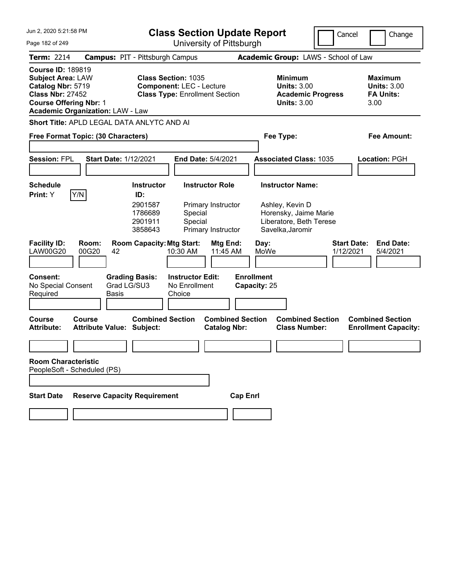| Jun 2, 2020 5:21:58 PM<br>Page 182 of 249                                                                                                                                        | <b>Class Section Update Report</b><br>University of Pittsburgh                                                                                                   | Cancel                                                                                                             | Change                                                           |
|----------------------------------------------------------------------------------------------------------------------------------------------------------------------------------|------------------------------------------------------------------------------------------------------------------------------------------------------------------|--------------------------------------------------------------------------------------------------------------------|------------------------------------------------------------------|
| <b>Term: 2214</b>                                                                                                                                                                | <b>Campus: PIT - Pittsburgh Campus</b>                                                                                                                           | Academic Group: LAWS - School of Law                                                                               |                                                                  |
| <b>Course ID: 189819</b><br><b>Subject Area: LAW</b><br>Catalog Nbr: 5719<br><b>Class Nbr: 27452</b><br><b>Course Offering Nbr: 1</b><br><b>Academic Organization: LAW - Law</b> | <b>Class Section: 1035</b><br><b>Component: LEC - Lecture</b><br><b>Class Type: Enrollment Section</b>                                                           | <b>Minimum</b><br><b>Units: 3.00</b><br><b>Academic Progress</b><br><b>Units: 3.00</b>                             | <b>Maximum</b><br><b>Units: 3.00</b><br><b>FA Units:</b><br>3.00 |
| Short Title: APLD LEGAL DATA ANLYTC AND AI                                                                                                                                       |                                                                                                                                                                  |                                                                                                                    |                                                                  |
| Free Format Topic: (30 Characters)                                                                                                                                               |                                                                                                                                                                  | Fee Type:                                                                                                          | <b>Fee Amount:</b>                                               |
| <b>Session: FPL</b><br><b>Start Date: 1/12/2021</b>                                                                                                                              | <b>End Date: 5/4/2021</b>                                                                                                                                        | <b>Associated Class: 1035</b>                                                                                      | <b>Location: PGH</b>                                             |
| <b>Schedule</b><br>Y/N<br>Print: Y                                                                                                                                               | <b>Instructor Role</b><br><b>Instructor</b><br>ID:<br>2901587<br>Primary Instructor<br>1786689<br>Special<br>2901911<br>Special<br>3858643<br>Primary Instructor | <b>Instructor Name:</b><br>Ashley, Kevin D<br>Horensky, Jaime Marie<br>Liberatore, Beth Terese<br>Savelka, Jaromir |                                                                  |
| <b>Facility ID:</b><br>Room:<br><b>LAW00G20</b><br>00G20<br>42                                                                                                                   | <b>Room Capacity: Mtg Start:</b><br>Mtg End:<br>10:30 AM<br>11:45 AM                                                                                             | <b>Start Date:</b><br>Day:<br>MoWe<br>1/12/2021                                                                    | <b>End Date:</b><br>5/4/2021                                     |
| <b>Consent:</b><br><b>Grading Basis:</b><br>Grad LG/SU3<br>No Special Consent<br>Required<br>Basis                                                                               | <b>Instructor Edit:</b><br>No Enrollment<br>Choice                                                                                                               | <b>Enrollment</b><br>Capacity: 25                                                                                  |                                                                  |
| Course<br>Course<br><b>Attribute:</b><br><b>Attribute Value: Subject:</b>                                                                                                        | <b>Combined Section</b><br><b>Combined Section</b><br><b>Catalog Nbr:</b>                                                                                        | <b>Combined Section</b><br><b>Class Number:</b>                                                                    | <b>Combined Section</b><br><b>Enrollment Capacity:</b>           |
|                                                                                                                                                                                  |                                                                                                                                                                  |                                                                                                                    |                                                                  |
| <b>Room Characteristic</b><br>PeopleSoft - Scheduled (PS)                                                                                                                        |                                                                                                                                                                  |                                                                                                                    |                                                                  |
|                                                                                                                                                                                  |                                                                                                                                                                  |                                                                                                                    |                                                                  |
| <b>Reserve Capacity Requirement</b><br><b>Start Date</b>                                                                                                                         |                                                                                                                                                                  | <b>Cap Enrl</b>                                                                                                    |                                                                  |
|                                                                                                                                                                                  |                                                                                                                                                                  |                                                                                                                    |                                                                  |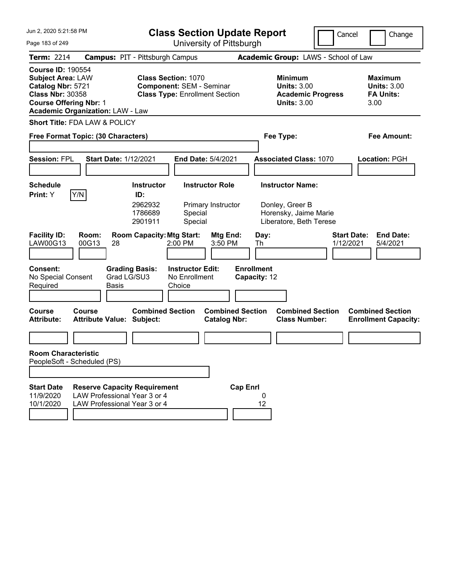| Jun 2, 2020 5:21:58 PM                                                                                                                                                           |                                                                                                     |                                                                                                                     | <b>Class Section Update Report</b>                       |                                                                                                        | Cancel             | Change                                                           |
|----------------------------------------------------------------------------------------------------------------------------------------------------------------------------------|-----------------------------------------------------------------------------------------------------|---------------------------------------------------------------------------------------------------------------------|----------------------------------------------------------|--------------------------------------------------------------------------------------------------------|--------------------|------------------------------------------------------------------|
| Page 183 of 249                                                                                                                                                                  |                                                                                                     |                                                                                                                     | University of Pittsburgh                                 |                                                                                                        |                    |                                                                  |
| <b>Term: 2214</b>                                                                                                                                                                |                                                                                                     | <b>Campus: PIT - Pittsburgh Campus</b>                                                                              |                                                          | Academic Group: LAWS - School of Law                                                                   |                    |                                                                  |
| <b>Course ID: 190554</b><br><b>Subject Area: LAW</b><br>Catalog Nbr: 5721<br><b>Class Nbr: 30358</b><br><b>Course Offering Nbr: 1</b><br><b>Academic Organization: LAW - Law</b> |                                                                                                     | <b>Class Section: 1070</b><br><b>Component: SEM - Seminar</b><br><b>Class Type: Enrollment Section</b>              |                                                          | <b>Minimum</b><br><b>Units: 3.00</b><br><b>Academic Progress</b><br><b>Units: 3.00</b>                 |                    | <b>Maximum</b><br><b>Units: 3.00</b><br><b>FA Units:</b><br>3.00 |
| Short Title: FDA LAW & POLICY                                                                                                                                                    |                                                                                                     |                                                                                                                     |                                                          |                                                                                                        |                    |                                                                  |
| Free Format Topic: (30 Characters)                                                                                                                                               |                                                                                                     |                                                                                                                     |                                                          | Fee Type:                                                                                              |                    | <b>Fee Amount:</b>                                               |
| <b>Session: FPL</b>                                                                                                                                                              | <b>Start Date: 1/12/2021</b>                                                                        |                                                                                                                     | End Date: 5/4/2021                                       | <b>Associated Class: 1070</b>                                                                          |                    | Location: PGH                                                    |
| <b>Schedule</b><br>Y/N<br>Print: Y<br><b>Facility ID:</b>                                                                                                                        | Room:                                                                                               | <b>Instructor</b><br>ID:<br>2962932<br>1786689<br>Special<br>Special<br>2901911<br><b>Room Capacity: Mtg Start:</b> | <b>Instructor Role</b><br>Primary Instructor<br>Mtg End: | <b>Instructor Name:</b><br>Donley, Greer B<br>Horensky, Jaime Marie<br>Liberatore, Beth Terese<br>Day: | <b>Start Date:</b> | <b>End Date:</b>                                                 |
| LAW00G13                                                                                                                                                                         | 00G13<br>28                                                                                         | 2:00 PM                                                                                                             | 3:50 PM                                                  | Th                                                                                                     | 1/12/2021          | 5/4/2021                                                         |
| <b>Consent:</b><br>No Special Consent<br>Required                                                                                                                                | <b>Grading Basis:</b><br>Grad LG/SU3<br>Basis                                                       | <b>Instructor Edit:</b><br>No Enrollment<br>Choice                                                                  | <b>Enrollment</b>                                        | Capacity: 12                                                                                           |                    |                                                                  |
| <b>Course</b><br><b>Attribute:</b>                                                                                                                                               | Course<br><b>Attribute Value: Subject:</b>                                                          | <b>Combined Section</b>                                                                                             | <b>Combined Section</b><br><b>Catalog Nbr:</b>           | <b>Combined Section</b><br><b>Class Number:</b>                                                        |                    | <b>Combined Section</b><br><b>Enrollment Capacity:</b>           |
|                                                                                                                                                                                  |                                                                                                     |                                                                                                                     |                                                          |                                                                                                        |                    |                                                                  |
| <b>Room Characteristic</b><br>PeopleSoft - Scheduled (PS)                                                                                                                        |                                                                                                     |                                                                                                                     |                                                          |                                                                                                        |                    |                                                                  |
|                                                                                                                                                                                  |                                                                                                     |                                                                                                                     |                                                          |                                                                                                        |                    |                                                                  |
| <b>Start Date</b><br>11/9/2020<br>10/1/2020                                                                                                                                      | <b>Reserve Capacity Requirement</b><br>LAW Professional Year 3 or 4<br>LAW Professional Year 3 or 4 |                                                                                                                     | <b>Cap Enrl</b>                                          | 0<br>12                                                                                                |                    |                                                                  |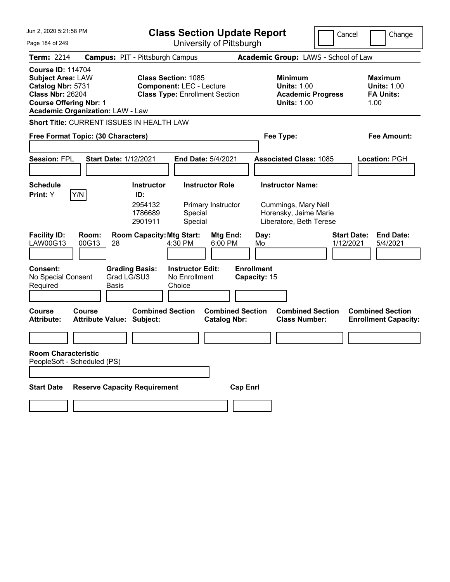| Jun 2, 2020 5:21:58 PM                                                                                                                                                           | <b>Class Section Update Report</b>                                                                     |                                                                                        | Cancel<br>Change                                                 |
|----------------------------------------------------------------------------------------------------------------------------------------------------------------------------------|--------------------------------------------------------------------------------------------------------|----------------------------------------------------------------------------------------|------------------------------------------------------------------|
| Page 184 of 249                                                                                                                                                                  | University of Pittsburgh                                                                               |                                                                                        |                                                                  |
| <b>Term: 2214</b>                                                                                                                                                                | <b>Campus: PIT - Pittsburgh Campus</b>                                                                 | Academic Group: LAWS - School of Law                                                   |                                                                  |
| <b>Course ID: 114704</b><br><b>Subject Area: LAW</b><br>Catalog Nbr: 5731<br><b>Class Nbr: 26204</b><br><b>Course Offering Nbr: 1</b><br><b>Academic Organization: LAW - Law</b> | <b>Class Section: 1085</b><br><b>Component: LEC - Lecture</b><br><b>Class Type: Enrollment Section</b> | <b>Minimum</b><br><b>Units: 1.00</b><br><b>Academic Progress</b><br><b>Units: 1.00</b> | <b>Maximum</b><br><b>Units: 1.00</b><br><b>FA Units:</b><br>1.00 |
| Short Title: CURRENT ISSUES IN HEALTH LAW                                                                                                                                        |                                                                                                        |                                                                                        |                                                                  |
| Free Format Topic: (30 Characters)                                                                                                                                               |                                                                                                        | Fee Type:                                                                              | <b>Fee Amount:</b>                                               |
| <b>Session: FPL</b><br><b>Start Date: 1/12/2021</b>                                                                                                                              | End Date: 5/4/2021                                                                                     | <b>Associated Class: 1085</b>                                                          | Location: PGH                                                    |
| <b>Schedule</b>                                                                                                                                                                  | <b>Instructor</b><br><b>Instructor Role</b>                                                            | <b>Instructor Name:</b>                                                                |                                                                  |
| Y/N<br>Print: Y                                                                                                                                                                  | ID:<br>2954132<br>Primary Instructor<br>1786689<br>Special<br>Special<br>2901911                       | Cummings, Mary Nell<br>Horensky, Jaime Marie<br>Liberatore, Beth Terese                |                                                                  |
| <b>Facility ID:</b><br>Room:<br>LAW00G13<br>00G13<br>28                                                                                                                          | <b>Room Capacity: Mtg Start:</b><br>Mtg End:<br>4:30 PM<br>6:00 PM                                     | Day:<br>Mo                                                                             | <b>Start Date:</b><br><b>End Date:</b><br>1/12/2021<br>5/4/2021  |
| <b>Consent:</b><br>Grad LG/SU3<br>No Special Consent<br>Required<br>Basis                                                                                                        | <b>Grading Basis:</b><br><b>Instructor Edit:</b><br>No Enrollment<br>Choice                            | <b>Enrollment</b><br>Capacity: 15                                                      |                                                                  |
| <b>Course</b><br><b>Course</b><br><b>Attribute Value: Subject:</b><br><b>Attribute:</b>                                                                                          | <b>Combined Section</b><br><b>Catalog Nbr:</b>                                                         | <b>Combined Section</b><br><b>Combined Section</b><br><b>Class Number:</b>             | <b>Combined Section</b><br><b>Enrollment Capacity:</b>           |
|                                                                                                                                                                                  |                                                                                                        |                                                                                        |                                                                  |
| <b>Room Characteristic</b><br>PeopleSoft - Scheduled (PS)                                                                                                                        |                                                                                                        |                                                                                        |                                                                  |
| <b>Reserve Capacity Requirement</b><br><b>Start Date</b>                                                                                                                         |                                                                                                        | <b>Cap Enrl</b>                                                                        |                                                                  |
|                                                                                                                                                                                  |                                                                                                        |                                                                                        |                                                                  |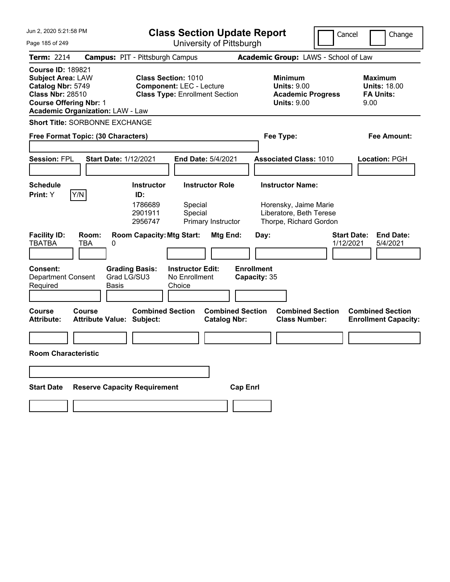| Jun 2, 2020 5:21:58 PM                                                                                                                                                           | <b>Class Section Update Report</b>                                                                     | Cancel                                                                                 | Change                                                            |
|----------------------------------------------------------------------------------------------------------------------------------------------------------------------------------|--------------------------------------------------------------------------------------------------------|----------------------------------------------------------------------------------------|-------------------------------------------------------------------|
| Page 185 of 249                                                                                                                                                                  | University of Pittsburgh                                                                               |                                                                                        |                                                                   |
| <b>Term: 2214</b>                                                                                                                                                                | <b>Campus: PIT - Pittsburgh Campus</b>                                                                 | Academic Group: LAWS - School of Law                                                   |                                                                   |
| <b>Course ID: 189821</b><br><b>Subject Area: LAW</b><br>Catalog Nbr: 5749<br><b>Class Nbr: 28510</b><br><b>Course Offering Nbr: 1</b><br><b>Academic Organization: LAW - Law</b> | <b>Class Section: 1010</b><br><b>Component: LEC - Lecture</b><br><b>Class Type: Enrollment Section</b> | <b>Minimum</b><br><b>Units: 9.00</b><br><b>Academic Progress</b><br><b>Units: 9.00</b> | <b>Maximum</b><br><b>Units: 18.00</b><br><b>FA Units:</b><br>9.00 |
| <b>Short Title: SORBONNE EXCHANGE</b>                                                                                                                                            |                                                                                                        |                                                                                        |                                                                   |
| Free Format Topic: (30 Characters)                                                                                                                                               |                                                                                                        | Fee Type:                                                                              | <b>Fee Amount:</b>                                                |
|                                                                                                                                                                                  |                                                                                                        |                                                                                        |                                                                   |
| <b>Session: FPL</b><br><b>Start Date: 1/12/2021</b>                                                                                                                              | End Date: 5/4/2021                                                                                     | <b>Associated Class: 1010</b>                                                          | Location: PGH                                                     |
|                                                                                                                                                                                  |                                                                                                        |                                                                                        |                                                                   |
| <b>Schedule</b>                                                                                                                                                                  | <b>Instructor Role</b><br><b>Instructor</b>                                                            | <b>Instructor Name:</b>                                                                |                                                                   |
| Y/N<br>Print: Y                                                                                                                                                                  | ID:<br>1786689<br>Special<br>2901911<br>Special<br>2956747<br>Primary Instructor                       | Horensky, Jaime Marie<br>Liberatore, Beth Terese<br>Thorpe, Richard Gordon             |                                                                   |
| <b>Facility ID:</b><br>Room:<br><b>TBATBA</b><br>TBA<br>0                                                                                                                        | <b>Room Capacity: Mtg Start:</b><br>Mtg End:                                                           | Day:<br>1/12/2021                                                                      | <b>Start Date:</b><br><b>End Date:</b><br>5/4/2021                |
| <b>Consent:</b><br>Grad LG/SU3<br><b>Department Consent</b><br>Required<br>Basis                                                                                                 | <b>Grading Basis:</b><br><b>Instructor Edit:</b><br>No Enrollment<br>Choice                            | <b>Enrollment</b><br>Capacity: 35                                                      |                                                                   |
| <b>Course</b><br>Course<br><b>Attribute:</b><br><b>Attribute Value: Subject:</b>                                                                                                 | <b>Combined Section</b><br><b>Combined Section</b><br><b>Catalog Nbr:</b>                              | <b>Combined Section</b><br><b>Class Number:</b>                                        | <b>Combined Section</b><br><b>Enrollment Capacity:</b>            |
|                                                                                                                                                                                  |                                                                                                        |                                                                                        |                                                                   |
| <b>Room Characteristic</b>                                                                                                                                                       |                                                                                                        |                                                                                        |                                                                   |
|                                                                                                                                                                                  |                                                                                                        |                                                                                        |                                                                   |
| <b>Reserve Capacity Requirement</b><br><b>Start Date</b>                                                                                                                         | <b>Cap Enrl</b>                                                                                        |                                                                                        |                                                                   |
|                                                                                                                                                                                  |                                                                                                        |                                                                                        |                                                                   |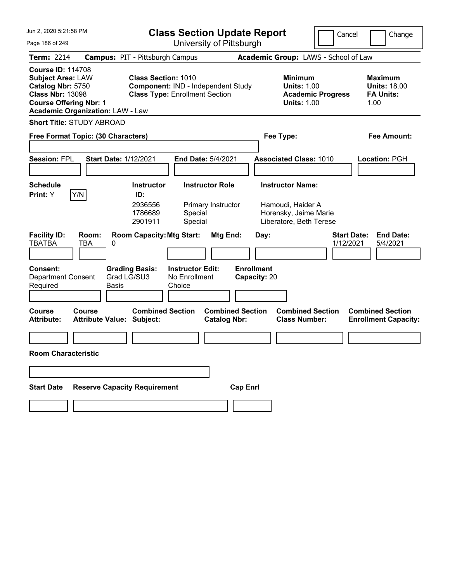| Jun 2, 2020 5:21:58 PM                                                                                                                                                           |                                               | <b>Class Section Update Report</b>                                                                        |                                   |                                                                       | Cancel                          | Change                                                            |
|----------------------------------------------------------------------------------------------------------------------------------------------------------------------------------|-----------------------------------------------|-----------------------------------------------------------------------------------------------------------|-----------------------------------|-----------------------------------------------------------------------|---------------------------------|-------------------------------------------------------------------|
| Page 186 of 249                                                                                                                                                                  |                                               | University of Pittsburgh                                                                                  |                                   |                                                                       |                                 |                                                                   |
| <b>Term: 2214</b>                                                                                                                                                                | <b>Campus: PIT - Pittsburgh Campus</b>        |                                                                                                           |                                   | Academic Group: LAWS - School of Law                                  |                                 |                                                                   |
| <b>Course ID: 114708</b><br><b>Subject Area: LAW</b><br>Catalog Nbr: 5750<br><b>Class Nbr: 13098</b><br><b>Course Offering Nbr: 1</b><br><b>Academic Organization: LAW - Law</b> |                                               | <b>Class Section: 1010</b><br>Component: IND - Independent Study<br><b>Class Type: Enrollment Section</b> |                                   | Minimum<br><b>Units: 1.00</b><br><b>Units: 1.00</b>                   | <b>Academic Progress</b>        | <b>Maximum</b><br><b>Units: 18.00</b><br><b>FA Units:</b><br>1.00 |
| <b>Short Title: STUDY ABROAD</b>                                                                                                                                                 |                                               |                                                                                                           |                                   |                                                                       |                                 |                                                                   |
| Free Format Topic: (30 Characters)                                                                                                                                               |                                               |                                                                                                           |                                   | Fee Type:                                                             |                                 | Fee Amount:                                                       |
|                                                                                                                                                                                  |                                               |                                                                                                           |                                   |                                                                       |                                 |                                                                   |
| <b>Session: FPL</b>                                                                                                                                                              | <b>Start Date: 1/12/2021</b>                  | End Date: 5/4/2021                                                                                        |                                   | <b>Associated Class: 1010</b>                                         |                                 | Location: PGH                                                     |
|                                                                                                                                                                                  |                                               |                                                                                                           |                                   |                                                                       |                                 |                                                                   |
| <b>Schedule</b>                                                                                                                                                                  | <b>Instructor</b>                             | <b>Instructor Role</b>                                                                                    |                                   | <b>Instructor Name:</b>                                               |                                 |                                                                   |
| Y/N<br>Print: Y                                                                                                                                                                  | ID:<br>2936556<br>1786689<br>2901911          | Primary Instructor<br>Special<br>Special                                                                  |                                   | Hamoudi, Haider A<br>Horensky, Jaime Marie<br>Liberatore, Beth Terese |                                 |                                                                   |
| <b>Facility ID:</b><br>Room:<br><b>TBATBA</b><br>TBA                                                                                                                             | <b>Room Capacity: Mtg Start:</b><br>0         | Mtg End:                                                                                                  | Day:                              |                                                                       | <b>Start Date:</b><br>1/12/2021 | <b>End Date:</b><br>5/4/2021                                      |
| <b>Consent:</b><br><b>Department Consent</b><br>Required                                                                                                                         | <b>Grading Basis:</b><br>Grad LG/SU3<br>Basis | <b>Instructor Edit:</b><br>No Enrollment<br>Choice                                                        | <b>Enrollment</b><br>Capacity: 20 |                                                                       |                                 |                                                                   |
| <b>Course</b><br>Course<br><b>Attribute:</b>                                                                                                                                     | <b>Attribute Value: Subject:</b>              | <b>Combined Section</b><br><b>Catalog Nbr:</b>                                                            | <b>Combined Section</b>           | <b>Combined Section</b><br><b>Class Number:</b>                       |                                 | <b>Combined Section</b><br><b>Enrollment Capacity:</b>            |
|                                                                                                                                                                                  |                                               |                                                                                                           |                                   |                                                                       |                                 |                                                                   |
| <b>Room Characteristic</b>                                                                                                                                                       |                                               |                                                                                                           |                                   |                                                                       |                                 |                                                                   |
|                                                                                                                                                                                  |                                               |                                                                                                           |                                   |                                                                       |                                 |                                                                   |
| <b>Start Date</b>                                                                                                                                                                | <b>Reserve Capacity Requirement</b>           |                                                                                                           | <b>Cap Enrl</b>                   |                                                                       |                                 |                                                                   |
|                                                                                                                                                                                  |                                               |                                                                                                           |                                   |                                                                       |                                 |                                                                   |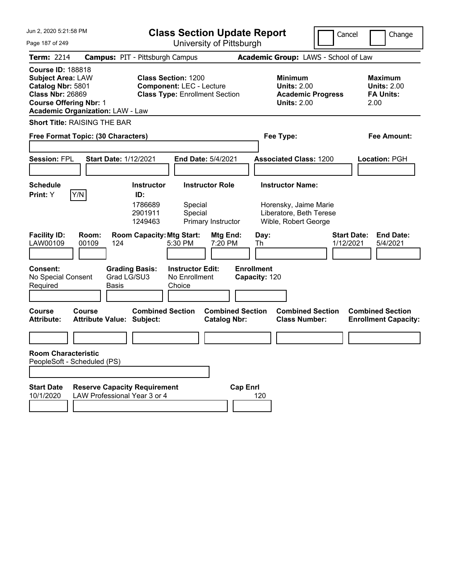| Jun 2, 2020 5:21:58 PM<br><b>Class Section Update Report</b>                                                                                                                     |                                                                                                        | Cancel                                                                                 | Change                                                           |
|----------------------------------------------------------------------------------------------------------------------------------------------------------------------------------|--------------------------------------------------------------------------------------------------------|----------------------------------------------------------------------------------------|------------------------------------------------------------------|
| Page 187 of 249                                                                                                                                                                  | University of Pittsburgh                                                                               |                                                                                        |                                                                  |
| <b>Term: 2214</b>                                                                                                                                                                | <b>Campus: PIT - Pittsburgh Campus</b>                                                                 | Academic Group: LAWS - School of Law                                                   |                                                                  |
| <b>Course ID: 188818</b><br><b>Subject Area: LAW</b><br>Catalog Nbr: 5801<br><b>Class Nbr: 26869</b><br><b>Course Offering Nbr: 1</b><br><b>Academic Organization: LAW - Law</b> | <b>Class Section: 1200</b><br><b>Component: LEC - Lecture</b><br><b>Class Type: Enrollment Section</b> | <b>Minimum</b><br><b>Units: 2.00</b><br><b>Academic Progress</b><br><b>Units: 2.00</b> | <b>Maximum</b><br><b>Units: 2.00</b><br><b>FA Units:</b><br>2.00 |
| <b>Short Title: RAISING THE BAR</b>                                                                                                                                              |                                                                                                        |                                                                                        |                                                                  |
| Free Format Topic: (30 Characters)                                                                                                                                               |                                                                                                        | Fee Type:                                                                              | <b>Fee Amount:</b>                                               |
| <b>Session: FPL</b><br><b>Start Date: 1/12/2021</b>                                                                                                                              | End Date: 5/4/2021                                                                                     | <b>Associated Class: 1200</b>                                                          | Location: PGH                                                    |
| <b>Schedule</b>                                                                                                                                                                  | <b>Instructor</b><br><b>Instructor Role</b>                                                            | <b>Instructor Name:</b>                                                                |                                                                  |
| Y/N<br>Print: Y                                                                                                                                                                  | ID:<br>1786689<br>Special<br>2901911<br>Special<br>1249463<br>Primary Instructor                       | Horensky, Jaime Marie<br>Liberatore, Beth Terese<br>Wible, Robert George               |                                                                  |
| <b>Facility ID:</b><br>Room:<br>LAW00109<br>00109<br>124                                                                                                                         | <b>Room Capacity: Mtg Start:</b><br>Mtg End:<br>5:30 PM<br>7:20 PM                                     | <b>Start Date:</b><br>Day:<br>1/12/2021<br>Th                                          | <b>End Date:</b><br>5/4/2021                                     |
| <b>Consent:</b><br><b>Grading Basis:</b><br>Grad LG/SU3<br>No Special Consent<br>Required<br>Basis                                                                               | <b>Instructor Edit:</b><br>No Enrollment<br>Choice                                                     | <b>Enrollment</b><br>Capacity: 120                                                     |                                                                  |
| <b>Course</b><br>Course<br><b>Attribute Value: Subject:</b><br><b>Attribute:</b>                                                                                                 | <b>Combined Section</b><br><b>Combined Section</b><br><b>Catalog Nbr:</b>                              | <b>Combined Section</b><br><b>Class Number:</b>                                        | <b>Combined Section</b><br><b>Enrollment Capacity:</b>           |
|                                                                                                                                                                                  |                                                                                                        |                                                                                        |                                                                  |
| <b>Room Characteristic</b><br>PeopleSoft - Scheduled (PS)                                                                                                                        |                                                                                                        |                                                                                        |                                                                  |
| <b>Start Date</b><br><b>Reserve Capacity Requirement</b><br>10/1/2020<br>LAW Professional Year 3 or 4                                                                            |                                                                                                        | <b>Cap Enrl</b><br>120                                                                 |                                                                  |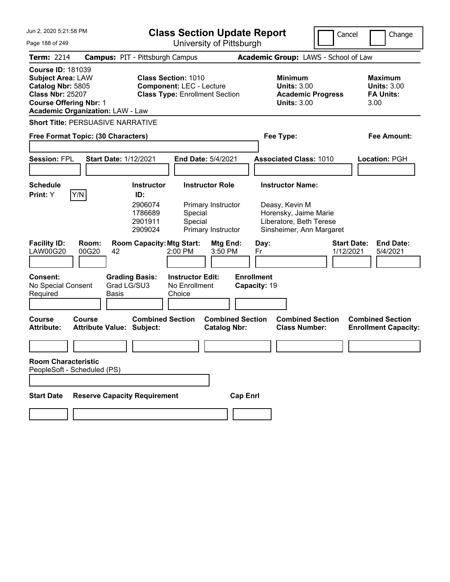| Jun 2, 2020 5:21:58 PM                                                                                                                |                                               | <b>Class Section Update Report</b>                                                                     |                                                                    |                                                                                                                           | Cancel                          | Change                                                           |
|---------------------------------------------------------------------------------------------------------------------------------------|-----------------------------------------------|--------------------------------------------------------------------------------------------------------|--------------------------------------------------------------------|---------------------------------------------------------------------------------------------------------------------------|---------------------------------|------------------------------------------------------------------|
| Page 188 of 249                                                                                                                       |                                               |                                                                                                        | University of Pittsburgh                                           |                                                                                                                           |                                 |                                                                  |
| <b>Term: 2214</b>                                                                                                                     |                                               | <b>Campus: PIT - Pittsburgh Campus</b>                                                                 |                                                                    | Academic Group: LAWS - School of Law                                                                                      |                                 |                                                                  |
| <b>Course ID: 181039</b><br><b>Subject Area: LAW</b><br>Catalog Nbr: 5805<br><b>Class Nbr: 25207</b><br><b>Course Offering Nbr: 1</b> | <b>Academic Organization: LAW - Law</b>       | <b>Class Section: 1010</b><br><b>Component: LEC - Lecture</b><br><b>Class Type: Enrollment Section</b> |                                                                    | <b>Minimum</b><br><b>Units: 3.00</b><br><b>Academic Progress</b><br><b>Units: 3.00</b>                                    |                                 | <b>Maximum</b><br><b>Units: 3.00</b><br><b>FA Units:</b><br>3.00 |
|                                                                                                                                       | <b>Short Title: PERSUASIVE NARRATIVE</b>      |                                                                                                        |                                                                    |                                                                                                                           |                                 |                                                                  |
|                                                                                                                                       | Free Format Topic: (30 Characters)            |                                                                                                        |                                                                    | Fee Type:                                                                                                                 |                                 | <b>Fee Amount:</b>                                               |
| <b>Session: FPL</b>                                                                                                                   | <b>Start Date: 1/12/2021</b>                  |                                                                                                        | End Date: 5/4/2021                                                 | <b>Associated Class: 1010</b>                                                                                             |                                 | Location: PGH                                                    |
| <b>Schedule</b><br>Print: Y                                                                                                           | Y/N                                           | <b>Instructor</b><br>ID:<br>2906074<br>1786689<br>Special<br>2901911<br>Special<br>2909024             | <b>Instructor Role</b><br>Primary Instructor<br>Primary Instructor | <b>Instructor Name:</b><br>Deasy, Kevin M<br>Horensky, Jaime Marie<br>Liberatore, Beth Terese<br>Sinsheimer, Ann Margaret |                                 |                                                                  |
| <b>Facility ID:</b><br><b>LAW00G20</b>                                                                                                | Room:<br>00G20<br>42                          | <b>Room Capacity: Mtg Start:</b><br>2:00 PM                                                            | Mtg End:<br>3:50 PM                                                | Day:<br>Fr                                                                                                                | <b>Start Date:</b><br>1/12/2021 | <b>End Date:</b><br>5/4/2021                                     |
| <b>Consent:</b><br>No Special Consent<br>Required                                                                                     | <b>Grading Basis:</b><br>Grad LG/SU3<br>Basis | <b>Instructor Edit:</b><br>No Enrollment<br>Choice                                                     |                                                                    | <b>Enrollment</b><br>Capacity: 19                                                                                         |                                 |                                                                  |
| <b>Course</b><br><b>Attribute:</b>                                                                                                    | Course<br>Attribute Value: Subject:           | <b>Combined Section</b>                                                                                | <b>Combined Section</b><br><b>Catalog Nbr:</b>                     | <b>Combined Section</b><br><b>Class Number:</b>                                                                           |                                 | <b>Combined Section</b><br><b>Enrollment Capacity:</b>           |
|                                                                                                                                       |                                               |                                                                                                        |                                                                    |                                                                                                                           |                                 |                                                                  |
| <b>Room Characteristic</b>                                                                                                            | PeopleSoft - Scheduled (PS)                   |                                                                                                        |                                                                    |                                                                                                                           |                                 |                                                                  |
|                                                                                                                                       |                                               |                                                                                                        |                                                                    |                                                                                                                           |                                 |                                                                  |
| <b>Start Date</b>                                                                                                                     | <b>Reserve Capacity Requirement</b>           |                                                                                                        | <b>Cap Enrl</b>                                                    |                                                                                                                           |                                 |                                                                  |
|                                                                                                                                       |                                               |                                                                                                        |                                                                    |                                                                                                                           |                                 |                                                                  |
|                                                                                                                                       |                                               |                                                                                                        |                                                                    |                                                                                                                           |                                 |                                                                  |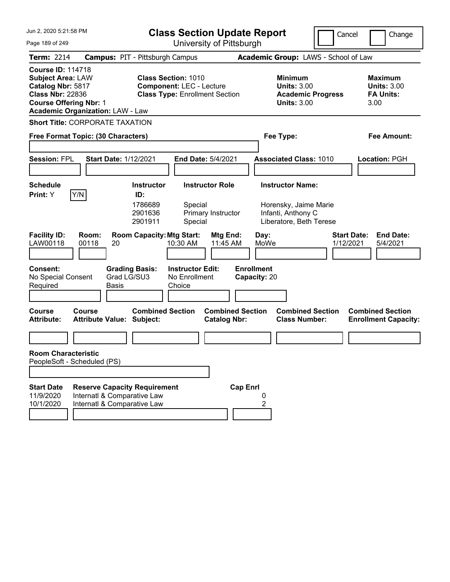| Jun 2, 2020 5:21:58 PM                                                                                                                                                           | <b>Class Section Update Report</b>                                                                                              |                                                                                                   | Cancel<br>Change                                                 |
|----------------------------------------------------------------------------------------------------------------------------------------------------------------------------------|---------------------------------------------------------------------------------------------------------------------------------|---------------------------------------------------------------------------------------------------|------------------------------------------------------------------|
| Page 189 of 249                                                                                                                                                                  | University of Pittsburgh                                                                                                        |                                                                                                   |                                                                  |
| <b>Term: 2214</b>                                                                                                                                                                | <b>Campus: PIT - Pittsburgh Campus</b>                                                                                          | Academic Group: LAWS - School of Law                                                              |                                                                  |
| <b>Course ID: 114718</b><br><b>Subject Area: LAW</b><br>Catalog Nbr: 5817<br><b>Class Nbr: 22836</b><br><b>Course Offering Nbr: 1</b><br><b>Academic Organization: LAW - Law</b> | <b>Class Section: 1010</b><br><b>Component: LEC - Lecture</b><br><b>Class Type: Enrollment Section</b>                          | Minimum<br><b>Units: 3.00</b><br><b>Academic Progress</b><br><b>Units: 3.00</b>                   | <b>Maximum</b><br><b>Units: 3.00</b><br><b>FA Units:</b><br>3.00 |
| <b>Short Title: CORPORATE TAXATION</b>                                                                                                                                           |                                                                                                                                 |                                                                                                   |                                                                  |
| Free Format Topic: (30 Characters)                                                                                                                                               |                                                                                                                                 | Fee Type:                                                                                         | <b>Fee Amount:</b>                                               |
| <b>Session: FPL</b><br><b>Start Date: 1/12/2021</b>                                                                                                                              | End Date: 5/4/2021                                                                                                              | <b>Associated Class: 1010</b>                                                                     | Location: PGH                                                    |
| <b>Schedule</b><br>Y/N<br>Print: Y                                                                                                                                               | <b>Instructor Role</b><br><b>Instructor</b><br>ID:<br>1786689<br>Special<br>2901636<br>Primary Instructor<br>2901911<br>Special | <b>Instructor Name:</b><br>Horensky, Jaime Marie<br>Infanti, Anthony C<br>Liberatore, Beth Terese |                                                                  |
| <b>Facility ID:</b><br>Room:<br>LAW00118<br>00118<br>20                                                                                                                          | <b>Room Capacity: Mtg Start:</b><br>Mtg End:<br>11:45 AM<br>10:30 AM                                                            | Day:<br>MoWe                                                                                      | <b>Start Date:</b><br><b>End Date:</b><br>1/12/2021<br>5/4/2021  |
| <b>Consent:</b><br>No Special Consent<br>Required<br>Basis                                                                                                                       | <b>Instructor Edit:</b><br><b>Grading Basis:</b><br>Grad LG/SU3<br>No Enrollment<br>Choice                                      | <b>Enrollment</b><br>Capacity: 20                                                                 |                                                                  |
| <b>Course</b><br>Course<br><b>Attribute:</b><br><b>Attribute Value: Subject:</b>                                                                                                 | <b>Combined Section</b><br><b>Catalog Nbr:</b>                                                                                  | <b>Combined Section</b><br><b>Combined Section</b><br><b>Class Number:</b>                        | <b>Combined Section</b><br><b>Enrollment Capacity:</b>           |
|                                                                                                                                                                                  |                                                                                                                                 |                                                                                                   |                                                                  |
| <b>Room Characteristic</b><br>PeopleSoft - Scheduled (PS)                                                                                                                        |                                                                                                                                 |                                                                                                   |                                                                  |
|                                                                                                                                                                                  |                                                                                                                                 |                                                                                                   |                                                                  |
| <b>Start Date</b><br>11/9/2020<br>Internatl & Comparative Law<br>10/1/2020<br>Internatl & Comparative Law                                                                        | <b>Reserve Capacity Requirement</b>                                                                                             | <b>Cap Enrl</b><br>0<br>2                                                                         |                                                                  |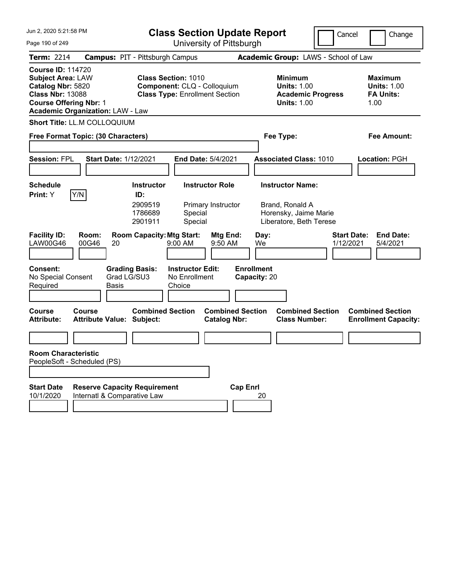| Jun 2, 2020 5:21:58 PM                                                                                                                                                           | <b>Class Section Update Report</b>                                                                 |                                                                                        | Cancel<br>Change                                                 |
|----------------------------------------------------------------------------------------------------------------------------------------------------------------------------------|----------------------------------------------------------------------------------------------------|----------------------------------------------------------------------------------------|------------------------------------------------------------------|
| Page 190 of 249                                                                                                                                                                  | University of Pittsburgh                                                                           |                                                                                        |                                                                  |
| <b>Term: 2214</b>                                                                                                                                                                | <b>Campus: PIT - Pittsburgh Campus</b>                                                             | Academic Group: LAWS - School of Law                                                   |                                                                  |
| <b>Course ID: 114720</b><br><b>Subject Area: LAW</b><br>Catalog Nbr: 5820<br><b>Class Nbr: 13088</b><br><b>Course Offering Nbr: 1</b><br><b>Academic Organization: LAW - Law</b> | <b>Class Section: 1010</b><br>Component: CLQ - Colloquium<br><b>Class Type: Enrollment Section</b> | <b>Minimum</b><br><b>Units: 1.00</b><br><b>Academic Progress</b><br><b>Units: 1.00</b> | <b>Maximum</b><br><b>Units: 1.00</b><br><b>FA Units:</b><br>1.00 |
| <b>Short Title: LL.M COLLOQUIUM</b>                                                                                                                                              |                                                                                                    |                                                                                        |                                                                  |
| Free Format Topic: (30 Characters)                                                                                                                                               |                                                                                                    | Fee Type:                                                                              | Fee Amount:                                                      |
| <b>Session: FPL</b><br><b>Start Date: 1/12/2021</b>                                                                                                                              | <b>End Date: 5/4/2021</b>                                                                          | <b>Associated Class: 1010</b>                                                          | <b>Location: PGH</b>                                             |
| <b>Schedule</b>                                                                                                                                                                  | <b>Instructor Role</b><br><b>Instructor</b>                                                        | <b>Instructor Name:</b>                                                                |                                                                  |
| Y/N<br>Print: Y                                                                                                                                                                  | ID:<br>2909519<br>Primary Instructor<br>1786689<br>Special<br>2901911<br>Special                   | Brand, Ronald A<br>Horensky, Jaime Marie<br>Liberatore, Beth Terese                    |                                                                  |
| <b>Facility ID:</b><br>Room:<br><b>LAW00G46</b><br>00G46<br>20                                                                                                                   | <b>Room Capacity: Mtg Start:</b><br>Mtg End:<br>9:00 AM<br>9:50 AM                                 | Day:<br>We                                                                             | <b>Start Date:</b><br><b>End Date:</b><br>1/12/2021<br>5/4/2021  |
| Consent:<br><b>Grading Basis:</b><br>Grad LG/SU3<br>No Special Consent<br>Required<br><b>Basis</b>                                                                               | <b>Instructor Edit:</b><br>No Enrollment<br>Choice                                                 | <b>Enrollment</b><br>Capacity: 20                                                      |                                                                  |
| Course<br>Course<br><b>Attribute Value: Subject:</b><br><b>Attribute:</b>                                                                                                        | <b>Combined Section</b><br><b>Combined Section</b><br><b>Catalog Nbr:</b>                          | <b>Combined Section</b><br><b>Class Number:</b>                                        | <b>Combined Section</b><br><b>Enrollment Capacity:</b>           |
|                                                                                                                                                                                  |                                                                                                    |                                                                                        |                                                                  |
| <b>Room Characteristic</b><br>PeopleSoft - Scheduled (PS)                                                                                                                        |                                                                                                    |                                                                                        |                                                                  |
| <b>Start Date</b><br><b>Reserve Capacity Requirement</b><br>10/1/2020<br>Internatl & Comparative Law                                                                             |                                                                                                    | <b>Cap Enrl</b><br>20                                                                  |                                                                  |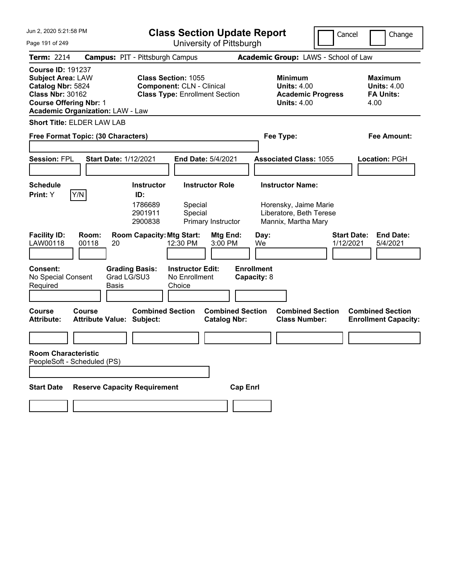| Jun 2, 2020 5:21:58 PM                                                                                                                                                           | <b>Class Section Update Report</b>                                                                      |                                                                                        | Cancel<br>Change                                                 |
|----------------------------------------------------------------------------------------------------------------------------------------------------------------------------------|---------------------------------------------------------------------------------------------------------|----------------------------------------------------------------------------------------|------------------------------------------------------------------|
| Page 191 of 249                                                                                                                                                                  | University of Pittsburgh                                                                                |                                                                                        |                                                                  |
| <b>Term: 2214</b>                                                                                                                                                                | <b>Campus: PIT - Pittsburgh Campus</b>                                                                  | Academic Group: LAWS - School of Law                                                   |                                                                  |
| <b>Course ID: 191237</b><br><b>Subject Area: LAW</b><br>Catalog Nbr: 5824<br><b>Class Nbr: 30162</b><br><b>Course Offering Nbr: 1</b><br><b>Academic Organization: LAW - Law</b> | <b>Class Section: 1055</b><br><b>Component: CLN - Clinical</b><br><b>Class Type: Enrollment Section</b> | <b>Minimum</b><br><b>Units: 4.00</b><br><b>Academic Progress</b><br><b>Units: 4.00</b> | <b>Maximum</b><br><b>Units: 4.00</b><br><b>FA Units:</b><br>4.00 |
| <b>Short Title: ELDER LAW LAB</b>                                                                                                                                                |                                                                                                         |                                                                                        |                                                                  |
| Free Format Topic: (30 Characters)                                                                                                                                               |                                                                                                         | Fee Type:                                                                              | <b>Fee Amount:</b>                                               |
|                                                                                                                                                                                  |                                                                                                         |                                                                                        |                                                                  |
| <b>Session: FPL</b><br><b>Start Date: 1/12/2021</b>                                                                                                                              | End Date: 5/4/2021                                                                                      | <b>Associated Class: 1055</b>                                                          | <b>Location: PGH</b>                                             |
|                                                                                                                                                                                  |                                                                                                         |                                                                                        |                                                                  |
| <b>Schedule</b><br>Y/N<br>Print: Y                                                                                                                                               | <b>Instructor</b><br><b>Instructor Role</b><br>ID:                                                      | <b>Instructor Name:</b>                                                                |                                                                  |
|                                                                                                                                                                                  | 1786689<br>Special<br>2901911<br>Special<br>2900838<br>Primary Instructor                               | Horensky, Jaime Marie<br>Liberatore, Beth Terese<br>Mannix, Martha Mary                |                                                                  |
| <b>Facility ID:</b><br>Room:<br>LAW00118<br>00118<br>20                                                                                                                          | <b>Room Capacity: Mtg Start:</b><br>Mtg End:<br>12:30 PM<br>3:00 PM                                     | Day:<br>We                                                                             | <b>Start Date:</b><br><b>End Date:</b><br>1/12/2021<br>5/4/2021  |
| <b>Consent:</b><br>No Special Consent<br>Required<br>Basis                                                                                                                       | <b>Grading Basis:</b><br><b>Instructor Edit:</b><br>Grad LG/SU3<br>No Enrollment<br>Choice              | <b>Enrollment</b><br>Capacity: 8                                                       |                                                                  |
| <b>Course</b><br>Course<br><b>Attribute Value: Subject:</b><br><b>Attribute:</b>                                                                                                 | <b>Combined Section</b><br><b>Combined Section</b><br><b>Catalog Nbr:</b>                               | <b>Combined Section</b><br><b>Class Number:</b>                                        | <b>Combined Section</b><br><b>Enrollment Capacity:</b>           |
|                                                                                                                                                                                  |                                                                                                         |                                                                                        |                                                                  |
| <b>Room Characteristic</b><br>PeopleSoft - Scheduled (PS)                                                                                                                        |                                                                                                         |                                                                                        |                                                                  |
| <b>Reserve Capacity Requirement</b><br><b>Start Date</b>                                                                                                                         |                                                                                                         | <b>Cap Enrl</b>                                                                        |                                                                  |
|                                                                                                                                                                                  |                                                                                                         |                                                                                        |                                                                  |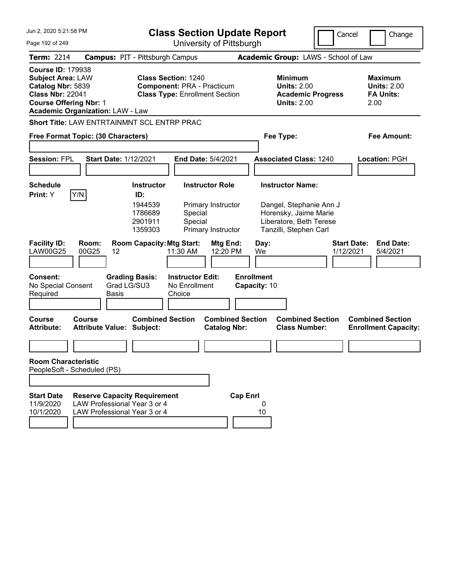| Jun 2, 2020 5:21:58 PM                                                                                                                                                           |                                                                                                     |                                                                      | <b>Class Section Update Report</b>                                                                       |                                                                    |                                 |                                                                                                                                  | Cancel    | Change                                                           |
|----------------------------------------------------------------------------------------------------------------------------------------------------------------------------------|-----------------------------------------------------------------------------------------------------|----------------------------------------------------------------------|----------------------------------------------------------------------------------------------------------|--------------------------------------------------------------------|---------------------------------|----------------------------------------------------------------------------------------------------------------------------------|-----------|------------------------------------------------------------------|
| Page 192 of 249                                                                                                                                                                  |                                                                                                     |                                                                      |                                                                                                          | University of Pittsburgh                                           |                                 |                                                                                                                                  |           |                                                                  |
| <b>Term: 2214</b>                                                                                                                                                                | <b>Campus: PIT - Pittsburgh Campus</b>                                                              |                                                                      |                                                                                                          |                                                                    |                                 | Academic Group: LAWS - School of Law                                                                                             |           |                                                                  |
| <b>Course ID: 179938</b><br><b>Subject Area: LAW</b><br>Catalog Nbr: 5839<br><b>Class Nbr: 22041</b><br><b>Course Offering Nbr: 1</b><br><b>Academic Organization: LAW - Law</b> |                                                                                                     |                                                                      | <b>Class Section: 1240</b><br><b>Component: PRA - Practicum</b><br><b>Class Type: Enrollment Section</b> |                                                                    |                                 | <b>Minimum</b><br><b>Units: 2.00</b><br><b>Academic Progress</b><br><b>Units: 2.00</b>                                           |           | <b>Maximum</b><br><b>Units: 2.00</b><br><b>FA Units:</b><br>2.00 |
| <b>Short Title: LAW ENTRTAINMNT SCL ENTRP PRAC</b>                                                                                                                               |                                                                                                     |                                                                      |                                                                                                          |                                                                    |                                 |                                                                                                                                  |           |                                                                  |
| Free Format Topic: (30 Characters)                                                                                                                                               |                                                                                                     |                                                                      |                                                                                                          |                                                                    |                                 | Fee Type:                                                                                                                        |           | <b>Fee Amount:</b>                                               |
| <b>Session: FPL</b>                                                                                                                                                              | <b>Start Date: 1/12/2021</b>                                                                        |                                                                      |                                                                                                          | <b>End Date: 5/4/2021</b>                                          |                                 | <b>Associated Class: 1240</b>                                                                                                    |           | <b>Location: PGH</b>                                             |
|                                                                                                                                                                                  |                                                                                                     |                                                                      |                                                                                                          |                                                                    |                                 |                                                                                                                                  |           |                                                                  |
| <b>Schedule</b><br>Print: Y                                                                                                                                                      | Y/N                                                                                                 | <b>Instructor</b><br>ID:<br>1944539<br>1786689<br>2901911<br>1359303 | Special<br>Special                                                                                       | <b>Instructor Role</b><br>Primary Instructor<br>Primary Instructor |                                 | <b>Instructor Name:</b><br>Dangel, Stephanie Ann J<br>Horensky, Jaime Marie<br>Liberatore, Beth Terese<br>Tanzilli, Stephen Carl |           |                                                                  |
| <b>Facility ID:</b><br><b>LAW00G25</b><br><b>Consent:</b>                                                                                                                        | Room:<br>00G25<br>12                                                                                | <b>Room Capacity: Mtg Start:</b><br><b>Grading Basis:</b>            | 11:30 AM<br><b>Instructor Edit:</b>                                                                      | Mtg End:<br>12:20 PM                                               | Day:<br>We<br><b>Enrollment</b> |                                                                                                                                  | 1/12/2021 | <b>Start Date:</b><br><b>End Date:</b><br>5/4/2021               |
| No Special Consent<br>Required                                                                                                                                                   | <b>Basis</b>                                                                                        | Grad LG/SU3                                                          | No Enrollment<br>Choice                                                                                  |                                                                    | Capacity: 10                    |                                                                                                                                  |           |                                                                  |
| Course<br><b>Attribute:</b>                                                                                                                                                      | Course<br><b>Attribute Value: Subject:</b>                                                          | <b>Combined Section</b>                                              |                                                                                                          | <b>Combined Section</b><br><b>Catalog Nbr:</b>                     |                                 | <b>Combined Section</b><br><b>Class Number:</b>                                                                                  |           | <b>Combined Section</b><br><b>Enrollment Capacity:</b>           |
|                                                                                                                                                                                  |                                                                                                     |                                                                      |                                                                                                          |                                                                    |                                 |                                                                                                                                  |           |                                                                  |
| <b>Room Characteristic</b><br>PeopleSoft - Scheduled (PS)                                                                                                                        |                                                                                                     |                                                                      |                                                                                                          |                                                                    |                                 |                                                                                                                                  |           |                                                                  |
|                                                                                                                                                                                  |                                                                                                     |                                                                      |                                                                                                          |                                                                    |                                 |                                                                                                                                  |           |                                                                  |
| <b>Start Date</b><br>11/9/2020<br>10/1/2020                                                                                                                                      | <b>Reserve Capacity Requirement</b><br>LAW Professional Year 3 or 4<br>LAW Professional Year 3 or 4 |                                                                      |                                                                                                          |                                                                    | <b>Cap Enrl</b><br>0<br>10      |                                                                                                                                  |           |                                                                  |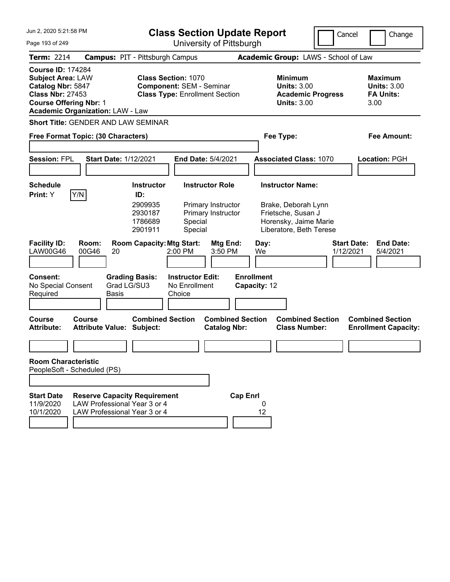| Jun 2, 2020 5:21:58 PM<br><b>Class Section Update Report</b>                                                                                                                     |                                                                                                     |                                                                                                        |                                                     | Cancel<br>Change                                                   |                                                 |                                                                                                                          |                                                                 |
|----------------------------------------------------------------------------------------------------------------------------------------------------------------------------------|-----------------------------------------------------------------------------------------------------|--------------------------------------------------------------------------------------------------------|-----------------------------------------------------|--------------------------------------------------------------------|-------------------------------------------------|--------------------------------------------------------------------------------------------------------------------------|-----------------------------------------------------------------|
| Page 193 of 249                                                                                                                                                                  |                                                                                                     |                                                                                                        |                                                     | University of Pittsburgh                                           |                                                 |                                                                                                                          |                                                                 |
| <b>Term: 2214</b>                                                                                                                                                                | <b>Campus: PIT - Pittsburgh Campus</b>                                                              |                                                                                                        |                                                     |                                                                    |                                                 | Academic Group: LAWS - School of Law                                                                                     |                                                                 |
| <b>Course ID: 174284</b><br><b>Subject Area: LAW</b><br>Catalog Nbr: 5847<br><b>Class Nbr: 27453</b><br><b>Course Offering Nbr: 1</b><br><b>Academic Organization: LAW - Law</b> |                                                                                                     | <b>Class Section: 1070</b><br><b>Component: SEM - Seminar</b><br><b>Class Type: Enrollment Section</b> |                                                     |                                                                    |                                                 | Minimum<br><b>Units: 3.00</b><br><b>Academic Progress</b><br><b>Units: 3.00</b>                                          | Maximum<br><b>Units: 3.00</b><br><b>FA Units:</b><br>3.00       |
| <b>Short Title: GENDER AND LAW SEMINAR</b>                                                                                                                                       |                                                                                                     |                                                                                                        |                                                     |                                                                    |                                                 |                                                                                                                          |                                                                 |
| Free Format Topic: (30 Characters)                                                                                                                                               |                                                                                                     |                                                                                                        |                                                     |                                                                    |                                                 | Fee Type:                                                                                                                | Fee Amount:                                                     |
| <b>Session: FPL</b>                                                                                                                                                              | <b>Start Date: 1/12/2021</b>                                                                        |                                                                                                        | <b>End Date: 5/4/2021</b>                           |                                                                    |                                                 | <b>Associated Class: 1070</b>                                                                                            | Location: PGH                                                   |
| <b>Schedule</b><br>Y/N<br><b>Print:</b> Y                                                                                                                                        |                                                                                                     | <b>Instructor</b><br>ID:<br>2909935<br>2930187<br>1786689<br>2901911                                   | Special<br>Special                                  | <b>Instructor Role</b><br>Primary Instructor<br>Primary Instructor |                                                 | <b>Instructor Name:</b><br>Brake, Deborah Lynn<br>Frietsche, Susan J<br>Horensky, Jaime Marie<br>Liberatore, Beth Terese |                                                                 |
| <b>Facility ID:</b><br>LAW00G46<br><b>Consent:</b><br>No Special Consent                                                                                                         | Room:<br>00G46<br>20<br>Grad LG/SU3                                                                 | <b>Room Capacity: Mtg Start:</b><br><b>Grading Basis:</b>                                              | 2:00 PM<br><b>Instructor Edit:</b><br>No Enrollment | Mtg End:<br>3:50 PM                                                | Day:<br>We<br><b>Enrollment</b><br>Capacity: 12 |                                                                                                                          | <b>Start Date:</b><br><b>End Date:</b><br>1/12/2021<br>5/4/2021 |
| Required                                                                                                                                                                         | <b>Basis</b>                                                                                        |                                                                                                        | Choice                                              |                                                                    |                                                 |                                                                                                                          |                                                                 |
| Course<br><b>Attribute:</b>                                                                                                                                                      | Course<br>Attribute Value: Subject:                                                                 | <b>Combined Section</b>                                                                                |                                                     | <b>Combined Section</b><br><b>Catalog Nbr:</b>                     |                                                 | <b>Combined Section</b><br><b>Class Number:</b>                                                                          | <b>Combined Section</b><br><b>Enrollment Capacity:</b>          |
| <b>Room Characteristic</b>                                                                                                                                                       |                                                                                                     |                                                                                                        |                                                     |                                                                    |                                                 |                                                                                                                          |                                                                 |
| PeopleSoft - Scheduled (PS)                                                                                                                                                      |                                                                                                     |                                                                                                        |                                                     |                                                                    |                                                 |                                                                                                                          |                                                                 |
|                                                                                                                                                                                  |                                                                                                     |                                                                                                        |                                                     |                                                                    |                                                 |                                                                                                                          |                                                                 |
| <b>Start Date</b><br>11/9/2020<br>10/1/2020                                                                                                                                      | <b>Reserve Capacity Requirement</b><br>LAW Professional Year 3 or 4<br>LAW Professional Year 3 or 4 |                                                                                                        |                                                     | <b>Cap Enrl</b>                                                    | 0<br>12                                         |                                                                                                                          |                                                                 |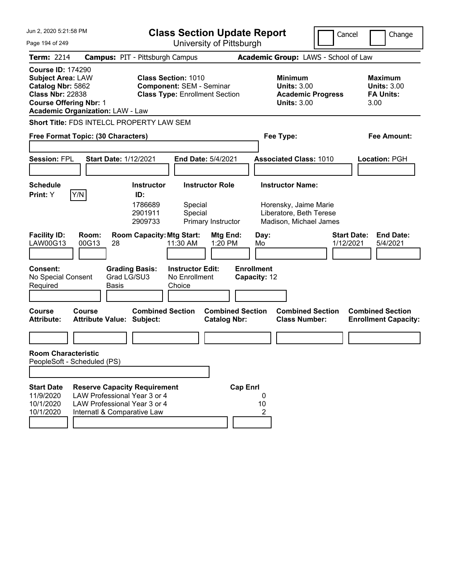| Jun 2, 2020 5:21:58 PM                                                                                                                                                           |                                                                                                                                    | <b>Class Section Update Report</b><br>Cancel              |                                                                                                        |                                                |                                   |                                                                                                       | Change |                                                                  |
|----------------------------------------------------------------------------------------------------------------------------------------------------------------------------------|------------------------------------------------------------------------------------------------------------------------------------|-----------------------------------------------------------|--------------------------------------------------------------------------------------------------------|------------------------------------------------|-----------------------------------|-------------------------------------------------------------------------------------------------------|--------|------------------------------------------------------------------|
| Page 194 of 249                                                                                                                                                                  |                                                                                                                                    |                                                           |                                                                                                        | University of Pittsburgh                       |                                   |                                                                                                       |        |                                                                  |
| <b>Term: 2214</b>                                                                                                                                                                | <b>Campus: PIT - Pittsburgh Campus</b>                                                                                             |                                                           |                                                                                                        |                                                |                                   | Academic Group: LAWS - School of Law                                                                  |        |                                                                  |
| <b>Course ID: 174290</b><br><b>Subject Area: LAW</b><br>Catalog Nbr: 5862<br><b>Class Nbr: 22838</b><br><b>Course Offering Nbr: 1</b><br><b>Academic Organization: LAW - Law</b> |                                                                                                                                    |                                                           | <b>Class Section: 1010</b><br><b>Component: SEM - Seminar</b><br><b>Class Type: Enrollment Section</b> |                                                |                                   | <b>Minimum</b><br><b>Units: 3.00</b><br><b>Academic Progress</b><br><b>Units: 3.00</b>                |        | <b>Maximum</b><br><b>Units: 3.00</b><br><b>FA Units:</b><br>3.00 |
| Short Title: FDS INTELCL PROPERTY LAW SEM                                                                                                                                        |                                                                                                                                    |                                                           |                                                                                                        |                                                |                                   |                                                                                                       |        |                                                                  |
| Free Format Topic: (30 Characters)                                                                                                                                               |                                                                                                                                    |                                                           |                                                                                                        |                                                |                                   | Fee Type:                                                                                             |        | Fee Amount:                                                      |
| <b>Session: FPL</b>                                                                                                                                                              | <b>Start Date: 1/12/2021</b>                                                                                                       |                                                           | <b>End Date: 5/4/2021</b>                                                                              |                                                |                                   | <b>Associated Class: 1010</b>                                                                         |        | <b>Location: PGH</b>                                             |
|                                                                                                                                                                                  |                                                                                                                                    |                                                           |                                                                                                        |                                                |                                   |                                                                                                       |        |                                                                  |
| <b>Schedule</b><br>Y/N<br>Print: Y                                                                                                                                               |                                                                                                                                    | <b>Instructor</b><br>ID:<br>1786689<br>2901911<br>2909733 | Special<br>Special                                                                                     | <b>Instructor Role</b><br>Primary Instructor   |                                   | <b>Instructor Name:</b><br>Horensky, Jaime Marie<br>Liberatore, Beth Terese<br>Madison, Michael James |        |                                                                  |
| <b>Facility ID:</b><br>LAW00G13                                                                                                                                                  | Room:<br>00G13<br>28                                                                                                               | <b>Room Capacity: Mtg Start:</b>                          | 11:30 AM                                                                                               | Mtg End:<br>1:20 PM                            | Day:<br>Mo                        |                                                                                                       |        | <b>Start Date:</b><br><b>End Date:</b><br>1/12/2021<br>5/4/2021  |
| Consent:<br>No Special Consent<br>Required                                                                                                                                       | Grad LG/SU3<br><b>Basis</b>                                                                                                        | <b>Grading Basis:</b>                                     | <b>Instructor Edit:</b><br>No Enrollment<br>Choice                                                     |                                                | <b>Enrollment</b><br>Capacity: 12 |                                                                                                       |        |                                                                  |
| Course<br><b>Attribute:</b>                                                                                                                                                      | Course<br><b>Attribute Value: Subject:</b>                                                                                         | <b>Combined Section</b>                                   |                                                                                                        | <b>Combined Section</b><br><b>Catalog Nbr:</b> |                                   | <b>Combined Section</b><br><b>Class Number:</b>                                                       |        | <b>Combined Section</b><br><b>Enrollment Capacity:</b>           |
|                                                                                                                                                                                  |                                                                                                                                    |                                                           |                                                                                                        |                                                |                                   |                                                                                                       |        |                                                                  |
| <b>Room Characteristic</b><br>PeopleSoft - Scheduled (PS)                                                                                                                        |                                                                                                                                    |                                                           |                                                                                                        |                                                |                                   |                                                                                                       |        |                                                                  |
| <b>Start Date</b><br>11/9/2020<br>10/1/2020<br>10/1/2020                                                                                                                         | <b>Reserve Capacity Requirement</b><br>LAW Professional Year 3 or 4<br>LAW Professional Year 3 or 4<br>Internatl & Comparative Law |                                                           |                                                                                                        | <b>Cap Enrl</b>                                | 0<br>10<br>2                      |                                                                                                       |        |                                                                  |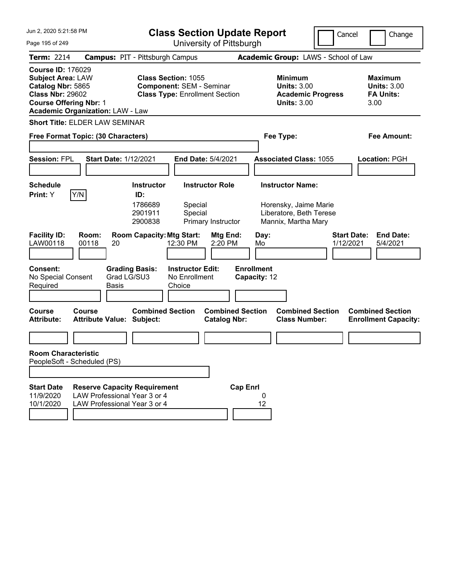| Jun 2, 2020 5:21:58 PM<br><b>Class Section Update Report</b>                                                                                                                     |                                                                                                     |                                                                                                        | Cancel                                                             | Change                                                                                             |                                 |                                                                  |
|----------------------------------------------------------------------------------------------------------------------------------------------------------------------------------|-----------------------------------------------------------------------------------------------------|--------------------------------------------------------------------------------------------------------|--------------------------------------------------------------------|----------------------------------------------------------------------------------------------------|---------------------------------|------------------------------------------------------------------|
| Page 195 of 249                                                                                                                                                                  |                                                                                                     |                                                                                                        | University of Pittsburgh                                           |                                                                                                    |                                 |                                                                  |
| <b>Term: 2214</b>                                                                                                                                                                |                                                                                                     | <b>Campus: PIT - Pittsburgh Campus</b>                                                                 |                                                                    | Academic Group: LAWS - School of Law                                                               |                                 |                                                                  |
| <b>Course ID: 176029</b><br><b>Subject Area: LAW</b><br>Catalog Nbr: 5865<br><b>Class Nbr: 29602</b><br><b>Course Offering Nbr: 1</b><br><b>Academic Organization: LAW - Law</b> |                                                                                                     | <b>Class Section: 1055</b><br><b>Component: SEM - Seminar</b><br><b>Class Type: Enrollment Section</b> |                                                                    | <b>Minimum</b><br><b>Units: 3.00</b><br><b>Units: 3.00</b>                                         | <b>Academic Progress</b>        | <b>Maximum</b><br><b>Units: 3.00</b><br><b>FA Units:</b><br>3.00 |
| <b>Short Title: ELDER LAW SEMINAR</b>                                                                                                                                            |                                                                                                     |                                                                                                        |                                                                    |                                                                                                    |                                 |                                                                  |
| Free Format Topic: (30 Characters)                                                                                                                                               |                                                                                                     |                                                                                                        |                                                                    | Fee Type:                                                                                          |                                 | <b>Fee Amount:</b>                                               |
| <b>Session: FPL</b>                                                                                                                                                              | <b>Start Date: 1/12/2021</b>                                                                        |                                                                                                        | End Date: 5/4/2021                                                 | <b>Associated Class: 1055</b>                                                                      |                                 | <b>Location: PGH</b>                                             |
| <b>Schedule</b><br>Y/N<br>Print: Y                                                                                                                                               |                                                                                                     | <b>Instructor</b><br>ID:<br>1786689<br>2901911<br>2900838                                              | <b>Instructor Role</b><br>Special<br>Special<br>Primary Instructor | <b>Instructor Name:</b><br>Horensky, Jaime Marie<br>Liberatore, Beth Terese<br>Mannix, Martha Mary |                                 |                                                                  |
| <b>Facility ID:</b><br>LAW00118                                                                                                                                                  | Room:<br>00118<br>20                                                                                | <b>Room Capacity: Mtg Start:</b><br>12:30 PM                                                           | Mtg End:<br>2:20 PM                                                | Day:<br>Mo                                                                                         | <b>Start Date:</b><br>1/12/2021 | <b>End Date:</b><br>5/4/2021                                     |
| <b>Consent:</b><br>No Special Consent<br>Required                                                                                                                                | <b>Grading Basis:</b><br>Grad LG/SU3<br>Basis                                                       | No Enrollment<br>Choice                                                                                | <b>Instructor Edit:</b>                                            | <b>Enrollment</b><br>Capacity: 12                                                                  |                                 |                                                                  |
| <b>Course</b><br><b>Attribute:</b>                                                                                                                                               | Course<br><b>Attribute Value: Subject:</b>                                                          | <b>Combined Section</b>                                                                                | <b>Combined Section</b><br><b>Catalog Nbr:</b>                     | <b>Combined Section</b><br><b>Class Number:</b>                                                    |                                 | <b>Combined Section</b><br><b>Enrollment Capacity:</b>           |
|                                                                                                                                                                                  |                                                                                                     |                                                                                                        |                                                                    |                                                                                                    |                                 |                                                                  |
| <b>Room Characteristic</b><br>PeopleSoft - Scheduled (PS)                                                                                                                        |                                                                                                     |                                                                                                        |                                                                    |                                                                                                    |                                 |                                                                  |
|                                                                                                                                                                                  |                                                                                                     |                                                                                                        |                                                                    |                                                                                                    |                                 |                                                                  |
| <b>Start Date</b><br>11/9/2020<br>10/1/2020                                                                                                                                      | <b>Reserve Capacity Requirement</b><br>LAW Professional Year 3 or 4<br>LAW Professional Year 3 or 4 |                                                                                                        | <b>Cap Enrl</b>                                                    | 0<br>12                                                                                            |                                 |                                                                  |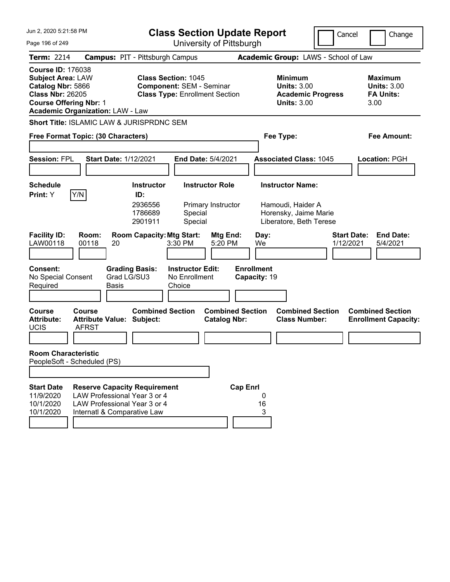| Jun 2, 2020 5:21:58 PM<br><b>Class Section Update Report</b>                                                                                                                     |                                                                                                                                    |                                                           |                                                                                                        |                                                | Cancel                                          | Change                                                                                           |  |                                                                  |
|----------------------------------------------------------------------------------------------------------------------------------------------------------------------------------|------------------------------------------------------------------------------------------------------------------------------------|-----------------------------------------------------------|--------------------------------------------------------------------------------------------------------|------------------------------------------------|-------------------------------------------------|--------------------------------------------------------------------------------------------------|--|------------------------------------------------------------------|
| Page 196 of 249                                                                                                                                                                  |                                                                                                                                    |                                                           |                                                                                                        | University of Pittsburgh                       |                                                 |                                                                                                  |  |                                                                  |
| <b>Term: 2214</b>                                                                                                                                                                | <b>Campus: PIT - Pittsburgh Campus</b>                                                                                             |                                                           |                                                                                                        |                                                | Academic Group: LAWS - School of Law            |                                                                                                  |  |                                                                  |
| <b>Course ID: 176038</b><br><b>Subject Area: LAW</b><br>Catalog Nbr: 5866<br><b>Class Nbr: 26205</b><br><b>Course Offering Nbr: 1</b><br><b>Academic Organization: LAW - Law</b> |                                                                                                                                    |                                                           | <b>Class Section: 1045</b><br><b>Component: SEM - Seminar</b><br><b>Class Type: Enrollment Section</b> |                                                |                                                 | <b>Minimum</b><br><b>Units: 3.00</b><br><b>Academic Progress</b><br><b>Units: 3.00</b>           |  | <b>Maximum</b><br><b>Units: 3.00</b><br><b>FA Units:</b><br>3.00 |
| Short Title: ISLAMIC LAW & JURISPRDNC SEM                                                                                                                                        |                                                                                                                                    |                                                           |                                                                                                        |                                                |                                                 |                                                                                                  |  |                                                                  |
| Free Format Topic: (30 Characters)                                                                                                                                               |                                                                                                                                    |                                                           |                                                                                                        |                                                | Fee Type:                                       |                                                                                                  |  | <b>Fee Amount:</b>                                               |
| <b>Session: FPL</b>                                                                                                                                                              | <b>Start Date: 1/12/2021</b>                                                                                                       |                                                           | End Date: 5/4/2021                                                                                     |                                                |                                                 | <b>Associated Class: 1045</b>                                                                    |  | Location: PGH                                                    |
| <b>Schedule</b><br>Y/N<br>Print: Y                                                                                                                                               |                                                                                                                                    | <b>Instructor</b><br>ID:<br>2936556<br>1786689<br>2901911 | Special<br>Special                                                                                     | <b>Instructor Role</b><br>Primary Instructor   |                                                 | <b>Instructor Name:</b><br>Hamoudi, Haider A<br>Horensky, Jaime Marie<br>Liberatore, Beth Terese |  |                                                                  |
| <b>Facility ID:</b><br>Room:<br>LAW00118<br>00118<br><b>Consent:</b><br>No Special Consent<br>Required                                                                           | 20<br><b>Grading Basis:</b><br>Grad LG/SU3<br>Basis                                                                                | <b>Room Capacity: Mtg Start:</b>                          | 3:30 PM<br><b>Instructor Edit:</b><br>No Enrollment<br>Choice                                          | Mtg End:<br>5:20 PM                            | Day:<br>We<br><b>Enrollment</b><br>Capacity: 19 |                                                                                                  |  | <b>Start Date:</b><br><b>End Date:</b><br>1/12/2021<br>5/4/2021  |
| <b>Course</b><br><b>Course</b><br><b>Attribute:</b><br><b>UCIS</b><br><b>AFRST</b>                                                                                               | <b>Attribute Value: Subject:</b>                                                                                                   | <b>Combined Section</b>                                   |                                                                                                        | <b>Combined Section</b><br><b>Catalog Nbr:</b> |                                                 | <b>Combined Section</b><br><b>Class Number:</b>                                                  |  | <b>Combined Section</b><br><b>Enrollment Capacity:</b>           |
| <b>Room Characteristic</b><br>PeopleSoft - Scheduled (PS)                                                                                                                        |                                                                                                                                    |                                                           |                                                                                                        |                                                |                                                 |                                                                                                  |  |                                                                  |
| <b>Start Date</b><br>11/9/2020<br>10/1/2020<br>10/1/2020                                                                                                                         | <b>Reserve Capacity Requirement</b><br>LAW Professional Year 3 or 4<br>LAW Professional Year 3 or 4<br>Internatl & Comparative Law |                                                           |                                                                                                        | <b>Cap Enrl</b>                                | 0<br>16<br>3                                    |                                                                                                  |  |                                                                  |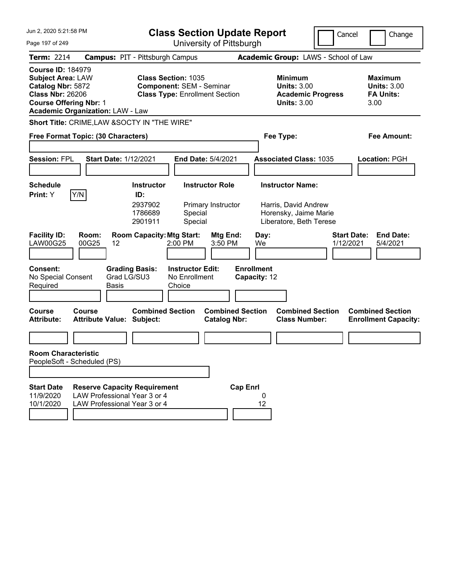| Jun 2, 2020 5:21:58 PM                                                                                                                                                           |                                                                                                     | <b>Class Section Update Report</b>                                                                     |                                                |                                                                                                     | Cancel                          | Change                                                           |
|----------------------------------------------------------------------------------------------------------------------------------------------------------------------------------|-----------------------------------------------------------------------------------------------------|--------------------------------------------------------------------------------------------------------|------------------------------------------------|-----------------------------------------------------------------------------------------------------|---------------------------------|------------------------------------------------------------------|
| Page 197 of 249                                                                                                                                                                  |                                                                                                     |                                                                                                        | University of Pittsburgh                       |                                                                                                     |                                 |                                                                  |
| <b>Term: 2214</b>                                                                                                                                                                |                                                                                                     | <b>Campus: PIT - Pittsburgh Campus</b>                                                                 |                                                | Academic Group: LAWS - School of Law                                                                |                                 |                                                                  |
| <b>Course ID: 184979</b><br><b>Subject Area: LAW</b><br>Catalog Nbr: 5872<br><b>Class Nbr: 26206</b><br><b>Course Offering Nbr: 1</b><br><b>Academic Organization: LAW - Law</b> |                                                                                                     | <b>Class Section: 1035</b><br><b>Component: SEM - Seminar</b><br><b>Class Type: Enrollment Section</b> |                                                | <b>Minimum</b><br><b>Units: 3.00</b><br><b>Academic Progress</b><br><b>Units: 3.00</b>              |                                 | <b>Maximum</b><br><b>Units: 3.00</b><br><b>FA Units:</b><br>3.00 |
|                                                                                                                                                                                  |                                                                                                     | Short Title: CRIME, LAW & SOCTY IN "THE WIRE"                                                          |                                                |                                                                                                     |                                 |                                                                  |
| Free Format Topic: (30 Characters)                                                                                                                                               |                                                                                                     |                                                                                                        |                                                | Fee Type:                                                                                           |                                 | <b>Fee Amount:</b>                                               |
| <b>Session: FPL</b>                                                                                                                                                              | <b>Start Date: 1/12/2021</b>                                                                        |                                                                                                        | End Date: 5/4/2021                             | <b>Associated Class: 1035</b>                                                                       |                                 | <b>Location: PGH</b>                                             |
| <b>Schedule</b><br>Y/N<br>Print: Y                                                                                                                                               |                                                                                                     | <b>Instructor</b><br>ID:<br>2937902<br>1786689<br>Special<br>2901911<br>Special                        | <b>Instructor Role</b><br>Primary Instructor   | <b>Instructor Name:</b><br>Harris, David Andrew<br>Horensky, Jaime Marie<br>Liberatore, Beth Terese |                                 |                                                                  |
| <b>Facility ID:</b><br><b>LAW00G25</b>                                                                                                                                           | Room:<br>00G25<br>12                                                                                | <b>Room Capacity: Mtg Start:</b><br>2:00 PM                                                            | Mtg End:<br>3:50 PM                            | Day:<br>We                                                                                          | <b>Start Date:</b><br>1/12/2021 | <b>End Date:</b><br>5/4/2021                                     |
| <b>Consent:</b><br>No Special Consent<br>Required                                                                                                                                | <b>Grading Basis:</b><br>Grad LG/SU3<br>Basis                                                       | <b>Instructor Edit:</b><br>No Enrollment<br>Choice                                                     | <b>Enrollment</b>                              | Capacity: 12                                                                                        |                                 |                                                                  |
| <b>Course</b><br><b>Attribute:</b>                                                                                                                                               | Course<br><b>Attribute Value: Subject:</b>                                                          | <b>Combined Section</b>                                                                                | <b>Combined Section</b><br><b>Catalog Nbr:</b> | <b>Combined Section</b><br><b>Class Number:</b>                                                     |                                 | <b>Combined Section</b><br><b>Enrollment Capacity:</b>           |
|                                                                                                                                                                                  |                                                                                                     |                                                                                                        |                                                |                                                                                                     |                                 |                                                                  |
| <b>Room Characteristic</b><br>PeopleSoft - Scheduled (PS)                                                                                                                        |                                                                                                     |                                                                                                        |                                                |                                                                                                     |                                 |                                                                  |
|                                                                                                                                                                                  |                                                                                                     |                                                                                                        |                                                |                                                                                                     |                                 |                                                                  |
| <b>Start Date</b><br>11/9/2020<br>10/1/2020                                                                                                                                      | <b>Reserve Capacity Requirement</b><br>LAW Professional Year 3 or 4<br>LAW Professional Year 3 or 4 |                                                                                                        | <b>Cap Enrl</b>                                | 0<br>12                                                                                             |                                 |                                                                  |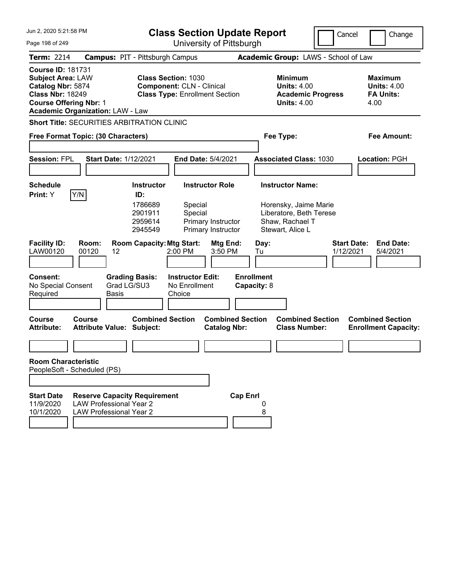| Jun 2, 2020 5:21:58 PM                                                                                                                                                           |                                                                                                         |                                                                      | <b>Class Section Update Report</b>                                                                      |                                                                    |                                  |            |                                                                                                                    | Cancel<br>Change                                                 |
|----------------------------------------------------------------------------------------------------------------------------------------------------------------------------------|---------------------------------------------------------------------------------------------------------|----------------------------------------------------------------------|---------------------------------------------------------------------------------------------------------|--------------------------------------------------------------------|----------------------------------|------------|--------------------------------------------------------------------------------------------------------------------|------------------------------------------------------------------|
| Page 198 of 249                                                                                                                                                                  |                                                                                                         |                                                                      |                                                                                                         | University of Pittsburgh                                           |                                  |            |                                                                                                                    |                                                                  |
| <b>Term: 2214</b>                                                                                                                                                                | <b>Campus: PIT - Pittsburgh Campus</b>                                                                  |                                                                      |                                                                                                         |                                                                    |                                  |            | Academic Group: LAWS - School of Law                                                                               |                                                                  |
| <b>Course ID: 181731</b><br><b>Subject Area: LAW</b><br>Catalog Nbr: 5874<br><b>Class Nbr: 18249</b><br><b>Course Offering Nbr: 1</b><br><b>Academic Organization: LAW - Law</b> |                                                                                                         |                                                                      | <b>Class Section: 1030</b><br><b>Component: CLN - Clinical</b><br><b>Class Type: Enrollment Section</b> |                                                                    |                                  |            | <b>Minimum</b><br><b>Units: 4.00</b><br><b>Academic Progress</b><br><b>Units: 4.00</b>                             | <b>Maximum</b><br><b>Units: 4.00</b><br><b>FA Units:</b><br>4.00 |
| <b>Short Title: SECURITIES ARBITRATION CLINIC</b>                                                                                                                                |                                                                                                         |                                                                      |                                                                                                         |                                                                    |                                  |            |                                                                                                                    |                                                                  |
| Free Format Topic: (30 Characters)                                                                                                                                               |                                                                                                         |                                                                      |                                                                                                         |                                                                    |                                  |            | Fee Type:                                                                                                          | <b>Fee Amount:</b>                                               |
| <b>Session: FPL</b>                                                                                                                                                              | <b>Start Date: 1/12/2021</b>                                                                            |                                                                      |                                                                                                         | End Date: 5/4/2021                                                 |                                  |            | <b>Associated Class: 1030</b>                                                                                      | Location: PGH                                                    |
| <b>Schedule</b><br>Y/N<br>Print: Y                                                                                                                                               |                                                                                                         | <b>Instructor</b><br>ID:<br>1786689<br>2901911<br>2959614<br>2945549 | Special<br>Special                                                                                      | <b>Instructor Role</b><br>Primary Instructor<br>Primary Instructor |                                  |            | <b>Instructor Name:</b><br>Horensky, Jaime Marie<br>Liberatore, Beth Terese<br>Shaw, Rachael T<br>Stewart, Alice L |                                                                  |
| <b>Facility ID:</b><br>LAW00120                                                                                                                                                  | Room:<br>00120<br>12                                                                                    | <b>Room Capacity: Mtg Start:</b>                                     | 2:00 PM                                                                                                 | Mtg End:<br>3:50 PM                                                |                                  | Day:<br>Tu |                                                                                                                    | <b>End Date:</b><br><b>Start Date:</b><br>1/12/2021<br>5/4/2021  |
| <b>Consent:</b><br>No Special Consent<br>Required                                                                                                                                | Basis                                                                                                   | <b>Grading Basis:</b><br>Grad LG/SU3                                 | <b>Instructor Edit:</b><br>No Enrollment<br>Choice                                                      |                                                                    | <b>Enrollment</b><br>Capacity: 8 |            |                                                                                                                    |                                                                  |
| <b>Course</b><br><b>Attribute:</b>                                                                                                                                               | <b>Course</b><br><b>Attribute Value: Subject:</b>                                                       | <b>Combined Section</b>                                              |                                                                                                         | <b>Combined Section</b><br><b>Catalog Nbr:</b>                     |                                  |            | <b>Combined Section</b><br><b>Class Number:</b>                                                                    | <b>Combined Section</b><br><b>Enrollment Capacity:</b>           |
|                                                                                                                                                                                  |                                                                                                         |                                                                      |                                                                                                         |                                                                    |                                  |            |                                                                                                                    |                                                                  |
| <b>Room Characteristic</b><br>PeopleSoft - Scheduled (PS)                                                                                                                        |                                                                                                         |                                                                      |                                                                                                         |                                                                    |                                  |            |                                                                                                                    |                                                                  |
|                                                                                                                                                                                  |                                                                                                         |                                                                      |                                                                                                         |                                                                    |                                  |            |                                                                                                                    |                                                                  |
| <b>Start Date</b><br>11/9/2020<br>10/1/2020                                                                                                                                      | <b>Reserve Capacity Requirement</b><br><b>LAW Professional Year 2</b><br><b>LAW Professional Year 2</b> |                                                                      |                                                                                                         |                                                                    | <b>Cap Enrl</b>                  | 0<br>8     |                                                                                                                    |                                                                  |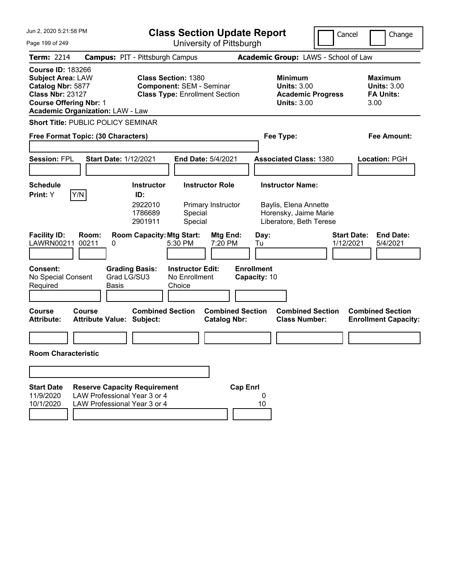| Jun 2, 2020 5:21:58 PM                                                                                                                                                           | <b>Class Section Update Report</b>                                                                  |                                                                                                        |                                                | Cancel                                                                    | Change                          |                                                                  |
|----------------------------------------------------------------------------------------------------------------------------------------------------------------------------------|-----------------------------------------------------------------------------------------------------|--------------------------------------------------------------------------------------------------------|------------------------------------------------|---------------------------------------------------------------------------|---------------------------------|------------------------------------------------------------------|
| Page 199 of 249                                                                                                                                                                  |                                                                                                     |                                                                                                        | University of Pittsburgh                       |                                                                           |                                 |                                                                  |
| <b>Term: 2214</b>                                                                                                                                                                | <b>Campus: PIT - Pittsburgh Campus</b>                                                              |                                                                                                        |                                                | Academic Group: LAWS - School of Law                                      |                                 |                                                                  |
| <b>Course ID: 183266</b><br><b>Subject Area: LAW</b><br>Catalog Nbr: 5877<br><b>Class Nbr: 23127</b><br><b>Course Offering Nbr: 1</b><br><b>Academic Organization: LAW - Law</b> |                                                                                                     | <b>Class Section: 1380</b><br><b>Component: SEM - Seminar</b><br><b>Class Type: Enrollment Section</b> |                                                | <b>Minimum</b><br><b>Units: 3.00</b><br><b>Units: 3.00</b>                | <b>Academic Progress</b>        | <b>Maximum</b><br><b>Units: 3.00</b><br><b>FA Units:</b><br>3.00 |
| <b>Short Title: PUBLIC POLICY SEMINAR</b>                                                                                                                                        |                                                                                                     |                                                                                                        |                                                |                                                                           |                                 |                                                                  |
| Free Format Topic: (30 Characters)                                                                                                                                               |                                                                                                     |                                                                                                        |                                                | Fee Type:                                                                 |                                 | Fee Amount:                                                      |
| <b>Session: FPL</b>                                                                                                                                                              | <b>Start Date: 1/12/2021</b>                                                                        |                                                                                                        | <b>End Date: 5/4/2021</b>                      | <b>Associated Class: 1380</b>                                             |                                 | Location: PGH                                                    |
| <b>Schedule</b><br>Y/N<br>Print: Y                                                                                                                                               | <b>Instructor</b><br>ID:                                                                            |                                                                                                        | <b>Instructor Role</b>                         | <b>Instructor Name:</b>                                                   |                                 |                                                                  |
|                                                                                                                                                                                  | 2922010<br>1786689<br>2901911                                                                       | Special<br>Special                                                                                     | Primary Instructor                             | Baylis, Elena Annette<br>Horensky, Jaime Marie<br>Liberatore, Beth Terese |                                 |                                                                  |
| <b>Facility ID:</b><br>Room:<br>00211<br>LAWRN00211                                                                                                                              | 0                                                                                                   | <b>Room Capacity: Mtg Start:</b><br>5:30 PM                                                            | Mtg End:<br>7:20 PM                            | Day:<br>Tu                                                                | <b>Start Date:</b><br>1/12/2021 | <b>End Date:</b><br>5/4/2021                                     |
| <b>Consent:</b><br>No Special Consent<br>Required                                                                                                                                | <b>Grading Basis:</b><br>Grad LG/SU3<br>Basis                                                       | <b>Instructor Edit:</b><br>No Enrollment<br>Choice                                                     |                                                | <b>Enrollment</b><br>Capacity: 10                                         |                                 |                                                                  |
| <b>Course</b><br>Course<br><b>Attribute:</b>                                                                                                                                     | <b>Attribute Value: Subject:</b>                                                                    | <b>Combined Section</b>                                                                                | <b>Combined Section</b><br><b>Catalog Nbr:</b> | <b>Class Number:</b>                                                      | <b>Combined Section</b>         | <b>Combined Section</b><br><b>Enrollment Capacity:</b>           |
|                                                                                                                                                                                  |                                                                                                     |                                                                                                        |                                                |                                                                           |                                 |                                                                  |
| <b>Room Characteristic</b>                                                                                                                                                       |                                                                                                     |                                                                                                        |                                                |                                                                           |                                 |                                                                  |
|                                                                                                                                                                                  |                                                                                                     |                                                                                                        |                                                |                                                                           |                                 |                                                                  |
| <b>Start Date</b><br>11/9/2020<br>10/1/2020                                                                                                                                      | <b>Reserve Capacity Requirement</b><br>LAW Professional Year 3 or 4<br>LAW Professional Year 3 or 4 |                                                                                                        | <b>Cap Enrl</b>                                | 0<br>10                                                                   |                                 |                                                                  |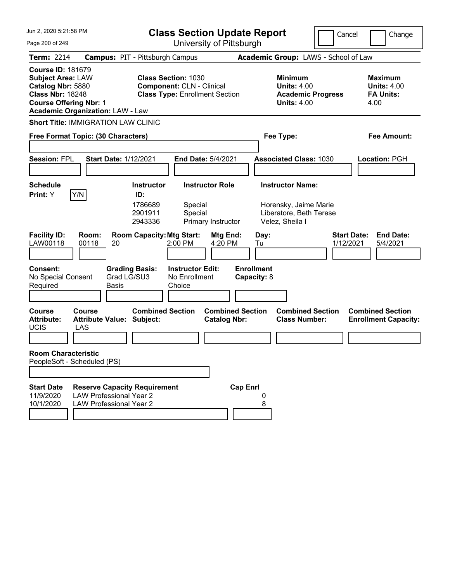| Jun 2, 2020 5:21:58 PM<br>Page 200 of 249                                                                                                                                        |                                                                                                                 | <b>Class Section Update Report</b><br>University of Pittsburgh |                                                                                        | Cancel<br>Change                                                 |
|----------------------------------------------------------------------------------------------------------------------------------------------------------------------------------|-----------------------------------------------------------------------------------------------------------------|----------------------------------------------------------------|----------------------------------------------------------------------------------------|------------------------------------------------------------------|
| <b>Term: 2214</b>                                                                                                                                                                | <b>Campus: PIT - Pittsburgh Campus</b>                                                                          |                                                                | Academic Group: LAWS - School of Law                                                   |                                                                  |
| <b>Course ID: 181679</b><br><b>Subject Area: LAW</b><br>Catalog Nbr: 5880<br><b>Class Nbr: 18248</b><br><b>Course Offering Nbr: 1</b><br><b>Academic Organization: LAW - Law</b> | <b>Class Section: 1030</b><br><b>Component: CLN - Clinical</b><br><b>Class Type: Enrollment Section</b>         |                                                                | <b>Minimum</b><br><b>Units: 4.00</b><br><b>Academic Progress</b><br><b>Units: 4.00</b> | <b>Maximum</b><br><b>Units: 4.00</b><br><b>FA Units:</b><br>4.00 |
| <b>Short Title: IMMIGRATION LAW CLINIC</b>                                                                                                                                       |                                                                                                                 |                                                                |                                                                                        |                                                                  |
| Free Format Topic: (30 Characters)                                                                                                                                               |                                                                                                                 |                                                                | Fee Type:                                                                              | Fee Amount:                                                      |
| <b>Session: FPL</b>                                                                                                                                                              | <b>Start Date: 1/12/2021</b>                                                                                    | <b>End Date: 5/4/2021</b>                                      | <b>Associated Class: 1030</b>                                                          | Location: PGH                                                    |
| Schedule                                                                                                                                                                         | <b>Instructor</b>                                                                                               | <b>Instructor Role</b>                                         | <b>Instructor Name:</b>                                                                |                                                                  |
| Y/N<br><b>Print:</b> Y<br><b>Facility ID:</b><br>Room:<br>LAW00118<br>00118                                                                                                      | ID:<br>1786689<br>Special<br>2901911<br>Special<br>2943336<br><b>Room Capacity: Mtg Start:</b><br>20<br>2:00 PM | Primary Instructor<br>Mtg End:<br>Day:<br>4:20 PM<br>Tu        | Horensky, Jaime Marie<br>Liberatore, Beth Terese<br>Velez, Sheila I                    | <b>Start Date:</b><br><b>End Date:</b><br>1/12/2021<br>5/4/2021  |
| <b>Consent:</b><br>No Special Consent<br>Required                                                                                                                                | <b>Grading Basis:</b><br><b>Instructor Edit:</b><br>Grad LG/SU3<br>No Enrollment<br>Basis<br>Choice             | <b>Enrollment</b><br>Capacity: 8                               |                                                                                        |                                                                  |
| <b>Course</b><br>Course<br><b>Attribute:</b><br><b>UCIS</b><br>LAS                                                                                                               | <b>Combined Section</b><br><b>Attribute Value: Subject:</b>                                                     | <b>Combined Section</b><br><b>Catalog Nbr:</b>                 | <b>Combined Section</b><br><b>Class Number:</b>                                        | <b>Combined Section</b><br><b>Enrollment Capacity:</b>           |
|                                                                                                                                                                                  |                                                                                                                 |                                                                |                                                                                        |                                                                  |
| <b>Room Characteristic</b><br>PeopleSoft - Scheduled (PS)                                                                                                                        |                                                                                                                 |                                                                |                                                                                        |                                                                  |
|                                                                                                                                                                                  |                                                                                                                 |                                                                |                                                                                        |                                                                  |
| <b>Start Date</b><br><b>LAW Professional Year 2</b><br>11/9/2020<br>10/1/2020<br><b>LAW Professional Year 2</b>                                                                  | <b>Reserve Capacity Requirement</b>                                                                             | <b>Cap Enrl</b><br>8                                           |                                                                                        |                                                                  |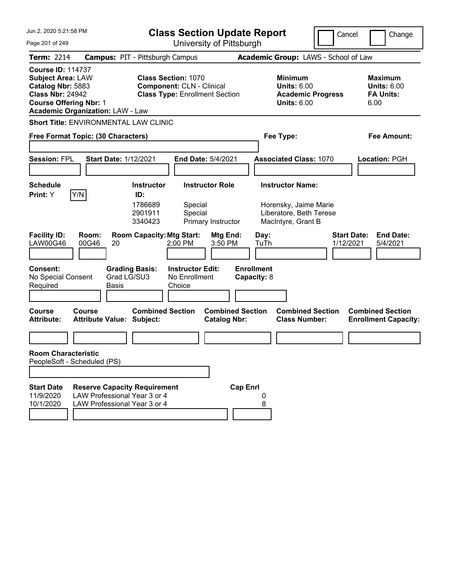| Jun 2, 2020 5:21:58 PM<br>Page 201 of 249                                                                                                                                        | <b>Class Section Update Report</b><br>University of Pittsburgh                                                                                         | Cancel                                                                                              | Change                                                           |
|----------------------------------------------------------------------------------------------------------------------------------------------------------------------------------|--------------------------------------------------------------------------------------------------------------------------------------------------------|-----------------------------------------------------------------------------------------------------|------------------------------------------------------------------|
| <b>Term: 2214</b>                                                                                                                                                                | <b>Campus: PIT - Pittsburgh Campus</b>                                                                                                                 | Academic Group: LAWS - School of Law                                                                |                                                                  |
| <b>Course ID: 114737</b><br><b>Subject Area: LAW</b><br>Catalog Nbr: 5883<br><b>Class Nbr: 24942</b><br><b>Course Offering Nbr: 1</b><br><b>Academic Organization: LAW - Law</b> | <b>Class Section: 1070</b><br><b>Component: CLN - Clinical</b><br><b>Class Type: Enrollment Section</b>                                                | <b>Minimum</b><br><b>Units: 6.00</b><br><b>Academic Progress</b><br><b>Units: 6.00</b>              | <b>Maximum</b><br><b>Units: 6.00</b><br><b>FA Units:</b><br>6.00 |
| Short Title: ENVIRONMENTAL LAW CLINIC                                                                                                                                            |                                                                                                                                                        |                                                                                                     |                                                                  |
| Free Format Topic: (30 Characters)                                                                                                                                               |                                                                                                                                                        | Fee Type:                                                                                           | Fee Amount:                                                      |
| <b>Session: FPL</b><br><b>Start Date: 1/12/2021</b>                                                                                                                              | <b>End Date: 5/4/2021</b>                                                                                                                              | <b>Associated Class: 1070</b>                                                                       | Location: PGH                                                    |
| Schedule                                                                                                                                                                         | <b>Instructor Role</b><br><b>Instructor</b>                                                                                                            | <b>Instructor Name:</b>                                                                             |                                                                  |
| Y/N<br><b>Print:</b> Y<br><b>Facility ID:</b><br>Room:<br><b>LAW00G46</b><br>00G46<br>20                                                                                         | ID:<br>1786689<br>Special<br>2901911<br>Special<br>3340423<br>Primary Instructor<br><b>Room Capacity: Mtg Start:</b><br>Mtg End:<br>2:00 PM<br>3:50 PM | Horensky, Jaime Marie<br>Liberatore, Beth Terese<br>MacIntyre, Grant B<br>Day:<br>TuTh<br>1/12/2021 | <b>Start Date:</b><br><b>End Date:</b><br>5/4/2021               |
| <b>Consent:</b><br><b>Grading Basis:</b><br>Grad LG/SU3<br>No Special Consent<br>Required<br>Basis                                                                               | <b>Instructor Edit:</b><br>No Enrollment<br>Choice                                                                                                     | <b>Enrollment</b><br>Capacity: 8                                                                    |                                                                  |
| <b>Course</b><br>Course<br><b>Attribute:</b><br><b>Attribute Value: Subject:</b>                                                                                                 | <b>Combined Section</b><br><b>Combined Section</b><br><b>Catalog Nbr:</b>                                                                              | <b>Combined Section</b><br><b>Class Number:</b>                                                     | <b>Combined Section</b><br><b>Enrollment Capacity:</b>           |
|                                                                                                                                                                                  |                                                                                                                                                        |                                                                                                     |                                                                  |
| <b>Room Characteristic</b><br>PeopleSoft - Scheduled (PS)                                                                                                                        |                                                                                                                                                        |                                                                                                     |                                                                  |
|                                                                                                                                                                                  |                                                                                                                                                        |                                                                                                     |                                                                  |
| <b>Start Date</b><br><b>Reserve Capacity Requirement</b><br>LAW Professional Year 3 or 4<br>11/9/2020<br>10/1/2020<br>LAW Professional Year 3 or 4                               | <b>Cap Enrl</b>                                                                                                                                        | 8                                                                                                   |                                                                  |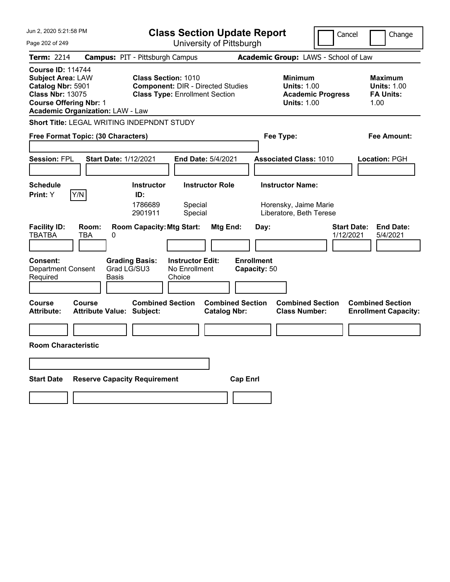| Jun 2, 2020 5:21:58 PM                                                                                                                                                           | <b>Class Section Update Report</b>                                                                                      | Cancel                                                                                 | Change                                                           |
|----------------------------------------------------------------------------------------------------------------------------------------------------------------------------------|-------------------------------------------------------------------------------------------------------------------------|----------------------------------------------------------------------------------------|------------------------------------------------------------------|
| Page 202 of 249                                                                                                                                                                  | University of Pittsburgh                                                                                                |                                                                                        |                                                                  |
| <b>Term: 2214</b>                                                                                                                                                                | <b>Campus: PIT - Pittsburgh Campus</b>                                                                                  | Academic Group: LAWS - School of Law                                                   |                                                                  |
| <b>Course ID: 114744</b><br><b>Subject Area: LAW</b><br>Catalog Nbr: 5901<br><b>Class Nbr: 13075</b><br><b>Course Offering Nbr: 1</b><br><b>Academic Organization: LAW - Law</b> | <b>Class Section: 1010</b><br><b>Component: DIR - Directed Studies</b><br><b>Class Type: Enrollment Section</b>         | <b>Minimum</b><br><b>Units: 1.00</b><br><b>Academic Progress</b><br><b>Units: 1.00</b> | <b>Maximum</b><br><b>Units: 1.00</b><br><b>FA Units:</b><br>1.00 |
| Short Title: LEGAL WRITING INDEPNDNT STUDY                                                                                                                                       |                                                                                                                         |                                                                                        |                                                                  |
| Free Format Topic: (30 Characters)                                                                                                                                               |                                                                                                                         | Fee Type:                                                                              | Fee Amount:                                                      |
| <b>Session: FPL</b><br><b>Start Date: 1/12/2021</b>                                                                                                                              | <b>End Date: 5/4/2021</b>                                                                                               | <b>Associated Class: 1010</b>                                                          | <b>Location: PGH</b>                                             |
| <b>Schedule</b><br>Y/N<br>Print: Y                                                                                                                                               | <b>Instructor Role</b><br><b>Instructor</b><br>ID:<br>1786689<br>Special<br>Special<br>2901911                          | <b>Instructor Name:</b><br>Horensky, Jaime Marie<br>Liberatore, Beth Terese            |                                                                  |
| <b>Facility ID:</b><br>Room:<br><b>TBATBA</b><br>TBA<br>0<br><b>Consent:</b><br><b>Grading Basis:</b><br>Grad LG/SU3<br><b>Department Consent</b><br>Required<br>Basis           | <b>Room Capacity: Mtg Start:</b><br>Mtg End:<br><b>Enrollment</b><br><b>Instructor Edit:</b><br>No Enrollment<br>Choice | Day:<br><b>Start Date:</b><br>1/12/2021<br>Capacity: 50                                | <b>End Date:</b><br>5/4/2021                                     |
| <b>Course</b><br><b>Course</b><br><b>Attribute:</b><br><b>Attribute Value: Subject:</b>                                                                                          | <b>Combined Section</b><br><b>Combined Section</b><br><b>Catalog Nbr:</b>                                               | <b>Combined Section</b><br><b>Class Number:</b>                                        | <b>Combined Section</b><br><b>Enrollment Capacity:</b>           |
|                                                                                                                                                                                  |                                                                                                                         |                                                                                        |                                                                  |
| <b>Room Characteristic</b>                                                                                                                                                       |                                                                                                                         |                                                                                        |                                                                  |
|                                                                                                                                                                                  |                                                                                                                         |                                                                                        |                                                                  |
| <b>Start Date</b><br><b>Reserve Capacity Requirement</b>                                                                                                                         | <b>Cap Enri</b>                                                                                                         |                                                                                        |                                                                  |
|                                                                                                                                                                                  |                                                                                                                         |                                                                                        |                                                                  |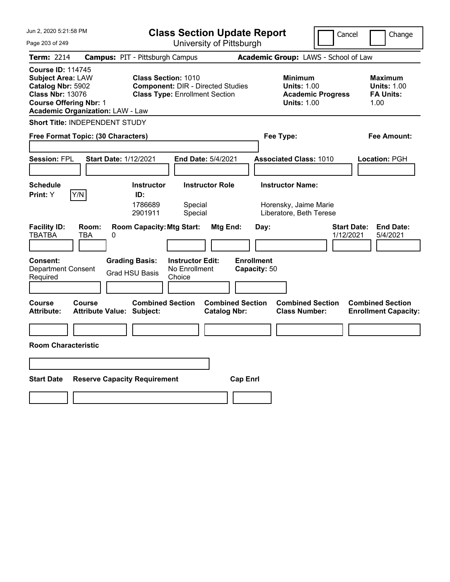| Jun 2, 2020 5:21:58 PM<br><b>Class Section Update Report</b>                                                                                                                     |                                                                                                  |                                                                                                                 |                                                       | Cancel                                                                      | Change                          |                                                                  |
|----------------------------------------------------------------------------------------------------------------------------------------------------------------------------------|--------------------------------------------------------------------------------------------------|-----------------------------------------------------------------------------------------------------------------|-------------------------------------------------------|-----------------------------------------------------------------------------|---------------------------------|------------------------------------------------------------------|
| Page 203 of 249                                                                                                                                                                  |                                                                                                  | University of Pittsburgh                                                                                        |                                                       |                                                                             |                                 |                                                                  |
| <b>Term: 2214</b>                                                                                                                                                                | <b>Campus: PIT - Pittsburgh Campus</b>                                                           |                                                                                                                 |                                                       | Academic Group: LAWS - School of Law                                        |                                 |                                                                  |
| <b>Course ID: 114745</b><br><b>Subject Area: LAW</b><br>Catalog Nbr: 5902<br><b>Class Nbr: 13076</b><br><b>Course Offering Nbr: 1</b><br><b>Academic Organization: LAW - Law</b> |                                                                                                  | <b>Class Section: 1010</b><br><b>Component: DIR - Directed Studies</b><br><b>Class Type: Enrollment Section</b> |                                                       | <b>Minimum</b><br><b>Units: 1.00</b><br><b>Units: 1.00</b>                  | <b>Academic Progress</b>        | <b>Maximum</b><br><b>Units: 1.00</b><br><b>FA Units:</b><br>1.00 |
| <b>Short Title: INDEPENDENT STUDY</b>                                                                                                                                            |                                                                                                  |                                                                                                                 |                                                       |                                                                             |                                 |                                                                  |
| Free Format Topic: (30 Characters)                                                                                                                                               |                                                                                                  |                                                                                                                 |                                                       | Fee Type:                                                                   |                                 | Fee Amount:                                                      |
| <b>Session: FPL</b>                                                                                                                                                              | <b>Start Date: 1/12/2021</b>                                                                     | <b>End Date: 5/4/2021</b>                                                                                       |                                                       | <b>Associated Class: 1010</b>                                               |                                 | <b>Location: PGH</b>                                             |
| <b>Schedule</b><br>Y/N<br>Print: Y                                                                                                                                               | <b>Instructor</b><br>ID:<br>1786689<br>2901911                                                   | <b>Instructor Role</b><br>Special<br>Special                                                                    |                                                       | <b>Instructor Name:</b><br>Horensky, Jaime Marie<br>Liberatore, Beth Terese |                                 |                                                                  |
| <b>Facility ID:</b><br><b>TBATBA</b><br>TBA<br><b>Consent:</b><br><b>Department Consent</b><br>Required                                                                          | Room:<br><b>Room Capacity: Mtg Start:</b><br>0<br><b>Grading Basis:</b><br><b>Grad HSU Basis</b> | <b>Instructor Edit:</b><br>No Enrollment<br>Choice                                                              | Mtg End:<br>Day:<br><b>Enrollment</b><br>Capacity: 50 |                                                                             | <b>Start Date:</b><br>1/12/2021 | <b>End Date:</b><br>5/4/2021                                     |
| <b>Course</b><br><b>Course</b><br><b>Attribute:</b>                                                                                                                              | <b>Attribute Value: Subject:</b>                                                                 | <b>Combined Section</b>                                                                                         | <b>Combined Section</b><br><b>Catalog Nbr:</b>        | <b>Combined Section</b><br><b>Class Number:</b>                             |                                 | <b>Combined Section</b><br><b>Enrollment Capacity:</b>           |
|                                                                                                                                                                                  |                                                                                                  |                                                                                                                 |                                                       |                                                                             |                                 |                                                                  |
| <b>Room Characteristic</b>                                                                                                                                                       |                                                                                                  |                                                                                                                 |                                                       |                                                                             |                                 |                                                                  |
|                                                                                                                                                                                  |                                                                                                  |                                                                                                                 |                                                       |                                                                             |                                 |                                                                  |
| <b>Start Date</b>                                                                                                                                                                | <b>Reserve Capacity Requirement</b>                                                              |                                                                                                                 | <b>Cap Enrl</b>                                       |                                                                             |                                 |                                                                  |
|                                                                                                                                                                                  |                                                                                                  |                                                                                                                 |                                                       |                                                                             |                                 |                                                                  |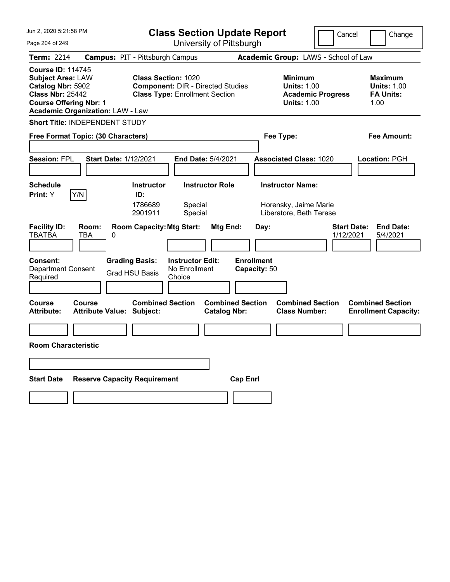|                                                                                                                                       | Jun 2, 2020 5:21:58 PM                                       |                                                                                                                 | <b>Class Section Update Report</b>             |                                                                             | Cancel                          | Change                                                           |
|---------------------------------------------------------------------------------------------------------------------------------------|--------------------------------------------------------------|-----------------------------------------------------------------------------------------------------------------|------------------------------------------------|-----------------------------------------------------------------------------|---------------------------------|------------------------------------------------------------------|
| Page 204 of 249                                                                                                                       |                                                              |                                                                                                                 | University of Pittsburgh                       |                                                                             |                                 |                                                                  |
| Term: 2214                                                                                                                            | <b>Campus: PIT - Pittsburgh Campus</b>                       |                                                                                                                 |                                                | Academic Group: LAWS - School of Law                                        |                                 |                                                                  |
| <b>Course ID: 114745</b><br><b>Subject Area: LAW</b><br>Catalog Nbr: 5902<br><b>Class Nbr: 25442</b><br><b>Course Offering Nbr: 1</b> | <b>Academic Organization: LAW - Law</b>                      | <b>Class Section: 1020</b><br><b>Component: DIR - Directed Studies</b><br><b>Class Type: Enrollment Section</b> |                                                | <b>Minimum</b><br><b>Units: 1.00</b><br><b>Units: 1.00</b>                  | <b>Academic Progress</b>        | <b>Maximum</b><br><b>Units: 1.00</b><br><b>FA Units:</b><br>1.00 |
|                                                                                                                                       | Short Title: INDEPENDENT STUDY                               |                                                                                                                 |                                                |                                                                             |                                 |                                                                  |
|                                                                                                                                       | Free Format Topic: (30 Characters)                           |                                                                                                                 |                                                | Fee Type:                                                                   |                                 | Fee Amount:                                                      |
| <b>Session: FPL</b>                                                                                                                   | <b>Start Date: 1/12/2021</b>                                 |                                                                                                                 | <b>End Date: 5/4/2021</b>                      | <b>Associated Class: 1020</b>                                               |                                 | Location: PGH                                                    |
| <b>Schedule</b><br>Y/N<br><b>Print:</b> Y                                                                                             | ID:                                                          | <b>Instructor</b><br>1786689<br>Special<br>2901911<br>Special                                                   | <b>Instructor Role</b>                         | <b>Instructor Name:</b><br>Horensky, Jaime Marie<br>Liberatore, Beth Terese |                                 |                                                                  |
| <b>Facility ID:</b><br><b>TBATBA</b><br><b>Consent:</b><br><b>Department Consent</b><br>Required                                      | Room:<br>TBA<br>0<br><b>Grading Basis:</b><br>Grad HSU Basis | <b>Room Capacity: Mtg Start:</b><br><b>Instructor Edit:</b><br>No Enrollment<br>Choice                          | Mtg End:                                       | Day:<br><b>Enrollment</b><br>Capacity: 50                                   | <b>Start Date:</b><br>1/12/2021 | <b>End Date:</b><br>5/4/2021                                     |
| <b>Course</b><br><b>Attribute:</b>                                                                                                    | <b>Course</b><br><b>Attribute Value: Subject:</b>            | <b>Combined Section</b>                                                                                         | <b>Combined Section</b><br><b>Catalog Nbr:</b> | <b>Combined Section</b><br><b>Class Number:</b>                             |                                 | <b>Combined Section</b><br><b>Enrollment Capacity:</b>           |
|                                                                                                                                       |                                                              |                                                                                                                 |                                                |                                                                             |                                 |                                                                  |
| <b>Room Characteristic</b>                                                                                                            |                                                              |                                                                                                                 |                                                |                                                                             |                                 |                                                                  |
|                                                                                                                                       |                                                              |                                                                                                                 |                                                |                                                                             |                                 |                                                                  |
| <b>Start Date</b>                                                                                                                     | <b>Reserve Capacity Requirement</b>                          |                                                                                                                 | <b>Cap Enri</b>                                |                                                                             |                                 |                                                                  |
|                                                                                                                                       |                                                              |                                                                                                                 |                                                |                                                                             |                                 |                                                                  |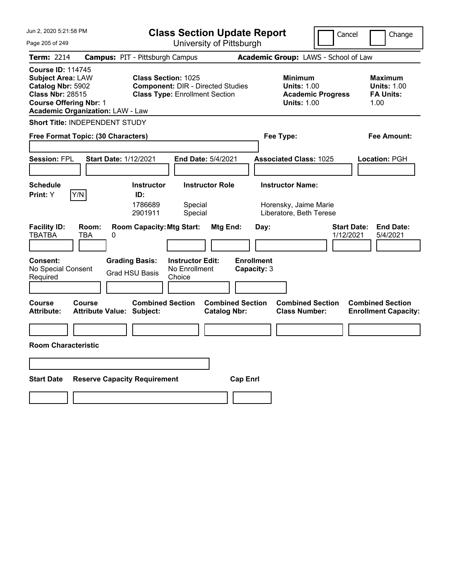| Jun 2, 2020 5:21:58 PM                                                                                                                |                                                              | <b>Class Section Update Report</b>                                                                              |                                                |                                                                             | Cancel                          | Change                                                           |  |  |
|---------------------------------------------------------------------------------------------------------------------------------------|--------------------------------------------------------------|-----------------------------------------------------------------------------------------------------------------|------------------------------------------------|-----------------------------------------------------------------------------|---------------------------------|------------------------------------------------------------------|--|--|
| Page 205 of 249                                                                                                                       |                                                              |                                                                                                                 | University of Pittsburgh                       |                                                                             |                                 |                                                                  |  |  |
| Term: 2214                                                                                                                            | <b>Campus: PIT - Pittsburgh Campus</b>                       |                                                                                                                 |                                                | Academic Group: LAWS - School of Law                                        |                                 |                                                                  |  |  |
| <b>Course ID: 114745</b><br><b>Subject Area: LAW</b><br>Catalog Nbr: 5902<br><b>Class Nbr: 28515</b><br><b>Course Offering Nbr: 1</b> | <b>Academic Organization: LAW - Law</b>                      | <b>Class Section: 1025</b><br><b>Component: DIR - Directed Studies</b><br><b>Class Type: Enrollment Section</b> |                                                | <b>Minimum</b><br><b>Units: 1.00</b><br><b>Units: 1.00</b>                  | <b>Academic Progress</b>        | <b>Maximum</b><br><b>Units: 1.00</b><br><b>FA Units:</b><br>1.00 |  |  |
|                                                                                                                                       | Short Title: INDEPENDENT STUDY                               |                                                                                                                 |                                                |                                                                             |                                 |                                                                  |  |  |
|                                                                                                                                       | Free Format Topic: (30 Characters)                           |                                                                                                                 |                                                | Fee Type:                                                                   |                                 | Fee Amount:                                                      |  |  |
| <b>Session: FPL</b>                                                                                                                   | <b>Start Date: 1/12/2021</b>                                 |                                                                                                                 | <b>End Date: 5/4/2021</b>                      | <b>Associated Class: 1025</b>                                               |                                 | Location: PGH                                                    |  |  |
| <b>Schedule</b><br>Y/N<br><b>Print:</b> Y                                                                                             | ID:                                                          | <b>Instructor</b><br>1786689<br>Special<br>2901911<br>Special                                                   | <b>Instructor Role</b>                         | <b>Instructor Name:</b><br>Horensky, Jaime Marie<br>Liberatore, Beth Terese |                                 |                                                                  |  |  |
| <b>Facility ID:</b><br><b>TBATBA</b><br><b>Consent:</b><br>No Special Consent<br>Required                                             | Room:<br>TBA<br>0<br><b>Grading Basis:</b><br>Grad HSU Basis | <b>Room Capacity: Mtg Start:</b><br><b>Instructor Edit:</b><br>No Enrollment<br>Choice                          | Mtg End:                                       | Day:<br><b>Enrollment</b><br>Capacity: 3                                    | <b>Start Date:</b><br>1/12/2021 | <b>End Date:</b><br>5/4/2021                                     |  |  |
| <b>Course</b><br><b>Attribute:</b>                                                                                                    | <b>Course</b><br><b>Attribute Value: Subject:</b>            | <b>Combined Section</b>                                                                                         | <b>Combined Section</b><br><b>Catalog Nbr:</b> | <b>Combined Section</b><br><b>Class Number:</b>                             |                                 | <b>Combined Section</b><br><b>Enrollment Capacity:</b>           |  |  |
|                                                                                                                                       |                                                              |                                                                                                                 |                                                |                                                                             |                                 |                                                                  |  |  |
| <b>Room Characteristic</b>                                                                                                            |                                                              |                                                                                                                 |                                                |                                                                             |                                 |                                                                  |  |  |
|                                                                                                                                       |                                                              |                                                                                                                 |                                                |                                                                             |                                 |                                                                  |  |  |
|                                                                                                                                       |                                                              |                                                                                                                 |                                                |                                                                             |                                 |                                                                  |  |  |
| <b>Start Date</b>                                                                                                                     | <b>Reserve Capacity Requirement</b>                          |                                                                                                                 | <b>Cap Enri</b>                                |                                                                             |                                 |                                                                  |  |  |
|                                                                                                                                       |                                                              |                                                                                                                 |                                                |                                                                             |                                 |                                                                  |  |  |
|                                                                                                                                       |                                                              |                                                                                                                 |                                                |                                                                             |                                 |                                                                  |  |  |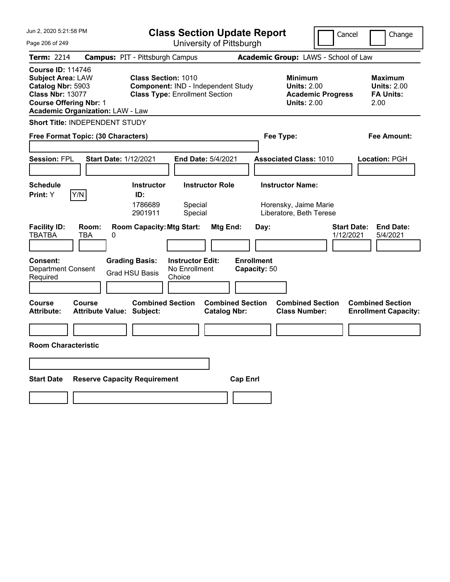| Jun 2, 2020 5:21:58 PM                                                                                                                                                           | <b>Class Section Update Report</b>                                                                                                                 |                                                                             | Cancel                          | Change                                                           |  |  |  |
|----------------------------------------------------------------------------------------------------------------------------------------------------------------------------------|----------------------------------------------------------------------------------------------------------------------------------------------------|-----------------------------------------------------------------------------|---------------------------------|------------------------------------------------------------------|--|--|--|
| Page 206 of 249                                                                                                                                                                  | University of Pittsburgh                                                                                                                           |                                                                             |                                 |                                                                  |  |  |  |
| Term: 2214                                                                                                                                                                       | <b>Campus: PIT - Pittsburgh Campus</b>                                                                                                             | Academic Group: LAWS - School of Law                                        |                                 |                                                                  |  |  |  |
| <b>Course ID: 114746</b><br><b>Subject Area: LAW</b><br>Catalog Nbr: 5903<br><b>Class Nbr: 13077</b><br><b>Course Offering Nbr: 1</b><br><b>Academic Organization: LAW - Law</b> | <b>Class Section: 1010</b><br>Component: IND - Independent Study<br><b>Class Type: Enrollment Section</b>                                          | <b>Minimum</b><br><b>Units: 2.00</b><br><b>Units: 2.00</b>                  | <b>Academic Progress</b>        | <b>Maximum</b><br><b>Units: 2.00</b><br><b>FA Units:</b><br>2.00 |  |  |  |
| Short Title: INDEPENDENT STUDY                                                                                                                                                   |                                                                                                                                                    |                                                                             |                                 |                                                                  |  |  |  |
| Free Format Topic: (30 Characters)                                                                                                                                               |                                                                                                                                                    | Fee Type:                                                                   |                                 | Fee Amount:                                                      |  |  |  |
| <b>Session: FPL</b>                                                                                                                                                              | <b>Start Date: 1/12/2021</b><br><b>End Date: 5/4/2021</b>                                                                                          | <b>Associated Class: 1010</b>                                               |                                 | Location: PGH                                                    |  |  |  |
| <b>Schedule</b><br>Y/N<br><b>Print:</b> Y                                                                                                                                        | <b>Instructor Role</b><br><b>Instructor</b><br>ID:<br>1786689<br>Special<br>2901911<br>Special                                                     | <b>Instructor Name:</b><br>Horensky, Jaime Marie<br>Liberatore, Beth Terese |                                 |                                                                  |  |  |  |
| <b>Facility ID:</b><br>Room:<br><b>TBATBA</b><br>TBA<br><b>Consent:</b><br><b>Department Consent</b><br>Required                                                                 | <b>Room Capacity: Mtg Start:</b><br>Mtg End:<br>0<br><b>Grading Basis:</b><br><b>Instructor Edit:</b><br>No Enrollment<br>Grad HSU Basis<br>Choice | Day:<br><b>Enrollment</b><br>Capacity: 50                                   | <b>Start Date:</b><br>1/12/2021 | <b>End Date:</b><br>5/4/2021                                     |  |  |  |
| <b>Course</b><br><b>Course</b><br><b>Attribute:</b>                                                                                                                              | <b>Combined Section</b><br><b>Attribute Value: Subject:</b><br><b>Catalog Nbr:</b>                                                                 | <b>Combined Section</b><br><b>Combined Section</b><br><b>Class Number:</b>  |                                 | <b>Combined Section</b><br><b>Enrollment Capacity:</b>           |  |  |  |
|                                                                                                                                                                                  |                                                                                                                                                    |                                                                             |                                 |                                                                  |  |  |  |
| <b>Room Characteristic</b>                                                                                                                                                       |                                                                                                                                                    |                                                                             |                                 |                                                                  |  |  |  |
|                                                                                                                                                                                  |                                                                                                                                                    |                                                                             |                                 |                                                                  |  |  |  |
| <b>Start Date</b>                                                                                                                                                                | <b>Reserve Capacity Requirement</b>                                                                                                                | <b>Cap Enri</b>                                                             |                                 |                                                                  |  |  |  |
|                                                                                                                                                                                  |                                                                                                                                                    |                                                                             |                                 |                                                                  |  |  |  |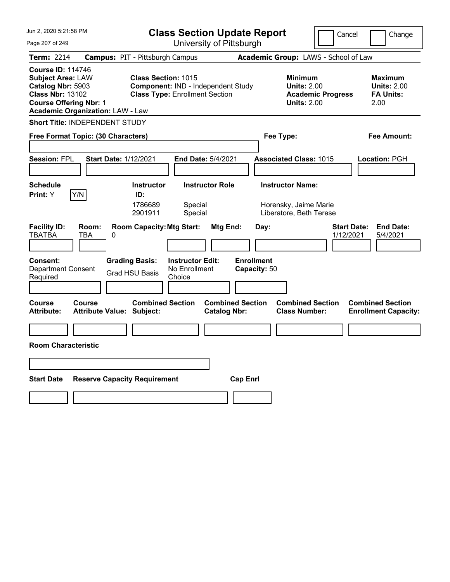| Jun 2, 2020 5:21:58 PM                                                                                                                                                           | <b>Class Section Update Report</b>                                                                                                                        |                                                                                        | Cancel<br>Change                                                 |  |  |  |  |
|----------------------------------------------------------------------------------------------------------------------------------------------------------------------------------|-----------------------------------------------------------------------------------------------------------------------------------------------------------|----------------------------------------------------------------------------------------|------------------------------------------------------------------|--|--|--|--|
| Page 207 of 249                                                                                                                                                                  | University of Pittsburgh                                                                                                                                  |                                                                                        |                                                                  |  |  |  |  |
| Term: 2214                                                                                                                                                                       | <b>Campus: PIT - Pittsburgh Campus</b>                                                                                                                    | Academic Group: LAWS - School of Law                                                   |                                                                  |  |  |  |  |
| <b>Course ID: 114746</b><br><b>Subject Area: LAW</b><br>Catalog Nbr: 5903<br><b>Class Nbr: 13102</b><br><b>Course Offering Nbr: 1</b><br><b>Academic Organization: LAW - Law</b> | <b>Class Section: 1015</b><br>Component: IND - Independent Study<br><b>Class Type: Enrollment Section</b>                                                 | <b>Minimum</b><br><b>Units: 2.00</b><br><b>Academic Progress</b><br><b>Units: 2.00</b> | <b>Maximum</b><br><b>Units: 2.00</b><br><b>FA Units:</b><br>2.00 |  |  |  |  |
| <b>Short Title: INDEPENDENT STUDY</b>                                                                                                                                            |                                                                                                                                                           |                                                                                        |                                                                  |  |  |  |  |
| Free Format Topic: (30 Characters)                                                                                                                                               |                                                                                                                                                           | Fee Type:                                                                              | Fee Amount:                                                      |  |  |  |  |
| <b>Session: FPL</b>                                                                                                                                                              | <b>Start Date: 1/12/2021</b><br>End Date: 5/4/2021                                                                                                        | <b>Associated Class: 1015</b>                                                          | <b>Location: PGH</b>                                             |  |  |  |  |
| <b>Schedule</b><br>Y/N<br>Print: Y                                                                                                                                               | <b>Instructor Role</b><br><b>Instructor</b><br>ID:<br>1786689<br>Special<br>Special<br>2901911                                                            | <b>Instructor Name:</b><br>Horensky, Jaime Marie<br>Liberatore, Beth Terese            |                                                                  |  |  |  |  |
| <b>Facility ID:</b><br>Room:<br><b>TBATBA</b><br>TBA<br><b>Consent:</b><br>Department Consent<br>Required                                                                        | <b>Room Capacity: Mtg Start:</b><br>Mtg End:<br>0<br><b>Grading Basis:</b><br><b>Instructor Edit:</b><br>No Enrollment<br><b>Grad HSU Basis</b><br>Choice | Day:<br><b>Enrollment</b><br>Capacity: 50                                              | <b>Start Date:</b><br><b>End Date:</b><br>1/12/2021<br>5/4/2021  |  |  |  |  |
| <b>Course</b><br>Course<br><b>Attribute:</b>                                                                                                                                     | <b>Combined Section</b><br>Attribute Value: Subject:<br><b>Catalog Nbr:</b>                                                                               | <b>Combined Section</b><br><b>Combined Section</b><br><b>Class Number:</b>             | <b>Combined Section</b><br><b>Enrollment Capacity:</b>           |  |  |  |  |
|                                                                                                                                                                                  |                                                                                                                                                           |                                                                                        |                                                                  |  |  |  |  |
| <b>Room Characteristic</b>                                                                                                                                                       |                                                                                                                                                           |                                                                                        |                                                                  |  |  |  |  |
|                                                                                                                                                                                  |                                                                                                                                                           |                                                                                        |                                                                  |  |  |  |  |
| <b>Start Date</b>                                                                                                                                                                | <b>Reserve Capacity Requirement</b>                                                                                                                       | <b>Cap Enri</b>                                                                        |                                                                  |  |  |  |  |
|                                                                                                                                                                                  |                                                                                                                                                           |                                                                                        |                                                                  |  |  |  |  |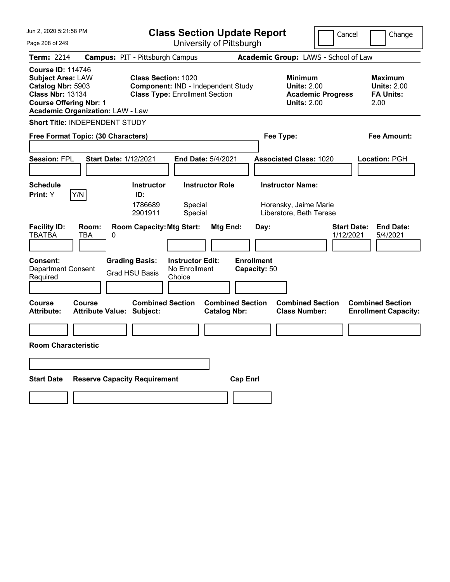| Jun 2, 2020 5:21:58 PM                                                                                                                                                           | <b>Class Section Update Report</b>                                                                                                                   |                                                                             | Cancel                          | Change                                                           |  |  |  |
|----------------------------------------------------------------------------------------------------------------------------------------------------------------------------------|------------------------------------------------------------------------------------------------------------------------------------------------------|-----------------------------------------------------------------------------|---------------------------------|------------------------------------------------------------------|--|--|--|
| Page 208 of 249                                                                                                                                                                  | University of Pittsburgh                                                                                                                             |                                                                             |                                 |                                                                  |  |  |  |
| Term: 2214                                                                                                                                                                       | <b>Campus: PIT - Pittsburgh Campus</b>                                                                                                               | Academic Group: LAWS - School of Law                                        |                                 |                                                                  |  |  |  |
| <b>Course ID: 114746</b><br><b>Subject Area: LAW</b><br>Catalog Nbr: 5903<br><b>Class Nbr: 13134</b><br><b>Course Offering Nbr: 1</b><br><b>Academic Organization: LAW - Law</b> | <b>Class Section: 1020</b><br>Component: IND - Independent Study<br><b>Class Type: Enrollment Section</b>                                            | <b>Minimum</b><br><b>Units: 2.00</b><br><b>Units: 2.00</b>                  | <b>Academic Progress</b>        | <b>Maximum</b><br><b>Units: 2.00</b><br><b>FA Units:</b><br>2.00 |  |  |  |
| Short Title: INDEPENDENT STUDY                                                                                                                                                   |                                                                                                                                                      |                                                                             |                                 |                                                                  |  |  |  |
| Free Format Topic: (30 Characters)                                                                                                                                               |                                                                                                                                                      | Fee Type:                                                                   |                                 | Fee Amount:                                                      |  |  |  |
| <b>Session: FPL</b>                                                                                                                                                              | <b>Start Date: 1/12/2021</b><br><b>End Date: 5/4/2021</b>                                                                                            | <b>Associated Class: 1020</b>                                               |                                 | Location: PGH                                                    |  |  |  |
| <b>Schedule</b><br>Y/N<br><b>Print:</b> Y                                                                                                                                        | <b>Instructor Role</b><br><b>Instructor</b><br>ID:<br>1786689<br>Special<br>2901911<br>Special                                                       | <b>Instructor Name:</b><br>Horensky, Jaime Marie<br>Liberatore, Beth Terese |                                 |                                                                  |  |  |  |
| <b>Facility ID:</b><br>Room:<br><b>TBATBA</b><br>TBA<br>$\Omega$<br><b>Consent:</b><br><b>Department Consent</b><br>Required                                                     | <b>Room Capacity: Mtg Start:</b><br>Mtg End:<br><b>Grading Basis:</b><br><b>Instructor Edit:</b><br>No Enrollment<br><b>Grad HSU Basis</b><br>Choice | Day:<br><b>Enrollment</b><br>Capacity: 50                                   | <b>Start Date:</b><br>1/12/2021 | <b>End Date:</b><br>5/4/2021                                     |  |  |  |
| <b>Course</b><br><b>Course</b><br><b>Attribute:</b><br><b>Attribute Value: Subject:</b>                                                                                          | <b>Combined Section</b><br><b>Catalog Nbr:</b>                                                                                                       | <b>Combined Section</b><br><b>Combined Section</b><br><b>Class Number:</b>  |                                 | <b>Combined Section</b><br><b>Enrollment Capacity:</b>           |  |  |  |
|                                                                                                                                                                                  |                                                                                                                                                      |                                                                             |                                 |                                                                  |  |  |  |
| <b>Room Characteristic</b>                                                                                                                                                       |                                                                                                                                                      |                                                                             |                                 |                                                                  |  |  |  |
|                                                                                                                                                                                  |                                                                                                                                                      |                                                                             |                                 |                                                                  |  |  |  |
| <b>Start Date</b>                                                                                                                                                                | <b>Reserve Capacity Requirement</b>                                                                                                                  | <b>Cap Enri</b>                                                             |                                 |                                                                  |  |  |  |
|                                                                                                                                                                                  |                                                                                                                                                      |                                                                             |                                 |                                                                  |  |  |  |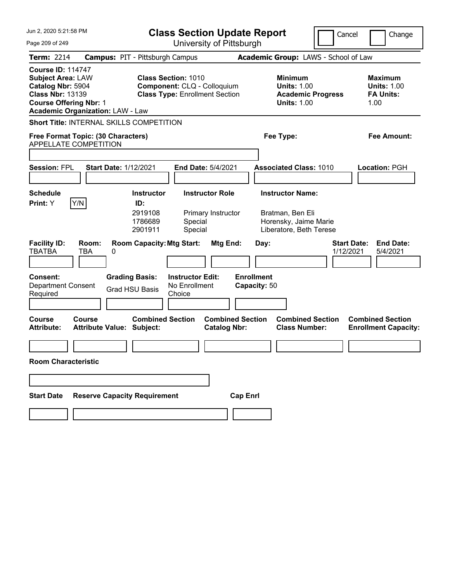| Jun 2, 2020 5:21:58 PM                                                                                                                                                           |                                                |                                                                                                    | <b>Class Section Update Report</b>                 |                                                |                 |                                   |                                                                                                 | Cancel                          |      | Change                                                   |
|----------------------------------------------------------------------------------------------------------------------------------------------------------------------------------|------------------------------------------------|----------------------------------------------------------------------------------------------------|----------------------------------------------------|------------------------------------------------|-----------------|-----------------------------------|-------------------------------------------------------------------------------------------------|---------------------------------|------|----------------------------------------------------------|
| Page 209 of 249                                                                                                                                                                  |                                                |                                                                                                    | University of Pittsburgh                           |                                                |                 |                                   |                                                                                                 |                                 |      |                                                          |
| Term: 2214                                                                                                                                                                       | <b>Campus: PIT - Pittsburgh Campus</b>         |                                                                                                    |                                                    |                                                |                 |                                   | Academic Group: LAWS - School of Law                                                            |                                 |      |                                                          |
| <b>Course ID: 114747</b><br><b>Subject Area: LAW</b><br>Catalog Nbr: 5904<br><b>Class Nbr: 13139</b><br><b>Course Offering Nbr: 1</b><br><b>Academic Organization: LAW - Law</b> |                                                | <b>Class Section: 1010</b><br>Component: CLQ - Colloquium<br><b>Class Type: Enrollment Section</b> |                                                    |                                                |                 |                                   | <b>Minimum</b><br><b>Units: 1.00</b><br><b>Academic Progress</b><br><b>Units: 1.00</b>          |                                 | 1.00 | <b>Maximum</b><br><b>Units: 1.00</b><br><b>FA Units:</b> |
| <b>Short Title: INTERNAL SKILLS COMPETITION</b>                                                                                                                                  |                                                |                                                                                                    |                                                    |                                                |                 |                                   |                                                                                                 |                                 |      |                                                          |
| Free Format Topic: (30 Characters)<br><b>APPELLATE COMPETITION</b>                                                                                                               |                                                |                                                                                                    |                                                    |                                                |                 |                                   | Fee Type:                                                                                       |                                 |      | <b>Fee Amount:</b>                                       |
|                                                                                                                                                                                  |                                                |                                                                                                    |                                                    |                                                |                 |                                   |                                                                                                 |                                 |      |                                                          |
| <b>Session: FPL</b>                                                                                                                                                              | <b>Start Date: 1/12/2021</b>                   |                                                                                                    |                                                    | End Date: 5/4/2021                             |                 |                                   | <b>Associated Class: 1010</b>                                                                   |                                 |      | Location: PGH                                            |
|                                                                                                                                                                                  |                                                |                                                                                                    |                                                    |                                                |                 |                                   |                                                                                                 |                                 |      |                                                          |
| <b>Schedule</b><br>Y/N<br>Print: Y                                                                                                                                               |                                                | <b>Instructor</b><br>ID:<br>2919108<br>1786689<br>2901911                                          | Special<br>Special                                 | <b>Instructor Role</b><br>Primary Instructor   |                 |                                   | <b>Instructor Name:</b><br>Bratman, Ben Eli<br>Horensky, Jaime Marie<br>Liberatore, Beth Terese |                                 |      |                                                          |
| <b>Facility ID:</b><br>Room:<br><b>TBATBA</b><br>TBA                                                                                                                             | 0                                              | <b>Room Capacity: Mtg Start:</b>                                                                   |                                                    | Mtg End:                                       |                 | Day:                              |                                                                                                 | <b>Start Date:</b><br>1/12/2021 |      | <b>End Date:</b><br>5/4/2021                             |
| <b>Consent:</b><br><b>Department Consent</b><br>Required                                                                                                                         | <b>Grading Basis:</b><br><b>Grad HSU Basis</b> |                                                                                                    | <b>Instructor Edit:</b><br>No Enrollment<br>Choice |                                                |                 | <b>Enrollment</b><br>Capacity: 50 |                                                                                                 |                                 |      |                                                          |
| Course<br>Course<br><b>Attribute:</b>                                                                                                                                            | <b>Attribute Value: Subject:</b>               | <b>Combined Section</b>                                                                            |                                                    | <b>Combined Section</b><br><b>Catalog Nbr:</b> |                 |                                   | <b>Combined Section</b><br><b>Class Number:</b>                                                 |                                 |      | <b>Combined Section</b><br><b>Enrollment Capacity:</b>   |
|                                                                                                                                                                                  |                                                |                                                                                                    |                                                    |                                                |                 |                                   |                                                                                                 |                                 |      |                                                          |
| <b>Room Characteristic</b>                                                                                                                                                       |                                                |                                                                                                    |                                                    |                                                |                 |                                   |                                                                                                 |                                 |      |                                                          |
|                                                                                                                                                                                  |                                                |                                                                                                    |                                                    |                                                |                 |                                   |                                                                                                 |                                 |      |                                                          |
| <b>Start Date</b>                                                                                                                                                                | <b>Reserve Capacity Requirement</b>            |                                                                                                    |                                                    |                                                | <b>Cap Enrl</b> |                                   |                                                                                                 |                                 |      |                                                          |
|                                                                                                                                                                                  |                                                |                                                                                                    |                                                    |                                                |                 |                                   |                                                                                                 |                                 |      |                                                          |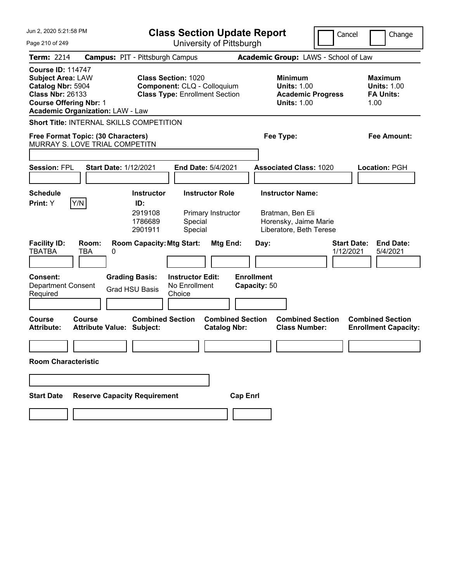| Jun 2. 2020 5:21:58 PM                                                                                                                                                           | <b>Class Section Update Report</b>                                                                                              | Cancel                                                                                          | Change                                                           |
|----------------------------------------------------------------------------------------------------------------------------------------------------------------------------------|---------------------------------------------------------------------------------------------------------------------------------|-------------------------------------------------------------------------------------------------|------------------------------------------------------------------|
| Page 210 of 249                                                                                                                                                                  | University of Pittsburgh                                                                                                        |                                                                                                 |                                                                  |
| <b>Term: 2214</b>                                                                                                                                                                | <b>Campus: PIT - Pittsburgh Campus</b>                                                                                          | Academic Group: LAWS - School of Law                                                            |                                                                  |
| <b>Course ID: 114747</b><br><b>Subject Area: LAW</b><br>Catalog Nbr: 5904<br><b>Class Nbr: 26133</b><br><b>Course Offering Nbr: 1</b><br><b>Academic Organization: LAW - Law</b> | <b>Class Section: 1020</b><br>Component: CLQ - Colloquium<br><b>Class Type: Enrollment Section</b>                              | <b>Minimum</b><br><b>Units: 1.00</b><br><b>Academic Progress</b><br><b>Units: 1.00</b>          | <b>Maximum</b><br><b>Units: 1.00</b><br><b>FA Units:</b><br>1.00 |
| <b>Short Title: INTERNAL SKILLS COMPETITION</b>                                                                                                                                  |                                                                                                                                 |                                                                                                 |                                                                  |
| Free Format Topic: (30 Characters)                                                                                                                                               |                                                                                                                                 | Fee Type:                                                                                       | <b>Fee Amount:</b>                                               |
| MURRAY S. LOVE TRIAL COMPETITN                                                                                                                                                   |                                                                                                                                 |                                                                                                 |                                                                  |
| <b>Session: FPL</b><br><b>Start Date: 1/12/2021</b>                                                                                                                              | End Date: 5/4/2021                                                                                                              | <b>Associated Class: 1020</b>                                                                   | Location: PGH                                                    |
| <b>Schedule</b><br>Y/N<br>Print: Y                                                                                                                                               | <b>Instructor Role</b><br><b>Instructor</b><br>ID:<br>2919108<br>Primary Instructor<br>1786689<br>Special<br>2901911<br>Special | <b>Instructor Name:</b><br>Bratman, Ben Eli<br>Horensky, Jaime Marie<br>Liberatore, Beth Terese |                                                                  |
| <b>Facility ID:</b><br>Room:<br>TBATBA<br>TBA<br>0                                                                                                                               | <b>Room Capacity: Mtg Start:</b><br>Mtg End:                                                                                    | Day:<br>1/12/2021                                                                               | <b>Start Date:</b><br><b>End Date:</b><br>5/4/2021               |
| <b>Consent:</b><br><b>Department Consent</b><br>Required                                                                                                                         | <b>Grading Basis:</b><br><b>Instructor Edit:</b><br>No Enrollment<br><b>Grad HSU Basis</b><br>Choice                            | <b>Enrollment</b><br>Capacity: 50                                                               |                                                                  |
| <b>Course</b><br>Course<br><b>Attribute Value: Subject:</b><br><b>Attribute:</b>                                                                                                 | <b>Combined Section</b><br><b>Combined Section</b><br><b>Catalog Nbr:</b>                                                       | <b>Combined Section</b><br><b>Class Number:</b>                                                 | <b>Combined Section</b><br><b>Enrollment Capacity:</b>           |
| <b>Room Characteristic</b>                                                                                                                                                       |                                                                                                                                 |                                                                                                 |                                                                  |
|                                                                                                                                                                                  |                                                                                                                                 |                                                                                                 |                                                                  |
| <b>Reserve Capacity Requirement</b><br><b>Start Date</b>                                                                                                                         |                                                                                                                                 | <b>Cap Enrl</b>                                                                                 |                                                                  |
|                                                                                                                                                                                  |                                                                                                                                 |                                                                                                 |                                                                  |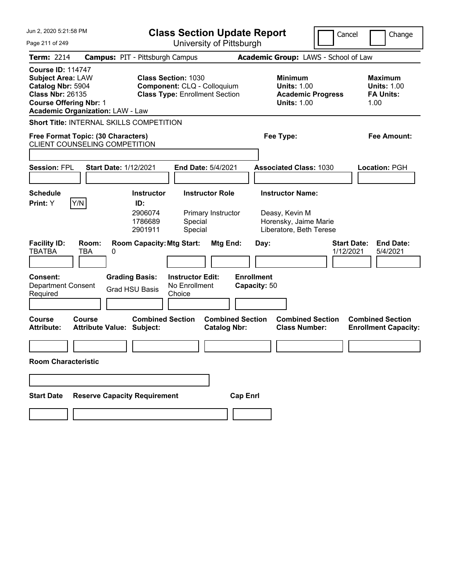| Jun 2, 2020 5:21:58 PM                                                                                                                                                           | <b>Class Section Update Report</b>                                                                                              |                                                                                                   | Cancel<br>Change                                                |
|----------------------------------------------------------------------------------------------------------------------------------------------------------------------------------|---------------------------------------------------------------------------------------------------------------------------------|---------------------------------------------------------------------------------------------------|-----------------------------------------------------------------|
| Page 211 of 249                                                                                                                                                                  | University of Pittsburgh                                                                                                        |                                                                                                   |                                                                 |
| <b>Term: 2214</b>                                                                                                                                                                | <b>Campus: PIT - Pittsburgh Campus</b>                                                                                          | Academic Group: LAWS - School of Law                                                              |                                                                 |
| <b>Course ID: 114747</b><br><b>Subject Area: LAW</b><br>Catalog Nbr: 5904<br><b>Class Nbr: 26135</b><br><b>Course Offering Nbr: 1</b><br><b>Academic Organization: LAW - Law</b> | <b>Class Section: 1030</b><br>Component: CLQ - Colloquium<br><b>Class Type: Enrollment Section</b>                              | <b>Minimum</b><br><b>Units: 1.00</b><br><b>Academic Progress</b><br><b>Units: 1.00</b>            | Maximum<br><b>Units: 1.00</b><br><b>FA Units:</b><br>1.00       |
| <b>Short Title: INTERNAL SKILLS COMPETITION</b>                                                                                                                                  |                                                                                                                                 |                                                                                                   |                                                                 |
| Free Format Topic: (30 Characters)<br><b>CLIENT COUNSELING COMPETITION</b>                                                                                                       |                                                                                                                                 | Fee Type:                                                                                         | Fee Amount:                                                     |
|                                                                                                                                                                                  |                                                                                                                                 |                                                                                                   |                                                                 |
| <b>Session: FPL</b><br><b>Start Date: 1/12/2021</b>                                                                                                                              | <b>End Date: 5/4/2021</b>                                                                                                       | <b>Associated Class: 1030</b>                                                                     | Location: PGH                                                   |
| <b>Schedule</b><br>Y/N<br>Print: Y                                                                                                                                               | <b>Instructor Role</b><br><b>Instructor</b><br>ID:<br>2906074<br>Primary Instructor<br>1786689<br>Special<br>Special<br>2901911 | <b>Instructor Name:</b><br>Deasy, Kevin M<br>Horensky, Jaime Marie<br>Liberatore, Beth Terese     |                                                                 |
| <b>Facility ID:</b><br>Room:<br><b>TBATBA</b><br>TBA<br>0                                                                                                                        | <b>Room Capacity: Mtg Start:</b>                                                                                                | Mtg End:<br>Day:                                                                                  | <b>Start Date:</b><br><b>End Date:</b><br>1/12/2021<br>5/4/2021 |
| <b>Consent:</b><br>Department Consent<br>Required                                                                                                                                | <b>Grading Basis:</b><br><b>Instructor Edit:</b><br>No Enrollment<br><b>Grad HSU Basis</b><br>Choice                            | <b>Enrollment</b><br>Capacity: 50                                                                 |                                                                 |
| <b>Course</b><br>Course<br><b>Attribute Value: Subject:</b><br><b>Attribute:</b>                                                                                                 | <b>Combined Section</b>                                                                                                         | <b>Combined Section</b><br><b>Combined Section</b><br><b>Class Number:</b><br><b>Catalog Nbr:</b> | <b>Combined Section</b><br><b>Enrollment Capacity:</b>          |
| <b>Room Characteristic</b>                                                                                                                                                       |                                                                                                                                 |                                                                                                   |                                                                 |
|                                                                                                                                                                                  |                                                                                                                                 |                                                                                                   |                                                                 |
| <b>Start Date</b>                                                                                                                                                                | <b>Reserve Capacity Requirement</b>                                                                                             | <b>Cap Enrl</b>                                                                                   |                                                                 |
|                                                                                                                                                                                  |                                                                                                                                 |                                                                                                   |                                                                 |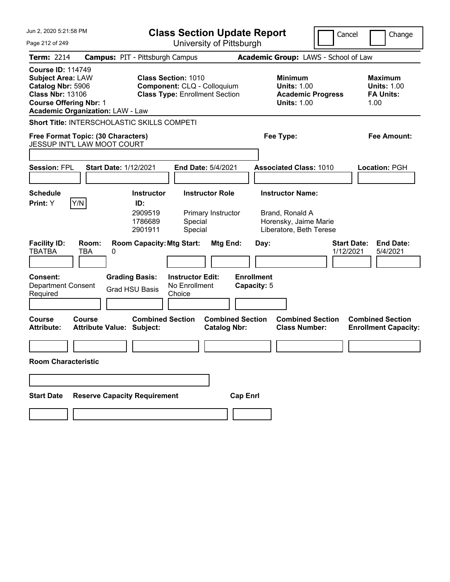|                                                                                                                                                                                  | Jun 2, 2020 5:21:58 PM                                            |                                                                                                    | <b>Class Section Update Report</b>                 |                                                |                                  |                                                                                        |                                                                                                | Cancel                          |                                                          | Change                                                 |
|----------------------------------------------------------------------------------------------------------------------------------------------------------------------------------|-------------------------------------------------------------------|----------------------------------------------------------------------------------------------------|----------------------------------------------------|------------------------------------------------|----------------------------------|----------------------------------------------------------------------------------------|------------------------------------------------------------------------------------------------|---------------------------------|----------------------------------------------------------|--------------------------------------------------------|
| Page 212 of 249                                                                                                                                                                  |                                                                   |                                                                                                    |                                                    | University of Pittsburgh                       |                                  |                                                                                        |                                                                                                |                                 |                                                          |                                                        |
| <b>Term: 2214</b>                                                                                                                                                                | <b>Campus: PIT - Pittsburgh Campus</b>                            |                                                                                                    |                                                    |                                                |                                  |                                                                                        | Academic Group: LAWS - School of Law                                                           |                                 |                                                          |                                                        |
| <b>Course ID: 114749</b><br><b>Subject Area: LAW</b><br>Catalog Nbr: 5906<br><b>Class Nbr: 13106</b><br><b>Course Offering Nbr: 1</b><br><b>Academic Organization: LAW - Law</b> |                                                                   | <b>Class Section: 1010</b><br>Component: CLQ - Colloquium<br><b>Class Type: Enrollment Section</b> |                                                    |                                                |                                  | <b>Minimum</b><br><b>Units: 1.00</b><br><b>Academic Progress</b><br><b>Units: 1.00</b> |                                                                                                | 1.00                            | <b>Maximum</b><br><b>Units: 1.00</b><br><b>FA Units:</b> |                                                        |
|                                                                                                                                                                                  | <b>Short Title: INTERSCHOLASTIC SKILLS COMPETI</b>                |                                                                                                    |                                                    |                                                |                                  |                                                                                        |                                                                                                |                                 |                                                          |                                                        |
|                                                                                                                                                                                  | Free Format Topic: (30 Characters)<br>JESSUP INT'L LAW MOOT COURT |                                                                                                    |                                                    |                                                |                                  |                                                                                        | Fee Type:                                                                                      |                                 |                                                          | Fee Amount:                                            |
|                                                                                                                                                                                  |                                                                   |                                                                                                    |                                                    |                                                |                                  |                                                                                        |                                                                                                |                                 |                                                          |                                                        |
| <b>Session: FPL</b>                                                                                                                                                              | <b>Start Date: 1/12/2021</b>                                      |                                                                                                    |                                                    | <b>End Date: 5/4/2021</b>                      |                                  |                                                                                        | <b>Associated Class: 1010</b>                                                                  |                                 |                                                          | Location: PGH                                          |
| <b>Schedule</b><br>Print: Y                                                                                                                                                      | Y/N                                                               | <b>Instructor</b><br>ID:<br>2909519<br>1786689<br>2901911                                          | Special<br>Special                                 | <b>Instructor Role</b><br>Primary Instructor   |                                  |                                                                                        | <b>Instructor Name:</b><br>Brand, Ronald A<br>Horensky, Jaime Marie<br>Liberatore, Beth Terese |                                 |                                                          |                                                        |
| <b>Facility ID:</b><br><b>TBATBA</b>                                                                                                                                             | Room:<br>TBA<br>0                                                 | <b>Room Capacity: Mtg Start:</b>                                                                   |                                                    | Mtg End:                                       |                                  | Day:                                                                                   |                                                                                                | <b>Start Date:</b><br>1/12/2021 |                                                          | <b>End Date:</b><br>5/4/2021                           |
| Consent:<br><b>Department Consent</b><br>Required                                                                                                                                |                                                                   | <b>Grading Basis:</b><br><b>Grad HSU Basis</b>                                                     | <b>Instructor Edit:</b><br>No Enrollment<br>Choice |                                                | <b>Enrollment</b><br>Capacity: 5 |                                                                                        |                                                                                                |                                 |                                                          |                                                        |
| <b>Course</b><br><b>Attribute:</b>                                                                                                                                               | Course<br><b>Attribute Value: Subject:</b>                        | <b>Combined Section</b>                                                                            |                                                    | <b>Combined Section</b><br><b>Catalog Nbr:</b> |                                  |                                                                                        | <b>Combined Section</b><br><b>Class Number:</b>                                                |                                 |                                                          | <b>Combined Section</b><br><b>Enrollment Capacity:</b> |
| <b>Room Characteristic</b>                                                                                                                                                       |                                                                   |                                                                                                    |                                                    |                                                |                                  |                                                                                        |                                                                                                |                                 |                                                          |                                                        |
|                                                                                                                                                                                  |                                                                   |                                                                                                    |                                                    |                                                |                                  |                                                                                        |                                                                                                |                                 |                                                          |                                                        |
| <b>Start Date</b>                                                                                                                                                                | <b>Reserve Capacity Requirement</b>                               |                                                                                                    |                                                    |                                                | <b>Cap Enrl</b>                  |                                                                                        |                                                                                                |                                 |                                                          |                                                        |
|                                                                                                                                                                                  |                                                                   |                                                                                                    |                                                    |                                                |                                  |                                                                                        |                                                                                                |                                 |                                                          |                                                        |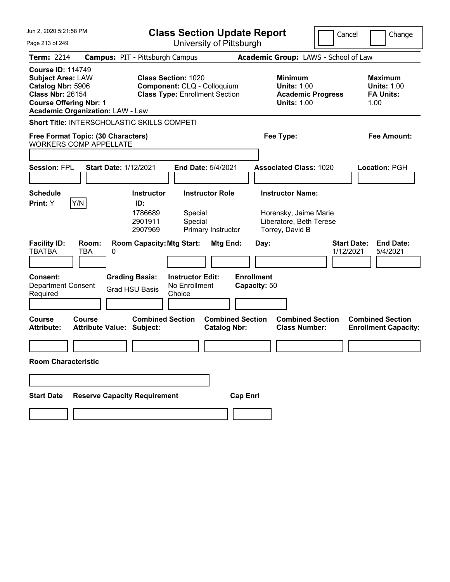| Jun 2, 2020 5:21:58 PM                                                                                                                                                           |                                                |                                                                                                    | <b>Class Section Update Report</b>                 |                                                |                 |                                   |                                                                                                | Cancel                          |                                            | Change                                                 |
|----------------------------------------------------------------------------------------------------------------------------------------------------------------------------------|------------------------------------------------|----------------------------------------------------------------------------------------------------|----------------------------------------------------|------------------------------------------------|-----------------|-----------------------------------|------------------------------------------------------------------------------------------------|---------------------------------|--------------------------------------------|--------------------------------------------------------|
| Page 213 of 249                                                                                                                                                                  |                                                |                                                                                                    | University of Pittsburgh                           |                                                |                 |                                   |                                                                                                |                                 |                                            |                                                        |
| <b>Term: 2214</b>                                                                                                                                                                | <b>Campus: PIT - Pittsburgh Campus</b>         |                                                                                                    |                                                    |                                                |                 |                                   | Academic Group: LAWS - School of Law                                                           |                                 |                                            |                                                        |
| <b>Course ID: 114749</b><br><b>Subject Area: LAW</b><br>Catalog Nbr: 5906<br><b>Class Nbr: 26154</b><br><b>Course Offering Nbr: 1</b><br><b>Academic Organization: LAW - Law</b> |                                                | <b>Class Section: 1020</b><br>Component: CLQ - Colloquium<br><b>Class Type: Enrollment Section</b> |                                                    |                                                |                 |                                   | <b>Minimum</b><br><b>Units: 1.00</b><br><b>Academic Progress</b><br><b>Units: 1.00</b>         |                                 | <b>Maximum</b><br><b>FA Units:</b><br>1.00 | <b>Units: 1.00</b>                                     |
| Short Title: INTERSCHOLASTIC SKILLS COMPETI                                                                                                                                      |                                                |                                                                                                    |                                                    |                                                |                 |                                   |                                                                                                |                                 |                                            |                                                        |
| Free Format Topic: (30 Characters)<br><b>WORKERS COMP APPELLATE</b>                                                                                                              |                                                |                                                                                                    |                                                    |                                                |                 |                                   | Fee Type:                                                                                      |                                 |                                            | Fee Amount:                                            |
|                                                                                                                                                                                  |                                                |                                                                                                    |                                                    |                                                |                 |                                   |                                                                                                |                                 |                                            |                                                        |
| <b>Session: FPL</b>                                                                                                                                                              | <b>Start Date: 1/12/2021</b>                   |                                                                                                    | End Date: 5/4/2021                                 |                                                |                 |                                   | <b>Associated Class: 1020</b>                                                                  |                                 | Location: PGH                              |                                                        |
| <b>Schedule</b><br>Y/N<br>Print: Y                                                                                                                                               |                                                | <b>Instructor</b><br>ID:<br>1786689<br>2901911<br>2907969                                          | Special<br>Special                                 | <b>Instructor Role</b><br>Primary Instructor   |                 |                                   | <b>Instructor Name:</b><br>Horensky, Jaime Marie<br>Liberatore, Beth Terese<br>Torrey, David B |                                 |                                            |                                                        |
| <b>Facility ID:</b><br><b>TBATBA</b>                                                                                                                                             | Room:<br>TBA<br>0                              | <b>Room Capacity: Mtg Start:</b>                                                                   |                                                    | Mtg End:                                       |                 | Day:                              |                                                                                                | <b>Start Date:</b><br>1/12/2021 |                                            | <b>End Date:</b><br>5/4/2021                           |
| <b>Consent:</b><br><b>Department Consent</b><br>Required                                                                                                                         | <b>Grading Basis:</b><br><b>Grad HSU Basis</b> |                                                                                                    | <b>Instructor Edit:</b><br>No Enrollment<br>Choice |                                                |                 | <b>Enrollment</b><br>Capacity: 50 |                                                                                                |                                 |                                            |                                                        |
| Course<br>Course<br><b>Attribute:</b>                                                                                                                                            | <b>Attribute Value: Subject:</b>               | <b>Combined Section</b>                                                                            |                                                    | <b>Combined Section</b><br><b>Catalog Nbr:</b> |                 |                                   | <b>Combined Section</b><br><b>Class Number:</b>                                                |                                 |                                            | <b>Combined Section</b><br><b>Enrollment Capacity:</b> |
|                                                                                                                                                                                  |                                                |                                                                                                    |                                                    |                                                |                 |                                   |                                                                                                |                                 |                                            |                                                        |
| <b>Room Characteristic</b>                                                                                                                                                       |                                                |                                                                                                    |                                                    |                                                |                 |                                   |                                                                                                |                                 |                                            |                                                        |
|                                                                                                                                                                                  |                                                |                                                                                                    |                                                    |                                                |                 |                                   |                                                                                                |                                 |                                            |                                                        |
| <b>Start Date</b>                                                                                                                                                                | <b>Reserve Capacity Requirement</b>            |                                                                                                    |                                                    |                                                | <b>Cap Enrl</b> |                                   |                                                                                                |                                 |                                            |                                                        |
|                                                                                                                                                                                  |                                                |                                                                                                    |                                                    |                                                |                 |                                   |                                                                                                |                                 |                                            |                                                        |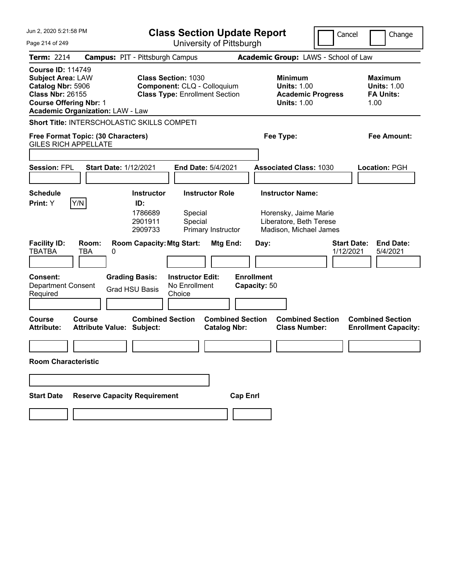| Jun 2, 2020 5:21:58 PM                                                                                                                                                           |                                                             | <b>Class Section Update Report</b>                                   |                                   |                                                                                                       | Cancel                          | Change                                                           |  |  |
|----------------------------------------------------------------------------------------------------------------------------------------------------------------------------------|-------------------------------------------------------------|----------------------------------------------------------------------|-----------------------------------|-------------------------------------------------------------------------------------------------------|---------------------------------|------------------------------------------------------------------|--|--|
| Page 214 of 249                                                                                                                                                                  |                                                             | University of Pittsburgh                                             |                                   |                                                                                                       |                                 |                                                                  |  |  |
| Term: 2214                                                                                                                                                                       | <b>Campus: PIT - Pittsburgh Campus</b>                      |                                                                      |                                   | Academic Group: LAWS - School of Law                                                                  |                                 |                                                                  |  |  |
| <b>Course ID: 114749</b><br><b>Subject Area: LAW</b><br>Catalog Nbr: 5906<br><b>Class Nbr: 26155</b><br><b>Course Offering Nbr: 1</b><br><b>Academic Organization: LAW - Law</b> | <b>Class Section: 1030</b>                                  | Component: CLQ - Colloquium<br><b>Class Type: Enrollment Section</b> |                                   | <b>Minimum</b><br><b>Units: 1.00</b><br><b>Academic Progress</b><br><b>Units: 1.00</b>                |                                 | <b>Maximum</b><br><b>Units: 1.00</b><br><b>FA Units:</b><br>1.00 |  |  |
|                                                                                                                                                                                  | <b>Short Title: INTERSCHOLASTIC SKILLS COMPETI</b>          |                                                                      |                                   |                                                                                                       |                                 |                                                                  |  |  |
| Free Format Topic: (30 Characters)<br><b>GILES RICH APPELLATE</b>                                                                                                                |                                                             |                                                                      |                                   | Fee Type:<br>Fee Amount:                                                                              |                                 |                                                                  |  |  |
|                                                                                                                                                                                  |                                                             |                                                                      |                                   |                                                                                                       |                                 |                                                                  |  |  |
| <b>Session: FPL</b>                                                                                                                                                              | <b>Start Date: 1/12/2021</b>                                | End Date: 5/4/2021                                                   |                                   | <b>Associated Class: 1030</b>                                                                         |                                 | Location: PGH                                                    |  |  |
| <b>Schedule</b><br>Y/N<br>Print: Y                                                                                                                                               | <b>Instructor</b><br>ID:<br>1786689<br>2901911<br>2909733   | <b>Instructor Role</b><br>Special<br>Special<br>Primary Instructor   |                                   | <b>Instructor Name:</b><br>Horensky, Jaime Marie<br>Liberatore, Beth Terese<br>Madison, Michael James |                                 |                                                                  |  |  |
| <b>Facility ID:</b><br>Room:<br><b>TBATBA</b><br>TBA                                                                                                                             | <b>Room Capacity: Mtg Start:</b><br>0                       | Mtg End:                                                             | Day:                              |                                                                                                       | <b>Start Date:</b><br>1/12/2021 | <b>End Date:</b><br>5/4/2021                                     |  |  |
| Consent:<br><b>Department Consent</b><br>Required                                                                                                                                | <b>Grading Basis:</b><br><b>Grad HSU Basis</b>              | <b>Instructor Edit:</b><br>No Enrollment<br>Choice                   | <b>Enrollment</b><br>Capacity: 50 |                                                                                                       |                                 |                                                                  |  |  |
| Course<br>Course<br><b>Attribute:</b>                                                                                                                                            | <b>Combined Section</b><br><b>Attribute Value: Subject:</b> | <b>Catalog Nbr:</b>                                                  | <b>Combined Section</b>           | <b>Combined Section</b><br><b>Class Number:</b>                                                       |                                 | <b>Combined Section</b><br><b>Enrollment Capacity:</b>           |  |  |
| <b>Room Characteristic</b>                                                                                                                                                       |                                                             |                                                                      |                                   |                                                                                                       |                                 |                                                                  |  |  |
|                                                                                                                                                                                  |                                                             |                                                                      |                                   |                                                                                                       |                                 |                                                                  |  |  |
| <b>Start Date</b>                                                                                                                                                                | <b>Reserve Capacity Requirement</b>                         |                                                                      | <b>Cap Enrl</b>                   |                                                                                                       |                                 |                                                                  |  |  |
|                                                                                                                                                                                  |                                                             |                                                                      |                                   |                                                                                                       |                                 |                                                                  |  |  |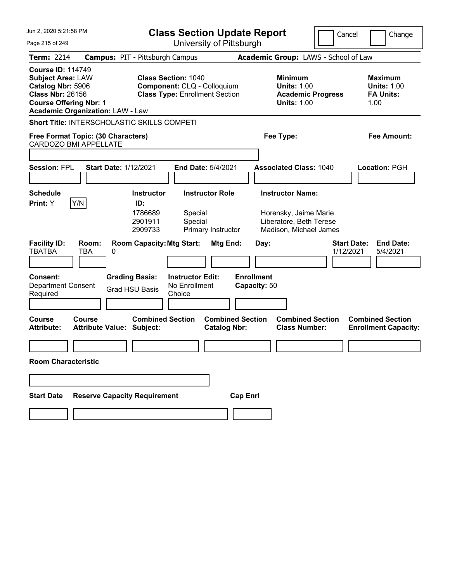| Jun 2, 2020 5:21:58 PM                                                                                                                                                           |                                            | <b>Class Section Update Report</b>                        |                                                                                                    |                                                |                 |                                   |                                                                                                       | Cancel |                                 | Change |                                                          |
|----------------------------------------------------------------------------------------------------------------------------------------------------------------------------------|--------------------------------------------|-----------------------------------------------------------|----------------------------------------------------------------------------------------------------|------------------------------------------------|-----------------|-----------------------------------|-------------------------------------------------------------------------------------------------------|--------|---------------------------------|--------|----------------------------------------------------------|
| Page 215 of 249                                                                                                                                                                  |                                            |                                                           |                                                                                                    | University of Pittsburgh                       |                 |                                   |                                                                                                       |        |                                 |        |                                                          |
| Term: 2214                                                                                                                                                                       | <b>Campus: PIT - Pittsburgh Campus</b>     |                                                           |                                                                                                    |                                                |                 |                                   | Academic Group: LAWS - School of Law                                                                  |        |                                 |        |                                                          |
| <b>Course ID: 114749</b><br><b>Subject Area: LAW</b><br>Catalog Nbr: 5906<br><b>Class Nbr: 26156</b><br><b>Course Offering Nbr: 1</b><br><b>Academic Organization: LAW - Law</b> |                                            |                                                           | <b>Class Section: 1040</b><br>Component: CLQ - Colloquium<br><b>Class Type: Enrollment Section</b> |                                                |                 |                                   | <b>Minimum</b><br><b>Units: 1.00</b><br><b>Academic Progress</b><br><b>Units: 1.00</b>                |        |                                 | 1.00   | <b>Maximum</b><br><b>Units: 1.00</b><br><b>FA Units:</b> |
| Short Title: INTERSCHOLASTIC SKILLS COMPETI                                                                                                                                      |                                            |                                                           |                                                                                                    |                                                |                 |                                   |                                                                                                       |        |                                 |        |                                                          |
| Free Format Topic: (30 Characters)<br>CARDOZO BMI APPELLATE                                                                                                                      |                                            |                                                           |                                                                                                    |                                                |                 | Fee Type:<br>Fee Amount:          |                                                                                                       |        |                                 |        |                                                          |
|                                                                                                                                                                                  |                                            |                                                           |                                                                                                    |                                                |                 |                                   |                                                                                                       |        |                                 |        |                                                          |
| <b>Session: FPL</b>                                                                                                                                                              | <b>Start Date: 1/12/2021</b>               |                                                           |                                                                                                    | End Date: 5/4/2021                             |                 |                                   | <b>Associated Class: 1040</b>                                                                         |        |                                 |        | Location: PGH                                            |
|                                                                                                                                                                                  |                                            |                                                           |                                                                                                    |                                                |                 |                                   |                                                                                                       |        |                                 |        |                                                          |
| <b>Schedule</b><br>Y/N<br>Print: Y                                                                                                                                               |                                            | <b>Instructor</b><br>ID:<br>1786689<br>2901911<br>2909733 | Special<br>Special                                                                                 | <b>Instructor Role</b><br>Primary Instructor   |                 |                                   | <b>Instructor Name:</b><br>Horensky, Jaime Marie<br>Liberatore, Beth Terese<br>Madison, Michael James |        |                                 |        |                                                          |
| <b>Facility ID:</b><br><b>TBATBA</b>                                                                                                                                             | Room:<br>TBA<br>0                          | <b>Room Capacity: Mtg Start:</b>                          |                                                                                                    | Mtg End:                                       |                 | Day:                              |                                                                                                       |        | <b>Start Date:</b><br>1/12/2021 |        | <b>End Date:</b><br>5/4/2021                             |
| Consent:<br><b>Department Consent</b><br>Required                                                                                                                                |                                            | <b>Grading Basis:</b><br><b>Grad HSU Basis</b>            | <b>Instructor Edit:</b><br>No Enrollment<br>Choice                                                 |                                                |                 | <b>Enrollment</b><br>Capacity: 50 |                                                                                                       |        |                                 |        |                                                          |
| Course<br><b>Attribute:</b>                                                                                                                                                      | Course<br><b>Attribute Value: Subject:</b> | <b>Combined Section</b>                                   |                                                                                                    | <b>Combined Section</b><br><b>Catalog Nbr:</b> |                 |                                   | <b>Combined Section</b><br><b>Class Number:</b>                                                       |        |                                 |        | <b>Combined Section</b><br><b>Enrollment Capacity:</b>   |
|                                                                                                                                                                                  |                                            |                                                           |                                                                                                    |                                                |                 |                                   |                                                                                                       |        |                                 |        |                                                          |
| <b>Room Characteristic</b>                                                                                                                                                       |                                            |                                                           |                                                                                                    |                                                |                 |                                   |                                                                                                       |        |                                 |        |                                                          |
|                                                                                                                                                                                  |                                            |                                                           |                                                                                                    |                                                |                 |                                   |                                                                                                       |        |                                 |        |                                                          |
| <b>Start Date</b>                                                                                                                                                                | <b>Reserve Capacity Requirement</b>        |                                                           |                                                                                                    |                                                | <b>Cap Enrl</b> |                                   |                                                                                                       |        |                                 |        |                                                          |
|                                                                                                                                                                                  |                                            |                                                           |                                                                                                    |                                                |                 |                                   |                                                                                                       |        |                                 |        |                                                          |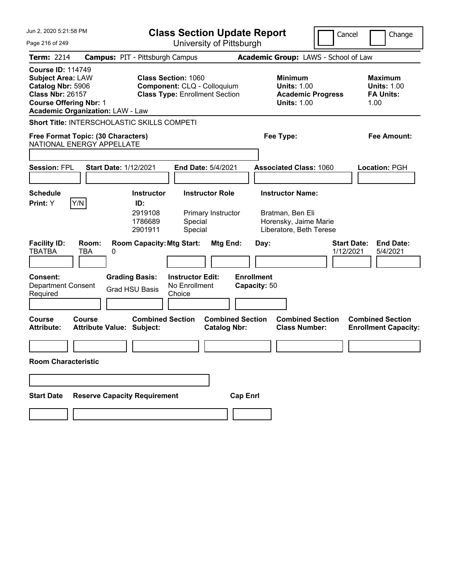| Jun 2, 2020 5:21:58 PM                                                                                                                |                                                                 | <b>Class Section Update Report</b>                        |                                                                                                    |                                                |                                   |      |                                                                                                 | Cancel |                                 | Change                                                           |  |
|---------------------------------------------------------------------------------------------------------------------------------------|-----------------------------------------------------------------|-----------------------------------------------------------|----------------------------------------------------------------------------------------------------|------------------------------------------------|-----------------------------------|------|-------------------------------------------------------------------------------------------------|--------|---------------------------------|------------------------------------------------------------------|--|
| Page 216 of 249                                                                                                                       |                                                                 |                                                           |                                                                                                    | University of Pittsburgh                       |                                   |      |                                                                                                 |        |                                 |                                                                  |  |
| Term: 2214                                                                                                                            | <b>Campus: PIT - Pittsburgh Campus</b>                          |                                                           |                                                                                                    |                                                |                                   |      | Academic Group: LAWS - School of Law                                                            |        |                                 |                                                                  |  |
| <b>Course ID: 114749</b><br><b>Subject Area: LAW</b><br>Catalog Nbr: 5906<br><b>Class Nbr: 26157</b><br><b>Course Offering Nbr: 1</b> | <b>Academic Organization: LAW - Law</b>                         |                                                           | <b>Class Section: 1060</b><br>Component: CLQ - Colloquium<br><b>Class Type: Enrollment Section</b> |                                                |                                   |      | <b>Minimum</b><br><b>Units: 1.00</b><br><b>Academic Progress</b><br><b>Units: 1.00</b>          |        |                                 | <b>Maximum</b><br><b>Units: 1.00</b><br><b>FA Units:</b><br>1.00 |  |
|                                                                                                                                       | <b>Short Title: INTERSCHOLASTIC SKILLS COMPETI</b>              |                                                           |                                                                                                    |                                                |                                   |      |                                                                                                 |        |                                 |                                                                  |  |
|                                                                                                                                       | Free Format Topic: (30 Characters)<br>NATIONAL ENERGY APPELLATE |                                                           |                                                                                                    |                                                |                                   |      | Fee Type:                                                                                       |        |                                 | Fee Amount:                                                      |  |
|                                                                                                                                       |                                                                 |                                                           |                                                                                                    |                                                |                                   |      |                                                                                                 |        |                                 |                                                                  |  |
| <b>Session: FPL</b>                                                                                                                   | <b>Start Date: 1/12/2021</b>                                    |                                                           |                                                                                                    | <b>End Date: 5/4/2021</b>                      |                                   |      | <b>Associated Class: 1060</b>                                                                   |        |                                 | Location: PGH                                                    |  |
| <b>Schedule</b><br>Print: Y                                                                                                           | Y/N                                                             | <b>Instructor</b><br>ID:<br>2919108<br>1786689<br>2901911 | Special<br>Special                                                                                 | <b>Instructor Role</b><br>Primary Instructor   |                                   |      | <b>Instructor Name:</b><br>Bratman, Ben Eli<br>Horensky, Jaime Marie<br>Liberatore, Beth Terese |        |                                 |                                                                  |  |
| <b>Facility ID:</b><br><b>TBATBA</b>                                                                                                  | Room:<br>TBA<br>0                                               | <b>Room Capacity: Mtg Start:</b>                          |                                                                                                    | Mtg End:                                       |                                   | Day: |                                                                                                 |        | <b>Start Date:</b><br>1/12/2021 | <b>End Date:</b><br>5/4/2021                                     |  |
| <b>Consent:</b><br><b>Department Consent</b><br>Required                                                                              |                                                                 | <b>Grading Basis:</b><br><b>Grad HSU Basis</b>            | <b>Instructor Edit:</b><br>No Enrollment<br>Choice                                                 |                                                | <b>Enrollment</b><br>Capacity: 50 |      |                                                                                                 |        |                                 |                                                                  |  |
| <b>Course</b><br><b>Attribute:</b>                                                                                                    | Course<br><b>Attribute Value: Subject:</b>                      | <b>Combined Section</b>                                   |                                                                                                    | <b>Combined Section</b><br><b>Catalog Nbr:</b> |                                   |      | <b>Combined Section</b><br><b>Class Number:</b>                                                 |        |                                 | <b>Combined Section</b><br><b>Enrollment Capacity:</b>           |  |
| <b>Room Characteristic</b>                                                                                                            |                                                                 |                                                           |                                                                                                    |                                                |                                   |      |                                                                                                 |        |                                 |                                                                  |  |
|                                                                                                                                       |                                                                 |                                                           |                                                                                                    |                                                |                                   |      |                                                                                                 |        |                                 |                                                                  |  |
| <b>Start Date</b>                                                                                                                     | <b>Reserve Capacity Requirement</b>                             |                                                           |                                                                                                    |                                                | <b>Cap Enrl</b>                   |      |                                                                                                 |        |                                 |                                                                  |  |
|                                                                                                                                       |                                                                 |                                                           |                                                                                                    |                                                |                                   |      |                                                                                                 |        |                                 |                                                                  |  |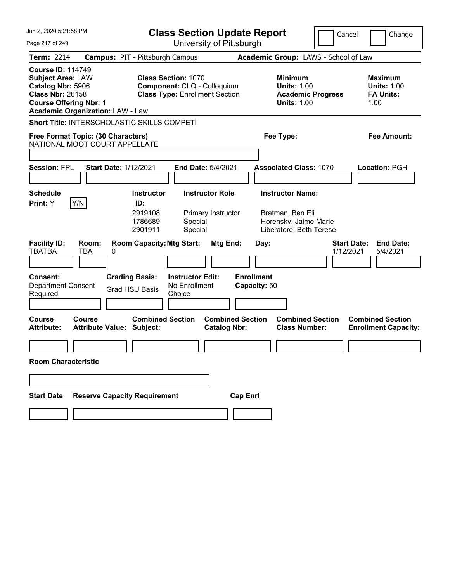| Jun 2, 2020 5:21:58 PM                                                                                                                                                           | <b>Class Section Update Report</b>                                                                                              |                                                                                                 | Cancel<br>Change                                                 |
|----------------------------------------------------------------------------------------------------------------------------------------------------------------------------------|---------------------------------------------------------------------------------------------------------------------------------|-------------------------------------------------------------------------------------------------|------------------------------------------------------------------|
| Page 217 of 249                                                                                                                                                                  | University of Pittsburgh                                                                                                        |                                                                                                 |                                                                  |
| <b>Term: 2214</b>                                                                                                                                                                | <b>Campus: PIT - Pittsburgh Campus</b>                                                                                          | Academic Group: LAWS - School of Law                                                            |                                                                  |
| <b>Course ID: 114749</b><br><b>Subject Area: LAW</b><br>Catalog Nbr: 5906<br><b>Class Nbr: 26158</b><br><b>Course Offering Nbr: 1</b><br><b>Academic Organization: LAW - Law</b> | <b>Class Section: 1070</b><br>Component: CLQ - Colloquium<br><b>Class Type: Enrollment Section</b>                              | <b>Minimum</b><br><b>Units: 1.00</b><br><b>Academic Progress</b><br><b>Units: 1.00</b>          | <b>Maximum</b><br><b>Units: 1.00</b><br><b>FA Units:</b><br>1.00 |
| <b>Short Title: INTERSCHOLASTIC SKILLS COMPETI</b>                                                                                                                               |                                                                                                                                 |                                                                                                 |                                                                  |
| Free Format Topic: (30 Characters)<br>NATIONAL MOOT COURT APPELLATE                                                                                                              |                                                                                                                                 | Fee Type:                                                                                       | Fee Amount:                                                      |
|                                                                                                                                                                                  |                                                                                                                                 |                                                                                                 |                                                                  |
| <b>Session: FPL</b><br><b>Start Date: 1/12/2021</b>                                                                                                                              | <b>End Date: 5/4/2021</b>                                                                                                       | <b>Associated Class: 1070</b>                                                                   | Location: PGH                                                    |
| <b>Schedule</b><br>Y/N<br>Print: Y                                                                                                                                               | <b>Instructor Role</b><br><b>Instructor</b><br>ID:<br>2919108<br>Primary Instructor<br>1786689<br>Special<br>Special<br>2901911 | <b>Instructor Name:</b><br>Bratman, Ben Eli<br>Horensky, Jaime Marie<br>Liberatore, Beth Terese |                                                                  |
| <b>Facility ID:</b><br>Room:<br><b>TBATBA</b><br>TBA<br>0                                                                                                                        | <b>Room Capacity: Mtg Start:</b><br>Mtg End:                                                                                    | Day:                                                                                            | <b>Start Date:</b><br><b>End Date:</b><br>1/12/2021<br>5/4/2021  |
| <b>Consent:</b><br>Department Consent<br>Required                                                                                                                                | <b>Grading Basis:</b><br><b>Instructor Edit:</b><br>No Enrollment<br><b>Grad HSU Basis</b><br>Choice                            | <b>Enrollment</b><br>Capacity: 50                                                               |                                                                  |
| <b>Course</b><br>Course<br>Attribute Value: Subject:<br><b>Attribute:</b>                                                                                                        | <b>Combined Section</b><br><b>Combined Section</b><br><b>Catalog Nbr:</b>                                                       | <b>Combined Section</b><br><b>Class Number:</b>                                                 | <b>Combined Section</b><br><b>Enrollment Capacity:</b>           |
| <b>Room Characteristic</b>                                                                                                                                                       |                                                                                                                                 |                                                                                                 |                                                                  |
|                                                                                                                                                                                  |                                                                                                                                 |                                                                                                 |                                                                  |
| <b>Reserve Capacity Requirement</b><br><b>Start Date</b>                                                                                                                         |                                                                                                                                 | <b>Cap Enrl</b>                                                                                 |                                                                  |
|                                                                                                                                                                                  |                                                                                                                                 |                                                                                                 |                                                                  |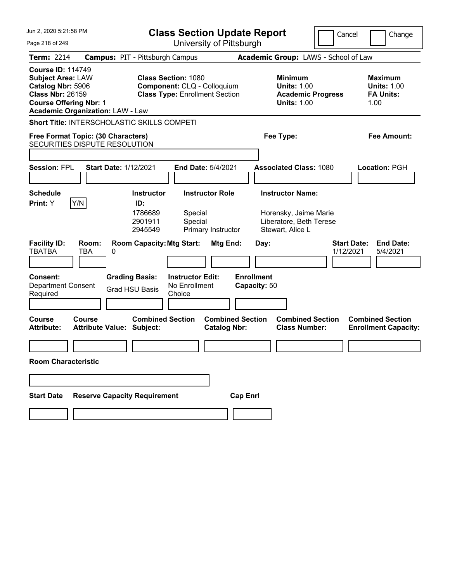| Jun 2, 2020 5:21:58 PM                                                                                                                |                                             |                                                           | <b>Class Section Update Report</b>                                                                 |                                              |                                   |           |                                                                                                 | Cancel                          | Change                                                           |
|---------------------------------------------------------------------------------------------------------------------------------------|---------------------------------------------|-----------------------------------------------------------|----------------------------------------------------------------------------------------------------|----------------------------------------------|-----------------------------------|-----------|-------------------------------------------------------------------------------------------------|---------------------------------|------------------------------------------------------------------|
| Page 218 of 249                                                                                                                       |                                             |                                                           | University of Pittsburgh                                                                           |                                              |                                   |           |                                                                                                 |                                 |                                                                  |
| <b>Term: 2214</b>                                                                                                                     | <b>Campus: PIT - Pittsburgh Campus</b>      |                                                           |                                                                                                    |                                              |                                   |           | Academic Group: LAWS - School of Law                                                            |                                 |                                                                  |
| <b>Course ID: 114749</b><br><b>Subject Area: LAW</b><br>Catalog Nbr: 5906<br><b>Class Nbr: 26159</b><br><b>Course Offering Nbr: 1</b> | <b>Academic Organization: LAW - Law</b>     |                                                           | <b>Class Section: 1080</b><br>Component: CLQ - Colloquium<br><b>Class Type: Enrollment Section</b> |                                              |                                   |           | <b>Minimum</b><br><b>Units: 1.00</b><br><b>Academic Progress</b><br><b>Units: 1.00</b>          |                                 | <b>Maximum</b><br><b>Units: 1.00</b><br><b>FA Units:</b><br>1.00 |
|                                                                                                                                       | Short Title: INTERSCHOLASTIC SKILLS COMPETI |                                                           |                                                                                                    |                                              |                                   |           |                                                                                                 |                                 |                                                                  |
|                                                                                                                                       | Free Format Topic: (30 Characters)          |                                                           |                                                                                                    |                                              |                                   | Fee Type: |                                                                                                 |                                 | Fee Amount:                                                      |
|                                                                                                                                       | SECURITIES DISPUTE RESOLUTION               |                                                           |                                                                                                    |                                              |                                   |           |                                                                                                 |                                 |                                                                  |
| <b>Session: FPL</b>                                                                                                                   | <b>Start Date: 1/12/2021</b>                |                                                           |                                                                                                    | End Date: 5/4/2021                           |                                   |           | <b>Associated Class: 1080</b>                                                                   |                                 | Location: PGH                                                    |
| <b>Schedule</b><br>Print: Y                                                                                                           | Y/N                                         | <b>Instructor</b><br>ID:<br>1786689<br>2901911<br>2945549 | Special<br>Special                                                                                 | <b>Instructor Role</b><br>Primary Instructor |                                   |           | <b>Instructor Name:</b><br>Horensky, Jaime Marie<br>Liberatore, Beth Terese<br>Stewart, Alice L |                                 |                                                                  |
| <b>Facility ID:</b><br><b>TBATBA</b>                                                                                                  | Room:<br>TBA<br>0                           | <b>Room Capacity: Mtg Start:</b>                          |                                                                                                    | Mtg End:                                     |                                   | Day:      |                                                                                                 | <b>Start Date:</b><br>1/12/2021 | <b>End Date:</b><br>5/4/2021                                     |
| <b>Consent:</b><br><b>Department Consent</b><br>Required                                                                              |                                             | <b>Grading Basis:</b><br><b>Grad HSU Basis</b>            | <b>Instructor Edit:</b><br>No Enrollment<br>Choice                                                 |                                              | <b>Enrollment</b><br>Capacity: 50 |           |                                                                                                 |                                 |                                                                  |
| Course<br><b>Attribute:</b>                                                                                                           | Course<br>Attribute Value: Subject:         | <b>Combined Section</b>                                   |                                                                                                    | <b>Catalog Nbr:</b>                          | <b>Combined Section</b>           |           | <b>Combined Section</b><br><b>Class Number:</b>                                                 |                                 | <b>Combined Section</b><br><b>Enrollment Capacity:</b>           |
| <b>Room Characteristic</b>                                                                                                            |                                             |                                                           |                                                                                                    |                                              |                                   |           |                                                                                                 |                                 |                                                                  |
|                                                                                                                                       |                                             |                                                           |                                                                                                    |                                              |                                   |           |                                                                                                 |                                 |                                                                  |
| <b>Start Date</b>                                                                                                                     | <b>Reserve Capacity Requirement</b>         |                                                           |                                                                                                    |                                              | <b>Cap Enrl</b>                   |           |                                                                                                 |                                 |                                                                  |
|                                                                                                                                       |                                             |                                                           |                                                                                                    |                                              |                                   |           |                                                                                                 |                                 |                                                                  |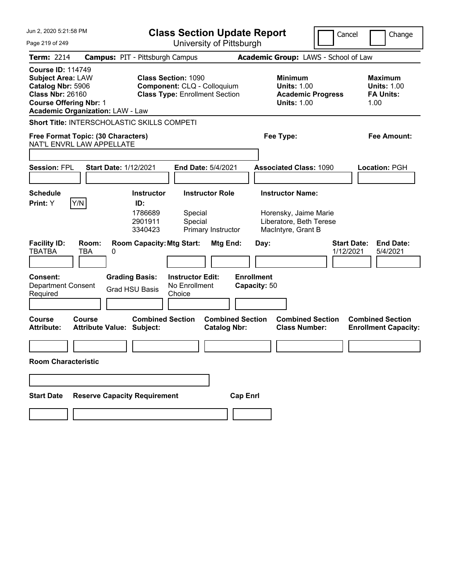| Jun 2. 2020 5:21:58 PM                                                                                                                                                           |                                                                                                      | <b>Class Section Update Report</b><br>Cancel<br>Change |                                                                                        |                                                                  |  |  |  |  |
|----------------------------------------------------------------------------------------------------------------------------------------------------------------------------------|------------------------------------------------------------------------------------------------------|--------------------------------------------------------|----------------------------------------------------------------------------------------|------------------------------------------------------------------|--|--|--|--|
| Page 219 of 249                                                                                                                                                                  |                                                                                                      | University of Pittsburgh                               |                                                                                        |                                                                  |  |  |  |  |
| Term: 2214                                                                                                                                                                       | <b>Campus: PIT - Pittsburgh Campus</b>                                                               |                                                        | Academic Group: LAWS - School of Law                                                   |                                                                  |  |  |  |  |
| <b>Course ID: 114749</b><br><b>Subject Area: LAW</b><br>Catalog Nbr: 5906<br><b>Class Nbr: 26160</b><br><b>Course Offering Nbr: 1</b><br><b>Academic Organization: LAW - Law</b> | <b>Class Section: 1090</b><br>Component: CLQ - Colloquium<br><b>Class Type: Enrollment Section</b>   |                                                        | <b>Minimum</b><br><b>Units: 1.00</b><br><b>Academic Progress</b><br><b>Units: 1.00</b> | <b>Maximum</b><br><b>Units: 1.00</b><br><b>FA Units:</b><br>1.00 |  |  |  |  |
| <b>Short Title: INTERSCHOLASTIC SKILLS COMPETI</b>                                                                                                                               |                                                                                                      |                                                        |                                                                                        |                                                                  |  |  |  |  |
| Free Format Topic: (30 Characters)<br>NAT'L ENVRL LAW APPELLATE                                                                                                                  |                                                                                                      |                                                        | Fee Type:                                                                              | Fee Amount:                                                      |  |  |  |  |
|                                                                                                                                                                                  |                                                                                                      |                                                        |                                                                                        |                                                                  |  |  |  |  |
| <b>Session: FPL</b><br><b>Start Date: 1/12/2021</b>                                                                                                                              | <b>End Date: 5/4/2021</b>                                                                            |                                                        | <b>Associated Class: 1090</b>                                                          | Location: PGH                                                    |  |  |  |  |
|                                                                                                                                                                                  |                                                                                                      |                                                        |                                                                                        |                                                                  |  |  |  |  |
| <b>Schedule</b><br>Y/N<br>Print: Y                                                                                                                                               | <b>Instructor Role</b><br><b>Instructor</b><br>ID:                                                   |                                                        | <b>Instructor Name:</b>                                                                |                                                                  |  |  |  |  |
|                                                                                                                                                                                  | 1786689<br>Special<br>2901911<br>Special<br>3340423                                                  | Primary Instructor                                     | Horensky, Jaime Marie<br>Liberatore, Beth Terese<br>MacIntyre, Grant B                 |                                                                  |  |  |  |  |
| <b>Facility ID:</b><br>Room:<br><b>TBATBA</b><br>TBA<br>0                                                                                                                        | <b>Room Capacity: Mtg Start:</b>                                                                     | Mtg End:<br>Day:                                       |                                                                                        | <b>Start Date:</b><br><b>End Date:</b><br>1/12/2021<br>5/4/2021  |  |  |  |  |
| <b>Consent:</b><br><b>Department Consent</b><br>Required                                                                                                                         | <b>Grading Basis:</b><br><b>Instructor Edit:</b><br>No Enrollment<br><b>Grad HSU Basis</b><br>Choice | <b>Enrollment</b><br>Capacity: 50                      |                                                                                        |                                                                  |  |  |  |  |
| <b>Course</b><br>Course<br><b>Attribute:</b><br><b>Attribute Value: Subject:</b>                                                                                                 | <b>Combined Section</b>                                                                              | <b>Combined Section</b><br><b>Catalog Nbr:</b>         | <b>Combined Section</b><br><b>Class Number:</b>                                        | <b>Combined Section</b><br><b>Enrollment Capacity:</b>           |  |  |  |  |
|                                                                                                                                                                                  |                                                                                                      |                                                        |                                                                                        |                                                                  |  |  |  |  |
| <b>Room Characteristic</b>                                                                                                                                                       |                                                                                                      |                                                        |                                                                                        |                                                                  |  |  |  |  |
|                                                                                                                                                                                  |                                                                                                      |                                                        |                                                                                        |                                                                  |  |  |  |  |
| <b>Start Date</b>                                                                                                                                                                | <b>Reserve Capacity Requirement</b>                                                                  | <b>Cap Enrl</b>                                        |                                                                                        |                                                                  |  |  |  |  |
|                                                                                                                                                                                  |                                                                                                      |                                                        |                                                                                        |                                                                  |  |  |  |  |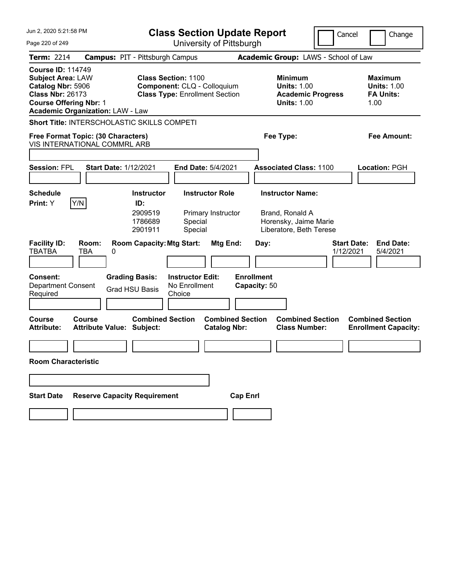| Jun 2, 2020 5:21:58 PM                                                                                                                                                           |                                                           | <b>Class Section Update Report</b>                                                                 |                                                | Cancel                                                                                         | Change                                          |                                                                  |
|----------------------------------------------------------------------------------------------------------------------------------------------------------------------------------|-----------------------------------------------------------|----------------------------------------------------------------------------------------------------|------------------------------------------------|------------------------------------------------------------------------------------------------|-------------------------------------------------|------------------------------------------------------------------|
| Page 220 of 249                                                                                                                                                                  |                                                           |                                                                                                    | University of Pittsburgh                       |                                                                                                |                                                 |                                                                  |
| <b>Term: 2214</b>                                                                                                                                                                | <b>Campus: PIT - Pittsburgh Campus</b>                    |                                                                                                    |                                                | Academic Group: LAWS - School of Law                                                           |                                                 |                                                                  |
| <b>Course ID: 114749</b><br><b>Subject Area: LAW</b><br>Catalog Nbr: 5906<br><b>Class Nbr: 26173</b><br><b>Course Offering Nbr: 1</b><br><b>Academic Organization: LAW - Law</b> |                                                           | <b>Class Section: 1100</b><br>Component: CLQ - Colloquium<br><b>Class Type: Enrollment Section</b> |                                                | <b>Minimum</b><br><b>Units: 1.00</b><br><b>Units: 1.00</b>                                     | <b>Academic Progress</b>                        | <b>Maximum</b><br><b>Units: 1.00</b><br><b>FA Units:</b><br>1.00 |
| <b>Short Title: INTERSCHOLASTIC SKILLS COMPETI</b>                                                                                                                               |                                                           |                                                                                                    |                                                |                                                                                                |                                                 |                                                                  |
| Free Format Topic: (30 Characters)<br>VIS INTERNATIONAL COMMRL ARB                                                                                                               |                                                           |                                                                                                    |                                                | Fee Type:                                                                                      |                                                 | Fee Amount:                                                      |
|                                                                                                                                                                                  |                                                           |                                                                                                    |                                                |                                                                                                |                                                 |                                                                  |
| <b>Session: FPL</b>                                                                                                                                                              | <b>Start Date: 1/12/2021</b>                              |                                                                                                    | End Date: 5/4/2021                             | <b>Associated Class: 1100</b>                                                                  |                                                 | Location: PGH                                                    |
| <b>Schedule</b><br>Y/N<br>Print: Y                                                                                                                                               | <b>Instructor</b><br>ID:<br>2909519<br>1786689<br>2901911 | Special<br>Special                                                                                 | <b>Instructor Role</b><br>Primary Instructor   | <b>Instructor Name:</b><br>Brand, Ronald A<br>Horensky, Jaime Marie<br>Liberatore, Beth Terese |                                                 |                                                                  |
| <b>Facility ID:</b><br>Room:<br><b>TBATBA</b><br>TBA                                                                                                                             | 0                                                         | <b>Room Capacity: Mtg Start:</b>                                                                   | Mtg End:                                       | Day:                                                                                           | <b>Start Date:</b><br>1/12/2021                 | <b>End Date:</b><br>5/4/2021                                     |
| <b>Consent:</b><br><b>Department Consent</b><br>Required                                                                                                                         | <b>Grading Basis:</b><br><b>Grad HSU Basis</b>            | <b>Instructor Edit:</b><br>No Enrollment<br>Choice                                                 |                                                | <b>Enrollment</b><br>Capacity: 50                                                              |                                                 |                                                                  |
| Course<br>Course<br><b>Attribute:</b>                                                                                                                                            | Attribute Value: Subject:                                 | <b>Combined Section</b>                                                                            | <b>Combined Section</b><br><b>Catalog Nbr:</b> |                                                                                                | <b>Combined Section</b><br><b>Class Number:</b> | <b>Combined Section</b><br><b>Enrollment Capacity:</b>           |
| <b>Room Characteristic</b>                                                                                                                                                       |                                                           |                                                                                                    |                                                |                                                                                                |                                                 |                                                                  |
|                                                                                                                                                                                  |                                                           |                                                                                                    |                                                |                                                                                                |                                                 |                                                                  |
| <b>Start Date</b>                                                                                                                                                                | <b>Reserve Capacity Requirement</b>                       |                                                                                                    | <b>Cap Enrl</b>                                |                                                                                                |                                                 |                                                                  |
|                                                                                                                                                                                  |                                                           |                                                                                                    |                                                |                                                                                                |                                                 |                                                                  |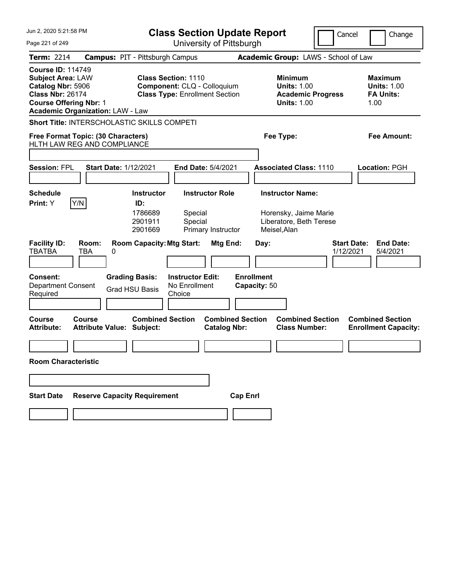| Jun 2, 2020 5:21:58 PM                                                                                                                                                           |                                                           |                                                                                                    | <b>Class Section Update Report</b>             |                                   | Cancel                                                                                      | Change                          |                                                                  |
|----------------------------------------------------------------------------------------------------------------------------------------------------------------------------------|-----------------------------------------------------------|----------------------------------------------------------------------------------------------------|------------------------------------------------|-----------------------------------|---------------------------------------------------------------------------------------------|---------------------------------|------------------------------------------------------------------|
| Page 221 of 249                                                                                                                                                                  |                                                           |                                                                                                    | University of Pittsburgh                       |                                   |                                                                                             |                                 |                                                                  |
| <b>Term: 2214</b>                                                                                                                                                                | <b>Campus: PIT - Pittsburgh Campus</b>                    |                                                                                                    |                                                |                                   | Academic Group: LAWS - School of Law                                                        |                                 |                                                                  |
| <b>Course ID: 114749</b><br><b>Subject Area: LAW</b><br>Catalog Nbr: 5906<br><b>Class Nbr: 26174</b><br><b>Course Offering Nbr: 1</b><br><b>Academic Organization: LAW - Law</b> |                                                           | <b>Class Section: 1110</b><br>Component: CLQ - Colloquium<br><b>Class Type: Enrollment Section</b> |                                                |                                   | <b>Minimum</b><br><b>Units: 1.00</b><br><b>Academic Progress</b><br><b>Units: 1.00</b>      |                                 | <b>Maximum</b><br><b>Units: 1.00</b><br><b>FA Units:</b><br>1.00 |
| Short Title: INTERSCHOLASTIC SKILLS COMPETI                                                                                                                                      |                                                           |                                                                                                    |                                                |                                   |                                                                                             |                                 |                                                                  |
| Free Format Topic: (30 Characters)                                                                                                                                               |                                                           |                                                                                                    |                                                |                                   | Fee Type:                                                                                   |                                 | Fee Amount:                                                      |
| HLTH LAW REG AND COMPLIANCE                                                                                                                                                      |                                                           |                                                                                                    |                                                |                                   |                                                                                             |                                 |                                                                  |
| <b>Session: FPL</b>                                                                                                                                                              | <b>Start Date: 1/12/2021</b>                              |                                                                                                    | End Date: 5/4/2021                             |                                   | <b>Associated Class: 1110</b>                                                               |                                 | Location: PGH                                                    |
| <b>Schedule</b><br>Y/N<br>Print: Y                                                                                                                                               | <b>Instructor</b><br>ID:<br>1786689<br>2901911<br>2901669 | Special<br>Special                                                                                 | <b>Instructor Role</b><br>Primary Instructor   |                                   | <b>Instructor Name:</b><br>Horensky, Jaime Marie<br>Liberatore, Beth Terese<br>Meisel, Alan |                                 |                                                                  |
| <b>Facility ID:</b><br>Room:<br><b>TBATBA</b><br><b>TBA</b>                                                                                                                      | <b>Room Capacity: Mtg Start:</b><br>0                     |                                                                                                    | Mtg End:                                       | Day:                              |                                                                                             | <b>Start Date:</b><br>1/12/2021 | <b>End Date:</b><br>5/4/2021                                     |
| <b>Consent:</b><br><b>Department Consent</b><br>Required                                                                                                                         | <b>Grading Basis:</b><br><b>Grad HSU Basis</b>            | <b>Instructor Edit:</b><br>No Enrollment<br>Choice                                                 |                                                | <b>Enrollment</b><br>Capacity: 50 |                                                                                             |                                 |                                                                  |
| Course<br>Course<br><b>Attribute:</b>                                                                                                                                            | Attribute Value: Subject:                                 | <b>Combined Section</b>                                                                            | <b>Combined Section</b><br><b>Catalog Nbr:</b> |                                   | <b>Combined Section</b><br><b>Class Number:</b>                                             |                                 | <b>Combined Section</b><br><b>Enrollment Capacity:</b>           |
|                                                                                                                                                                                  |                                                           |                                                                                                    |                                                |                                   |                                                                                             |                                 |                                                                  |
| <b>Room Characteristic</b>                                                                                                                                                       |                                                           |                                                                                                    |                                                |                                   |                                                                                             |                                 |                                                                  |
|                                                                                                                                                                                  |                                                           |                                                                                                    |                                                |                                   |                                                                                             |                                 |                                                                  |
| <b>Start Date</b>                                                                                                                                                                | <b>Reserve Capacity Requirement</b>                       |                                                                                                    | <b>Cap Enrl</b>                                |                                   |                                                                                             |                                 |                                                                  |
|                                                                                                                                                                                  |                                                           |                                                                                                    |                                                |                                   |                                                                                             |                                 |                                                                  |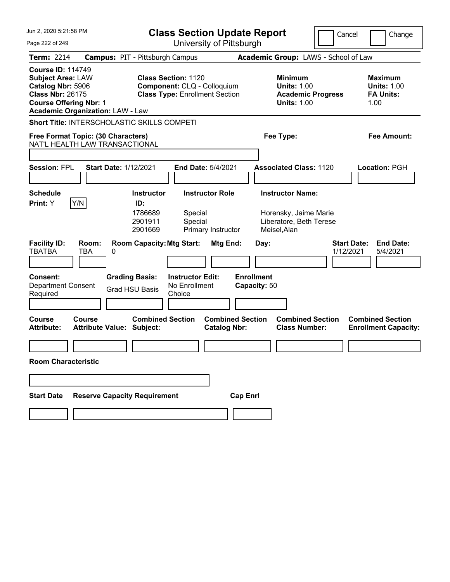| Jun 2, 2020 5:21:58 PM                                                                                                                                                           | <b>Class Section Update Report</b>                                                                                              |                                                                                             | Cancel<br>Change                                                 |
|----------------------------------------------------------------------------------------------------------------------------------------------------------------------------------|---------------------------------------------------------------------------------------------------------------------------------|---------------------------------------------------------------------------------------------|------------------------------------------------------------------|
| Page 222 of 249                                                                                                                                                                  | University of Pittsburgh                                                                                                        |                                                                                             |                                                                  |
| <b>Term: 2214</b>                                                                                                                                                                | <b>Campus: PIT - Pittsburgh Campus</b>                                                                                          | Academic Group: LAWS - School of Law                                                        |                                                                  |
| <b>Course ID: 114749</b><br><b>Subject Area: LAW</b><br>Catalog Nbr: 5906<br><b>Class Nbr: 26175</b><br><b>Course Offering Nbr: 1</b><br><b>Academic Organization: LAW - Law</b> | <b>Class Section: 1120</b><br>Component: CLQ - Colloquium<br><b>Class Type: Enrollment Section</b>                              | <b>Minimum</b><br><b>Units: 1.00</b><br><b>Academic Progress</b><br><b>Units: 1.00</b>      | <b>Maximum</b><br><b>Units: 1.00</b><br><b>FA Units:</b><br>1.00 |
| <b>Short Title: INTERSCHOLASTIC SKILLS COMPETI</b>                                                                                                                               |                                                                                                                                 |                                                                                             |                                                                  |
| Free Format Topic: (30 Characters)                                                                                                                                               |                                                                                                                                 | Fee Type:                                                                                   | Fee Amount:                                                      |
| NAT'L HEALTH LAW TRANSACTIONAL                                                                                                                                                   |                                                                                                                                 |                                                                                             |                                                                  |
| <b>Session: FPL</b><br><b>Start Date: 1/12/2021</b>                                                                                                                              | <b>End Date: 5/4/2021</b>                                                                                                       | <b>Associated Class: 1120</b>                                                               | Location: PGH                                                    |
| <b>Schedule</b><br>Y/N<br>Print: Y                                                                                                                                               | <b>Instructor Role</b><br><b>Instructor</b><br>ID:<br>1786689<br>Special<br>2901911<br>Special<br>Primary Instructor<br>2901669 | <b>Instructor Name:</b><br>Horensky, Jaime Marie<br>Liberatore, Beth Terese<br>Meisel, Alan |                                                                  |
| <b>Facility ID:</b><br>Room:<br><b>TBATBA</b><br>TBA<br>0                                                                                                                        | <b>Room Capacity: Mtg Start:</b><br>Mtg End:                                                                                    | Day:                                                                                        | <b>Start Date:</b><br><b>End Date:</b><br>1/12/2021<br>5/4/2021  |
| <b>Consent:</b><br>Department Consent<br>Required                                                                                                                                | <b>Grading Basis:</b><br><b>Instructor Edit:</b><br>No Enrollment<br><b>Grad HSU Basis</b><br>Choice                            | <b>Enrollment</b><br>Capacity: 50                                                           |                                                                  |
| <b>Course</b><br>Course<br>Attribute Value: Subject:<br><b>Attribute:</b>                                                                                                        | <b>Combined Section</b><br><b>Catalog Nbr:</b>                                                                                  | <b>Combined Section</b><br><b>Combined Section</b><br><b>Class Number:</b>                  | <b>Combined Section</b><br><b>Enrollment Capacity:</b>           |
| <b>Room Characteristic</b>                                                                                                                                                       |                                                                                                                                 |                                                                                             |                                                                  |
|                                                                                                                                                                                  |                                                                                                                                 |                                                                                             |                                                                  |
| <b>Reserve Capacity Requirement</b><br><b>Start Date</b>                                                                                                                         |                                                                                                                                 | <b>Cap Enrl</b>                                                                             |                                                                  |
|                                                                                                                                                                                  |                                                                                                                                 |                                                                                             |                                                                  |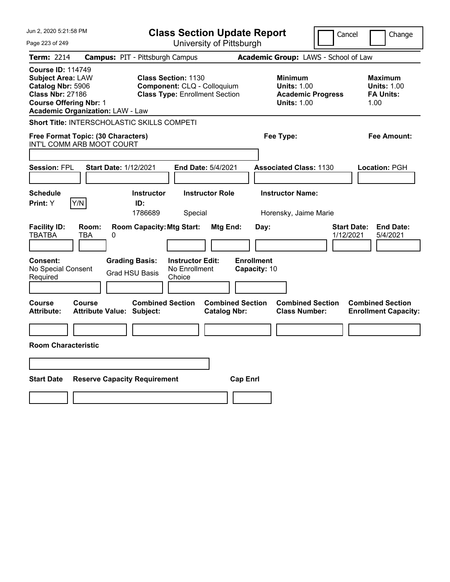| Jun 2, 2020 5:21:58 PM                                                                                                                                                                                                                                               | <b>Class Section Update Report</b>                                                                                                                                              | Cancel                                                                                                    | Change                                                                                                       |
|----------------------------------------------------------------------------------------------------------------------------------------------------------------------------------------------------------------------------------------------------------------------|---------------------------------------------------------------------------------------------------------------------------------------------------------------------------------|-----------------------------------------------------------------------------------------------------------|--------------------------------------------------------------------------------------------------------------|
| Page 223 of 249                                                                                                                                                                                                                                                      | University of Pittsburgh                                                                                                                                                        |                                                                                                           |                                                                                                              |
| <b>Term: 2214</b>                                                                                                                                                                                                                                                    | <b>Campus: PIT - Pittsburgh Campus</b>                                                                                                                                          | Academic Group: LAWS - School of Law                                                                      |                                                                                                              |
| <b>Course ID: 114749</b><br><b>Subject Area: LAW</b><br>Catalog Nbr: 5906<br><b>Class Nbr: 27186</b><br><b>Course Offering Nbr: 1</b><br><b>Academic Organization: LAW - Law</b>                                                                                     | <b>Class Section: 1130</b><br>Component: CLQ - Colloquium<br><b>Class Type: Enrollment Section</b>                                                                              | <b>Minimum</b><br><b>Units: 1.00</b><br><b>Academic Progress</b><br><b>Units: 1.00</b>                    | <b>Maximum</b><br><b>Units: 1.00</b><br><b>FA Units:</b><br>1.00                                             |
| <b>Short Title: INTERSCHOLASTIC SKILLS COMPETI</b>                                                                                                                                                                                                                   |                                                                                                                                                                                 |                                                                                                           |                                                                                                              |
| Free Format Topic: (30 Characters)<br>INT'L COMM ARB MOOT COURT                                                                                                                                                                                                      |                                                                                                                                                                                 | Fee Type:                                                                                                 | Fee Amount:                                                                                                  |
| <b>Session: FPL</b><br><b>Start Date: 1/12/2021</b>                                                                                                                                                                                                                  | <b>End Date: 5/4/2021</b>                                                                                                                                                       | <b>Associated Class: 1130</b>                                                                             | <b>Location: PGH</b>                                                                                         |
| <b>Schedule</b><br>Y/N<br>Print: Y                                                                                                                                                                                                                                   | <b>Instructor Role</b><br><b>Instructor</b><br>ID:<br>1786689<br>Special                                                                                                        | <b>Instructor Name:</b><br>Horensky, Jaime Marie                                                          |                                                                                                              |
| <b>Facility ID:</b><br>Room:<br><b>TBATBA</b><br>TBA<br>0<br><b>Grading Basis:</b><br>Consent:<br>No Special Consent<br><b>Grad HSU Basis</b><br>Required<br>Course<br>Course<br><b>Attribute:</b><br><b>Attribute Value: Subject:</b><br><b>Room Characteristic</b> | <b>Room Capacity: Mtg Start:</b><br>Mtg End:<br><b>Instructor Edit:</b><br>No Enrollment<br>Choice<br><b>Combined Section</b><br><b>Combined Section</b><br><b>Catalog Nbr:</b> | Day:<br>1/12/2021<br><b>Enrollment</b><br>Capacity: 10<br><b>Combined Section</b><br><b>Class Number:</b> | <b>End Date:</b><br><b>Start Date:</b><br>5/4/2021<br><b>Combined Section</b><br><b>Enrollment Capacity:</b> |
|                                                                                                                                                                                                                                                                      |                                                                                                                                                                                 |                                                                                                           |                                                                                                              |
|                                                                                                                                                                                                                                                                      |                                                                                                                                                                                 |                                                                                                           |                                                                                                              |
| <b>Start Date</b><br><b>Reserve Capacity Requirement</b>                                                                                                                                                                                                             | <b>Cap Enrl</b>                                                                                                                                                                 |                                                                                                           |                                                                                                              |
|                                                                                                                                                                                                                                                                      |                                                                                                                                                                                 |                                                                                                           |                                                                                                              |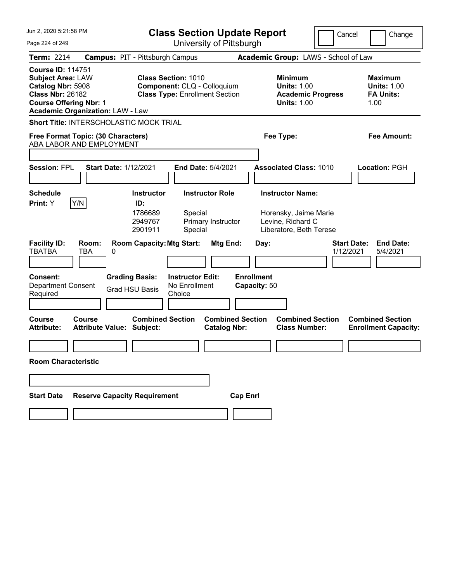| Jun 2. 2020 5:21:58 PM                                                                                                                                                           |                                            | <b>Class Section Update Report</b>                        |                                                                                                    |                                                |                                   |                          |                                                                                                  | Cancel |                                 | Change |                                                          |
|----------------------------------------------------------------------------------------------------------------------------------------------------------------------------------|--------------------------------------------|-----------------------------------------------------------|----------------------------------------------------------------------------------------------------|------------------------------------------------|-----------------------------------|--------------------------|--------------------------------------------------------------------------------------------------|--------|---------------------------------|--------|----------------------------------------------------------|
| Page 224 of 249                                                                                                                                                                  |                                            |                                                           |                                                                                                    | University of Pittsburgh                       |                                   |                          |                                                                                                  |        |                                 |        |                                                          |
| Term: 2214                                                                                                                                                                       | <b>Campus: PIT - Pittsburgh Campus</b>     |                                                           |                                                                                                    |                                                |                                   |                          | Academic Group: LAWS - School of Law                                                             |        |                                 |        |                                                          |
| <b>Course ID: 114751</b><br><b>Subject Area: LAW</b><br>Catalog Nbr: 5908<br><b>Class Nbr: 26182</b><br><b>Course Offering Nbr: 1</b><br><b>Academic Organization: LAW - Law</b> |                                            |                                                           | <b>Class Section: 1010</b><br>Component: CLQ - Colloquium<br><b>Class Type: Enrollment Section</b> |                                                |                                   |                          | <b>Minimum</b><br><b>Units: 1.00</b><br><b>Academic Progress</b><br><b>Units: 1.00</b>           |        |                                 | 1.00   | <b>Maximum</b><br><b>Units: 1.00</b><br><b>FA Units:</b> |
| Short Title: INTERSCHOLASTIC MOCK TRIAL                                                                                                                                          |                                            |                                                           |                                                                                                    |                                                |                                   |                          |                                                                                                  |        |                                 |        |                                                          |
| Free Format Topic: (30 Characters)<br>ABA LABOR AND EMPLOYMENT                                                                                                                   |                                            |                                                           |                                                                                                    |                                                |                                   | Fee Type:<br>Fee Amount: |                                                                                                  |        |                                 |        |                                                          |
|                                                                                                                                                                                  |                                            |                                                           |                                                                                                    |                                                |                                   |                          |                                                                                                  |        |                                 |        |                                                          |
| <b>Session: FPL</b>                                                                                                                                                              | <b>Start Date: 1/12/2021</b>               |                                                           |                                                                                                    | End Date: 5/4/2021                             |                                   |                          | <b>Associated Class: 1010</b>                                                                    |        |                                 |        | <b>Location: PGH</b>                                     |
|                                                                                                                                                                                  |                                            |                                                           |                                                                                                    |                                                |                                   |                          |                                                                                                  |        |                                 |        |                                                          |
| <b>Schedule</b><br>Y/N<br>Print: Y                                                                                                                                               |                                            | <b>Instructor</b><br>ID:<br>1786689<br>2949767<br>2901911 | Special<br>Special                                                                                 | <b>Instructor Role</b><br>Primary Instructor   |                                   |                          | <b>Instructor Name:</b><br>Horensky, Jaime Marie<br>Levine, Richard C<br>Liberatore, Beth Terese |        |                                 |        |                                                          |
| <b>Facility ID:</b><br><b>TBATBA</b>                                                                                                                                             | Room:<br>TBA<br>0                          | <b>Room Capacity: Mtg Start:</b>                          |                                                                                                    | Mtg End:                                       |                                   | Day:                     |                                                                                                  |        | <b>Start Date:</b><br>1/12/2021 |        | <b>End Date:</b><br>5/4/2021                             |
| Consent:<br><b>Department Consent</b><br>Required                                                                                                                                |                                            | <b>Grading Basis:</b><br><b>Grad HSU Basis</b>            | <b>Instructor Edit:</b><br>No Enrollment<br>Choice                                                 |                                                | <b>Enrollment</b><br>Capacity: 50 |                          |                                                                                                  |        |                                 |        |                                                          |
| Course<br><b>Attribute:</b>                                                                                                                                                      | Course<br><b>Attribute Value: Subject:</b> | <b>Combined Section</b>                                   |                                                                                                    | <b>Combined Section</b><br><b>Catalog Nbr:</b> |                                   |                          | <b>Combined Section</b><br><b>Class Number:</b>                                                  |        |                                 |        | <b>Combined Section</b><br><b>Enrollment Capacity:</b>   |
|                                                                                                                                                                                  |                                            |                                                           |                                                                                                    |                                                |                                   |                          |                                                                                                  |        |                                 |        |                                                          |
| <b>Room Characteristic</b>                                                                                                                                                       |                                            |                                                           |                                                                                                    |                                                |                                   |                          |                                                                                                  |        |                                 |        |                                                          |
|                                                                                                                                                                                  |                                            |                                                           |                                                                                                    |                                                |                                   |                          |                                                                                                  |        |                                 |        |                                                          |
| <b>Start Date</b>                                                                                                                                                                | <b>Reserve Capacity Requirement</b>        |                                                           |                                                                                                    |                                                | <b>Cap Enrl</b>                   |                          |                                                                                                  |        |                                 |        |                                                          |
|                                                                                                                                                                                  |                                            |                                                           |                                                                                                    |                                                |                                   |                          |                                                                                                  |        |                                 |        |                                                          |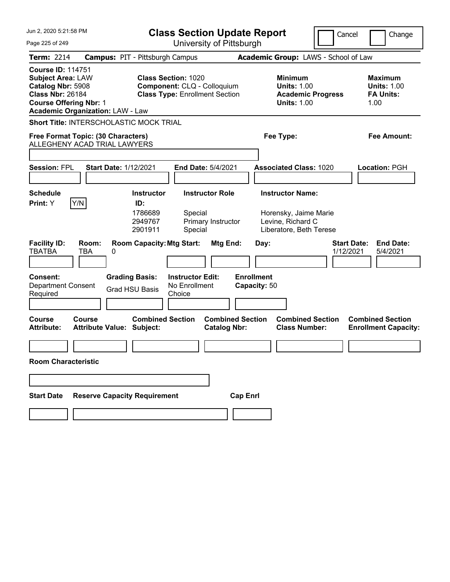| Jun 2, 2020 5:21:58 PM                                                                                                                                                           | <b>Class Section Update Report</b>                                                                   |                                                |                                                                       | Cancel                          | Change                                                           |
|----------------------------------------------------------------------------------------------------------------------------------------------------------------------------------|------------------------------------------------------------------------------------------------------|------------------------------------------------|-----------------------------------------------------------------------|---------------------------------|------------------------------------------------------------------|
| Page 225 of 249                                                                                                                                                                  |                                                                                                      | University of Pittsburgh                       |                                                                       |                                 |                                                                  |
| <b>Term: 2214</b>                                                                                                                                                                | <b>Campus: PIT - Pittsburgh Campus</b>                                                               |                                                | Academic Group: LAWS - School of Law                                  |                                 |                                                                  |
| <b>Course ID: 114751</b><br><b>Subject Area: LAW</b><br>Catalog Nbr: 5908<br><b>Class Nbr: 26184</b><br><b>Course Offering Nbr: 1</b><br><b>Academic Organization: LAW - Law</b> | <b>Class Section: 1020</b><br>Component: CLQ - Colloquium<br><b>Class Type: Enrollment Section</b>   |                                                | <b>Minimum</b><br><b>Units: 1.00</b><br><b>Units: 1.00</b>            | <b>Academic Progress</b>        | <b>Maximum</b><br><b>Units: 1.00</b><br><b>FA Units:</b><br>1.00 |
| <b>Short Title: INTERSCHOLASTIC MOCK TRIAL</b>                                                                                                                                   |                                                                                                      |                                                |                                                                       |                                 |                                                                  |
| Free Format Topic: (30 Characters)                                                                                                                                               |                                                                                                      |                                                | Fee Type:                                                             |                                 | <b>Fee Amount:</b>                                               |
| ALLEGHENY ACAD TRIAL LAWYERS                                                                                                                                                     |                                                                                                      |                                                |                                                                       |                                 |                                                                  |
| <b>Session: FPL</b><br><b>Start Date: 1/12/2021</b>                                                                                                                              |                                                                                                      | End Date: 5/4/2021                             | <b>Associated Class: 1020</b>                                         |                                 | Location: PGH                                                    |
|                                                                                                                                                                                  |                                                                                                      |                                                |                                                                       |                                 |                                                                  |
| <b>Schedule</b><br>Y/N<br>Print: Y                                                                                                                                               | <b>Instructor</b><br>ID:<br>1786689<br>Special<br>2949767                                            | <b>Instructor Role</b><br>Primary Instructor   | <b>Instructor Name:</b><br>Horensky, Jaime Marie<br>Levine, Richard C |                                 |                                                                  |
| <b>Facility ID:</b><br>Room:<br><b>TBATBA</b><br>TBA<br>0                                                                                                                        | 2901911<br>Special<br><b>Room Capacity: Mtg Start:</b>                                               | Mtg End:                                       | Liberatore, Beth Terese<br>Day:                                       | <b>Start Date:</b><br>1/12/2021 | <b>End Date:</b><br>5/4/2021                                     |
| <b>Consent:</b><br><b>Department Consent</b><br>Required                                                                                                                         | <b>Grading Basis:</b><br><b>Instructor Edit:</b><br>No Enrollment<br><b>Grad HSU Basis</b><br>Choice |                                                | <b>Enrollment</b><br>Capacity: 50                                     |                                 |                                                                  |
| <b>Course</b><br>Course<br>Attribute Value: Subject:<br><b>Attribute:</b>                                                                                                        | <b>Combined Section</b>                                                                              | <b>Combined Section</b><br><b>Catalog Nbr:</b> | <b>Combined Section</b><br><b>Class Number:</b>                       |                                 | <b>Combined Section</b><br><b>Enrollment Capacity:</b>           |
| <b>Room Characteristic</b>                                                                                                                                                       |                                                                                                      |                                                |                                                                       |                                 |                                                                  |
|                                                                                                                                                                                  |                                                                                                      |                                                |                                                                       |                                 |                                                                  |
| <b>Reserve Capacity Requirement</b><br><b>Start Date</b>                                                                                                                         |                                                                                                      | <b>Cap Enrl</b>                                |                                                                       |                                 |                                                                  |
|                                                                                                                                                                                  |                                                                                                      |                                                |                                                                       |                                 |                                                                  |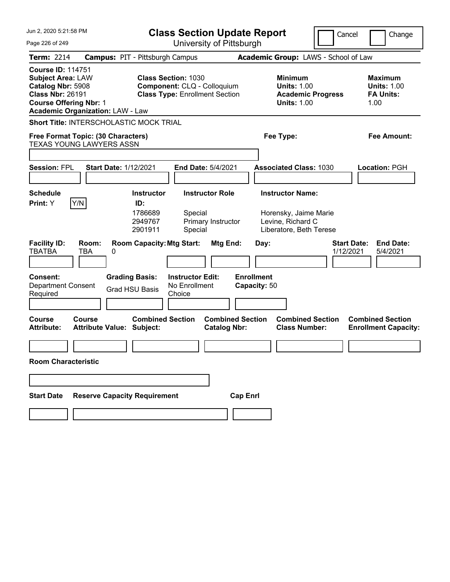| Jun 2, 2020 5:21:58 PM                                                                                                                                                           |                                                |                                                                                                    | <b>Class Section Update Report</b>             | Cancel                                                                                           | Change                          |                                                                  |  |  |
|----------------------------------------------------------------------------------------------------------------------------------------------------------------------------------|------------------------------------------------|----------------------------------------------------------------------------------------------------|------------------------------------------------|--------------------------------------------------------------------------------------------------|---------------------------------|------------------------------------------------------------------|--|--|
| Page 226 of 249                                                                                                                                                                  |                                                |                                                                                                    | University of Pittsburgh                       |                                                                                                  |                                 |                                                                  |  |  |
| Term: 2214                                                                                                                                                                       |                                                | <b>Campus: PIT - Pittsburgh Campus</b>                                                             |                                                | Academic Group: LAWS - School of Law                                                             |                                 |                                                                  |  |  |
| <b>Course ID: 114751</b><br><b>Subject Area: LAW</b><br>Catalog Nbr: 5908<br><b>Class Nbr: 26191</b><br><b>Course Offering Nbr: 1</b><br><b>Academic Organization: LAW - Law</b> |                                                | <b>Class Section: 1030</b><br>Component: CLQ - Colloquium<br><b>Class Type: Enrollment Section</b> |                                                | <b>Minimum</b><br><b>Units: 1.00</b><br><b>Units: 1.00</b>                                       | <b>Academic Progress</b>        | <b>Maximum</b><br><b>Units: 1.00</b><br><b>FA Units:</b><br>1.00 |  |  |
| <b>Short Title: INTERSCHOLASTIC MOCK TRIAL</b>                                                                                                                                   |                                                |                                                                                                    |                                                |                                                                                                  |                                 |                                                                  |  |  |
| Free Format Topic: (30 Characters)<br><b>TEXAS YOUNG LAWYERS ASSN</b>                                                                                                            |                                                |                                                                                                    |                                                | Fee Type:<br>Fee Amount:                                                                         |                                 |                                                                  |  |  |
|                                                                                                                                                                                  |                                                |                                                                                                    |                                                |                                                                                                  |                                 |                                                                  |  |  |
| <b>Session: FPL</b>                                                                                                                                                              | <b>Start Date: 1/12/2021</b>                   |                                                                                                    | End Date: 5/4/2021                             | <b>Associated Class: 1030</b>                                                                    |                                 | Location: PGH                                                    |  |  |
| <b>Schedule</b><br>Y/N<br>Print: Y                                                                                                                                               | ID:                                            | <b>Instructor</b><br>1786689<br>Special<br>2949767<br>2901911<br>Special                           | <b>Instructor Role</b><br>Primary Instructor   | <b>Instructor Name:</b><br>Horensky, Jaime Marie<br>Levine, Richard C<br>Liberatore, Beth Terese |                                 |                                                                  |  |  |
| <b>Facility ID:</b><br><b>TBATBA</b><br>TBA                                                                                                                                      | Room:<br>0                                     | <b>Room Capacity: Mtg Start:</b>                                                                   | Mtg End:                                       | Day:                                                                                             | <b>Start Date:</b><br>1/12/2021 | <b>End Date:</b><br>5/4/2021                                     |  |  |
| <b>Consent:</b><br><b>Department Consent</b><br>Required                                                                                                                         | <b>Grading Basis:</b><br><b>Grad HSU Basis</b> | <b>Instructor Edit:</b><br>No Enrollment<br>Choice                                                 |                                                | <b>Enrollment</b><br>Capacity: 50                                                                |                                 |                                                                  |  |  |
| Course<br>Course<br><b>Attribute:</b>                                                                                                                                            | <b>Attribute Value: Subject:</b>               | <b>Combined Section</b>                                                                            | <b>Combined Section</b><br><b>Catalog Nbr:</b> | <b>Class Number:</b>                                                                             | <b>Combined Section</b>         | <b>Combined Section</b><br><b>Enrollment Capacity:</b>           |  |  |
| <b>Room Characteristic</b>                                                                                                                                                       |                                                |                                                                                                    |                                                |                                                                                                  |                                 |                                                                  |  |  |
|                                                                                                                                                                                  |                                                |                                                                                                    |                                                |                                                                                                  |                                 |                                                                  |  |  |
| <b>Start Date</b>                                                                                                                                                                | <b>Reserve Capacity Requirement</b>            |                                                                                                    | <b>Cap Enrl</b>                                |                                                                                                  |                                 |                                                                  |  |  |
|                                                                                                                                                                                  |                                                |                                                                                                    |                                                |                                                                                                  |                                 |                                                                  |  |  |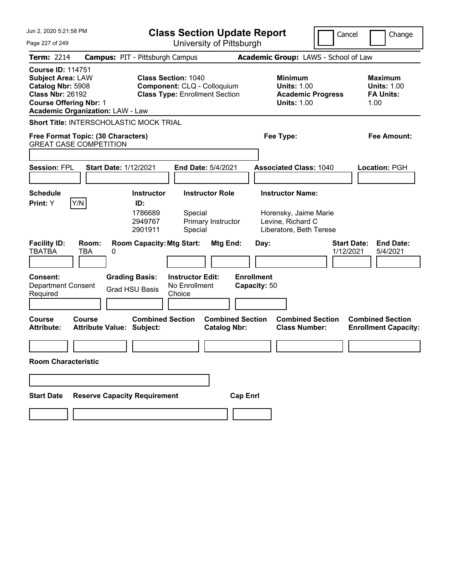| Jun 2, 2020 5:21:58 PM                                                                                                                |                                                                     |                                                                                                    |                                                    |                                                |                 | <b>Class Section Update Report</b><br>Cancel<br>Change |                                                                                                  |  |                                 |  |                                                                  |
|---------------------------------------------------------------------------------------------------------------------------------------|---------------------------------------------------------------------|----------------------------------------------------------------------------------------------------|----------------------------------------------------|------------------------------------------------|-----------------|--------------------------------------------------------|--------------------------------------------------------------------------------------------------|--|---------------------------------|--|------------------------------------------------------------------|
| Page 227 of 249                                                                                                                       |                                                                     |                                                                                                    |                                                    | University of Pittsburgh                       |                 |                                                        |                                                                                                  |  |                                 |  |                                                                  |
| Term: 2214                                                                                                                            |                                                                     | <b>Campus: PIT - Pittsburgh Campus</b>                                                             |                                                    |                                                |                 |                                                        | Academic Group: LAWS - School of Law                                                             |  |                                 |  |                                                                  |
| <b>Course ID: 114751</b><br><b>Subject Area: LAW</b><br>Catalog Nbr: 5908<br><b>Class Nbr: 26192</b><br><b>Course Offering Nbr: 1</b> | <b>Academic Organization: LAW - Law</b>                             | <b>Class Section: 1040</b><br>Component: CLQ - Colloquium<br><b>Class Type: Enrollment Section</b> |                                                    |                                                |                 |                                                        | <b>Minimum</b><br><b>Units: 1.00</b><br><b>Academic Progress</b><br><b>Units: 1.00</b>           |  |                                 |  | <b>Maximum</b><br><b>Units: 1.00</b><br><b>FA Units:</b><br>1.00 |
|                                                                                                                                       | <b>Short Title: INTERSCHOLASTIC MOCK TRIAL</b>                      |                                                                                                    |                                                    |                                                |                 |                                                        |                                                                                                  |  |                                 |  |                                                                  |
|                                                                                                                                       | Free Format Topic: (30 Characters)<br><b>GREAT CASE COMPETITION</b> |                                                                                                    |                                                    |                                                |                 | Fee Type:                                              |                                                                                                  |  |                                 |  | Fee Amount:                                                      |
|                                                                                                                                       |                                                                     |                                                                                                    |                                                    |                                                |                 |                                                        |                                                                                                  |  |                                 |  |                                                                  |
| <b>Session: FPL</b>                                                                                                                   | <b>Start Date: 1/12/2021</b>                                        |                                                                                                    |                                                    | <b>End Date: 5/4/2021</b>                      |                 |                                                        | <b>Associated Class: 1040</b>                                                                    |  |                                 |  | Location: PGH                                                    |
| <b>Schedule</b><br>Print: Y                                                                                                           | Y/N                                                                 | <b>Instructor</b><br>ID:<br>1786689<br>2949767<br>2901911                                          | Special<br>Special                                 | <b>Instructor Role</b><br>Primary Instructor   |                 |                                                        | <b>Instructor Name:</b><br>Horensky, Jaime Marie<br>Levine, Richard C<br>Liberatore, Beth Terese |  |                                 |  |                                                                  |
| <b>Facility ID:</b><br><b>TBATBA</b>                                                                                                  | Room:<br>TBA<br>0                                                   | <b>Room Capacity: Mtg Start:</b>                                                                   |                                                    | Mtg End:                                       |                 | Day:                                                   |                                                                                                  |  | <b>Start Date:</b><br>1/12/2021 |  | <b>End Date:</b><br>5/4/2021                                     |
| <b>Consent:</b><br><b>Department Consent</b><br>Required                                                                              |                                                                     | <b>Grading Basis:</b><br><b>Grad HSU Basis</b>                                                     | <b>Instructor Edit:</b><br>No Enrollment<br>Choice |                                                |                 | <b>Enrollment</b><br>Capacity: 50                      |                                                                                                  |  |                                 |  |                                                                  |
| <b>Course</b><br><b>Attribute:</b>                                                                                                    | Course<br><b>Attribute Value: Subject:</b>                          | <b>Combined Section</b>                                                                            |                                                    | <b>Combined Section</b><br><b>Catalog Nbr:</b> |                 |                                                        | <b>Combined Section</b><br><b>Class Number:</b>                                                  |  |                                 |  | <b>Combined Section</b><br><b>Enrollment Capacity:</b>           |
|                                                                                                                                       |                                                                     |                                                                                                    |                                                    |                                                |                 |                                                        |                                                                                                  |  |                                 |  |                                                                  |
| <b>Room Characteristic</b>                                                                                                            |                                                                     |                                                                                                    |                                                    |                                                |                 |                                                        |                                                                                                  |  |                                 |  |                                                                  |
|                                                                                                                                       |                                                                     |                                                                                                    |                                                    |                                                |                 |                                                        |                                                                                                  |  |                                 |  |                                                                  |
| <b>Start Date</b>                                                                                                                     | <b>Reserve Capacity Requirement</b>                                 |                                                                                                    |                                                    |                                                | <b>Cap Enrl</b> |                                                        |                                                                                                  |  |                                 |  |                                                                  |
|                                                                                                                                       |                                                                     |                                                                                                    |                                                    |                                                |                 |                                                        |                                                                                                  |  |                                 |  |                                                                  |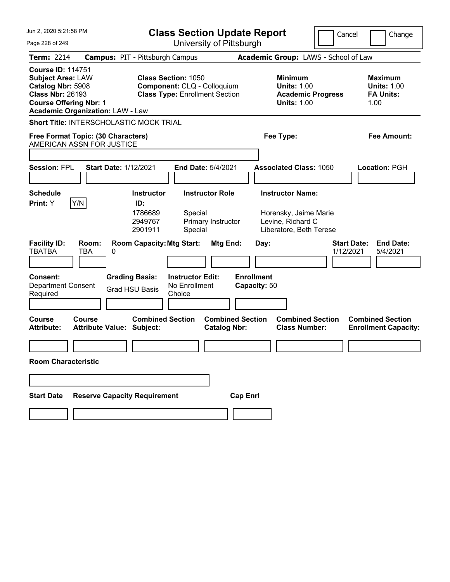| Jun 2, 2020 5:21:58 PM                                                                                                                                                           | <b>Class Section Update Report</b>                                                                   |                                                |                                                                       | Cancel                          | Change                                                           |
|----------------------------------------------------------------------------------------------------------------------------------------------------------------------------------|------------------------------------------------------------------------------------------------------|------------------------------------------------|-----------------------------------------------------------------------|---------------------------------|------------------------------------------------------------------|
| Page 228 of 249                                                                                                                                                                  |                                                                                                      | University of Pittsburgh                       |                                                                       |                                 |                                                                  |
| Term: 2214                                                                                                                                                                       | <b>Campus: PIT - Pittsburgh Campus</b>                                                               |                                                | Academic Group: LAWS - School of Law                                  |                                 |                                                                  |
| <b>Course ID: 114751</b><br><b>Subject Area: LAW</b><br>Catalog Nbr: 5908<br><b>Class Nbr: 26193</b><br><b>Course Offering Nbr: 1</b><br><b>Academic Organization: LAW - Law</b> | <b>Class Section: 1050</b><br>Component: CLQ - Colloquium<br><b>Class Type: Enrollment Section</b>   |                                                | <b>Minimum</b><br><b>Units: 1.00</b><br><b>Units: 1.00</b>            | <b>Academic Progress</b>        | <b>Maximum</b><br><b>Units: 1.00</b><br><b>FA Units:</b><br>1.00 |
| Short Title: INTERSCHOLASTIC MOCK TRIAL                                                                                                                                          |                                                                                                      |                                                |                                                                       |                                 |                                                                  |
| Free Format Topic: (30 Characters)<br>AMERICAN ASSN FOR JUSTICE                                                                                                                  |                                                                                                      |                                                | Fee Type:                                                             |                                 | Fee Amount:                                                      |
|                                                                                                                                                                                  |                                                                                                      |                                                |                                                                       |                                 |                                                                  |
| <b>Start Date: 1/12/2021</b><br><b>Session: FPL</b>                                                                                                                              |                                                                                                      | End Date: 5/4/2021                             | <b>Associated Class: 1050</b>                                         |                                 | <b>Location: PGH</b>                                             |
|                                                                                                                                                                                  |                                                                                                      |                                                |                                                                       |                                 |                                                                  |
| <b>Schedule</b>                                                                                                                                                                  | <b>Instructor</b>                                                                                    | <b>Instructor Role</b>                         | <b>Instructor Name:</b>                                               |                                 |                                                                  |
| Y/N<br>Print: Y                                                                                                                                                                  | ID:<br>1786689<br>Special<br>2949767<br>2901911<br>Special                                           | Primary Instructor                             | Horensky, Jaime Marie<br>Levine, Richard C<br>Liberatore, Beth Terese |                                 |                                                                  |
| <b>Facility ID:</b><br>Room:<br><b>TBATBA</b><br>TBA<br>0                                                                                                                        | <b>Room Capacity: Mtg Start:</b>                                                                     | Mtg End:                                       | Day:                                                                  | <b>Start Date:</b><br>1/12/2021 | <b>End Date:</b><br>5/4/2021                                     |
| Consent:<br><b>Department Consent</b><br>Required                                                                                                                                | <b>Instructor Edit:</b><br><b>Grading Basis:</b><br>No Enrollment<br><b>Grad HSU Basis</b><br>Choice |                                                | <b>Enrollment</b><br>Capacity: 50                                     |                                 |                                                                  |
|                                                                                                                                                                                  |                                                                                                      |                                                |                                                                       |                                 |                                                                  |
| Course<br>Course<br><b>Attribute:</b><br><b>Attribute Value: Subject:</b>                                                                                                        | <b>Combined Section</b>                                                                              | <b>Combined Section</b><br><b>Catalog Nbr:</b> | <b>Combined Section</b><br><b>Class Number:</b>                       |                                 | <b>Combined Section</b><br><b>Enrollment Capacity:</b>           |
|                                                                                                                                                                                  |                                                                                                      |                                                |                                                                       |                                 |                                                                  |
| <b>Room Characteristic</b>                                                                                                                                                       |                                                                                                      |                                                |                                                                       |                                 |                                                                  |
|                                                                                                                                                                                  |                                                                                                      |                                                |                                                                       |                                 |                                                                  |
| <b>Reserve Capacity Requirement</b><br><b>Start Date</b>                                                                                                                         |                                                                                                      | <b>Cap Enrl</b>                                |                                                                       |                                 |                                                                  |
|                                                                                                                                                                                  |                                                                                                      |                                                |                                                                       |                                 |                                                                  |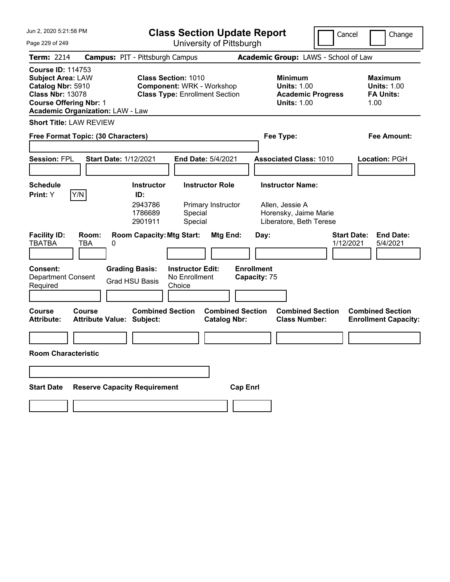| Jun 2, 2020 5:21:58 PM                                                                                                                                                           | <b>Class Section Update Report</b>                                                                      |                                                                                        | Cancel<br>Change                                                 |
|----------------------------------------------------------------------------------------------------------------------------------------------------------------------------------|---------------------------------------------------------------------------------------------------------|----------------------------------------------------------------------------------------|------------------------------------------------------------------|
| Page 229 of 249                                                                                                                                                                  | University of Pittsburgh                                                                                |                                                                                        |                                                                  |
| <b>Term: 2214</b>                                                                                                                                                                | <b>Campus: PIT - Pittsburgh Campus</b>                                                                  | Academic Group: LAWS - School of Law                                                   |                                                                  |
| <b>Course ID: 114753</b><br><b>Subject Area: LAW</b><br>Catalog Nbr: 5910<br><b>Class Nbr: 13078</b><br><b>Course Offering Nbr: 1</b><br><b>Academic Organization: LAW - Law</b> | <b>Class Section: 1010</b><br><b>Component: WRK - Workshop</b><br><b>Class Type: Enrollment Section</b> | <b>Minimum</b><br><b>Units: 1.00</b><br><b>Academic Progress</b><br><b>Units: 1.00</b> | <b>Maximum</b><br><b>Units: 1.00</b><br><b>FA Units:</b><br>1.00 |
| <b>Short Title: LAW REVIEW</b>                                                                                                                                                   |                                                                                                         |                                                                                        |                                                                  |
| Free Format Topic: (30 Characters)                                                                                                                                               |                                                                                                         | Fee Type:                                                                              | <b>Fee Amount:</b>                                               |
| <b>Session: FPL</b><br><b>Start Date: 1/12/2021</b>                                                                                                                              | End Date: 5/4/2021                                                                                      | <b>Associated Class: 1010</b>                                                          | Location: PGH                                                    |
| <b>Schedule</b>                                                                                                                                                                  | <b>Instructor</b><br><b>Instructor Role</b>                                                             | <b>Instructor Name:</b>                                                                |                                                                  |
| Y/N <br>Print: Y                                                                                                                                                                 | ID:<br>2943786<br>Primary Instructor<br>1786689<br>Special<br>2901911<br>Special                        | Allen, Jessie A<br>Horensky, Jaime Marie<br>Liberatore, Beth Terese                    | <b>Start Date:</b><br><b>End Date:</b>                           |
| <b>Facility ID:</b><br>Room:<br><b>TBATBA</b><br>TBA<br>0                                                                                                                        | <b>Room Capacity: Mtg Start:</b><br>Mtg End:                                                            | Day:                                                                                   | 1/12/2021<br>5/4/2021                                            |
| <b>Consent:</b><br><b>Department Consent</b><br>Required                                                                                                                         | <b>Grading Basis:</b><br><b>Instructor Edit:</b><br>No Enrollment<br><b>Grad HSU Basis</b><br>Choice    | <b>Enrollment</b><br>Capacity: 75                                                      |                                                                  |
| <b>Course</b><br>Course<br><b>Attribute Value: Subject:</b><br><b>Attribute:</b>                                                                                                 | <b>Combined Section</b><br><b>Catalog Nbr:</b>                                                          | <b>Combined Section</b><br><b>Combined Section</b><br><b>Class Number:</b>             | <b>Combined Section</b><br><b>Enrollment Capacity:</b>           |
|                                                                                                                                                                                  |                                                                                                         |                                                                                        |                                                                  |
| <b>Room Characteristic</b>                                                                                                                                                       |                                                                                                         |                                                                                        |                                                                  |
|                                                                                                                                                                                  |                                                                                                         |                                                                                        |                                                                  |
| <b>Reserve Capacity Requirement</b><br><b>Start Date</b>                                                                                                                         |                                                                                                         | <b>Cap Enrl</b>                                                                        |                                                                  |
|                                                                                                                                                                                  |                                                                                                         |                                                                                        |                                                                  |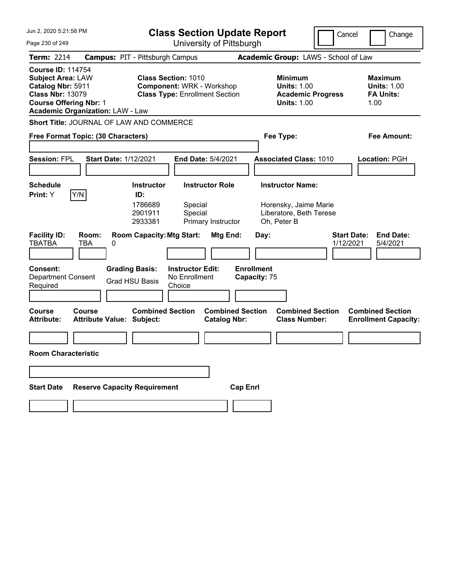| Jun 2, 2020 5:21:58 PM                                                                                                                                                           | <b>Class Section Update Report</b>                                                                                               |                                                                                        | Cancel<br>Change                                                 |
|----------------------------------------------------------------------------------------------------------------------------------------------------------------------------------|----------------------------------------------------------------------------------------------------------------------------------|----------------------------------------------------------------------------------------|------------------------------------------------------------------|
| Page 230 of 249                                                                                                                                                                  | University of Pittsburgh                                                                                                         |                                                                                        |                                                                  |
| <b>Term: 2214</b>                                                                                                                                                                | <b>Campus: PIT - Pittsburgh Campus</b>                                                                                           | Academic Group: LAWS - School of Law                                                   |                                                                  |
| <b>Course ID: 114754</b><br><b>Subject Area: LAW</b><br>Catalog Nbr: 5911<br><b>Class Nbr: 13079</b><br><b>Course Offering Nbr: 1</b><br><b>Academic Organization: LAW - Law</b> | <b>Class Section: 1010</b><br><b>Component: WRK - Workshop</b><br><b>Class Type: Enrollment Section</b>                          | <b>Minimum</b><br><b>Units: 1.00</b><br><b>Academic Progress</b><br><b>Units: 1.00</b> | <b>Maximum</b><br><b>Units: 1.00</b><br><b>FA Units:</b><br>1.00 |
| Short Title: JOURNAL OF LAW AND COMMERCE                                                                                                                                         |                                                                                                                                  |                                                                                        |                                                                  |
| Free Format Topic: (30 Characters)                                                                                                                                               |                                                                                                                                  | Fee Type:                                                                              | <b>Fee Amount:</b>                                               |
| <b>Session: FPL</b><br><b>Start Date: 1/12/2021</b>                                                                                                                              | <b>End Date: 5/4/2021</b>                                                                                                        | <b>Associated Class: 1010</b>                                                          | <b>Location: PGH</b>                                             |
| <b>Schedule</b>                                                                                                                                                                  | <b>Instructor</b><br><b>Instructor Role</b>                                                                                      | <b>Instructor Name:</b>                                                                |                                                                  |
| Y/N<br>Print: Y<br><b>Facility ID:</b><br>Room:                                                                                                                                  | ID:<br>1786689<br>Special<br>2901911<br>Special<br>2933381<br>Primary Instructor<br><b>Room Capacity: Mtg Start:</b><br>Mtg End: | Horensky, Jaime Marie<br>Liberatore, Beth Terese<br>Oh, Peter B<br>Day:                | <b>Start Date:</b><br><b>End Date:</b>                           |
| <b>TBATBA</b><br>TBA<br>0                                                                                                                                                        |                                                                                                                                  |                                                                                        | 1/12/2021<br>5/4/2021                                            |
| <b>Consent:</b><br><b>Department Consent</b><br>Required                                                                                                                         | <b>Grading Basis:</b><br><b>Instructor Edit:</b><br>No Enrollment<br><b>Grad HSU Basis</b><br>Choice                             | <b>Enrollment</b><br>Capacity: 75                                                      |                                                                  |
| <b>Course</b><br>Course<br><b>Attribute Value: Subject:</b><br><b>Attribute:</b>                                                                                                 | <b>Combined Section</b><br><b>Catalog Nbr:</b>                                                                                   | <b>Combined Section</b><br><b>Combined Section</b><br><b>Class Number:</b>             | <b>Combined Section</b><br><b>Enrollment Capacity:</b>           |
|                                                                                                                                                                                  |                                                                                                                                  |                                                                                        |                                                                  |
| <b>Room Characteristic</b>                                                                                                                                                       |                                                                                                                                  |                                                                                        |                                                                  |
|                                                                                                                                                                                  |                                                                                                                                  |                                                                                        |                                                                  |
| <b>Reserve Capacity Requirement</b><br><b>Start Date</b>                                                                                                                         |                                                                                                                                  | <b>Cap Enrl</b>                                                                        |                                                                  |
|                                                                                                                                                                                  |                                                                                                                                  |                                                                                        |                                                                  |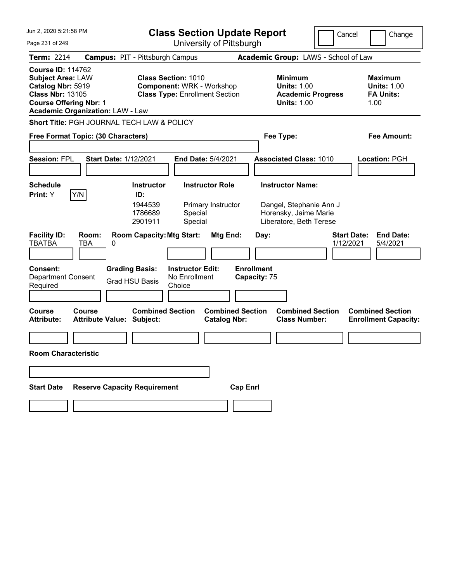| Jun 2, 2020 5:21:58 PM                                                                                                                                                           |                                                | <b>Class Section Update Report</b>                                                                      |                                                    |                                                |                 | Cancel                            | Change                                                                                 |                                 |                                                                  |
|----------------------------------------------------------------------------------------------------------------------------------------------------------------------------------|------------------------------------------------|---------------------------------------------------------------------------------------------------------|----------------------------------------------------|------------------------------------------------|-----------------|-----------------------------------|----------------------------------------------------------------------------------------|---------------------------------|------------------------------------------------------------------|
| Page 231 of 249                                                                                                                                                                  |                                                |                                                                                                         | University of Pittsburgh                           |                                                |                 |                                   |                                                                                        |                                 |                                                                  |
| <b>Term: 2214</b>                                                                                                                                                                | <b>Campus: PIT - Pittsburgh Campus</b>         |                                                                                                         |                                                    |                                                |                 |                                   | Academic Group: LAWS - School of Law                                                   |                                 |                                                                  |
| <b>Course ID: 114762</b><br><b>Subject Area: LAW</b><br>Catalog Nbr: 5919<br><b>Class Nbr: 13105</b><br><b>Course Offering Nbr: 1</b><br><b>Academic Organization: LAW - Law</b> |                                                | <b>Class Section: 1010</b><br><b>Component: WRK - Workshop</b><br><b>Class Type: Enrollment Section</b> |                                                    |                                                |                 |                                   | <b>Minimum</b><br><b>Units: 1.00</b><br><b>Academic Progress</b><br><b>Units: 1.00</b> |                                 | <b>Maximum</b><br><b>Units: 1.00</b><br><b>FA Units:</b><br>1.00 |
| Short Title: PGH JOURNAL TECH LAW & POLICY                                                                                                                                       |                                                |                                                                                                         |                                                    |                                                |                 |                                   |                                                                                        |                                 |                                                                  |
| Free Format Topic: (30 Characters)                                                                                                                                               |                                                |                                                                                                         |                                                    |                                                |                 |                                   | Fee Type:                                                                              |                                 | <b>Fee Amount:</b>                                               |
|                                                                                                                                                                                  |                                                |                                                                                                         |                                                    |                                                |                 |                                   |                                                                                        |                                 |                                                                  |
| <b>Session: FPL</b>                                                                                                                                                              | <b>Start Date: 1/12/2021</b>                   |                                                                                                         | End Date: 5/4/2021                                 |                                                |                 |                                   | <b>Associated Class: 1010</b>                                                          |                                 | Location: PGH                                                    |
|                                                                                                                                                                                  |                                                |                                                                                                         |                                                    |                                                |                 |                                   |                                                                                        |                                 |                                                                  |
| <b>Schedule</b><br>Y/N<br>Print: Y                                                                                                                                               |                                                | <b>Instructor</b><br>ID:                                                                                |                                                    | <b>Instructor Role</b>                         |                 |                                   | <b>Instructor Name:</b>                                                                |                                 |                                                                  |
|                                                                                                                                                                                  |                                                | 1944539<br>1786689<br>2901911                                                                           | Special<br>Special                                 | Primary Instructor                             |                 |                                   | Dangel, Stephanie Ann J<br>Horensky, Jaime Marie<br>Liberatore, Beth Terese            |                                 |                                                                  |
| <b>Facility ID:</b><br><b>TBATBA</b>                                                                                                                                             | Room:<br>TBA<br>0                              | <b>Room Capacity: Mtg Start:</b>                                                                        |                                                    | Mtg End:                                       |                 | Day:                              |                                                                                        | <b>Start Date:</b><br>1/12/2021 | <b>End Date:</b><br>5/4/2021                                     |
| <b>Consent:</b><br><b>Department Consent</b><br>Required                                                                                                                         | <b>Grading Basis:</b><br><b>Grad HSU Basis</b> |                                                                                                         | <b>Instructor Edit:</b><br>No Enrollment<br>Choice |                                                |                 | <b>Enrollment</b><br>Capacity: 75 |                                                                                        |                                 |                                                                  |
| <b>Course</b><br><b>Attribute:</b>                                                                                                                                               | Course<br><b>Attribute Value: Subject:</b>     | <b>Combined Section</b>                                                                                 |                                                    | <b>Combined Section</b><br><b>Catalog Nbr:</b> |                 |                                   | <b>Combined Section</b><br><b>Class Number:</b>                                        |                                 | <b>Combined Section</b><br><b>Enrollment Capacity:</b>           |
|                                                                                                                                                                                  |                                                |                                                                                                         |                                                    |                                                |                 |                                   |                                                                                        |                                 |                                                                  |
| <b>Room Characteristic</b>                                                                                                                                                       |                                                |                                                                                                         |                                                    |                                                |                 |                                   |                                                                                        |                                 |                                                                  |
|                                                                                                                                                                                  |                                                |                                                                                                         |                                                    |                                                |                 |                                   |                                                                                        |                                 |                                                                  |
|                                                                                                                                                                                  |                                                |                                                                                                         |                                                    |                                                |                 |                                   |                                                                                        |                                 |                                                                  |
| <b>Start Date</b>                                                                                                                                                                | <b>Reserve Capacity Requirement</b>            |                                                                                                         |                                                    |                                                | <b>Cap Enrl</b> |                                   |                                                                                        |                                 |                                                                  |
|                                                                                                                                                                                  |                                                |                                                                                                         |                                                    |                                                |                 |                                   |                                                                                        |                                 |                                                                  |
|                                                                                                                                                                                  |                                                |                                                                                                         |                                                    |                                                |                 |                                   |                                                                                        |                                 |                                                                  |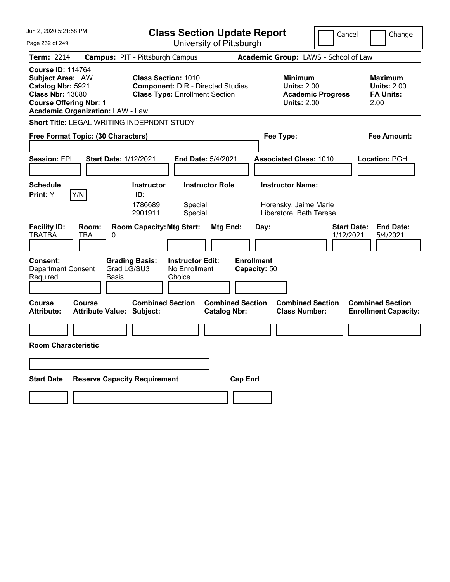| Jun 2, 2020 5:21:58 PM                                                                                                                                                           | <b>Class Section Update Report</b>                                                                                                                               | Cancel                                                                                 | Change                                                           |
|----------------------------------------------------------------------------------------------------------------------------------------------------------------------------------|------------------------------------------------------------------------------------------------------------------------------------------------------------------|----------------------------------------------------------------------------------------|------------------------------------------------------------------|
| Page 232 of 249                                                                                                                                                                  | University of Pittsburgh                                                                                                                                         |                                                                                        |                                                                  |
| <b>Term: 2214</b>                                                                                                                                                                | <b>Campus: PIT - Pittsburgh Campus</b>                                                                                                                           | Academic Group: LAWS - School of Law                                                   |                                                                  |
| <b>Course ID: 114764</b><br><b>Subject Area: LAW</b><br>Catalog Nbr: 5921<br><b>Class Nbr: 13080</b><br><b>Course Offering Nbr: 1</b><br><b>Academic Organization: LAW - Law</b> | <b>Class Section: 1010</b><br><b>Component: DIR - Directed Studies</b><br><b>Class Type: Enrollment Section</b>                                                  | <b>Minimum</b><br><b>Units: 2.00</b><br><b>Academic Progress</b><br><b>Units: 2.00</b> | <b>Maximum</b><br><b>Units: 2.00</b><br><b>FA Units:</b><br>2.00 |
| Short Title: LEGAL WRITING INDEPNDNT STUDY                                                                                                                                       |                                                                                                                                                                  |                                                                                        |                                                                  |
| Free Format Topic: (30 Characters)                                                                                                                                               |                                                                                                                                                                  | Fee Type:                                                                              | Fee Amount:                                                      |
| <b>Session: FPL</b><br><b>Start Date: 1/12/2021</b>                                                                                                                              | <b>End Date: 5/4/2021</b>                                                                                                                                        | <b>Associated Class: 1010</b>                                                          | <b>Location: PGH</b>                                             |
| <b>Schedule</b><br>Y/N<br>Print: Y                                                                                                                                               | <b>Instructor Role</b><br><b>Instructor</b><br>ID:<br>1786689<br>Special<br>Special<br>2901911                                                                   | <b>Instructor Name:</b><br>Horensky, Jaime Marie<br>Liberatore, Beth Terese            |                                                                  |
| <b>Facility ID:</b><br>Room:<br><b>TBATBA</b><br>TBA<br>0<br><b>Consent:</b><br>Grad LG/SU3<br><b>Department Consent</b><br>Required<br>Basis                                    | <b>Room Capacity: Mtg Start:</b><br>Mtg End:<br><b>Enrollment</b><br><b>Grading Basis:</b><br><b>Instructor Edit:</b><br>No Enrollment<br>Capacity: 50<br>Choice | Day:<br><b>Start Date:</b><br>1/12/2021                                                | <b>End Date:</b><br>5/4/2021                                     |
| <b>Course</b><br><b>Course</b><br><b>Attribute:</b><br><b>Attribute Value: Subject:</b><br><b>Room Characteristic</b>                                                            | <b>Combined Section</b><br><b>Combined Section</b><br><b>Catalog Nbr:</b>                                                                                        | <b>Combined Section</b><br><b>Class Number:</b>                                        | <b>Combined Section</b><br><b>Enrollment Capacity:</b>           |
|                                                                                                                                                                                  |                                                                                                                                                                  |                                                                                        |                                                                  |
| <b>Start Date</b><br><b>Reserve Capacity Requirement</b>                                                                                                                         | <b>Cap Enri</b>                                                                                                                                                  |                                                                                        |                                                                  |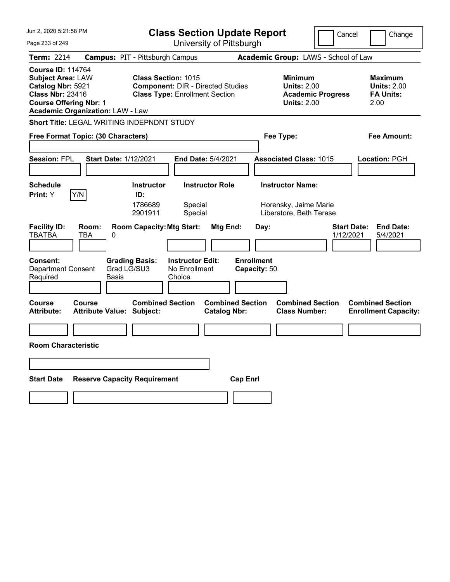| Jun 2, 2020 5:21:58 PM                                                                                                                                                           | <b>Class Section Update Report</b>                                                                                                         | Cancel                                                                                 | Change                                                           |
|----------------------------------------------------------------------------------------------------------------------------------------------------------------------------------|--------------------------------------------------------------------------------------------------------------------------------------------|----------------------------------------------------------------------------------------|------------------------------------------------------------------|
| Page 233 of 249                                                                                                                                                                  | University of Pittsburgh                                                                                                                   |                                                                                        |                                                                  |
| Term: 2214                                                                                                                                                                       | <b>Campus: PIT - Pittsburgh Campus</b>                                                                                                     | Academic Group: LAWS - School of Law                                                   |                                                                  |
| <b>Course ID: 114764</b><br><b>Subject Area: LAW</b><br>Catalog Nbr: 5921<br><b>Class Nbr: 23416</b><br><b>Course Offering Nbr: 1</b><br><b>Academic Organization: LAW - Law</b> | <b>Class Section: 1015</b><br><b>Component: DIR - Directed Studies</b><br><b>Class Type: Enrollment Section</b>                            | <b>Minimum</b><br><b>Units: 2.00</b><br><b>Academic Progress</b><br><b>Units: 2.00</b> | <b>Maximum</b><br><b>Units: 2.00</b><br><b>FA Units:</b><br>2.00 |
| Short Title: LEGAL WRITING INDEPNDNT STUDY                                                                                                                                       |                                                                                                                                            |                                                                                        |                                                                  |
| Free Format Topic: (30 Characters)                                                                                                                                               |                                                                                                                                            | Fee Type:                                                                              | Fee Amount:                                                      |
| <b>Session: FPL</b>                                                                                                                                                              | <b>Start Date: 1/12/2021</b><br>End Date: 5/4/2021                                                                                         | <b>Associated Class: 1015</b>                                                          | <b>Location: PGH</b>                                             |
| <b>Schedule</b><br>Y/N<br><b>Print:</b> Y                                                                                                                                        | <b>Instructor Role</b><br><b>Instructor</b><br>ID:<br>1786689<br>Special<br>2901911<br>Special                                             | <b>Instructor Name:</b><br>Horensky, Jaime Marie<br>Liberatore, Beth Terese            |                                                                  |
| <b>Facility ID:</b><br>Room:<br>TBATBA<br>TBA<br>0<br><b>Consent:</b><br><b>Department Consent</b><br>Required<br><b>Basis</b>                                                   | <b>Room Capacity: Mtg Start:</b><br>Mtg End:<br><b>Grading Basis:</b><br><b>Instructor Edit:</b><br>Grad LG/SU3<br>No Enrollment<br>Choice | <b>Start Date:</b><br>Day:<br>1/12/2021<br><b>Enrollment</b><br>Capacity: 50           | <b>End Date:</b><br>5/4/2021                                     |
| Course<br>Course<br><b>Attribute:</b><br><b>Attribute Value: Subject:</b><br><b>Room Characteristic</b>                                                                          | <b>Combined Section</b><br><b>Combined Section</b><br><b>Catalog Nbr:</b>                                                                  | <b>Combined Section</b><br><b>Class Number:</b>                                        | <b>Combined Section</b><br><b>Enrollment Capacity:</b>           |
|                                                                                                                                                                                  |                                                                                                                                            |                                                                                        |                                                                  |
| <b>Start Date</b>                                                                                                                                                                | <b>Reserve Capacity Requirement</b><br><b>Cap Enri</b>                                                                                     |                                                                                        |                                                                  |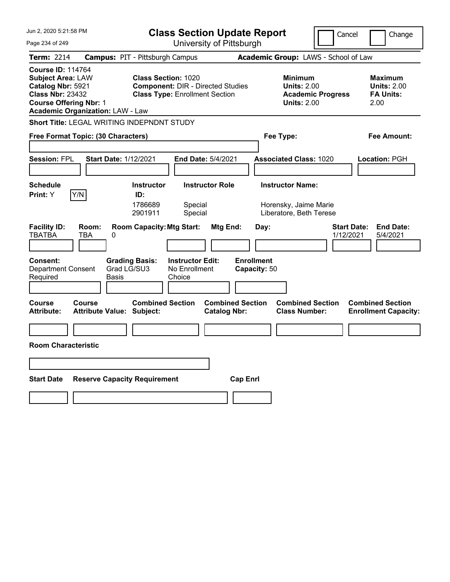| Jun 2, 2020 5:21:58 PM                                                                                                                                                           | <b>Class Section Update Report</b>                                                                                          | Cancel                                                                                 | Change                                                           |
|----------------------------------------------------------------------------------------------------------------------------------------------------------------------------------|-----------------------------------------------------------------------------------------------------------------------------|----------------------------------------------------------------------------------------|------------------------------------------------------------------|
| Page 234 of 249                                                                                                                                                                  | University of Pittsburgh                                                                                                    |                                                                                        |                                                                  |
| Term: 2214                                                                                                                                                                       | <b>Campus: PIT - Pittsburgh Campus</b>                                                                                      | Academic Group: LAWS - School of Law                                                   |                                                                  |
| <b>Course ID: 114764</b><br><b>Subject Area: LAW</b><br>Catalog Nbr: 5921<br><b>Class Nbr: 23432</b><br><b>Course Offering Nbr: 1</b><br><b>Academic Organization: LAW - Law</b> | <b>Class Section: 1020</b><br><b>Component: DIR - Directed Studies</b><br><b>Class Type: Enrollment Section</b>             | <b>Minimum</b><br><b>Units: 2.00</b><br><b>Academic Progress</b><br><b>Units: 2.00</b> | <b>Maximum</b><br><b>Units: 2.00</b><br><b>FA Units:</b><br>2.00 |
| Short Title: LEGAL WRITING INDEPNDNT STUDY                                                                                                                                       |                                                                                                                             |                                                                                        |                                                                  |
| Free Format Topic: (30 Characters)                                                                                                                                               |                                                                                                                             | Fee Type:                                                                              | Fee Amount:                                                      |
| <b>Session: FPL</b><br><b>Start Date: 1/12/2021</b>                                                                                                                              | End Date: 5/4/2021                                                                                                          | <b>Associated Class: 1020</b>                                                          | <b>Location: PGH</b>                                             |
| <b>Schedule</b><br>Y/N<br><b>Print:</b> Y                                                                                                                                        | <b>Instructor Role</b><br><b>Instructor</b><br>ID:<br>1786689<br>Special<br>2901911<br>Special                              | <b>Instructor Name:</b><br>Horensky, Jaime Marie<br>Liberatore, Beth Terese            |                                                                  |
| <b>Facility ID:</b><br>Room:<br>TBATBA<br>TBA<br>0<br><b>Consent:</b><br><b>Department Consent</b><br>Grad LG/SU3<br>Required<br><b>Basis</b>                                    | <b>Room Capacity: Mtg Start:</b><br>Mtg End:<br><b>Grading Basis:</b><br><b>Instructor Edit:</b><br>No Enrollment<br>Choice | <b>Start Date:</b><br>Day:<br>1/12/2021<br><b>Enrollment</b><br>Capacity: 50           | <b>End Date:</b><br>5/4/2021                                     |
| Course<br>Course<br><b>Attribute:</b><br><b>Attribute Value: Subject:</b><br><b>Room Characteristic</b>                                                                          | <b>Combined Section</b><br><b>Combined Section</b><br><b>Catalog Nbr:</b>                                                   | <b>Combined Section</b><br><b>Class Number:</b>                                        | <b>Combined Section</b><br><b>Enrollment Capacity:</b>           |
|                                                                                                                                                                                  |                                                                                                                             |                                                                                        |                                                                  |
| <b>Start Date</b><br><b>Reserve Capacity Requirement</b>                                                                                                                         | <b>Cap Enri</b>                                                                                                             |                                                                                        |                                                                  |
|                                                                                                                                                                                  |                                                                                                                             |                                                                                        |                                                                  |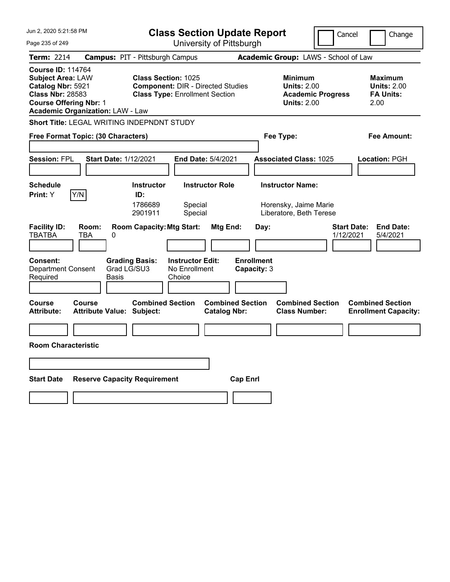| Jun 2, 2020 5:21:58 PM                                                                                                                                                           | <b>Class Section Update Report</b>                                                                                                         | Cancel                                                                                 | Change                                                           |
|----------------------------------------------------------------------------------------------------------------------------------------------------------------------------------|--------------------------------------------------------------------------------------------------------------------------------------------|----------------------------------------------------------------------------------------|------------------------------------------------------------------|
| Page 235 of 249                                                                                                                                                                  | University of Pittsburgh                                                                                                                   |                                                                                        |                                                                  |
| Term: 2214                                                                                                                                                                       | <b>Campus: PIT - Pittsburgh Campus</b>                                                                                                     | Academic Group: LAWS - School of Law                                                   |                                                                  |
| <b>Course ID: 114764</b><br><b>Subject Area: LAW</b><br>Catalog Nbr: 5921<br><b>Class Nbr: 28583</b><br><b>Course Offering Nbr: 1</b><br><b>Academic Organization: LAW - Law</b> | <b>Class Section: 1025</b><br><b>Component: DIR - Directed Studies</b><br><b>Class Type: Enrollment Section</b>                            | <b>Minimum</b><br><b>Units: 2.00</b><br><b>Academic Progress</b><br><b>Units: 2.00</b> | <b>Maximum</b><br><b>Units: 2.00</b><br><b>FA Units:</b><br>2.00 |
| Short Title: LEGAL WRITING INDEPNDNT STUDY                                                                                                                                       |                                                                                                                                            |                                                                                        |                                                                  |
| Free Format Topic: (30 Characters)                                                                                                                                               |                                                                                                                                            | Fee Type:                                                                              | Fee Amount:                                                      |
| <b>Session: FPL</b><br><b>Start Date: 1/12/2021</b>                                                                                                                              | End Date: 5/4/2021                                                                                                                         | <b>Associated Class: 1025</b>                                                          | <b>Location: PGH</b>                                             |
| <b>Schedule</b><br>Y/N<br><b>Print:</b> Y                                                                                                                                        | <b>Instructor Role</b><br><b>Instructor</b><br>ID:<br>1786689<br>Special<br>2901911<br>Special                                             | <b>Instructor Name:</b><br>Horensky, Jaime Marie<br>Liberatore, Beth Terese            |                                                                  |
| <b>Facility ID:</b><br>Room:<br>TBATBA<br>TBA<br>0<br><b>Consent:</b><br><b>Department Consent</b><br>Required<br><b>Basis</b>                                                   | <b>Room Capacity: Mtg Start:</b><br>Mtg End:<br><b>Grading Basis:</b><br><b>Instructor Edit:</b><br>Grad LG/SU3<br>No Enrollment<br>Choice | <b>Start Date:</b><br>Day:<br>1/12/2021<br><b>Enrollment</b><br>Capacity: 3            | <b>End Date:</b><br>5/4/2021                                     |
| Course<br>Course<br><b>Attribute:</b><br><b>Attribute Value: Subject:</b>                                                                                                        | <b>Combined Section</b><br><b>Combined Section</b><br><b>Catalog Nbr:</b>                                                                  | <b>Combined Section</b><br><b>Class Number:</b>                                        | <b>Combined Section</b><br><b>Enrollment Capacity:</b>           |
| <b>Room Characteristic</b>                                                                                                                                                       |                                                                                                                                            |                                                                                        |                                                                  |
|                                                                                                                                                                                  |                                                                                                                                            |                                                                                        |                                                                  |
| <b>Start Date</b>                                                                                                                                                                | <b>Reserve Capacity Requirement</b><br><b>Cap Enri</b>                                                                                     |                                                                                        |                                                                  |
|                                                                                                                                                                                  |                                                                                                                                            |                                                                                        |                                                                  |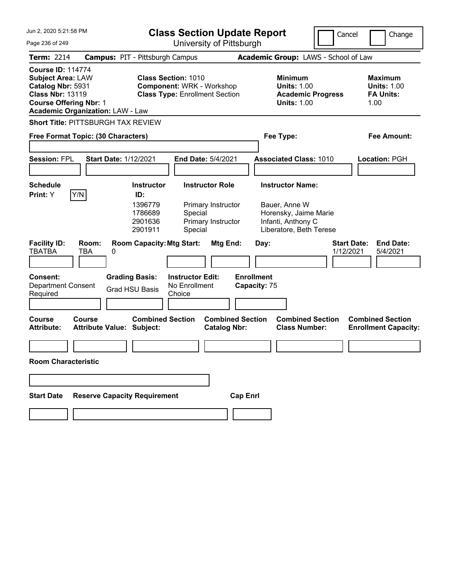| Jun 2, 2020 5:21:58 PM<br><b>Class Section Update Report</b>                                                                                                                     |                                                                      |                                                                                                         | Cancel                                                             | Change                                                                                                             |                                 |                                                                  |
|----------------------------------------------------------------------------------------------------------------------------------------------------------------------------------|----------------------------------------------------------------------|---------------------------------------------------------------------------------------------------------|--------------------------------------------------------------------|--------------------------------------------------------------------------------------------------------------------|---------------------------------|------------------------------------------------------------------|
| Page 236 of 249                                                                                                                                                                  |                                                                      |                                                                                                         | University of Pittsburgh                                           |                                                                                                                    |                                 |                                                                  |
| Term: 2214                                                                                                                                                                       | <b>Campus: PIT - Pittsburgh Campus</b>                               |                                                                                                         |                                                                    | Academic Group: LAWS - School of Law                                                                               |                                 |                                                                  |
| <b>Course ID: 114774</b><br><b>Subject Area: LAW</b><br>Catalog Nbr: 5931<br><b>Class Nbr: 13119</b><br><b>Course Offering Nbr: 1</b><br><b>Academic Organization: LAW - Law</b> |                                                                      | <b>Class Section: 1010</b><br><b>Component: WRK - Workshop</b><br><b>Class Type: Enrollment Section</b> |                                                                    | <b>Minimum</b><br><b>Units: 1.00</b><br><b>Units: 1.00</b>                                                         | <b>Academic Progress</b>        | <b>Maximum</b><br><b>Units: 1.00</b><br><b>FA Units:</b><br>1.00 |
| <b>Short Title: PITTSBURGH TAX REVIEW</b>                                                                                                                                        |                                                                      |                                                                                                         |                                                                    |                                                                                                                    |                                 |                                                                  |
| Free Format Topic: (30 Characters)                                                                                                                                               |                                                                      |                                                                                                         |                                                                    | Fee Type:                                                                                                          |                                 | <b>Fee Amount:</b>                                               |
| <b>Session: FPL</b>                                                                                                                                                              | <b>Start Date: 1/12/2021</b>                                         |                                                                                                         | <b>End Date: 5/4/2021</b>                                          | <b>Associated Class: 1010</b>                                                                                      |                                 | <b>Location: PGH</b>                                             |
| <b>Schedule</b><br>Y/N<br>Print: Y                                                                                                                                               | <b>Instructor</b><br>ID:<br>1396779<br>1786689<br>2901636<br>2901911 | Special<br>Special                                                                                      | <b>Instructor Role</b><br>Primary Instructor<br>Primary Instructor | <b>Instructor Name:</b><br>Bauer, Anne W<br>Horensky, Jaime Marie<br>Infanti, Anthony C<br>Liberatore, Beth Terese |                                 |                                                                  |
| <b>Facility ID:</b><br>Room:<br><b>TBATBA</b><br>TBA                                                                                                                             | 0                                                                    | <b>Room Capacity: Mtg Start:</b>                                                                        | Mtg End:                                                           | Day:                                                                                                               | <b>Start Date:</b><br>1/12/2021 | <b>End Date:</b><br>5/4/2021                                     |
| <b>Consent:</b><br><b>Department Consent</b><br>Required                                                                                                                         | <b>Grading Basis:</b><br><b>Grad HSU Basis</b>                       | <b>Instructor Edit:</b><br>No Enrollment<br>Choice                                                      |                                                                    | <b>Enrollment</b><br>Capacity: 75                                                                                  |                                 |                                                                  |
| <b>Course</b><br>Course<br><b>Attribute:</b>                                                                                                                                     | <b>Attribute Value: Subject:</b>                                     | <b>Combined Section</b>                                                                                 | <b>Combined Section</b><br><b>Catalog Nbr:</b>                     | <b>Combined Section</b><br><b>Class Number:</b>                                                                    |                                 | <b>Combined Section</b><br><b>Enrollment Capacity:</b>           |
| <b>Room Characteristic</b>                                                                                                                                                       |                                                                      |                                                                                                         |                                                                    |                                                                                                                    |                                 |                                                                  |
|                                                                                                                                                                                  |                                                                      |                                                                                                         |                                                                    |                                                                                                                    |                                 |                                                                  |
| <b>Start Date</b>                                                                                                                                                                | <b>Reserve Capacity Requirement</b>                                  |                                                                                                         | <b>Cap Enrl</b>                                                    |                                                                                                                    |                                 |                                                                  |
|                                                                                                                                                                                  |                                                                      |                                                                                                         |                                                                    |                                                                                                                    |                                 |                                                                  |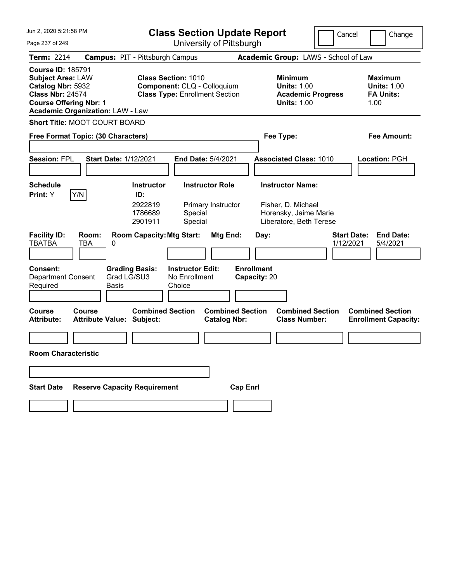| Jun 2, 2020 5:21:58 PM                                                                                                                                                           | <b>Class Section Update Report</b>                                                                 |                                                                                        | Cancel<br>Change                                                 |
|----------------------------------------------------------------------------------------------------------------------------------------------------------------------------------|----------------------------------------------------------------------------------------------------|----------------------------------------------------------------------------------------|------------------------------------------------------------------|
| Page 237 of 249                                                                                                                                                                  | University of Pittsburgh                                                                           |                                                                                        |                                                                  |
| <b>Term: 2214</b>                                                                                                                                                                | <b>Campus: PIT - Pittsburgh Campus</b>                                                             | Academic Group: LAWS - School of Law                                                   |                                                                  |
| <b>Course ID: 185791</b><br><b>Subject Area: LAW</b><br>Catalog Nbr: 5932<br><b>Class Nbr: 24574</b><br><b>Course Offering Nbr: 1</b><br><b>Academic Organization: LAW - Law</b> | <b>Class Section: 1010</b><br>Component: CLQ - Colloquium<br><b>Class Type: Enrollment Section</b> | <b>Minimum</b><br><b>Units: 1.00</b><br><b>Academic Progress</b><br><b>Units: 1.00</b> | <b>Maximum</b><br><b>Units: 1.00</b><br><b>FA Units:</b><br>1.00 |
| <b>Short Title: MOOT COURT BOARD</b>                                                                                                                                             |                                                                                                    |                                                                                        |                                                                  |
| Free Format Topic: (30 Characters)                                                                                                                                               |                                                                                                    | Fee Type:                                                                              | Fee Amount:                                                      |
| <b>Session: FPL</b><br><b>Start Date: 1/12/2021</b>                                                                                                                              | <b>End Date: 5/4/2021</b>                                                                          | <b>Associated Class: 1010</b>                                                          | <b>Location: PGH</b>                                             |
| <b>Schedule</b>                                                                                                                                                                  | <b>Instructor Role</b><br><b>Instructor</b>                                                        | <b>Instructor Name:</b>                                                                |                                                                  |
| Y/N<br>Print: Y                                                                                                                                                                  | ID:<br>2922819<br>Primary Instructor<br>1786689<br>Special<br>Special<br>2901911                   | Fisher, D. Michael<br>Horensky, Jaime Marie<br>Liberatore, Beth Terese                 |                                                                  |
| <b>Facility ID:</b><br>Room:<br><b>TBATBA</b><br><b>TBA</b><br>0                                                                                                                 | <b>Room Capacity: Mtg Start:</b><br>Mtg End:                                                       | Day:                                                                                   | <b>Start Date:</b><br><b>End Date:</b><br>1/12/2021<br>5/4/2021  |
| <b>Consent:</b><br><b>Department Consent</b><br><b>Basis</b><br>Required                                                                                                         | <b>Grading Basis:</b><br><b>Instructor Edit:</b><br>Grad LG/SU3<br>No Enrollment<br>Choice         | <b>Enrollment</b><br>Capacity: 20                                                      |                                                                  |
| <b>Course</b><br>Course<br><b>Attribute Value: Subject:</b><br><b>Attribute:</b>                                                                                                 | <b>Combined Section</b><br><b>Catalog Nbr:</b>                                                     | <b>Combined Section</b><br><b>Combined Section</b><br><b>Class Number:</b>             | <b>Combined Section</b><br><b>Enrollment Capacity:</b>           |
|                                                                                                                                                                                  |                                                                                                    |                                                                                        |                                                                  |
| <b>Room Characteristic</b>                                                                                                                                                       |                                                                                                    |                                                                                        |                                                                  |
|                                                                                                                                                                                  |                                                                                                    |                                                                                        |                                                                  |
| <b>Start Date</b>                                                                                                                                                                | <b>Reserve Capacity Requirement</b>                                                                | <b>Cap Enrl</b>                                                                        |                                                                  |
|                                                                                                                                                                                  |                                                                                                    |                                                                                        |                                                                  |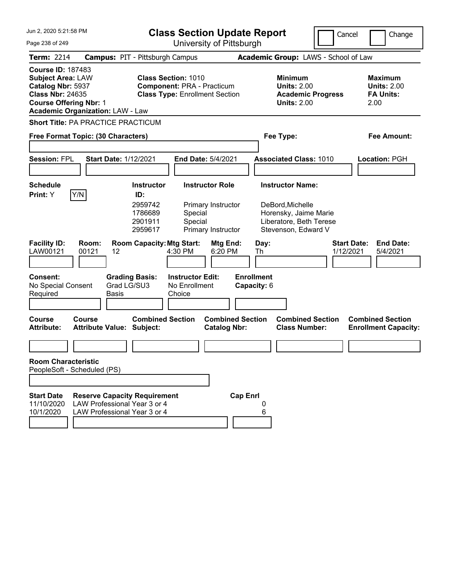| Jun 2, 2020 5:21:58 PM                                                                                                                                                           |                                                                                                     |                                                                                                          |                                                    | <b>Class Section Update Report</b>                                             |                                  |                                                                                                                        | Cancel | Change                                                           |
|----------------------------------------------------------------------------------------------------------------------------------------------------------------------------------|-----------------------------------------------------------------------------------------------------|----------------------------------------------------------------------------------------------------------|----------------------------------------------------|--------------------------------------------------------------------------------|----------------------------------|------------------------------------------------------------------------------------------------------------------------|--------|------------------------------------------------------------------|
| Page 238 of 249                                                                                                                                                                  |                                                                                                     |                                                                                                          |                                                    | University of Pittsburgh                                                       |                                  |                                                                                                                        |        |                                                                  |
| <b>Term: 2214</b>                                                                                                                                                                | <b>Campus: PIT - Pittsburgh Campus</b>                                                              |                                                                                                          |                                                    |                                                                                |                                  | Academic Group: LAWS - School of Law                                                                                   |        |                                                                  |
| <b>Course ID: 187483</b><br><b>Subject Area: LAW</b><br>Catalog Nbr: 5937<br><b>Class Nbr: 24635</b><br><b>Course Offering Nbr: 1</b><br><b>Academic Organization: LAW - Law</b> |                                                                                                     | <b>Class Section: 1010</b><br><b>Component: PRA - Practicum</b>                                          |                                                    | <b>Class Type: Enrollment Section</b>                                          |                                  | <b>Minimum</b><br><b>Units: 2.00</b><br><b>Academic Progress</b><br><b>Units: 2.00</b>                                 |        | <b>Maximum</b><br><b>Units: 2.00</b><br><b>FA Units:</b><br>2.00 |
| <b>Short Title: PA PRACTICE PRACTICUM</b>                                                                                                                                        |                                                                                                     |                                                                                                          |                                                    |                                                                                |                                  |                                                                                                                        |        |                                                                  |
| Free Format Topic: (30 Characters)                                                                                                                                               |                                                                                                     |                                                                                                          |                                                    |                                                                                |                                  | Fee Type:                                                                                                              |        | <b>Fee Amount:</b>                                               |
| <b>Session: FPL</b>                                                                                                                                                              | <b>Start Date: 1/12/2021</b>                                                                        |                                                                                                          |                                                    | End Date: 5/4/2021                                                             |                                  | <b>Associated Class: 1010</b>                                                                                          |        | Location: PGH                                                    |
|                                                                                                                                                                                  |                                                                                                     |                                                                                                          |                                                    |                                                                                |                                  |                                                                                                                        |        |                                                                  |
| <b>Schedule</b><br>Y/N<br>Print: Y<br><b>Facility ID:</b>                                                                                                                        | Room:                                                                                               | <b>Instructor</b><br>ID:<br>2959742<br>1786689<br>2901911<br>2959617<br><b>Room Capacity: Mtg Start:</b> | Special<br>Special                                 | <b>Instructor Role</b><br>Primary Instructor<br>Primary Instructor<br>Mtg End: | Day:                             | <b>Instructor Name:</b><br>DeBord, Michelle<br>Horensky, Jaime Marie<br>Liberatore, Beth Terese<br>Stevenson, Edward V |        | <b>Start Date:</b><br><b>End Date:</b>                           |
| LAW00121                                                                                                                                                                         | 00121<br>12                                                                                         |                                                                                                          | 4:30 PM                                            | 6:20 PM                                                                        | Th                               |                                                                                                                        |        | 1/12/2021<br>5/4/2021                                            |
| <b>Consent:</b><br>No Special Consent<br>Required                                                                                                                                | <b>Grading Basis:</b><br>Grad LG/SU3<br>Basis                                                       |                                                                                                          | <b>Instructor Edit:</b><br>No Enrollment<br>Choice |                                                                                | <b>Enrollment</b><br>Capacity: 6 |                                                                                                                        |        |                                                                  |
| <b>Course</b><br><b>Attribute:</b>                                                                                                                                               | Course<br>Attribute Value: Subject:                                                                 | <b>Combined Section</b>                                                                                  |                                                    | <b>Combined Section</b><br><b>Catalog Nbr:</b>                                 |                                  | <b>Combined Section</b><br><b>Class Number:</b>                                                                        |        | <b>Combined Section</b><br><b>Enrollment Capacity:</b>           |
|                                                                                                                                                                                  |                                                                                                     |                                                                                                          |                                                    |                                                                                |                                  |                                                                                                                        |        |                                                                  |
| <b>Room Characteristic</b><br>PeopleSoft - Scheduled (PS)                                                                                                                        |                                                                                                     |                                                                                                          |                                                    |                                                                                |                                  |                                                                                                                        |        |                                                                  |
|                                                                                                                                                                                  |                                                                                                     |                                                                                                          |                                                    |                                                                                |                                  |                                                                                                                        |        |                                                                  |
| <b>Start Date</b><br>11/10/2020<br>10/1/2020                                                                                                                                     | <b>Reserve Capacity Requirement</b><br>LAW Professional Year 3 or 4<br>LAW Professional Year 3 or 4 |                                                                                                          |                                                    |                                                                                | <b>Cap Enrl</b><br>6             |                                                                                                                        |        |                                                                  |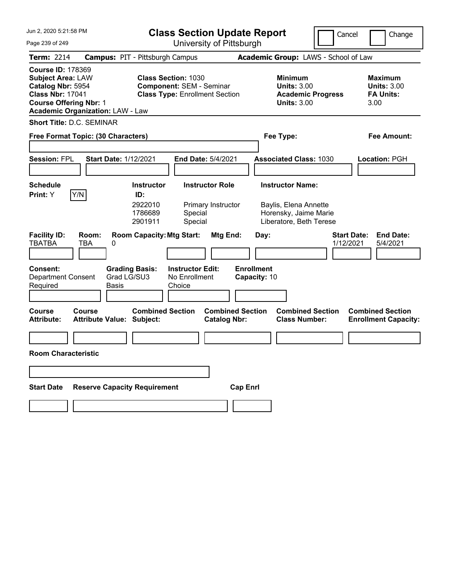| Jun 2, 2020 5:21:58 PM                                                                                                                                                           | <b>Class Section Update Report</b>                                                                     | Cancel                                                                                 | Change                                                           |
|----------------------------------------------------------------------------------------------------------------------------------------------------------------------------------|--------------------------------------------------------------------------------------------------------|----------------------------------------------------------------------------------------|------------------------------------------------------------------|
| Page 239 of 249                                                                                                                                                                  | University of Pittsburgh                                                                               |                                                                                        |                                                                  |
| <b>Term: 2214</b>                                                                                                                                                                | <b>Campus: PIT - Pittsburgh Campus</b>                                                                 | Academic Group: LAWS - School of Law                                                   |                                                                  |
| <b>Course ID: 178369</b><br><b>Subject Area: LAW</b><br>Catalog Nbr: 5954<br><b>Class Nbr: 17041</b><br><b>Course Offering Nbr: 1</b><br><b>Academic Organization: LAW - Law</b> | <b>Class Section: 1030</b><br><b>Component: SEM - Seminar</b><br><b>Class Type: Enrollment Section</b> | <b>Minimum</b><br><b>Units: 3.00</b><br><b>Academic Progress</b><br><b>Units: 3.00</b> | <b>Maximum</b><br><b>Units: 3.00</b><br><b>FA Units:</b><br>3.00 |
| <b>Short Title: D.C. SEMINAR</b>                                                                                                                                                 |                                                                                                        |                                                                                        |                                                                  |
| Free Format Topic: (30 Characters)                                                                                                                                               |                                                                                                        | Fee Type:                                                                              | <b>Fee Amount:</b>                                               |
|                                                                                                                                                                                  |                                                                                                        |                                                                                        |                                                                  |
| <b>Session: FPL</b><br><b>Start Date: 1/12/2021</b>                                                                                                                              | End Date: 5/4/2021                                                                                     | <b>Associated Class: 1030</b>                                                          | <b>Location: PGH</b>                                             |
|                                                                                                                                                                                  |                                                                                                        |                                                                                        |                                                                  |
| <b>Schedule</b>                                                                                                                                                                  | <b>Instructor</b><br><b>Instructor Role</b>                                                            | <b>Instructor Name:</b>                                                                |                                                                  |
| Y/N<br>Print: Y                                                                                                                                                                  | ID:<br>2922010<br>Primary Instructor<br>1786689<br>Special<br>2901911<br>Special                       | Baylis, Elena Annette<br>Horensky, Jaime Marie<br>Liberatore, Beth Terese              |                                                                  |
| <b>Facility ID:</b><br>Room:<br><b>TBATBA</b><br>TBA<br>0                                                                                                                        | <b>Room Capacity: Mtg Start:</b><br>Mtg End:                                                           | <b>Start Date:</b><br>Day:<br>1/12/2021                                                | <b>End Date:</b><br>5/4/2021                                     |
| <b>Consent:</b><br>Grad LG/SU3<br><b>Department Consent</b><br>Required<br>Basis                                                                                                 | <b>Grading Basis:</b><br><b>Instructor Edit:</b><br>No Enrollment<br>Choice                            | <b>Enrollment</b><br>Capacity: 10                                                      |                                                                  |
| <b>Course</b><br>Course<br><b>Attribute Value: Subject:</b><br><b>Attribute:</b>                                                                                                 | <b>Combined Section</b><br><b>Combined Section</b><br><b>Catalog Nbr:</b>                              | <b>Combined Section</b><br><b>Class Number:</b>                                        | <b>Combined Section</b><br><b>Enrollment Capacity:</b>           |
|                                                                                                                                                                                  |                                                                                                        |                                                                                        |                                                                  |
| <b>Room Characteristic</b>                                                                                                                                                       |                                                                                                        |                                                                                        |                                                                  |
|                                                                                                                                                                                  |                                                                                                        |                                                                                        |                                                                  |
| <b>Reserve Capacity Requirement</b><br><b>Start Date</b>                                                                                                                         |                                                                                                        | <b>Cap Enrl</b>                                                                        |                                                                  |
|                                                                                                                                                                                  |                                                                                                        |                                                                                        |                                                                  |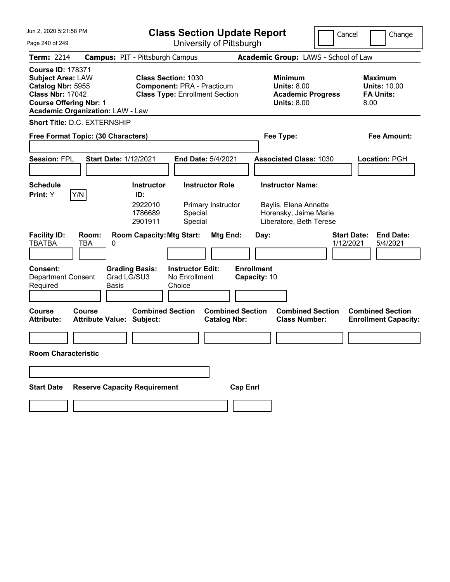| Jun 2, 2020 5:21:58 PM                                                                                                                                                           | <b>Class Section Update Report</b><br>Cancel                                                             |                                                                                        |                                                                   |  |  |
|----------------------------------------------------------------------------------------------------------------------------------------------------------------------------------|----------------------------------------------------------------------------------------------------------|----------------------------------------------------------------------------------------|-------------------------------------------------------------------|--|--|
| Page 240 of 249                                                                                                                                                                  | University of Pittsburgh                                                                                 |                                                                                        |                                                                   |  |  |
| <b>Term: 2214</b>                                                                                                                                                                | <b>Campus: PIT - Pittsburgh Campus</b>                                                                   | Academic Group: LAWS - School of Law                                                   |                                                                   |  |  |
| <b>Course ID: 178371</b><br><b>Subject Area: LAW</b><br>Catalog Nbr: 5955<br><b>Class Nbr: 17042</b><br><b>Course Offering Nbr: 1</b><br><b>Academic Organization: LAW - Law</b> | <b>Class Section: 1030</b><br><b>Component: PRA - Practicum</b><br><b>Class Type: Enrollment Section</b> | <b>Minimum</b><br><b>Units: 8.00</b><br><b>Academic Progress</b><br><b>Units: 8.00</b> | <b>Maximum</b><br><b>Units: 10.00</b><br><b>FA Units:</b><br>8.00 |  |  |
| Short Title: D.C. EXTERNSHIP                                                                                                                                                     |                                                                                                          |                                                                                        |                                                                   |  |  |
| Free Format Topic: (30 Characters)                                                                                                                                               |                                                                                                          | Fee Type:                                                                              | <b>Fee Amount:</b>                                                |  |  |
|                                                                                                                                                                                  |                                                                                                          |                                                                                        |                                                                   |  |  |
| <b>Session: FPL</b><br><b>Start Date: 1/12/2021</b>                                                                                                                              | <b>End Date: 5/4/2021</b>                                                                                | <b>Associated Class: 1030</b>                                                          | <b>Location: PGH</b>                                              |  |  |
|                                                                                                                                                                                  |                                                                                                          |                                                                                        |                                                                   |  |  |
| <b>Schedule</b><br>Y/N<br>Print: Y                                                                                                                                               | <b>Instructor</b><br><b>Instructor Role</b><br>ID:                                                       | <b>Instructor Name:</b>                                                                |                                                                   |  |  |
|                                                                                                                                                                                  | 2922010<br>Primary Instructor<br>1786689<br>Special<br>2901911<br>Special                                | Baylis, Elena Annette<br>Horensky, Jaime Marie<br>Liberatore, Beth Terese              |                                                                   |  |  |
| <b>Facility ID:</b><br>Room:<br><b>TBATBA</b><br>TBA<br>0                                                                                                                        | <b>Room Capacity: Mtg Start:</b><br>Mtg End:                                                             | Day:<br>1/12/2021                                                                      | <b>Start Date:</b><br><b>End Date:</b><br>5/4/2021                |  |  |
| <b>Consent:</b><br>Grad LG/SU3<br><b>Department Consent</b><br>Required<br>Basis                                                                                                 | <b>Grading Basis:</b><br><b>Instructor Edit:</b><br>No Enrollment<br>Choice                              | <b>Enrollment</b><br>Capacity: 10                                                      |                                                                   |  |  |
| <b>Course</b><br>Course<br><b>Attribute Value: Subject:</b><br><b>Attribute:</b>                                                                                                 | <b>Combined Section</b><br><b>Combined Section</b><br><b>Catalog Nbr:</b>                                | <b>Combined Section</b><br><b>Class Number:</b>                                        | <b>Combined Section</b><br><b>Enrollment Capacity:</b>            |  |  |
|                                                                                                                                                                                  |                                                                                                          |                                                                                        |                                                                   |  |  |
| <b>Room Characteristic</b>                                                                                                                                                       |                                                                                                          |                                                                                        |                                                                   |  |  |
|                                                                                                                                                                                  |                                                                                                          |                                                                                        |                                                                   |  |  |
| <b>Reserve Capacity Requirement</b><br><b>Start Date</b>                                                                                                                         |                                                                                                          | <b>Cap Enrl</b>                                                                        |                                                                   |  |  |
|                                                                                                                                                                                  |                                                                                                          |                                                                                        |                                                                   |  |  |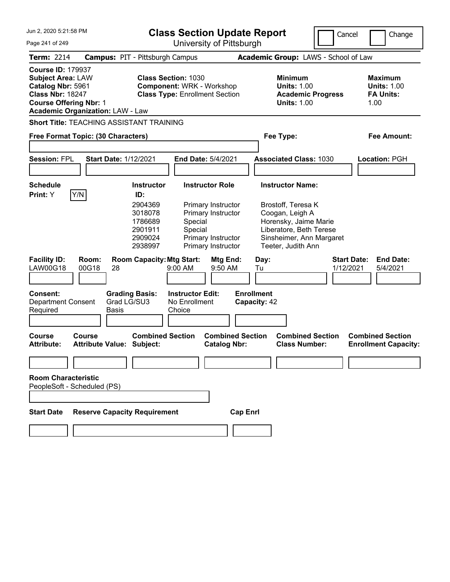| Jun 2, 2020 5:21:58 PM                                                                                                                                                                                                                                                                      |                                                                                                           |                                                                                     | <b>Class Section Update Report</b>                                                                                                   |                                                                                                                                                                        |                                 | Cancel<br>Change                                                 |
|---------------------------------------------------------------------------------------------------------------------------------------------------------------------------------------------------------------------------------------------------------------------------------------------|-----------------------------------------------------------------------------------------------------------|-------------------------------------------------------------------------------------|--------------------------------------------------------------------------------------------------------------------------------------|------------------------------------------------------------------------------------------------------------------------------------------------------------------------|---------------------------------|------------------------------------------------------------------|
| Page 241 of 249                                                                                                                                                                                                                                                                             |                                                                                                           |                                                                                     | University of Pittsburgh                                                                                                             |                                                                                                                                                                        |                                 |                                                                  |
| <b>Term: 2214</b>                                                                                                                                                                                                                                                                           | <b>Campus: PIT - Pittsburgh Campus</b>                                                                    |                                                                                     |                                                                                                                                      | Academic Group: LAWS - School of Law                                                                                                                                   |                                 |                                                                  |
| <b>Course ID: 179937</b><br><b>Class Section: 1030</b><br><b>Subject Area: LAW</b><br>Catalog Nbr: 5961<br><b>Component: WRK - Workshop</b><br><b>Class Nbr: 18247</b><br><b>Class Type: Enrollment Section</b><br><b>Course Offering Nbr: 1</b><br><b>Academic Organization: LAW - Law</b> |                                                                                                           |                                                                                     |                                                                                                                                      | <b>Minimum</b><br><b>Units: 1.00</b><br><b>Units: 1.00</b>                                                                                                             | <b>Academic Progress</b>        | <b>Maximum</b><br><b>Units: 1.00</b><br><b>FA Units:</b><br>1.00 |
|                                                                                                                                                                                                                                                                                             | <b>Short Title: TEACHING ASSISTANT TRAINING</b>                                                           |                                                                                     |                                                                                                                                      |                                                                                                                                                                        |                                 |                                                                  |
|                                                                                                                                                                                                                                                                                             | Free Format Topic: (30 Characters)                                                                        |                                                                                     |                                                                                                                                      | Fee Type:                                                                                                                                                              |                                 | Fee Amount:                                                      |
| <b>Session: FPL</b>                                                                                                                                                                                                                                                                         | <b>Start Date: 1/12/2021</b>                                                                              |                                                                                     | End Date: 5/4/2021                                                                                                                   | <b>Associated Class: 1030</b>                                                                                                                                          |                                 | Location: PGH                                                    |
| <b>Schedule</b><br>Print: Y                                                                                                                                                                                                                                                                 | Y/N<br>ID:                                                                                                | <b>Instructor</b><br>2904369<br>3018078<br>1786689<br>2901911<br>2909024<br>2938997 | <b>Instructor Role</b><br>Primary Instructor<br>Primary Instructor<br>Special<br>Special<br>Primary Instructor<br>Primary Instructor | <b>Instructor Name:</b><br>Brostoff, Teresa K<br>Coogan, Leigh A<br>Horensky, Jaime Marie<br>Liberatore, Beth Terese<br>Sinsheimer, Ann Margaret<br>Teeter, Judith Ann |                                 |                                                                  |
| <b>Facility ID:</b><br><b>LAW00G18</b>                                                                                                                                                                                                                                                      | Room:<br>00G18<br>28                                                                                      | <b>Room Capacity: Mtg Start:</b><br>9:00 AM                                         | Mtg End:<br>9:50 AM                                                                                                                  | Day:<br>Tu                                                                                                                                                             | <b>Start Date:</b><br>1/12/2021 | <b>End Date:</b><br>5/4/2021                                     |
| Consent:<br><b>Department Consent</b><br>Required<br><b>Course</b><br><b>Attribute:</b>                                                                                                                                                                                                     | <b>Grading Basis:</b><br>Grad LG/SU3<br><b>Basis</b><br><b>Course</b><br><b>Attribute Value: Subject:</b> | <b>Instructor Edit:</b><br>No Enrollment<br>Choice<br><b>Combined Section</b>       | <b>Combined Section</b><br><b>Catalog Nbr:</b>                                                                                       | <b>Enrollment</b><br>Capacity: 42<br><b>Combined Section</b><br><b>Class Number:</b>                                                                                   |                                 | <b>Combined Section</b><br><b>Enrollment Capacity:</b>           |
| <b>Room Characteristic</b><br>PeopleSoft - Scheduled (PS)                                                                                                                                                                                                                                   |                                                                                                           |                                                                                     |                                                                                                                                      |                                                                                                                                                                        |                                 |                                                                  |
| <b>Start Date</b>                                                                                                                                                                                                                                                                           | <b>Reserve Capacity Requirement</b>                                                                       |                                                                                     | <b>Cap Enrl</b>                                                                                                                      |                                                                                                                                                                        |                                 |                                                                  |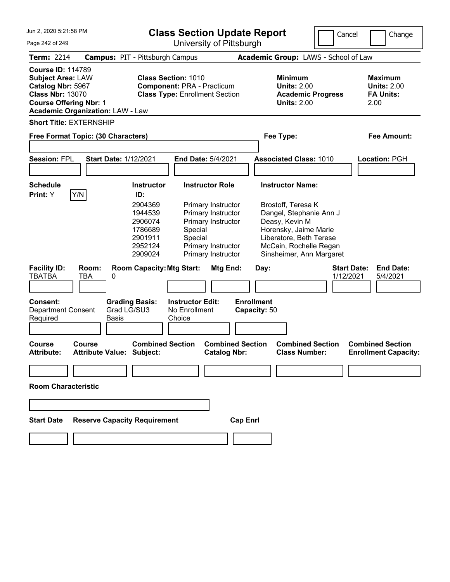| Jun 2. 2020 5:21:58 PM                                                                                                                                                           | <b>Class Section Update Report</b>                                                                                                                                                                                                                |                                                | Cancel                                                                                                                                                                                 | Change                                                           |
|----------------------------------------------------------------------------------------------------------------------------------------------------------------------------------|---------------------------------------------------------------------------------------------------------------------------------------------------------------------------------------------------------------------------------------------------|------------------------------------------------|----------------------------------------------------------------------------------------------------------------------------------------------------------------------------------------|------------------------------------------------------------------|
| Page 242 of 249                                                                                                                                                                  |                                                                                                                                                                                                                                                   | University of Pittsburgh                       |                                                                                                                                                                                        |                                                                  |
| <b>Term: 2214</b>                                                                                                                                                                | <b>Campus: PIT - Pittsburgh Campus</b>                                                                                                                                                                                                            |                                                | Academic Group: LAWS - School of Law                                                                                                                                                   |                                                                  |
| <b>Course ID: 114789</b><br><b>Subject Area: LAW</b><br>Catalog Nbr: 5967<br><b>Class Nbr: 13070</b><br><b>Course Offering Nbr: 1</b><br><b>Academic Organization: LAW - Law</b> | <b>Class Section: 1010</b><br><b>Component: PRA - Practicum</b><br><b>Class Type: Enrollment Section</b>                                                                                                                                          |                                                | <b>Minimum</b><br><b>Units: 2.00</b><br><b>Academic Progress</b><br><b>Units: 2.00</b>                                                                                                 | <b>Maximum</b><br><b>Units: 2.00</b><br><b>FA Units:</b><br>2.00 |
| <b>Short Title: EXTERNSHIP</b><br>Free Format Topic: (30 Characters)                                                                                                             |                                                                                                                                                                                                                                                   |                                                | Fee Type:                                                                                                                                                                              | <b>Fee Amount:</b>                                               |
| <b>Session: FPL</b>                                                                                                                                                              | <b>Start Date: 1/12/2021</b><br><b>End Date: 5/4/2021</b>                                                                                                                                                                                         |                                                | <b>Associated Class: 1010</b>                                                                                                                                                          | Location: PGH                                                    |
| <b>Schedule</b><br>Y/N<br>Print: Y                                                                                                                                               | <b>Instructor Role</b><br><b>Instructor</b><br>ID:                                                                                                                                                                                                |                                                | <b>Instructor Name:</b>                                                                                                                                                                |                                                                  |
| <b>Facility ID:</b><br>Room:<br><b>TBATBA</b><br><b>TBA</b><br>0                                                                                                                 | 2904369<br>Primary Instructor<br>1944539<br>Primary Instructor<br>2906074<br>Primary Instructor<br>1786689<br>Special<br>Special<br>2901911<br>Primary Instructor<br>2952124<br>2909024<br>Primary Instructor<br><b>Room Capacity: Mtg Start:</b> | <b>Mtg End:</b><br>Day:                        | Brostoff, Teresa K<br>Dangel, Stephanie Ann J<br>Deasy, Kevin M<br>Horensky, Jaime Marie<br>Liberatore, Beth Terese<br>McCain, Rochelle Regan<br>Sinsheimer, Ann Margaret<br>1/12/2021 | <b>End Date:</b><br><b>Start Date:</b><br>5/4/2021               |
|                                                                                                                                                                                  |                                                                                                                                                                                                                                                   |                                                |                                                                                                                                                                                        |                                                                  |
| <b>Consent:</b><br><b>Department Consent</b><br>Required                                                                                                                         | <b>Grading Basis:</b><br><b>Instructor Edit:</b><br>Grad LG/SU3<br>No Enrollment<br>Choice<br>Basis                                                                                                                                               | <b>Enrollment</b><br>Capacity: 50              |                                                                                                                                                                                        |                                                                  |
| Course<br><b>Course</b><br><b>Attribute:</b>                                                                                                                                     | <b>Combined Section</b><br><b>Attribute Value: Subject:</b>                                                                                                                                                                                       | <b>Combined Section</b><br><b>Catalog Nbr:</b> | <b>Combined Section</b><br><b>Class Number:</b>                                                                                                                                        | <b>Combined Section</b><br><b>Enrollment Capacity:</b>           |
|                                                                                                                                                                                  |                                                                                                                                                                                                                                                   |                                                |                                                                                                                                                                                        |                                                                  |
| <b>Room Characteristic</b>                                                                                                                                                       |                                                                                                                                                                                                                                                   |                                                |                                                                                                                                                                                        |                                                                  |
|                                                                                                                                                                                  |                                                                                                                                                                                                                                                   |                                                |                                                                                                                                                                                        |                                                                  |
| <b>Start Date</b>                                                                                                                                                                | <b>Reserve Capacity Requirement</b>                                                                                                                                                                                                               | <b>Cap Enrl</b>                                |                                                                                                                                                                                        |                                                                  |
|                                                                                                                                                                                  |                                                                                                                                                                                                                                                   |                                                |                                                                                                                                                                                        |                                                                  |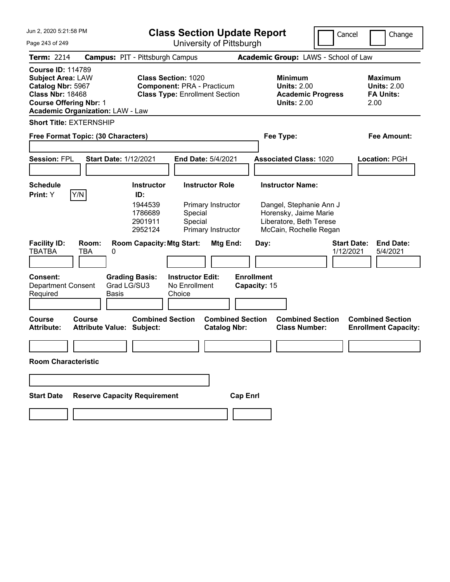| Jun 2, 2020 5:21:58 PM                                                                                                                |                                            |                                                                      | <b>Class Section Update Report</b>                                                                       |                                                                    |                 |                                   |                                                                                                                                  | Cancel                          |                                                                  | Change                                                 |
|---------------------------------------------------------------------------------------------------------------------------------------|--------------------------------------------|----------------------------------------------------------------------|----------------------------------------------------------------------------------------------------------|--------------------------------------------------------------------|-----------------|-----------------------------------|----------------------------------------------------------------------------------------------------------------------------------|---------------------------------|------------------------------------------------------------------|--------------------------------------------------------|
| Page 243 of 249                                                                                                                       |                                            | University of Pittsburgh                                             |                                                                                                          |                                                                    |                 |                                   |                                                                                                                                  |                                 |                                                                  |                                                        |
| <b>Term: 2214</b>                                                                                                                     | <b>Campus: PIT - Pittsburgh Campus</b>     |                                                                      |                                                                                                          |                                                                    |                 |                                   | Academic Group: LAWS - School of Law                                                                                             |                                 |                                                                  |                                                        |
| <b>Course ID: 114789</b><br><b>Subject Area: LAW</b><br>Catalog Nbr: 5967<br><b>Class Nbr: 18468</b><br><b>Course Offering Nbr: 1</b> | <b>Academic Organization: LAW - Law</b>    |                                                                      | <b>Class Section: 1020</b><br><b>Component: PRA - Practicum</b><br><b>Class Type: Enrollment Section</b> |                                                                    |                 |                                   | <b>Minimum</b><br><b>Units: 2.00</b><br><b>Academic Progress</b><br><b>Units: 2.00</b>                                           |                                 | <b>Maximum</b><br><b>Units: 2.00</b><br><b>FA Units:</b><br>2.00 |                                                        |
| <b>Short Title: EXTERNSHIP</b>                                                                                                        |                                            |                                                                      |                                                                                                          |                                                                    |                 |                                   |                                                                                                                                  |                                 |                                                                  |                                                        |
|                                                                                                                                       | Free Format Topic: (30 Characters)         |                                                                      |                                                                                                          |                                                                    |                 |                                   | Fee Type:                                                                                                                        |                                 |                                                                  | Fee Amount:                                            |
| <b>Session: FPL</b>                                                                                                                   | <b>Start Date: 1/12/2021</b>               |                                                                      |                                                                                                          | <b>End Date: 5/4/2021</b>                                          |                 |                                   | <b>Associated Class: 1020</b>                                                                                                    |                                 | <b>Location: PGH</b>                                             |                                                        |
| <b>Schedule</b><br>Print: Y                                                                                                           | Y/N                                        | <b>Instructor</b><br>ID:<br>1944539<br>1786689<br>2901911<br>2952124 | Special<br>Special                                                                                       | <b>Instructor Role</b><br>Primary Instructor<br>Primary Instructor |                 |                                   | <b>Instructor Name:</b><br>Dangel, Stephanie Ann J<br>Horensky, Jaime Marie<br>Liberatore, Beth Terese<br>McCain, Rochelle Regan |                                 |                                                                  |                                                        |
| <b>Facility ID:</b><br><b>TBATBA</b>                                                                                                  | Room:<br>TBA<br>0                          | <b>Room Capacity: Mtg Start:</b>                                     |                                                                                                          | Mtg End:                                                           |                 | Day:                              |                                                                                                                                  | <b>Start Date:</b><br>1/12/2021 |                                                                  | <b>End Date:</b><br>5/4/2021                           |
| Consent:<br><b>Department Consent</b><br>Required                                                                                     | Grad LG/SU3<br><b>Basis</b>                | <b>Grading Basis:</b>                                                | <b>Instructor Edit:</b><br>No Enrollment<br>Choice                                                       |                                                                    |                 | <b>Enrollment</b><br>Capacity: 15 |                                                                                                                                  |                                 |                                                                  |                                                        |
| Course<br><b>Attribute:</b>                                                                                                           | Course<br><b>Attribute Value: Subject:</b> | <b>Combined Section</b>                                              |                                                                                                          | <b>Combined Section</b><br><b>Catalog Nbr:</b>                     |                 |                                   | <b>Combined Section</b><br><b>Class Number:</b>                                                                                  |                                 |                                                                  | <b>Combined Section</b><br><b>Enrollment Capacity:</b> |
| <b>Room Characteristic</b>                                                                                                            |                                            |                                                                      |                                                                                                          |                                                                    |                 |                                   |                                                                                                                                  |                                 |                                                                  |                                                        |
|                                                                                                                                       |                                            |                                                                      |                                                                                                          |                                                                    |                 |                                   |                                                                                                                                  |                                 |                                                                  |                                                        |
| <b>Start Date</b>                                                                                                                     | <b>Reserve Capacity Requirement</b>        |                                                                      |                                                                                                          |                                                                    | <b>Cap Enrl</b> |                                   |                                                                                                                                  |                                 |                                                                  |                                                        |
|                                                                                                                                       |                                            |                                                                      |                                                                                                          |                                                                    |                 |                                   |                                                                                                                                  |                                 |                                                                  |                                                        |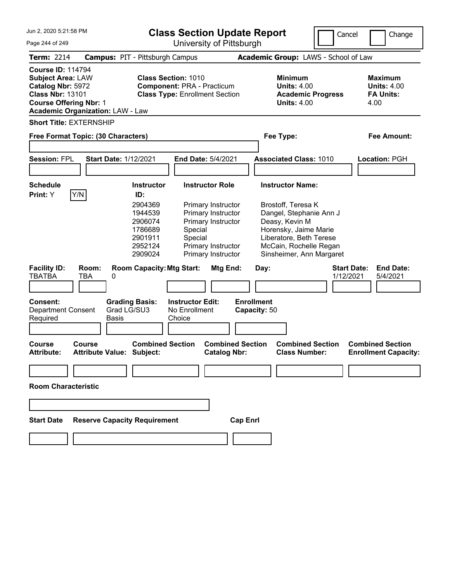| Jun 2, 2020 5:21:58 PM                                                                                                                                                           |                                                                                                                                                                                                                                                   | <b>Class Section Update Report</b>             | Cancel                                                                                                                                                                                                       | Change                                                           |
|----------------------------------------------------------------------------------------------------------------------------------------------------------------------------------|---------------------------------------------------------------------------------------------------------------------------------------------------------------------------------------------------------------------------------------------------|------------------------------------------------|--------------------------------------------------------------------------------------------------------------------------------------------------------------------------------------------------------------|------------------------------------------------------------------|
| Page 244 of 249                                                                                                                                                                  |                                                                                                                                                                                                                                                   | University of Pittsburgh                       |                                                                                                                                                                                                              |                                                                  |
| <b>Term: 2214</b>                                                                                                                                                                | <b>Campus: PIT - Pittsburgh Campus</b>                                                                                                                                                                                                            |                                                | Academic Group: LAWS - School of Law                                                                                                                                                                         |                                                                  |
| <b>Course ID: 114794</b><br><b>Subject Area: LAW</b><br>Catalog Nbr: 5972<br><b>Class Nbr: 13101</b><br><b>Course Offering Nbr: 1</b><br><b>Academic Organization: LAW - Law</b> | <b>Class Section: 1010</b><br><b>Component: PRA - Practicum</b><br><b>Class Type: Enrollment Section</b>                                                                                                                                          |                                                | <b>Minimum</b><br><b>Units: 4.00</b><br><b>Academic Progress</b><br><b>Units: 4.00</b>                                                                                                                       | <b>Maximum</b><br><b>Units: 4.00</b><br><b>FA Units:</b><br>4.00 |
| <b>Short Title: EXTERNSHIP</b><br>Free Format Topic: (30 Characters)                                                                                                             |                                                                                                                                                                                                                                                   | Fee Type:                                      |                                                                                                                                                                                                              | <b>Fee Amount:</b>                                               |
| <b>Session: FPL</b>                                                                                                                                                              | <b>Start Date: 1/12/2021</b><br><b>End Date: 5/4/2021</b>                                                                                                                                                                                         |                                                | <b>Associated Class: 1010</b>                                                                                                                                                                                | <b>Location: PGH</b>                                             |
|                                                                                                                                                                                  |                                                                                                                                                                                                                                                   |                                                |                                                                                                                                                                                                              |                                                                  |
| <b>Schedule</b><br>Y/N<br>Print: Y                                                                                                                                               | <b>Instructor Role</b><br><b>Instructor</b><br>ID:                                                                                                                                                                                                |                                                | <b>Instructor Name:</b>                                                                                                                                                                                      |                                                                  |
| <b>Facility ID:</b><br>Room:<br><b>TBATBA</b><br>TBA<br>0                                                                                                                        | 2904369<br>Primary Instructor<br>Primary Instructor<br>1944539<br>2906074<br>Primary Instructor<br>1786689<br>Special<br>Special<br>2901911<br>2952124<br>Primary Instructor<br>2909024<br>Primary Instructor<br><b>Room Capacity: Mtg Start:</b> | Mtg End:<br>Day:                               | Brostoff, Teresa K<br>Dangel, Stephanie Ann J<br>Deasy, Kevin M<br>Horensky, Jaime Marie<br>Liberatore, Beth Terese<br>McCain, Rochelle Regan<br>Sinsheimer, Ann Margaret<br><b>Start Date:</b><br>1/12/2021 | <b>End Date:</b><br>5/4/2021                                     |
|                                                                                                                                                                                  |                                                                                                                                                                                                                                                   |                                                |                                                                                                                                                                                                              |                                                                  |
| Consent:<br><b>Department Consent</b><br>Required                                                                                                                                | <b>Grading Basis:</b><br><b>Instructor Edit:</b><br>Grad LG/SU3<br>No Enrollment<br>Basis<br>Choice                                                                                                                                               | <b>Enrollment</b><br>Capacity: 50              |                                                                                                                                                                                                              |                                                                  |
| Course<br><b>Course</b><br><b>Attribute:</b>                                                                                                                                     | <b>Combined Section</b><br><b>Attribute Value: Subject:</b>                                                                                                                                                                                       | <b>Combined Section</b><br><b>Catalog Nbr:</b> | <b>Combined Section</b><br><b>Class Number:</b>                                                                                                                                                              | <b>Combined Section</b><br><b>Enrollment Capacity:</b>           |
|                                                                                                                                                                                  |                                                                                                                                                                                                                                                   |                                                |                                                                                                                                                                                                              |                                                                  |
| <b>Room Characteristic</b>                                                                                                                                                       |                                                                                                                                                                                                                                                   |                                                |                                                                                                                                                                                                              |                                                                  |
|                                                                                                                                                                                  |                                                                                                                                                                                                                                                   |                                                |                                                                                                                                                                                                              |                                                                  |
| <b>Start Date</b>                                                                                                                                                                | <b>Reserve Capacity Requirement</b>                                                                                                                                                                                                               | <b>Cap Enrl</b>                                |                                                                                                                                                                                                              |                                                                  |
|                                                                                                                                                                                  |                                                                                                                                                                                                                                                   |                                                |                                                                                                                                                                                                              |                                                                  |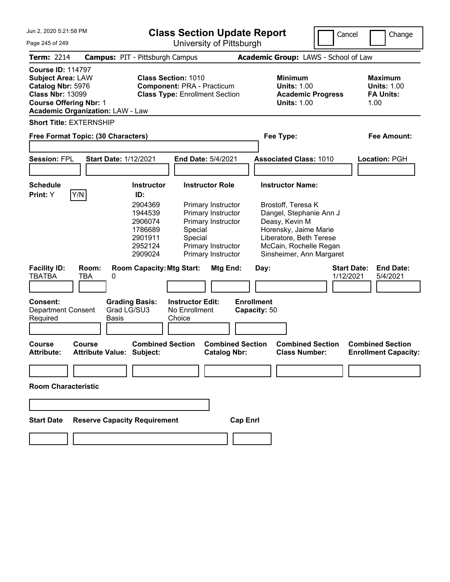| Jun 2. 2020 5:21:58 PM                                                                                                                                                           |                                                                                                                                                                                                                                                        | <b>Class Section Update Report</b>                              | Cancel                                                                                                                                                               | Change                                                           |
|----------------------------------------------------------------------------------------------------------------------------------------------------------------------------------|--------------------------------------------------------------------------------------------------------------------------------------------------------------------------------------------------------------------------------------------------------|-----------------------------------------------------------------|----------------------------------------------------------------------------------------------------------------------------------------------------------------------|------------------------------------------------------------------|
| Page 245 of 249                                                                                                                                                                  | University of Pittsburgh                                                                                                                                                                                                                               |                                                                 |                                                                                                                                                                      |                                                                  |
| <b>Term: 2214</b>                                                                                                                                                                | <b>Campus: PIT - Pittsburgh Campus</b>                                                                                                                                                                                                                 |                                                                 | Academic Group: LAWS - School of Law                                                                                                                                 |                                                                  |
| <b>Course ID: 114797</b><br><b>Subject Area: LAW</b><br>Catalog Nbr: 5976<br><b>Class Nbr: 13099</b><br><b>Course Offering Nbr: 1</b><br><b>Academic Organization: LAW - Law</b> | <b>Class Section: 1010</b><br><b>Component: PRA - Practicum</b><br><b>Class Type: Enrollment Section</b>                                                                                                                                               | <b>Minimum</b><br><b>Units: 1.00</b><br><b>Units: 1.00</b>      | <b>Academic Progress</b>                                                                                                                                             | <b>Maximum</b><br><b>Units: 1.00</b><br><b>FA Units:</b><br>1.00 |
| <b>Short Title: EXTERNSHIP</b><br>Free Format Topic: (30 Characters)                                                                                                             |                                                                                                                                                                                                                                                        | Fee Type:                                                       |                                                                                                                                                                      | <b>Fee Amount:</b>                                               |
| <b>Session: FPL</b>                                                                                                                                                              | <b>Start Date: 1/12/2021</b><br><b>End Date: 5/4/2021</b>                                                                                                                                                                                              | <b>Associated Class: 1010</b>                                   |                                                                                                                                                                      | Location: PGH                                                    |
| <b>Schedule</b><br>Y/N<br>Print: Y                                                                                                                                               | <b>Instructor Role</b><br><b>Instructor</b><br>ID:                                                                                                                                                                                                     | <b>Instructor Name:</b>                                         |                                                                                                                                                                      |                                                                  |
| <b>Facility ID:</b><br>Room:<br><b>TBATBA</b><br><b>TBA</b>                                                                                                                      | 2904369<br>Primary Instructor<br>1944539<br>Primary Instructor<br>2906074<br>Primary Instructor<br>1786689<br>Special<br>Special<br>2901911<br>Primary Instructor<br>2952124<br>2909024<br>Primary Instructor<br><b>Room Capacity: Mtg Start:</b><br>0 | Brostoff, Teresa K<br>Deasy, Kevin M<br><b>Mtg End:</b><br>Day: | Dangel, Stephanie Ann J<br>Horensky, Jaime Marie<br>Liberatore, Beth Terese<br>McCain, Rochelle Regan<br>Sinsheimer, Ann Margaret<br><b>Start Date:</b><br>1/12/2021 | <b>End Date:</b><br>5/4/2021                                     |
|                                                                                                                                                                                  |                                                                                                                                                                                                                                                        |                                                                 |                                                                                                                                                                      |                                                                  |
| <b>Consent:</b><br><b>Department Consent</b><br>Required                                                                                                                         | <b>Grading Basis:</b><br><b>Instructor Edit:</b><br>Grad LG/SU3<br>No Enrollment<br>Choice<br>Basis                                                                                                                                                    | <b>Enrollment</b><br>Capacity: 50                               |                                                                                                                                                                      |                                                                  |
| Course<br><b>Course</b><br><b>Attribute:</b>                                                                                                                                     | <b>Combined Section</b><br><b>Attribute Value: Subject:</b>                                                                                                                                                                                            | <b>Combined Section</b><br><b>Catalog Nbr:</b>                  | <b>Combined Section</b><br><b>Class Number:</b>                                                                                                                      | <b>Combined Section</b><br><b>Enrollment Capacity:</b>           |
|                                                                                                                                                                                  |                                                                                                                                                                                                                                                        |                                                                 |                                                                                                                                                                      |                                                                  |
| <b>Room Characteristic</b>                                                                                                                                                       |                                                                                                                                                                                                                                                        |                                                                 |                                                                                                                                                                      |                                                                  |
|                                                                                                                                                                                  |                                                                                                                                                                                                                                                        |                                                                 |                                                                                                                                                                      |                                                                  |
| <b>Start Date</b>                                                                                                                                                                | <b>Reserve Capacity Requirement</b>                                                                                                                                                                                                                    | <b>Cap Enrl</b>                                                 |                                                                                                                                                                      |                                                                  |
|                                                                                                                                                                                  |                                                                                                                                                                                                                                                        |                                                                 |                                                                                                                                                                      |                                                                  |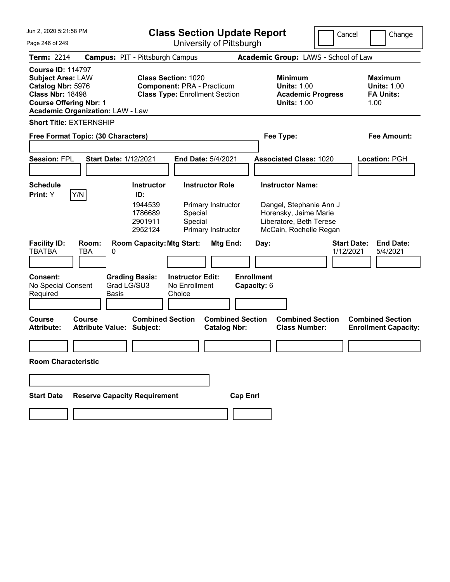| Jun 2, 2020 5:21:58 PM                                                                                                                |                                            |                                                                      | <b>Class Section Update Report</b>                                                                       |                                                                    |                 |                                  |                                                                                                                                  | Cancel                          |      | Change                                                   |
|---------------------------------------------------------------------------------------------------------------------------------------|--------------------------------------------|----------------------------------------------------------------------|----------------------------------------------------------------------------------------------------------|--------------------------------------------------------------------|-----------------|----------------------------------|----------------------------------------------------------------------------------------------------------------------------------|---------------------------------|------|----------------------------------------------------------|
| Page 246 of 249                                                                                                                       |                                            | University of Pittsburgh                                             |                                                                                                          |                                                                    |                 |                                  |                                                                                                                                  |                                 |      |                                                          |
| <b>Term: 2214</b>                                                                                                                     | <b>Campus: PIT - Pittsburgh Campus</b>     |                                                                      |                                                                                                          |                                                                    |                 |                                  | Academic Group: LAWS - School of Law                                                                                             |                                 |      |                                                          |
| <b>Course ID: 114797</b><br><b>Subject Area: LAW</b><br>Catalog Nbr: 5976<br><b>Class Nbr: 18498</b><br><b>Course Offering Nbr: 1</b> | <b>Academic Organization: LAW - Law</b>    |                                                                      | <b>Class Section: 1020</b><br><b>Component: PRA - Practicum</b><br><b>Class Type: Enrollment Section</b> |                                                                    |                 |                                  | <b>Minimum</b><br><b>Units: 1.00</b><br><b>Academic Progress</b><br><b>Units: 1.00</b>                                           |                                 | 1.00 | <b>Maximum</b><br><b>Units: 1.00</b><br><b>FA Units:</b> |
| <b>Short Title: EXTERNSHIP</b>                                                                                                        |                                            |                                                                      |                                                                                                          |                                                                    |                 |                                  |                                                                                                                                  |                                 |      |                                                          |
|                                                                                                                                       | Free Format Topic: (30 Characters)         |                                                                      |                                                                                                          |                                                                    |                 |                                  | Fee Type:                                                                                                                        |                                 |      | <b>Fee Amount:</b>                                       |
| <b>Session: FPL</b>                                                                                                                   | <b>Start Date: 1/12/2021</b>               |                                                                      |                                                                                                          | <b>End Date: 5/4/2021</b>                                          |                 |                                  | <b>Associated Class: 1020</b>                                                                                                    |                                 |      | <b>Location: PGH</b>                                     |
| <b>Schedule</b><br>Print: Y                                                                                                           | Y/N                                        | <b>Instructor</b><br>ID:<br>1944539<br>1786689<br>2901911<br>2952124 | Special<br>Special                                                                                       | <b>Instructor Role</b><br>Primary Instructor<br>Primary Instructor |                 |                                  | <b>Instructor Name:</b><br>Dangel, Stephanie Ann J<br>Horensky, Jaime Marie<br>Liberatore, Beth Terese<br>McCain, Rochelle Regan |                                 |      |                                                          |
| <b>Facility ID:</b><br><b>TBATBA</b>                                                                                                  | Room:<br><b>TBA</b><br>0                   | <b>Room Capacity: Mtg Start:</b>                                     |                                                                                                          | Mtg End:                                                           |                 | Day:                             |                                                                                                                                  | <b>Start Date:</b><br>1/12/2021 |      | <b>End Date:</b><br>5/4/2021                             |
| Consent:<br>No Special Consent<br>Required                                                                                            | Grad LG/SU3<br><b>Basis</b>                | <b>Grading Basis:</b>                                                | <b>Instructor Edit:</b><br>No Enrollment<br>Choice                                                       |                                                                    |                 | <b>Enrollment</b><br>Capacity: 6 |                                                                                                                                  |                                 |      |                                                          |
| Course<br><b>Attribute:</b>                                                                                                           | Course<br><b>Attribute Value: Subject:</b> | <b>Combined Section</b>                                              |                                                                                                          | <b>Combined Section</b><br><b>Catalog Nbr:</b>                     |                 |                                  | <b>Combined Section</b><br><b>Class Number:</b>                                                                                  |                                 |      | <b>Combined Section</b><br><b>Enrollment Capacity:</b>   |
| <b>Room Characteristic</b>                                                                                                            |                                            |                                                                      |                                                                                                          |                                                                    |                 |                                  |                                                                                                                                  |                                 |      |                                                          |
|                                                                                                                                       |                                            |                                                                      |                                                                                                          |                                                                    |                 |                                  |                                                                                                                                  |                                 |      |                                                          |
| <b>Start Date</b>                                                                                                                     | <b>Reserve Capacity Requirement</b>        |                                                                      |                                                                                                          |                                                                    | <b>Cap Enrl</b> |                                  |                                                                                                                                  |                                 |      |                                                          |
|                                                                                                                                       |                                            |                                                                      |                                                                                                          |                                                                    |                 |                                  |                                                                                                                                  |                                 |      |                                                          |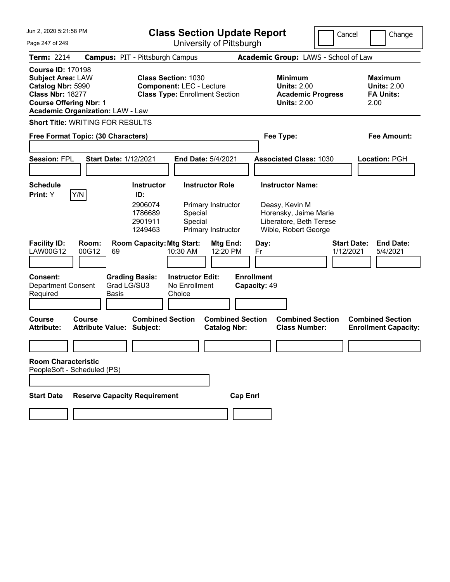| Jun 2, 2020 5:21:58 PM                                                                                                                                                           | <b>Class Section Update Report</b>                                                                                                                        | Cancel                                                                                                                | Change                                                           |
|----------------------------------------------------------------------------------------------------------------------------------------------------------------------------------|-----------------------------------------------------------------------------------------------------------------------------------------------------------|-----------------------------------------------------------------------------------------------------------------------|------------------------------------------------------------------|
| Page 247 of 249                                                                                                                                                                  | University of Pittsburgh                                                                                                                                  |                                                                                                                       |                                                                  |
| Term: 2214<br><b>Campus: PIT - Pittsburgh Campus</b>                                                                                                                             |                                                                                                                                                           | Academic Group: LAWS - School of Law                                                                                  |                                                                  |
| <b>Course ID: 170198</b><br><b>Subject Area: LAW</b><br>Catalog Nbr: 5990<br><b>Class Nbr: 18277</b><br><b>Course Offering Nbr: 1</b><br><b>Academic Organization: LAW - Law</b> | <b>Class Section: 1030</b><br><b>Component: LEC - Lecture</b><br><b>Class Type: Enrollment Section</b>                                                    | <b>Minimum</b><br><b>Units: 2.00</b><br><b>Academic Progress</b><br><b>Units: 2.00</b>                                | <b>Maximum</b><br><b>Units: 2.00</b><br><b>FA Units:</b><br>2.00 |
| <b>Short Title: WRITING FOR RESULTS</b>                                                                                                                                          |                                                                                                                                                           |                                                                                                                       |                                                                  |
| Free Format Topic: (30 Characters)                                                                                                                                               |                                                                                                                                                           | Fee Type:                                                                                                             | <b>Fee Amount:</b>                                               |
| <b>Session: FPL</b><br><b>Start Date: 1/12/2021</b>                                                                                                                              | End Date: 5/4/2021                                                                                                                                        | <b>Associated Class: 1030</b>                                                                                         | <b>Location: PGH</b>                                             |
| <b>Schedule</b><br>Y/N<br>Print: Y<br>ID:                                                                                                                                        | <b>Instructor</b><br><b>Instructor Role</b><br>2906074<br>Primary Instructor<br>1786689<br>Special<br>2901911<br>Special<br>Primary Instructor<br>1249463 | <b>Instructor Name:</b><br>Deasy, Kevin M<br>Horensky, Jaime Marie<br>Liberatore, Beth Terese<br>Wible, Robert George |                                                                  |
| <b>Facility ID:</b><br>Room:<br><b>LAW00G12</b><br>00G12<br>69                                                                                                                   | <b>Room Capacity: Mtg Start:</b><br>Mtg End:<br>10:30 AM<br>12:20 PM                                                                                      | <b>Start Date:</b><br>Day:<br>1/12/2021<br>Fr                                                                         | <b>End Date:</b><br>5/4/2021                                     |
| <b>Consent:</b><br><b>Grading Basis:</b><br>Grad LG/SU3<br><b>Department Consent</b><br>Required<br><b>Basis</b>                                                                 | <b>Instructor Edit:</b><br>No Enrollment<br>Choice                                                                                                        | <b>Enrollment</b><br>Capacity: 49                                                                                     |                                                                  |
| <b>Course</b><br>Course<br><b>Attribute:</b><br><b>Attribute Value: Subject:</b>                                                                                                 | <b>Combined Section</b><br><b>Combined Section</b><br><b>Catalog Nbr:</b>                                                                                 | <b>Combined Section</b><br><b>Class Number:</b>                                                                       | <b>Combined Section</b><br><b>Enrollment Capacity:</b>           |
|                                                                                                                                                                                  |                                                                                                                                                           |                                                                                                                       |                                                                  |
| <b>Room Characteristic</b><br>PeopleSoft - Scheduled (PS)                                                                                                                        |                                                                                                                                                           |                                                                                                                       |                                                                  |
|                                                                                                                                                                                  |                                                                                                                                                           |                                                                                                                       |                                                                  |
| <b>Start Date</b><br><b>Reserve Capacity Requirement</b>                                                                                                                         | <b>Cap Enrl</b>                                                                                                                                           |                                                                                                                       |                                                                  |
|                                                                                                                                                                                  |                                                                                                                                                           |                                                                                                                       |                                                                  |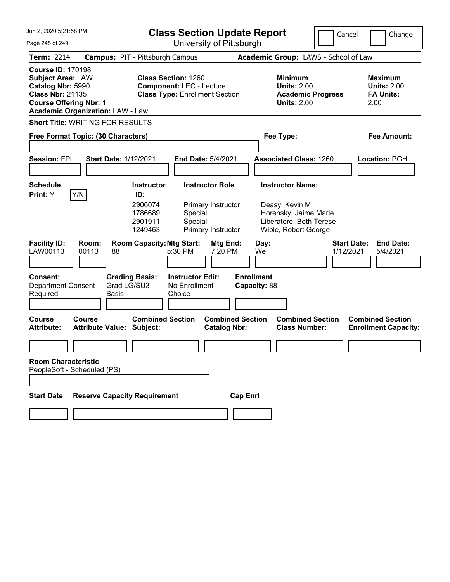| Jun 2, 2020 5:21:58 PM                                                                                                                |                                                      |                                                                                                        | <b>Class Section Update Report</b>                                 |                                                                                                                       |                                 | Cancel<br>Change                                                 |
|---------------------------------------------------------------------------------------------------------------------------------------|------------------------------------------------------|--------------------------------------------------------------------------------------------------------|--------------------------------------------------------------------|-----------------------------------------------------------------------------------------------------------------------|---------------------------------|------------------------------------------------------------------|
| Page 248 of 249                                                                                                                       |                                                      |                                                                                                        | University of Pittsburgh                                           |                                                                                                                       |                                 |                                                                  |
| Term: 2214                                                                                                                            |                                                      | <b>Campus: PIT - Pittsburgh Campus</b>                                                                 |                                                                    | Academic Group: LAWS - School of Law                                                                                  |                                 |                                                                  |
| <b>Course ID: 170198</b><br><b>Subject Area: LAW</b><br>Catalog Nbr: 5990<br><b>Class Nbr: 21135</b><br><b>Course Offering Nbr: 1</b> | <b>Academic Organization: LAW - Law</b>              | <b>Class Section: 1260</b><br><b>Component: LEC - Lecture</b><br><b>Class Type: Enrollment Section</b> |                                                                    | <b>Minimum</b><br><b>Units: 2.00</b><br><b>Academic Progress</b><br><b>Units: 2.00</b>                                |                                 | <b>Maximum</b><br><b>Units: 2.00</b><br><b>FA Units:</b><br>2.00 |
|                                                                                                                                       | <b>Short Title: WRITING FOR RESULTS</b>              |                                                                                                        |                                                                    |                                                                                                                       |                                 |                                                                  |
|                                                                                                                                       | Free Format Topic: (30 Characters)                   |                                                                                                        |                                                                    | Fee Type:                                                                                                             |                                 | <b>Fee Amount:</b>                                               |
| <b>Session: FPL</b>                                                                                                                   | <b>Start Date: 1/12/2021</b>                         |                                                                                                        | End Date: 5/4/2021                                                 | <b>Associated Class: 1260</b>                                                                                         |                                 | <b>Location: PGH</b>                                             |
| <b>Schedule</b><br>Print: Y                                                                                                           | Y/N                                                  | <b>Instructor</b><br>ID:<br>2906074<br>1786689<br>Special<br>2901911<br>Special<br>1249463             | <b>Instructor Role</b><br>Primary Instructor<br>Primary Instructor | <b>Instructor Name:</b><br>Deasy, Kevin M<br>Horensky, Jaime Marie<br>Liberatore, Beth Terese<br>Wible, Robert George |                                 |                                                                  |
| <b>Facility ID:</b><br>LAW00113                                                                                                       | Room:<br>00113<br>88                                 | <b>Room Capacity: Mtg Start:</b><br>5:30 PM                                                            | Mtg End:<br>7:20 PM                                                | Day:<br>We                                                                                                            | <b>Start Date:</b><br>1/12/2021 | <b>End Date:</b><br>5/4/2021                                     |
| <b>Consent:</b><br><b>Department Consent</b><br>Required                                                                              | <b>Grading Basis:</b><br>Grad LG/SU3<br><b>Basis</b> | <b>Instructor Edit:</b><br>No Enrollment<br>Choice                                                     |                                                                    | <b>Enrollment</b><br>Capacity: 88                                                                                     |                                 |                                                                  |
| <b>Course</b><br><b>Attribute:</b>                                                                                                    | Course<br><b>Attribute Value: Subject:</b>           | <b>Combined Section</b>                                                                                | <b>Combined Section</b><br><b>Catalog Nbr:</b>                     | <b>Combined Section</b><br><b>Class Number:</b>                                                                       |                                 | <b>Combined Section</b><br><b>Enrollment Capacity:</b>           |
|                                                                                                                                       |                                                      |                                                                                                        |                                                                    |                                                                                                                       |                                 |                                                                  |
| <b>Room Characteristic</b><br>PeopleSoft - Scheduled (PS)                                                                             |                                                      |                                                                                                        |                                                                    |                                                                                                                       |                                 |                                                                  |
|                                                                                                                                       |                                                      |                                                                                                        |                                                                    |                                                                                                                       |                                 |                                                                  |
| <b>Start Date</b>                                                                                                                     | <b>Reserve Capacity Requirement</b>                  |                                                                                                        | <b>Cap Enrl</b>                                                    |                                                                                                                       |                                 |                                                                  |
|                                                                                                                                       |                                                      |                                                                                                        |                                                                    |                                                                                                                       |                                 |                                                                  |
|                                                                                                                                       |                                                      |                                                                                                        |                                                                    |                                                                                                                       |                                 |                                                                  |